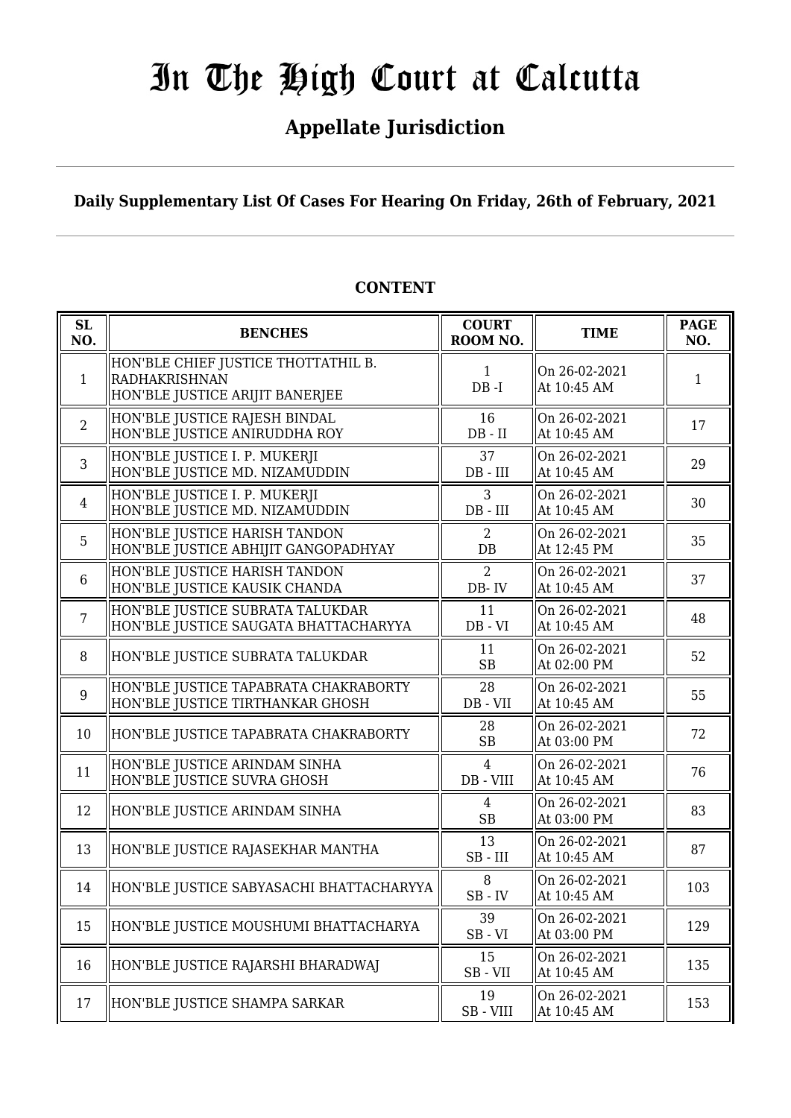## **Appellate Jurisdiction**

**Daily Supplementary List Of Cases For Hearing On Friday, 26th of February, 2021**

| SL<br>NO.      | <b>BENCHES</b>                                                                          | <b>COURT</b><br>ROOM NO.    | <b>TIME</b>                  | <b>PAGE</b><br>NO. |
|----------------|-----------------------------------------------------------------------------------------|-----------------------------|------------------------------|--------------------|
| $\mathbf{1}$   | HON'BLE CHIEF JUSTICE THOTTATHIL B.<br>RADHAKRISHNAN<br>HON'BLE JUSTICE ARIJIT BANERJEE | $\mathbf{1}$<br>$DB - I$    | On 26-02-2021<br>At 10:45 AM | 1                  |
| 2              | HON'BLE JUSTICE RAJESH BINDAL<br>HON'BLE JUSTICE ANIRUDDHA ROY                          | 16<br>$DB - II$             | On 26-02-2021<br>At 10:45 AM | 17                 |
| 3              | HON'BLE JUSTICE I. P. MUKERJI<br>HON'BLE JUSTICE MD. NIZAMUDDIN                         | 37<br>$DB$ - $III$          | On 26-02-2021<br>At 10:45 AM | 29                 |
| $\overline{4}$ | HON'BLE JUSTICE I. P. MUKERJI<br>HON'BLE JUSTICE MD. NIZAMUDDIN                         | 3<br>DB - III               | On 26-02-2021<br>At 10:45 AM | 30                 |
| 5              | HON'BLE JUSTICE HARISH TANDON<br>HON'BLE JUSTICE ABHIJIT GANGOPADHYAY                   | 2<br>DB                     | On 26-02-2021<br>At 12:45 PM | 35                 |
| 6              | HON'BLE JUSTICE HARISH TANDON<br>HON'BLE JUSTICE KAUSIK CHANDA                          | $\overline{2}$<br>DB-IV     | On 26-02-2021<br>At 10:45 AM | 37                 |
| $\overline{7}$ | HON'BLE JUSTICE SUBRATA TALUKDAR<br>HON'BLE JUSTICE SAUGATA BHATTACHARYYA               | 11<br>$DB - VI$             | On 26-02-2021<br>At 10:45 AM | 48                 |
| 8              | HON'BLE JUSTICE SUBRATA TALUKDAR                                                        | 11<br><b>SB</b>             | On 26-02-2021<br>At 02:00 PM | 52                 |
| 9              | HON'BLE JUSTICE TAPABRATA CHAKRABORTY<br>HON'BLE JUSTICE TIRTHANKAR GHOSH               | 28<br>DB - VII              | On 26-02-2021<br>At 10:45 AM | 55                 |
| 10             | HON'BLE JUSTICE TAPABRATA CHAKRABORTY                                                   | 28<br><b>SB</b>             | On 26-02-2021<br>At 03:00 PM | 72                 |
| 11             | HON'BLE JUSTICE ARINDAM SINHA<br>HON'BLE JUSTICE SUVRA GHOSH                            | $\overline{4}$<br>DB - VIII | On 26-02-2021<br>At 10:45 AM | 76                 |
| 12             | HON'BLE JUSTICE ARINDAM SINHA                                                           | $\overline{4}$<br><b>SB</b> | On 26-02-2021<br>At 03:00 PM | 83                 |
| 13             | HON'BLE JUSTICE RAJASEKHAR MANTHA                                                       | 13<br>$SB$ - $III$          | On 26-02-2021<br>At 10:45 AM | 87                 |
| 14             | HON'BLE JUSTICE SABYASACHI BHATTACHARYYA                                                | 8<br>$SB$ - $IV$            | On 26-02-2021<br>At 10:45 AM | 103                |
| 15             | HON'BLE JUSTICE MOUSHUMI BHATTACHARYA                                                   | 39<br>$SB - VI$             | On 26-02-2021<br>At 03:00 PM | 129                |
| 16             | HON'BLE JUSTICE RAJARSHI BHARADWAJ                                                      | 15<br>$SB - VII$            | On 26-02-2021<br>At 10:45 AM | 135                |
| 17             | HON'BLE JUSTICE SHAMPA SARKAR                                                           | 19<br>$SB - VIII$           | On 26-02-2021<br>At 10:45 AM | 153                |

### **CONTENT**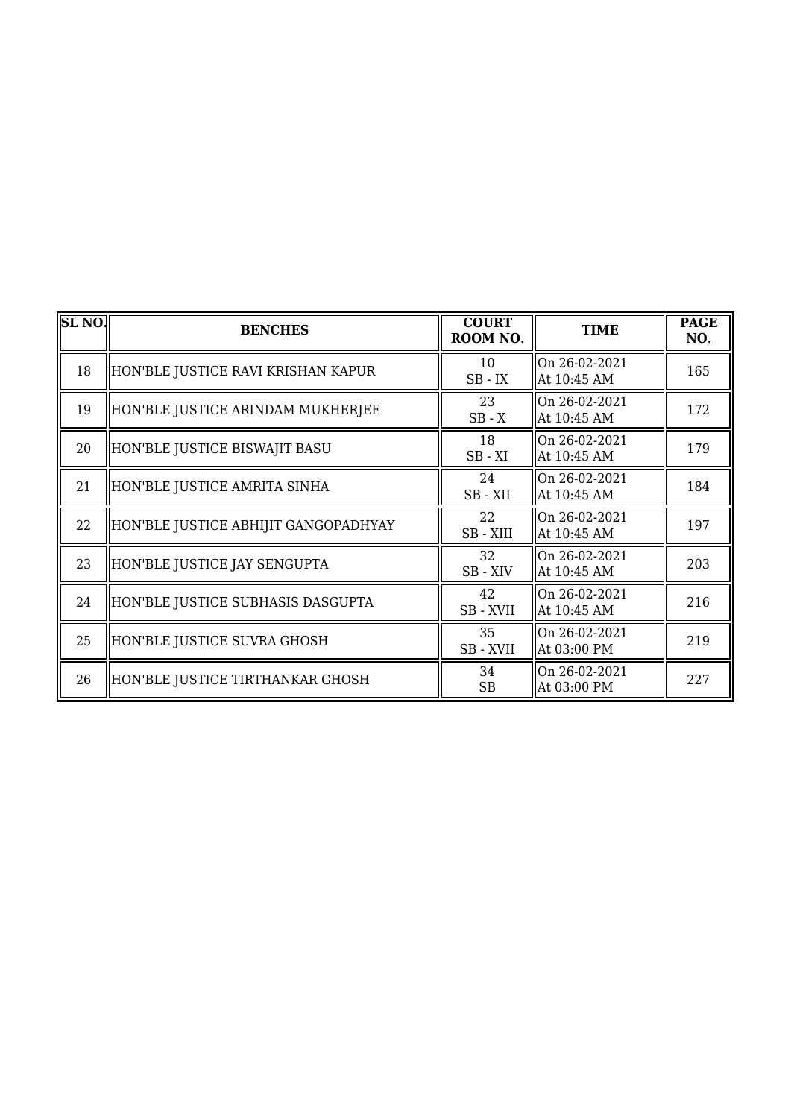| SL <sub>NO</sub> | <b>BENCHES</b>                       | <b>COURT</b><br>ROOM NO.                       | <b>TIME</b>                  | <b>PAGE</b><br>NO. |
|------------------|--------------------------------------|------------------------------------------------|------------------------------|--------------------|
| 18               | HON'BLE JUSTICE RAVI KRISHAN KAPUR   | 10<br>$SB$ - $IX$                              | On 26-02-2021<br>At 10:45 AM | 165                |
| 19               | HON'BLE JUSTICE ARINDAM MUKHERJEE    | 23<br>$SB - X$                                 | On 26-02-2021<br>At 10:45 AM | 172                |
| 20               | HON'BLE JUSTICE BISWAJIT BASU        | 18<br>$SB - XI$                                | On 26-02-2021<br>At 10:45 AM | 179                |
| 21               | HON'BLE JUSTICE AMRITA SINHA         | 24<br>SB-XII                                   | On 26-02-2021<br>At 10:45 AM | 184                |
| 22               | HON'BLE JUSTICE ABHIJIT GANGOPADHYAY | 22<br>SB - XIII                                | On 26-02-2021<br>At 10:45 AM | 197                |
| 23               | HON'BLE JUSTICE JAY SENGUPTA         | 32<br>SB - XIV                                 | On 26-02-2021<br>At 10:45 AM | 203                |
| 24               | HON'BLE JUSTICE SUBHASIS DASGUPTA    | 42<br>SB - XVII                                | On 26-02-2021<br>At 10:45 AM | 216                |
| 25               | HON'BLE JUSTICE SUVRA GHOSH          | 35<br>$\ensuremath{\mathsf{SB}}\xspace$ - XVII | On 26-02-2021<br>At 03:00 PM | 219                |
| 26               | HON'BLE JUSTICE TIRTHANKAR GHOSH     | 34<br><b>SB</b>                                | On 26-02-2021<br>At 03:00 PM | 227                |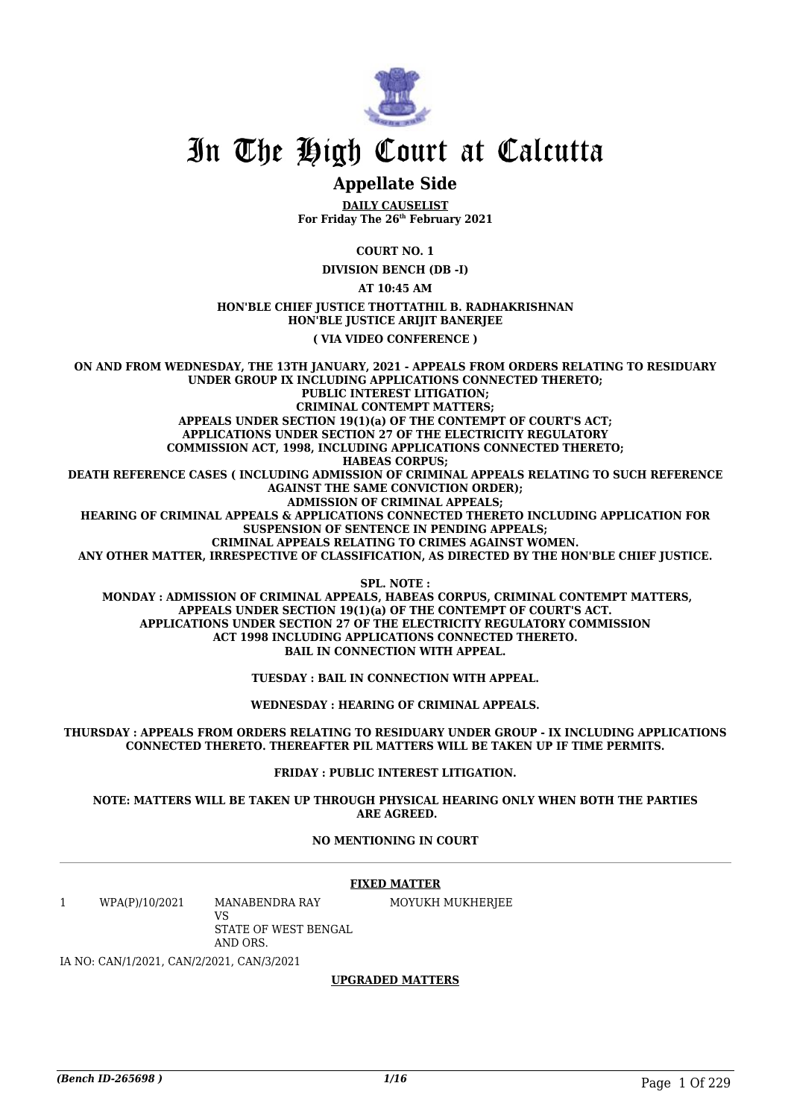

### **Appellate Side**

**DAILY CAUSELIST For Friday The 26th February 2021**

**COURT NO. 1**

**DIVISION BENCH (DB -I)**

**AT 10:45 AM**

**HON'BLE CHIEF JUSTICE THOTTATHIL B. RADHAKRISHNAN HON'BLE JUSTICE ARIJIT BANERJEE**

**( VIA VIDEO CONFERENCE )**

**ON AND FROM WEDNESDAY, THE 13TH JANUARY, 2021 - APPEALS FROM ORDERS RELATING TO RESIDUARY UNDER GROUP IX INCLUDING APPLICATIONS CONNECTED THERETO; PUBLIC INTEREST LITIGATION; CRIMINAL CONTEMPT MATTERS; APPEALS UNDER SECTION 19(1)(a) OF THE CONTEMPT OF COURT'S ACT; APPLICATIONS UNDER SECTION 27 OF THE ELECTRICITY REGULATORY COMMISSION ACT, 1998, INCLUDING APPLICATIONS CONNECTED THERETO; HABEAS CORPUS; DEATH REFERENCE CASES ( INCLUDING ADMISSION OF CRIMINAL APPEALS RELATING TO SUCH REFERENCE AGAINST THE SAME CONVICTION ORDER); ADMISSION OF CRIMINAL APPEALS; HEARING OF CRIMINAL APPEALS & APPLICATIONS CONNECTED THERETO INCLUDING APPLICATION FOR SUSPENSION OF SENTENCE IN PENDING APPEALS; CRIMINAL APPEALS RELATING TO CRIMES AGAINST WOMEN. ANY OTHER MATTER, IRRESPECTIVE OF CLASSIFICATION, AS DIRECTED BY THE HON'BLE CHIEF JUSTICE.**

**SPL. NOTE : MONDAY : ADMISSION OF CRIMINAL APPEALS, HABEAS CORPUS, CRIMINAL CONTEMPT MATTERS, APPEALS UNDER SECTION 19(1)(a) OF THE CONTEMPT OF COURT'S ACT. APPLICATIONS UNDER SECTION 27 OF THE ELECTRICITY REGULATORY COMMISSION ACT 1998 INCLUDING APPLICATIONS CONNECTED THERETO. BAIL IN CONNECTION WITH APPEAL.**

**TUESDAY : BAIL IN CONNECTION WITH APPEAL.**

**WEDNESDAY : HEARING OF CRIMINAL APPEALS.**

**THURSDAY : APPEALS FROM ORDERS RELATING TO RESIDUARY UNDER GROUP - IX INCLUDING APPLICATIONS CONNECTED THERETO. THEREAFTER PIL MATTERS WILL BE TAKEN UP IF TIME PERMITS.**

**FRIDAY : PUBLIC INTEREST LITIGATION.**

**NOTE: MATTERS WILL BE TAKEN UP THROUGH PHYSICAL HEARING ONLY WHEN BOTH THE PARTIES ARE AGREED.**

#### **NO MENTIONING IN COURT**

#### **FIXED MATTER**

1 WPA(P)/10/2021 MANABENDRA RAY VS

MOYUKH MUKHERJEE

STATE OF WEST BENGAL AND ORS.

IA NO: CAN/1/2021, CAN/2/2021, CAN/3/2021

#### **UPGRADED MATTERS**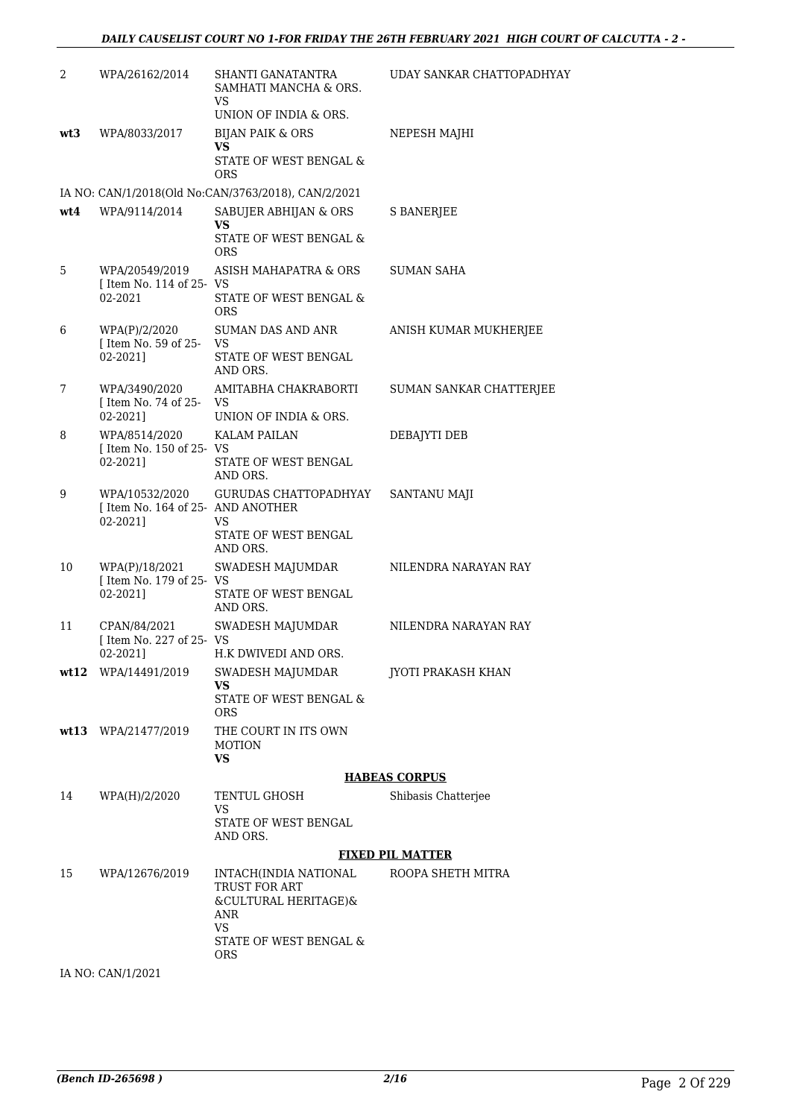| 2   | WPA/26162/2014                                                  | <b>SHANTI GANATANTRA</b><br>SAMHATI MANCHA & ORS.<br><b>VS</b>                      | UDAY SANKAR CHATTOPADHYAY |
|-----|-----------------------------------------------------------------|-------------------------------------------------------------------------------------|---------------------------|
|     |                                                                 | UNION OF INDIA & ORS.                                                               |                           |
| wt3 | WPA/8033/2017                                                   | <b>BIJAN PAIK &amp; ORS</b>                                                         | NEPESH MAJHI              |
|     |                                                                 | VS<br>STATE OF WEST BENGAL &<br><b>ORS</b>                                          |                           |
|     |                                                                 | IA NO: CAN/1/2018(Old No:CAN/3763/2018), CAN/2/2021                                 |                           |
| wt4 | WPA/9114/2014                                                   | SABUJER ABHIJAN & ORS<br>VS<br>STATE OF WEST BENGAL &<br><b>ORS</b>                 | <b>S BANERJEE</b>         |
| 5   | WPA/20549/2019<br>[ Item No. 114 of 25- VS<br>02-2021           | ASISH MAHAPATRA & ORS<br>STATE OF WEST BENGAL &<br><b>ORS</b>                       | <b>SUMAN SAHA</b>         |
| 6   | WPA(P)/2/2020<br>[ Item No. 59 of 25- VS<br>02-2021]            | <b>SUMAN DAS AND ANR</b><br>STATE OF WEST BENGAL<br>AND ORS.                        | ANISH KUMAR MUKHERJEE     |
| 7   | WPA/3490/2020<br>[ Item No. 74 of 25- VS<br>02-20211            | AMITABHA CHAKRABORTI<br>UNION OF INDIA & ORS.                                       | SUMAN SANKAR CHATTERJEE   |
| 8   | WPA/8514/2020                                                   | <b>KALAM PAILAN</b>                                                                 | DEBAJYTI DEB              |
|     | [ Item No. 150 of 25- VS<br>02-2021]                            | STATE OF WEST BENGAL<br>AND ORS.                                                    |                           |
| 9   | WPA/10532/2020<br>[ Item No. 164 of 25- AND ANOTHER<br>02-2021] | GURUDAS CHATTOPADHYAY<br>VS                                                         | SANTANU MAJI              |
|     |                                                                 | STATE OF WEST BENGAL<br>AND ORS.                                                    |                           |
| 10  | WPA(P)/18/2021<br>[ Item No. 179 of 25- VS<br>02-2021]          | SWADESH MAJUMDAR<br>STATE OF WEST BENGAL<br>AND ORS.                                | NILENDRA NARAYAN RAY      |
| 11  | CPAN/84/2021                                                    | SWADESH MAJUMDAR                                                                    | NILENDRA NARAYAN RAY      |
|     | [ Item No. 227 of 25- VS<br>02-20211                            | H.K DWIVEDI AND ORS.                                                                |                           |
|     | wt12 WPA/14491/2019                                             | SWADESH MAJUMDAR<br>VS<br>STATE OF WEST BENGAL &                                    | JYOTI PRAKASH KHAN        |
|     |                                                                 | <b>ORS</b>                                                                          |                           |
|     | wt13 WPA/21477/2019                                             | THE COURT IN ITS OWN<br><b>MOTION</b><br><b>VS</b>                                  |                           |
|     |                                                                 |                                                                                     | <b>HABEAS CORPUS</b>      |
| 14  | WPA(H)/2/2020                                                   | TENTUL GHOSH<br>VS                                                                  | Shibasis Chatterjee       |
|     |                                                                 | STATE OF WEST BENGAL<br>AND ORS.                                                    |                           |
|     |                                                                 |                                                                                     | <b>FIXED PIL MATTER</b>   |
| 15  | WPA/12676/2019                                                  | INTACH(INDIA NATIONAL<br><b>TRUST FOR ART</b><br>&CULTURAL HERITAGE)&<br>ANR<br>VS. | ROOPA SHETH MITRA         |
|     |                                                                 | STATE OF WEST BENGAL &<br>ORS.                                                      |                           |
|     | IA NO: CAN/1/2021                                               |                                                                                     |                           |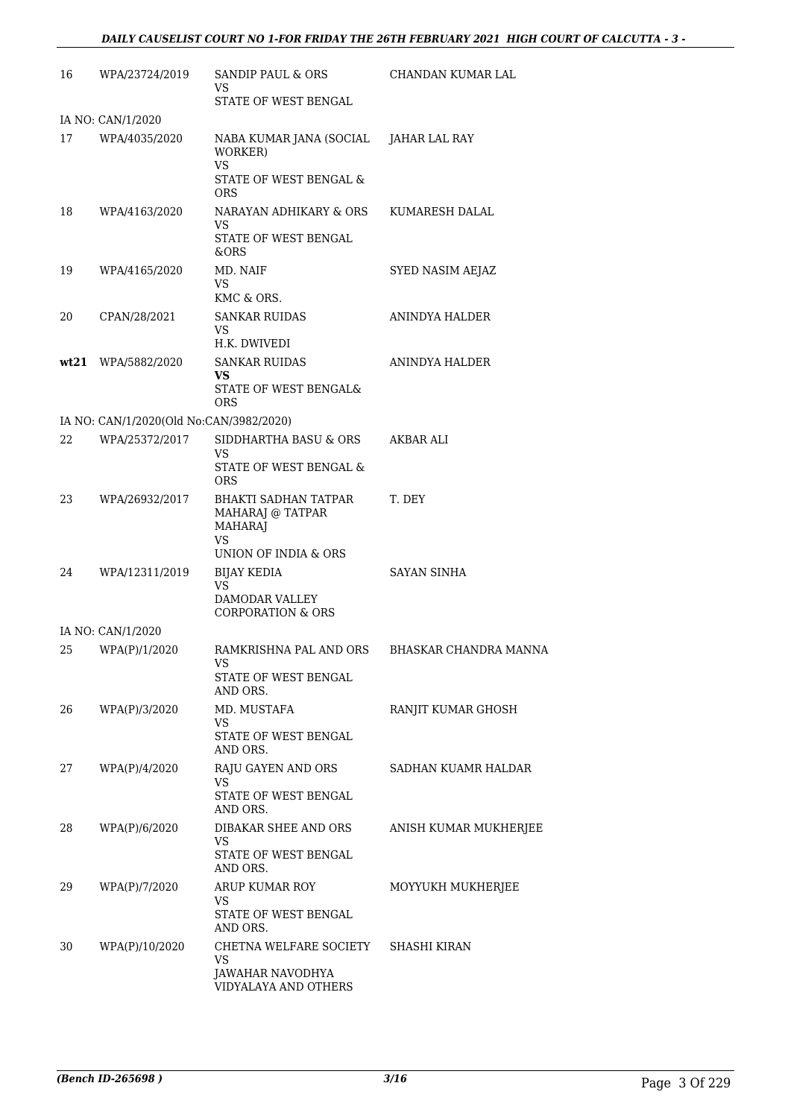| 16 | WPA/23724/2019                          | SANDIP PAUL & ORS<br>VS.                                                                                             | CHANDAN KUMAR LAL     |
|----|-----------------------------------------|----------------------------------------------------------------------------------------------------------------------|-----------------------|
|    |                                         | STATE OF WEST BENGAL                                                                                                 |                       |
| 17 | IA NO: CAN/1/2020<br>WPA/4035/2020      | NABA KUMAR JANA (SOCIAL JAHAR LAL RAY<br>WORKER)<br><b>VS</b><br>STATE OF WEST BENGAL &                              |                       |
| 18 | WPA/4163/2020                           | <b>ORS</b><br>NARAYAN ADHIKARY & ORS<br>VS<br>STATE OF WEST BENGAL                                                   | KUMARESH DALAL        |
| 19 | WPA/4165/2020                           | &ORS<br>MD. NAIF<br>VS.<br>KMC & ORS.                                                                                | SYED NASIM AEJAZ      |
| 20 | CPAN/28/2021                            | <b>SANKAR RUIDAS</b><br>VS<br>H.K. DWIVEDI                                                                           | ANINDYA HALDER        |
|    | wt21 WPA/5882/2020                      | <b>SANKAR RUIDAS</b><br>VS<br>STATE OF WEST BENGAL&<br><b>ORS</b>                                                    | ANINDYA HALDER        |
|    | IA NO: CAN/1/2020(Old No:CAN/3982/2020) |                                                                                                                      |                       |
| 22 | WPA/25372/2017                          | SIDDHARTHA BASU & ORS<br>VS.<br>STATE OF WEST BENGAL &                                                               | AKBAR ALI             |
| 23 | WPA/26932/2017                          | <b>ORS</b><br><b>BHAKTI SADHAN TATPAR</b><br>MAHARAJ @ TATPAR<br><b>MAHARAJ</b><br><b>VS</b><br>UNION OF INDIA & ORS | T. DEY                |
| 24 | WPA/12311/2019                          | BIJAY KEDIA<br><b>VS</b><br>DAMODAR VALLEY<br><b>CORPORATION &amp; ORS</b>                                           | <b>SAYAN SINHA</b>    |
|    | IA NO: CAN/1/2020                       |                                                                                                                      |                       |
| 25 | WPA(P)/1/2020                           | RAMKRISHNA PAL AND ORS<br>VS<br>STATE OF WEST BENGAL<br>AND ORS.                                                     | BHASKAR CHANDRA MANNA |
| 26 | WPA(P)/3/2020                           | MD. MUSTAFA<br>VS<br>STATE OF WEST BENGAL                                                                            | RANJIT KUMAR GHOSH    |
| 27 | WPA(P)/4/2020                           | AND ORS.<br>RAJU GAYEN AND ORS<br>VS.<br>STATE OF WEST BENGAL                                                        | SADHAN KUAMR HALDAR   |
| 28 | WPA(P)/6/2020                           | AND ORS.<br>DIBAKAR SHEE AND ORS<br>VS.<br>STATE OF WEST BENGAL<br>AND ORS.                                          | ANISH KUMAR MUKHERJEE |
| 29 | WPA(P)/7/2020                           | ARUP KUMAR ROY<br>VS<br>STATE OF WEST BENGAL<br>AND ORS.                                                             | MOYYUKH MUKHERJEE     |
| 30 | WPA(P)/10/2020                          | CHETNA WELFARE SOCIETY<br>VS<br>JAWAHAR NAVODHYA<br>VIDYALAYA AND OTHERS                                             | SHASHI KIRAN          |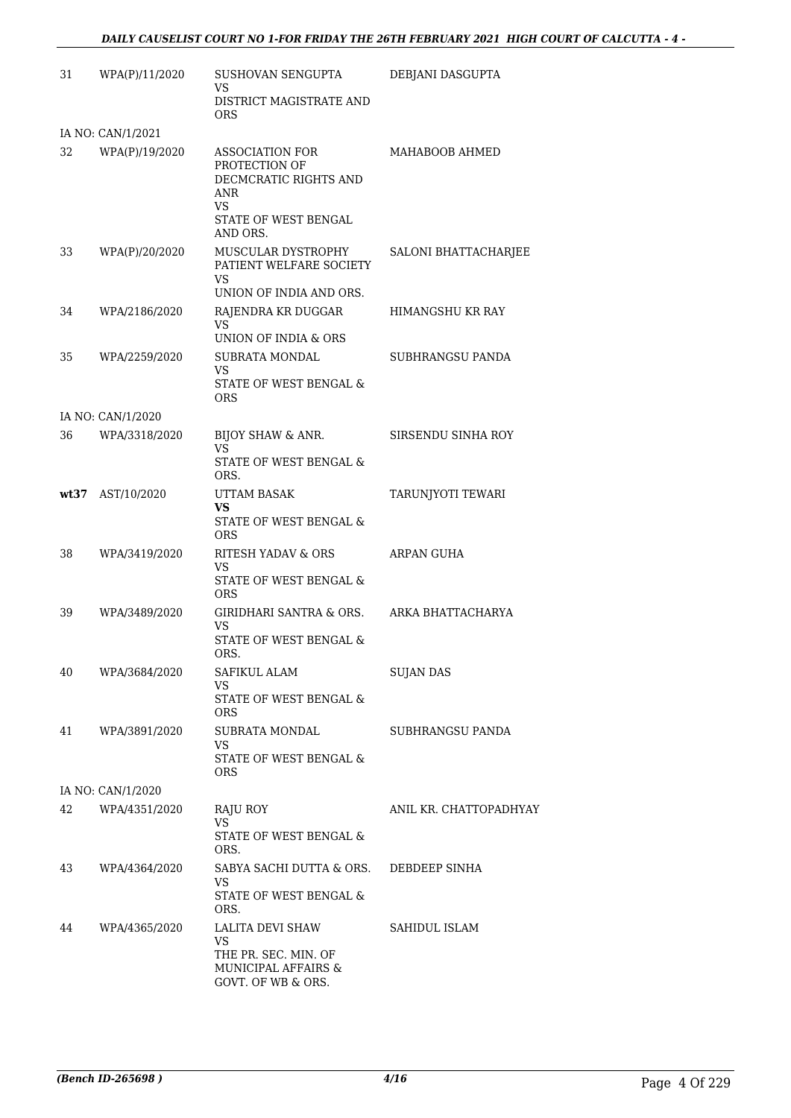| 31   | WPA(P)/11/2020    | SUSHOVAN SENGUPTA<br>VS                                                                                                  | DEBJANI DASGUPTA       |
|------|-------------------|--------------------------------------------------------------------------------------------------------------------------|------------------------|
|      |                   | DISTRICT MAGISTRATE AND<br>ORS                                                                                           |                        |
|      | IA NO: CAN/1/2021 |                                                                                                                          |                        |
| 32   | WPA(P)/19/2020    | <b>ASSOCIATION FOR</b><br>PROTECTION OF<br>DECMCRATIC RIGHTS AND<br>ANR<br><b>VS</b><br>STATE OF WEST BENGAL<br>AND ORS. | MAHABOOB AHMED         |
| 33   | WPA(P)/20/2020    | MUSCULAR DYSTROPHY<br>PATIENT WELFARE SOCIETY<br><b>VS</b><br>UNION OF INDIA AND ORS.                                    | SALONI BHATTACHARJEE   |
| 34   | WPA/2186/2020     | RAJENDRA KR DUGGAR<br>VS.<br>UNION OF INDIA & ORS                                                                        | HIMANGSHU KR RAY       |
| 35   | WPA/2259/2020     | SUBRATA MONDAL<br>VS                                                                                                     | SUBHRANGSU PANDA       |
|      |                   | STATE OF WEST BENGAL &<br>ORS                                                                                            |                        |
|      | IA NO: CAN/1/2020 |                                                                                                                          |                        |
| 36   | WPA/3318/2020     | BIJOY SHAW & ANR.<br><b>VS</b>                                                                                           | SIRSENDU SINHA ROY     |
|      |                   | STATE OF WEST BENGAL &<br>ORS.                                                                                           |                        |
| wt37 | AST/10/2020       | <b>UTTAM BASAK</b><br>VS.                                                                                                | TARUNJYOTI TEWARI      |
|      |                   | STATE OF WEST BENGAL $\&$<br><b>ORS</b>                                                                                  |                        |
| 38   | WPA/3419/2020     | RITESH YADAV & ORS                                                                                                       | ARPAN GUHA             |
|      |                   | VS<br><b>STATE OF WEST BENGAL &amp;</b><br><b>ORS</b>                                                                    |                        |
| 39   | WPA/3489/2020     | GIRIDHARI SANTRA & ORS.<br><b>VS</b><br><b>STATE OF WEST BENGAL &amp;</b><br>ORS.                                        | ARKA BHATTACHARYA      |
| 40   | WPA/3684/2020     | SAFIKUL ALAM                                                                                                             | <b>SUJAN DAS</b>       |
|      |                   | VS.<br>STATE OF WEST BENGAL &<br><b>ORS</b>                                                                              |                        |
| 41   | WPA/3891/2020     | SUBRATA MONDAL<br>VS.                                                                                                    | SUBHRANGSU PANDA       |
|      |                   | STATE OF WEST BENGAL &<br>ORS                                                                                            |                        |
|      | IA NO: CAN/1/2020 |                                                                                                                          |                        |
| 42   | WPA/4351/2020     | RAJU ROY<br>VS                                                                                                           | ANIL KR. CHATTOPADHYAY |
|      |                   | STATE OF WEST BENGAL &<br>ORS.                                                                                           |                        |
| 43   | WPA/4364/2020     | SABYA SACHI DUTTA & ORS.<br>VS.<br>STATE OF WEST BENGAL &<br>ORS.                                                        | DEBDEEP SINHA          |
| 44   | WPA/4365/2020     | LALITA DEVI SHAW<br>VS<br>THE PR. SEC. MIN. OF<br>MUNICIPAL AFFAIRS &<br>GOVT. OF WB & ORS.                              | SAHIDUL ISLAM          |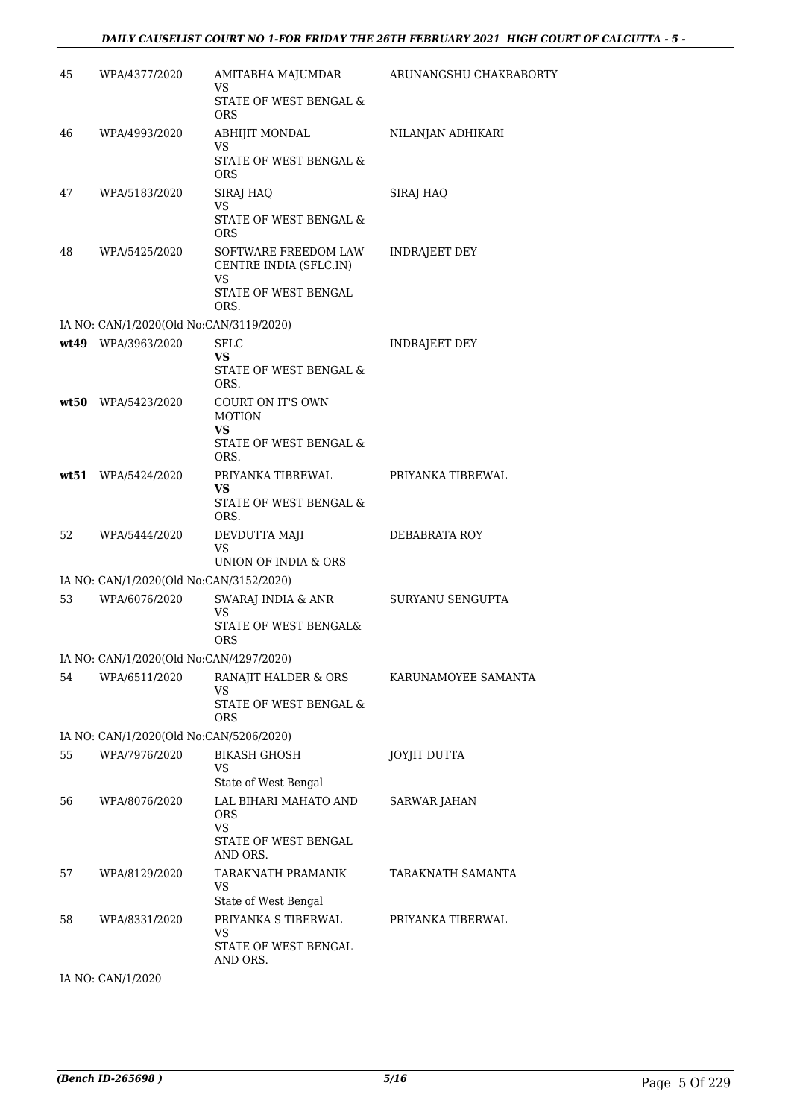#### *DAILY CAUSELIST COURT NO 1-FOR FRIDAY THE 26TH FEBRUARY 2021 HIGH COURT OF CALCUTTA - 5 -*

| 45 | WPA/4377/2020                           | AMITABHA MAJUMDAR<br>VS<br>STATE OF WEST BENGAL &<br>ORS                             | ARUNANGSHU CHAKRABORTY |
|----|-----------------------------------------|--------------------------------------------------------------------------------------|------------------------|
| 46 | WPA/4993/2020                           | <b>ABHIJIT MONDAL</b><br>VS<br>STATE OF WEST BENGAL &<br><b>ORS</b>                  | NILANJAN ADHIKARI      |
| 47 | WPA/5183/2020                           | SIRAJ HAQ<br>VS<br>STATE OF WEST BENGAL $\&$<br><b>ORS</b>                           | SIRAJ HAQ              |
| 48 | WPA/5425/2020                           | SOFTWARE FREEDOM LAW<br>CENTRE INDIA (SFLC.IN)<br>VS<br>STATE OF WEST BENGAL<br>ORS. | <b>INDRAJEET DEY</b>   |
|    | IA NO: CAN/1/2020(Old No:CAN/3119/2020) |                                                                                      |                        |
|    | wt49 WPA/3963/2020                      | <b>SFLC</b><br>VS<br>STATE OF WEST BENGAL &<br>ORS.                                  | <b>INDRAJEET DEY</b>   |
|    | wt50 WPA/5423/2020                      | COURT ON IT'S OWN<br><b>MOTION</b><br>VS<br>STATE OF WEST BENGAL &<br>ORS.           |                        |
|    | wt51 WPA/5424/2020                      | PRIYANKA TIBREWAL<br>VS<br>STATE OF WEST BENGAL $\&$<br>ORS.                         | PRIYANKA TIBREWAL      |
| 52 | WPA/5444/2020                           | DEVDUTTA MAJI<br>VS<br>UNION OF INDIA & ORS                                          | DEBABRATA ROY          |
|    | IA NO: CAN/1/2020(Old No:CAN/3152/2020) |                                                                                      |                        |
| 53 | WPA/6076/2020                           | SWARAJ INDIA & ANR<br>VS<br>STATE OF WEST BENGAL&<br>ORS                             | SURYANU SENGUPTA       |
|    | IA NO: CAN/1/2020(Old No:CAN/4297/2020) |                                                                                      |                        |
| 54 | WPA/6511/2020                           | RANAJIT HALDER & ORS<br>VS<br>STATE OF WEST BENGAL &<br><b>ORS</b>                   | KARUNAMOYEE SAMANTA    |
|    | IA NO: CAN/1/2020(Old No:CAN/5206/2020) |                                                                                      |                        |
| 55 | WPA/7976/2020                           | <b>BIKASH GHOSH</b><br>VS<br>State of West Bengal                                    | <b>JOYJIT DUTTA</b>    |
| 56 | WPA/8076/2020                           | LAL BIHARI MAHATO AND<br><b>ORS</b><br>VS<br>STATE OF WEST BENGAL<br>AND ORS.        | SARWAR JAHAN           |
| 57 | WPA/8129/2020                           | TARAKNATH PRAMANIK<br>VS<br>State of West Bengal                                     | TARAKNATH SAMANTA      |
| 58 | WPA/8331/2020                           | PRIYANKA S TIBERWAL<br>VS<br>STATE OF WEST BENGAL<br>AND ORS.                        | PRIYANKA TIBERWAL      |

IA NO: CAN/1/2020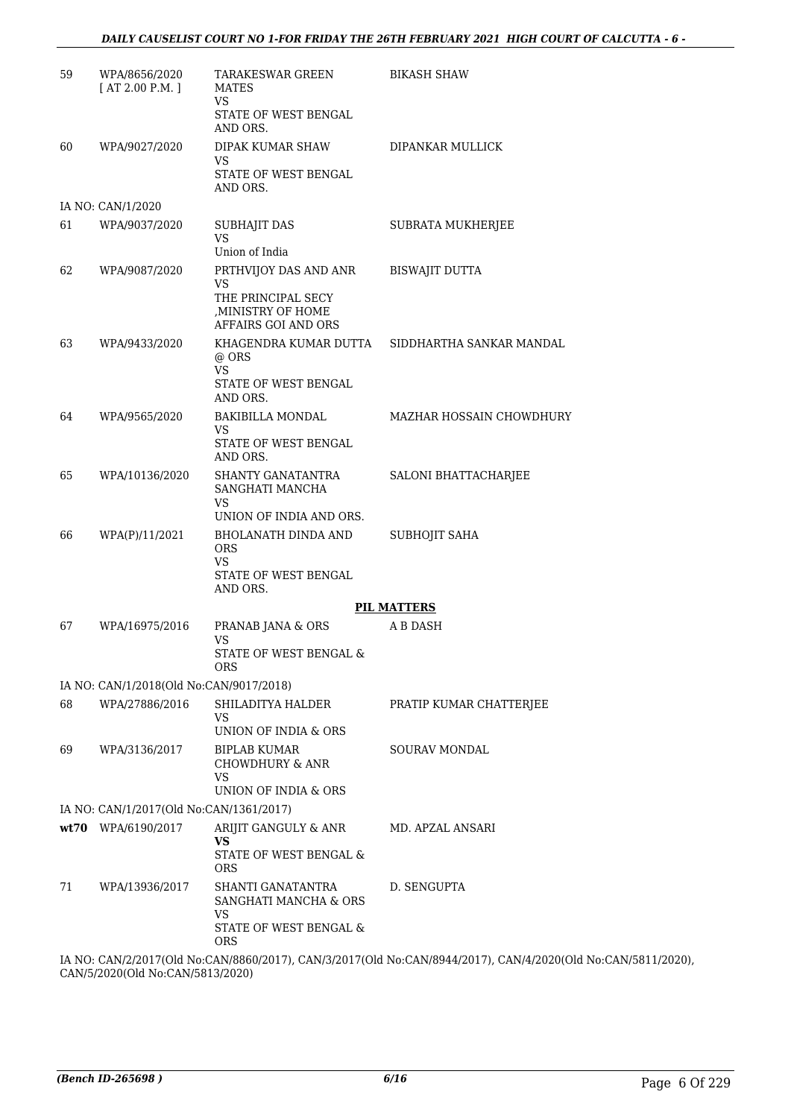#### *DAILY CAUSELIST COURT NO 1-FOR FRIDAY THE 26TH FEBRUARY 2021 HIGH COURT OF CALCUTTA - 6 -*

| 59 | WPA/8656/2020<br>[AT 2.00 P.M.]         | <b>TARAKESWAR GREEN</b><br><b>MATES</b><br><b>VS</b>                                                         | <b>BIKASH SHAW</b>       |  |  |  |  |
|----|-----------------------------------------|--------------------------------------------------------------------------------------------------------------|--------------------------|--|--|--|--|
|    |                                         | STATE OF WEST BENGAL<br>AND ORS.                                                                             |                          |  |  |  |  |
| 60 | WPA/9027/2020                           | DIPAK KUMAR SHAW<br><b>VS</b>                                                                                | DIPANKAR MULLICK         |  |  |  |  |
|    |                                         | STATE OF WEST BENGAL<br>AND ORS.                                                                             |                          |  |  |  |  |
|    | IA NO: CAN/1/2020                       |                                                                                                              |                          |  |  |  |  |
| 61 | WPA/9037/2020                           | <b>SUBHAJIT DAS</b><br><b>VS</b>                                                                             | SUBRATA MUKHERJEE        |  |  |  |  |
|    |                                         | Union of India                                                                                               |                          |  |  |  |  |
| 62 | WPA/9087/2020                           | PRTHVIJOY DAS AND ANR<br><b>VS</b><br>THE PRINCIPAL SECY<br>, MINISTRY OF HOME                               | <b>BISWAJIT DUTTA</b>    |  |  |  |  |
|    |                                         | AFFAIRS GOI AND ORS                                                                                          |                          |  |  |  |  |
| 63 | WPA/9433/2020                           | KHAGENDRA KUMAR DUTTA<br>@ ORS<br><b>VS</b><br>STATE OF WEST BENGAL<br>AND ORS.                              | SIDDHARTHA SANKAR MANDAL |  |  |  |  |
| 64 | WPA/9565/2020                           | <b>BAKIBILLA MONDAL</b>                                                                                      | MAZHAR HOSSAIN CHOWDHURY |  |  |  |  |
|    |                                         | VS<br>STATE OF WEST BENGAL<br>AND ORS.                                                                       |                          |  |  |  |  |
| 65 | WPA/10136/2020                          | SHANTY GANATANTRA<br>SANGHATI MANCHA<br><b>VS</b>                                                            | SALONI BHATTACHARJEE     |  |  |  |  |
|    |                                         | UNION OF INDIA AND ORS.                                                                                      |                          |  |  |  |  |
| 66 | WPA(P)/11/2021                          | BHOLANATH DINDA AND<br>ORS<br><b>VS</b>                                                                      | SUBHOJIT SAHA            |  |  |  |  |
|    |                                         | STATE OF WEST BENGAL<br>AND ORS.                                                                             |                          |  |  |  |  |
|    |                                         |                                                                                                              | <b>PIL MATTERS</b>       |  |  |  |  |
| 67 | WPA/16975/2016                          | PRANAB JANA & ORS<br>VS                                                                                      | A B DASH                 |  |  |  |  |
|    |                                         | STATE OF WEST BENGAL &<br><b>ORS</b>                                                                         |                          |  |  |  |  |
|    | IA NO: CAN/1/2018(Old No:CAN/9017/2018) |                                                                                                              |                          |  |  |  |  |
| 68 | WPA/27886/2016                          | SHILADITYA HALDER<br><b>VS</b>                                                                               | PRATIP KUMAR CHATTERJEE  |  |  |  |  |
|    |                                         | UNION OF INDIA & ORS                                                                                         |                          |  |  |  |  |
| 69 | WPA/3136/2017                           | <b>BIPLAB KUMAR</b><br><b>CHOWDHURY &amp; ANR</b><br><b>VS</b>                                               | <b>SOURAV MONDAL</b>     |  |  |  |  |
|    |                                         | UNION OF INDIA & ORS                                                                                         |                          |  |  |  |  |
|    | IA NO: CAN/1/2017(Old No:CAN/1361/2017) |                                                                                                              |                          |  |  |  |  |
|    | wt70 WPA/6190/2017                      | ARIJIT GANGULY & ANR                                                                                         | MD. APZAL ANSARI         |  |  |  |  |
|    |                                         | <b>VS</b><br>STATE OF WEST BENGAL &<br><b>ORS</b>                                                            |                          |  |  |  |  |
| 71 | WPA/13936/2017                          | SHANTI GANATANTRA<br>SANGHATI MANCHA & ORS<br>VS                                                             | D. SENGUPTA              |  |  |  |  |
|    |                                         | STATE OF WEST BENGAL &<br><b>ORS</b>                                                                         |                          |  |  |  |  |
|    |                                         | IA NO: CAN/2/2017(Old No:CAN/8860/2017), CAN/3/2017(Old No:CAN/8944/2017), CAN/4/2020(Old No:CAN/5811/2020), |                          |  |  |  |  |

CAN/5/2020(Old No:CAN/5813/2020)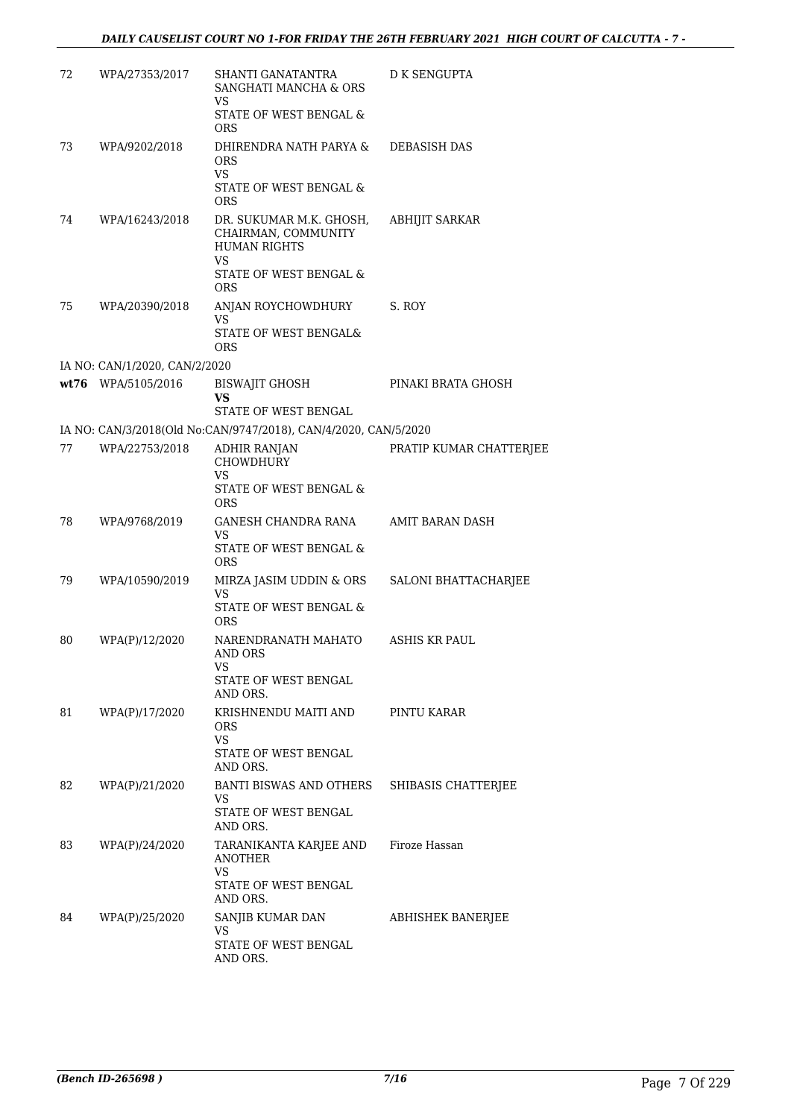| 72 | WPA/27353/2017                | SHANTI GANATANTRA<br>SANGHATI MANCHA & ORS<br>VS                                                                    | <b>D K SENGUPTA</b>     |
|----|-------------------------------|---------------------------------------------------------------------------------------------------------------------|-------------------------|
|    |                               | STATE OF WEST BENGAL &<br><b>ORS</b>                                                                                |                         |
| 73 | WPA/9202/2018                 | DHIRENDRA NATH PARYA &<br>ORS<br><b>VS</b>                                                                          | <b>DEBASISH DAS</b>     |
|    |                               | STATE OF WEST BENGAL &<br><b>ORS</b>                                                                                |                         |
| 74 | WPA/16243/2018                | DR. SUKUMAR M.K. GHOSH,<br>CHAIRMAN, COMMUNITY<br><b>HUMAN RIGHTS</b><br>VS<br>STATE OF WEST BENGAL &<br><b>ORS</b> | <b>ABHIJIT SARKAR</b>   |
| 75 | WPA/20390/2018                | ANJAN ROYCHOWDHURY<br>VS<br>STATE OF WEST BENGAL&<br>ORS                                                            | S. ROY                  |
|    | IA NO: CAN/1/2020, CAN/2/2020 |                                                                                                                     |                         |
|    | wt76 WPA/5105/2016            | <b>BISWAJIT GHOSH</b><br>VS                                                                                         | PINAKI BRATA GHOSH      |
|    |                               | STATE OF WEST BENGAL                                                                                                |                         |
|    |                               | IA NO: CAN/3/2018(Old No:CAN/9747/2018), CAN/4/2020, CAN/5/2020                                                     |                         |
| 77 | WPA/22753/2018                | ADHIR RANJAN<br><b>CHOWDHURY</b><br>VS                                                                              | PRATIP KUMAR CHATTERJEE |
|    |                               | STATE OF WEST BENGAL &<br><b>ORS</b>                                                                                |                         |
| 78 | WPA/9768/2019                 | GANESH CHANDRA RANA<br>VS.<br>STATE OF WEST BENGAL &<br><b>ORS</b>                                                  | AMIT BARAN DASH         |
| 79 | WPA/10590/2019                | MIRZA JASIM UDDIN & ORS<br><b>VS</b><br>STATE OF WEST BENGAL &<br><b>ORS</b>                                        | SALONI BHATTACHARJEE    |
| 80 | WPA(P)/12/2020                | NARENDRANATH MAHATO<br>AND ORS<br>VS                                                                                | <b>ASHIS KR PAUL</b>    |
|    |                               | STATE OF WEST BENGAL<br>AND ORS.                                                                                    |                         |
| 81 | WPA(P)/17/2020                | KRISHNENDU MAITI AND<br>ORS<br><b>VS</b><br>STATE OF WEST BENGAL<br>AND ORS.                                        | PINTU KARAR             |
| 82 | WPA(P)/21/2020                | BANTI BISWAS AND OTHERS<br>VS<br>STATE OF WEST BENGAL<br>AND ORS.                                                   | SHIBASIS CHATTERJEE     |
| 83 | WPA(P)/24/2020                | TARANIKANTA KARJEE AND<br><b>ANOTHER</b><br>VS<br>STATE OF WEST BENGAL                                              | Firoze Hassan           |
| 84 | WPA(P)/25/2020                | AND ORS.<br>SANJIB KUMAR DAN<br>VS<br>STATE OF WEST BENGAL<br>AND ORS.                                              | ABHISHEK BANERJEE       |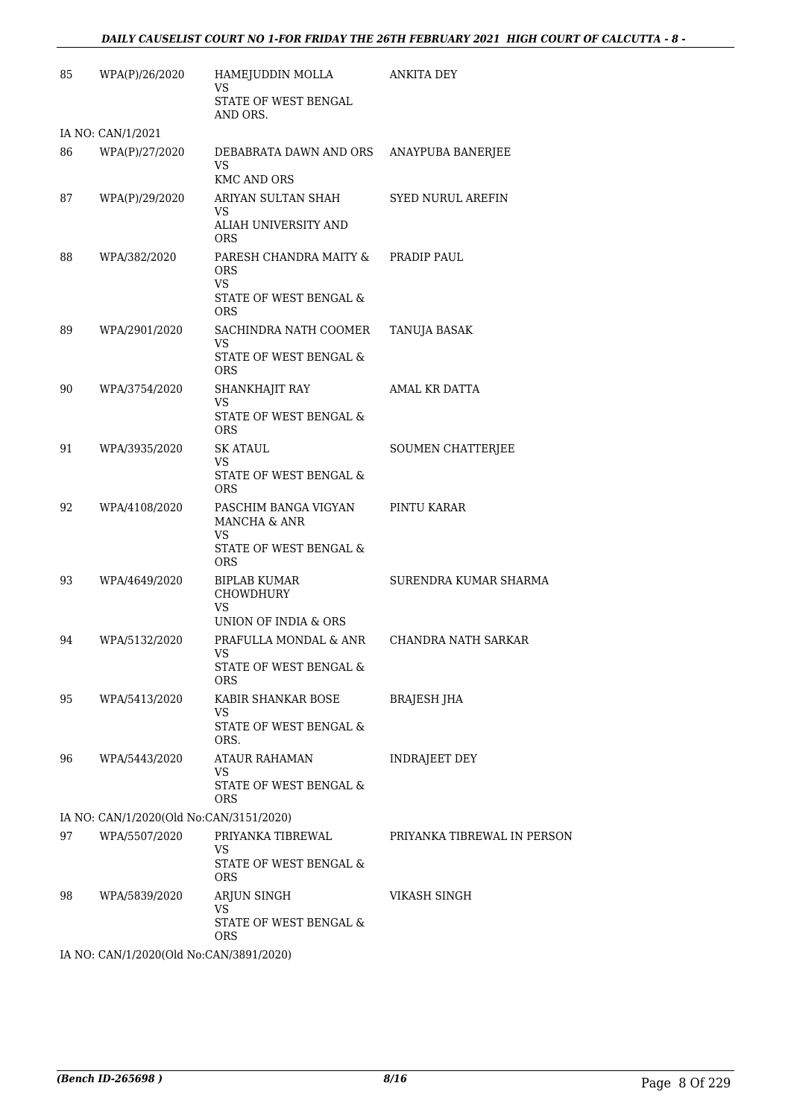| 85 | WPA(P)/26/2020                          | HAMEJUDDIN MOLLA<br>VS                                    | ANKITA DEY                  |
|----|-----------------------------------------|-----------------------------------------------------------|-----------------------------|
|    |                                         | STATE OF WEST BENGAL<br>AND ORS.                          |                             |
|    | IA NO: CAN/1/2021                       |                                                           |                             |
| 86 | WPA(P)/27/2020                          | DEBABRATA DAWN AND ORS<br><b>VS</b><br><b>KMC AND ORS</b> | ANAYPUBA BANERJEE           |
| 87 | WPA(P)/29/2020                          | ARIYAN SULTAN SHAH<br>VS                                  | <b>SYED NURUL AREFIN</b>    |
|    |                                         | ALIAH UNIVERSITY AND<br><b>ORS</b>                        |                             |
| 88 | WPA/382/2020                            | PARESH CHANDRA MAITY &<br><b>ORS</b><br><b>VS</b>         | PRADIP PAUL                 |
|    |                                         | STATE OF WEST BENGAL &<br><b>ORS</b>                      |                             |
| 89 | WPA/2901/2020                           | SACHINDRA NATH COOMER<br>VS                               | TANUJA BASAK                |
|    |                                         | STATE OF WEST BENGAL &<br><b>ORS</b>                      |                             |
| 90 | WPA/3754/2020                           | SHANKHAJIT RAY                                            | AMAL KR DATTA               |
|    |                                         | VS<br>STATE OF WEST BENGAL &<br><b>ORS</b>                |                             |
| 91 | WPA/3935/2020                           | <b>SK ATAUL</b>                                           | SOUMEN CHATTERJEE           |
|    |                                         | VS<br>STATE OF WEST BENGAL &<br><b>ORS</b>                |                             |
| 92 | WPA/4108/2020                           | PASCHIM BANGA VIGYAN<br>MANCHA & ANR<br>VS                | PINTU KARAR                 |
|    |                                         | STATE OF WEST BENGAL &<br><b>ORS</b>                      |                             |
| 93 | WPA/4649/2020                           | <b>BIPLAB KUMAR</b><br><b>CHOWDHURY</b><br>VS             | SURENDRA KUMAR SHARMA       |
|    |                                         | UNION OF INDIA & ORS                                      |                             |
| 94 | WPA/5132/2020                           | PRAFULLA MONDAL & ANR<br>VS                               | CHANDRA NATH SARKAR         |
|    |                                         | <b>STATE OF WEST BENGAL &amp;</b><br><b>ORS</b>           |                             |
| 95 | WPA/5413/2020                           | KABIR SHANKAR BOSE<br>VS                                  | BRAJESH JHA                 |
|    |                                         | STATE OF WEST BENGAL &<br>ORS.                            |                             |
| 96 | WPA/5443/2020                           | <b>ATAUR RAHAMAN</b><br>VS                                | <b>INDRAJEET DEY</b>        |
|    |                                         | STATE OF WEST BENGAL &<br><b>ORS</b>                      |                             |
|    | IA NO: CAN/1/2020(Old No:CAN/3151/2020) |                                                           |                             |
| 97 | WPA/5507/2020                           | PRIYANKA TIBREWAL<br>VS                                   | PRIYANKA TIBREWAL IN PERSON |
|    |                                         | STATE OF WEST BENGAL &<br><b>ORS</b>                      |                             |
| 98 | WPA/5839/2020                           | ARJUN SINGH<br>VS                                         | VIKASH SINGH                |
|    |                                         | STATE OF WEST BENGAL &<br>ORS.                            |                             |
|    | IA NO: CAN/1/2020(Old No:CAN/3891/2020) |                                                           |                             |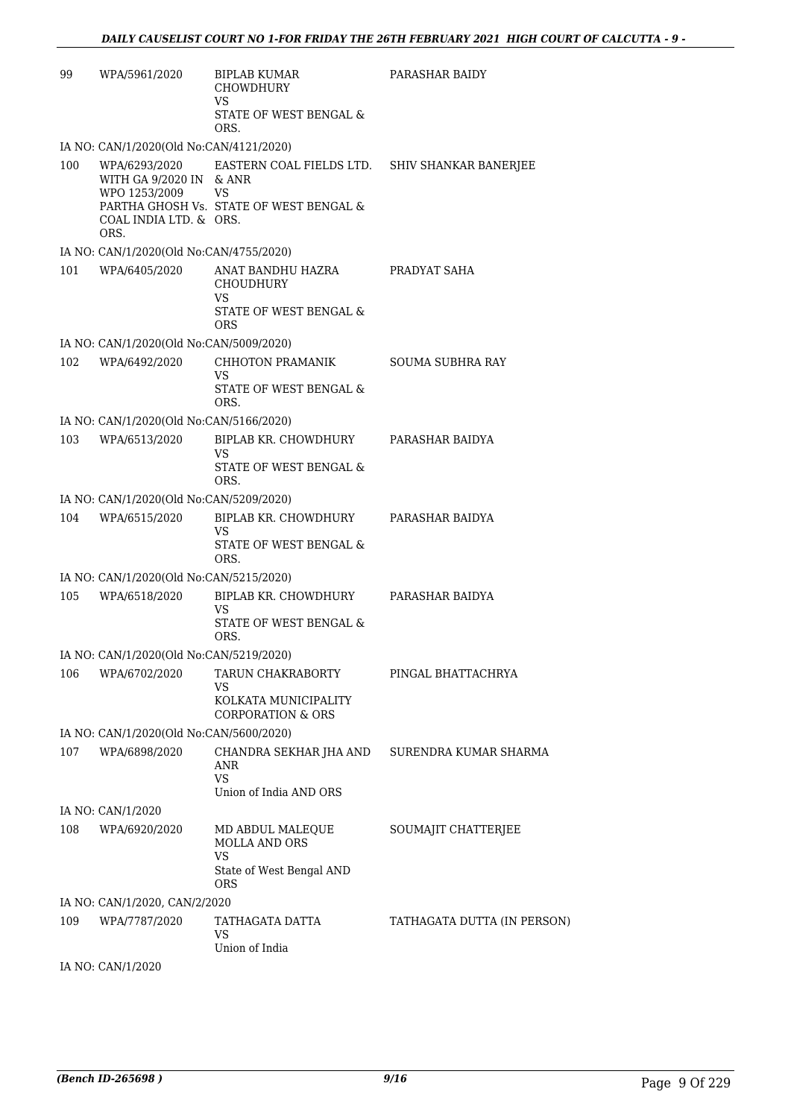| 99  | WPA/5961/2020                                                                               | BIPLAB KUMAR<br><b>CHOWDHURY</b><br>VS<br>STATE OF WEST BENGAL &                                       | PARASHAR BAIDY              |
|-----|---------------------------------------------------------------------------------------------|--------------------------------------------------------------------------------------------------------|-----------------------------|
|     | IA NO: CAN/1/2020(Old No:CAN/4121/2020)                                                     | ORS.                                                                                                   |                             |
| 100 | WPA/6293/2020<br>WITH GA 9/2020 IN & ANR<br>WPO 1253/2009<br>COAL INDIA LTD. & ORS.<br>ORS. | EASTERN COAL FIELDS LTD. SHIV SHANKAR BANERJEE<br><b>VS</b><br>PARTHA GHOSH Vs. STATE OF WEST BENGAL & |                             |
|     | IA NO: CAN/1/2020(Old No:CAN/4755/2020)                                                     |                                                                                                        |                             |
| 101 | WPA/6405/2020                                                                               | ANAT BANDHU HAZRA<br>CHOUDHURY<br>VS.                                                                  | PRADYAT SAHA                |
|     |                                                                                             | STATE OF WEST BENGAL &<br><b>ORS</b>                                                                   |                             |
|     | IA NO: CAN/1/2020(Old No:CAN/5009/2020)                                                     |                                                                                                        |                             |
| 102 | WPA/6492/2020                                                                               | CHHOTON PRAMANIK<br>VS.<br>STATE OF WEST BENGAL &                                                      | <b>SOUMA SUBHRA RAY</b>     |
|     |                                                                                             | ORS.                                                                                                   |                             |
|     | IA NO: CAN/1/2020(Old No:CAN/5166/2020)                                                     |                                                                                                        |                             |
| 103 | WPA/6513/2020                                                                               | BIPLAB KR. CHOWDHURY<br>VS.<br>STATE OF WEST BENGAL &                                                  | PARASHAR BAIDYA             |
|     | IA NO: CAN/1/2020(Old No:CAN/5209/2020)                                                     | ORS.                                                                                                   |                             |
| 104 | WPA/6515/2020                                                                               | BIPLAB KR. CHOWDHURY                                                                                   | PARASHAR BAIDYA             |
|     |                                                                                             | VS<br>STATE OF WEST BENGAL &<br>ORS.                                                                   |                             |
|     | IA NO: CAN/1/2020(Old No:CAN/5215/2020)                                                     |                                                                                                        |                             |
| 105 | WPA/6518/2020                                                                               | BIPLAB KR. CHOWDHURY<br><b>VS</b><br>STATE OF WEST BENGAL &<br>ORS.                                    | PARASHAR BAIDYA             |
|     | IA NO: CAN/1/2020(Old No:CAN/5219/2020)                                                     |                                                                                                        |                             |
| 106 | WPA/6702/2020                                                                               | TARUN CHAKRABORTY<br>VS                                                                                | PINGAL BHATTACHRYA          |
|     |                                                                                             | KOLKATA MUNICIPALITY<br><b>CORPORATION &amp; ORS</b>                                                   |                             |
| 107 | IA NO: CAN/1/2020(Old No:CAN/5600/2020)                                                     |                                                                                                        | SURENDRA KUMAR SHARMA       |
|     | WPA/6898/2020                                                                               | CHANDRA SEKHAR JHA AND<br>ANR<br><b>VS</b>                                                             |                             |
|     |                                                                                             | Union of India AND ORS                                                                                 |                             |
|     | IA NO: CAN/1/2020                                                                           |                                                                                                        |                             |
| 108 | WPA/6920/2020                                                                               | MD ABDUL MALEQUE<br>MOLLA AND ORS<br><b>VS</b>                                                         | SOUMAJIT CHATTERJEE         |
|     |                                                                                             | State of West Bengal AND<br>ORS                                                                        |                             |
|     | IA NO: CAN/1/2020, CAN/2/2020                                                               |                                                                                                        |                             |
| 109 | WPA/7787/2020                                                                               | TATHAGATA DATTA<br>VS<br>Union of India                                                                | TATHAGATA DUTTA (IN PERSON) |
|     | IA NO: CAN/1/2020                                                                           |                                                                                                        |                             |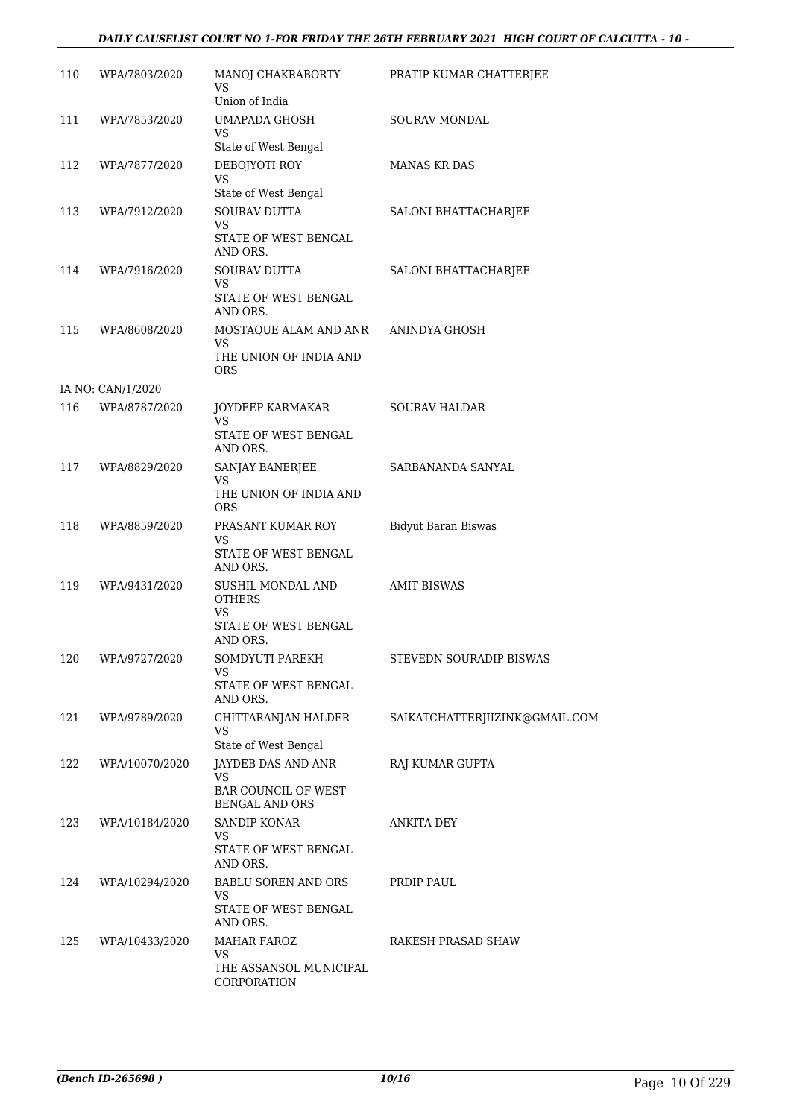#### *DAILY CAUSELIST COURT NO 1-FOR FRIDAY THE 26TH FEBRUARY 2021 HIGH COURT OF CALCUTTA - 10 -*

| 110 | WPA/7803/2020     | MANOJ CHAKRABORTY<br>VS<br>Union of India                                            | PRATIP KUMAR CHATTERJEE        |
|-----|-------------------|--------------------------------------------------------------------------------------|--------------------------------|
| 111 | WPA/7853/2020     | UMAPADA GHOSH<br>VS<br>State of West Bengal                                          | SOURAV MONDAL                  |
| 112 | WPA/7877/2020     | DEBOJYOTI ROY<br>VS<br>State of West Bengal                                          | <b>MANAS KR DAS</b>            |
| 113 | WPA/7912/2020     | <b>SOURAV DUTTA</b><br>VS<br>STATE OF WEST BENGAL<br>AND ORS.                        | SALONI BHATTACHARJEE           |
| 114 | WPA/7916/2020     | SOURAV DUTTA<br>VS<br>STATE OF WEST BENGAL<br>AND ORS.                               | SALONI BHATTACHARJEE           |
| 115 | WPA/8608/2020     | MOSTAQUE ALAM AND ANR ANINDYA GHOSH<br>VS<br>THE UNION OF INDIA AND<br><b>ORS</b>    |                                |
|     | IA NO: CAN/1/2020 |                                                                                      |                                |
| 116 | WPA/8787/2020     | JOYDEEP KARMAKAR<br><b>VS</b><br>STATE OF WEST BENGAL<br>AND ORS.                    | <b>SOURAV HALDAR</b>           |
| 117 | WPA/8829/2020     | SANJAY BANERJEE<br><b>VS</b><br>THE UNION OF INDIA AND<br>ORS                        | SARBANANDA SANYAL              |
| 118 | WPA/8859/2020     | PRASANT KUMAR ROY<br>VS<br>STATE OF WEST BENGAL<br>AND ORS.                          | <b>Bidyut Baran Biswas</b>     |
| 119 | WPA/9431/2020     | SUSHIL MONDAL AND<br><b>OTHERS</b><br><b>VS</b><br>STATE OF WEST BENGAL<br>AND ORS.  | <b>AMIT BISWAS</b>             |
| 120 | WPA/9727/2020     | SOMDYUTI PAREKH<br>VS<br>STATE OF WEST BENGAL<br>AND ORS.                            | STEVEDN SOURADIP BISWAS        |
| 121 | WPA/9789/2020     | CHITTARANJAN HALDER<br><b>VS</b><br>State of West Bengal                             | SAIKATCHATTERJIIZINK@GMAIL.COM |
| 122 | WPA/10070/2020    | JAYDEB DAS AND ANR<br>VS<br><b>BAR COUNCIL OF WEST</b><br><b>BENGAL AND ORS</b>      | RAJ KUMAR GUPTA                |
| 123 | WPA/10184/2020    | <b>SANDIP KONAR</b><br>VS<br>STATE OF WEST BENGAL<br>AND ORS.                        | <b>ANKITA DEY</b>              |
| 124 | WPA/10294/2020    | BABLU SOREN AND ORS<br>VS<br>STATE OF WEST BENGAL                                    | PRDIP PAUL                     |
| 125 | WPA/10433/2020    | AND ORS.<br><b>MAHAR FAROZ</b><br><b>VS</b><br>THE ASSANSOL MUNICIPAL<br>CORPORATION | RAKESH PRASAD SHAW             |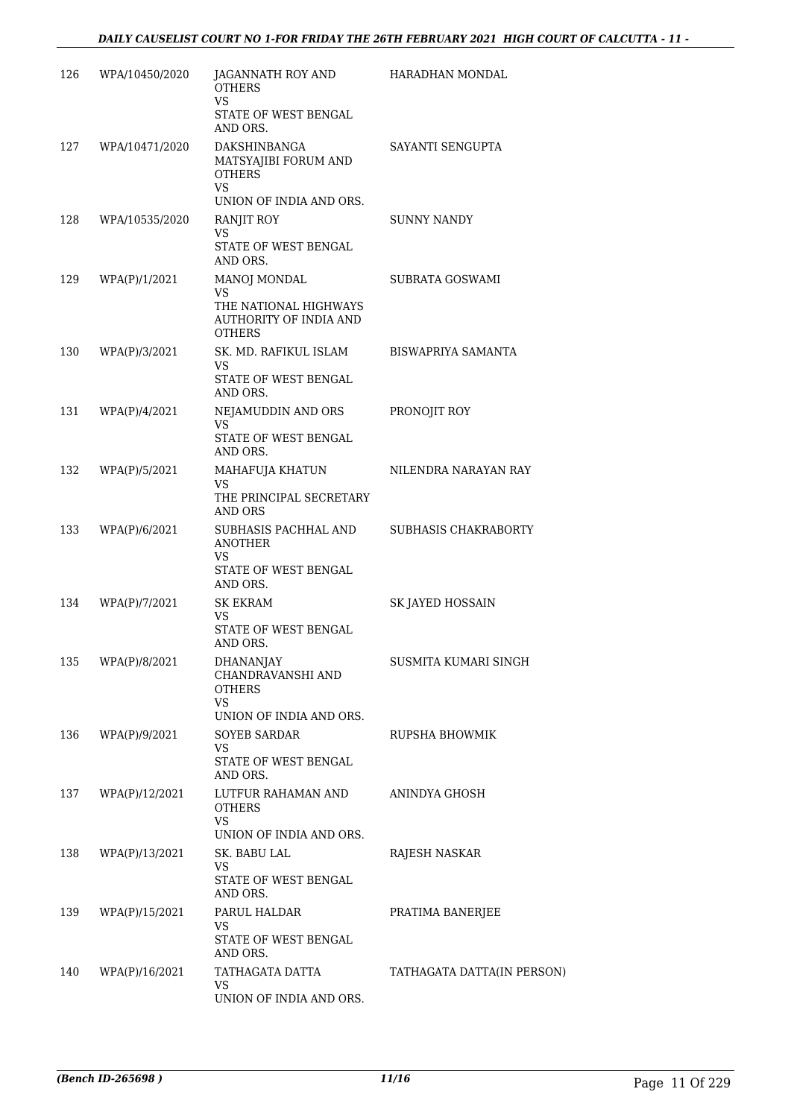| 126 | WPA/10450/2020 | JAGANNATH ROY AND<br><b>OTHERS</b><br><b>VS</b>                                                      | HARADHAN MONDAL            |
|-----|----------------|------------------------------------------------------------------------------------------------------|----------------------------|
|     |                | STATE OF WEST BENGAL<br>AND ORS.                                                                     |                            |
| 127 | WPA/10471/2020 | DAKSHINBANGA<br>MATSYAJIBI FORUM AND<br><b>OTHERS</b><br>VS<br>UNION OF INDIA AND ORS.               | SAYANTI SENGUPTA           |
| 128 | WPA/10535/2020 | RANJIT ROY<br>VS<br>STATE OF WEST BENGAL                                                             | <b>SUNNY NANDY</b>         |
| 129 | WPA(P)/1/2021  | AND ORS.<br>MANOJ MONDAL<br>VS<br>THE NATIONAL HIGHWAYS<br>AUTHORITY OF INDIA AND<br><b>OTHERS</b>   | SUBRATA GOSWAMI            |
| 130 | WPA(P)/3/2021  | SK. MD. RAFIKUL ISLAM<br>VS<br>STATE OF WEST BENGAL<br>AND ORS.                                      | BISWAPRIYA SAMANTA         |
| 131 | WPA(P)/4/2021  | NEJAMUDDIN AND ORS<br>VS<br>STATE OF WEST BENGAL<br>AND ORS.                                         | PRONOJIT ROY               |
| 132 | WPA(P)/5/2021  | MAHAFUJA KHATUN<br><b>VS</b><br>THE PRINCIPAL SECRETARY<br>AND ORS                                   | NILENDRA NARAYAN RAY       |
| 133 | WPA(P)/6/2021  | SUBHASIS PACHHAL AND<br><b>ANOTHER</b><br>VS<br>STATE OF WEST BENGAL                                 | SUBHASIS CHAKRABORTY       |
| 134 | WPA(P)/7/2021  | AND ORS.<br><b>SK EKRAM</b><br>VS<br>STATE OF WEST BENGAL                                            | SK JAYED HOSSAIN           |
| 135 | WPA(P)/8/2021  | AND ORS.<br><b>DHANANJAY</b><br>CHANDRAVANSHI AND<br><b>OTHERS</b><br>VS.<br>UNION OF INDIA AND ORS. | SUSMITA KUMARI SINGH       |
| 136 | WPA(P)/9/2021  | <b>SOYEB SARDAR</b><br><b>VS</b><br>STATE OF WEST BENGAL<br>AND ORS.                                 | RUPSHA BHOWMIK             |
| 137 | WPA(P)/12/2021 | LUTFUR RAHAMAN AND<br>OTHERS<br><b>VS</b><br>UNION OF INDIA AND ORS.                                 | ANINDYA GHOSH              |
| 138 | WPA(P)/13/2021 | SK. BABU LAL<br><b>VS</b><br>STATE OF WEST BENGAL<br>AND ORS.                                        | RAJESH NASKAR              |
| 139 | WPA(P)/15/2021 | PARUL HALDAR<br>VS<br>STATE OF WEST BENGAL<br>AND ORS.                                               | PRATIMA BANERJEE           |
| 140 | WPA(P)/16/2021 | TATHAGATA DATTA<br>VS<br>UNION OF INDIA AND ORS.                                                     | TATHAGATA DATTA(IN PERSON) |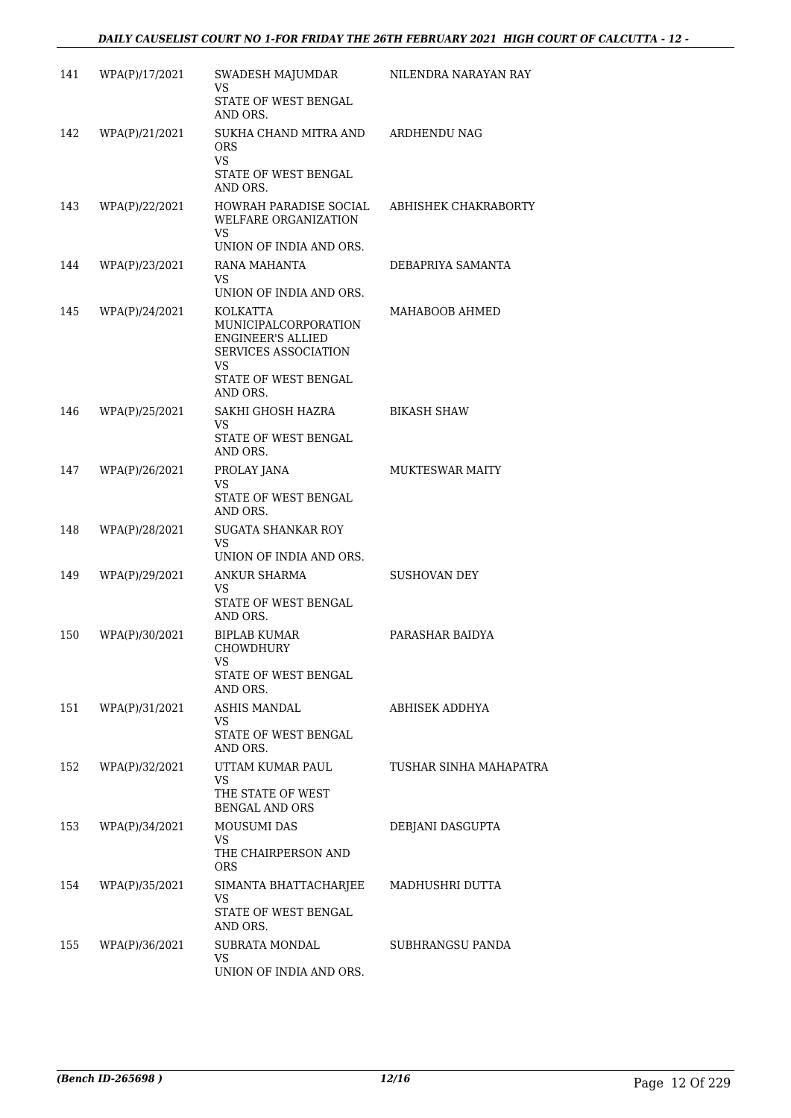| 141 | WPA(P)/17/2021 | SWADESH MAJUMDAR<br><b>VS</b>                                                                                       | NILENDRA NARAYAN RAY   |
|-----|----------------|---------------------------------------------------------------------------------------------------------------------|------------------------|
|     |                | STATE OF WEST BENGAL<br>AND ORS.                                                                                    |                        |
| 142 | WPA(P)/21/2021 | SUKHA CHAND MITRA AND ARDHENDU NAG<br>ORS.<br><b>VS</b><br>STATE OF WEST BENGAL                                     |                        |
|     |                | AND ORS.                                                                                                            |                        |
| 143 | WPA(P)/22/2021 | HOWRAH PARADISE SOCIAL<br>WELFARE ORGANIZATION<br><b>VS</b>                                                         | ABHISHEK CHAKRABORTY   |
|     |                | UNION OF INDIA AND ORS.                                                                                             |                        |
| 144 | WPA(P)/23/2021 | RANA MAHANTA<br>VS<br>UNION OF INDIA AND ORS.                                                                       | DEBAPRIYA SAMANTA      |
| 145 | WPA(P)/24/2021 | KOLKATTA<br>MUNICIPALCORPORATION<br><b>ENGINEER'S ALLIED</b><br>SERVICES ASSOCIATION<br>VS.<br>STATE OF WEST BENGAL | MAHABOOB AHMED         |
|     |                | AND ORS.                                                                                                            |                        |
| 146 | WPA(P)/25/2021 | SAKHI GHOSH HAZRA<br>VS.                                                                                            | <b>BIKASH SHAW</b>     |
|     |                | STATE OF WEST BENGAL<br>AND ORS.                                                                                    |                        |
| 147 | WPA(P)/26/2021 | PROLAY JANA<br>VS<br>STATE OF WEST BENGAL<br>AND ORS.                                                               | <b>MUKTESWAR MAITY</b> |
| 148 | WPA(P)/28/2021 | <b>SUGATA SHANKAR ROY</b><br>VS.<br>UNION OF INDIA AND ORS.                                                         |                        |
| 149 | WPA(P)/29/2021 | ANKUR SHARMA<br>VS<br>STATE OF WEST BENGAL<br>AND ORS.                                                              | <b>SUSHOVAN DEY</b>    |
| 150 | WPA(P)/30/2021 | <b>BIPLAB KUMAR</b><br><b>CHOWDHURY</b><br>STATE OF WEST BENGAL<br>AND ORS.                                         | PARASHAR BAIDYA        |
| 151 | WPA(P)/31/2021 | ASHIS MANDAL<br>VS<br>STATE OF WEST BENGAL<br>AND ORS.                                                              | ABHISEK ADDHYA         |
| 152 | WPA(P)/32/2021 | UTTAM KUMAR PAUL<br>VS<br>THE STATE OF WEST<br><b>BENGAL AND ORS</b>                                                | TUSHAR SINHA MAHAPATRA |
| 153 | WPA(P)/34/2021 | <b>MOUSUMI DAS</b><br>VS<br>THE CHAIRPERSON AND<br><b>ORS</b>                                                       | DEBJANI DASGUPTA       |
| 154 | WPA(P)/35/2021 | SIMANTA BHATTACHARJEE<br>VS<br>STATE OF WEST BENGAL<br>AND ORS.                                                     | MADHUSHRI DUTTA        |
| 155 | WPA(P)/36/2021 | SUBRATA MONDAL<br>VS<br>UNION OF INDIA AND ORS.                                                                     | SUBHRANGSU PANDA       |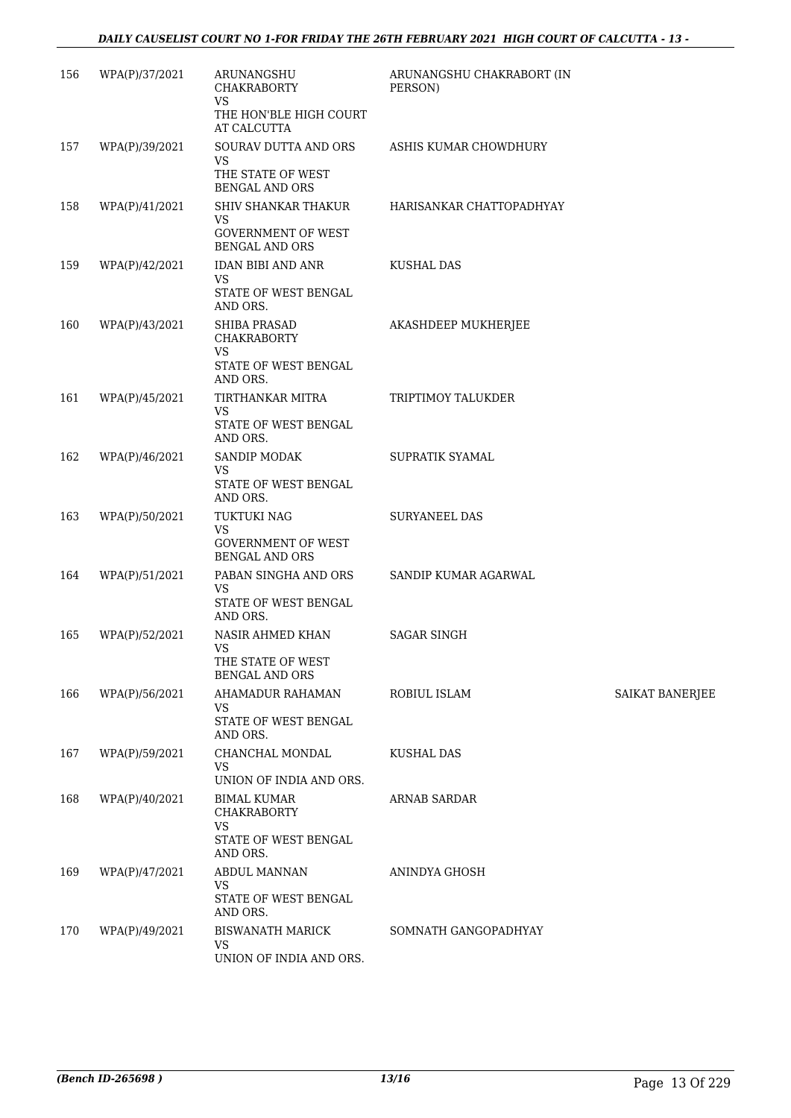| 156 | WPA(P)/37/2021 | ARUNANGSHU<br><b>CHAKRABORTY</b><br><b>VS</b>                                              | ARUNANGSHU CHAKRABORT (IN<br>PERSON) |                 |
|-----|----------------|--------------------------------------------------------------------------------------------|--------------------------------------|-----------------|
|     |                | THE HON'BLE HIGH COURT<br>AT CALCUTTA                                                      |                                      |                 |
| 157 | WPA(P)/39/2021 | SOURAV DUTTA AND ORS<br>VS<br>THE STATE OF WEST<br><b>BENGAL AND ORS</b>                   | ASHIS KUMAR CHOWDHURY                |                 |
| 158 | WPA(P)/41/2021 | SHIV SHANKAR THAKUR<br>VS<br><b>GOVERNMENT OF WEST</b><br><b>BENGAL AND ORS</b>            | HARISANKAR CHATTOPADHYAY             |                 |
| 159 | WPA(P)/42/2021 | IDAN BIBI AND ANR<br><b>VS</b><br>STATE OF WEST BENGAL<br>AND ORS.                         | <b>KUSHAL DAS</b>                    |                 |
| 160 | WPA(P)/43/2021 | <b>SHIBA PRASAD</b><br><b>CHAKRABORTY</b><br><b>VS</b><br>STATE OF WEST BENGAL<br>AND ORS. | AKASHDEEP MUKHERJEE                  |                 |
| 161 | WPA(P)/45/2021 | TIRTHANKAR MITRA<br><b>VS</b><br>STATE OF WEST BENGAL<br>AND ORS.                          | TRIPTIMOY TALUKDER                   |                 |
| 162 | WPA(P)/46/2021 | SANDIP MODAK<br><b>VS</b><br>STATE OF WEST BENGAL<br>AND ORS.                              | SUPRATIK SYAMAL                      |                 |
| 163 | WPA(P)/50/2021 | TUKTUKI NAG<br><b>VS</b><br><b>GOVERNMENT OF WEST</b><br><b>BENGAL AND ORS</b>             | <b>SURYANEEL DAS</b>                 |                 |
| 164 | WPA(P)/51/2021 | PABAN SINGHA AND ORS<br><b>VS</b><br>STATE OF WEST BENGAL<br>AND ORS.                      | SANDIP KUMAR AGARWAL                 |                 |
| 165 | WPA(P)/52/2021 | NASIR AHMED KHAN<br>VS<br>THE STATE OF WEST<br><b>BENGAL AND ORS</b>                       | <b>SAGAR SINGH</b>                   |                 |
| 166 | WPA(P)/56/2021 | AHAMADUR RAHAMAN<br>VS<br>STATE OF WEST BENGAL<br>AND ORS.                                 | ROBIUL ISLAM                         | SAIKAT BANERJEE |
| 167 | WPA(P)/59/2021 | CHANCHAL MONDAL<br>VS<br>UNION OF INDIA AND ORS.                                           | <b>KUSHAL DAS</b>                    |                 |
| 168 | WPA(P)/40/2021 | BIMAL KUMAR<br>CHAKRABORTY<br><b>VS</b><br>STATE OF WEST BENGAL<br>AND ORS.                | <b>ARNAB SARDAR</b>                  |                 |
| 169 | WPA(P)/47/2021 | <b>ABDUL MANNAN</b><br>VS<br>STATE OF WEST BENGAL<br>AND ORS.                              | ANINDYA GHOSH                        |                 |
| 170 | WPA(P)/49/2021 | <b>BISWANATH MARICK</b><br>VS<br>UNION OF INDIA AND ORS.                                   | SOMNATH GANGOPADHYAY                 |                 |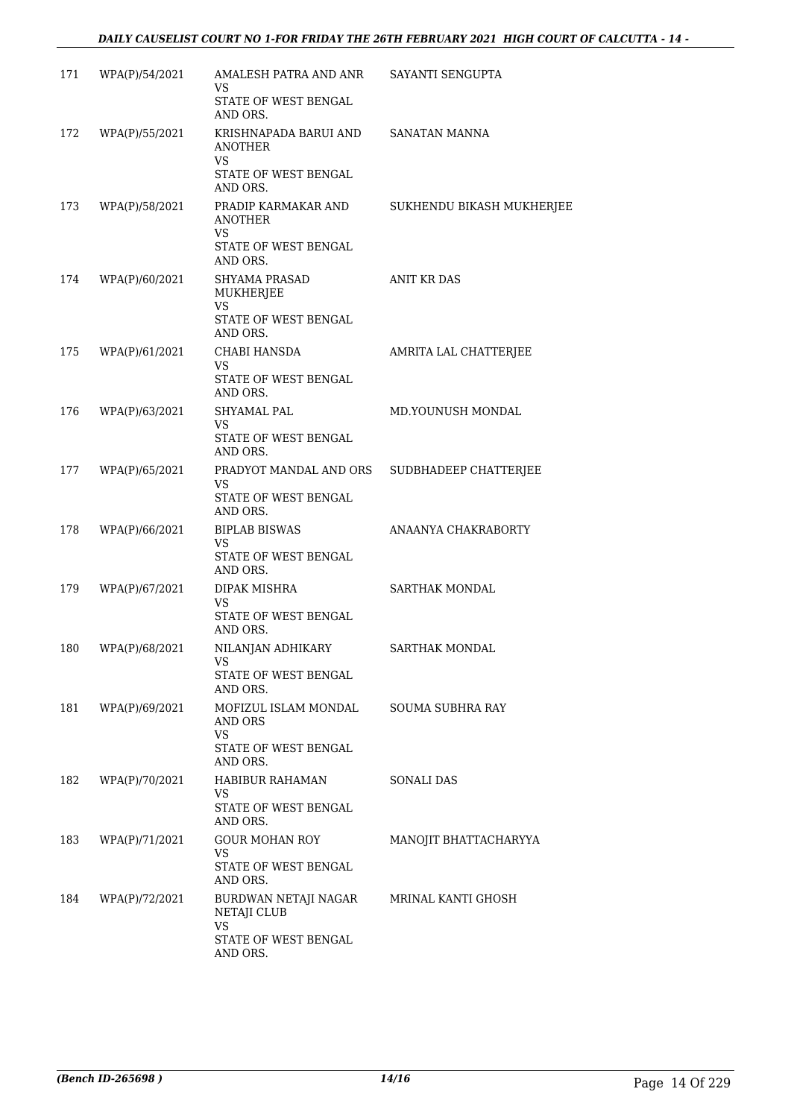| 171 | WPA(P)/54/2021 | AMALESH PATRA AND ANR                                                              | SAYANTI SENGUPTA          |
|-----|----------------|------------------------------------------------------------------------------------|---------------------------|
|     |                | VS<br>STATE OF WEST BENGAL<br>AND ORS.                                             |                           |
| 172 | WPA(P)/55/2021 | KRISHNAPADA BARUI AND<br>ANOTHER<br><b>VS</b><br>STATE OF WEST BENGAL<br>AND ORS.  | SANATAN MANNA             |
| 173 | WPA(P)/58/2021 | PRADIP KARMAKAR AND<br><b>ANOTHER</b><br>VS.<br>STATE OF WEST BENGAL<br>AND ORS.   | SUKHENDU BIKASH MUKHERJEE |
| 174 | WPA(P)/60/2021 | <b>SHYAMA PRASAD</b><br>MUKHERJEE<br><b>VS</b><br>STATE OF WEST BENGAL<br>AND ORS. | <b>ANIT KR DAS</b>        |
| 175 | WPA(P)/61/2021 | CHABI HANSDA<br>VS<br>STATE OF WEST BENGAL<br>AND ORS.                             | AMRITA LAL CHATTERJEE     |
| 176 | WPA(P)/63/2021 | SHYAMAL PAL<br>VS.<br>STATE OF WEST BENGAL<br>AND ORS.                             | MD.YOUNUSH MONDAL         |
| 177 | WPA(P)/65/2021 | PRADYOT MANDAL AND ORS<br>VS.<br>STATE OF WEST BENGAL<br>AND ORS.                  | SUDBHADEEP CHATTERJEE     |
| 178 | WPA(P)/66/2021 | <b>BIPLAB BISWAS</b><br>VS.<br>STATE OF WEST BENGAL<br>AND ORS.                    | ANAANYA CHAKRABORTY       |
| 179 | WPA(P)/67/2021 | DIPAK MISHRA<br><b>VS</b><br>STATE OF WEST BENGAL<br>AND ORS.                      | SARTHAK MONDAL            |
| 180 | WPA(P)/68/2021 | NILANJAN ADHIKARY<br>VS<br>STATE OF WEST BENGAL<br>AND ORS.                        | <b>SARTHAK MONDAL</b>     |
| 181 | WPA(P)/69/2021 | MOFIZUL ISLAM MONDAL<br>AND ORS<br><b>VS</b><br>STATE OF WEST BENGAL<br>AND ORS.   | <b>SOUMA SUBHRA RAY</b>   |
| 182 | WPA(P)/70/2021 | <b>HABIBUR RAHAMAN</b><br>VS<br>STATE OF WEST BENGAL<br>AND ORS.                   | SONALI DAS                |
| 183 | WPA(P)/71/2021 | <b>GOUR MOHAN ROY</b><br>VS<br>STATE OF WEST BENGAL<br>AND ORS.                    | MANOJIT BHATTACHARYYA     |
| 184 | WPA(P)/72/2021 | BURDWAN NETAJI NAGAR<br>NETAJI CLUB<br>VS<br>STATE OF WEST BENGAL<br>AND ORS.      | MRINAL KANTI GHOSH        |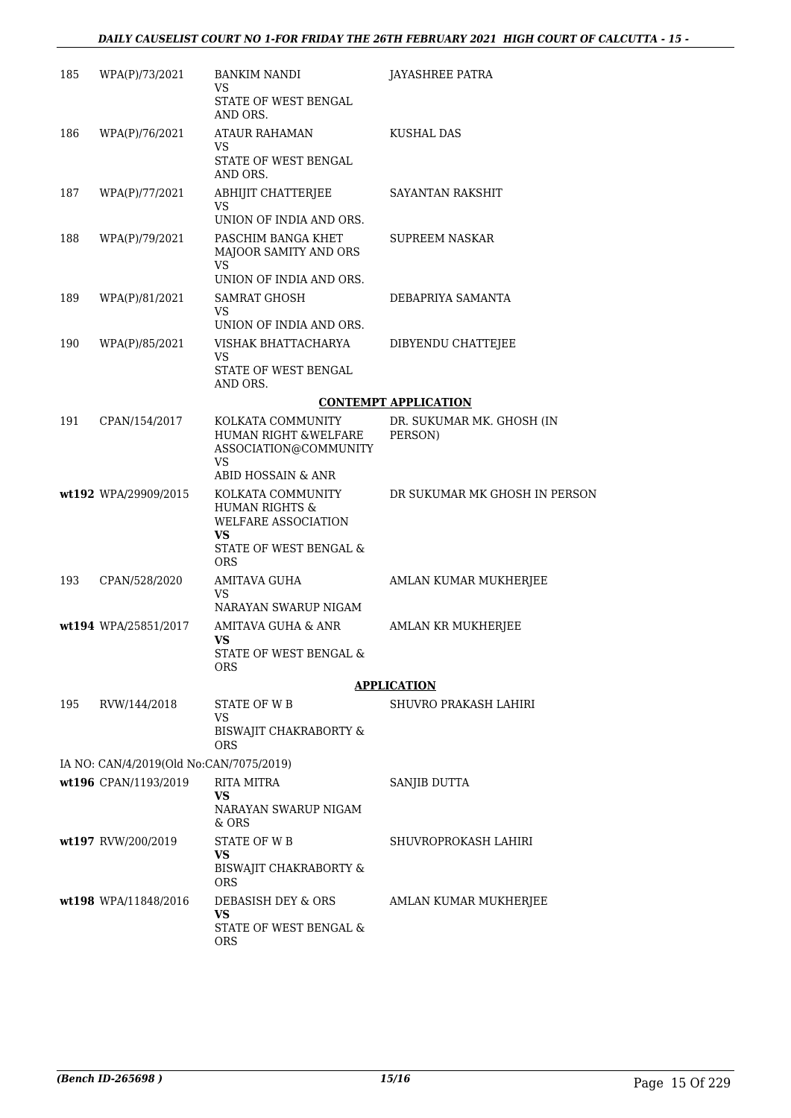| 185 | WPA(P)/73/2021                          | <b>BANKIM NANDI</b><br>VS<br>STATE OF WEST BENGAL<br>AND ORS.                                          | JAYASHREE PATRA                      |
|-----|-----------------------------------------|--------------------------------------------------------------------------------------------------------|--------------------------------------|
| 186 | WPA(P)/76/2021                          | <b>ATAUR RAHAMAN</b><br>VS<br>STATE OF WEST BENGAL<br>AND ORS.                                         | KUSHAL DAS                           |
| 187 | WPA(P)/77/2021                          | ABHIJIT CHATTERJEE<br>VS<br>UNION OF INDIA AND ORS.                                                    | SAYANTAN RAKSHIT                     |
| 188 | WPA(P)/79/2021                          | PASCHIM BANGA KHET<br>MAJOOR SAMITY AND ORS<br>VS                                                      | <b>SUPREEM NASKAR</b>                |
|     |                                         | UNION OF INDIA AND ORS.                                                                                |                                      |
| 189 | WPA(P)/81/2021                          | SAMRAT GHOSH<br>VS                                                                                     | DEBAPRIYA SAMANTA                    |
| 190 | WPA(P)/85/2021                          | UNION OF INDIA AND ORS.<br>VISHAK BHATTACHARYA                                                         | DIBYENDU CHATTEJEE                   |
|     |                                         | <b>VS</b><br>STATE OF WEST BENGAL                                                                      |                                      |
|     |                                         | AND ORS.                                                                                               |                                      |
|     |                                         |                                                                                                        | <b>CONTEMPT APPLICATION</b>          |
| 191 | CPAN/154/2017                           | KOLKATA COMMUNITY<br>HUMAN RIGHT &WELFARE<br>ASSOCIATION@COMMUNITY<br><b>VS</b>                        | DR. SUKUMAR MK. GHOSH (IN<br>PERSON) |
|     |                                         | ABID HOSSAIN & ANR                                                                                     |                                      |
|     | wt192 WPA/29909/2015                    | KOLKATA COMMUNITY<br><b>HUMAN RIGHTS &amp;</b><br>WELFARE ASSOCIATION<br>VS.<br>STATE OF WEST BENGAL & | DR SUKUMAR MK GHOSH IN PERSON        |
| 193 | CPAN/528/2020                           | ORS<br><b>AMITAVA GUHA</b>                                                                             | AMLAN KUMAR MUKHERJEE                |
|     |                                         | VS                                                                                                     |                                      |
|     |                                         | NARAYAN SWARUP NIGAM                                                                                   |                                      |
|     | wt194 WPA/25851/2017                    | AMITAVA GUHA & ANR<br>VS<br>STATE OF WEST BENGAL &                                                     | AMLAN KR MUKHERJEE                   |
|     |                                         | ORS                                                                                                    |                                      |
|     |                                         |                                                                                                        | <b>APPLICATION</b>                   |
| 195 | RVW/144/2018                            | STATE OF WB<br>VS<br>BISWAJIT CHAKRABORTY &                                                            | SHUVRO PRAKASH LAHIRI                |
|     |                                         | ORS                                                                                                    |                                      |
|     | IA NO: CAN/4/2019(Old No:CAN/7075/2019) |                                                                                                        |                                      |
|     | wt196 CPAN/1193/2019                    | <b>RITA MITRA</b><br>VS<br>NARAYAN SWARUP NIGAM<br>& ORS                                               | SANJIB DUTTA                         |
|     | wt197 RVW/200/2019                      | STATE OF W B                                                                                           | SHUVROPROKASH LAHIRI                 |
|     |                                         | VS<br><b>BISWAJIT CHAKRABORTY &amp;</b><br>ORS                                                         |                                      |
|     | wt198 WPA/11848/2016                    | DEBASISH DEY & ORS                                                                                     | AMLAN KUMAR MUKHERJEE                |
|     |                                         | VS<br>STATE OF WEST BENGAL &<br>ORS                                                                    |                                      |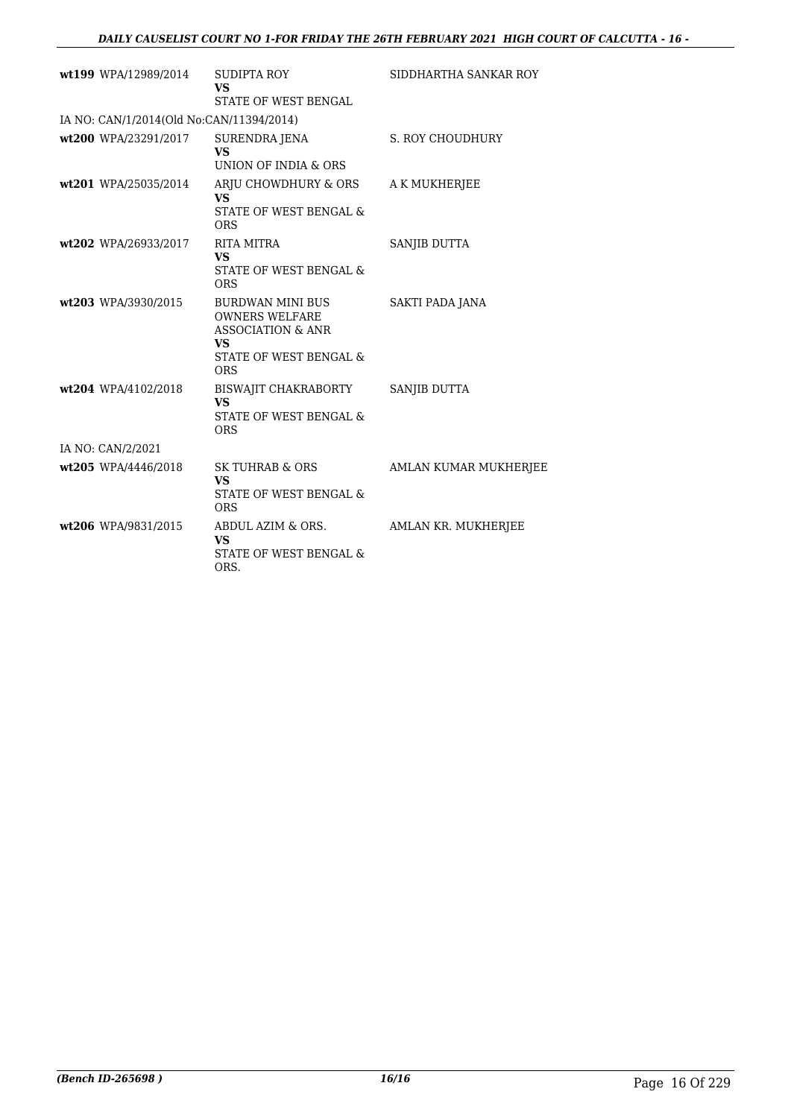| wt199 WPA/12989/2014                     | <b>SUDIPTA ROY</b><br><b>VS</b><br>STATE OF WEST BENGAL                                                                                   | SIDDHARTHA SANKAR ROY |
|------------------------------------------|-------------------------------------------------------------------------------------------------------------------------------------------|-----------------------|
| IA NO: CAN/1/2014(Old No:CAN/11394/2014) |                                                                                                                                           |                       |
| wt200 WPA/23291/2017                     | SURENDRA JENA<br><b>VS</b><br>UNION OF INDIA & ORS                                                                                        | S. ROY CHOUDHURY      |
| wt201 WPA/25035/2014                     | ARJU CHOWDHURY & ORS<br><b>VS</b><br><b>STATE OF WEST BENGAL &amp;</b><br><b>ORS</b>                                                      | A K MUKHERJEE         |
| wt202 WPA/26933/2017                     | RITA MITRA<br><b>VS</b><br>STATE OF WEST BENGAL &<br><b>ORS</b>                                                                           | SANJIB DUTTA          |
| wt203 WPA/3930/2015                      | BURDWAN MINI BUS<br><b>OWNERS WELFARE</b><br><b>ASSOCIATION &amp; ANR</b><br><b>VS</b><br><b>STATE OF WEST BENGAL &amp;</b><br><b>ORS</b> | SAKTI PADA JANA       |
| wt204 WPA/4102/2018                      | BISWAJIT CHAKRABORTY<br><b>VS</b><br><b>STATE OF WEST BENGAL &amp;</b><br><b>ORS</b>                                                      | <b>SANJIB DUTTA</b>   |
| IA NO: CAN/2/2021                        |                                                                                                                                           |                       |
| wt205 WPA/4446/2018                      | SK TUHRAB & ORS<br><b>VS</b><br>STATE OF WEST BENGAL &<br><b>ORS</b>                                                                      | AMLAN KUMAR MUKHERJEE |
| wt206 WPA/9831/2015                      | ABDUL AZIM & ORS.<br><b>VS</b><br>STATE OF WEST BENGAL &<br>ORS.                                                                          | AMLAN KR. MUKHERJEE   |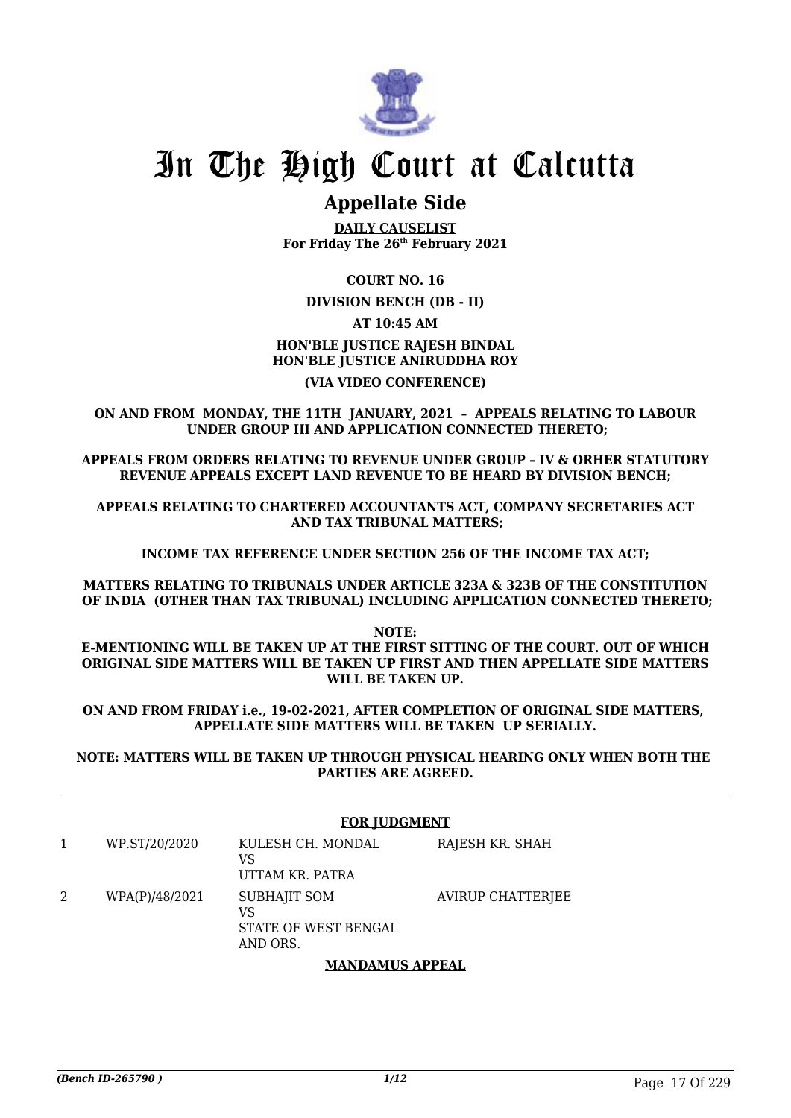

## **Appellate Side**

**DAILY CAUSELIST For Friday The 26th February 2021**

#### **COURT NO. 16**

#### **DIVISION BENCH (DB - II)**

### **AT 10:45 AM**

## **HON'BLE JUSTICE RAJESH BINDAL HON'BLE JUSTICE ANIRUDDHA ROY**

#### **(VIA VIDEO CONFERENCE)**

**ON AND FROM MONDAY, THE 11TH JANUARY, 2021 – APPEALS RELATING TO LABOUR UNDER GROUP III AND APPLICATION CONNECTED THERETO;**

**APPEALS FROM ORDERS RELATING TO REVENUE UNDER GROUP – IV & ORHER STATUTORY REVENUE APPEALS EXCEPT LAND REVENUE TO BE HEARD BY DIVISION BENCH;**

**APPEALS RELATING TO CHARTERED ACCOUNTANTS ACT, COMPANY SECRETARIES ACT AND TAX TRIBUNAL MATTERS;**

**INCOME TAX REFERENCE UNDER SECTION 256 OF THE INCOME TAX ACT;**

**MATTERS RELATING TO TRIBUNALS UNDER ARTICLE 323A & 323B OF THE CONSTITUTION OF INDIA (OTHER THAN TAX TRIBUNAL) INCLUDING APPLICATION CONNECTED THERETO;**

**NOTE: E-MENTIONING WILL BE TAKEN UP AT THE FIRST SITTING OF THE COURT. OUT OF WHICH ORIGINAL SIDE MATTERS WILL BE TAKEN UP FIRST AND THEN APPELLATE SIDE MATTERS WILL BE TAKEN UP.**

**ON AND FROM FRIDAY i.e., 19-02-2021, AFTER COMPLETION OF ORIGINAL SIDE MATTERS, APPELLATE SIDE MATTERS WILL BE TAKEN UP SERIALLY.**

**NOTE: MATTERS WILL BE TAKEN UP THROUGH PHYSICAL HEARING ONLY WHEN BOTH THE PARTIES ARE AGREED.**

#### **FOR JUDGMENT**

| WP.ST/20/2020  | KULESH CH. MONDAL<br>VS<br>UTTAM KR. PATRA                    | RAJESH KR. SHAH          |
|----------------|---------------------------------------------------------------|--------------------------|
| WPA(P)/48/2021 | <b>SUBHAJIT SOM</b><br>VS<br>STATE OF WEST BENGAL<br>AND ORS. | <b>AVIRUP CHATTERJEE</b> |

#### **MANDAMUS APPEAL**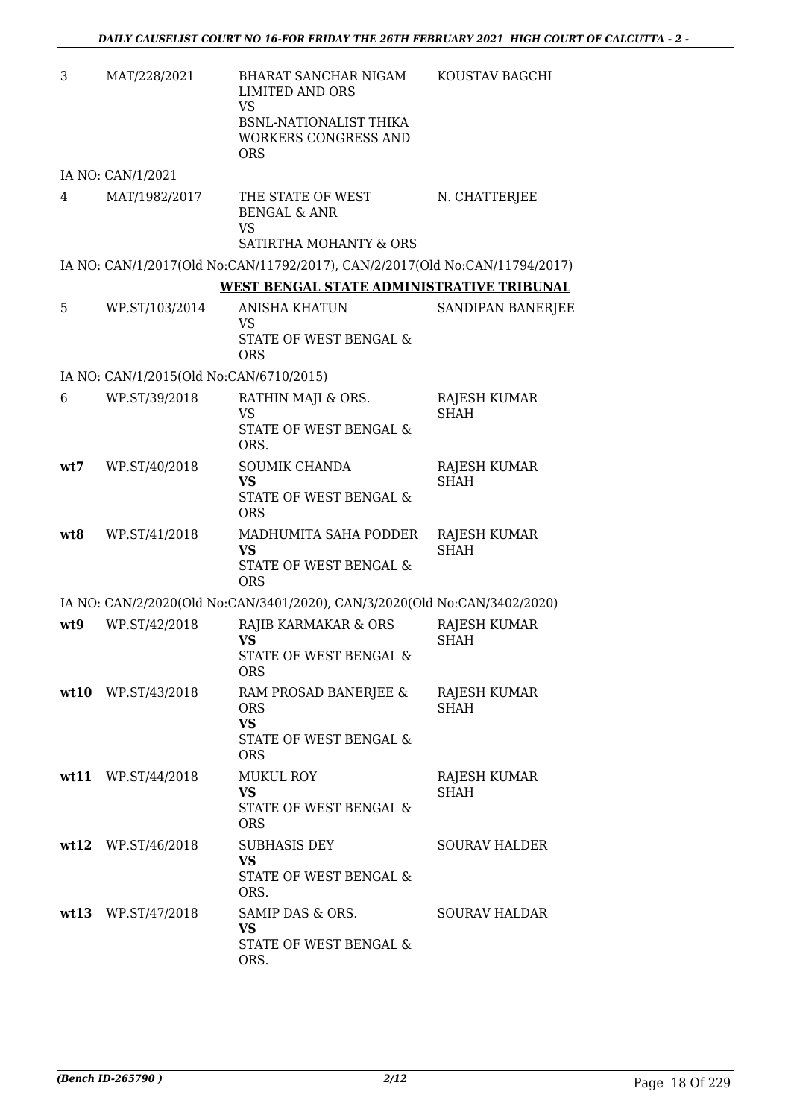| 3   | MAT/228/2021                            | BHARAT SANCHAR NIGAM<br><b>LIMITED AND ORS</b><br><b>VS</b><br>BSNL-NATIONALIST THIKA<br><b>WORKERS CONGRESS AND</b><br><b>ORS</b> | KOUSTAV BAGCHI                     |
|-----|-----------------------------------------|------------------------------------------------------------------------------------------------------------------------------------|------------------------------------|
|     | IA NO: CAN/1/2021                       |                                                                                                                                    |                                    |
| 4   | MAT/1982/2017                           | THE STATE OF WEST<br><b>BENGAL &amp; ANR</b><br><b>VS</b><br>SATIRTHA MOHANTY & ORS                                                | N. CHATTERJEE                      |
|     |                                         | IA NO: CAN/1/2017(Old No:CAN/11792/2017), CAN/2/2017(Old No:CAN/11794/2017)                                                        |                                    |
|     |                                         | WEST BENGAL STATE ADMINISTRATIVE TRIBUNAL                                                                                          |                                    |
| 5   | WP.ST/103/2014                          | <b>ANISHA KHATUN</b><br>VS<br>STATE OF WEST BENGAL &<br><b>ORS</b>                                                                 | SANDIPAN BANERJEE                  |
|     | IA NO: CAN/1/2015(Old No:CAN/6710/2015) |                                                                                                                                    |                                    |
| 6   | WP.ST/39/2018                           | RATHIN MAJI & ORS.<br><b>VS</b><br>STATE OF WEST BENGAL &<br>ORS.                                                                  | <b>RAJESH KUMAR</b><br><b>SHAH</b> |
| wt7 | WP.ST/40/2018                           | SOUMIK CHANDA<br><b>VS</b><br>STATE OF WEST BENGAL &<br><b>ORS</b>                                                                 | RAJESH KUMAR<br><b>SHAH</b>        |
| wt8 | WP.ST/41/2018                           | MADHUMITA SAHA PODDER<br><b>VS</b><br>STATE OF WEST BENGAL &<br><b>ORS</b>                                                         | RAJESH KUMAR<br><b>SHAH</b>        |
|     |                                         | IA NO: CAN/2/2020(Old No:CAN/3401/2020), CAN/3/2020(Old No:CAN/3402/2020)                                                          |                                    |
| wt9 | WP.ST/42/2018                           | RAJIB KARMAKAR & ORS<br><b>VS</b><br>STATE OF WEST BENGAL &<br>ORS                                                                 | <b>RAJESH KUMAR</b><br><b>SHAH</b> |
|     | wt10 WP.ST/43/2018                      | RAM PROSAD BANERJEE &<br><b>ORS</b><br><b>VS</b><br>STATE OF WEST BENGAL &<br><b>ORS</b>                                           | RAJESH KUMAR<br><b>SHAH</b>        |
|     | wt11 WP.ST/44/2018                      | <b>MUKUL ROY</b><br>VS<br>STATE OF WEST BENGAL &<br><b>ORS</b>                                                                     | RAJESH KUMAR<br>SHAH               |
|     | wt12 WP.ST/46/2018                      | <b>SUBHASIS DEY</b><br><b>VS</b><br>STATE OF WEST BENGAL &<br>ORS.                                                                 | <b>SOURAV HALDER</b>               |
|     | wt13 WP.ST/47/2018                      | SAMIP DAS & ORS.<br>VS<br>STATE OF WEST BENGAL &<br>ORS.                                                                           | <b>SOURAV HALDAR</b>               |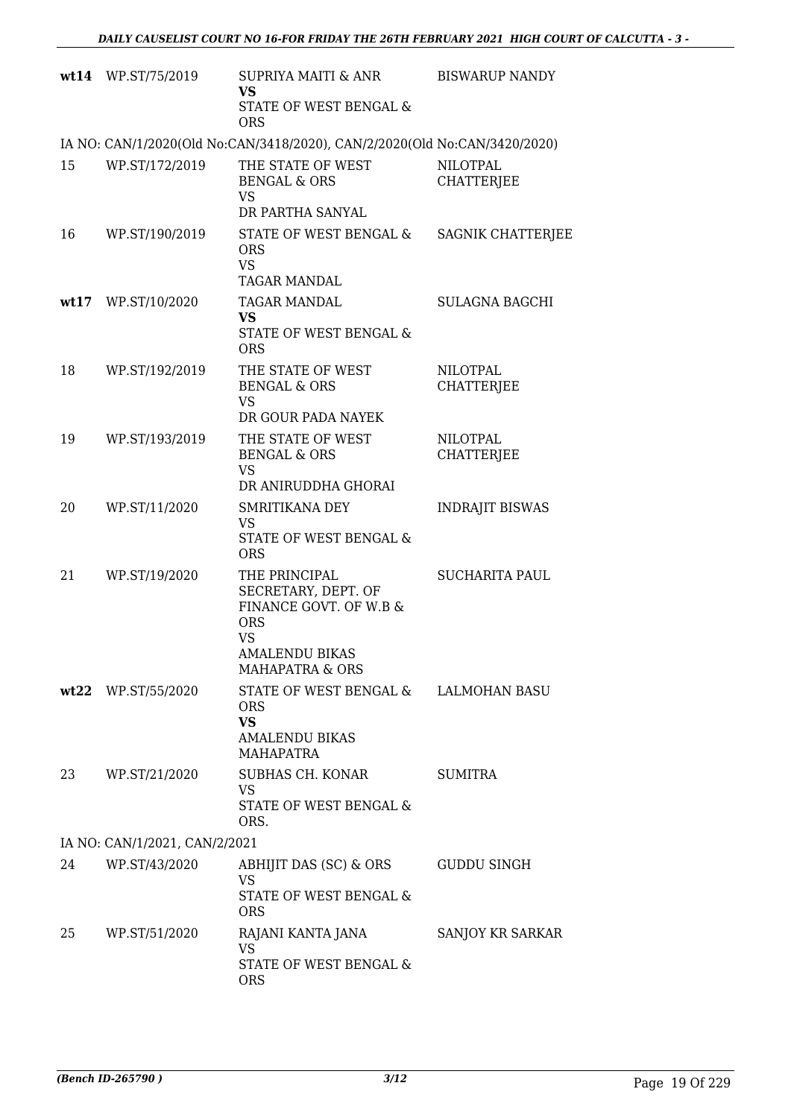|    | wt14 WP.ST/75/2019            | SUPRIYA MAITI & ANR<br><b>VS</b>                                                                                                          | <b>BISWARUP NANDY</b>                |  |  |  |
|----|-------------------------------|-------------------------------------------------------------------------------------------------------------------------------------------|--------------------------------------|--|--|--|
|    |                               | STATE OF WEST BENGAL &<br><b>ORS</b>                                                                                                      |                                      |  |  |  |
|    |                               | IA NO: CAN/1/2020(Old No:CAN/3418/2020), CAN/2/2020(Old No:CAN/3420/2020)                                                                 |                                      |  |  |  |
| 15 | WP.ST/172/2019                | THE STATE OF WEST<br><b>BENGAL &amp; ORS</b><br><b>VS</b>                                                                                 | <b>NILOTPAL</b><br><b>CHATTERJEE</b> |  |  |  |
| 16 | WP.ST/190/2019                | DR PARTHA SANYAL<br>STATE OF WEST BENGAL &<br><b>ORS</b><br><b>VS</b><br>TAGAR MANDAL                                                     | SAGNIK CHATTERJEE                    |  |  |  |
|    | wt17 WP.ST/10/2020            | TAGAR MANDAL<br><b>VS</b><br>STATE OF WEST BENGAL &<br><b>ORS</b>                                                                         | <b>SULAGNA BAGCHI</b>                |  |  |  |
| 18 | WP.ST/192/2019                | THE STATE OF WEST<br><b>BENGAL &amp; ORS</b><br><b>VS</b><br>DR GOUR PADA NAYEK                                                           | <b>NILOTPAL</b><br><b>CHATTERJEE</b> |  |  |  |
| 19 | WP.ST/193/2019                | THE STATE OF WEST<br><b>BENGAL &amp; ORS</b><br><b>VS</b><br>DR ANIRUDDHA GHORAI                                                          | <b>NILOTPAL</b><br><b>CHATTERJEE</b> |  |  |  |
| 20 | WP.ST/11/2020                 | SMRITIKANA DEY<br><b>VS</b><br>STATE OF WEST BENGAL &<br><b>ORS</b>                                                                       | <b>INDRAJIT BISWAS</b>               |  |  |  |
| 21 | WP.ST/19/2020                 | THE PRINCIPAL<br>SECRETARY, DEPT. OF<br>FINANCE GOVT. OF W.B &<br><b>ORS</b><br><b>VS</b><br>AMALENDU BIKAS<br><b>MAHAPATRA &amp; ORS</b> | <b>SUCHARITA PAUL</b>                |  |  |  |
|    | wt22 WP.ST/55/2020            | STATE OF WEST BENGAL & LALMOHAN BASU<br><b>ORS</b><br><b>VS</b><br><b>AMALENDU BIKAS</b><br><b>MAHAPATRA</b>                              |                                      |  |  |  |
| 23 | WP.ST/21/2020                 | SUBHAS CH. KONAR<br>VS<br>STATE OF WEST BENGAL &<br>ORS.                                                                                  | <b>SUMITRA</b>                       |  |  |  |
|    | IA NO: CAN/1/2021, CAN/2/2021 |                                                                                                                                           |                                      |  |  |  |
| 24 | WP.ST/43/2020                 | ABHIJIT DAS (SC) & ORS<br><b>VS</b><br>STATE OF WEST BENGAL &<br><b>ORS</b>                                                               | <b>GUDDU SINGH</b>                   |  |  |  |
| 25 | WP.ST/51/2020                 | RAJANI KANTA JANA<br>VS<br>STATE OF WEST BENGAL &<br><b>ORS</b>                                                                           | SANJOY KR SARKAR                     |  |  |  |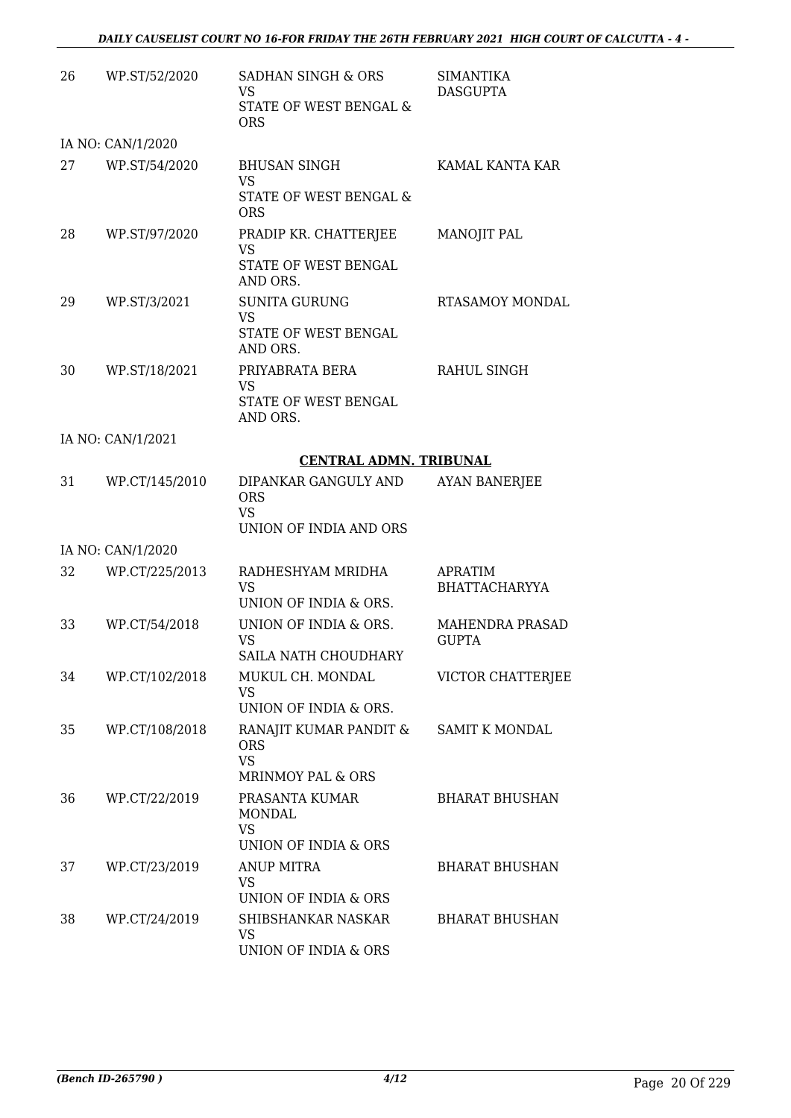| 26 | WP.ST/52/2020     | SADHAN SINGH & ORS<br>VS.<br>STATE OF WEST BENGAL &<br><b>ORS</b>         | <b>SIMANTIKA</b><br><b>DASGUPTA</b>    |
|----|-------------------|---------------------------------------------------------------------------|----------------------------------------|
|    | IA NO: CAN/1/2020 |                                                                           |                                        |
| 27 | WP.ST/54/2020     | <b>BHUSAN SINGH</b><br><b>VS</b><br>STATE OF WEST BENGAL &<br><b>ORS</b>  | KAMAL KANTA KAR                        |
| 28 | WP.ST/97/2020     | PRADIP KR. CHATTERJEE<br><b>VS</b><br>STATE OF WEST BENGAL<br>AND ORS.    | <b>MANOJIT PAL</b>                     |
| 29 | WP.ST/3/2021      | <b>SUNITA GURUNG</b><br><b>VS</b><br>STATE OF WEST BENGAL<br>AND ORS.     | RTASAMOY MONDAL                        |
| 30 | WP.ST/18/2021     | PRIYABRATA BERA<br><b>VS</b><br>STATE OF WEST BENGAL<br>AND ORS.          | RAHUL SINGH                            |
|    | IA NO: CAN/1/2021 |                                                                           |                                        |
|    |                   | <b>CENTRAL ADMN. TRIBUNAL</b>                                             |                                        |
| 31 | WP.CT/145/2010    | DIPANKAR GANGULY AND<br><b>ORS</b><br><b>VS</b><br>UNION OF INDIA AND ORS | <b>AYAN BANERJEE</b>                   |
|    | IA NO: CAN/1/2020 |                                                                           |                                        |
| 32 | WP.CT/225/2013    | RADHESHYAM MRIDHA<br><b>VS</b><br>UNION OF INDIA & ORS.                   | <b>APRATIM</b><br><b>BHATTACHARYYA</b> |
| 33 | WP.CT/54/2018     | UNION OF INDIA & ORS.<br><b>VS</b><br>SAILA NATH CHOUDHARY                | <b>MAHENDRA PRASAD</b><br><b>GUPTA</b> |
| 34 | WP.CT/102/2018    | MUKUL CH. MONDAL<br>VS<br>UNION OF INDIA & ORS.                           | VICTOR CHATTERJEE                      |
| 35 | WP.CT/108/2018    | RANAJIT KUMAR PANDIT &<br><b>ORS</b><br><b>VS</b><br>MRINMOY PAL & ORS    | <b>SAMIT K MONDAL</b>                  |
| 36 | WP.CT/22/2019     | PRASANTA KUMAR<br><b>MONDAL</b><br><b>VS</b><br>UNION OF INDIA & ORS      | <b>BHARAT BHUSHAN</b>                  |
| 37 | WP.CT/23/2019     | <b>ANUP MITRA</b><br>VS<br>UNION OF INDIA & ORS                           | <b>BHARAT BHUSHAN</b>                  |
| 38 | WP.CT/24/2019     | SHIBSHANKAR NASKAR<br><b>VS</b><br>UNION OF INDIA & ORS                   | <b>BHARAT BHUSHAN</b>                  |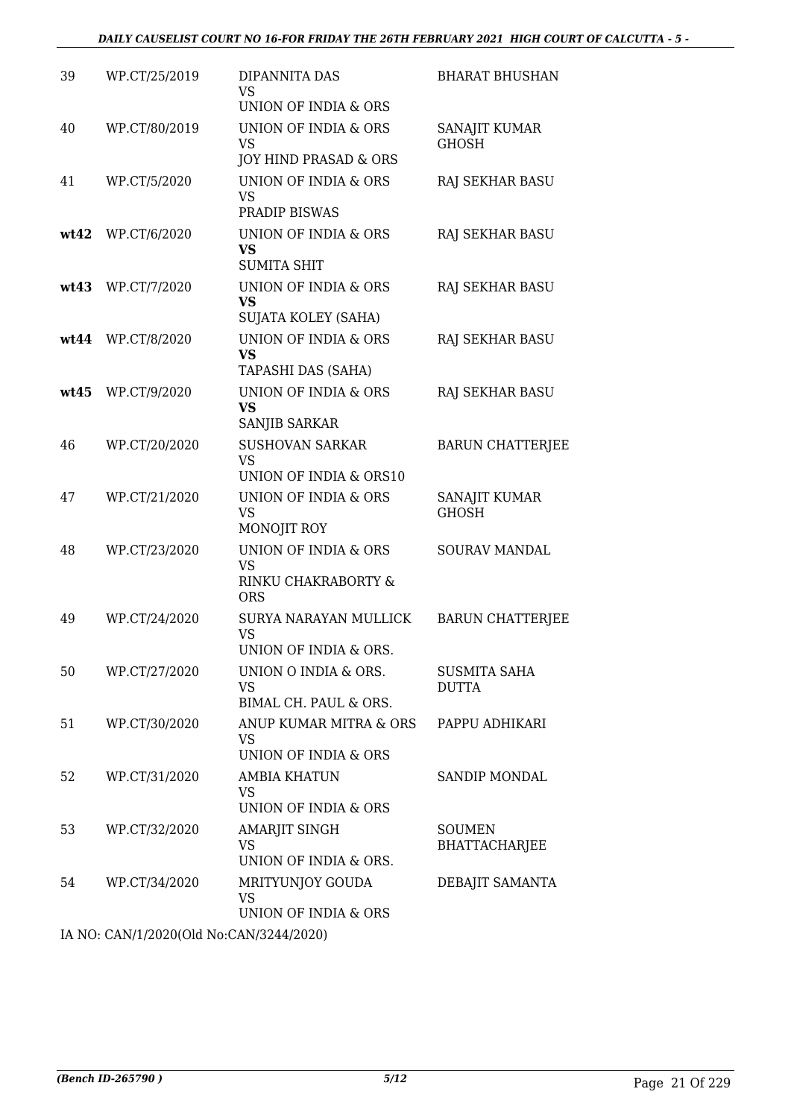| 39   | WP.CT/25/2019     | DIPANNITA DAS<br><b>VS</b><br>UNION OF INDIA & ORS                                | <b>BHARAT BHUSHAN</b>                 |
|------|-------------------|-----------------------------------------------------------------------------------|---------------------------------------|
| 40   | WP.CT/80/2019     | UNION OF INDIA & ORS<br><b>VS</b><br>JOY HIND PRASAD & ORS                        | SANAJIT KUMAR<br><b>GHOSH</b>         |
| 41   | WP.CT/5/2020      | UNION OF INDIA & ORS<br><b>VS</b><br>PRADIP BISWAS                                | RAJ SEKHAR BASU                       |
| wt42 | WP.CT/6/2020      | UNION OF INDIA & ORS<br><b>VS</b><br><b>SUMITA SHIT</b>                           | RAJ SEKHAR BASU                       |
| wt43 | WP.CT/7/2020      | UNION OF INDIA & ORS<br><b>VS</b><br><b>SUJATA KOLEY (SAHA)</b>                   | RAJ SEKHAR BASU                       |
|      | wt44 WP.CT/8/2020 | UNION OF INDIA & ORS<br><b>VS</b><br>TAPASHI DAS (SAHA)                           | <b>RAJ SEKHAR BASU</b>                |
| wt45 | WP.CT/9/2020      | UNION OF INDIA & ORS<br><b>VS</b><br>SANJIB SARKAR                                | RAJ SEKHAR BASU                       |
| 46   | WP.CT/20/2020     | <b>SUSHOVAN SARKAR</b><br><b>VS</b><br>UNION OF INDIA & ORS10                     | <b>BARUN CHATTERJEE</b>               |
| 47   | WP.CT/21/2020     | UNION OF INDIA & ORS<br><b>VS</b><br>MONOJIT ROY                                  | SANAJIT KUMAR<br><b>GHOSH</b>         |
| 48   | WP.CT/23/2020     | <b>UNION OF INDIA &amp; ORS</b><br><b>VS</b><br>RINKU CHAKRABORTY &<br><b>ORS</b> | SOURAV MANDAL                         |
| 49   | WP.CT/24/2020     | SURYA NARAYAN MULLICK<br><b>VS</b><br>UNION OF INDIA & ORS.                       | <b>BARUN CHATTERJEE</b>               |
| 50   | WP.CT/27/2020     | UNION O INDIA & ORS.<br>VS<br>BIMAL CH. PAUL & ORS.                               | SUSMITA SAHA<br><b>DUTTA</b>          |
| 51   | WP.CT/30/2020     | ANUP KUMAR MITRA & ORS<br>VS<br>UNION OF INDIA & ORS                              | PAPPU ADHIKARI                        |
| 52   | WP.CT/31/2020     | <b>AMBIA KHATUN</b><br><b>VS</b><br>UNION OF INDIA & ORS                          | SANDIP MONDAL                         |
| 53   | WP.CT/32/2020     | AMARJIT SINGH<br>VS<br>UNION OF INDIA & ORS.                                      | <b>SOUMEN</b><br><b>BHATTACHARJEE</b> |
| 54   | WP.CT/34/2020     | MRITYUNJOY GOUDA<br><b>VS</b><br>UNION OF INDIA & ORS                             | DEBAJIT SAMANTA                       |
|      |                   | $(0.000(01.1)$ M = $(0.11(00.1)$                                                  |                                       |

IA NO: CAN/1/2020(Old No:CAN/3244/2020)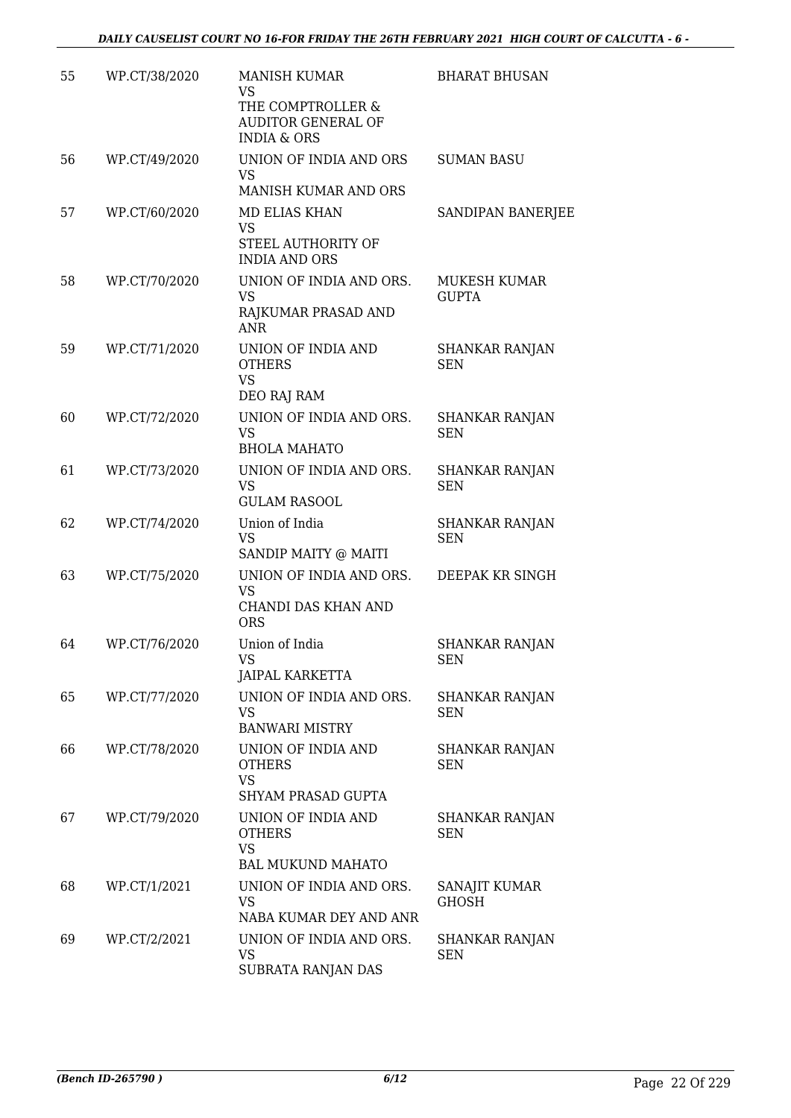| 55 | WP.CT/38/2020 | <b>MANISH KUMAR</b><br><b>VS</b><br>THE COMPTROLLER &<br><b>AUDITOR GENERAL OF</b> | <b>BHARAT BHUSAN</b>                |
|----|---------------|------------------------------------------------------------------------------------|-------------------------------------|
|    |               | <b>INDIA &amp; ORS</b>                                                             |                                     |
| 56 | WP.CT/49/2020 | UNION OF INDIA AND ORS<br><b>VS</b>                                                | <b>SUMAN BASU</b>                   |
|    |               | MANISH KUMAR AND ORS                                                               |                                     |
| 57 | WP.CT/60/2020 | <b>MD ELIAS KHAN</b><br><b>VS</b>                                                  | SANDIPAN BANERJEE                   |
|    |               | STEEL AUTHORITY OF<br><b>INDIA AND ORS</b>                                         |                                     |
| 58 | WP.CT/70/2020 | UNION OF INDIA AND ORS.<br>VS.<br>RAJKUMAR PRASAD AND<br><b>ANR</b>                | <b>MUKESH KUMAR</b><br><b>GUPTA</b> |
| 59 | WP.CT/71/2020 | UNION OF INDIA AND<br><b>OTHERS</b><br><b>VS</b><br>DEO RAJ RAM                    | <b>SHANKAR RANJAN</b><br><b>SEN</b> |
| 60 | WP.CT/72/2020 | UNION OF INDIA AND ORS.                                                            | <b>SHANKAR RANJAN</b>               |
|    |               | <b>VS</b><br><b>BHOLA MAHATO</b>                                                   | <b>SEN</b>                          |
| 61 | WP.CT/73/2020 | UNION OF INDIA AND ORS.<br><b>VS</b><br><b>GULAM RASOOL</b>                        | <b>SHANKAR RANJAN</b><br><b>SEN</b> |
| 62 | WP.CT/74/2020 | Union of India<br><b>VS</b>                                                        | SHANKAR RANJAN<br><b>SEN</b>        |
| 63 | WP.CT/75/2020 | SANDIP MAITY @ MAITI<br>UNION OF INDIA AND ORS.                                    | DEEPAK KR SINGH                     |
|    |               | <b>VS</b><br>CHANDI DAS KHAN AND<br><b>ORS</b>                                     |                                     |
| 64 | WP.CT/76/2020 | Union of India                                                                     | <b>SHANKAR RANJAN</b>               |
|    |               | <b>VS</b><br>JAIPAL KARKETTA                                                       | <b>SEN</b>                          |
| 65 | WP.CT/77/2020 | UNION OF INDIA AND ORS.<br>VS.                                                     | <b>SHANKAR RANJAN</b><br><b>SEN</b> |
|    |               | <b>BANWARI MISTRY</b>                                                              |                                     |
| 66 | WP.CT/78/2020 | UNION OF INDIA AND<br><b>OTHERS</b><br><b>VS</b>                                   | SHANKAR RANJAN<br><b>SEN</b>        |
|    |               | <b>SHYAM PRASAD GUPTA</b>                                                          |                                     |
| 67 | WP.CT/79/2020 | UNION OF INDIA AND<br><b>OTHERS</b><br><b>VS</b>                                   | SHANKAR RANJAN<br><b>SEN</b>        |
| 68 | WP.CT/1/2021  | <b>BAL MUKUND MAHATO</b><br>UNION OF INDIA AND ORS.                                |                                     |
|    |               | VS<br>NABA KUMAR DEY AND ANR                                                       | SANAJIT KUMAR<br><b>GHOSH</b>       |
| 69 | WP.CT/2/2021  | UNION OF INDIA AND ORS.<br><b>VS</b><br>SUBRATA RANJAN DAS                         | SHANKAR RANJAN<br><b>SEN</b>        |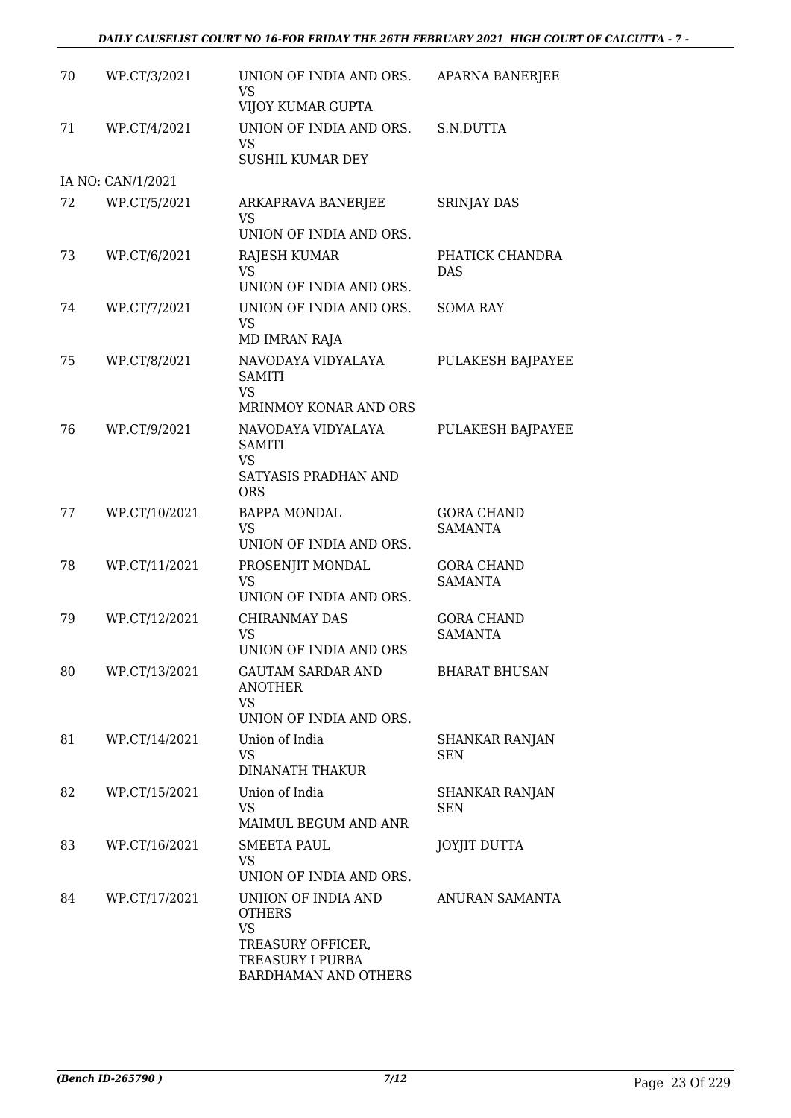| 70 | WP.CT/3/2021      | UNION OF INDIA AND ORS.<br>VS<br>VIJOY KUMAR GUPTA                                                          | APARNA BANERJEE                     |
|----|-------------------|-------------------------------------------------------------------------------------------------------------|-------------------------------------|
| 71 | WP.CT/4/2021      | UNION OF INDIA AND ORS.<br><b>VS</b><br><b>SUSHIL KUMAR DEY</b>                                             | S.N.DUTTA                           |
|    | IA NO: CAN/1/2021 |                                                                                                             |                                     |
| 72 | WP.CT/5/2021      | ARKAPRAVA BANERJEE<br>VS<br>UNION OF INDIA AND ORS.                                                         | <b>SRINJAY DAS</b>                  |
| 73 | WP.CT/6/2021      | RAJESH KUMAR<br><b>VS</b><br>UNION OF INDIA AND ORS.                                                        | PHATICK CHANDRA<br><b>DAS</b>       |
| 74 | WP.CT/7/2021      | UNION OF INDIA AND ORS.<br><b>VS</b><br>MD IMRAN RAJA                                                       | <b>SOMA RAY</b>                     |
| 75 | WP.CT/8/2021      | NAVODAYA VIDYALAYA<br><b>SAMITI</b><br><b>VS</b><br>MRINMOY KONAR AND ORS                                   | <b>PULAKESH BAJPAYEE</b>            |
| 76 | WP.CT/9/2021      | NAVODAYA VIDYALAYA<br><b>SAMITI</b><br><b>VS</b><br>SATYASIS PRADHAN AND<br><b>ORS</b>                      | PULAKESH BAJPAYEE                   |
| 77 | WP.CT/10/2021     | <b>BAPPA MONDAL</b><br><b>VS</b><br>UNION OF INDIA AND ORS.                                                 | <b>GORA CHAND</b><br><b>SAMANTA</b> |
| 78 | WP.CT/11/2021     | PROSENJIT MONDAL<br>VS<br>UNION OF INDIA AND ORS.                                                           | <b>GORA CHAND</b><br><b>SAMANTA</b> |
| 79 | WP.CT/12/2021     | CHIRANMAY DAS<br><b>VS</b><br>UNION OF INDIA AND ORS                                                        | <b>GORA CHAND</b><br><b>SAMANTA</b> |
| 80 | WP.CT/13/2021     | GAUTAM SARDAR AND<br><b>ANOTHER</b><br>VS<br>UNION OF INDIA AND ORS.                                        | <b>BHARAT BHUSAN</b>                |
| 81 | WP.CT/14/2021     | Union of India<br><b>VS</b><br><b>DINANATH THAKUR</b>                                                       | <b>SHANKAR RANJAN</b><br><b>SEN</b> |
| 82 | WP.CT/15/2021     | Union of India<br><b>VS</b><br>MAIMUL BEGUM AND ANR                                                         | SHANKAR RANJAN<br>SEN               |
| 83 | WP.CT/16/2021     | SMEETA PAUL<br>VS.<br>UNION OF INDIA AND ORS.                                                               | <b>JOYJIT DUTTA</b>                 |
| 84 | WP.CT/17/2021     | UNIION OF INDIA AND<br><b>OTHERS</b><br>VS<br>TREASURY OFFICER,<br>TREASURY I PURBA<br>BARDHAMAN AND OTHERS | ANURAN SAMANTA                      |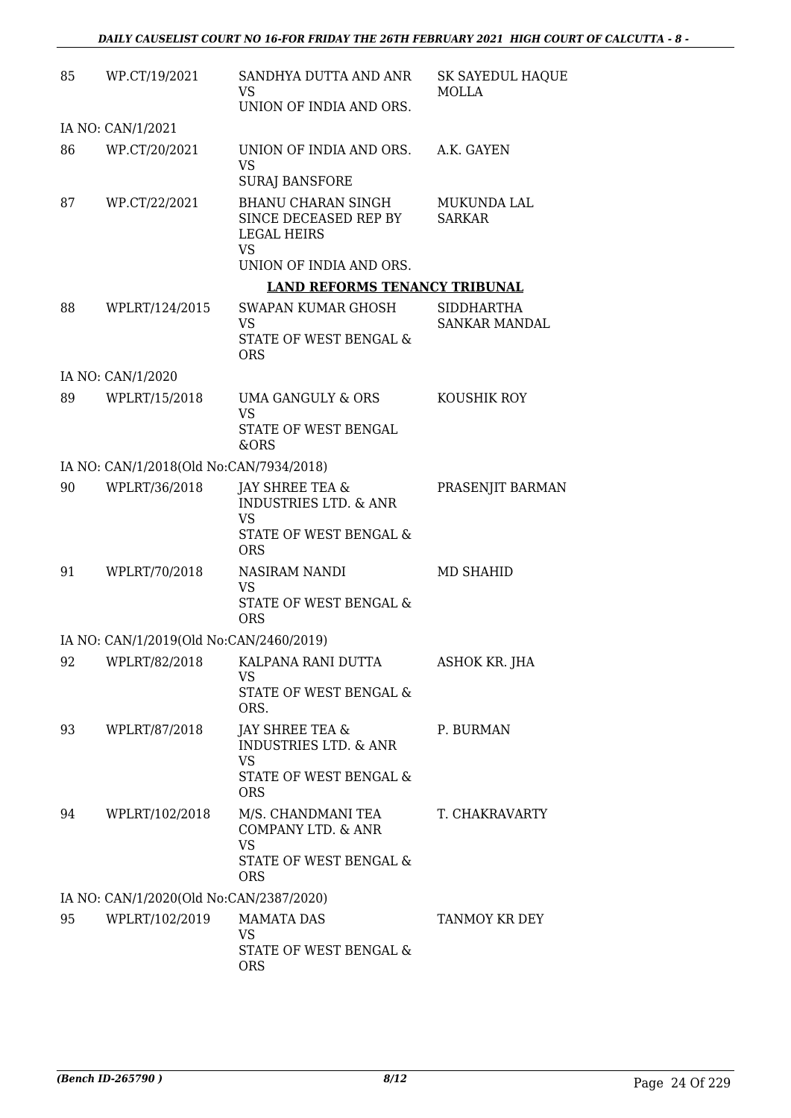| 85 | WP.CT/19/2021                           | SANDHYA DUTTA AND ANR<br>VS                                       | <b>SK SAYEDUL HAQUE</b><br><b>MOLLA</b> |
|----|-----------------------------------------|-------------------------------------------------------------------|-----------------------------------------|
|    |                                         | UNION OF INDIA AND ORS.                                           |                                         |
|    | IA NO: CAN/1/2021                       |                                                                   |                                         |
| 86 | WP.CT/20/2021                           | UNION OF INDIA AND ORS.<br><b>VS</b><br><b>SURAJ BANSFORE</b>     | A.K. GAYEN                              |
| 87 | WP.CT/22/2021                           | <b>BHANU CHARAN SINGH</b><br>SINCE DECEASED REP BY<br>LEGAL HEIRS | MUKUNDA LAL<br><b>SARKAR</b>            |
|    |                                         | VS<br>UNION OF INDIA AND ORS.                                     |                                         |
|    |                                         | <b>LAND REFORMS TENANCY TRIBUNAL</b>                              |                                         |
| 88 | WPLRT/124/2015                          | SWAPAN KUMAR GHOSH<br>VS                                          | SIDDHARTHA<br><b>SANKAR MANDAL</b>      |
|    |                                         | <b>STATE OF WEST BENGAL &amp;</b><br><b>ORS</b>                   |                                         |
|    | IA NO: CAN/1/2020                       |                                                                   |                                         |
| 89 | WPLRT/15/2018                           | <b>UMA GANGULY &amp; ORS</b><br><b>VS</b>                         | KOUSHIK ROY                             |
|    |                                         | STATE OF WEST BENGAL<br>&ORS                                      |                                         |
|    | IA NO: CAN/1/2018(Old No:CAN/7934/2018) |                                                                   |                                         |
| 90 | WPLRT/36/2018                           | JAY SHREE TEA &<br><b>INDUSTRIES LTD. &amp; ANR</b><br>VS         | PRASENJIT BARMAN                        |
|    |                                         | STATE OF WEST BENGAL &<br><b>ORS</b>                              |                                         |
| 91 | WPLRT/70/2018                           | <b>NASIRAM NANDI</b><br><b>VS</b>                                 | <b>MD SHAHID</b>                        |
|    |                                         | STATE OF WEST BENGAL &<br><b>ORS</b>                              |                                         |
|    | IA NO: CAN/1/2019(Old No:CAN/2460/2019) |                                                                   |                                         |
| 92 | WPLRT/82/2018                           | KALPANA RANI DUTTA<br><b>VS</b><br>STATE OF WEST BENGAL &         | ASHOK KR. JHA                           |
|    |                                         | ORS.                                                              |                                         |
| 93 | WPLRT/87/2018                           | JAY SHREE TEA &<br><b>INDUSTRIES LTD. &amp; ANR</b><br><b>VS</b>  | P. BURMAN                               |
|    |                                         | STATE OF WEST BENGAL &<br><b>ORS</b>                              |                                         |
| 94 | WPLRT/102/2018                          | M/S. CHANDMANI TEA<br>COMPANY LTD. & ANR<br><b>VS</b>             | T. CHAKRAVARTY                          |
|    |                                         | STATE OF WEST BENGAL &<br><b>ORS</b>                              |                                         |
|    | IA NO: CAN/1/2020(Old No:CAN/2387/2020) |                                                                   |                                         |
| 95 | WPLRT/102/2019                          | <b>MAMATA DAS</b><br>VS                                           | TANMOY KR DEY                           |
|    |                                         | STATE OF WEST BENGAL &<br><b>ORS</b>                              |                                         |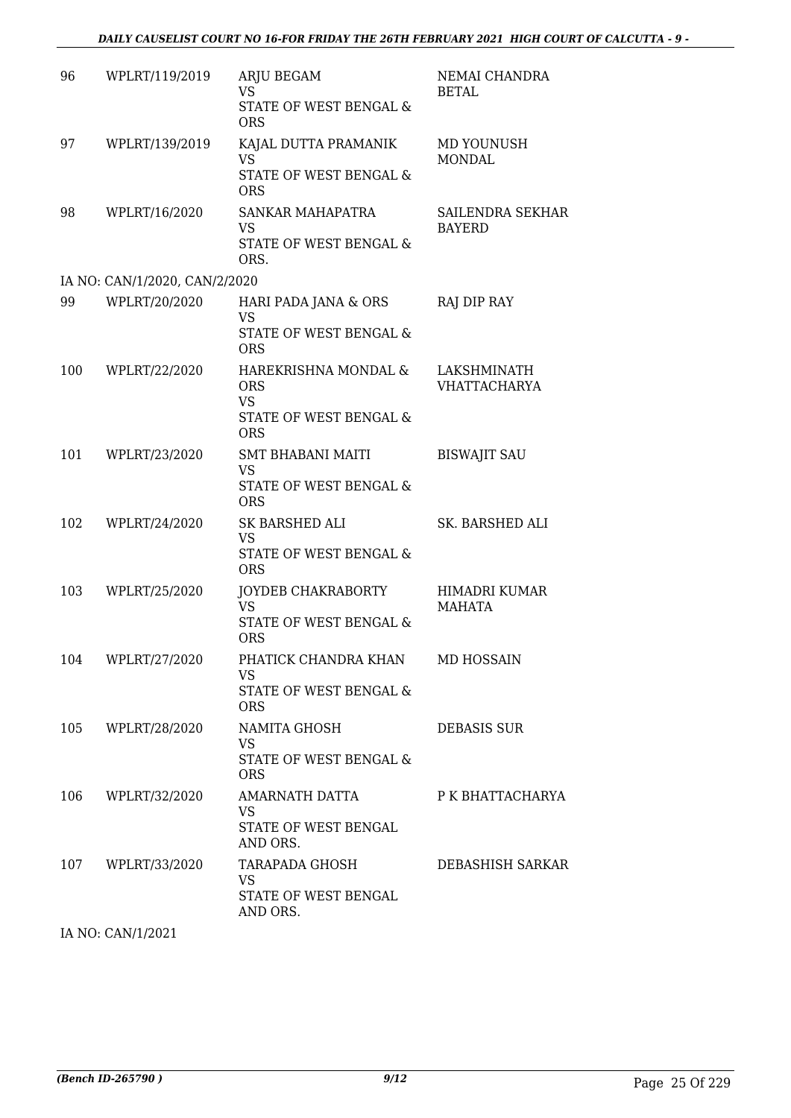| 96  | WPLRT/119/2019                | <b>ARJU BEGAM</b><br>VS.<br><b>STATE OF WEST BENGAL &amp;</b><br><b>ORS</b>             | NEMAI CHANDRA<br><b>BETAL</b>      |
|-----|-------------------------------|-----------------------------------------------------------------------------------------|------------------------------------|
| 97  | WPLRT/139/2019                | KAJAL DUTTA PRAMANIK<br><b>VS</b><br>STATE OF WEST BENGAL &<br><b>ORS</b>               | MD YOUNUSH<br><b>MONDAL</b>        |
| 98  | WPLRT/16/2020                 | SANKAR MAHAPATRA<br><b>VS</b><br>STATE OF WEST BENGAL &<br>ORS.                         | SAILENDRA SEKHAR<br><b>BAYERD</b>  |
|     | IA NO: CAN/1/2020, CAN/2/2020 |                                                                                         |                                    |
| 99  | WPLRT/20/2020                 | HARI PADA JANA & ORS<br><b>VS</b><br>STATE OF WEST BENGAL &<br><b>ORS</b>               | RAJ DIP RAY                        |
| 100 | WPLRT/22/2020                 | HAREKRISHNA MONDAL &<br><b>ORS</b><br><b>VS</b><br>STATE OF WEST BENGAL &<br><b>ORS</b> | LAKSHMINATH<br><b>VHATTACHARYA</b> |
| 101 | WPLRT/23/2020                 | <b>SMT BHABANI MAITI</b><br><b>VS</b><br>STATE OF WEST BENGAL &<br><b>ORS</b>           | <b>BISWAJIT SAU</b>                |
| 102 | WPLRT/24/2020                 | SK BARSHED ALI<br><b>VS</b><br>STATE OF WEST BENGAL &<br><b>ORS</b>                     | SK. BARSHED ALI                    |
| 103 | WPLRT/25/2020                 | JOYDEB CHAKRABORTY<br><b>VS</b><br>STATE OF WEST BENGAL &<br><b>ORS</b>                 | HIMADRI KUMAR<br><b>MAHATA</b>     |
|     | 104 WPLRT/27/2020             | PHATICK CHANDRA KHAN<br>VS<br>STATE OF WEST BENGAL &<br><b>ORS</b>                      | MD HOSSAIN                         |
| 105 | WPLRT/28/2020                 | NAMITA GHOSH<br>VS<br>STATE OF WEST BENGAL &<br><b>ORS</b>                              | <b>DEBASIS SUR</b>                 |
| 106 | WPLRT/32/2020                 | AMARNATH DATTA<br>VS.<br>STATE OF WEST BENGAL<br>AND ORS.                               | P K BHATTACHARYA                   |
|     | 107 WPLRT/33/2020             | TARAPADA GHOSH<br>VS<br>STATE OF WEST BENGAL<br>AND ORS.                                | DEBASHISH SARKAR                   |

IA NO: CAN/1/2021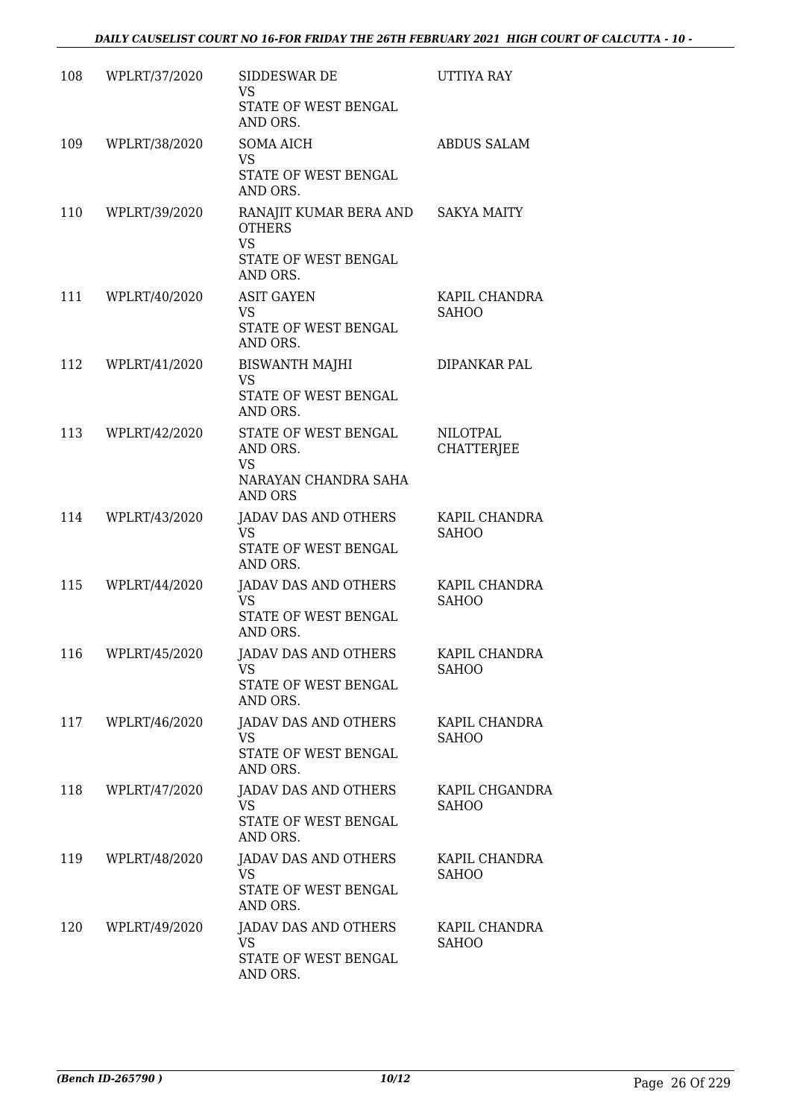| 108 | WPLRT/37/2020 | SIDDESWAR DE<br>VS.                                                   | UTTIYA RAY                           |
|-----|---------------|-----------------------------------------------------------------------|--------------------------------------|
|     |               | STATE OF WEST BENGAL<br>AND ORS.                                      |                                      |
| 109 | WPLRT/38/2020 | <b>SOMA AICH</b><br><b>VS</b>                                         | <b>ABDUS SALAM</b>                   |
|     |               | STATE OF WEST BENGAL<br>AND ORS.                                      |                                      |
| 110 | WPLRT/39/2020 | RANAJIT KUMAR BERA AND SAKYA MAITY<br><b>OTHERS</b><br><b>VS</b>      |                                      |
|     |               | STATE OF WEST BENGAL<br>AND ORS.                                      |                                      |
| 111 | WPLRT/40/2020 | <b>ASIT GAYEN</b><br><b>VS</b>                                        | KAPIL CHANDRA<br><b>SAHOO</b>        |
|     |               | STATE OF WEST BENGAL<br>AND ORS.                                      |                                      |
| 112 | WPLRT/41/2020 | <b>BISWANTH MAJHI</b><br><b>VS</b>                                    | DIPANKAR PAL                         |
|     |               | STATE OF WEST BENGAL<br>AND ORS.                                      |                                      |
| 113 | WPLRT/42/2020 | STATE OF WEST BENGAL<br>AND ORS.<br><b>VS</b>                         | <b>NILOTPAL</b><br><b>CHATTERJEE</b> |
|     |               | NARAYAN CHANDRA SAHA<br><b>AND ORS</b>                                |                                      |
| 114 | WPLRT/43/2020 | JADAV DAS AND OTHERS<br><b>VS</b>                                     | KAPIL CHANDRA<br><b>SAHOO</b>        |
|     |               | STATE OF WEST BENGAL<br>AND ORS.                                      |                                      |
| 115 | WPLRT/44/2020 | JADAV DAS AND OTHERS<br><b>VS</b><br>STATE OF WEST BENGAL<br>AND ORS. | KAPIL CHANDRA<br><b>SAHOO</b>        |
| 116 | WPLRT/45/2020 | JADAV DAS AND OTHERS                                                  | KAPIL CHANDRA                        |
|     |               | VS<br>STATE OF WEST BENGAL<br>AND ORS.                                | <b>SAHOO</b>                         |
| 117 | WPLRT/46/2020 | JADAV DAS AND OTHERS<br>VS.                                           | KAPIL CHANDRA<br><b>SAHOO</b>        |
|     |               | STATE OF WEST BENGAL<br>AND ORS.                                      |                                      |
| 118 | WPLRT/47/2020 | JADAV DAS AND OTHERS<br><b>VS</b>                                     | KAPIL CHGANDRA<br><b>SAHOO</b>       |
|     |               | STATE OF WEST BENGAL<br>AND ORS.                                      |                                      |
| 119 | WPLRT/48/2020 | JADAV DAS AND OTHERS<br>VS.                                           | KAPIL CHANDRA<br><b>SAHOO</b>        |
|     |               | STATE OF WEST BENGAL<br>AND ORS.                                      |                                      |
| 120 | WPLRT/49/2020 | JADAV DAS AND OTHERS<br><b>VS</b>                                     | KAPIL CHANDRA<br><b>SAHOO</b>        |
|     |               | STATE OF WEST BENGAL<br>AND ORS.                                      |                                      |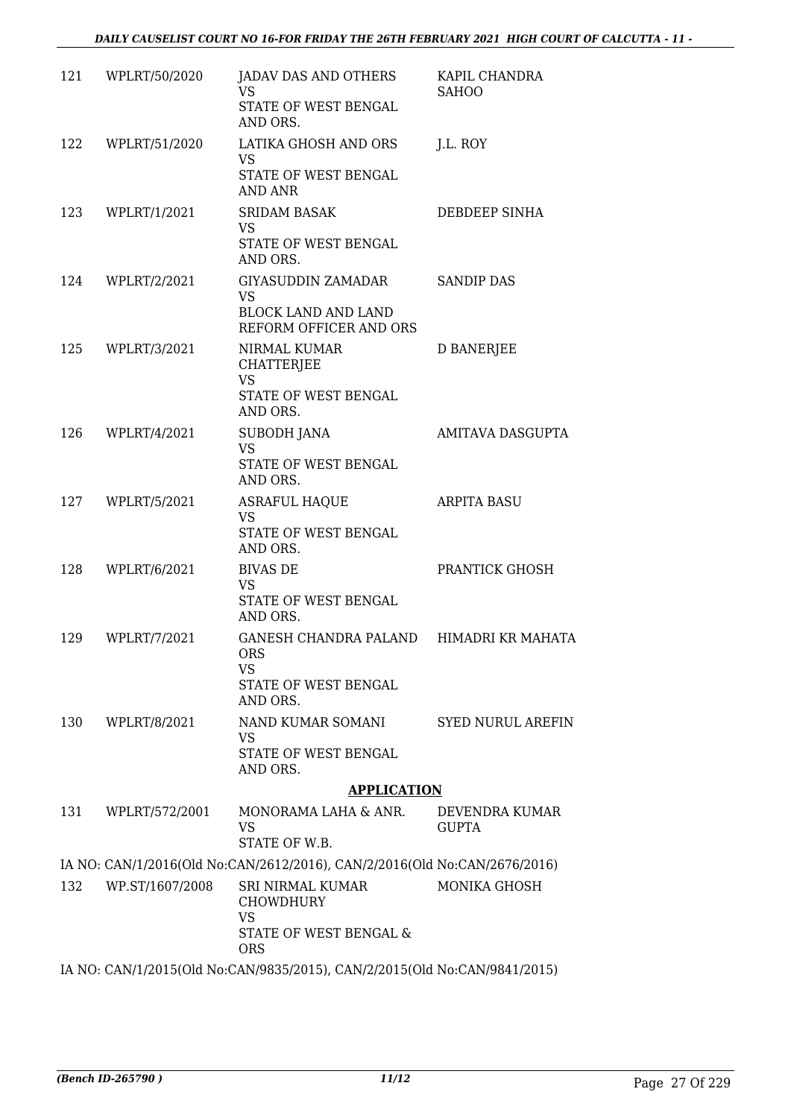| 121 | WPLRT/50/2020   | JADAV DAS AND OTHERS<br>VS                                                | KAPIL CHANDRA<br><b>SAHOO</b>  |
|-----|-----------------|---------------------------------------------------------------------------|--------------------------------|
|     |                 | STATE OF WEST BENGAL<br>AND ORS.                                          |                                |
| 122 | WPLRT/51/2020   | LATIKA GHOSH AND ORS<br>VS.                                               | J.L. ROY                       |
|     |                 | STATE OF WEST BENGAL<br>AND ANR                                           |                                |
| 123 | WPLRT/1/2021    | <b>SRIDAM BASAK</b><br><b>VS</b>                                          | DEBDEEP SINHA                  |
|     |                 | STATE OF WEST BENGAL<br>AND ORS.                                          |                                |
| 124 | WPLRT/2/2021    | GIYASUDDIN ZAMADAR<br>VS                                                  | <b>SANDIP DAS</b>              |
|     |                 | <b>BLOCK LAND AND LAND</b><br>REFORM OFFICER AND ORS                      |                                |
| 125 | WPLRT/3/2021    | NIRMAL KUMAR<br><b>CHATTERJEE</b><br><b>VS</b>                            | <b>D BANERJEE</b>              |
|     |                 | STATE OF WEST BENGAL<br>AND ORS.                                          |                                |
| 126 | WPLRT/4/2021    | <b>SUBODH JANA</b><br><b>VS</b>                                           | AMITAVA DASGUPTA               |
|     |                 | STATE OF WEST BENGAL<br>AND ORS.                                          |                                |
| 127 | WPLRT/5/2021    | <b>ASRAFUL HAQUE</b><br><b>VS</b>                                         | <b>ARPITA BASU</b>             |
|     |                 | STATE OF WEST BENGAL<br>AND ORS.                                          |                                |
| 128 | WPLRT/6/2021    | <b>BIVAS DE</b><br><b>VS</b>                                              | PRANTICK GHOSH                 |
|     |                 | STATE OF WEST BENGAL<br>AND ORS.                                          |                                |
| 129 | WPLRT/7/2021    | GANESH CHANDRA PALAND HIMADRI KR MAHATA<br>ORS<br>VS                      |                                |
|     |                 | STATE OF WEST BENGAL<br>AND ORS.                                          |                                |
| 130 | WPLRT/8/2021    | NAND KUMAR SOMANI<br>VS                                                   | SYED NURUL AREFIN              |
|     |                 | STATE OF WEST BENGAL<br>AND ORS.                                          |                                |
|     |                 | <b>APPLICATION</b>                                                        |                                |
| 131 | WPLRT/572/2001  | MONORAMA LAHA & ANR.<br>VS<br>STATE OF W.B.                               | DEVENDRA KUMAR<br><b>GUPTA</b> |
|     |                 | IA NO: CAN/1/2016(Old No:CAN/2612/2016), CAN/2/2016(Old No:CAN/2676/2016) |                                |
| 132 | WP.ST/1607/2008 | SRI NIRMAL KUMAR<br><b>CHOWDHURY</b><br><b>VS</b>                         | MONIKA GHOSH                   |
|     |                 | STATE OF WEST BENGAL &<br><b>ORS</b>                                      |                                |
|     |                 | IA NO: CAN/1/2015(Old No:CAN/9835/2015), CAN/2/2015(Old No:CAN/9841/2015) |                                |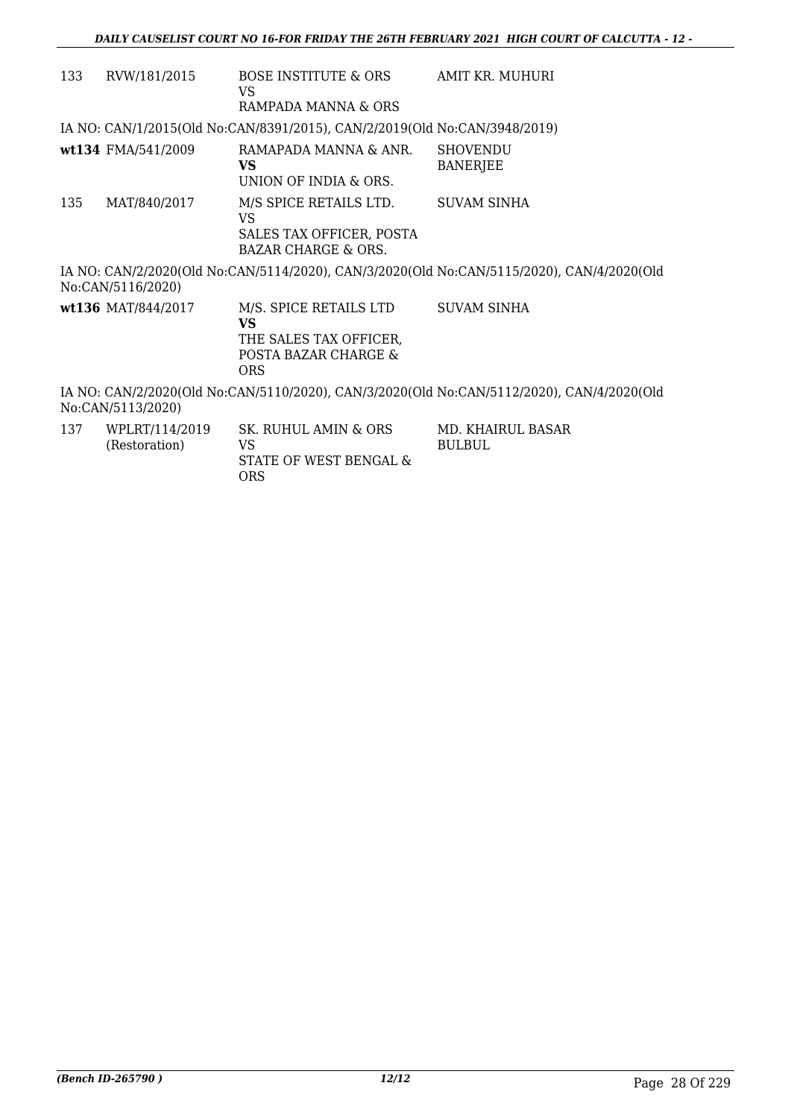| 133 | RVW/181/2015       | BOSE INSTITUTE & ORS<br>VS<br>RAMPADA MANNA & ORS                                                   | AMIT KR. MUHURI                                                                           |
|-----|--------------------|-----------------------------------------------------------------------------------------------------|-------------------------------------------------------------------------------------------|
|     |                    | IA NO: CAN/1/2015(Old No:CAN/8391/2015), CAN/2/2019(Old No:CAN/3948/2019)                           |                                                                                           |
|     | wt134 FMA/541/2009 | RAMAPADA MANNA & ANR.<br>VS<br>UNION OF INDIA & ORS.                                                | <b>SHOVENDU</b><br><b>BANERJEE</b>                                                        |
| 135 | MAT/840/2017       | M/S SPICE RETAILS LTD.<br>VS<br>SALES TAX OFFICER, POSTA<br>BAZAR CHARGE & ORS.                     | <b>SUVAM SINHA</b>                                                                        |
|     | No:CAN/5116/2020)  |                                                                                                     | IA NO: CAN/2/2020(Old No:CAN/5114/2020), CAN/3/2020(Old No:CAN/5115/2020), CAN/4/2020(Old |
|     | wt136 MAT/844/2017 | M/S. SPICE RETAILS LTD<br><b>VS</b><br>THE SALES TAX OFFICER,<br>POSTA BAZAR CHARGE &<br><b>ORS</b> | <b>SUVAM SINHA</b>                                                                        |
|     | No:CAN/5113/2020)  |                                                                                                     | IA NO: CAN/2/2020(Old No:CAN/5110/2020), CAN/3/2020(Old No:CAN/5112/2020), CAN/4/2020(Old |
| 137 | WPLRT/114/2019     | SK. RUHUL AMIN & ORS                                                                                | MD. KHAIRUL BASAR                                                                         |

| 37 | WPLR1/114/2019<br>(Restoration) | SK. RUHUL AMIN & ORS<br>VS.   | MD. KHAIR<br>BULBUL. |
|----|---------------------------------|-------------------------------|----------------------|
|    |                                 | STATE OF WEST BENGAL &<br>ORS |                      |
|    |                                 |                               |                      |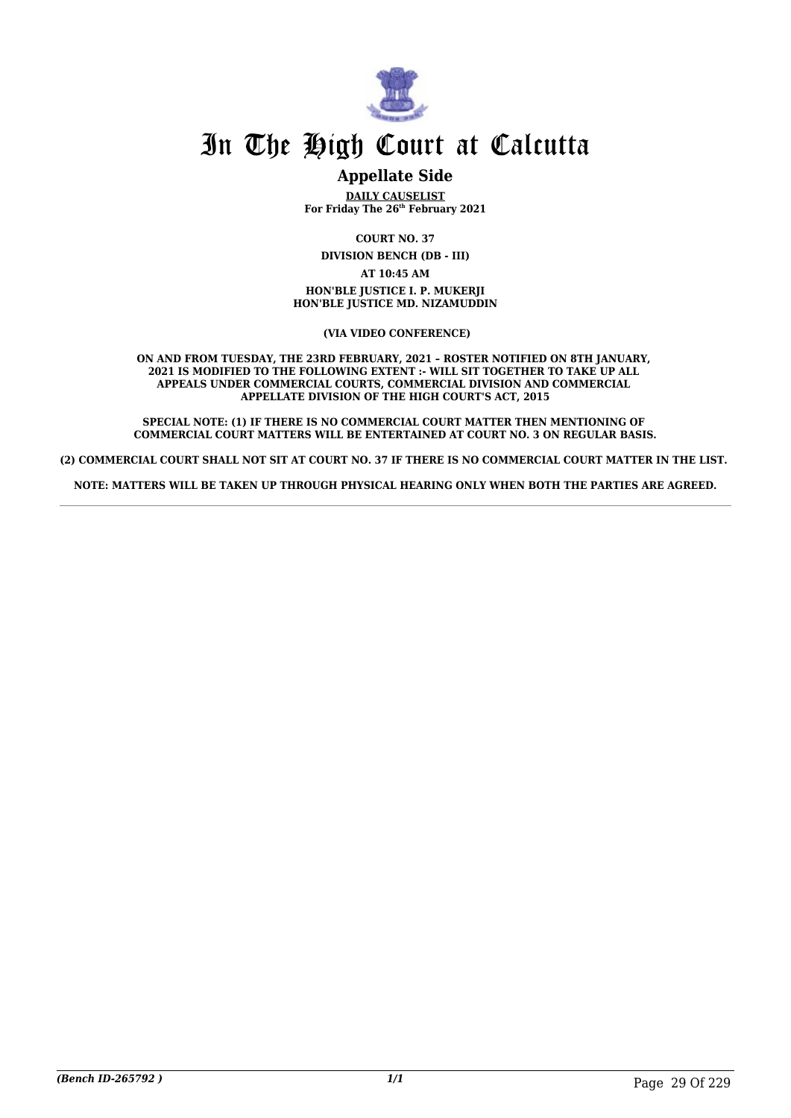

### **Appellate Side**

**DAILY CAUSELIST For Friday The 26th February 2021**

**COURT NO. 37**

**DIVISION BENCH (DB - III) AT 10:45 AM**

**HON'BLE JUSTICE I. P. MUKERJI HON'BLE JUSTICE MD. NIZAMUDDIN**

 **(VIA VIDEO CONFERENCE)**

**ON AND FROM TUESDAY, THE 23RD FEBRUARY, 2021 – ROSTER NOTIFIED ON 8TH JANUARY, 2021 IS MODIFIED TO THE FOLLOWING EXTENT :- WILL SIT TOGETHER TO TAKE UP ALL APPEALS UNDER COMMERCIAL COURTS, COMMERCIAL DIVISION AND COMMERCIAL APPELLATE DIVISION OF THE HIGH COURT'S ACT, 2015**

**SPECIAL NOTE: (1) IF THERE IS NO COMMERCIAL COURT MATTER THEN MENTIONING OF COMMERCIAL COURT MATTERS WILL BE ENTERTAINED AT COURT NO. 3 ON REGULAR BASIS.**

**(2) COMMERCIAL COURT SHALL NOT SIT AT COURT NO. 37 IF THERE IS NO COMMERCIAL COURT MATTER IN THE LIST.** 

**NOTE: MATTERS WILL BE TAKEN UP THROUGH PHYSICAL HEARING ONLY WHEN BOTH THE PARTIES ARE AGREED.**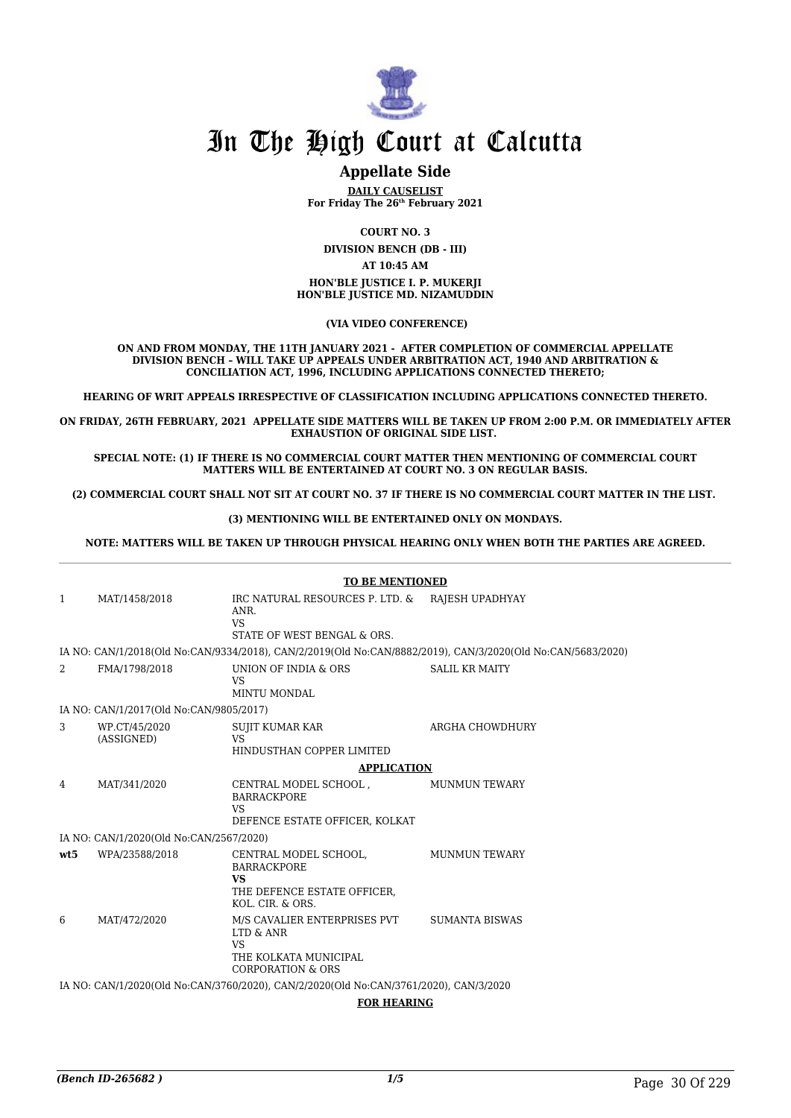

### **Appellate Side**

**DAILY CAUSELIST For Friday The 26th February 2021**

**COURT NO. 3**

**DIVISION BENCH (DB - III)**

**AT 10:45 AM**

**HON'BLE JUSTICE I. P. MUKERJI HON'BLE JUSTICE MD. NIZAMUDDIN**

#### **(VIA VIDEO CONFERENCE)**

**ON AND FROM MONDAY, THE 11TH JANUARY 2021 - AFTER COMPLETION OF COMMERCIAL APPELLATE DIVISION BENCH – WILL TAKE UP APPEALS UNDER ARBITRATION ACT, 1940 AND ARBITRATION & CONCILIATION ACT, 1996, INCLUDING APPLICATIONS CONNECTED THERETO;**

**HEARING OF WRIT APPEALS IRRESPECTIVE OF CLASSIFICATION INCLUDING APPLICATIONS CONNECTED THERETO.**

**ON FRIDAY, 26TH FEBRUARY, 2021 APPELLATE SIDE MATTERS WILL BE TAKEN UP FROM 2:00 P.M. OR IMMEDIATELY AFTER EXHAUSTION OF ORIGINAL SIDE LIST.** 

**SPECIAL NOTE: (1) IF THERE IS NO COMMERCIAL COURT MATTER THEN MENTIONING OF COMMERCIAL COURT MATTERS WILL BE ENTERTAINED AT COURT NO. 3 ON REGULAR BASIS.**

**(2) COMMERCIAL COURT SHALL NOT SIT AT COURT NO. 37 IF THERE IS NO COMMERCIAL COURT MATTER IN THE LIST.** 

**(3) MENTIONING WILL BE ENTERTAINED ONLY ON MONDAYS.**

#### **NOTE: MATTERS WILL BE TAKEN UP THROUGH PHYSICAL HEARING ONLY WHEN BOTH THE PARTIES ARE AGREED.**

|     | <b>TO BE MENTIONED</b>                                                                |                                                                                                                 |                                                                                                             |  |
|-----|---------------------------------------------------------------------------------------|-----------------------------------------------------------------------------------------------------------------|-------------------------------------------------------------------------------------------------------------|--|
| 1   | MAT/1458/2018                                                                         | IRC NATURAL RESOURCES P. LTD. & RAJESH UPADHYAY<br>ANR.<br><b>VS</b><br>STATE OF WEST BENGAL & ORS.             |                                                                                                             |  |
|     |                                                                                       |                                                                                                                 | IA NO: CAN/1/2018(Old No:CAN/9334/2018), CAN/2/2019(Old No:CAN/8882/2019), CAN/3/2020(Old No:CAN/5683/2020) |  |
| 2   | FMA/1798/2018                                                                         | UNION OF INDIA & ORS<br><b>VS</b><br><b>MINTU MONDAL</b>                                                        | <b>SALIL KR MAITY</b>                                                                                       |  |
|     | IA NO: CAN/1/2017(Old No:CAN/9805/2017)                                               |                                                                                                                 |                                                                                                             |  |
| 3   | WP.CT/45/2020<br>(ASSIGNED)                                                           | <b>SUJIT KUMAR KAR</b><br><b>VS</b><br>HINDUSTHAN COPPER LIMITED                                                | ARGHA CHOWDHURY                                                                                             |  |
|     |                                                                                       | <b>APPLICATION</b>                                                                                              |                                                                                                             |  |
| 4   | MAT/341/2020                                                                          | CENTRAL MODEL SCHOOL,<br><b>BARRACKPORE</b><br><b>VS</b><br>DEFENCE ESTATE OFFICER, KOLKAT                      | <b>MUNMUN TEWARY</b>                                                                                        |  |
|     | IA NO: CAN/1/2020(Old No:CAN/2567/2020)                                               |                                                                                                                 |                                                                                                             |  |
| wt5 | WPA/23588/2018                                                                        | CENTRAL MODEL SCHOOL,<br><b>BARRACKPORE</b><br><b>VS</b><br>THE DEFENCE ESTATE OFFICER,<br>KOL. CIR. & ORS.     | <b>MUNMUN TEWARY</b>                                                                                        |  |
| 6   | MAT/472/2020                                                                          | M/S CAVALIER ENTERPRISES PVT<br>LTD & ANR<br><b>VS</b><br>THE KOLKATA MUNICIPAL<br><b>CORPORATION &amp; ORS</b> | <b>SUMANTA BISWAS</b>                                                                                       |  |
|     | IA NO: CAN/1/2020(Old No:CAN/3760/2020), CAN/2/2020(Old No:CAN/3761/2020), CAN/3/2020 |                                                                                                                 |                                                                                                             |  |
|     | <b>FOR HEARING</b>                                                                    |                                                                                                                 |                                                                                                             |  |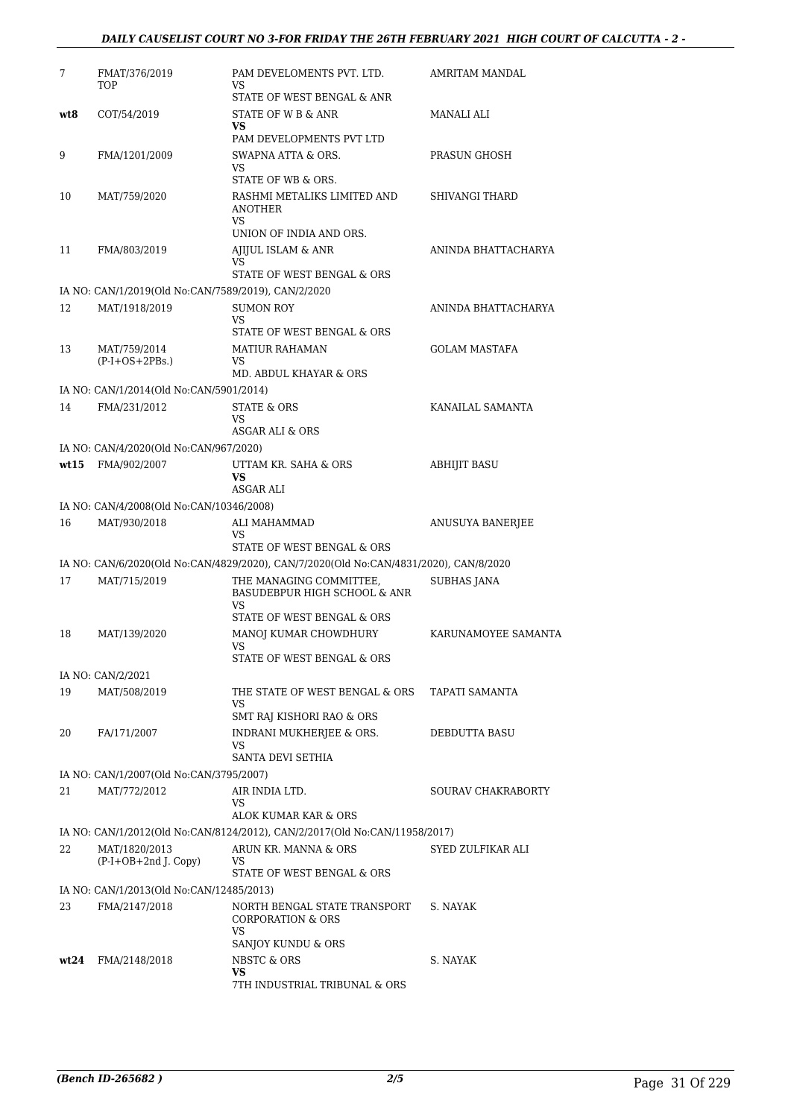| 7    | FMAT/376/2019<br>TOP                                                 | PAM DEVELOMENTS PVT. LTD.<br>VS                                                       | AMRITAM MANDAL        |
|------|----------------------------------------------------------------------|---------------------------------------------------------------------------------------|-----------------------|
| wt8  | COT/54/2019                                                          | STATE OF WEST BENGAL & ANR<br>STATE OF W B & ANR                                      | MANALI ALI            |
|      |                                                                      | <b>VS</b><br>PAM DEVELOPMENTS PVT LTD                                                 |                       |
| 9    | FMA/1201/2009                                                        | SWAPNA ATTA & ORS.<br>VS.                                                             | PRASUN GHOSH          |
|      |                                                                      | STATE OF WB & ORS.                                                                    |                       |
| 10   | MAT/759/2020                                                         | RASHMI METALIKS LIMITED AND<br><b>ANOTHER</b><br><b>VS</b>                            | <b>SHIVANGI THARD</b> |
|      |                                                                      | UNION OF INDIA AND ORS.                                                               |                       |
| 11   | FMA/803/2019                                                         | AJIJUL ISLAM & ANR<br>VS.                                                             | ANINDA BHATTACHARYA   |
|      |                                                                      | STATE OF WEST BENGAL & ORS                                                            |                       |
| 12   | IA NO: CAN/1/2019(Old No:CAN/7589/2019), CAN/2/2020<br>MAT/1918/2019 | <b>SUMON ROY</b>                                                                      | ANINDA BHATTACHARYA   |
|      |                                                                      | VS.<br>STATE OF WEST BENGAL & ORS                                                     |                       |
| 13   | MAT/759/2014                                                         | <b>MATIUR RAHAMAN</b>                                                                 | <b>GOLAM MASTAFA</b>  |
|      | $(P-I+OS+2PBs.)$                                                     | VS<br>MD. ABDUL KHAYAR & ORS                                                          |                       |
|      | IA NO: CAN/1/2014(Old No:CAN/5901/2014)                              |                                                                                       |                       |
| 14   | FMA/231/2012                                                         | STATE & ORS<br>VS                                                                     | KANAILAL SAMANTA      |
|      | IA NO: CAN/4/2020(Old No:CAN/967/2020)                               | ASGAR ALI & ORS                                                                       |                       |
| wt15 | FMA/902/2007                                                         | UTTAM KR. SAHA & ORS                                                                  | <b>ABHIJIT BASU</b>   |
|      |                                                                      | VS<br>ASGAR ALI                                                                       |                       |
|      | IA NO: CAN/4/2008(Old No:CAN/10346/2008)                             |                                                                                       |                       |
| 16   | MAT/930/2018                                                         | ALI MAHAMMAD<br>VS.                                                                   | ANUSUYA BANERJEE      |
|      |                                                                      | STATE OF WEST BENGAL & ORS                                                            |                       |
|      |                                                                      | IA NO: CAN/6/2020(Old No:CAN/4829/2020), CAN/7/2020(Old No:CAN/4831/2020), CAN/8/2020 |                       |
| 17   | MAT/715/2019                                                         | THE MANAGING COMMITTEE,<br><b>BASUDEBPUR HIGH SCHOOL &amp; ANR</b><br>VS              | <b>SUBHAS JANA</b>    |
|      |                                                                      | STATE OF WEST BENGAL & ORS                                                            |                       |
| 18   | MAT/139/2020                                                         | MANOJ KUMAR CHOWDHURY<br>VS<br>STATE OF WEST BENGAL & ORS                             | KARUNAMOYEE SAMANTA   |
|      | IA NO: CAN/2/2021                                                    |                                                                                       |                       |
| 19   | MAT/508/2019                                                         | THE STATE OF WEST BENGAL & ORS<br>VS                                                  | TAPATI SAMANTA        |
|      |                                                                      | SMT RAJ KISHORI RAO & ORS                                                             |                       |
| 20   | FA/171/2007                                                          | INDRANI MUKHERJEE & ORS.<br>VS<br>SANTA DEVI SETHIA                                   | DEBDUTTA BASU         |
|      | IA NO: CAN/1/2007(Old No:CAN/3795/2007)                              |                                                                                       |                       |
| 21   | MAT/772/2012                                                         | AIR INDIA LTD.                                                                        | SOURAV CHAKRABORTY    |
|      |                                                                      | VS<br>ALOK KUMAR KAR & ORS                                                            |                       |
|      |                                                                      | IA NO: CAN/1/2012(Old No:CAN/8124/2012), CAN/2/2017(Old No:CAN/11958/2017)            |                       |
| 22   | MAT/1820/2013<br>$(P-I+OB+2nd J. Copy)$                              | ARUN KR. MANNA & ORS<br>VS                                                            | SYED ZULFIKAR ALI     |
|      |                                                                      | STATE OF WEST BENGAL & ORS                                                            |                       |
| 23   | IA NO: CAN/1/2013(Old No:CAN/12485/2013)<br>FMA/2147/2018            | NORTH BENGAL STATE TRANSPORT                                                          | S. NAYAK              |
|      |                                                                      | CORPORATION & ORS<br>VS.                                                              |                       |
|      |                                                                      | SANJOY KUNDU & ORS                                                                    |                       |
| wt24 | FMA/2148/2018                                                        | NBSTC & ORS<br>VS<br>7TH INDUSTRIAL TRIBUNAL & ORS                                    | S. NAYAK              |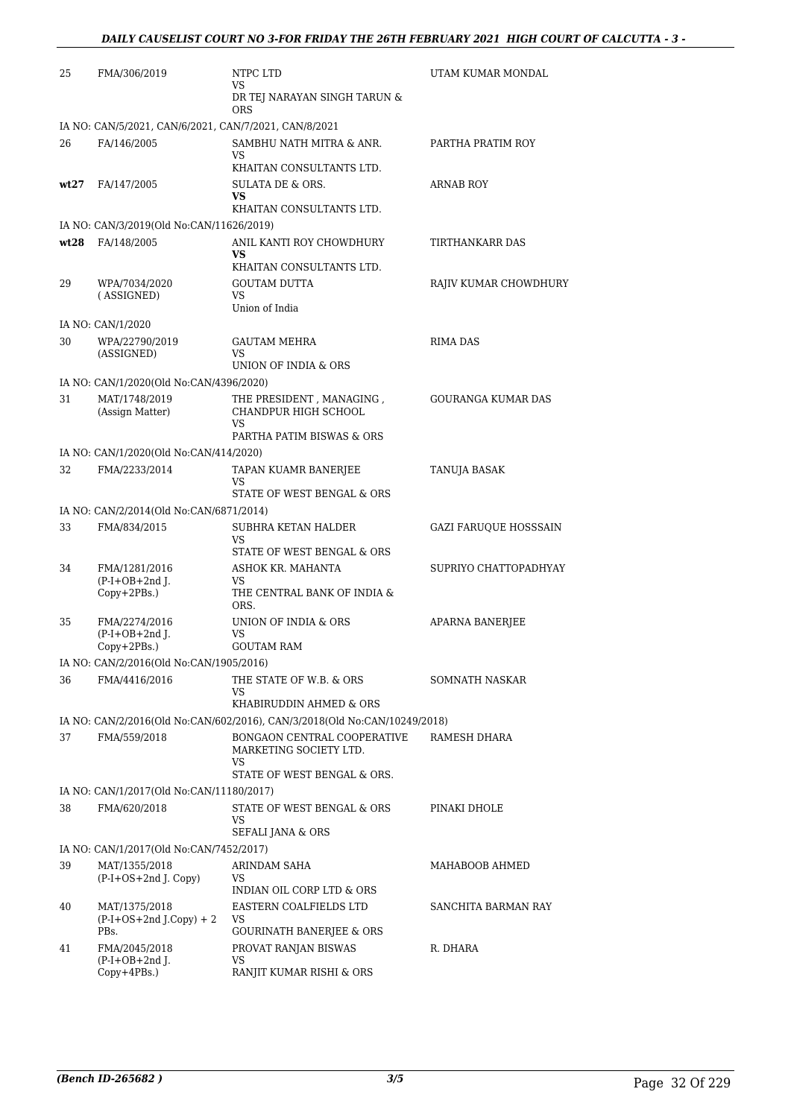| 25   | FMA/306/2019                                          | NTPC LTD<br>VS                                                            | UTAM KUMAR MONDAL         |
|------|-------------------------------------------------------|---------------------------------------------------------------------------|---------------------------|
|      |                                                       | DR TEJ NARAYAN SINGH TARUN &<br>ORS                                       |                           |
|      | IA NO: CAN/5/2021, CAN/6/2021, CAN/7/2021, CAN/8/2021 |                                                                           |                           |
| 26   | FA/146/2005                                           | SAMBHU NATH MITRA & ANR.                                                  | PARTHA PRATIM ROY         |
|      |                                                       | VS<br>KHAITAN CONSULTANTS LTD.                                            |                           |
| wt27 | FA/147/2005                                           | SULATA DE & ORS.<br>VS                                                    | <b>ARNAB ROY</b>          |
|      |                                                       | KHAITAN CONSULTANTS LTD.                                                  |                           |
|      | IA NO: CAN/3/2019(Old No:CAN/11626/2019)              |                                                                           |                           |
| wt28 | FA/148/2005                                           | ANIL KANTI ROY CHOWDHURY<br>VS                                            | TIRTHANKARR DAS           |
|      |                                                       | KHAITAN CONSULTANTS LTD.                                                  |                           |
| 29   | WPA/7034/2020                                         | <b>GOUTAM DUTTA</b><br>VS                                                 | RAJIV KUMAR CHOWDHURY     |
|      | (ASSIGNED)                                            | Union of India                                                            |                           |
|      | IA NO: CAN/1/2020                                     |                                                                           |                           |
| 30   | WPA/22790/2019<br>(ASSIGNED)                          | <b>GAUTAM MEHRA</b><br>VS                                                 | <b>RIMA DAS</b>           |
|      |                                                       | UNION OF INDIA & ORS                                                      |                           |
|      | IA NO: CAN/1/2020(Old No:CAN/4396/2020)               |                                                                           |                           |
| 31   | MAT/1748/2019<br>(Assign Matter)                      | THE PRESIDENT, MANAGING,<br>CHANDPUR HIGH SCHOOL<br>VS                    | <b>GOURANGA KUMAR DAS</b> |
|      |                                                       | PARTHA PATIM BISWAS & ORS                                                 |                           |
|      | IA NO: CAN/1/2020(Old No:CAN/414/2020)                |                                                                           |                           |
| 32   | FMA/2233/2014                                         | TAPAN KUAMR BANERJEE                                                      | TANUJA BASAK              |
|      |                                                       | VS<br>STATE OF WEST BENGAL & ORS                                          |                           |
|      | IA NO: CAN/2/2014(Old No:CAN/6871/2014)               |                                                                           |                           |
| 33   | FMA/834/2015                                          | SUBHRA KETAN HALDER                                                       | GAZI FARUQUE HOSSSAIN     |
|      |                                                       | VS                                                                        |                           |
|      |                                                       | STATE OF WEST BENGAL & ORS                                                |                           |
| 34   | FMA/1281/2016<br>$(P-I+OB+2nd$ ].                     | ASHOK KR. MAHANTA<br>VS                                                   | SUPRIYO CHATTOPADHYAY     |
|      | Copy+2PBs.)                                           | THE CENTRAL BANK OF INDIA &<br>ORS.                                       |                           |
| 35   | FMA/2274/2016                                         | UNION OF INDIA & ORS                                                      | APARNA BANERJEE           |
|      | $(P-I+OB+2nd J.$<br>$Copy+2PBs.$ )                    | VS<br><b>GOUTAM RAM</b>                                                   |                           |
|      | IA NO: CAN/2/2016(Old No:CAN/1905/2016)               |                                                                           |                           |
| 36   | FMA/4416/2016                                         | THE STATE OF W.B. & ORS                                                   | SOMNATH NASKAR            |
|      |                                                       | VS<br>KHABIRUDDIN AHMED & ORS                                             |                           |
|      |                                                       | IA NO: CAN/2/2016(Old No:CAN/602/2016), CAN/3/2018(Old No:CAN/10249/2018) |                           |
| 37   | FMA/559/2018                                          | BONGAON CENTRAL COOPERATIVE                                               | RAMESH DHARA              |
|      |                                                       | MARKETING SOCIETY LTD.<br>VS                                              |                           |
|      |                                                       | STATE OF WEST BENGAL & ORS.                                               |                           |
|      | IA NO: CAN/1/2017(Old No:CAN/11180/2017)              |                                                                           |                           |
| 38   | FMA/620/2018                                          | STATE OF WEST BENGAL & ORS<br>VS<br>SEFALI JANA & ORS                     | PINAKI DHOLE              |
|      | IA NO: CAN/1/2017(Old No:CAN/7452/2017)               |                                                                           |                           |
| 39   | MAT/1355/2018                                         | ARINDAM SAHA                                                              | MAHABOOB AHMED            |
|      | $(P-I+OS+2nd J. Copy)$                                | VS<br>INDIAN OIL CORP LTD & ORS                                           |                           |
| 40   | MAT/1375/2018                                         | EASTERN COALFIELDS LTD                                                    | SANCHITA BARMAN RAY       |
|      | $(P-I+OS+2nd J.Copy) + 2$                             | VS                                                                        |                           |
|      | PBs.                                                  | <b>GOURINATH BANERJEE &amp; ORS</b>                                       |                           |
| 41   | FMA/2045/2018<br>$(P-I+OB+2nd$ ].                     | PROVAT RANJAN BISWAS<br>VS                                                | R. DHARA                  |
|      | Copy+4PBs.)                                           | RANJIT KUMAR RISHI & ORS                                                  |                           |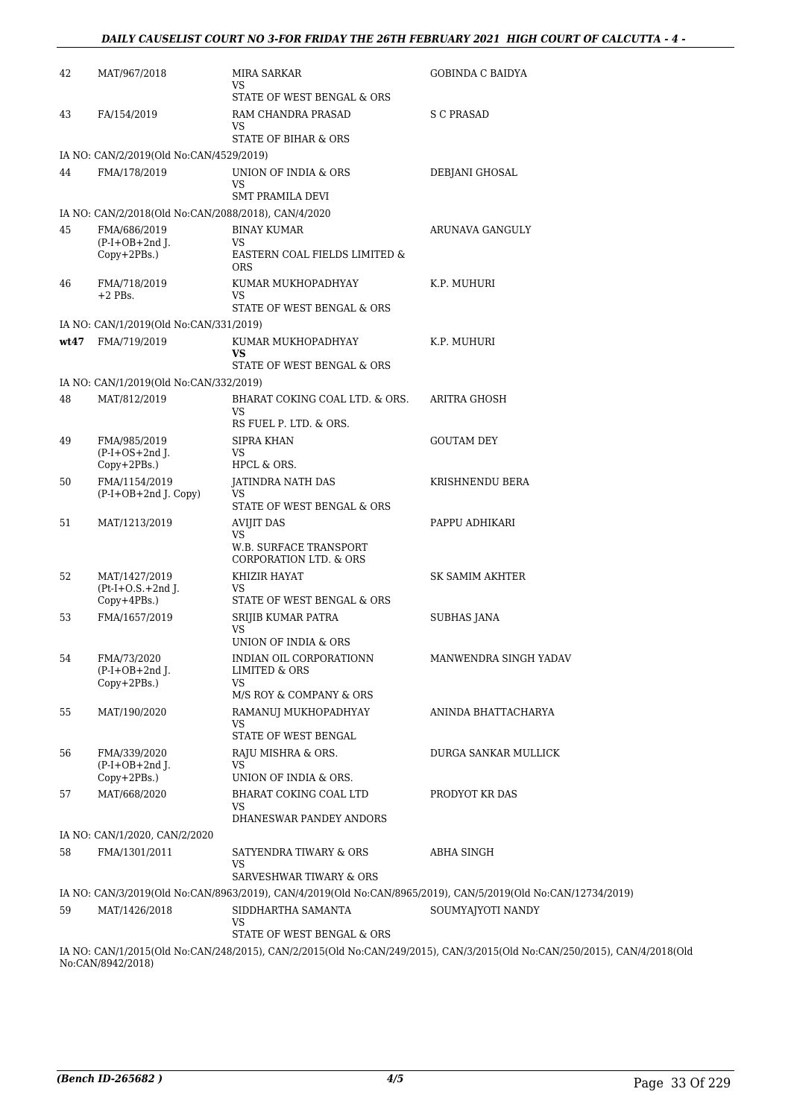| 42   | MAT/967/2018                                        | MIRA SARKAR<br>VS<br>STATE OF WEST BENGAL & ORS                   | GOBINDA C BAIDYA                                                                                             |
|------|-----------------------------------------------------|-------------------------------------------------------------------|--------------------------------------------------------------------------------------------------------------|
| 43   | FA/154/2019                                         | RAM CHANDRA PRASAD<br>VS<br>STATE OF BIHAR & ORS                  | <b>S C PRASAD</b>                                                                                            |
|      | IA NO: CAN/2/2019(Old No:CAN/4529/2019)             |                                                                   |                                                                                                              |
| 44   | FMA/178/2019                                        | UNION OF INDIA & ORS<br>VS<br><b>SMT PRAMILA DEVI</b>             | DEBJANI GHOSAL                                                                                               |
|      | IA NO: CAN/2/2018(Old No:CAN/2088/2018), CAN/4/2020 |                                                                   |                                                                                                              |
| 45   | FMA/686/2019                                        | <b>BINAY KUMAR</b>                                                | ARUNAVA GANGULY                                                                                              |
|      | $(P-I+OB+2nd J.$<br>Copy+2PBs.)                     | VS.<br>EASTERN COAL FIELDS LIMITED &<br><b>ORS</b>                |                                                                                                              |
| 46   | FMA/718/2019<br>$+2$ PBs.                           | KUMAR MUKHOPADHYAY<br>VS<br>STATE OF WEST BENGAL & ORS            | K.P. MUHURI                                                                                                  |
|      | IA NO: CAN/1/2019(Old No:CAN/331/2019)              |                                                                   |                                                                                                              |
| wt47 | FMA/719/2019                                        | KUMAR MUKHOPADHYAY<br>VS                                          | K.P. MUHURI                                                                                                  |
|      | IA NO: CAN/1/2019(Old No:CAN/332/2019)              | STATE OF WEST BENGAL & ORS                                        |                                                                                                              |
| 48   | MAT/812/2019                                        | BHARAT COKING COAL LTD. & ORS.<br>VS                              | <b>ARITRA GHOSH</b>                                                                                          |
|      |                                                     | RS FUEL P. LTD. & ORS.                                            |                                                                                                              |
| 49   | FMA/985/2019<br>$(P-I+OS+2nd$ J.<br>Copy+2PBs.)     | <b>SIPRA KHAN</b><br>VS<br>HPCL & ORS.                            | <b>GOUTAM DEY</b>                                                                                            |
| 50   | FMA/1154/2019<br>$(P-I+OB+2nd J. Copy)$             | <b>JATINDRA NATH DAS</b><br>VS<br>STATE OF WEST BENGAL & ORS      | KRISHNENDU BERA                                                                                              |
| 51   | MAT/1213/2019                                       | <b>AVIJIT DAS</b>                                                 | PAPPU ADHIKARI                                                                                               |
|      |                                                     | VS<br>W.B. SURFACE TRANSPORT<br><b>CORPORATION LTD. &amp; ORS</b> |                                                                                                              |
| 52   | MAT/1427/2019<br>$(Pt-I+O.S.+2ndJ.$<br>Copy+4PBs.)  | KHIZIR HAYAT<br>VS<br>STATE OF WEST BENGAL & ORS                  | SK SAMIM AKHTER                                                                                              |
| 53   | FMA/1657/2019                                       | SRIJIB KUMAR PATRA                                                | SUBHAS JANA                                                                                                  |
|      |                                                     | VS<br>UNION OF INDIA & ORS                                        |                                                                                                              |
| 54   | FMA/73/2020<br>$(P-I+OB+2nd$ ].<br>Copy+2PBs.)      | INDIAN OIL CORPORATIONN<br><b>LIMITED &amp; ORS</b><br>VS.        | MANWENDRA SINGH YADAV                                                                                        |
|      |                                                     | M/S ROY & COMPANY & ORS                                           |                                                                                                              |
| 55   | MAT/190/2020                                        | RAMANUJ MUKHOPADHYAY<br>VS.                                       | ANINDA BHATTACHARYA                                                                                          |
|      |                                                     | STATE OF WEST BENGAL                                              |                                                                                                              |
| 56   | FMA/339/2020<br>$(P-I+OB+2nd$ J.                    | RAJU MISHRA & ORS.<br>VS                                          | DURGA SANKAR MULLICK                                                                                         |
|      | Copy+2PBs.)                                         | UNION OF INDIA & ORS.                                             |                                                                                                              |
| 57   | MAT/668/2020                                        | BHARAT COKING COAL LTD<br>VS<br>DHANESWAR PANDEY ANDORS           | PRODYOT KR DAS                                                                                               |
|      | IA NO: CAN/1/2020, CAN/2/2020                       |                                                                   |                                                                                                              |
| 58   | FMA/1301/2011                                       | SATYENDRA TIWARY & ORS<br>VS                                      | ABHA SINGH                                                                                                   |
|      |                                                     | SARVESHWAR TIWARY & ORS                                           | IA NO: CAN/3/2019(Old No:CAN/8963/2019), CAN/4/2019(Old No:CAN/8965/2019), CAN/5/2019(Old No:CAN/12734/2019) |
| 59   | MAT/1426/2018                                       | SIDDHARTHA SAMANTA<br>VS                                          | SOUMYAJYOTI NANDY                                                                                            |
|      | 0.13703101004                                       | STATE OF WEST BENGAL & ORS                                        | 0.117010100152011700001501117                                                                                |

IA NO: CAN/1/2015(Old No:CAN/248/2015), CAN/2/2015(Old No:CAN/249/2015), CAN/3/2015(Old No:CAN/250/2015), CAN/4/2018(Old No:CAN/8942/2018)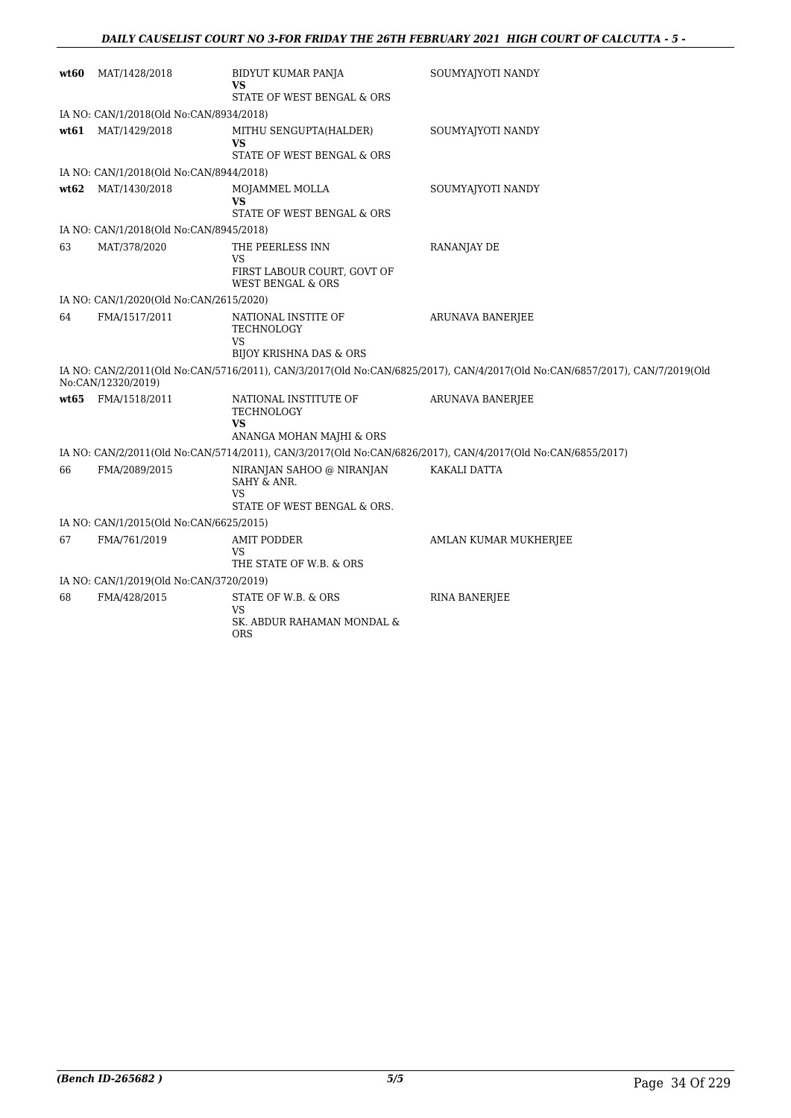| wt60 | MAT/1428/2018                                                      | BIDYUT KUMAR PANJA                                                            | SOUMYAJYOTI NANDY                                                                                                           |  |  |  |
|------|--------------------------------------------------------------------|-------------------------------------------------------------------------------|-----------------------------------------------------------------------------------------------------------------------------|--|--|--|
|      |                                                                    | VS                                                                            |                                                                                                                             |  |  |  |
|      |                                                                    | STATE OF WEST BENGAL & ORS                                                    |                                                                                                                             |  |  |  |
| wt61 | IA NO: CAN/1/2018(Old No:CAN/8934/2018)                            |                                                                               |                                                                                                                             |  |  |  |
|      | MAT/1429/2018                                                      | MITHU SENGUPTA(HALDER)<br>VS                                                  | SOUMYAJYOTI NANDY                                                                                                           |  |  |  |
|      |                                                                    | STATE OF WEST BENGAL & ORS                                                    |                                                                                                                             |  |  |  |
|      | IA NO: CAN/1/2018(Old No:CAN/8944/2018)                            |                                                                               |                                                                                                                             |  |  |  |
| wt62 | MAT/1430/2018                                                      | MOJAMMEL MOLLA<br>VS<br>STATE OF WEST BENGAL & ORS                            | SOUMYAJYOTI NANDY                                                                                                           |  |  |  |
|      | IA NO: CAN/1/2018(Old No:CAN/8945/2018)                            |                                                                               |                                                                                                                             |  |  |  |
| 63   | MAT/378/2020                                                       | THE PEERLESS INN                                                              | RANANJAY DE                                                                                                                 |  |  |  |
|      |                                                                    | VS                                                                            |                                                                                                                             |  |  |  |
|      |                                                                    | FIRST LABOUR COURT, GOVT OF<br><b>WEST BENGAL &amp; ORS</b>                   |                                                                                                                             |  |  |  |
|      | IA NO: CAN/1/2020(Old No:CAN/2615/2020)                            |                                                                               |                                                                                                                             |  |  |  |
| 64   | FMA/1517/2011                                                      | NATIONAL INSTITE OF<br>TECHNOLOGY<br>VS<br><b>BIJOY KRISHNA DAS &amp; ORS</b> | <b>ARUNAVA BANERJEE</b>                                                                                                     |  |  |  |
|      | No:CAN/12320/2019)                                                 |                                                                               | IA NO: CAN/2/2011(Old No:CAN/5716/2011), CAN/3/2017(Old No:CAN/6825/2017), CAN/4/2017(Old No:CAN/6857/2017), CAN/7/2019(Old |  |  |  |
| wt65 | FMA/1518/2011                                                      | NATIONAL INSTITUTE OF                                                         | <b>ARUNAVA BANERJEE</b>                                                                                                     |  |  |  |
|      |                                                                    | TECHNOLOGY                                                                    |                                                                                                                             |  |  |  |
|      |                                                                    | <b>VS</b><br>ANANGA MOHAN MAJHI & ORS                                         |                                                                                                                             |  |  |  |
|      |                                                                    |                                                                               | IA NO: CAN/2/2011(Old No:CAN/5714/2011), CAN/3/2017(Old No:CAN/6826/2017), CAN/4/2017(Old No:CAN/6855/2017)                 |  |  |  |
| 66   | FMA/2089/2015                                                      | NIRANJAN SAHOO @ NIRANJAN                                                     | KAKALI DATTA                                                                                                                |  |  |  |
|      |                                                                    | SAHY & ANR.<br>VS                                                             |                                                                                                                             |  |  |  |
|      |                                                                    | STATE OF WEST BENGAL & ORS.                                                   |                                                                                                                             |  |  |  |
|      | IA NO: CAN/1/2015(Old No:CAN/6625/2015)                            |                                                                               |                                                                                                                             |  |  |  |
| 67   | FMA/761/2019                                                       | <b>AMIT PODDER</b>                                                            | AMLAN KUMAR MUKHERJEE                                                                                                       |  |  |  |
|      |                                                                    | VS                                                                            |                                                                                                                             |  |  |  |
|      | THE STATE OF W.B. & ORS<br>IA NO: CAN/1/2019(Old No:CAN/3720/2019) |                                                                               |                                                                                                                             |  |  |  |
| 68   | FMA/428/2015                                                       |                                                                               |                                                                                                                             |  |  |  |
|      |                                                                    | STATE OF W.B. & ORS<br>VS<br>SK. ABDUR RAHAMAN MONDAL &<br><b>ORS</b>         | <b>RINA BANERJEE</b>                                                                                                        |  |  |  |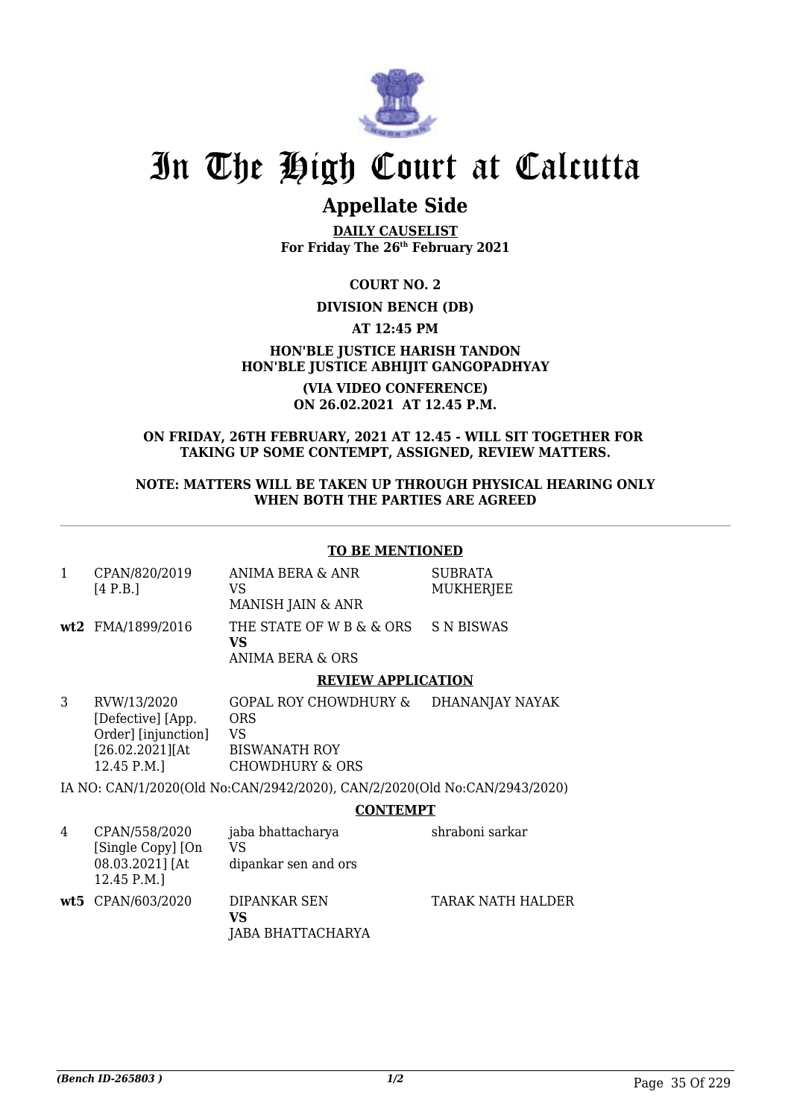

## **Appellate Side**

**DAILY CAUSELIST For Friday The 26th February 2021**

**COURT NO. 2**

## **DIVISION BENCH (DB)**

**AT 12:45 PM**

**HON'BLE JUSTICE HARISH TANDON HON'BLE JUSTICE ABHIJIT GANGOPADHYAY**

> **(VIA VIDEO CONFERENCE) ON 26.02.2021 AT 12.45 P.M.**

## **ON FRIDAY, 26TH FEBRUARY, 2021 AT 12.45 - WILL SIT TOGETHER FOR TAKING UP SOME CONTEMPT, ASSIGNED, REVIEW MATTERS.**

## **NOTE: MATTERS WILL BE TAKEN UP THROUGH PHYSICAL HEARING ONLY WHEN BOTH THE PARTIES ARE AGREED**

## **TO BE MENTIONED**

| CPAN/820/2019 | ANIMA BERA & ANR  | SUBRATA   |
|---------------|-------------------|-----------|
| [4 P.B.]      | VS.               | MUKHERJEE |
|               | MANISH JAIN & ANR |           |

**wt2** FMA/1899/2016 THE STATE OF W B & & ORS **VS** ANIMA BERA & ORS S N BISWAS

### **REVIEW APPLICATION**

3 RVW/13/2020 [Defective] [App. Order] [injunction] [26.02.2021][At 12.45 P.M.] GOPAL ROY CHOWDHURY & DHANANJAY NAYAK ORS VS BISWANATH ROY CHOWDHURY & ORS

IA NO: CAN/1/2020(Old No:CAN/2942/2020), CAN/2/2020(Old No:CAN/2943/2020)

### **CONTEMPT**

| 4 | CPAN/558/2020<br>[Single Copy] [On<br>08.03.2021] [At<br>12.45 P.M. | jaba bhattacharya<br>VS<br>dipankar sen and ors | shraboni sarkar   |
|---|---------------------------------------------------------------------|-------------------------------------------------|-------------------|
|   | wt5 CPAN/603/2020                                                   | DIPANKAR SEN<br>VS<br>JABA BHATTACHARYA         | TARAK NATH HALDER |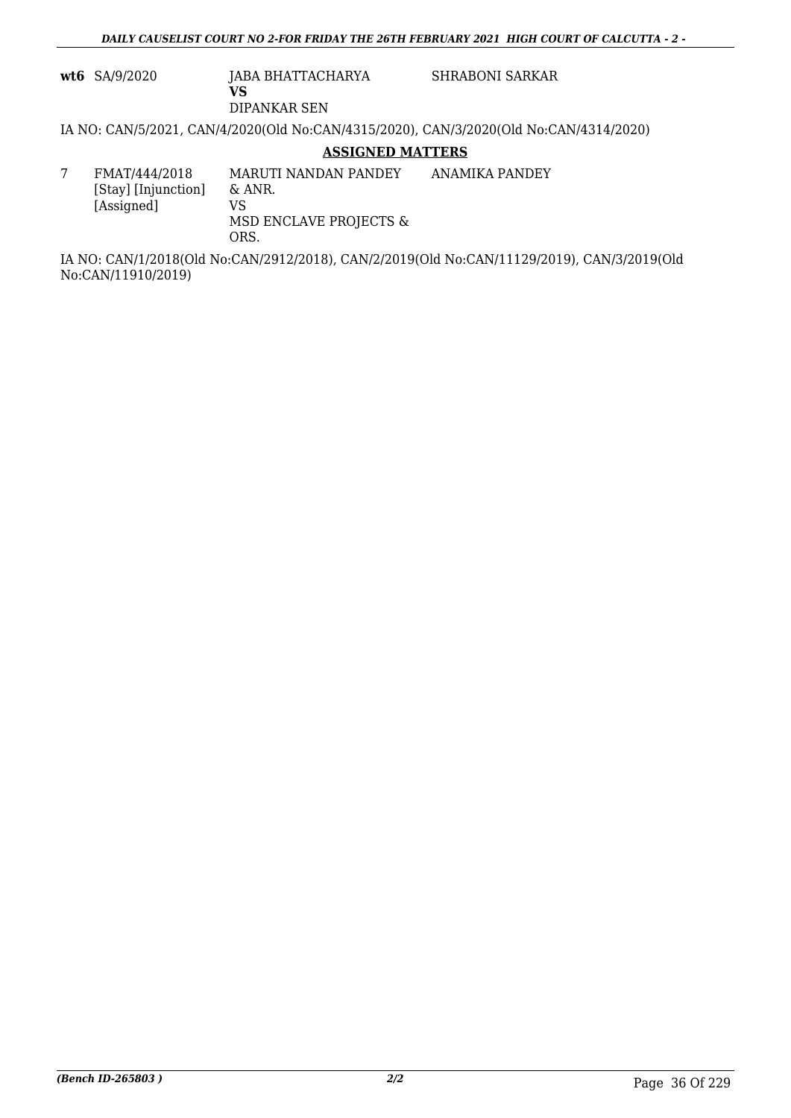**wt6** SA/9/2020 JABA BHATTACHARYA

SHRABONI SARKAR

DIPANKAR SEN

**VS**

IA NO: CAN/5/2021, CAN/4/2020(Old No:CAN/4315/2020), CAN/3/2020(Old No:CAN/4314/2020)

**ASSIGNED MATTERS**

|  |  | FMAT/444/2018<br>[Stay] [Injunction]<br>[Assigned] | MARUTI NANDAN PANDEY<br>& ANR.<br>VS<br>MSD ENCLAVE PROJECTS &<br>ORS. | ANAMIKA PANDEY |
|--|--|----------------------------------------------------|------------------------------------------------------------------------|----------------|
|--|--|----------------------------------------------------|------------------------------------------------------------------------|----------------|

IA NO: CAN/1/2018(Old No:CAN/2912/2018), CAN/2/2019(Old No:CAN/11129/2019), CAN/3/2019(Old No:CAN/11910/2019)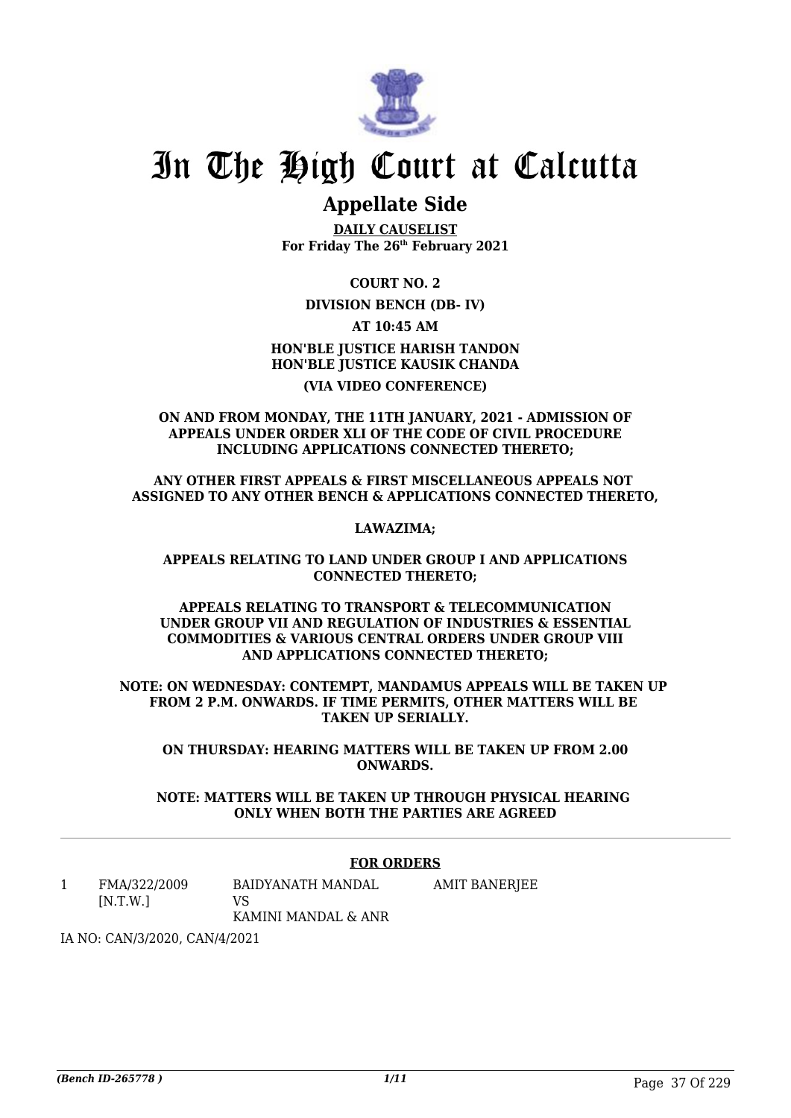

## **Appellate Side**

**DAILY CAUSELIST For Friday The 26th February 2021**

**COURT NO. 2**

## **DIVISION BENCH (DB- IV)**

**AT 10:45 AM**

**HON'BLE JUSTICE HARISH TANDON HON'BLE JUSTICE KAUSIK CHANDA (VIA VIDEO CONFERENCE)**

**ON AND FROM MONDAY, THE 11TH JANUARY, 2021 - ADMISSION OF APPEALS UNDER ORDER XLI OF THE CODE OF CIVIL PROCEDURE INCLUDING APPLICATIONS CONNECTED THERETO;**

**ANY OTHER FIRST APPEALS & FIRST MISCELLANEOUS APPEALS NOT ASSIGNED TO ANY OTHER BENCH & APPLICATIONS CONNECTED THERETO,**

**LAWAZIMA;**

**APPEALS RELATING TO LAND UNDER GROUP I AND APPLICATIONS CONNECTED THERETO;**

**APPEALS RELATING TO TRANSPORT & TELECOMMUNICATION UNDER GROUP VII AND REGULATION OF INDUSTRIES & ESSENTIAL COMMODITIES & VARIOUS CENTRAL ORDERS UNDER GROUP VIII AND APPLICATIONS CONNECTED THERETO;**

**NOTE: ON WEDNESDAY: CONTEMPT, MANDAMUS APPEALS WILL BE TAKEN UP FROM 2 P.M. ONWARDS. IF TIME PERMITS, OTHER MATTERS WILL BE TAKEN UP SERIALLY.**

**ON THURSDAY: HEARING MATTERS WILL BE TAKEN UP FROM 2.00 ONWARDS.**

**NOTE: MATTERS WILL BE TAKEN UP THROUGH PHYSICAL HEARING ONLY WHEN BOTH THE PARTIES ARE AGREED**

### **FOR ORDERS**

1 FMA/322/2009 [N.T.W.] BAIDYANATH MANDAL VS KAMINI MANDAL & ANR AMIT BANERJEE

IA NO: CAN/3/2020, CAN/4/2021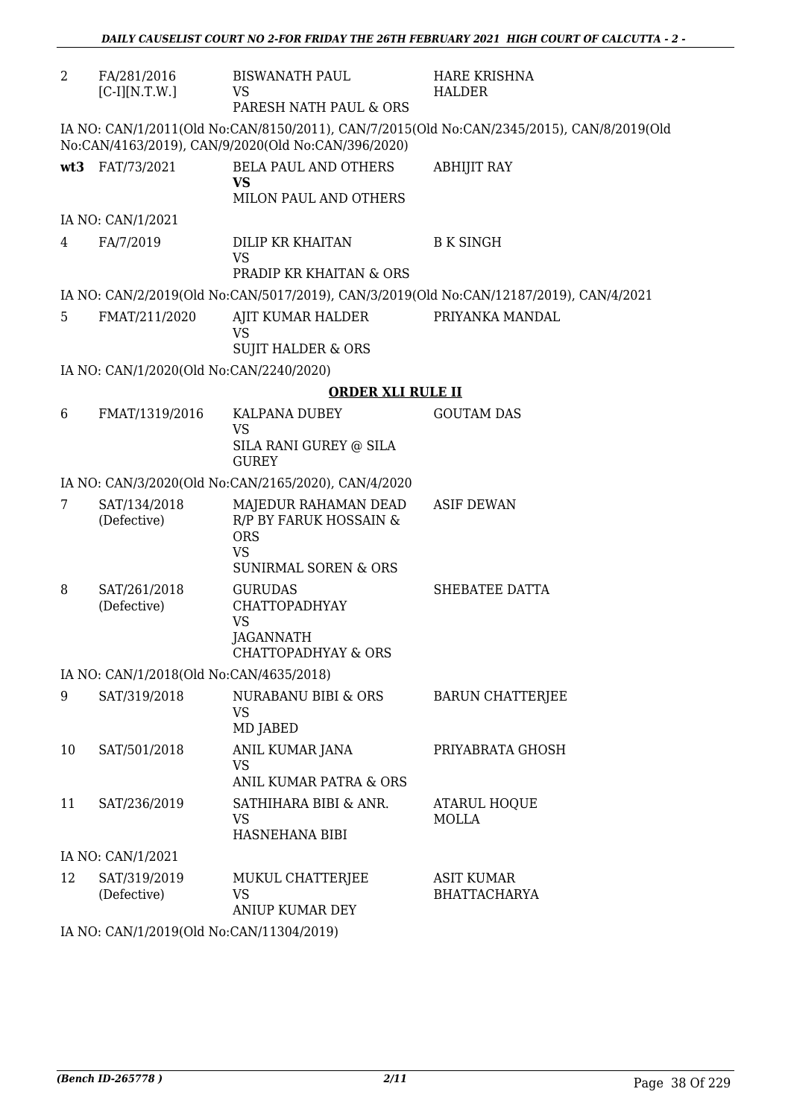| 2  | FA/281/2016<br>$[C-I][N.T.W.]$          | <b>BISWANATH PAUL</b><br>VS.<br>PARESH NATH PAUL & ORS                                                       | <b>HARE KRISHNA</b><br><b>HALDER</b>                                                      |
|----|-----------------------------------------|--------------------------------------------------------------------------------------------------------------|-------------------------------------------------------------------------------------------|
|    |                                         | No:CAN/4163/2019), CAN/9/2020(Old No:CAN/396/2020)                                                           | IA NO: CAN/1/2011(Old No:CAN/8150/2011), CAN/7/2015(Old No:CAN/2345/2015), CAN/8/2019(Old |
|    | wt3 FAT/73/2021                         | <b>BELA PAUL AND OTHERS</b><br>VS                                                                            | <b>ABHIJIT RAY</b>                                                                        |
|    |                                         | MILON PAUL AND OTHERS                                                                                        |                                                                                           |
|    | IA NO: CAN/1/2021                       |                                                                                                              |                                                                                           |
| 4  | FA/7/2019                               | <b>DILIP KR KHAITAN</b><br><b>VS</b><br>PRADIP KR KHAITAN & ORS                                              | <b>B K SINGH</b>                                                                          |
|    |                                         |                                                                                                              |                                                                                           |
|    |                                         |                                                                                                              | IA NO: CAN/2/2019(Old No:CAN/5017/2019), CAN/3/2019(Old No:CAN/12187/2019), CAN/4/2021    |
| 5  | FMAT/211/2020                           | AJIT KUMAR HALDER<br>VS                                                                                      | PRIYANKA MANDAL                                                                           |
|    |                                         | <b>SUJIT HALDER &amp; ORS</b>                                                                                |                                                                                           |
|    | IA NO: CAN/1/2020(Old No:CAN/2240/2020) |                                                                                                              |                                                                                           |
|    |                                         | <b>ORDER XLI RULE II</b>                                                                                     |                                                                                           |
| 6  | FMAT/1319/2016                          | <b>KALPANA DUBEY</b><br><b>VS</b><br>SILA RANI GUREY @ SILA<br><b>GUREY</b>                                  | <b>GOUTAM DAS</b>                                                                         |
|    |                                         | IA NO: CAN/3/2020(Old No:CAN/2165/2020), CAN/4/2020                                                          |                                                                                           |
| 7  | SAT/134/2018<br>(Defective)             | MAJEDUR RAHAMAN DEAD<br>R/P BY FARUK HOSSAIN &<br><b>ORS</b><br><b>VS</b><br><b>SUNIRMAL SOREN &amp; ORS</b> | <b>ASIF DEWAN</b>                                                                         |
| 8  | SAT/261/2018<br>(Defective)             | <b>GURUDAS</b><br><b>CHATTOPADHYAY</b><br><b>VS</b><br>JAGANNATH<br>CHATTOPADHYAY & ORS                      | SHEBATEE DATTA                                                                            |
|    | IA NO: CAN/1/2018(Old No:CAN/4635/2018) |                                                                                                              |                                                                                           |
| 9  | SAT/319/2018                            | NURABANU BIBI & ORS<br><b>VS</b><br>MD JABED                                                                 | <b>BARUN CHATTERJEE</b>                                                                   |
| 10 | SAT/501/2018                            | ANIL KUMAR JANA<br><b>VS</b><br><b>ANIL KUMAR PATRA &amp; ORS</b>                                            | PRIYABRATA GHOSH                                                                          |
| 11 | SAT/236/2019                            | SATHIHARA BIBI & ANR.<br>VS<br>HASNEHANA BIBI                                                                | <b>ATARUL HOQUE</b><br><b>MOLLA</b>                                                       |
|    | IA NO: CAN/1/2021                       |                                                                                                              |                                                                                           |
| 12 | SAT/319/2019<br>(Defective)             | MUKUL CHATTERJEE<br><b>VS</b><br><b>ANIUP KUMAR DEY</b>                                                      | <b>ASIT KUMAR</b><br><b>BHATTACHARYA</b>                                                  |
|    | 0(01137)                                |                                                                                                              |                                                                                           |

IA NO: CAN/1/2019(Old No:CAN/11304/2019)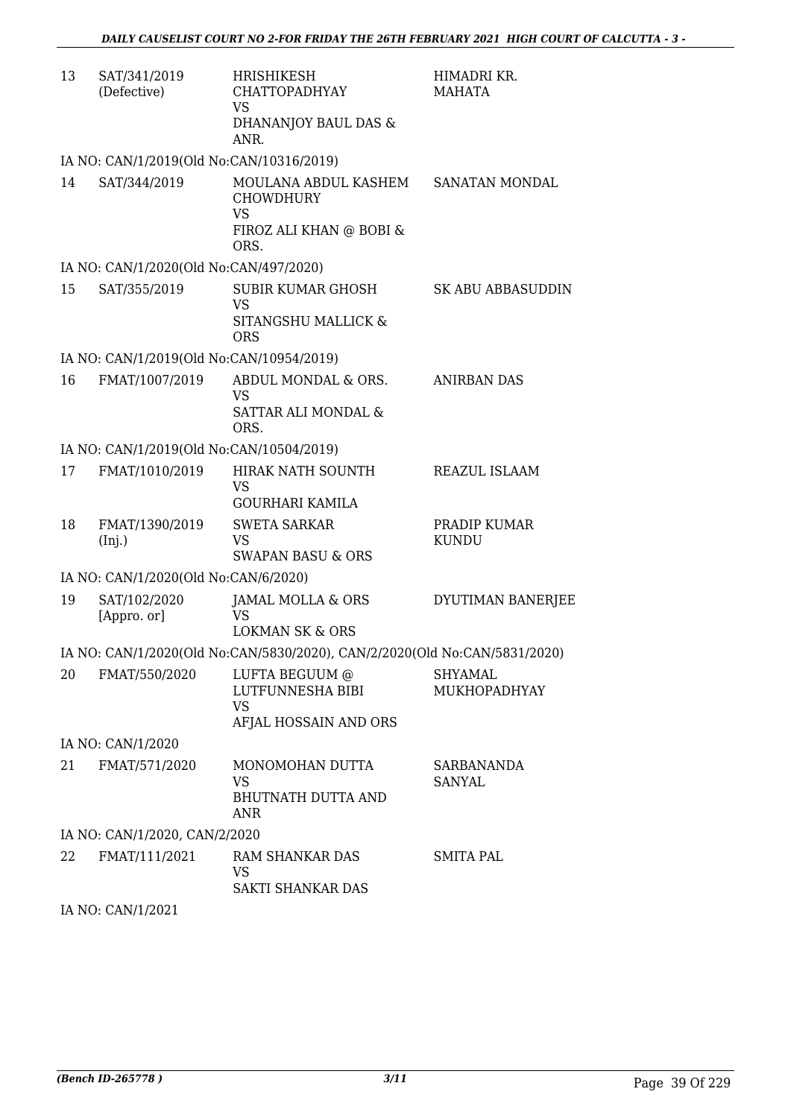| 13 | SAT/341/2019<br>(Defective)              | HRISHIKESH<br><b>CHATTOPADHYAY</b><br><b>VS</b><br>DHANANJOY BAUL DAS &<br>ANR.          | HIMADRI KR.<br><b>MAHATA</b>       |
|----|------------------------------------------|------------------------------------------------------------------------------------------|------------------------------------|
|    | IA NO: CAN/1/2019(Old No:CAN/10316/2019) |                                                                                          |                                    |
| 14 | SAT/344/2019                             | MOULANA ABDUL KASHEM<br><b>CHOWDHURY</b><br><b>VS</b><br>FIROZ ALI KHAN @ BOBI &<br>ORS. | SANATAN MONDAL                     |
|    | IA NO: CAN/1/2020(Old No:CAN/497/2020)   |                                                                                          |                                    |
| 15 | SAT/355/2019                             | SUBIR KUMAR GHOSH<br><b>VS</b><br>SITANGSHU MALLICK &<br><b>ORS</b>                      | SK ABU ABBASUDDIN                  |
|    | IA NO: CAN/1/2019(Old No:CAN/10954/2019) |                                                                                          |                                    |
| 16 | FMAT/1007/2019                           | ABDUL MONDAL & ORS.<br><b>VS</b><br>SATTAR ALI MONDAL &<br>ORS.                          | <b>ANIRBAN DAS</b>                 |
|    | IA NO: CAN/1/2019(Old No:CAN/10504/2019) |                                                                                          |                                    |
| 17 | FMAT/1010/2019                           | HIRAK NATH SOUNTH<br><b>VS</b><br><b>GOURHARI KAMILA</b>                                 | REAZUL ISLAAM                      |
| 18 | FMAT/1390/2019<br>(Inj.)                 | <b>SWETA SARKAR</b><br><b>VS</b><br><b>SWAPAN BASU &amp; ORS</b>                         | PRADIP KUMAR<br><b>KUNDU</b>       |
|    | IA NO: CAN/1/2020(Old No:CAN/6/2020)     |                                                                                          |                                    |
| 19 | SAT/102/2020<br>[Appro. or]              | JAMAL MOLLA & ORS<br>VS.<br><b>LOKMAN SK &amp; ORS</b>                                   | DYUTIMAN BANERJEE                  |
|    |                                          | IA NO: CAN/1/2020(Old No:CAN/5830/2020), CAN/2/2020(Old No:CAN/5831/2020)                |                                    |
| 20 | FMAT/550/2020                            | LUFTA BEGUUM @<br>LUTFUNNESHA BIBI<br><b>VS</b><br>AFJAL HOSSAIN AND ORS                 | SHYAMAL<br>MUKHOPADHYAY            |
|    | IA NO: CAN/1/2020                        |                                                                                          |                                    |
| 21 | FMAT/571/2020                            | MONOMOHAN DUTTA<br><b>VS</b><br><b>BHUTNATH DUTTA AND</b><br><b>ANR</b>                  | <b>SARBANANDA</b><br><b>SANYAL</b> |
|    | IA NO: CAN/1/2020, CAN/2/2020            |                                                                                          |                                    |
| 22 | FMAT/111/2021                            | RAM SHANKAR DAS<br><b>VS</b><br>SAKTI SHANKAR DAS                                        | SMITA PAL                          |

IA NO: CAN/1/2021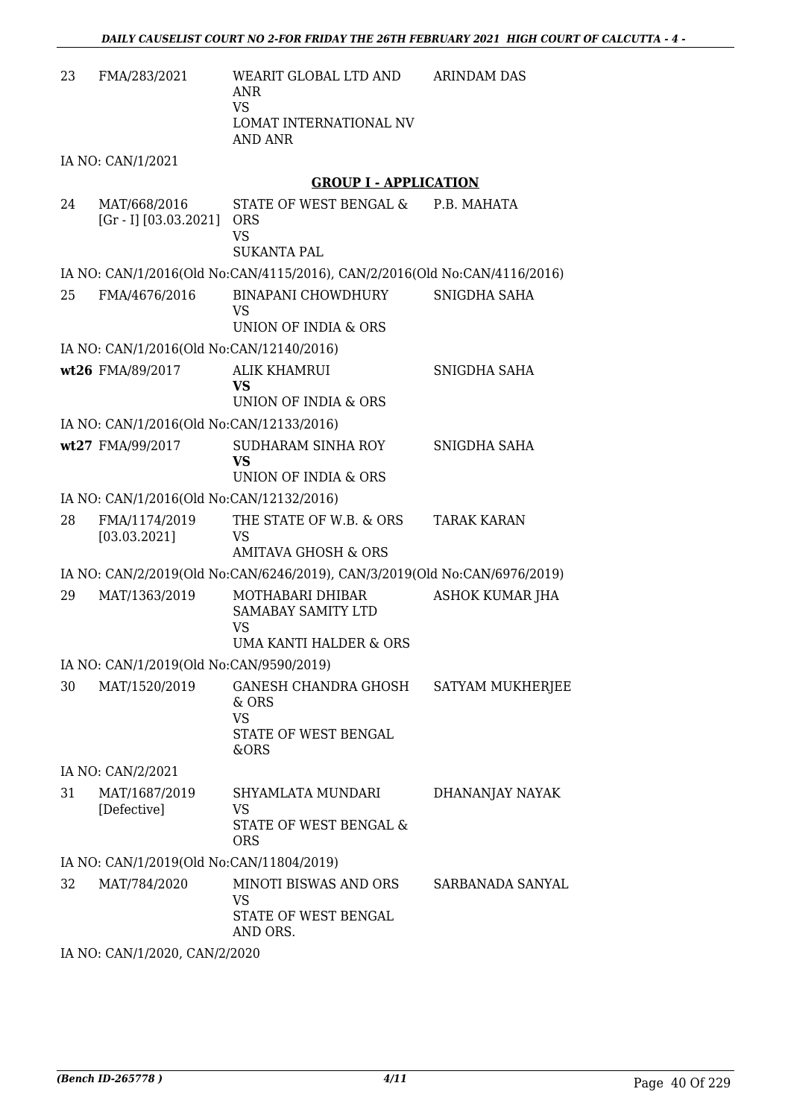| 23 | FMA/283/2021                             | WEARIT GLOBAL LTD AND<br>ANR<br><b>VS</b><br>LOMAT INTERNATIONAL NV<br><b>AND ANR</b> | <b>ARINDAM DAS</b>     |
|----|------------------------------------------|---------------------------------------------------------------------------------------|------------------------|
|    | IA NO: CAN/1/2021                        |                                                                                       |                        |
|    |                                          | <b>GROUP I - APPLICATION</b>                                                          |                        |
| 24 | MAT/668/2016                             | STATE OF WEST BENGAL &                                                                | P.B. MAHATA            |
|    | $[Gr - I] [03.03.2021]$                  | <b>ORS</b><br><b>VS</b>                                                               |                        |
|    |                                          | <b>SUKANTA PAL</b>                                                                    |                        |
|    |                                          | IA NO: CAN/1/2016(Old No:CAN/4115/2016), CAN/2/2016(Old No:CAN/4116/2016)             |                        |
| 25 | FMA/4676/2016                            | <b>BINAPANI CHOWDHURY</b><br><b>VS</b>                                                | SNIGDHA SAHA           |
|    |                                          | UNION OF INDIA & ORS                                                                  |                        |
|    | IA NO: CAN/1/2016(Old No:CAN/12140/2016) |                                                                                       |                        |
|    | wt26 FMA/89/2017                         | <b>ALIK KHAMRUI</b><br>VS<br>UNION OF INDIA & ORS                                     | SNIGDHA SAHA           |
|    | IA NO: CAN/1/2016(Old No:CAN/12133/2016) |                                                                                       |                        |
|    | wt27 FMA/99/2017                         | SUDHARAM SINHA ROY                                                                    | SNIGDHA SAHA           |
|    |                                          | <b>VS</b><br>UNION OF INDIA & ORS                                                     |                        |
|    | IA NO: CAN/1/2016(Old No:CAN/12132/2016) |                                                                                       |                        |
| 28 | FMA/1174/2019<br>[03.03.2021]            | THE STATE OF W.B. & ORS<br><b>VS</b>                                                  | <b>TARAK KARAN</b>     |
|    |                                          | <b>AMITAVA GHOSH &amp; ORS</b>                                                        |                        |
|    |                                          | IA NO: CAN/2/2019(Old No:CAN/6246/2019), CAN/3/2019(Old No:CAN/6976/2019)             |                        |
| 29 | MAT/1363/2019                            | MOTHABARI DHIBAR<br>SAMABAY SAMITY LTD<br><b>VS</b>                                   | <b>ASHOK KUMAR JHA</b> |
|    |                                          | <b>UMA KANTI HALDER &amp; ORS</b>                                                     |                        |
|    | IA NO: CAN/1/2019(Old No:CAN/9590/2019)  |                                                                                       |                        |
| 30 | MAT/1520/2019                            | GANESH CHANDRA GHOSH<br>& ORS<br><b>VS</b><br>STATE OF WEST BENGAL                    | SATYAM MUKHERJEE       |
|    |                                          | &ORS                                                                                  |                        |
|    | IA NO: CAN/2/2021                        |                                                                                       |                        |
| 31 | MAT/1687/2019<br>[Defective]             | SHYAMLATA MUNDARI<br>VS<br>STATE OF WEST BENGAL &<br><b>ORS</b>                       | DHANANJAY NAYAK        |
|    | IA NO: CAN/1/2019(Old No:CAN/11804/2019) |                                                                                       |                        |
| 32 | MAT/784/2020                             | MINOTI BISWAS AND ORS<br>VS<br>STATE OF WEST BENGAL<br>AND ORS.                       | SARBANADA SANYAL       |
|    | IA NO: CAN/1/2020, CAN/2/2020            |                                                                                       |                        |
|    |                                          |                                                                                       |                        |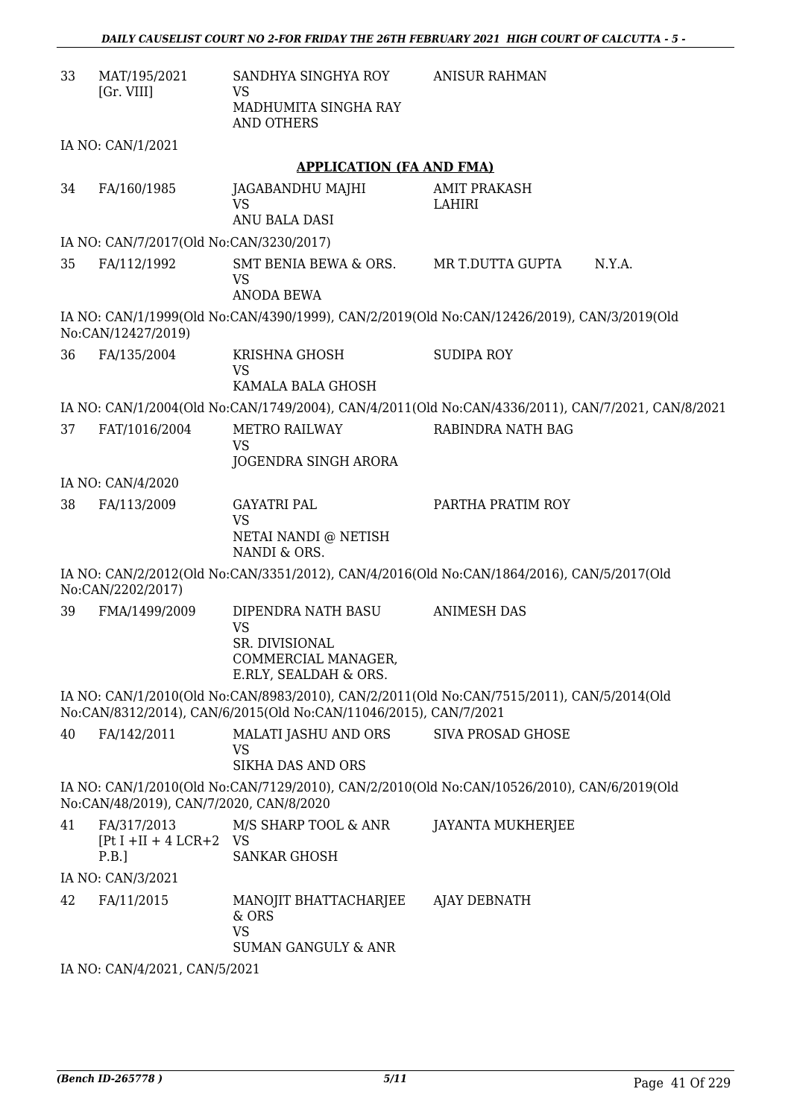| 33 | MAT/195/2021<br>[Gr. VIII]                          | SANDHYA SINGHYA ROY<br>VS<br>MADHUMITA SINGHA RAY<br><b>AND OTHERS</b>                                                                                        | <b>ANISUR RAHMAN</b>          |        |
|----|-----------------------------------------------------|---------------------------------------------------------------------------------------------------------------------------------------------------------------|-------------------------------|--------|
|    | IA NO: CAN/1/2021                                   |                                                                                                                                                               |                               |        |
|    |                                                     | <b>APPLICATION (FA AND FMA)</b>                                                                                                                               |                               |        |
| 34 | FA/160/1985                                         | JAGABANDHU MAJHI<br><b>VS</b><br>ANU BALA DASI                                                                                                                | <b>AMIT PRAKASH</b><br>LAHIRI |        |
|    | IA NO: CAN/7/2017(Old No:CAN/3230/2017)             |                                                                                                                                                               |                               |        |
| 35 | FA/112/1992                                         | SMT BENIA BEWA & ORS.<br>VS<br><b>ANODA BEWA</b>                                                                                                              | MR T.DUTTA GUPTA              | N.Y.A. |
|    | No:CAN/12427/2019)                                  | IA NO: CAN/1/1999(Old No:CAN/4390/1999), CAN/2/2019(Old No:CAN/12426/2019), CAN/3/2019(Old                                                                    |                               |        |
| 36 | FA/135/2004                                         | KRISHNA GHOSH<br><b>VS</b><br>KAMALA BALA GHOSH                                                                                                               | <b>SUDIPA ROY</b>             |        |
|    |                                                     | IA NO: CAN/1/2004(Old No:CAN/1749/2004), CAN/4/2011(Old No:CAN/4336/2011), CAN/7/2021, CAN/8/2021                                                             |                               |        |
| 37 | FAT/1016/2004                                       | <b>METRO RAILWAY</b><br><b>VS</b><br>JOGENDRA SINGH ARORA                                                                                                     | RABINDRA NATH BAG             |        |
|    | IA NO: CAN/4/2020                                   |                                                                                                                                                               |                               |        |
| 38 | FA/113/2009                                         | <b>GAYATRI PAL</b><br><b>VS</b><br>NETAI NANDI @ NETISH<br>NANDI & ORS.                                                                                       | PARTHA PRATIM ROY             |        |
|    | No:CAN/2202/2017)                                   | IA NO: CAN/2/2012(Old No:CAN/3351/2012), CAN/4/2016(Old No:CAN/1864/2016), CAN/5/2017(Old                                                                     |                               |        |
| 39 | FMA/1499/2009                                       | DIPENDRA NATH BASU<br><b>VS</b><br>SR. DIVISIONAL<br>COMMERCIAL MANAGER,<br>E.RLY, SEALDAH & ORS.                                                             | <b>ANIMESH DAS</b>            |        |
|    |                                                     | IA NO: CAN/1/2010(Old No:CAN/8983/2010), CAN/2/2011(Old No:CAN/7515/2011), CAN/5/2014(Old<br>No:CAN/8312/2014), CAN/6/2015(Old No:CAN/11046/2015), CAN/7/2021 |                               |        |
| 40 | FA/142/2011                                         | <b>MALATI JASHU AND ORS</b><br><b>VS</b><br><b>SIKHA DAS AND ORS</b>                                                                                          | <b>SIVA PROSAD GHOSE</b>      |        |
|    | No:CAN/48/2019), CAN/7/2020, CAN/8/2020             | IA NO: CAN/1/2010(Old No:CAN/7129/2010), CAN/2/2010(Old No:CAN/10526/2010), CAN/6/2019(Old                                                                    |                               |        |
| 41 | FA/317/2013<br>$[Pt I + II + 4 LCR + 2 VS]$<br>P.B. | M/S SHARP TOOL & ANR<br><b>SANKAR GHOSH</b>                                                                                                                   | <b>JAYANTA MUKHERJEE</b>      |        |
|    | IA NO: CAN/3/2021                                   |                                                                                                                                                               |                               |        |
| 42 | FA/11/2015                                          | MANOJIT BHATTACHARJEE<br>& ORS<br><b>VS</b><br>SUMAN GANGULY & ANR                                                                                            | AJAY DEBNATH                  |        |
|    |                                                     |                                                                                                                                                               |                               |        |

IA NO: CAN/4/2021, CAN/5/2021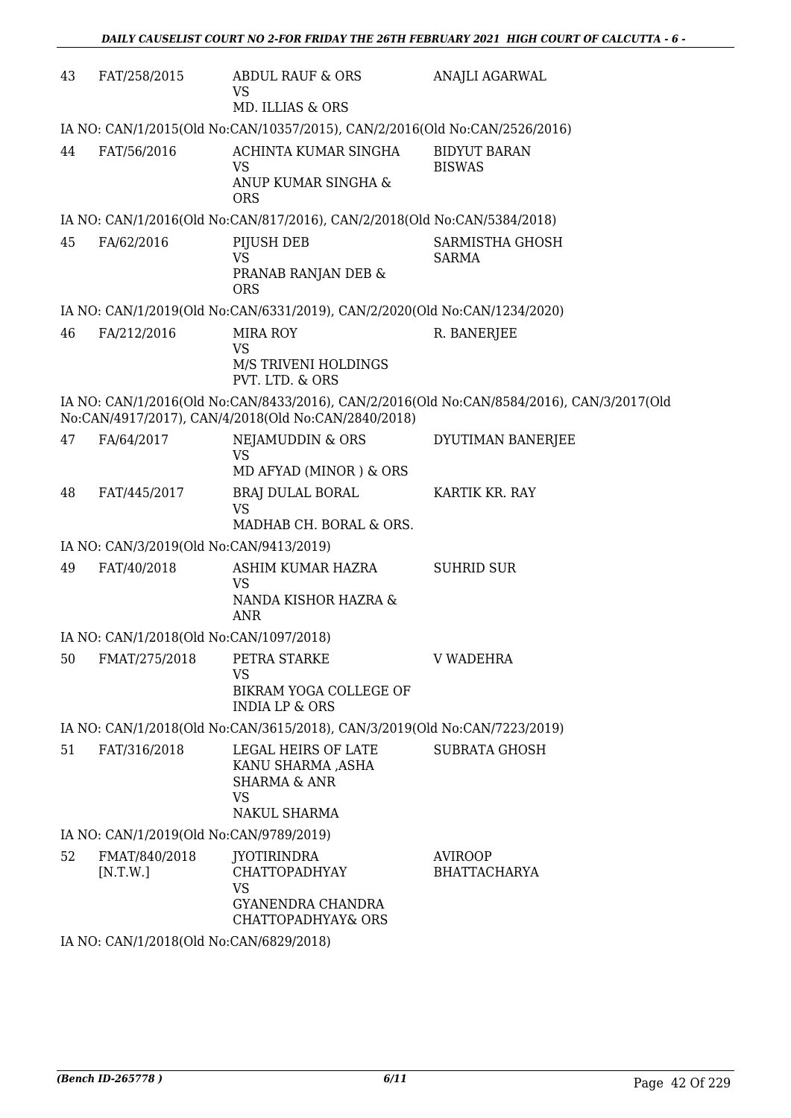| 43 | FAT/258/2015                                                               | ABDUL RAUF & ORS<br><b>VS</b><br>MD. ILLIAS & ORS                                                         | ANAJLI AGARWAL                                                                            |  |  |  |
|----|----------------------------------------------------------------------------|-----------------------------------------------------------------------------------------------------------|-------------------------------------------------------------------------------------------|--|--|--|
|    | IA NO: CAN/1/2015(Old No:CAN/10357/2015), CAN/2/2016(Old No:CAN/2526/2016) |                                                                                                           |                                                                                           |  |  |  |
| 44 | FAT/56/2016                                                                | ACHINTA KUMAR SINGHA<br><b>VS</b><br>ANUP KUMAR SINGHA &<br><b>ORS</b>                                    | <b>BIDYUT BARAN</b><br><b>BISWAS</b>                                                      |  |  |  |
|    |                                                                            | IA NO: CAN/1/2016(Old No:CAN/817/2016), CAN/2/2018(Old No:CAN/5384/2018)                                  |                                                                                           |  |  |  |
| 45 | FA/62/2016                                                                 | PIJUSH DEB<br><b>VS</b><br>PRANAB RANJAN DEB &<br><b>ORS</b>                                              | SARMISTHA GHOSH<br><b>SARMA</b>                                                           |  |  |  |
|    |                                                                            | IA NO: CAN/1/2019(Old No:CAN/6331/2019), CAN/2/2020(Old No:CAN/1234/2020)                                 |                                                                                           |  |  |  |
| 46 | FA/212/2016                                                                | <b>MIRA ROY</b><br><b>VS</b><br>M/S TRIVENI HOLDINGS<br>PVT. LTD. & ORS                                   | R. BANERJEE                                                                               |  |  |  |
|    |                                                                            | No:CAN/4917/2017), CAN/4/2018(Old No:CAN/2840/2018)                                                       | IA NO: CAN/1/2016(Old No:CAN/8433/2016), CAN/2/2016(Old No:CAN/8584/2016), CAN/3/2017(Old |  |  |  |
| 47 | FA/64/2017                                                                 | NEJAMUDDIN & ORS<br><b>VS</b><br>MD AFYAD (MINOR) & ORS                                                   | DYUTIMAN BANERJEE                                                                         |  |  |  |
| 48 | FAT/445/2017                                                               | <b>BRAJ DULAL BORAL</b><br><b>VS</b><br>MADHAB CH. BORAL & ORS.                                           | KARTIK KR. RAY                                                                            |  |  |  |
|    | IA NO: CAN/3/2019(Old No:CAN/9413/2019)                                    |                                                                                                           |                                                                                           |  |  |  |
| 49 | FAT/40/2018                                                                | ASHIM KUMAR HAZRA<br><b>VS</b><br>NANDA KISHOR HAZRA &<br><b>ANR</b>                                      | <b>SUHRID SUR</b>                                                                         |  |  |  |
|    | IA NO: CAN/1/2018(Old No:CAN/1097/2018)                                    |                                                                                                           |                                                                                           |  |  |  |
|    | 50 FMAT/275/2018 PETRA STARKE                                              | VS<br>BIKRAM YOGA COLLEGE OF<br><b>INDIA LP &amp; ORS</b>                                                 | <b>V WADEHRA</b>                                                                          |  |  |  |
|    |                                                                            | IA NO: CAN/1/2018(Old No:CAN/3615/2018), CAN/3/2019(Old No:CAN/7223/2019)                                 |                                                                                           |  |  |  |
| 51 | FAT/316/2018                                                               | LEGAL HEIRS OF LATE<br>KANU SHARMA ,ASHA<br><b>SHARMA &amp; ANR</b><br><b>VS</b><br>NAKUL SHARMA          | <b>SUBRATA GHOSH</b>                                                                      |  |  |  |
|    | IA NO: CAN/1/2019(Old No:CAN/9789/2019)                                    |                                                                                                           |                                                                                           |  |  |  |
| 52 | FMAT/840/2018<br>[N.T.W.]<br>IA NO: CAN/1/2018(Old No:CAN/6829/2018)       | <b>JYOTIRINDRA</b><br><b>CHATTOPADHYAY</b><br><b>VS</b><br><b>GYANENDRA CHANDRA</b><br>CHATTOPADHYAY& ORS | <b>AVIROOP</b><br><b>BHATTACHARYA</b>                                                     |  |  |  |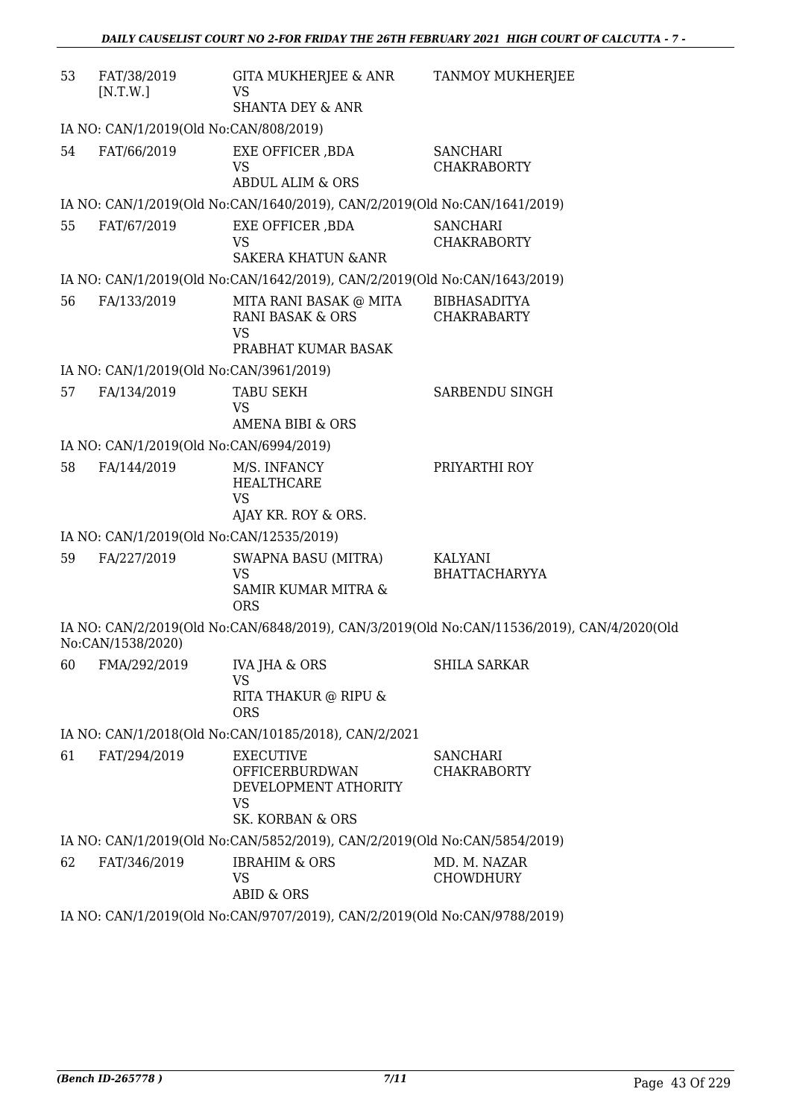| 53 | FAT/38/2019<br>[N.T.W.]                                                   | GITA MUKHERJEE & ANR<br><b>VS</b>                                                           | <b>TANMOY MUKHERJEE</b>                                                                    |  |  |
|----|---------------------------------------------------------------------------|---------------------------------------------------------------------------------------------|--------------------------------------------------------------------------------------------|--|--|
|    |                                                                           | <b>SHANTA DEY &amp; ANR</b>                                                                 |                                                                                            |  |  |
|    | IA NO: CAN/1/2019(Old No:CAN/808/2019)                                    |                                                                                             |                                                                                            |  |  |
| 54 | FAT/66/2019                                                               | EXE OFFICER , BDA<br><b>VS</b><br><b>ABDUL ALIM &amp; ORS</b>                               | <b>SANCHARI</b><br><b>CHAKRABORTY</b>                                                      |  |  |
|    |                                                                           | IA NO: CAN/1/2019(Old No:CAN/1640/2019), CAN/2/2019(Old No:CAN/1641/2019)                   |                                                                                            |  |  |
| 55 | FAT/67/2019                                                               | EXE OFFICER , BDA<br><b>VS</b><br><b>SAKERA KHATUN &amp; ANR</b>                            | <b>SANCHARI</b><br><b>CHAKRABORTY</b>                                                      |  |  |
|    |                                                                           | IA NO: CAN/1/2019(Old No:CAN/1642/2019), CAN/2/2019(Old No:CAN/1643/2019)                   |                                                                                            |  |  |
| 56 | FA/133/2019                                                               | MITA RANI BASAK @ MITA<br><b>RANI BASAK &amp; ORS</b><br><b>VS</b><br>PRABHAT KUMAR BASAK   | <b>BIBHASADITYA</b><br><b>CHAKRABARTY</b>                                                  |  |  |
|    | IA NO: CAN/1/2019(Old No:CAN/3961/2019)                                   |                                                                                             |                                                                                            |  |  |
| 57 | FA/134/2019                                                               | <b>TABU SEKH</b><br><b>VS</b><br><b>AMENA BIBI &amp; ORS</b>                                | SARBENDU SINGH                                                                             |  |  |
|    | IA NO: CAN/1/2019(Old No:CAN/6994/2019)                                   |                                                                                             |                                                                                            |  |  |
| 58 | FA/144/2019                                                               | M/S. INFANCY<br><b>HEALTHCARE</b><br><b>VS</b><br>AJAY KR. ROY & ORS.                       | PRIYARTHI ROY                                                                              |  |  |
|    | IA NO: CAN/1/2019(Old No:CAN/12535/2019)                                  |                                                                                             |                                                                                            |  |  |
| 59 | FA/227/2019                                                               | <b>SWAPNA BASU (MITRA)</b><br><b>VS</b><br>SAMIR KUMAR MITRA &<br><b>ORS</b>                | KALYANI<br><b>BHATTACHARYYA</b>                                                            |  |  |
|    | No:CAN/1538/2020)                                                         |                                                                                             | IA NO: CAN/2/2019(Old No:CAN/6848/2019), CAN/3/2019(Old No:CAN/11536/2019), CAN/4/2020(Old |  |  |
| 60 | FMA/292/2019                                                              | <b>IVA JHA &amp; ORS</b><br><b>VS</b><br>RITA THAKUR @ RIPU &<br><b>ORS</b>                 | <b>SHILA SARKAR</b>                                                                        |  |  |
|    |                                                                           | IA NO: CAN/1/2018(Old No:CAN/10185/2018), CAN/2/2021                                        |                                                                                            |  |  |
| 61 | FAT/294/2019                                                              | <b>EXECUTIVE</b><br>OFFICERBURDWAN<br>DEVELOPMENT ATHORITY<br><b>VS</b><br>SK. KORBAN & ORS | <b>SANCHARI</b><br><b>CHAKRABORTY</b>                                                      |  |  |
|    |                                                                           | IA NO: CAN/1/2019(Old No:CAN/5852/2019), CAN/2/2019(Old No:CAN/5854/2019)                   |                                                                                            |  |  |
| 62 | FAT/346/2019                                                              | <b>IBRAHIM &amp; ORS</b><br><b>VS</b><br><b>ABID &amp; ORS</b>                              | MD. M. NAZAR<br><b>CHOWDHURY</b>                                                           |  |  |
|    | IA NO: CAN/1/2019(Old No:CAN/9707/2019), CAN/2/2019(Old No:CAN/9788/2019) |                                                                                             |                                                                                            |  |  |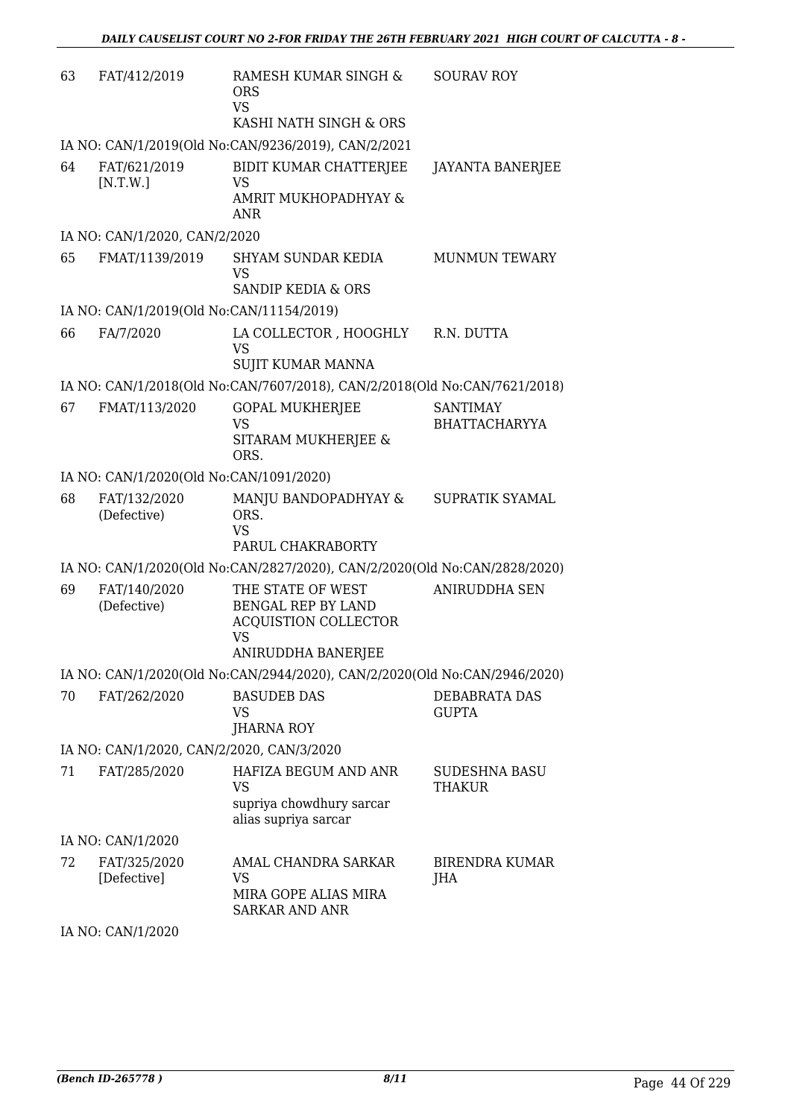| 63 | FAT/412/2019                              | RAMESH KUMAR SINGH &<br><b>ORS</b><br><b>VS</b><br>KASHI NATH SINGH & ORS                                 | <b>SOURAV ROY</b>                       |
|----|-------------------------------------------|-----------------------------------------------------------------------------------------------------------|-----------------------------------------|
|    |                                           | IA NO: CAN/1/2019(Old No:CAN/9236/2019), CAN/2/2021                                                       |                                         |
| 64 | FAT/621/2019<br>[N.T.W.]                  | BIDIT KUMAR CHATTERJEE<br><b>VS</b><br>AMRIT MUKHOPADHYAY &<br><b>ANR</b>                                 | <b>JAYANTA BANERJEE</b>                 |
|    | IA NO: CAN/1/2020, CAN/2/2020             |                                                                                                           |                                         |
| 65 | FMAT/1139/2019                            | SHYAM SUNDAR KEDIA<br><b>VS</b><br><b>SANDIP KEDIA &amp; ORS</b>                                          | <b>MUNMUN TEWARY</b>                    |
|    | IA NO: CAN/1/2019(Old No:CAN/11154/2019)  |                                                                                                           |                                         |
| 66 | FA/7/2020                                 | LA COLLECTOR , HOOGHLY<br>VS<br><b>SUJIT KUMAR MANNA</b>                                                  | R.N. DUTTA                              |
|    |                                           | IA NO: CAN/1/2018(Old No:CAN/7607/2018), CAN/2/2018(Old No:CAN/7621/2018)                                 |                                         |
| 67 | FMAT/113/2020                             | <b>GOPAL MUKHERJEE</b><br>VS<br>SITARAM MUKHERJEE &<br>ORS.                                               | <b>SANTIMAY</b><br><b>BHATTACHARYYA</b> |
|    | IA NO: CAN/1/2020(Old No:CAN/1091/2020)   |                                                                                                           |                                         |
| 68 | FAT/132/2020<br>(Defective)               | MANJU BANDOPADHYAY &<br>ORS.<br><b>VS</b><br>PARUL CHAKRABORTY                                            | <b>SUPRATIK SYAMAL</b>                  |
|    |                                           | IA NO: CAN/1/2020(Old No:CAN/2827/2020), CAN/2/2020(Old No:CAN/2828/2020)                                 |                                         |
| 69 | FAT/140/2020<br>(Defective)               | THE STATE OF WEST<br>BENGAL REP BY LAND<br><b>ACQUISTION COLLECTOR</b><br><b>VS</b><br>ANIRUDDHA BANERJEE | <b>ANIRUDDHA SEN</b>                    |
|    |                                           | IA NO: CAN/1/2020(Old No:CAN/2944/2020), CAN/2/2020(Old No:CAN/2946/2020)                                 |                                         |
| 70 | FAT/262/2020                              | <b>BASUDEB DAS</b><br>VS<br><b>JHARNA ROY</b>                                                             | DEBABRATA DAS<br><b>GUPTA</b>           |
|    | IA NO: CAN/1/2020, CAN/2/2020, CAN/3/2020 |                                                                                                           |                                         |
| 71 | FAT/285/2020                              | HAFIZA BEGUM AND ANR<br><b>VS</b><br>supriya chowdhury sarcar<br>alias supriya sarcar                     | <b>SUDESHNA BASU</b><br><b>THAKUR</b>   |
|    | IA NO: CAN/1/2020                         |                                                                                                           |                                         |
| 72 | FAT/325/2020<br>[Defective]               | AMAL CHANDRA SARKAR<br>VS<br>MIRA GOPE ALIAS MIRA<br><b>SARKAR AND ANR</b>                                | <b>BIRENDRA KUMAR</b><br>JHA            |
|    | IA NO $\cdot$ CAN/1/2020                  |                                                                                                           |                                         |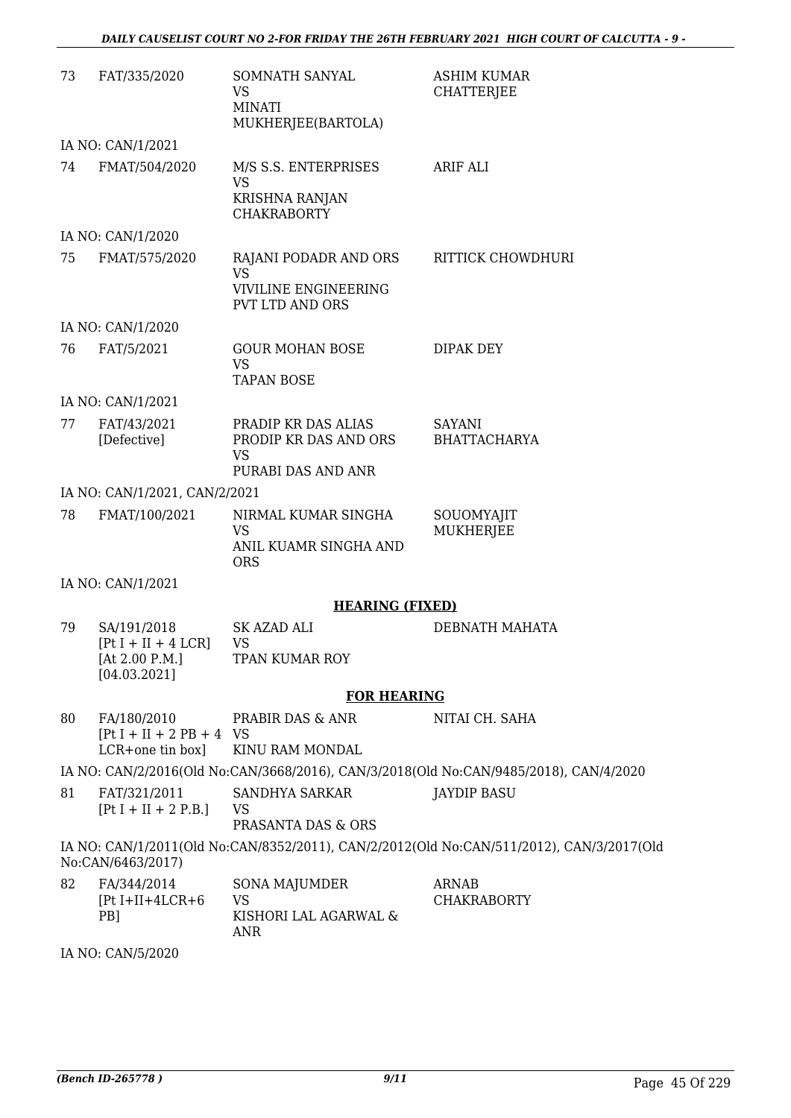| 73 | FAT/335/2020                                                           | SOMNATH SANYAL<br><b>VS</b><br><b>MINATI</b><br>MUKHERJEE(BARTOLA)                          | <b>ASHIM KUMAR</b><br><b>CHATTERJEE</b>                                                  |
|----|------------------------------------------------------------------------|---------------------------------------------------------------------------------------------|------------------------------------------------------------------------------------------|
|    | IA NO: CAN/1/2021                                                      |                                                                                             |                                                                                          |
| 74 | FMAT/504/2020                                                          | M/S S.S. ENTERPRISES<br>VS<br>KRISHNA RANJAN<br><b>CHAKRABORTY</b>                          | <b>ARIF ALI</b>                                                                          |
|    | IA NO: CAN/1/2020                                                      |                                                                                             |                                                                                          |
| 75 | FMAT/575/2020                                                          | RAJANI PODADR AND ORS<br><b>VS</b><br><b>VIVILINE ENGINEERING</b><br><b>PVT LTD AND ORS</b> | RITTICK CHOWDHURI                                                                        |
|    | IA NO: CAN/1/2020                                                      |                                                                                             |                                                                                          |
| 76 | FAT/5/2021                                                             | <b>GOUR MOHAN BOSE</b><br><b>VS</b><br><b>TAPAN BOSE</b>                                    | DIPAK DEY                                                                                |
|    | IA NO: CAN/1/2021                                                      |                                                                                             |                                                                                          |
| 77 | FAT/43/2021<br>[Defective]                                             | PRADIP KR DAS ALIAS<br>PRODIP KR DAS AND ORS<br><b>VS</b><br>PURABI DAS AND ANR             | <b>SAYANI</b><br><b>BHATTACHARYA</b>                                                     |
|    | IA NO: CAN/1/2021, CAN/2/2021                                          |                                                                                             |                                                                                          |
| 78 | FMAT/100/2021                                                          | NIRMAL KUMAR SINGHA<br>VS<br>ANIL KUAMR SINGHA AND<br><b>ORS</b>                            | SOUOMYAJIT<br><b>MUKHERJEE</b>                                                           |
|    | IA NO: CAN/1/2021                                                      |                                                                                             |                                                                                          |
|    |                                                                        | <b>HEARING (FIXED)</b>                                                                      |                                                                                          |
| 79 | SA/191/2018<br>$[Pt I + II + 4 LCR]$<br>[At 2.00 P.M.]<br>[04.03.2021] | <b>SK AZAD ALI</b><br><b>VS</b><br>TPAN KUMAR ROY                                           | DEBNATH MAHATA                                                                           |
|    |                                                                        | <b>FOR HEARING</b>                                                                          |                                                                                          |
| 80 | FA/180/2010<br>$[Pt I + II + 2 PB + 4 VS]$<br>LCR+one tin box]         | PRABIR DAS & ANR<br>KINU RAM MONDAL                                                         | NITAI CH. SAHA                                                                           |
|    |                                                                        |                                                                                             | IA NO: CAN/2/2016(Old No:CAN/3668/2016), CAN/3/2018(Old No:CAN/9485/2018), CAN/4/2020    |
| 81 | FAT/321/2011<br>$[Pt I + II + 2 P.B.]$                                 | SANDHYA SARKAR<br>VS<br>PRASANTA DAS & ORS                                                  | <b>JAYDIP BASU</b>                                                                       |
|    | No:CAN/6463/2017)                                                      |                                                                                             | IA NO: CAN/1/2011(Old No:CAN/8352/2011), CAN/2/2012(Old No:CAN/511/2012), CAN/3/2017(Old |
| 82 | FA/344/2014<br>$[Pt I+II+4LCR+6]$<br>PB]                               | SONA MAJUMDER<br><b>VS</b><br>KISHORI LAL AGARWAL &<br><b>ANR</b>                           | <b>ARNAB</b><br><b>CHAKRABORTY</b>                                                       |

IA NO: CAN/5/2020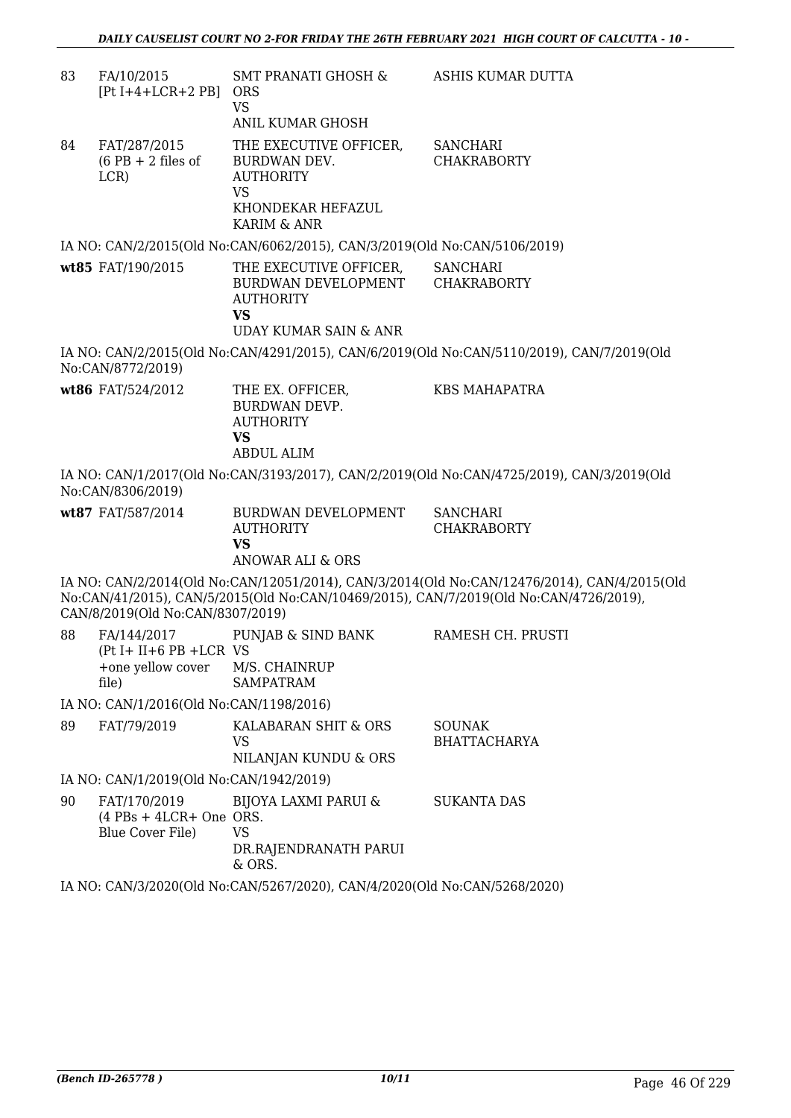| 83 | FA/10/2015<br>$[Pt I+4+LCR+2 PB]$ ORS                         | SMT PRANATI GHOSH &<br><b>VS</b>                                                               | ASHIS KUMAR DUTTA                                                                                                                                                                    |
|----|---------------------------------------------------------------|------------------------------------------------------------------------------------------------|--------------------------------------------------------------------------------------------------------------------------------------------------------------------------------------|
|    |                                                               | <b>ANIL KUMAR GHOSH</b>                                                                        |                                                                                                                                                                                      |
| 84 | FAT/287/2015<br>$(6$ PB + 2 files of<br>LCR)                  | THE EXECUTIVE OFFICER,<br>BURDWAN DEV.<br><b>AUTHORITY</b><br><b>VS</b>                        | <b>SANCHARI</b><br><b>CHAKRABORTY</b>                                                                                                                                                |
|    |                                                               | KHONDEKAR HEFAZUL<br><b>KARIM &amp; ANR</b>                                                    |                                                                                                                                                                                      |
|    |                                                               | IA NO: CAN/2/2015(Old No:CAN/6062/2015), CAN/3/2019(Old No:CAN/5106/2019)                      |                                                                                                                                                                                      |
|    | wt85 FAT/190/2015                                             | THE EXECUTIVE OFFICER,<br>BURDWAN DEVELOPMENT CHAKRABORTY<br><b>AUTHORITY</b><br><b>VS</b>     | <b>SANCHARI</b>                                                                                                                                                                      |
|    |                                                               | <b>UDAY KUMAR SAIN &amp; ANR</b>                                                               |                                                                                                                                                                                      |
|    | No:CAN/8772/2019)                                             |                                                                                                | IA NO: CAN/2/2015(Old No:CAN/4291/2015), CAN/6/2019(Old No:CAN/5110/2019), CAN/7/2019(Old                                                                                            |
|    | wt86 FAT/524/2012                                             | THE EX. OFFICER,<br><b>BURDWAN DEVP.</b><br><b>AUTHORITY</b><br><b>VS</b><br><b>ABDUL ALIM</b> | <b>KBS MAHAPATRA</b>                                                                                                                                                                 |
|    | No:CAN/8306/2019)                                             |                                                                                                | IA NO: CAN/1/2017(Old No:CAN/3193/2017), CAN/2/2019(Old No:CAN/4725/2019), CAN/3/2019(Old                                                                                            |
|    | wt87 FAT/587/2014                                             | BURDWAN DEVELOPMENT<br><b>AUTHORITY</b><br><b>VS</b><br>ANOWAR ALI & ORS                       | <b>SANCHARI</b><br><b>CHAKRABORTY</b>                                                                                                                                                |
|    | CAN/8/2019(Old No:CAN/8307/2019)                              |                                                                                                | IA NO: CAN/2/2014(Old No:CAN/12051/2014), CAN/3/2014(Old No:CAN/12476/2014), CAN/4/2015(Old<br>No:CAN/41/2015), CAN/5/2015(Old No:CAN/10469/2015), CAN/7/2019(Old No:CAN/4726/2019), |
| 88 | $(Pt I + II + 6 PB + LCR VS)$<br>+one yellow cover<br>file)   | FA/144/2017 PUNJAB & SIND BANK<br>M/S. CHAINRUP<br><b>SAMPATRAM</b>                            | RAMESH CH. PRUSTI                                                                                                                                                                    |
|    | IA NO: CAN/1/2016(Old No:CAN/1198/2016)                       |                                                                                                |                                                                                                                                                                                      |
| 89 | FAT/79/2019                                                   | KALABARAN SHIT & ORS<br>VS<br>NILANJAN KUNDU & ORS                                             | <b>SOUNAK</b><br><b>BHATTACHARYA</b>                                                                                                                                                 |
|    | IA NO: CAN/1/2019(Old No:CAN/1942/2019)                       |                                                                                                |                                                                                                                                                                                      |
| 90 | FAT/170/2019<br>$(4$ PBs + 4LCR+ One ORS.<br>Blue Cover File) | <b>BIJOYA LAXMI PARUI &amp;</b><br><b>VS</b><br>DR.RAJENDRANATH PARUI<br>& ORS.                | <b>SUKANTA DAS</b>                                                                                                                                                                   |
|    |                                                               |                                                                                                |                                                                                                                                                                                      |

IA NO: CAN/3/2020(Old No:CAN/5267/2020), CAN/4/2020(Old No:CAN/5268/2020)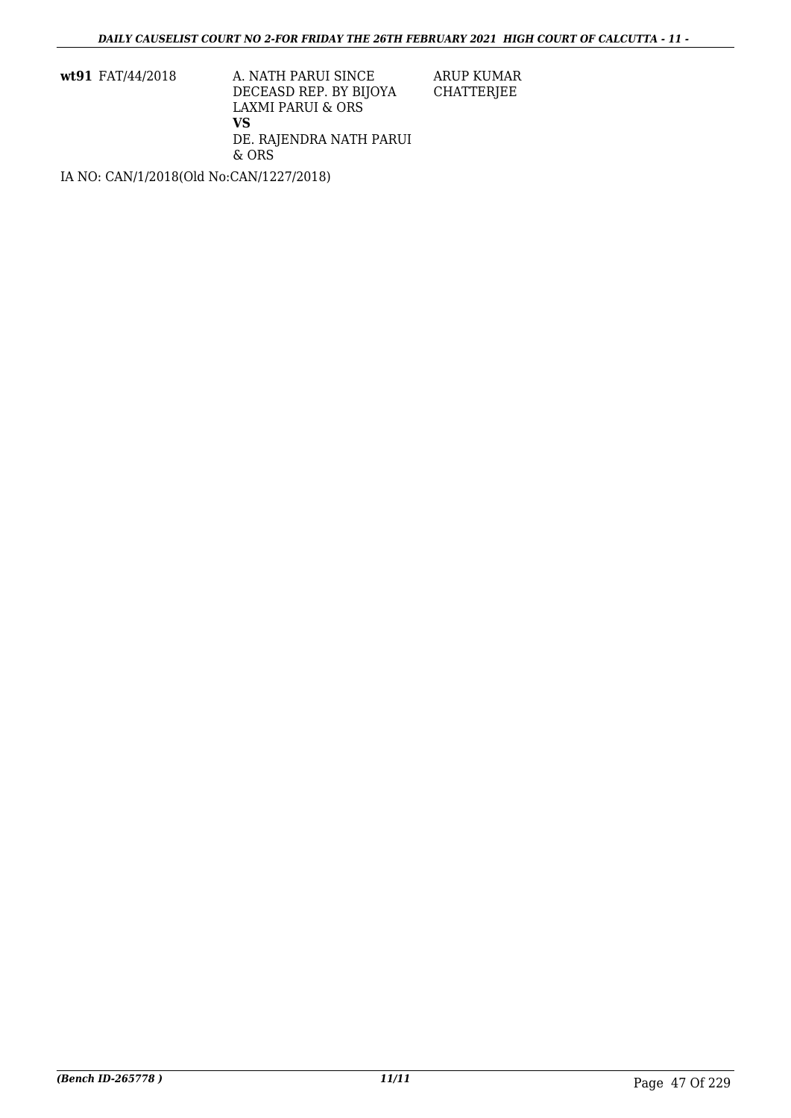**wt91** FAT/44/2018 A. NATH PARUI SINCE DECEASD REP. BY BIJOYA LAXMI PARUI & ORS **VS** DE. RAJENDRA NATH PARUI & ORS

ARUP KUMAR CHATTERJEE

IA NO: CAN/1/2018(Old No:CAN/1227/2018)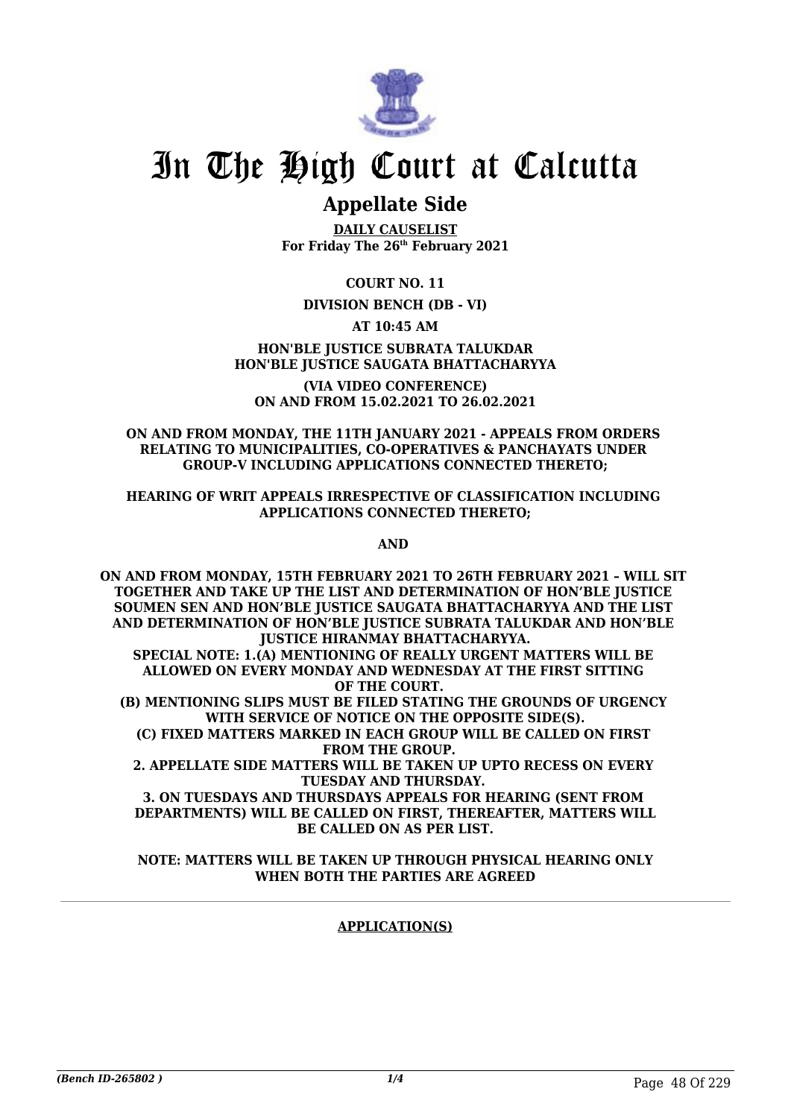

## **Appellate Side**

**DAILY CAUSELIST For Friday The 26th February 2021**

**COURT NO. 11**

## **DIVISION BENCH (DB - VI)**

## **AT 10:45 AM**

## **HON'BLE JUSTICE SUBRATA TALUKDAR HON'BLE JUSTICE SAUGATA BHATTACHARYYA**

**(VIA VIDEO CONFERENCE) ON AND FROM 15.02.2021 TO 26.02.2021**

## **ON AND FROM MONDAY, THE 11TH JANUARY 2021 - APPEALS FROM ORDERS RELATING TO MUNICIPALITIES, CO-OPERATIVES & PANCHAYATS UNDER GROUP-V INCLUDING APPLICATIONS CONNECTED THERETO;**

### **HEARING OF WRIT APPEALS IRRESPECTIVE OF CLASSIFICATION INCLUDING APPLICATIONS CONNECTED THERETO;**

**AND** 

**ON AND FROM MONDAY, 15TH FEBRUARY 2021 TO 26TH FEBRUARY 2021 – WILL SIT TOGETHER AND TAKE UP THE LIST AND DETERMINATION OF HON'BLE JUSTICE SOUMEN SEN AND HON'BLE JUSTICE SAUGATA BHATTACHARYYA AND THE LIST AND DETERMINATION OF HON'BLE JUSTICE SUBRATA TALUKDAR AND HON'BLE JUSTICE HIRANMAY BHATTACHARYYA. SPECIAL NOTE: 1.(A) MENTIONING OF REALLY URGENT MATTERS WILL BE ALLOWED ON EVERY MONDAY AND WEDNESDAY AT THE FIRST SITTING OF THE COURT. (B) MENTIONING SLIPS MUST BE FILED STATING THE GROUNDS OF URGENCY WITH SERVICE OF NOTICE ON THE OPPOSITE SIDE(S). (C) FIXED MATTERS MARKED IN EACH GROUP WILL BE CALLED ON FIRST FROM THE GROUP. 2. APPELLATE SIDE MATTERS WILL BE TAKEN UP UPTO RECESS ON EVERY TUESDAY AND THURSDAY. 3. ON TUESDAYS AND THURSDAYS APPEALS FOR HEARING (SENT FROM DEPARTMENTS) WILL BE CALLED ON FIRST, THEREAFTER, MATTERS WILL**

**BE CALLED ON AS PER LIST. NOTE: MATTERS WILL BE TAKEN UP THROUGH PHYSICAL HEARING ONLY**

## **WHEN BOTH THE PARTIES ARE AGREED**

## **APPLICATION(S)**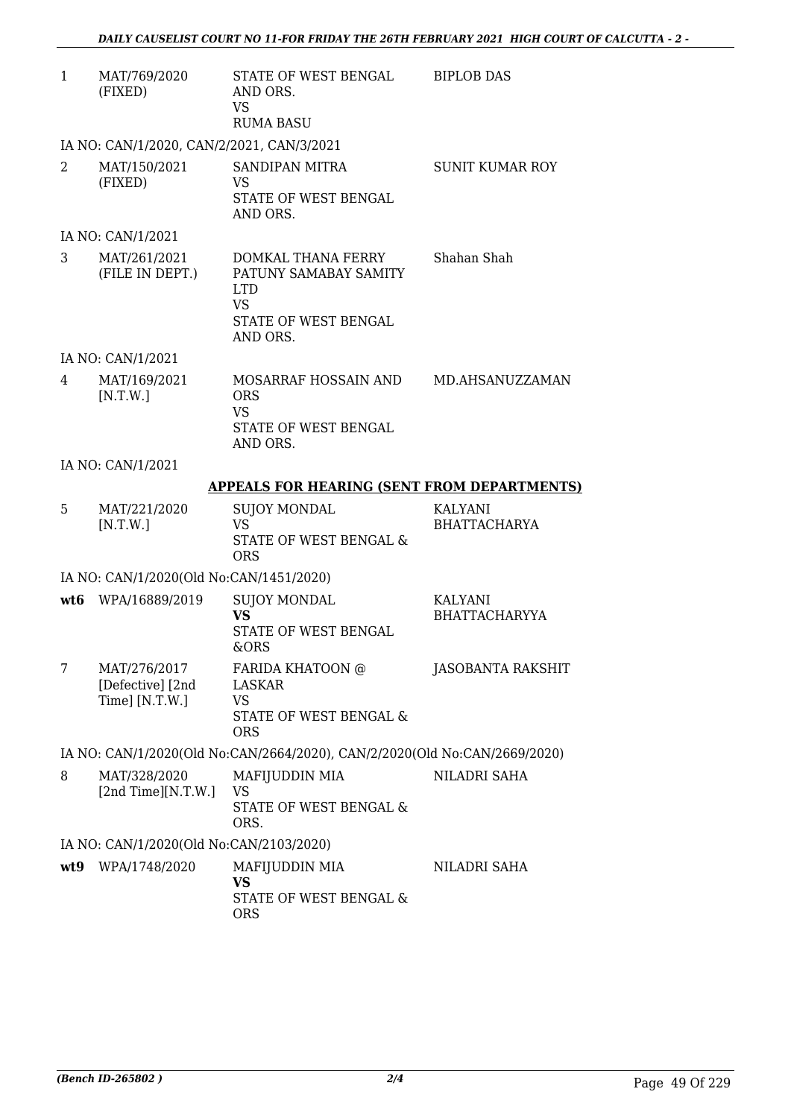| $\mathbf{1}$   | MAT/769/2020<br>(FIXED)                             | STATE OF WEST BENGAL<br>AND ORS.<br><b>VS</b><br><b>RUMA BASU</b>                                          | <b>BIPLOB DAS</b>                     |
|----------------|-----------------------------------------------------|------------------------------------------------------------------------------------------------------------|---------------------------------------|
|                | IA NO: CAN/1/2020, CAN/2/2021, CAN/3/2021           |                                                                                                            |                                       |
| $\overline{2}$ | MAT/150/2021<br>(FIXED)                             | SANDIPAN MITRA<br><b>VS</b><br>STATE OF WEST BENGAL<br>AND ORS.                                            | <b>SUNIT KUMAR ROY</b>                |
|                | IA NO: CAN/1/2021                                   |                                                                                                            |                                       |
| 3              | MAT/261/2021<br>(FILE IN DEPT.)                     | DOMKAL THANA FERRY<br>PATUNY SAMABAY SAMITY<br><b>LTD</b><br><b>VS</b><br>STATE OF WEST BENGAL<br>AND ORS. | Shahan Shah                           |
|                | IA NO: CAN/1/2021                                   |                                                                                                            |                                       |
| 4              | MAT/169/2021<br>[N.T.W.]                            | MOSARRAF HOSSAIN AND<br><b>ORS</b><br><b>VS</b><br>STATE OF WEST BENGAL<br>AND ORS.                        | MD.AHSANUZZAMAN                       |
|                | IA NO: CAN/1/2021                                   |                                                                                                            |                                       |
|                |                                                     | <b>APPEALS FOR HEARING (SENT FROM DEPARTMENTS)</b>                                                         |                                       |
| 5.             | MAT/221/2020<br>[N.T.W.]                            | <b>SUJOY MONDAL</b><br><b>VS</b><br>STATE OF WEST BENGAL &<br><b>ORS</b>                                   | <b>KALYANI</b><br><b>BHATTACHARYA</b> |
|                | IA NO: CAN/1/2020(Old No:CAN/1451/2020)             |                                                                                                            |                                       |
|                | wt6 WPA/16889/2019                                  | <b>SUJOY MONDAL</b><br><b>VS</b><br>STATE OF WEST BENGAL<br>&ORS                                           | KALYANI<br><b>BHATTACHARYYA</b>       |
| 7              | MAT/276/2017<br>[Defective] [2nd]<br>Time] [N.T.W.] | FARIDA KHATOON @<br>LASKAR<br><b>VS</b><br>STATE OF WEST BENGAL &<br><b>ORS</b>                            | <b>JASOBANTA RAKSHIT</b>              |
|                |                                                     | IA NO: CAN/1/2020(Old No:CAN/2664/2020), CAN/2/2020(Old No:CAN/2669/2020)                                  |                                       |
| 8              | MAT/328/2020<br>[2nd Time][N.T.W.]                  | MAFIJUDDIN MIA<br><b>VS</b><br>STATE OF WEST BENGAL &<br>ORS.                                              | NILADRI SAHA                          |
|                | IA NO: CAN/1/2020(Old No:CAN/2103/2020)             |                                                                                                            |                                       |
| wt9            | WPA/1748/2020                                       | MAFIJUDDIN MIA<br><b>VS</b><br>STATE OF WEST BENGAL &<br><b>ORS</b>                                        | NILADRI SAHA                          |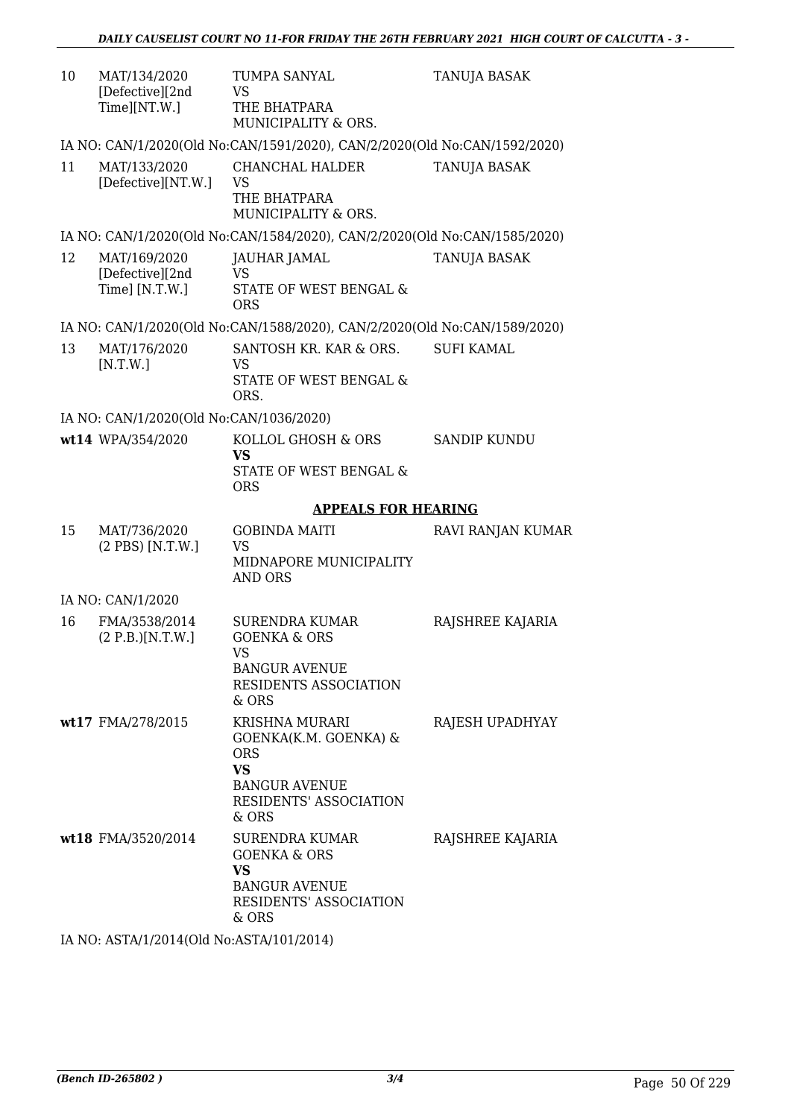| 10 | MAT/134/2020<br>[Defective][2nd<br>Time][NT.W.]   | TUMPA SANYAL<br>VS<br>THE BHATPARA<br>MUNICIPALITY & ORS.                                                                                   | <b>TANUJA BASAK</b> |
|----|---------------------------------------------------|---------------------------------------------------------------------------------------------------------------------------------------------|---------------------|
|    |                                                   | IA NO: CAN/1/2020(Old No:CAN/1591/2020), CAN/2/2020(Old No:CAN/1592/2020)                                                                   |                     |
| 11 | MAT/133/2020<br>[Defective][NT.W.]                | CHANCHAL HALDER<br><b>VS</b><br>THE BHATPARA<br>MUNICIPALITY & ORS.                                                                         | <b>TANUJA BASAK</b> |
|    |                                                   | IA NO: CAN/1/2020(Old No:CAN/1584/2020), CAN/2/2020(Old No:CAN/1585/2020)                                                                   |                     |
| 12 | MAT/169/2020<br>[Defective][2nd<br>Time] [N.T.W.] | JAUHAR JAMAL<br><b>VS</b><br>STATE OF WEST BENGAL &<br><b>ORS</b>                                                                           | TANUJA BASAK        |
|    |                                                   | IA NO: CAN/1/2020(Old No:CAN/1588/2020), CAN/2/2020(Old No:CAN/1589/2020)                                                                   |                     |
| 13 | MAT/176/2020<br>[N.T.W.]                          | SANTOSH KR. KAR & ORS.<br>VS<br>STATE OF WEST BENGAL &<br>ORS.                                                                              | <b>SUFI KAMAL</b>   |
|    | IA NO: CAN/1/2020(Old No:CAN/1036/2020)           |                                                                                                                                             |                     |
|    | wt14 WPA/354/2020                                 | KOLLOL GHOSH & ORS<br>VS<br>STATE OF WEST BENGAL &<br><b>ORS</b>                                                                            | <b>SANDIP KUNDU</b> |
|    |                                                   | <b>APPEALS FOR HEARING</b>                                                                                                                  |                     |
| 15 | MAT/736/2020<br>(2 PBS) [N.T.W.]                  | <b>GOBINDA MAITI</b><br><b>VS</b><br>MIDNAPORE MUNICIPALITY<br><b>AND ORS</b>                                                               | RAVI RANJAN KUMAR   |
|    | IA NO: CAN/1/2020                                 |                                                                                                                                             |                     |
| 16 | FMA/3538/2014<br>(2 P.B.)[N.T.W.]                 | <b>SURENDRA KUMAR</b><br><b>GOENKA &amp; ORS</b><br>VS.<br><b>BANGUR AVENUE</b><br>RESIDENTS ASSOCIATION<br>& ORS                           | RAJSHREE KAJARIA    |
|    | wt17 FMA/278/2015                                 | <b>KRISHNA MURARI</b><br>GOENKA(K.M. GOENKA) &<br><b>ORS</b><br><b>VS</b><br><b>BANGUR AVENUE</b><br><b>RESIDENTS' ASSOCIATION</b><br>& ORS | RAJESH UPADHYAY     |
|    | wt18 FMA/3520/2014                                | SURENDRA KUMAR<br><b>GOENKA &amp; ORS</b><br><b>VS</b><br><b>BANGUR AVENUE</b><br><b>RESIDENTS' ASSOCIATION</b>                             | RAJSHREE KAJARIA    |

IA NO: ASTA/1/2014(Old No:ASTA/101/2014)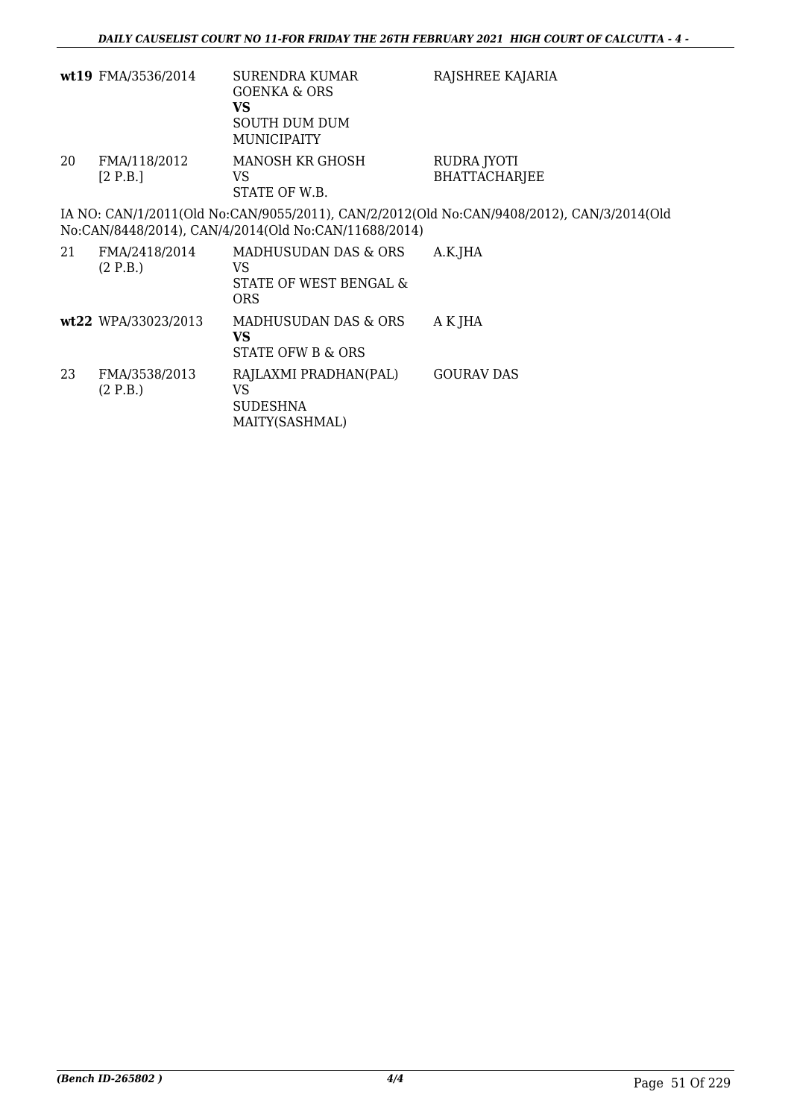|    | wt19 FMA/3536/2014        | <b>SURENDRA KUMAR</b><br><b>GOENKA &amp; ORS</b><br><b>VS</b><br><b>SOUTH DUM DUM</b><br><b>MUNICIPAITY</b> | RAJSHREE KAJARIA                                                                          |
|----|---------------------------|-------------------------------------------------------------------------------------------------------------|-------------------------------------------------------------------------------------------|
| 20 | FMA/118/2012<br>[2 P.B.]  | MANOSH KR GHOSH<br>VS.<br>STATE OF W.B.                                                                     | RUDRA JYOTI<br><b>BHATTACHARJEE</b>                                                       |
|    |                           | No:CAN/8448/2014), CAN/4/2014(Old No:CAN/11688/2014)                                                        | IA NO: CAN/1/2011(Old No:CAN/9055/2011), CAN/2/2012(Old No:CAN/9408/2012), CAN/3/2014(Old |
| 21 | FMA/2418/2014<br>(2 P.B.) | MADHUSUDAN DAS & ORS<br>VS.<br>STATE OF WEST BENGAL &<br><b>ORS</b>                                         | A.K.JHA                                                                                   |
|    | wt22 WPA/33023/2013       | MADHUSUDAN DAS & ORS<br><b>VS</b><br>STATE OFW B & ORS                                                      | A K JHA                                                                                   |
| 23 | FMA/3538/2013<br>(2 P.B.) | RAJLAXMI PRADHAN(PAL)<br>VS<br><b>SUDESHNA</b><br>MAITY(SASHMAL)                                            | <b>GOURAV DAS</b>                                                                         |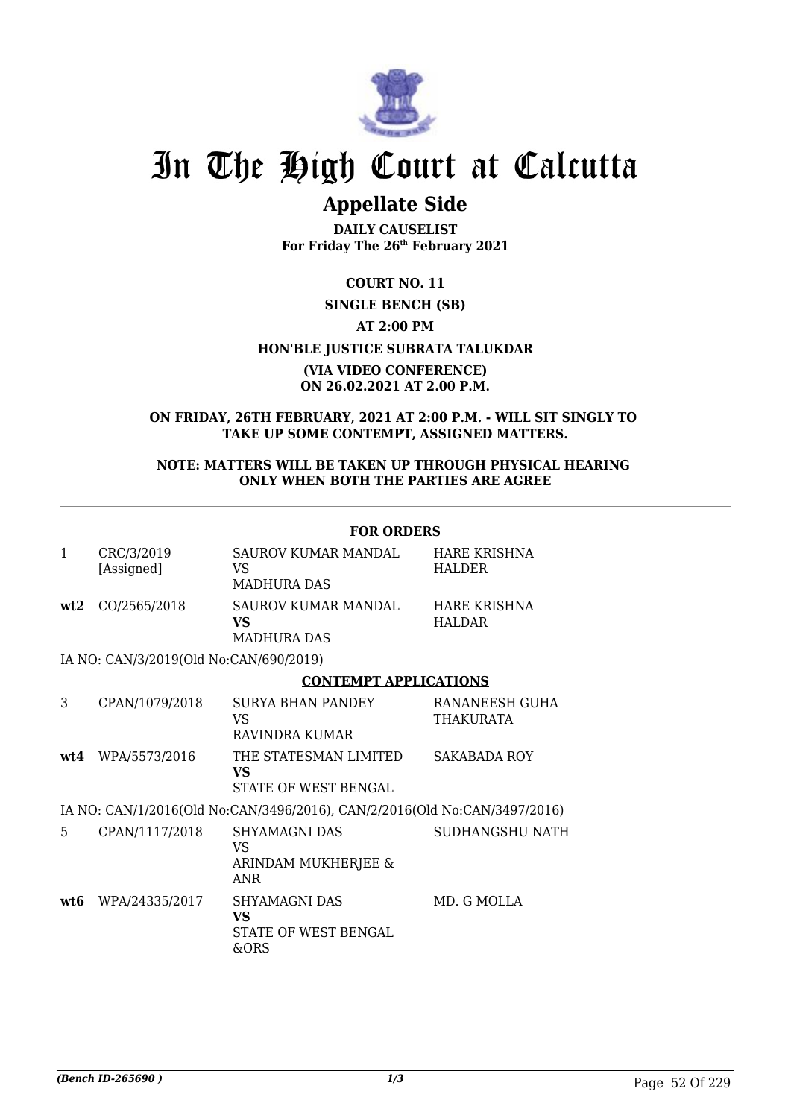

## **Appellate Side**

**DAILY CAUSELIST For Friday The 26th February 2021**

**COURT NO. 11**

## **SINGLE BENCH (SB) AT 2:00 PM HON'BLE JUSTICE SUBRATA TALUKDAR**

### **(VIA VIDEO CONFERENCE) ON 26.02.2021 AT 2.00 P.M.**

**ON FRIDAY, 26TH FEBRUARY, 2021 AT 2:00 P.M. - WILL SIT SINGLY TO TAKE UP SOME CONTEMPT, ASSIGNED MATTERS.**

## **NOTE: MATTERS WILL BE TAKEN UP THROUGH PHYSICAL HEARING ONLY WHEN BOTH THE PARTIES ARE AGREE**

#### **FOR ORDERS** 1 CRC/3/2019 [Assigned] SAUROV KUMAR MANDAL VS MADHURA DAS HARE KRISHNA HALDER **wt2** CO/2565/2018 SAUROV KUMAR MANDAL **VS** MADHURA DAS HARE KRISHNA HALDAR IA NO: CAN/3/2019(Old No:CAN/690/2019) **CONTEMPT APPLICATIONS** 3 CPAN/1079/2018 SURYA BHAN PANDEY VS RAVINDRA KUMAR RANANEESH GUHA THAKURATA **wt4** WPA/5573/2016 THE STATESMAN LIMITED **VS** STATE OF WEST BENGAL SAKABADA ROY IA NO: CAN/1/2016(Old No:CAN/3496/2016), CAN/2/2016(Old No:CAN/3497/2016) 5 CPAN/1117/2018 SHYAMAGNI DAS VS ARINDAM MUKHERJEE & ANR SUDHANGSHU NATH **wt6** WPA/24335/2017 SHYAMAGNI DAS **VS** STATE OF WEST BENGAL &ORS MD. G MOLLA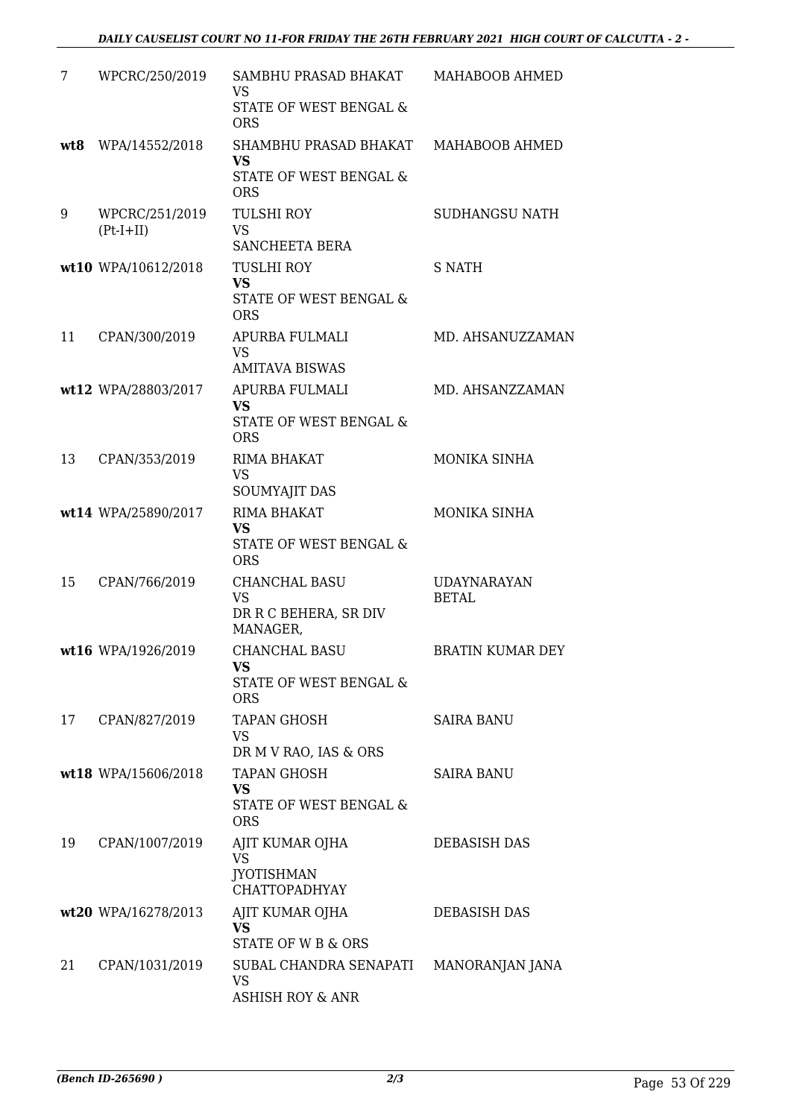| 7   | WPCRC/250/2019                | SAMBHU PRASAD BHAKAT<br>VS<br>STATE OF WEST BENGAL &                      | MAHABOOB AHMED                     |
|-----|-------------------------------|---------------------------------------------------------------------------|------------------------------------|
|     |                               | <b>ORS</b>                                                                |                                    |
| wt8 | WPA/14552/2018                | SHAMBHU PRASAD BHAKAT<br><b>VS</b>                                        | MAHABOOB AHMED                     |
|     |                               | STATE OF WEST BENGAL &<br><b>ORS</b>                                      |                                    |
| 9   | WPCRC/251/2019<br>$(Pt-I+II)$ | <b>TULSHI ROY</b><br><b>VS</b><br>SANCHEETA BERA                          | <b>SUDHANGSU NATH</b>              |
|     | wt10 WPA/10612/2018           | <b>TUSLHI ROY</b><br><b>VS</b><br>STATE OF WEST BENGAL &<br><b>ORS</b>    | S NATH                             |
| 11  | CPAN/300/2019                 | APURBA FULMALI<br><b>VS</b><br><b>AMITAVA BISWAS</b>                      | MD. AHSANUZZAMAN                   |
|     | wt12 WPA/28803/2017           | APURBA FULMALI<br>VS<br>STATE OF WEST BENGAL &<br><b>ORS</b>              | MD. AHSANZZAMAN                    |
| 13  | CPAN/353/2019                 | RIMA BHAKAT<br><b>VS</b><br>SOUMYAJIT DAS                                 | MONIKA SINHA                       |
|     | wt14 WPA/25890/2017           | RIMA BHAKAT<br><b>VS</b><br>STATE OF WEST BENGAL &<br><b>ORS</b>          | MONIKA SINHA                       |
| 15  | CPAN/766/2019                 | <b>CHANCHAL BASU</b><br><b>VS</b><br>DR R C BEHERA, SR DIV<br>MANAGER,    | <b>UDAYNARAYAN</b><br><b>BETAL</b> |
|     | wt16 WPA/1926/2019            | CHANCHAL BASU<br>VS<br>STATE OF WEST BENGAL &<br><b>ORS</b>               | BRATIN KUMAR DEY                   |
| 17  | CPAN/827/2019                 | <b>TAPAN GHOSH</b><br><b>VS</b><br>DR M V RAO, IAS & ORS                  | <b>SAIRA BANU</b>                  |
|     | wt18 WPA/15606/2018           | <b>TAPAN GHOSH</b><br><b>VS</b><br>STATE OF WEST BENGAL &<br><b>ORS</b>   | <b>SAIRA BANU</b>                  |
| 19  | CPAN/1007/2019                | AJIT KUMAR OJHA<br><b>VS</b><br><b>JYOTISHMAN</b><br><b>CHATTOPADHYAY</b> | DEBASISH DAS                       |
|     | wt20 WPA/16278/2013           | AJIT KUMAR OJHA<br>VS<br>STATE OF W B & ORS                               | DEBASISH DAS                       |
| 21  | CPAN/1031/2019                | SUBAL CHANDRA SENAPATI<br><b>VS</b><br><b>ASHISH ROY &amp; ANR</b>        | MANORANJAN JANA                    |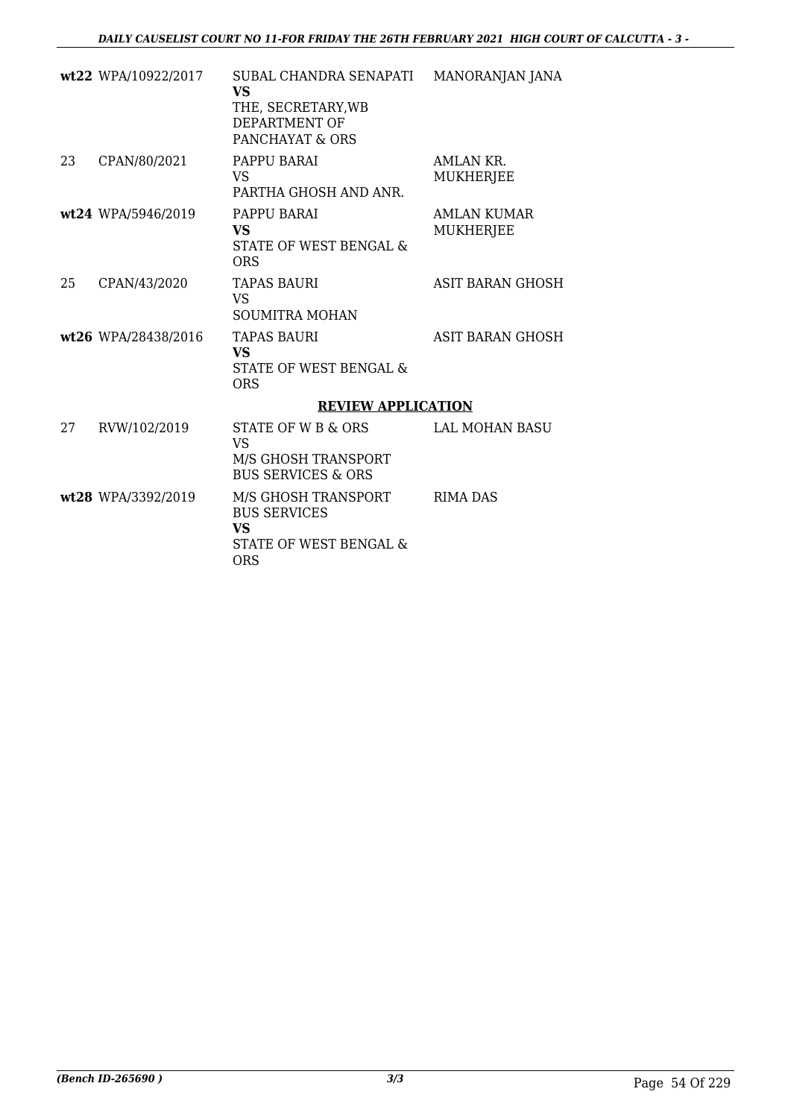|    | wt22 WPA/10922/2017 | SUBAL CHANDRA SENAPATI<br><b>VS</b><br>THE, SECRETARY, WB<br>DEPARTMENT OF<br>PANCHAYAT & ORS | MANORANJAN JANA                 |
|----|---------------------|-----------------------------------------------------------------------------------------------|---------------------------------|
| 23 | CPAN/80/2021        | PAPPU BARAI<br>VS<br>PARTHA GHOSH AND ANR.                                                    | AMLAN KR.<br><b>MUKHERJEE</b>   |
|    | wt24 WPA/5946/2019  | PAPPU BARAI<br>VS.<br>STATE OF WEST BENGAL &<br><b>ORS</b>                                    | AMLAN KUMAR<br><b>MUKHERJEE</b> |
| 25 | CPAN/43/2020        | <b>TAPAS BAURI</b><br><b>VS</b><br><b>SOUMITRA MOHAN</b>                                      | ASIT BARAN GHOSH                |
|    | wt26 WPA/28438/2016 | <b>TAPAS BAURI</b><br><b>VS</b><br>STATE OF WEST BENGAL &<br><b>ORS</b>                       | ASIT BARAN GHOSH                |
|    |                     | <b>REVIEW APPLICATION</b>                                                                     |                                 |
| 27 | RVW/102/2019        | STATE OF W B & ORS<br>VS<br>M/S GHOSH TRANSPORT<br><b>BUS SERVICES &amp; ORS</b>              | LAL MOHAN BASU                  |
|    | wt28 WPA/3392/2019  | M/S GHOSH TRANSPORT<br><b>BUS SERVICES</b><br>VS<br>STATE OF WEST BENGAL &<br><b>ORS</b>      | <b>RIMA DAS</b>                 |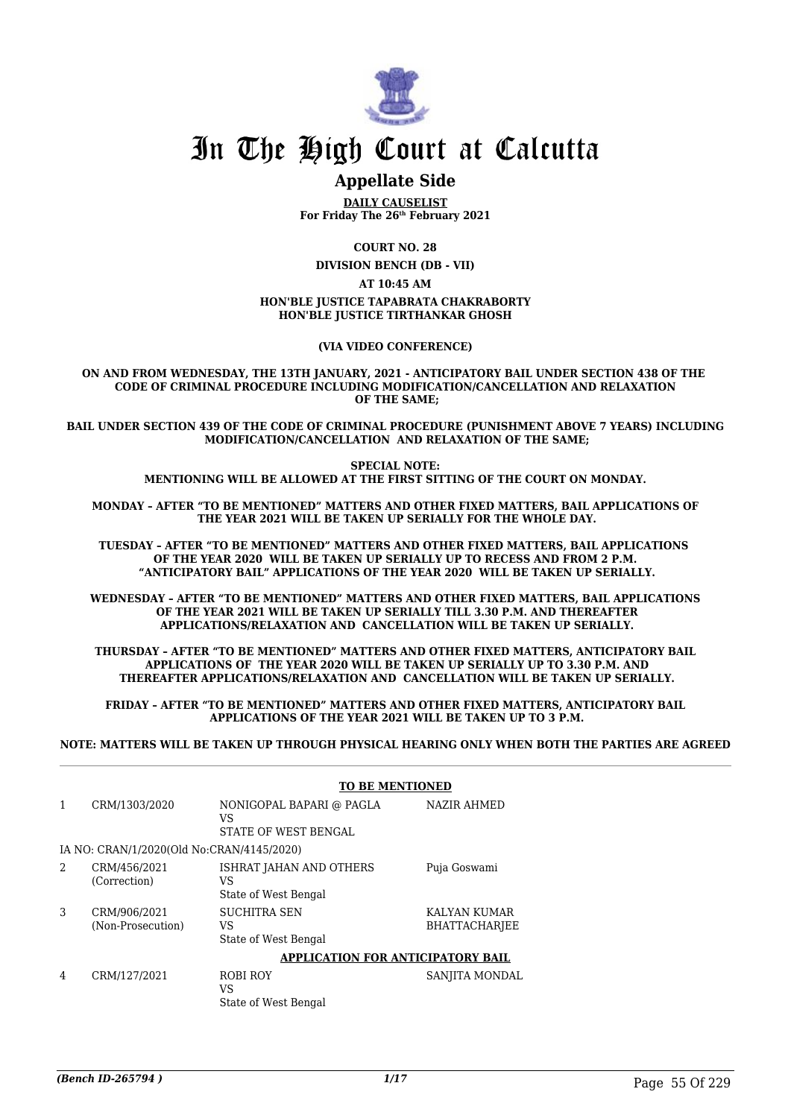

## **Appellate Side**

**DAILY CAUSELIST For Friday The 26th February 2021**

**COURT NO. 28**

**DIVISION BENCH (DB - VII)**

**AT 10:45 AM**

#### **HON'BLE JUSTICE TAPABRATA CHAKRABORTY HON'BLE JUSTICE TIRTHANKAR GHOSH**

#### **(VIA VIDEO CONFERENCE)**

**ON AND FROM WEDNESDAY, THE 13TH JANUARY, 2021 - ANTICIPATORY BAIL UNDER SECTION 438 OF THE CODE OF CRIMINAL PROCEDURE INCLUDING MODIFICATION/CANCELLATION AND RELAXATION OF THE SAME;**

**BAIL UNDER SECTION 439 OF THE CODE OF CRIMINAL PROCEDURE (PUNISHMENT ABOVE 7 YEARS) INCLUDING MODIFICATION/CANCELLATION AND RELAXATION OF THE SAME;**

> **SPECIAL NOTE: MENTIONING WILL BE ALLOWED AT THE FIRST SITTING OF THE COURT ON MONDAY.**

**MONDAY – AFTER "TO BE MENTIONED" MATTERS AND OTHER FIXED MATTERS, BAIL APPLICATIONS OF THE YEAR 2021 WILL BE TAKEN UP SERIALLY FOR THE WHOLE DAY.**

**TUESDAY – AFTER "TO BE MENTIONED" MATTERS AND OTHER FIXED MATTERS, BAIL APPLICATIONS OF THE YEAR 2020 WILL BE TAKEN UP SERIALLY UP TO RECESS AND FROM 2 P.M. "ANTICIPATORY BAIL" APPLICATIONS OF THE YEAR 2020 WILL BE TAKEN UP SERIALLY.**

**WEDNESDAY – AFTER "TO BE MENTIONED" MATTERS AND OTHER FIXED MATTERS, BAIL APPLICATIONS OF THE YEAR 2021 WILL BE TAKEN UP SERIALLY TILL 3.30 P.M. AND THEREAFTER APPLICATIONS/RELAXATION AND CANCELLATION WILL BE TAKEN UP SERIALLY.**

**THURSDAY – AFTER "TO BE MENTIONED" MATTERS AND OTHER FIXED MATTERS, ANTICIPATORY BAIL APPLICATIONS OF THE YEAR 2020 WILL BE TAKEN UP SERIALLY UP TO 3.30 P.M. AND THEREAFTER APPLICATIONS/RELAXATION AND CANCELLATION WILL BE TAKEN UP SERIALLY.**

**FRIDAY – AFTER "TO BE MENTIONED" MATTERS AND OTHER FIXED MATTERS, ANTICIPATORY BAIL APPLICATIONS OF THE YEAR 2021 WILL BE TAKEN UP TO 3 P.M.**

**NOTE: MATTERS WILL BE TAKEN UP THROUGH PHYSICAL HEARING ONLY WHEN BOTH THE PARTIES ARE AGREED**

|                |                                           | <b>TO BE MENTIONED</b>                                   |                                      |
|----------------|-------------------------------------------|----------------------------------------------------------|--------------------------------------|
|                | CRM/1303/2020                             | NONIGOPAL BAPARI @ PAGLA<br>VS<br>STATE OF WEST BENGAL   | <b>NAZIR AHMED</b>                   |
|                | IA NO: CRAN/1/2020(Old No:CRAN/4145/2020) |                                                          |                                      |
| $\mathfrak{D}$ | CRM/456/2021<br>(Correction)              | ISHRAT JAHAN AND OTHERS<br>VS<br>State of West Bengal    | Puja Goswami                         |
| 3              | CRM/906/2021<br>(Non-Prosecution)         | <b>SUCHITRA SEN</b><br><b>VS</b><br>State of West Bengal | KALYAN KUMAR<br><b>BHATTACHARJEE</b> |
|                |                                           | APPLICATION FOR ANTICIPATORY BAIL                        |                                      |
| 4              | CRM/127/2021                              | ROBI ROY<br>VS<br>State of West Bengal                   | SANJITA MONDAL                       |

## *(Bench ID-265794 ) 1/17* Page 55 Of 229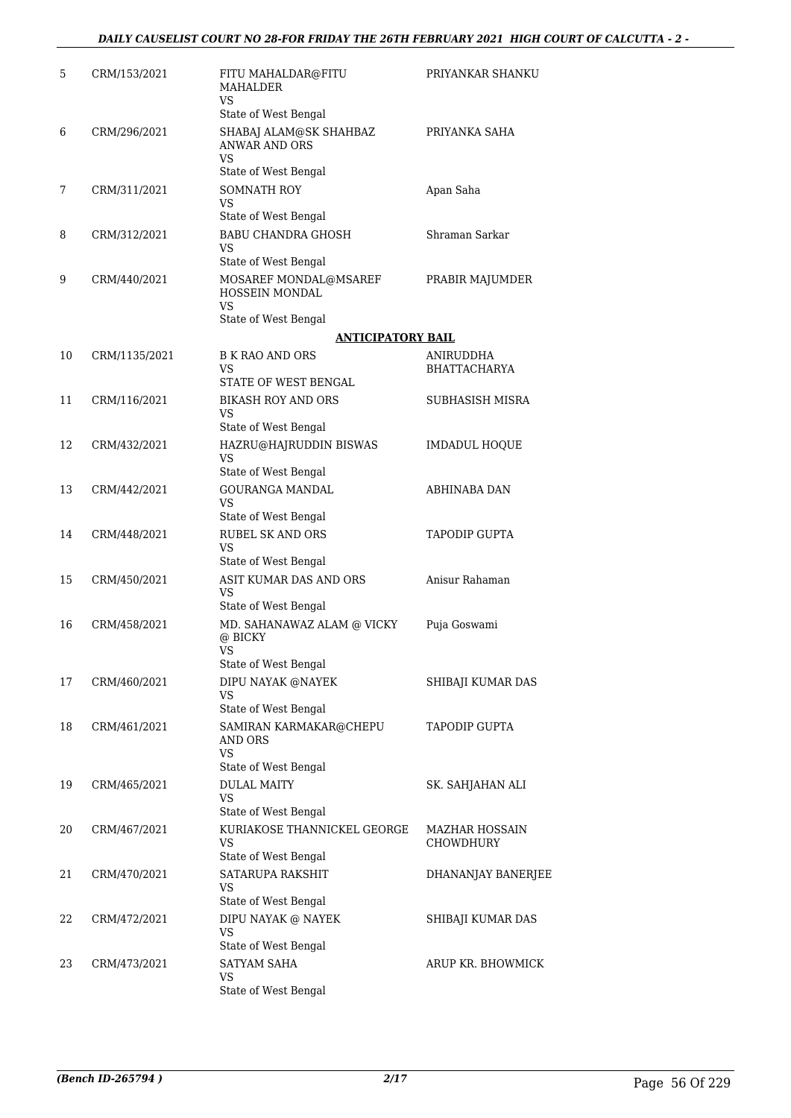| 5  | CRM/153/2021  | FITU MAHALDAR@FITU<br><b>MAHALDER</b><br>VS                                             | PRIYANKAR SHANKU                   |
|----|---------------|-----------------------------------------------------------------------------------------|------------------------------------|
| 6  | CRM/296/2021  | State of West Bengal<br>SHABAJ ALAM@SK SHAHBAZ<br><b>ANWAR AND ORS</b><br>VS            | PRIYANKA SAHA                      |
|    |               | State of West Bengal                                                                    |                                    |
| 7  | CRM/311/2021  | <b>SOMNATH ROY</b><br>VS<br>State of West Bengal                                        | Apan Saha                          |
| 8  | CRM/312/2021  | <b>BABU CHANDRA GHOSH</b><br>VS<br>State of West Bengal                                 | Shraman Sarkar                     |
| 9  | CRM/440/2021  | MOSAREF MONDAL@MSAREF<br>HOSSEIN MONDAL<br>VS.<br>State of West Bengal                  | PRABIR MAJUMDER                    |
|    |               | <b>ANTICIPATORY BAIL</b>                                                                |                                    |
| 10 | CRM/1135/2021 | <b>B K RAO AND ORS</b>                                                                  | ANIRUDDHA                          |
|    |               | VS<br>STATE OF WEST BENGAL                                                              | <b>BHATTACHARYA</b>                |
| 11 | CRM/116/2021  | <b>BIKASH ROY AND ORS</b><br>VS                                                         | SUBHASISH MISRA                    |
|    |               | State of West Bengal                                                                    |                                    |
| 12 | CRM/432/2021  | HAZRU@HAJRUDDIN BISWAS<br>VS                                                            | <b>IMDADUL HOQUE</b>               |
| 13 | CRM/442/2021  | State of West Bengal<br><b>GOURANGA MANDAL</b><br>VS<br>State of West Bengal            | ABHINABA DAN                       |
| 14 | CRM/448/2021  | <b>RUBEL SK AND ORS</b><br>VS                                                           | <b>TAPODIP GUPTA</b>               |
|    |               | State of West Bengal                                                                    |                                    |
| 15 | CRM/450/2021  | ASIT KUMAR DAS AND ORS<br>VS<br>State of West Bengal                                    | Anisur Rahaman                     |
| 16 | CRM/458/2021  | MD. SAHANAWAZ ALAM @ VICKY<br>@ BICKY<br><b>VS</b><br>State of West Bengal              | Puja Goswami                       |
| 17 | CRM/460/2021  | DIPU NAYAK @NAYEK<br>VS                                                                 | SHIBAJI KUMAR DAS                  |
| 18 | CRM/461/2021  | State of West Bengal<br>SAMIRAN KARMAKAR@CHEPU<br>AND ORS<br>VS<br>State of West Bengal | <b>TAPODIP GUPTA</b>               |
| 19 | CRM/465/2021  | <b>DULAL MAITY</b><br>VS                                                                | SK. SAHJAHAN ALI                   |
| 20 | CRM/467/2021  | State of West Bengal<br>KURIAKOSE THANNICKEL GEORGE<br>VS<br>State of West Bengal       | <b>MAZHAR HOSSAIN</b><br>CHOWDHURY |
| 21 | CRM/470/2021  | SATARUPA RAKSHIT<br>VS<br>State of West Bengal                                          | DHANANJAY BANERJEE                 |
| 22 | CRM/472/2021  | DIPU NAYAK @ NAYEK<br>VS<br>State of West Bengal                                        | SHIBAJI KUMAR DAS                  |
| 23 | CRM/473/2021  | SATYAM SAHA<br>VS<br>State of West Bengal                                               | ARUP KR. BHOWMICK                  |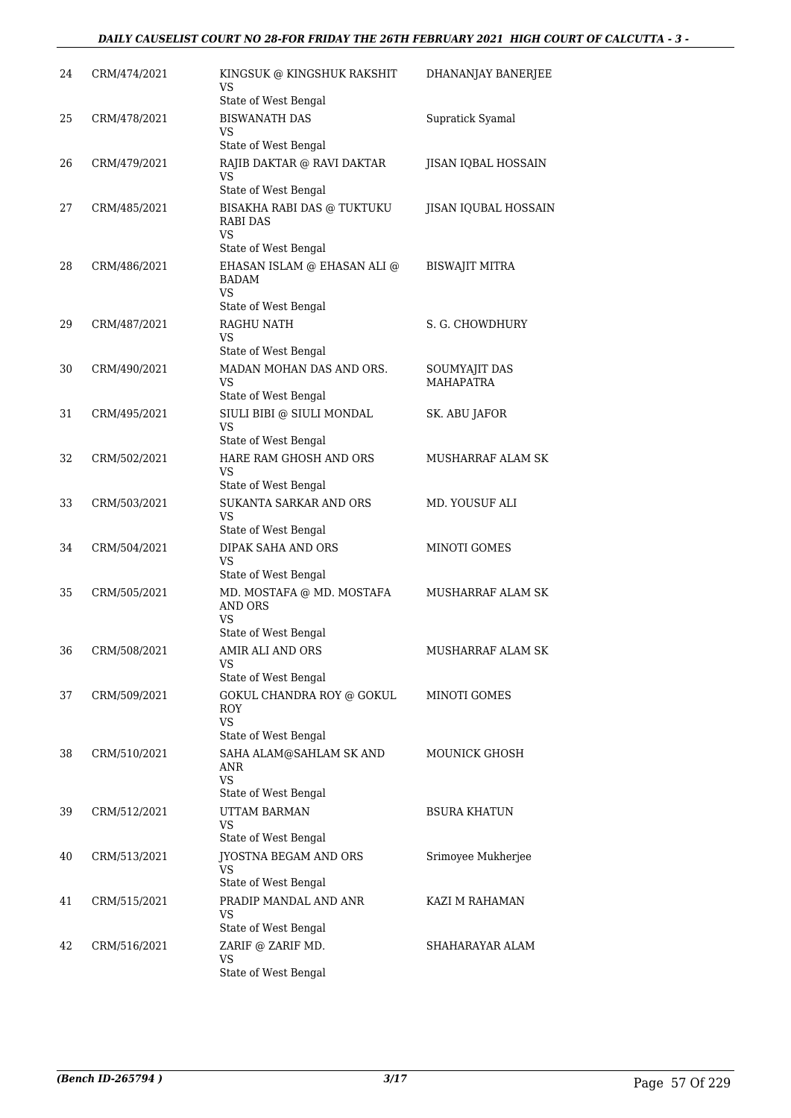## *DAILY CAUSELIST COURT NO 28-FOR FRIDAY THE 26TH FEBRUARY 2021 HIGH COURT OF CALCUTTA - 3 -*

| 24 | CRM/474/2021 | KINGSUK @ KINGSHUK RAKSHIT<br>VS<br>State of West Bengal                                    | DHANANJAY BANERJEE                |
|----|--------------|---------------------------------------------------------------------------------------------|-----------------------------------|
| 25 | CRM/478/2021 | <b>BISWANATH DAS</b><br>VS                                                                  | Supratick Syamal                  |
| 26 | CRM/479/2021 | State of West Bengal<br>RAJIB DAKTAR @ RAVI DAKTAR<br>VS<br>State of West Bengal            | JISAN IQBAL HOSSAIN               |
| 27 | CRM/485/2021 | BISAKHA RABI DAS @ TUKTUKU<br>RABI DAS<br>VS                                                | JISAN IQUBAL HOSSAIN              |
| 28 | CRM/486/2021 | State of West Bengal<br>EHASAN ISLAM @ EHASAN ALI @<br>BADAM<br>VS.<br>State of West Bengal | <b>BISWAJIT MITRA</b>             |
| 29 | CRM/487/2021 | <b>RAGHU NATH</b><br>VS.                                                                    | S. G. CHOWDHURY                   |
| 30 | CRM/490/2021 | State of West Bengal<br>MADAN MOHAN DAS AND ORS.<br>VS<br>State of West Bengal              | SOUMYAJIT DAS<br><b>MAHAPATRA</b> |
| 31 | CRM/495/2021 | SIULI BIBI @ SIULI MONDAL<br>VS<br>State of West Bengal                                     | SK. ABU JAFOR                     |
| 32 | CRM/502/2021 | HARE RAM GHOSH AND ORS<br>VS<br>State of West Bengal                                        | MUSHARRAF ALAM SK                 |
| 33 | CRM/503/2021 | <b>SUKANTA SARKAR AND ORS</b><br>VS                                                         | MD. YOUSUF ALI                    |
| 34 | CRM/504/2021 | State of West Bengal<br>DIPAK SAHA AND ORS<br>VS                                            | MINOTI GOMES                      |
| 35 | CRM/505/2021 | State of West Bengal<br>MD. MOSTAFA @ MD. MOSTAFA<br><b>AND ORS</b><br>VS                   | MUSHARRAF ALAM SK                 |
| 36 | CRM/508/2021 | State of West Bengal<br>AMIR ALI AND ORS<br><b>VS</b><br>State of West Bengal               | MUSHARRAF ALAM SK                 |
| 37 | CRM/509/2021 | GOKUL CHANDRA ROY @ GOKUL<br>ROY<br><b>VS</b>                                               | MINOTI GOMES                      |
| 38 | CRM/510/2021 | State of West Bengal<br>SAHA ALAM@SAHLAM SK AND<br>ANR<br><b>VS</b>                         | <b>MOUNICK GHOSH</b>              |
| 39 | CRM/512/2021 | State of West Bengal<br>UTTAM BARMAN<br>VS                                                  | <b>BSURA KHATUN</b>               |
| 40 | CRM/513/2021 | State of West Bengal<br>JYOSTNA BEGAM AND ORS<br>VS                                         | Srimoyee Mukherjee                |
| 41 | CRM/515/2021 | State of West Bengal<br>PRADIP MANDAL AND ANR<br>VS                                         | KAZI M RAHAMAN                    |
| 42 | CRM/516/2021 | State of West Bengal<br>ZARIF @ ZARIF MD.<br><b>VS</b><br>State of West Bengal              | SHAHARAYAR ALAM                   |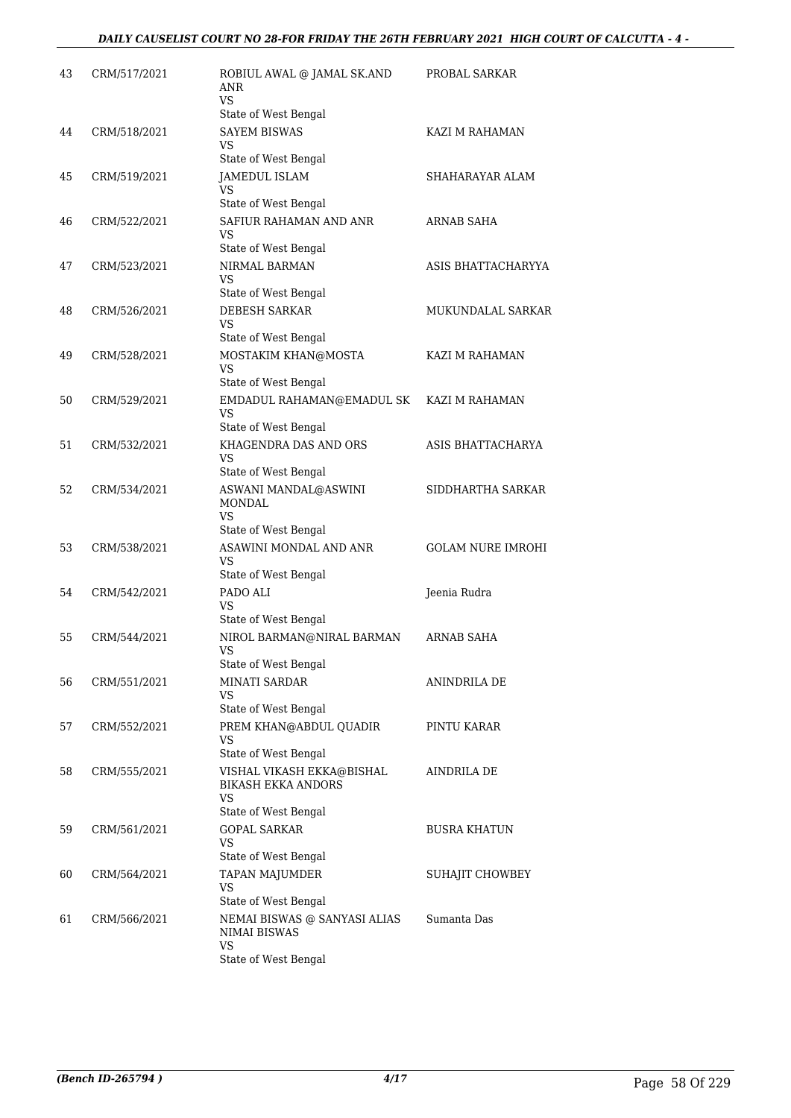| 43 | CRM/517/2021 | ROBIUL AWAL @ JAMAL SK.AND<br>ANR<br><b>VS</b>                            | PROBAL SARKAR            |
|----|--------------|---------------------------------------------------------------------------|--------------------------|
| 44 | CRM/518/2021 | State of West Bengal<br><b>SAYEM BISWAS</b><br>VS                         | KAZI M RAHAMAN           |
| 45 | CRM/519/2021 | State of West Bengal<br>JAMEDUL ISLAM<br>VS                               | SHAHARAYAR ALAM          |
| 46 | CRM/522/2021 | State of West Bengal<br>SAFIUR RAHAMAN AND ANR<br>VS                      | ARNAB SAHA               |
| 47 | CRM/523/2021 | State of West Bengal<br>NIRMAL BARMAN<br>VS                               | ASIS BHATTACHARYYA       |
| 48 | CRM/526/2021 | State of West Bengal<br><b>DEBESH SARKAR</b><br>VS                        | MUKUNDALAL SARKAR        |
| 49 | CRM/528/2021 | State of West Bengal<br>MOSTAKIM KHAN@MOSTA<br>VS                         | KAZI M RAHAMAN           |
| 50 | CRM/529/2021 | State of West Bengal<br>EMDADUL RAHAMAN@EMADUL SK<br>VS                   | KAZI M RAHAMAN           |
| 51 | CRM/532/2021 | State of West Bengal<br>KHAGENDRA DAS AND ORS<br>VS                       | ASIS BHATTACHARYA        |
| 52 | CRM/534/2021 | State of West Bengal<br>ASWANI MANDAL@ASWINI<br>MONDAL<br>VS              | SIDDHARTHA SARKAR        |
| 53 | CRM/538/2021 | State of West Bengal<br>ASAWINI MONDAL AND ANR<br>VS                      | <b>GOLAM NURE IMROHI</b> |
| 54 | CRM/542/2021 | State of West Bengal<br>PADO ALI<br>VS<br>State of West Bengal            | Jeenia Rudra             |
| 55 | CRM/544/2021 | NIROL BARMAN@NIRAL BARMAN<br><b>VS</b><br>State of West Bengal            | ARNAB SAHA               |
| 56 | CRM/551/2021 | <b>MINATI SARDAR</b><br>VS<br>State of West Bengal                        | ANINDRILA DE             |
| 57 | CRM/552/2021 | PREM KHAN@ABDUL QUADIR<br>VS<br>State of West Bengal                      | PINTU KARAR              |
| 58 | CRM/555/2021 | VISHAL VIKASH EKKA@BISHAL<br><b>BIKASH EKKA ANDORS</b><br>VS              | AINDRILA DE              |
| 59 | CRM/561/2021 | State of West Bengal<br><b>GOPAL SARKAR</b><br>VS<br>State of West Bengal | BUSRA KHATUN             |
| 60 | CRM/564/2021 | TAPAN MAJUMDER<br>VS<br>State of West Bengal                              | SUHAJIT CHOWBEY          |
| 61 | CRM/566/2021 | NEMAI BISWAS @ SANYASI ALIAS<br><b>NIMAI BISWAS</b><br>VS                 | Sumanta Das              |
|    |              | State of West Bengal                                                      |                          |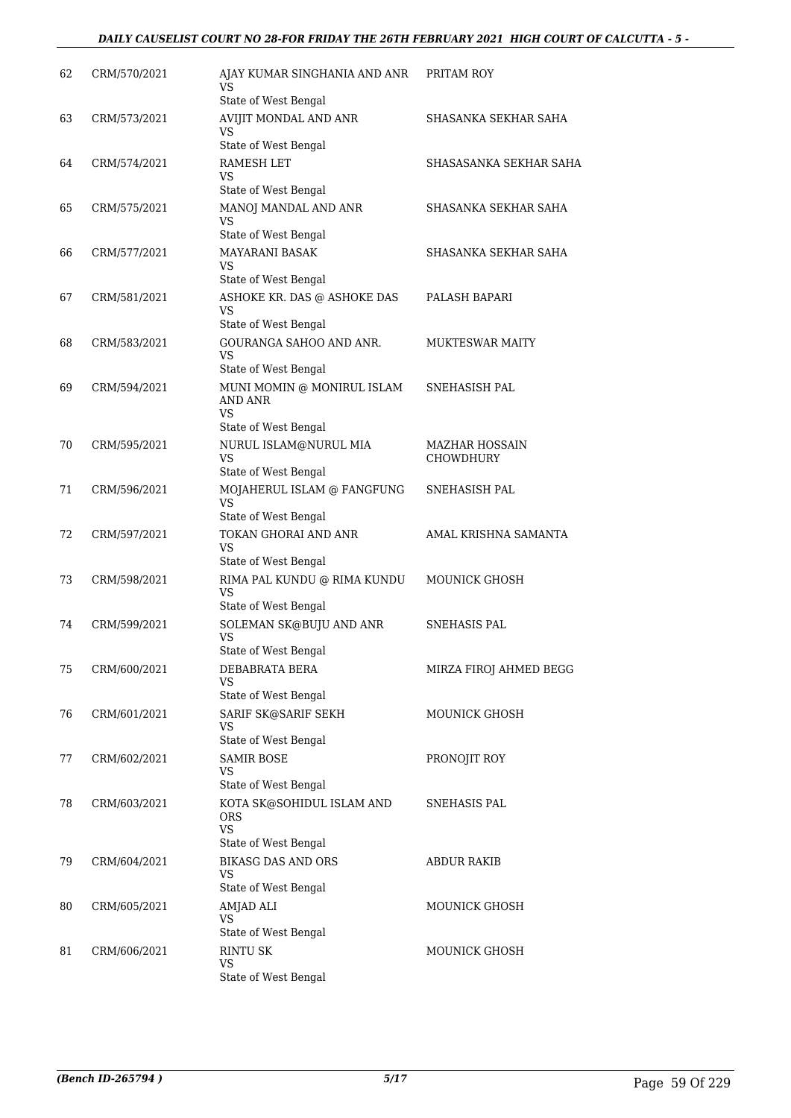| 62 | CRM/570/2021 | AJAY KUMAR SINGHANIA AND ANR<br>VS                              | PRITAM ROY                                |
|----|--------------|-----------------------------------------------------------------|-------------------------------------------|
|    |              | State of West Bengal                                            |                                           |
| 63 | CRM/573/2021 | AVIJIT MONDAL AND ANR<br>VS                                     | SHASANKA SEKHAR SAHA                      |
|    |              | State of West Bengal                                            |                                           |
| 64 | CRM/574/2021 | RAMESH LET<br>VS                                                | SHASASANKA SEKHAR SAHA                    |
|    |              | State of West Bengal                                            |                                           |
| 65 | CRM/575/2021 | MANOJ MANDAL AND ANR<br>VS<br>State of West Bengal              | SHASANKA SEKHAR SAHA                      |
|    |              |                                                                 |                                           |
| 66 | CRM/577/2021 | MAYARANI BASAK<br>VS<br>State of West Bengal                    | SHASANKA SEKHAR SAHA                      |
|    |              | ASHOKE KR. DAS @ ASHOKE DAS                                     |                                           |
| 67 | CRM/581/2021 | <b>VS</b><br>State of West Bengal                               | PALASH BAPARI                             |
| 68 | CRM/583/2021 | GOURANGA SAHOO AND ANR.                                         | <b>MUKTESWAR MAITY</b>                    |
|    |              | <b>VS</b><br>State of West Bengal                               |                                           |
| 69 | CRM/594/2021 | MUNI MOMIN @ MONIRUL ISLAM                                      | SNEHASISH PAL                             |
|    |              | AND ANR<br><b>VS</b>                                            |                                           |
|    |              | State of West Bengal                                            |                                           |
| 70 | CRM/595/2021 | NURUL ISLAM@NURUL MIA<br>VS                                     | <b>MAZHAR HOSSAIN</b><br><b>CHOWDHURY</b> |
|    |              | State of West Bengal                                            |                                           |
| 71 | CRM/596/2021 | MOJAHERUL ISLAM @ FANGFUNG<br><b>VS</b><br>State of West Bengal | SNEHASISH PAL                             |
|    |              |                                                                 |                                           |
| 72 | CRM/597/2021 | TOKAN GHORAI AND ANR<br>VS<br>State of West Bengal              | AMAL KRISHNA SAMANTA                      |
| 73 | CRM/598/2021 | RIMA PAL KUNDU @ RIMA KUNDU                                     | <b>MOUNICK GHOSH</b>                      |
|    |              | VS<br>State of West Bengal                                      |                                           |
| 74 | CRM/599/2021 | SOLEMAN SK@BUJU AND ANR                                         | SNEHASIS PAL                              |
|    |              | VS<br>State of West Bengal                                      |                                           |
| 75 | CRM/600/2021 | DEBABRATA BERA                                                  | MIRZA FIROJ AHMED BEGG                    |
|    |              | <b>VS</b><br>State of West Bengal                               |                                           |
| 76 | CRM/601/2021 | SARIF SK@SARIF SEKH                                             | MOUNICK GHOSH                             |
|    |              | VS<br>State of West Bengal                                      |                                           |
| 77 | CRM/602/2021 | SAMIR BOSE                                                      | PRONOJIT ROY                              |
|    |              | VS<br>State of West Bengal                                      |                                           |
| 78 | CRM/603/2021 | KOTA SK@SOHIDUL ISLAM AND<br><b>ORS</b>                         | <b>SNEHASIS PAL</b>                       |
|    |              | <b>VS</b>                                                       |                                           |
|    |              | State of West Bengal                                            |                                           |
| 79 | CRM/604/2021 | <b>BIKASG DAS AND ORS</b><br>VS<br>State of West Bengal         | <b>ABDUR RAKIB</b>                        |
| 80 | CRM/605/2021 | AMJAD ALI                                                       | <b>MOUNICK GHOSH</b>                      |
|    |              | <b>VS</b><br>State of West Bengal                               |                                           |
| 81 | CRM/606/2021 | <b>RINTU SK</b>                                                 | <b>MOUNICK GHOSH</b>                      |
|    |              | VS<br>State of West Bengal                                      |                                           |
|    |              |                                                                 |                                           |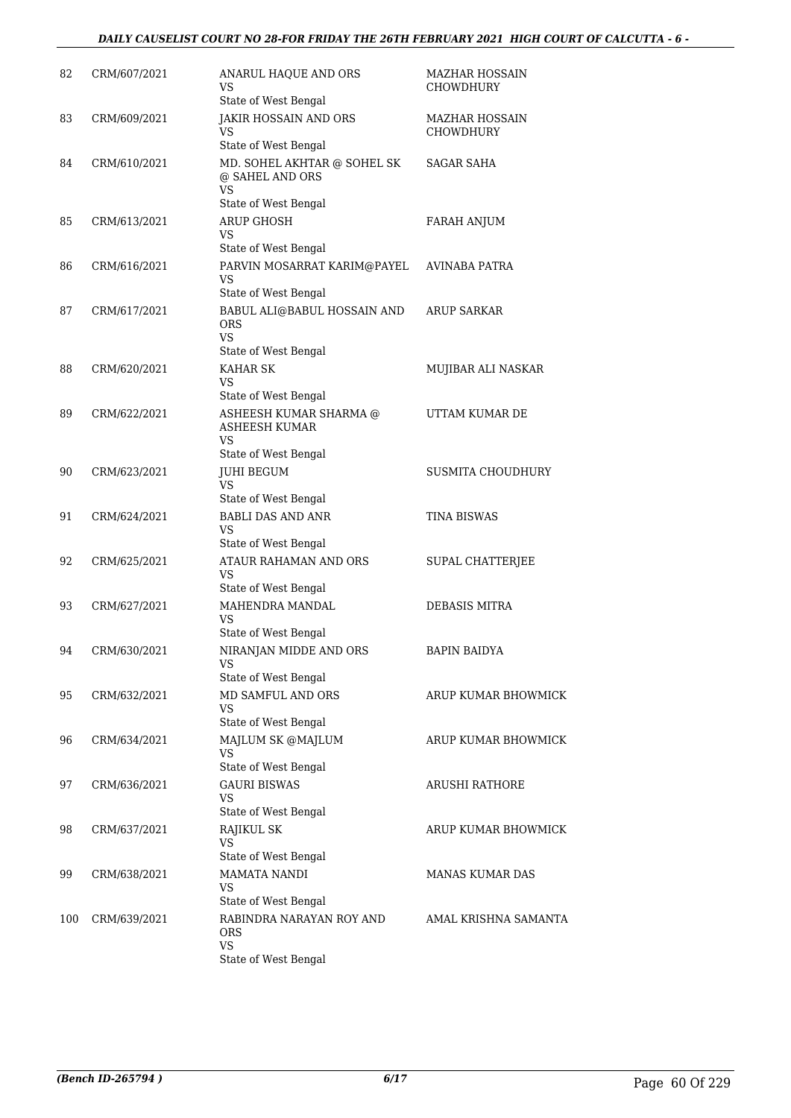| 82  | CRM/607/2021 | ANARUL HAQUE AND ORS<br>VS<br>State of West Bengal                                  | <b>MAZHAR HOSSAIN</b><br><b>CHOWDHURY</b> |
|-----|--------------|-------------------------------------------------------------------------------------|-------------------------------------------|
| 83  | CRM/609/2021 | <b>JAKIR HOSSAIN AND ORS</b><br>VS<br>State of West Bengal                          | <b>MAZHAR HOSSAIN</b><br>CHOWDHURY        |
| 84  | CRM/610/2021 | MD. SOHEL AKHTAR @ SOHEL SK<br>@ SAHEL AND ORS<br><b>VS</b>                         | <b>SAGAR SAHA</b>                         |
| 85  | CRM/613/2021 | State of West Bengal<br><b>ARUP GHOSH</b><br>VS<br>State of West Bengal             | <b>FARAH ANJUM</b>                        |
| 86  | CRM/616/2021 | PARVIN MOSARRAT KARIM@PAYEL<br>VS<br>State of West Bengal                           | AVINABA PATRA                             |
| 87  | CRM/617/2021 | BABUL ALI@BABUL HOSSAIN AND<br><b>ORS</b><br><b>VS</b><br>State of West Bengal      | <b>ARUP SARKAR</b>                        |
| 88  | CRM/620/2021 | <b>KAHAR SK</b><br>VS<br>State of West Bengal                                       | MUJIBAR ALI NASKAR                        |
| 89  | CRM/622/2021 | ASHEESH KUMAR SHARMA @<br><b>ASHEESH KUMAR</b><br><b>VS</b><br>State of West Bengal | UTTAM KUMAR DE                            |
| 90  | CRM/623/2021 | <b>JUHI BEGUM</b><br>VS<br>State of West Bengal                                     | <b>SUSMITA CHOUDHURY</b>                  |
| 91  | CRM/624/2021 | <b>BABLI DAS AND ANR</b><br>VS<br>State of West Bengal                              | <b>TINA BISWAS</b>                        |
| 92  | CRM/625/2021 | ATAUR RAHAMAN AND ORS<br><b>VS</b><br>State of West Bengal                          | SUPAL CHATTERJEE                          |
| 93  | CRM/627/2021 | MAHENDRA MANDAL<br>VS<br>State of West Bengal                                       | DEBASIS MITRA                             |
| 94  | CRM/630/2021 | NIRANJAN MIDDE AND ORS<br><b>VS</b><br>State of West Bengal                         | BAPIN BAIDYA                              |
| 95  | CRM/632/2021 | MD SAMFUL AND ORS<br>VS<br>State of West Bengal                                     | ARUP KUMAR BHOWMICK                       |
| 96  | CRM/634/2021 | MAJLUM SK @MAJLUM<br>VS<br>State of West Bengal                                     | ARUP KUMAR BHOWMICK                       |
| 97  | CRM/636/2021 | GAURI BISWAS<br>VS                                                                  | ARUSHI RATHORE                            |
| 98  | CRM/637/2021 | State of West Bengal<br>RAJIKUL SK<br><b>VS</b><br>State of West Bengal             | ARUP KUMAR BHOWMICK                       |
| 99  | CRM/638/2021 | <b>MAMATA NANDI</b><br>VS<br>State of West Bengal                                   | MANAS KUMAR DAS                           |
| 100 | CRM/639/2021 | RABINDRA NARAYAN ROY AND<br><b>ORS</b><br><b>VS</b><br>State of West Bengal         | AMAL KRISHNA SAMANTA                      |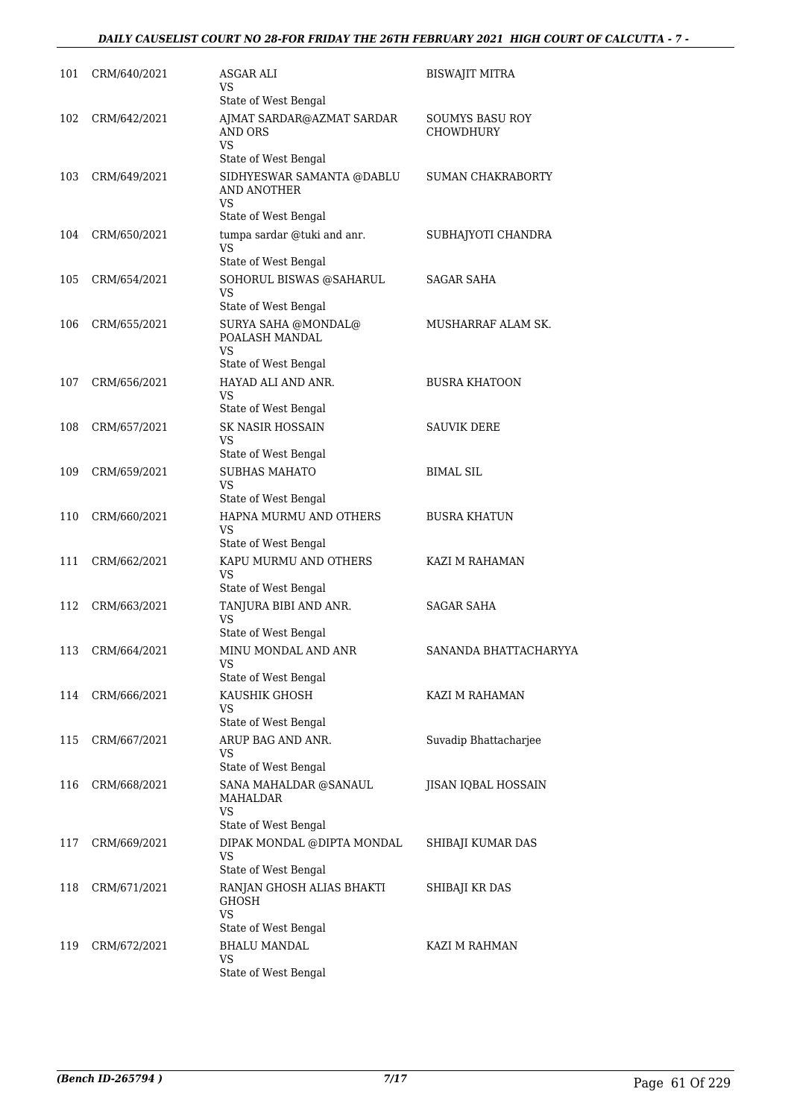## *DAILY CAUSELIST COURT NO 28-FOR FRIDAY THE 26TH FEBRUARY 2021 HIGH COURT OF CALCUTTA - 7 -*

| 101 | CRM/640/2021 | ASGAR ALI<br>VS<br>State of West Bengal                                                        | BISWAJIT MITRA                      |
|-----|--------------|------------------------------------------------------------------------------------------------|-------------------------------------|
| 102 | CRM/642/2021 | AJMAT SARDAR@AZMAT SARDAR<br>AND ORS<br>VS                                                     | SOUMYS BASU ROY<br><b>CHOWDHURY</b> |
| 103 | CRM/649/2021 | State of West Bengal<br>SIDHYESWAR SAMANTA @DABLU<br>AND ANOTHER<br>VS<br>State of West Bengal | SUMAN CHAKRABORTY                   |
| 104 | CRM/650/2021 | tumpa sardar @tuki and anr.<br>VS                                                              | SUBHAJYOTI CHANDRA                  |
| 105 | CRM/654/2021 | State of West Bengal<br>SOHORUL BISWAS @SAHARUL<br>VS<br>State of West Bengal                  | SAGAR SAHA                          |
| 106 | CRM/655/2021 | SURYA SAHA @MONDAL@<br>POALASH MANDAL<br>VS                                                    | MUSHARRAF ALAM SK.                  |
| 107 | CRM/656/2021 | State of West Bengal<br>HAYAD ALI AND ANR.<br>VS<br>State of West Bengal                       | <b>BUSRA KHATOON</b>                |
| 108 | CRM/657/2021 | <b>SK NASIR HOSSAIN</b><br>VS                                                                  | <b>SAUVIK DERE</b>                  |
| 109 | CRM/659/2021 | State of West Bengal<br><b>SUBHAS MAHATO</b><br>VS<br>State of West Bengal                     | <b>BIMAL SIL</b>                    |
| 110 | CRM/660/2021 | HAPNA MURMU AND OTHERS<br>VS<br>State of West Bengal                                           | BUSRA KHATUN                        |
| 111 | CRM/662/2021 | KAPU MURMU AND OTHERS<br>VS                                                                    | KAZI M RAHAMAN                      |
| 112 | CRM/663/2021 | State of West Bengal<br>TANJURA BIBI AND ANR.<br>VS<br>State of West Bengal                    | <b>SAGAR SAHA</b>                   |
| 113 | CRM/664/2021 | MINU MONDAL AND ANR<br><b>VS</b><br>State of West Bengal                                       | SANANDA BHATTACHARYYA               |
| 114 | CRM/666/2021 | KAUSHIK GHOSH<br>VS<br>State of West Bengal                                                    | KAZI M RAHAMAN                      |
| 115 | CRM/667/2021 | ARUP BAG AND ANR.<br>VS<br>State of West Bengal                                                | Suvadip Bhattacharjee               |
| 116 | CRM/668/2021 | SANA MAHALDAR @SANAUL<br>MAHALDAR<br><b>VS</b><br>State of West Bengal                         | JISAN IQBAL HOSSAIN                 |
| 117 | CRM/669/2021 | DIPAK MONDAL @DIPTA MONDAL<br><b>VS</b><br>State of West Bengal                                | SHIBAJI KUMAR DAS                   |
| 118 | CRM/671/2021 | RANJAN GHOSH ALIAS BHAKTI<br><b>GHOSH</b><br>VS                                                | SHIBAJI KR DAS                      |
| 119 | CRM/672/2021 | State of West Bengal<br><b>BHALU MANDAL</b><br>VS<br>State of West Bengal                      | KAZI M RAHMAN                       |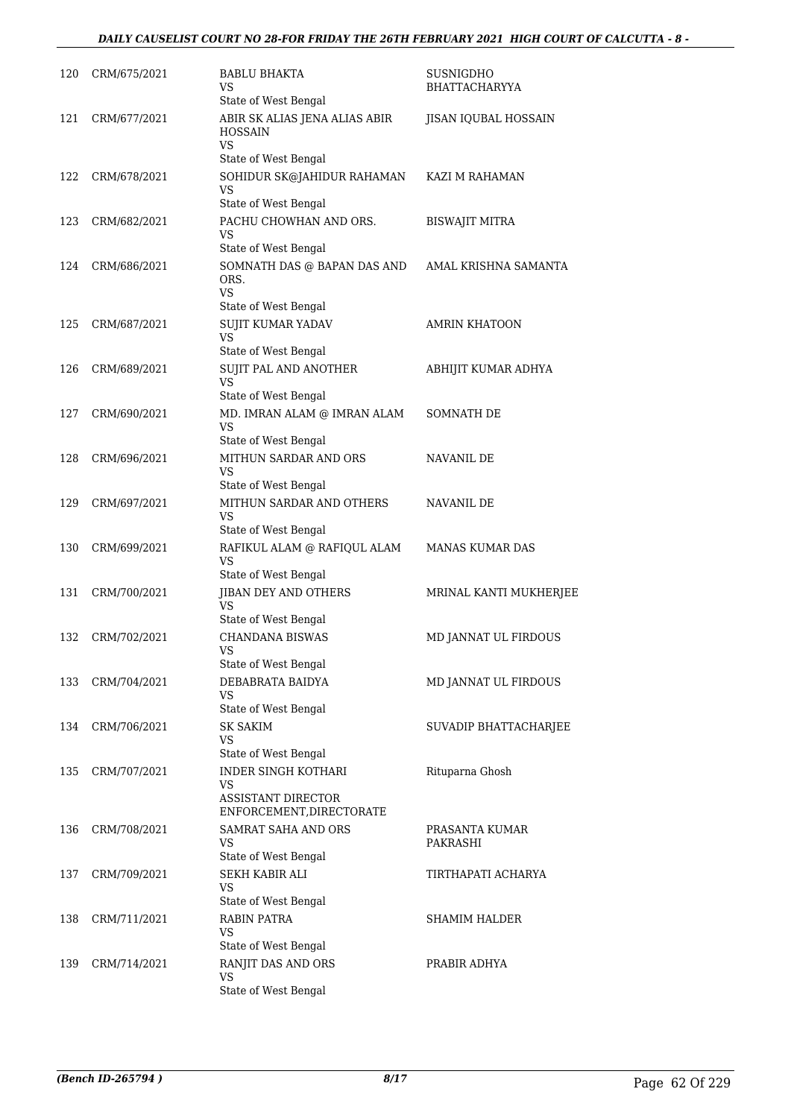## *DAILY CAUSELIST COURT NO 28-FOR FRIDAY THE 26TH FEBRUARY 2021 HIGH COURT OF CALCUTTA - 8 -*

| 120 | CRM/675/2021 | BABLU BHAKTA<br>VS                                                                 | SUSNIGDHO<br><b>BHATTACHARYYA</b> |
|-----|--------------|------------------------------------------------------------------------------------|-----------------------------------|
|     |              | State of West Bengal                                                               |                                   |
| 121 | CRM/677/2021 | ABIR SK ALIAS JENA ALIAS ABIR<br><b>HOSSAIN</b><br>VS<br>State of West Bengal      | JISAN IQUBAL HOSSAIN              |
| 122 | CRM/678/2021 | SOHIDUR SK@JAHIDUR RAHAMAN<br>VS<br>State of West Bengal                           | KAZI M RAHAMAN                    |
| 123 | CRM/682/2021 | PACHU CHOWHAN AND ORS.                                                             | <b>BISWAJIT MITRA</b>             |
|     |              | VS<br>State of West Bengal                                                         |                                   |
| 124 | CRM/686/2021 | SOMNATH DAS @ BAPAN DAS AND<br>ORS.<br>VS                                          | AMAL KRISHNA SAMANTA              |
|     |              | State of West Bengal                                                               |                                   |
| 125 | CRM/687/2021 | SUJIT KUMAR YADAV<br><b>VS</b>                                                     | <b>AMRIN KHATOON</b>              |
|     |              | State of West Bengal                                                               |                                   |
| 126 | CRM/689/2021 | SUJIT PAL AND ANOTHER<br>VS<br>State of West Bengal                                | ABHIJIT KUMAR ADHYA               |
| 127 | CRM/690/2021 | MD. IMRAN ALAM @ IMRAN ALAM<br>VS                                                  | <b>SOMNATH DE</b>                 |
|     |              | State of West Bengal                                                               |                                   |
| 128 | CRM/696/2021 | MITHUN SARDAR AND ORS<br>VS<br>State of West Bengal                                | NAVANIL DE                        |
| 129 | CRM/697/2021 | MITHUN SARDAR AND OTHERS<br>VS<br>State of West Bengal                             | NAVANIL DE                        |
| 130 | CRM/699/2021 | RAFIKUL ALAM @ RAFIQUL ALAM<br>VS<br>State of West Bengal                          | <b>MANAS KUMAR DAS</b>            |
| 131 | CRM/700/2021 | JIBAN DEY AND OTHERS<br><b>VS</b><br>State of West Bengal                          | MRINAL KANTI MUKHERJEE            |
| 132 | CRM/702/2021 | <b>CHANDANA BISWAS</b><br><b>VS</b><br>State of West Bengal                        | MD JANNAT UL FIRDOUS              |
| 133 | CRM/704/2021 | DEBABRATA BAIDYA<br><b>VS</b><br>State of West Bengal                              | MD JANNAT UL FIRDOUS              |
| 134 | CRM/706/2021 | <b>SK SAKIM</b>                                                                    | SUVADIP BHATTACHARJEE             |
|     |              | VS                                                                                 |                                   |
|     |              | State of West Bengal                                                               |                                   |
| 135 | CRM/707/2021 | <b>INDER SINGH KOTHARI</b><br>VS<br>ASSISTANT DIRECTOR<br>ENFORCEMENT, DIRECTORATE | Rituparna Ghosh                   |
| 136 | CRM/708/2021 | SAMRAT SAHA AND ORS<br>VS<br>State of West Bengal                                  | PRASANTA KUMAR<br>PAKRASHI        |
| 137 | CRM/709/2021 | SEKH KABIR ALI<br>VS                                                               | TIRTHAPATI ACHARYA                |
| 138 | CRM/711/2021 | State of West Bengal<br><b>RABIN PATRA</b><br>VS<br>State of West Bengal           | <b>SHAMIM HALDER</b>              |
| 139 | CRM/714/2021 | RANJIT DAS AND ORS<br>VS<br>State of West Bengal                                   | PRABIR ADHYA                      |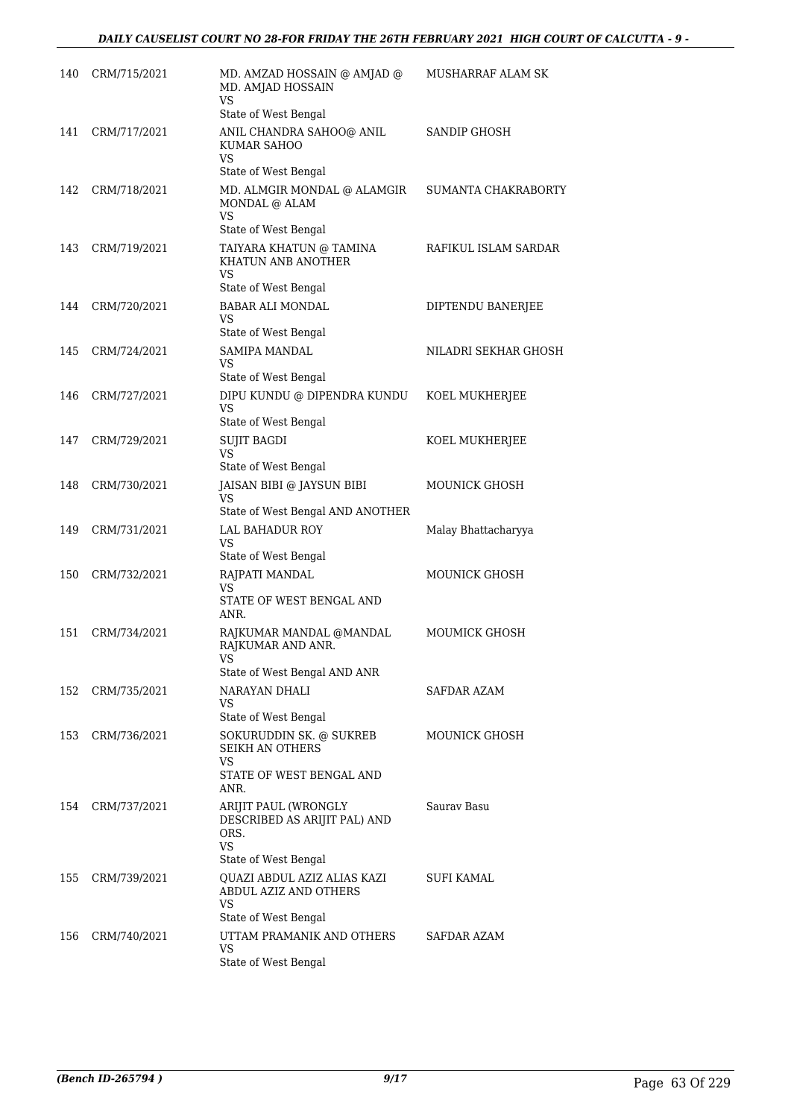| 140 | CRM/715/2021 | MD. AMZAD HOSSAIN @ AMJAD @<br>MD. AMJAD HOSSAIN<br>VS                                    | MUSHARRAF ALAM SK    |
|-----|--------------|-------------------------------------------------------------------------------------------|----------------------|
|     |              | State of West Bengal                                                                      |                      |
| 141 | CRM/717/2021 | ANIL CHANDRA SAHOO@ ANIL<br>KUMAR SAHOO<br>VS                                             | SANDIP GHOSH         |
|     |              | State of West Bengal                                                                      |                      |
| 142 | CRM/718/2021 | MD. ALMGIR MONDAL @ ALAMGIR<br>MONDAL @ ALAM<br>VS                                        | SUMANTA CHAKRABORTY  |
| 143 | CRM/719/2021 | State of West Bengal<br>TAIYARA KHATUN @ TAMINA<br>KHATUN ANB ANOTHER<br>VS               | RAFIKUL ISLAM SARDAR |
|     |              | State of West Bengal                                                                      |                      |
| 144 | CRM/720/2021 | <b>BABAR ALI MONDAL</b><br>VS<br>State of West Bengal                                     | DIPTENDU BANERJEE    |
| 145 | CRM/724/2021 | <b>SAMIPA MANDAL</b><br>VS                                                                | NILADRI SEKHAR GHOSH |
|     |              | State of West Bengal                                                                      |                      |
| 146 | CRM/727/2021 | DIPU KUNDU @ DIPENDRA KUNDU<br>VS<br>State of West Bengal                                 | KOEL MUKHERJEE       |
| 147 | CRM/729/2021 | <b>SUJIT BAGDI</b>                                                                        | KOEL MUKHERJEE       |
|     |              | VS<br>State of West Bengal                                                                |                      |
| 148 | CRM/730/2021 | JAISAN BIBI @ JAYSUN BIBI<br><b>VS</b>                                                    | MOUNICK GHOSH        |
|     |              | State of West Bengal AND ANOTHER                                                          |                      |
| 149 | CRM/731/2021 | <b>LAL BAHADUR ROY</b><br>VS<br>State of West Bengal                                      | Malay Bhattacharyya  |
| 150 | CRM/732/2021 | RAJPATI MANDAL                                                                            | <b>MOUNICK GHOSH</b> |
|     |              | VS<br>STATE OF WEST BENGAL AND<br>ANR.                                                    |                      |
| 151 | CRM/734/2021 | RAJKUMAR MANDAL @MANDAL<br>RAJKUMAR AND ANR.<br>VS                                        | MOUMICK GHOSH        |
|     |              | State of West Bengal AND ANR                                                              |                      |
| 152 | CRM/735/2021 | NARAYAN DHALI<br>VS<br>State of West Bengal                                               | SAFDAR AZAM          |
| 153 | CRM/736/2021 | SOKURUDDIN SK. @ SUKREB<br>SEIKH AN OTHERS<br>VS                                          | <b>MOUNICK GHOSH</b> |
|     |              | STATE OF WEST BENGAL AND<br>ANR.                                                          |                      |
| 154 | CRM/737/2021 | ARIJIT PAUL (WRONGLY<br>DESCRIBED AS ARIJIT PAL) AND<br>ORS.<br><b>VS</b>                 | Sauray Basu          |
| 155 | CRM/739/2021 | State of West Bengal<br>QUAZI ABDUL AZIZ ALIAS KAZI<br>ABDUL AZIZ AND OTHERS<br><b>VS</b> | SUFI KAMAL           |
|     |              | State of West Bengal                                                                      |                      |
| 156 | CRM/740/2021 | UTTAM PRAMANIK AND OTHERS<br>VS                                                           | SAFDAR AZAM          |
|     |              | State of West Bengal                                                                      |                      |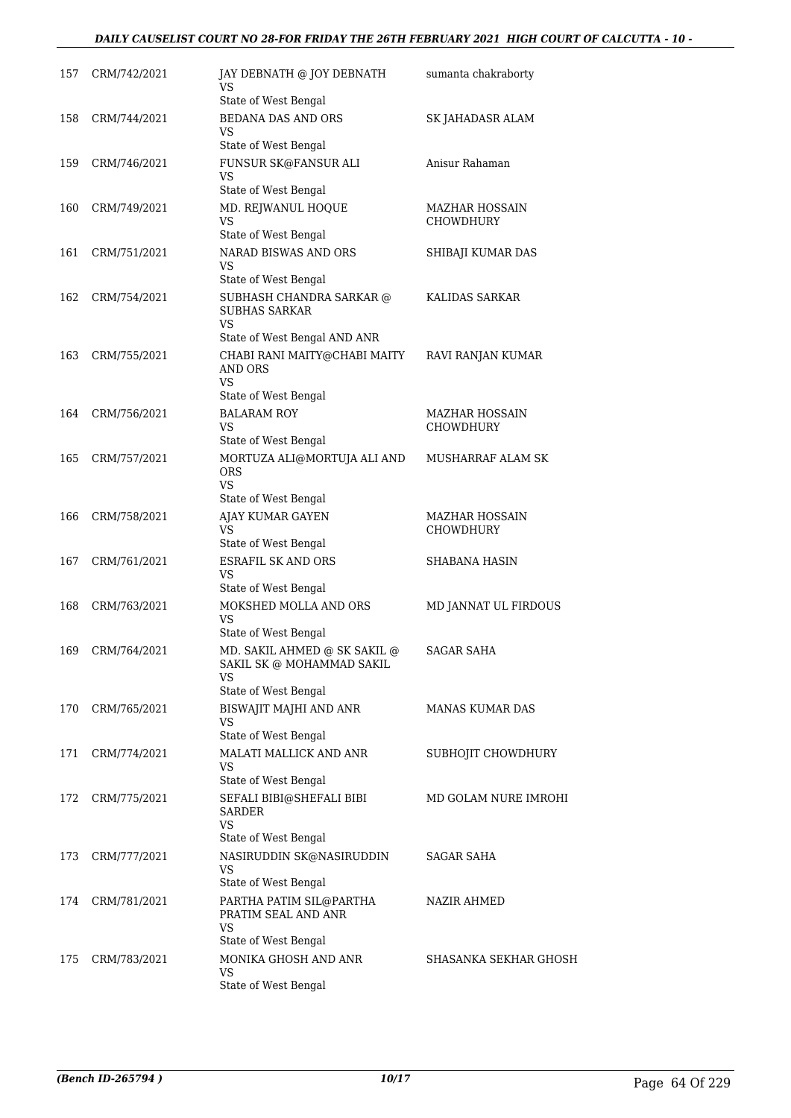## *DAILY CAUSELIST COURT NO 28-FOR FRIDAY THE 26TH FEBRUARY 2021 HIGH COURT OF CALCUTTA - 10 -*

| 157 | CRM/742/2021 | JAY DEBNATH @ JOY DEBNATH<br>VS                                                | sumanta chakraborty                |
|-----|--------------|--------------------------------------------------------------------------------|------------------------------------|
| 158 | CRM/744/2021 | State of West Bengal<br><b>BEDANA DAS AND ORS</b>                              |                                    |
|     |              | VS                                                                             | SK JAHADASR ALAM                   |
|     |              | State of West Bengal                                                           |                                    |
| 159 | CRM/746/2021 | FUNSUR SK@FANSUR ALI<br>VS                                                     | Anisur Rahaman                     |
|     |              | State of West Bengal                                                           |                                    |
| 160 | CRM/749/2021 | MD. REJWANUL HOQUE<br>VS<br>State of West Bengal                               | MAZHAR HOSSAIN<br>CHOWDHURY        |
| 161 | CRM/751/2021 | NARAD BISWAS AND ORS                                                           | SHIBAJI KUMAR DAS                  |
|     |              | VS<br>State of West Bengal                                                     |                                    |
| 162 | CRM/754/2021 | SUBHASH CHANDRA SARKAR @<br><b>SUBHAS SARKAR</b><br>VS                         | KALIDAS SARKAR                     |
|     |              | State of West Bengal AND ANR                                                   |                                    |
| 163 | CRM/755/2021 | CHABI RANI MAITY@CHABI MAITY<br>AND ORS<br>VS                                  | RAVI RANJAN KUMAR                  |
|     |              | State of West Bengal                                                           |                                    |
| 164 | CRM/756/2021 | <b>BALARAM ROY</b><br>VS                                                       | <b>MAZHAR HOSSAIN</b><br>CHOWDHURY |
|     |              | State of West Bengal                                                           |                                    |
| 165 | CRM/757/2021 | MORTUZA ALI@MORTUJA ALI AND<br><b>ORS</b><br>VS                                | MUSHARRAF ALAM SK                  |
|     |              | State of West Bengal                                                           |                                    |
| 166 | CRM/758/2021 | AJAY KUMAR GAYEN<br>VS                                                         | MAZHAR HOSSAIN<br><b>CHOWDHURY</b> |
|     |              | State of West Bengal                                                           |                                    |
| 167 | CRM/761/2021 | ESRAFIL SK AND ORS<br>VS<br>State of West Bengal                               | SHABANA HASIN                      |
| 168 | CRM/763/2021 | MOKSHED MOLLA AND ORS                                                          | MD JANNAT UL FIRDOUS               |
|     |              | VS<br>State of West Bengal                                                     |                                    |
| 169 | CRM/764/2021 | MD. SAKIL AHMED @ SK SAKIL @<br>SAKIL SK @ MOHAMMAD SAKIL<br>VS                | <b>SAGAR SAHA</b>                  |
|     |              | State of West Bengal                                                           |                                    |
| 170 | CRM/765/2021 | BISWAJIT MAJHI AND ANR<br>VS                                                   | <b>MANAS KUMAR DAS</b>             |
|     |              | State of West Bengal<br>MALATI MALLICK AND ANR                                 |                                    |
| 171 | CRM/774/2021 | VS<br>State of West Bengal                                                     | SUBHOJIT CHOWDHURY                 |
| 172 | CRM/775/2021 | SEFALI BIBI@SHEFALI BIBI<br><b>SARDER</b><br><b>VS</b><br>State of West Bengal | MD GOLAM NURE IMROHI               |
| 173 | CRM/777/2021 | NASIRUDDIN SK@NASIRUDDIN                                                       | SAGAR SAHA                         |
|     |              | VS<br>State of West Bengal                                                     |                                    |
| 174 | CRM/781/2021 | PARTHA PATIM SIL@PARTHA<br>PRATIM SEAL AND ANR<br>VS<br>State of West Bengal   | NAZIR AHMED                        |
| 175 | CRM/783/2021 | MONIKA GHOSH AND ANR                                                           | SHASANKA SEKHAR GHOSH              |
|     |              | VS<br>State of West Bengal                                                     |                                    |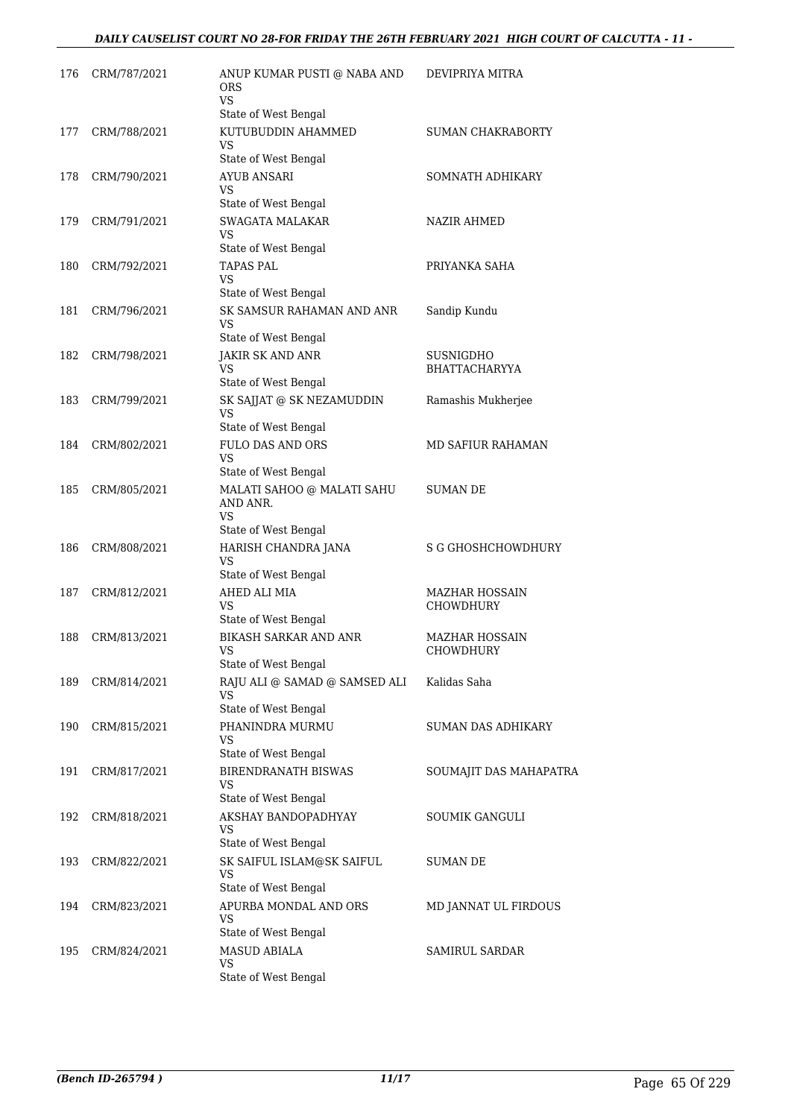## *DAILY CAUSELIST COURT NO 28-FOR FRIDAY THE 26TH FEBRUARY 2021 HIGH COURT OF CALCUTTA - 11 -*

| 176 | CRM/787/2021 | ANUP KUMAR PUSTI @ NABA AND                                          | DEVIPRIYA MITRA                    |
|-----|--------------|----------------------------------------------------------------------|------------------------------------|
|     |              | <b>ORS</b><br>VS.<br>State of West Bengal                            |                                    |
| 177 | CRM/788/2021 | KUTUBUDDIN AHAMMED<br>VS<br>State of West Bengal                     | <b>SUMAN CHAKRABORTY</b>           |
| 178 | CRM/790/2021 | AYUB ANSARI<br>VS<br>State of West Bengal                            | SOMNATH ADHIKARY                   |
| 179 | CRM/791/2021 | <b>SWAGATA MALAKAR</b><br>VS<br>State of West Bengal                 | NAZIR AHMED                        |
| 180 | CRM/792/2021 | <b>TAPAS PAL</b><br>VS<br>State of West Bengal                       | PRIYANKA SAHA                      |
| 181 | CRM/796/2021 | SK SAMSUR RAHAMAN AND ANR<br>VS<br>State of West Bengal              | Sandip Kundu                       |
| 182 | CRM/798/2021 | JAKIR SK AND ANR<br><b>VS</b><br>State of West Bengal                | SUSNIGDHO<br><b>BHATTACHARYYA</b>  |
| 183 | CRM/799/2021 | SK SAJJAT @ SK NEZAMUDDIN<br>VS<br>State of West Bengal              | Ramashis Mukherjee                 |
| 184 | CRM/802/2021 | <b>FULO DAS AND ORS</b><br>VS<br>State of West Bengal                | <b>MD SAFIUR RAHAMAN</b>           |
| 185 | CRM/805/2021 | MALATI SAHOO @ MALATI SAHU<br>AND ANR.<br>VS<br>State of West Bengal | SUMAN DE                           |
| 186 | CRM/808/2021 | HARISH CHANDRA JANA<br>VS<br>State of West Bengal                    | S G GHOSHCHOWDHURY                 |
| 187 | CRM/812/2021 | AHED ALI MIA<br>VS<br>State of West Bengal                           | MAZHAR HOSSAIN<br><b>CHOWDHURY</b> |
| 188 | CRM/813/2021 | BIKASH SARKAR AND ANR<br>VS<br>State of West Bengal                  | <b>MAZHAR HOSSAIN</b><br>CHOWDHURY |
| 189 | CRM/814/2021 | RAJU ALI @ SAMAD @ SAMSED ALI<br>VS<br>State of West Bengal          | Kalidas Saha                       |
| 190 | CRM/815/2021 | PHANINDRA MURMU<br>VS<br>State of West Bengal                        | <b>SUMAN DAS ADHIKARY</b>          |
| 191 | CRM/817/2021 | <b>BIRENDRANATH BISWAS</b><br>VS<br>State of West Bengal             | SOUMAJIT DAS MAHAPATRA             |
| 192 | CRM/818/2021 | AKSHAY BANDOPADHYAY<br>VS<br>State of West Bengal                    | SOUMIK GANGULI                     |
| 193 | CRM/822/2021 | SK SAIFUL ISLAM@SK SAIFUL<br>VS<br>State of West Bengal              | <b>SUMAN DE</b>                    |
| 194 | CRM/823/2021 | APURBA MONDAL AND ORS<br>VS<br>State of West Bengal                  | MD JANNAT UL FIRDOUS               |
| 195 | CRM/824/2021 | <b>MASUD ABIALA</b><br>VS<br>State of West Bengal                    | <b>SAMIRUL SARDAR</b>              |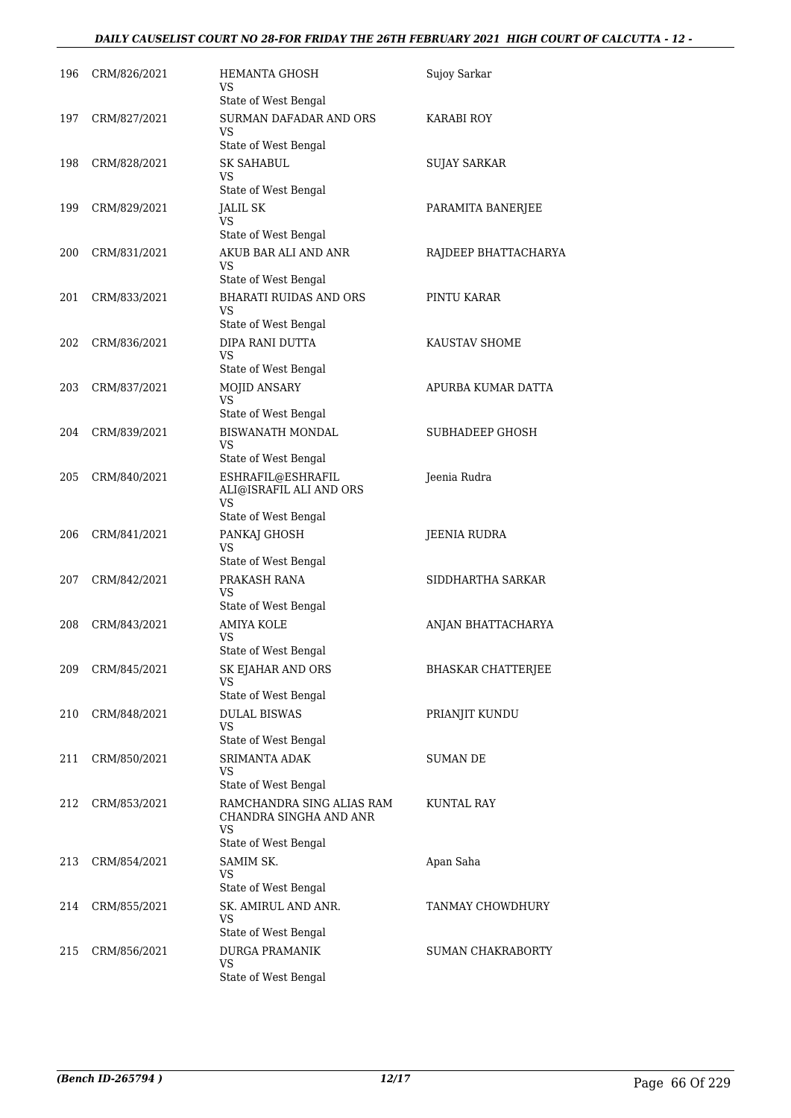## *DAILY CAUSELIST COURT NO 28-FOR FRIDAY THE 26TH FEBRUARY 2021 HIGH COURT OF CALCUTTA - 12 -*

| 196 | CRM/826/2021 | <b>HEMANTA GHOSH</b><br>VS<br>State of West Bengal                                | Sujoy Sarkar              |
|-----|--------------|-----------------------------------------------------------------------------------|---------------------------|
| 197 | CRM/827/2021 | SURMAN DAFADAR AND ORS<br>VS<br>State of West Bengal                              | KARABI ROY                |
| 198 | CRM/828/2021 | SK SAHABUL<br>VS<br>State of West Bengal                                          | SUJAY SARKAR              |
| 199 | CRM/829/2021 | <b>JALIL SK</b><br>VS<br>State of West Bengal                                     | PARAMITA BANERJEE         |
| 200 | CRM/831/2021 | AKUB BAR ALI AND ANR<br>VS<br>State of West Bengal                                | RAJDEEP BHATTACHARYA      |
| 201 | CRM/833/2021 | <b>BHARATI RUIDAS AND ORS</b><br>VS                                               | PINTU KARAR               |
| 202 | CRM/836/2021 | State of West Bengal<br>DIPA RANI DUTTA<br>VS<br>State of West Bengal             | KAUSTAV SHOME             |
| 203 | CRM/837/2021 | MOJID ANSARY<br><b>VS</b><br>State of West Bengal                                 | APURBA KUMAR DATTA        |
| 204 | CRM/839/2021 | BISWANATH MONDAL<br>VS<br>State of West Bengal                                    | <b>SUBHADEEP GHOSH</b>    |
| 205 | CRM/840/2021 | ESHRAFIL@ESHRAFIL<br>ALI@ISRAFIL ALI AND ORS<br>VS                                | Jeenia Rudra              |
| 206 | CRM/841/2021 | State of West Bengal<br>PANKAJ GHOSH<br>VS<br>State of West Bengal                | JEENIA RUDRA              |
| 207 | CRM/842/2021 | PRAKASH RANA<br>VS<br>State of West Bengal                                        | SIDDHARTHA SARKAR         |
| 208 | CRM/843/2021 | AMIYA KOLE<br>VS<br>State of West Bengal                                          | ANJAN BHATTACHARYA        |
| 209 | CRM/845/2021 | SK EJAHAR AND ORS<br>VS<br>State of West Bengal                                   | <b>BHASKAR CHATTERJEE</b> |
| 210 | CRM/848/2021 | <b>DULAL BISWAS</b><br>VS<br>State of West Bengal                                 | PRIANJIT KUNDU            |
| 211 | CRM/850/2021 | <b>SRIMANTA ADAK</b><br><b>VS</b><br>State of West Bengal                         | SUMAN DE                  |
| 212 | CRM/853/2021 | RAMCHANDRA SING ALIAS RAM<br>CHANDRA SINGHA AND ANR<br>VS<br>State of West Bengal | KUNTAL RAY                |
| 213 | CRM/854/2021 | SAMIM SK.<br>VS<br>State of West Bengal                                           | Apan Saha                 |
| 214 | CRM/855/2021 | SK. AMIRUL AND ANR.<br><b>VS</b><br>State of West Bengal                          | TANMAY CHOWDHURY          |
| 215 | CRM/856/2021 | <b>DURGA PRAMANIK</b><br>VS<br>State of West Bengal                               | <b>SUMAN CHAKRABORTY</b>  |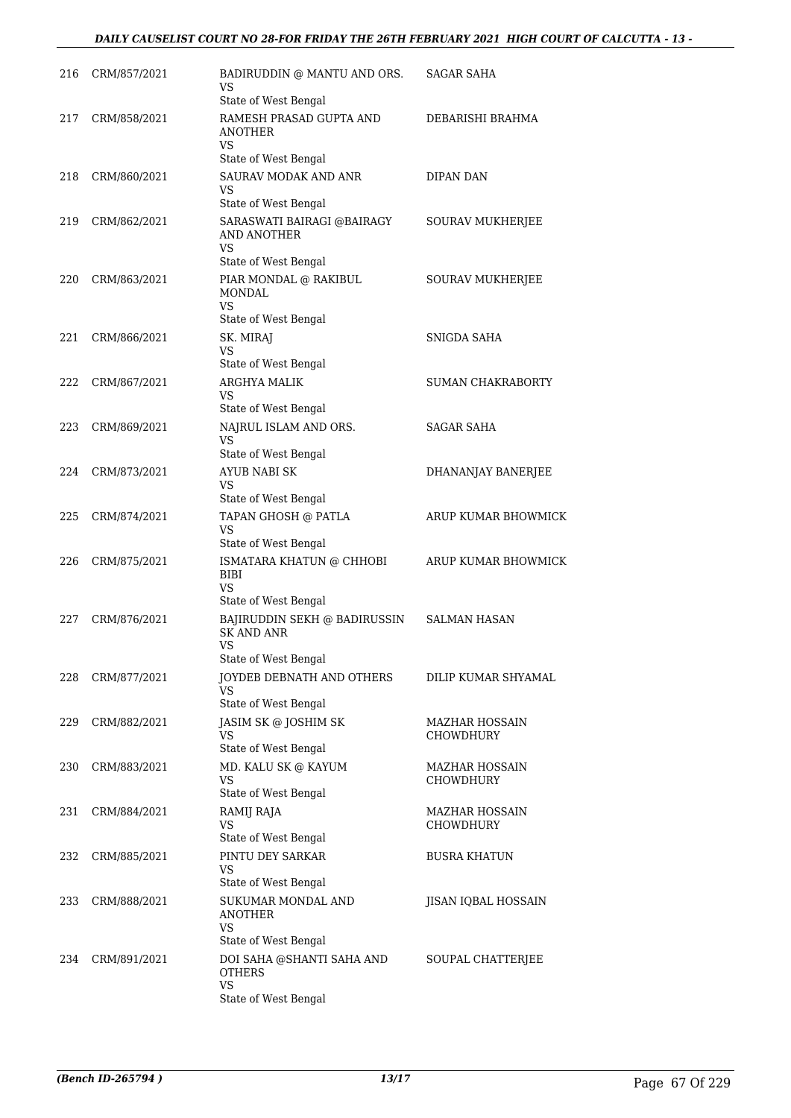## *DAILY CAUSELIST COURT NO 28-FOR FRIDAY THE 26TH FEBRUARY 2021 HIGH COURT OF CALCUTTA - 13 -*

| 216 | CRM/857/2021 | BADIRUDDIN @ MANTU AND ORS.<br>VS<br>State of West Bengal             | SAGAR SAHA                                |
|-----|--------------|-----------------------------------------------------------------------|-------------------------------------------|
| 217 | CRM/858/2021 | RAMESH PRASAD GUPTA AND<br>ANOTHER<br>VS.                             | DEBARISHI BRAHMA                          |
|     |              | State of West Bengal                                                  |                                           |
| 218 | CRM/860/2021 | SAURAV MODAK AND ANR<br>VS<br>State of West Bengal                    | DIPAN DAN                                 |
| 219 | CRM/862/2021 | SARASWATI BAIRAGI @BAIRAGY<br>AND ANOTHER<br>VS                       | SOURAV MUKHERJEE                          |
| 220 | CRM/863/2021 | State of West Bengal<br>PIAR MONDAL @ RAKIBUL<br><b>MONDAL</b><br>VS. | <b>SOURAV MUKHERJEE</b>                   |
|     |              | State of West Bengal                                                  |                                           |
| 221 | CRM/866/2021 | SK. MIRAJ<br>VS<br>State of West Bengal                               | SNIGDA SAHA                               |
| 222 | CRM/867/2021 | <b>ARGHYA MALIK</b>                                                   | <b>SUMAN CHAKRABORTY</b>                  |
|     |              | VS<br>State of West Bengal                                            |                                           |
| 223 | CRM/869/2021 | NAJRUL ISLAM AND ORS.<br>VS<br>State of West Bengal                   | <b>SAGAR SAHA</b>                         |
| 224 | CRM/873/2021 | <b>AYUB NABI SK</b><br>VS<br>State of West Bengal                     | DHANANJAY BANERJEE                        |
| 225 | CRM/874/2021 | TAPAN GHOSH @ PATLA<br>VS                                             | ARUP KUMAR BHOWMICK                       |
| 226 | CRM/875/2021 | State of West Bengal<br>ISMATARA KHATUN @ CHHOBI<br>BIBI<br><b>VS</b> | ARUP KUMAR BHOWMICK                       |
|     |              | State of West Bengal                                                  |                                           |
| 227 | CRM/876/2021 | BAJIRUDDIN SEKH @ BADIRUSSIN<br>SK AND ANR<br>VS                      | <b>SALMAN HASAN</b>                       |
| 228 | CRM/877/2021 | State of West Bengal<br>JOYDEB DEBNATH AND OTHERS<br>VS               | DILIP KUMAR SHYAMAL                       |
|     |              | State of West Bengal                                                  |                                           |
| 229 | CRM/882/2021 | JASIM SK @ JOSHIM SK<br>VS                                            | <b>MAZHAR HOSSAIN</b><br><b>CHOWDHURY</b> |
| 230 | CRM/883/2021 | State of West Bengal<br>MD. KALU SK @ KAYUM<br>VS                     | MAZHAR HOSSAIN<br><b>CHOWDHURY</b>        |
|     |              | State of West Bengal                                                  |                                           |
| 231 | CRM/884/2021 | RAMIJ RAJA<br>VS                                                      | <b>MAZHAR HOSSAIN</b><br>CHOWDHURY        |
|     |              | State of West Bengal                                                  |                                           |
| 232 | CRM/885/2021 | PINTU DEY SARKAR<br>VS<br>State of West Bengal                        | <b>BUSRA KHATUN</b>                       |
| 233 | CRM/888/2021 | SUKUMAR MONDAL AND<br><b>ANOTHER</b><br>VS                            | JISAN IQBAL HOSSAIN                       |
|     |              | State of West Bengal                                                  |                                           |
| 234 | CRM/891/2021 | DOI SAHA @SHANTI SAHA AND<br><b>OTHERS</b><br><b>VS</b>               | SOUPAL CHATTERJEE                         |
|     |              | State of West Bengal                                                  |                                           |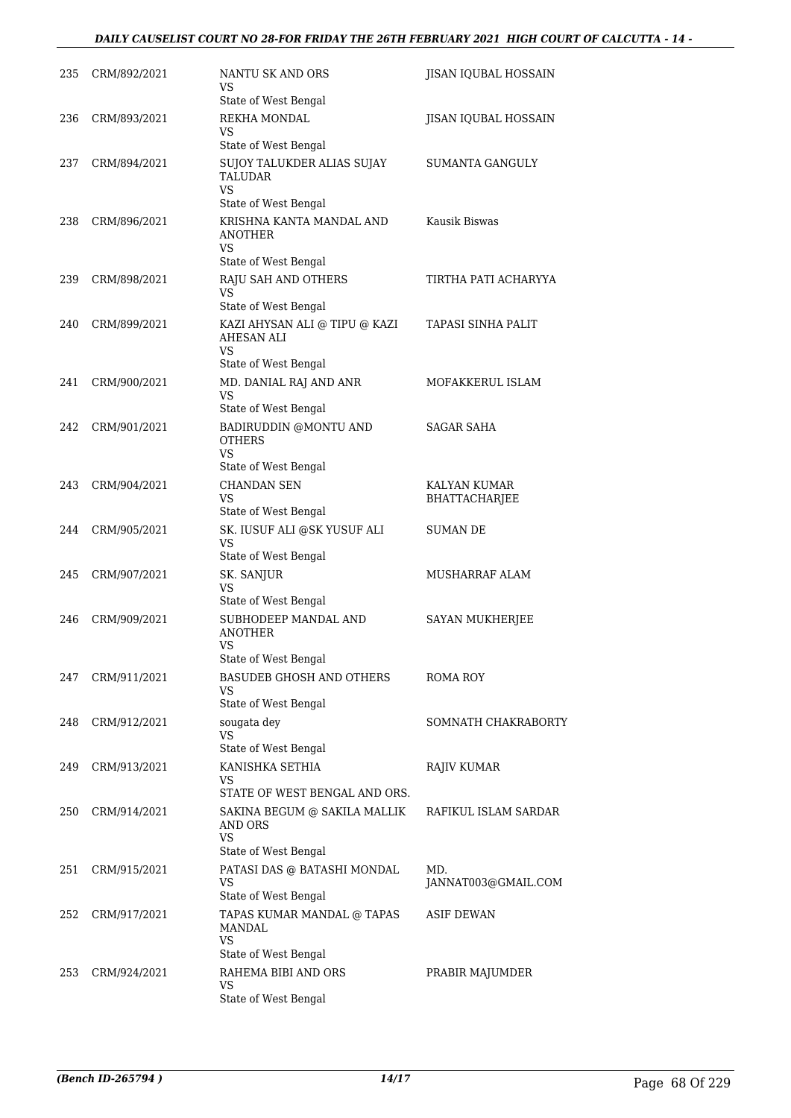## *DAILY CAUSELIST COURT NO 28-FOR FRIDAY THE 26TH FEBRUARY 2021 HIGH COURT OF CALCUTTA - 14 -*

| 235 | CRM/892/2021 | NANTU SK AND ORS<br>VS                                    | JISAN IQUBAL HOSSAIN       |
|-----|--------------|-----------------------------------------------------------|----------------------------|
|     |              | State of West Bengal                                      |                            |
| 236 | CRM/893/2021 | REKHA MONDAL<br>VS                                        | JISAN IQUBAL HOSSAIN       |
|     |              | State of West Bengal                                      |                            |
| 237 | CRM/894/2021 | SUJOY TALUKDER ALIAS SUJAY<br><b>TALUDAR</b><br>VS        | SUMANTA GANGULY            |
|     |              | State of West Bengal                                      |                            |
| 238 | CRM/896/2021 | KRISHNA KANTA MANDAL AND<br>ANOTHER<br>VS                 | Kausik Biswas              |
|     |              | State of West Bengal                                      |                            |
| 239 | CRM/898/2021 | RAJU SAH AND OTHERS<br>VS                                 | TIRTHA PATI ACHARYYA       |
|     |              | State of West Bengal                                      |                            |
| 240 | CRM/899/2021 | KAZI AHYSAN ALI @ TIPU @ KAZI<br><b>AHESAN ALI</b><br>VS. | TAPASI SINHA PALIT         |
|     |              | State of West Bengal                                      |                            |
| 241 | CRM/900/2021 | MD. DANIAL RAJ AND ANR<br><b>VS</b>                       | MOFAKKERUL ISLAM           |
|     |              | State of West Bengal                                      |                            |
| 242 | CRM/901/2021 | BADIRUDDIN @MONTU AND<br><b>OTHERS</b><br>VS.             | SAGAR SAHA                 |
|     |              | State of West Bengal                                      |                            |
| 243 | CRM/904/2021 | CHANDAN SEN<br>VS                                         | KALYAN KUMAR               |
|     |              | State of West Bengal                                      | BHATTACHARJEE              |
| 244 | CRM/905/2021 | SK. IUSUF ALI @SK YUSUF ALI<br><b>VS</b>                  | SUMAN DE                   |
|     |              | State of West Bengal                                      |                            |
| 245 | CRM/907/2021 | SK. SANJUR<br>VS                                          | MUSHARRAF ALAM             |
|     |              | State of West Bengal                                      |                            |
| 246 | CRM/909/2021 | SUBHODEEP MANDAL AND<br><b>ANOTHER</b><br>VS              | SAYAN MUKHERJEE            |
|     |              | State of West Bengal                                      |                            |
| 247 | CRM/911/2021 | <b>BASUDEB GHOSH AND OTHERS</b><br>VS                     | ROMA ROY                   |
|     |              | State of West Bengal                                      |                            |
| 248 | CRM/912/2021 | sougata dey<br>VS                                         | SOMNATH CHAKRABORTY        |
|     |              | State of West Bengal                                      |                            |
| 249 | CRM/913/2021 | KANISHKA SETHIA<br>VS<br>STATE OF WEST BENGAL AND ORS.    | <b>RAJIV KUMAR</b>         |
| 250 | CRM/914/2021 | SAKINA BEGUM @ SAKILA MALLIK<br><b>AND ORS</b><br>VS      | RAFIKUL ISLAM SARDAR       |
|     |              | State of West Bengal                                      |                            |
| 251 | CRM/915/2021 | PATASI DAS @ BATASHI MONDAL<br>VS                         | MD.<br>JANNAT003@GMAIL.COM |
|     |              | State of West Bengal                                      |                            |
| 252 | CRM/917/2021 | TAPAS KUMAR MANDAL @ TAPAS<br>MANDAL<br><b>VS</b>         | <b>ASIF DEWAN</b>          |
|     |              | State of West Bengal                                      |                            |
| 253 | CRM/924/2021 | RAHEMA BIBI AND ORS<br>VS                                 | PRABIR MAJUMDER            |
|     |              | State of West Bengal                                      |                            |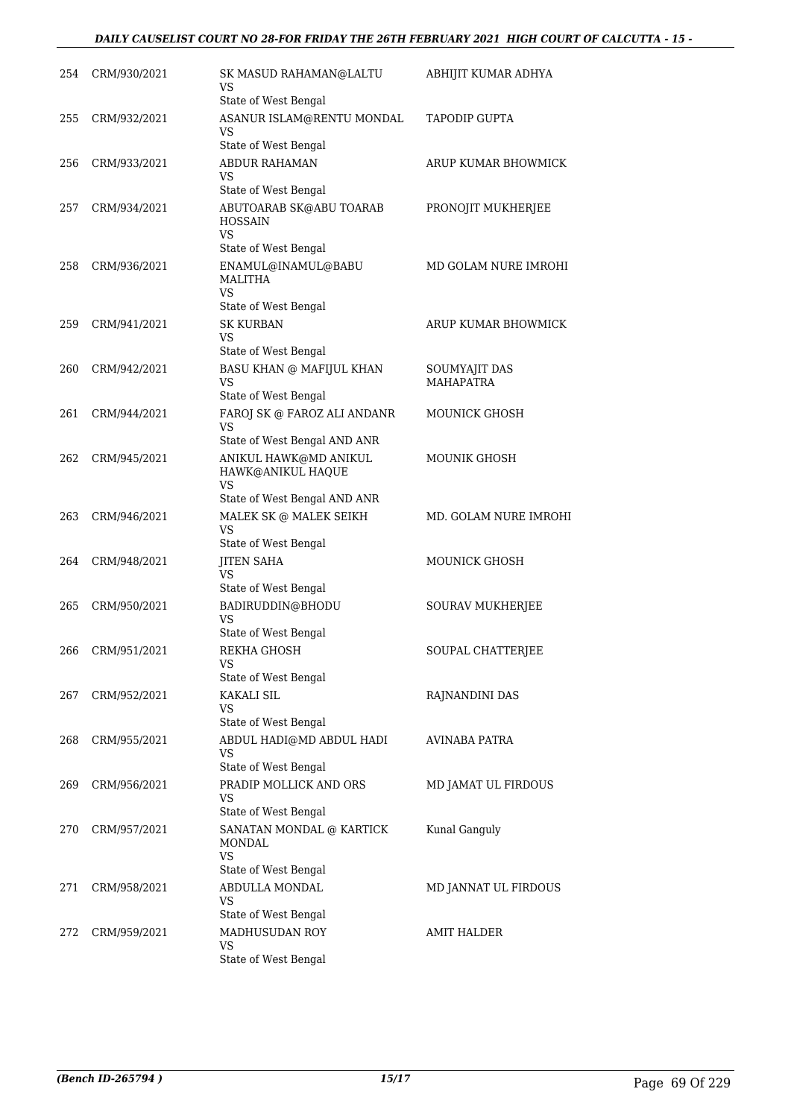## *DAILY CAUSELIST COURT NO 28-FOR FRIDAY THE 26TH FEBRUARY 2021 HIGH COURT OF CALCUTTA - 15 -*

| 254 | CRM/930/2021 | SK MASUD RAHAMAN@LALTU<br>VS                                      | ABHIJIT KUMAR ADHYA     |
|-----|--------------|-------------------------------------------------------------------|-------------------------|
| 255 | CRM/932/2021 | State of West Bengal<br>ASANUR ISLAM@RENTU MONDAL                 | TAPODIP GUPTA           |
|     |              | VS<br>State of West Bengal                                        |                         |
| 256 | CRM/933/2021 | <b>ABDUR RAHAMAN</b>                                              | ARUP KUMAR BHOWMICK     |
|     |              | VS<br>State of West Bengal                                        |                         |
| 257 | CRM/934/2021 | ABUTOARAB SK@ABU TOARAB<br><b>HOSSAIN</b>                         | PRONOJIT MUKHERJEE      |
|     |              | VS.<br>State of West Bengal                                       |                         |
| 258 | CRM/936/2021 | ENAMUL@INAMUL@BABU<br>MALITHA<br>VS.<br>State of West Bengal      | MD GOLAM NURE IMROHI    |
| 259 | CRM/941/2021 | <b>SK KURBAN</b>                                                  | ARUP KUMAR BHOWMICK     |
|     |              | VS<br>State of West Bengal                                        |                         |
| 260 | CRM/942/2021 | <b>BASU KHAN @ MAFIJUL KHAN</b>                                   | SOUMYAJIT DAS           |
|     |              | VS                                                                | <b>MAHAPATRA</b>        |
|     |              | State of West Bengal                                              |                         |
| 261 | CRM/944/2021 | FAROJ SK @ FAROZ ALI ANDANR<br>VS<br>State of West Bengal AND ANR | <b>MOUNICK GHOSH</b>    |
| 262 | CRM/945/2021 | ANIKUL HAWK@MD ANIKUL                                             | <b>MOUNIK GHOSH</b>     |
|     |              | HAWK@ANIKUL HAQUE<br>VS<br>State of West Bengal AND ANR           |                         |
| 263 | CRM/946/2021 | MALEK SK @ MALEK SEIKH                                            | MD. GOLAM NURE IMROHI   |
|     |              | VS                                                                |                         |
| 264 |              | State of West Bengal                                              | <b>MOUNICK GHOSH</b>    |
|     | CRM/948/2021 | <b>JITEN SAHA</b><br><b>VS</b><br>State of West Bengal            |                         |
| 265 | CRM/950/2021 | BADIRUDDIN@BHODU                                                  | <b>SOURAV MUKHERJEE</b> |
|     |              | VS<br>State of West Bengal                                        |                         |
| 266 | CRM/951/2021 | REKHA GHOSH                                                       | SOUPAL CHATTERJEE       |
|     |              | <b>VS</b><br>State of West Bengal                                 |                         |
| 267 | CRM/952/2021 | KAKALI SIL                                                        | RAJNANDINI DAS          |
|     |              | VS                                                                |                         |
|     |              | State of West Bengal                                              |                         |
| 268 | CRM/955/2021 | ABDUL HADI@MD ABDUL HADI<br>VS<br>State of West Bengal            | AVINABA PATRA           |
| 269 | CRM/956/2021 | PRADIP MOLLICK AND ORS                                            | MD JAMAT UL FIRDOUS     |
|     |              | VS<br>State of West Bengal                                        |                         |
| 270 | CRM/957/2021 | SANATAN MONDAL @ KARTICK                                          | Kunal Ganguly           |
|     |              | MONDAL<br><b>VS</b>                                               |                         |
|     |              | State of West Bengal                                              |                         |
| 271 | CRM/958/2021 | ABDULLA MONDAL<br>VS<br>State of West Bengal                      | MD JANNAT UL FIRDOUS    |
| 272 | CRM/959/2021 | MADHUSUDAN ROY                                                    | <b>AMIT HALDER</b>      |
|     |              | VS<br>State of West Bengal                                        |                         |
|     |              |                                                                   |                         |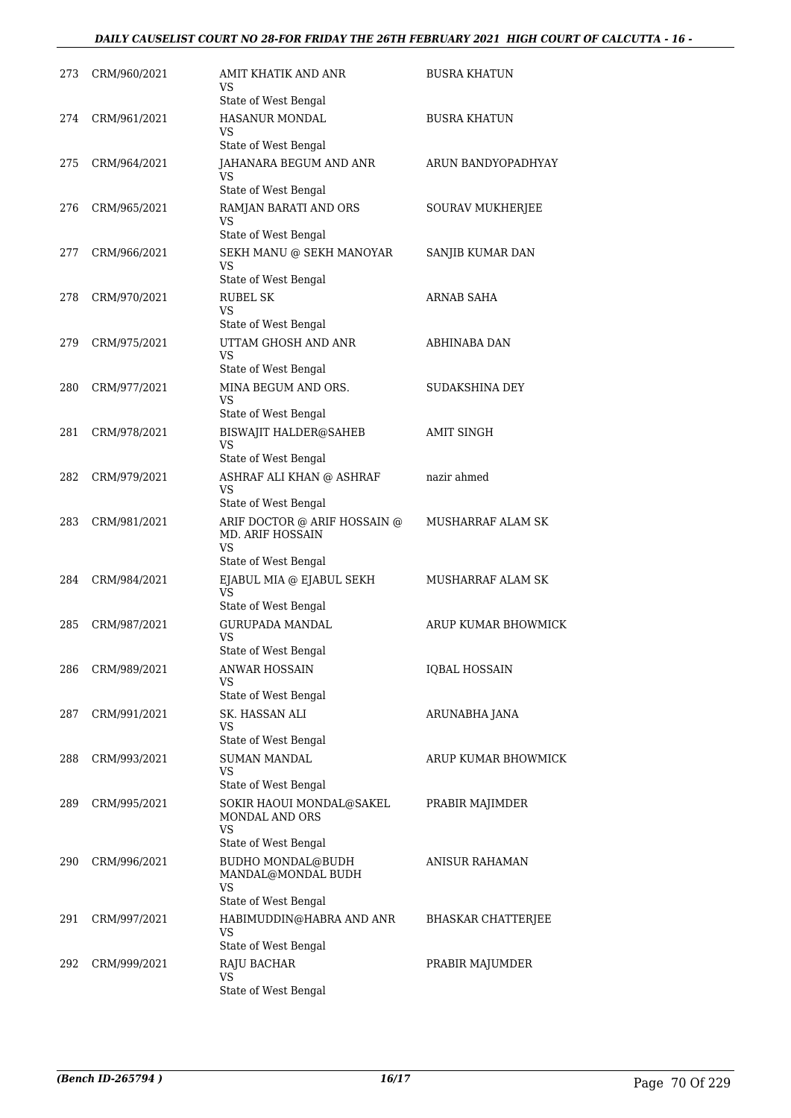## *DAILY CAUSELIST COURT NO 28-FOR FRIDAY THE 26TH FEBRUARY 2021 HIGH COURT OF CALCUTTA - 16 -*

| 273 | CRM/960/2021 | AMIT KHATIK AND ANR<br>VS                                                                               | BUSRA KHATUN              |
|-----|--------------|---------------------------------------------------------------------------------------------------------|---------------------------|
| 274 | CRM/961/2021 | State of West Bengal<br>HASANUR MONDAL<br>VS                                                            | BUSRA KHATUN              |
| 275 | CRM/964/2021 | State of West Bengal<br>JAHANARA BEGUM AND ANR                                                          | ARUN BANDYOPADHYAY        |
|     |              | VS<br>State of West Bengal                                                                              |                           |
| 276 | CRM/965/2021 | RAMJAN BARATI AND ORS<br>VS<br>State of West Bengal                                                     | SOURAV MUKHERJEE          |
| 277 | CRM/966/2021 | SEKH MANU @ SEKH MANOYAR<br>VS                                                                          | SANJIB KUMAR DAN          |
| 278 | CRM/970/2021 | State of West Bengal<br><b>RUBEL SK</b><br><b>VS</b>                                                    | ARNAB SAHA                |
| 279 | CRM/975/2021 | State of West Bengal<br>UTTAM GHOSH AND ANR<br>VS                                                       | ABHINABA DAN              |
| 280 | CRM/977/2021 | State of West Bengal<br>MINA BEGUM AND ORS.<br><b>VS</b>                                                | SUDAKSHINA DEY            |
| 281 | CRM/978/2021 | State of West Bengal<br><b>BISWAJIT HALDER@SAHEB</b><br><b>VS</b>                                       | <b>AMIT SINGH</b>         |
| 282 | CRM/979/2021 | State of West Bengal<br>ASHRAF ALI KHAN @ ASHRAF<br><b>VS</b>                                           | nazir ahmed               |
| 283 | CRM/981/2021 | State of West Bengal<br>ARIF DOCTOR @ ARIF HOSSAIN @<br><b>MD. ARIF HOSSAIN</b><br><b>VS</b>            | MUSHARRAF ALAM SK         |
| 284 | CRM/984/2021 | State of West Bengal<br>EJABUL MIA @ EJABUL SEKH<br>VS                                                  | MUSHARRAF ALAM SK         |
| 285 | CRM/987/2021 | State of West Bengal<br><b>GURUPADA MANDAL</b><br>VS                                                    | ARUP KUMAR BHOWMICK       |
| 286 | CRM/989/2021 | State of West Bengal<br>ANWAR HOSSAIN<br>VS                                                             | <b>IQBAL HOSSAIN</b>      |
| 287 | CRM/991/2021 | State of West Bengal<br>SK. HASSAN ALI<br><b>VS</b>                                                     | ARUNABHA JANA             |
| 288 | CRM/993/2021 | State of West Bengal<br><b>SUMAN MANDAL</b><br>VS                                                       | ARUP KUMAR BHOWMICK       |
| 289 | CRM/995/2021 | State of West Bengal<br>SOKIR HAOUI MONDAL@SAKEL<br><b>MONDAL AND ORS</b><br>VS<br>State of West Bengal | PRABIR MAJIMDER           |
| 290 | CRM/996/2021 | <b>BUDHO MONDAL@BUDH</b><br>MANDAL@MONDAL BUDH<br>VS                                                    | <b>ANISUR RAHAMAN</b>     |
| 291 | CRM/997/2021 | State of West Bengal<br>HABIMUDDIN@HABRA AND ANR<br>VS                                                  | <b>BHASKAR CHATTERJEE</b> |
| 292 | CRM/999/2021 | State of West Bengal<br>RAJU BACHAR<br><b>VS</b><br>State of West Bengal                                | PRABIR MAJUMDER           |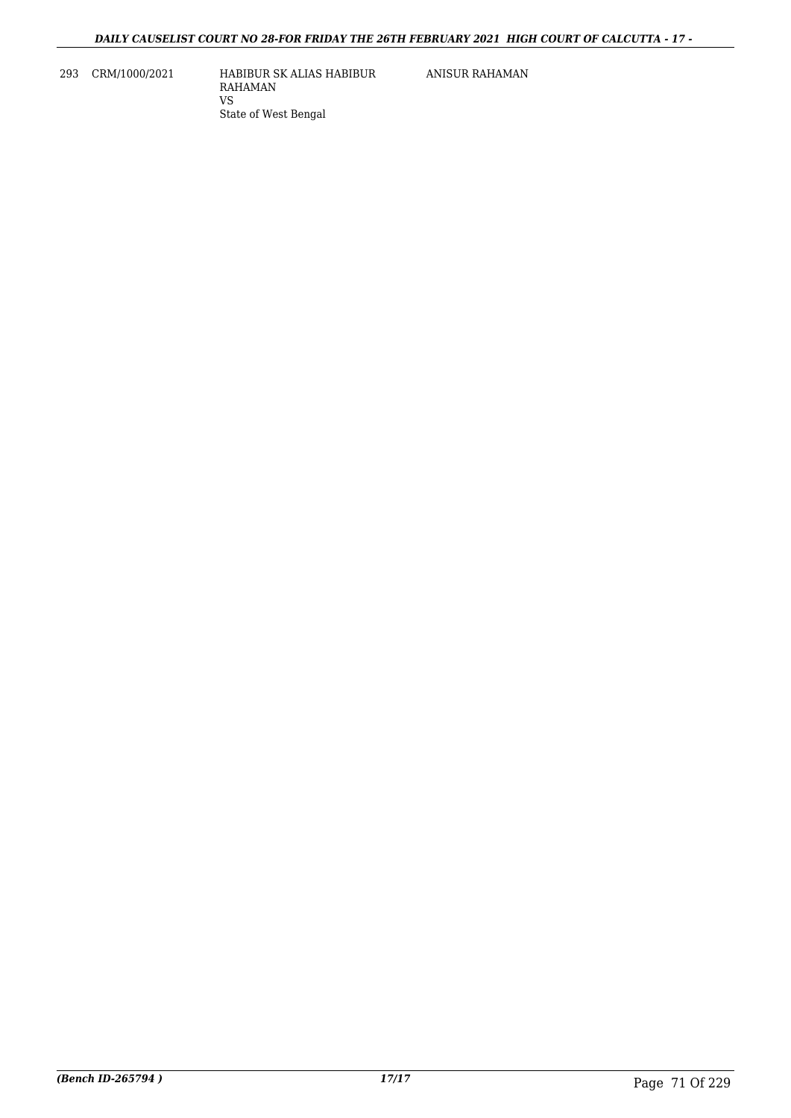293 CRM/1000/2021 HABIBUR SK ALIAS HABIBUR RAHAMAN VS State of West Bengal

ANISUR RAHAMAN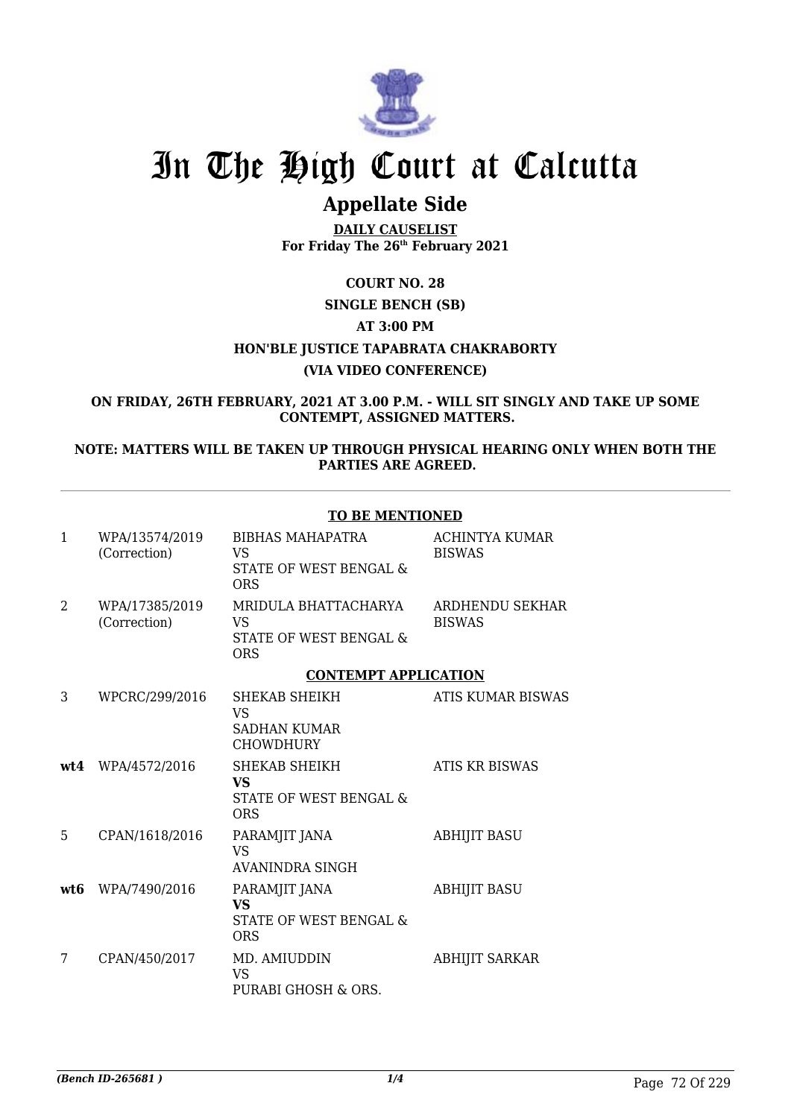

# **Appellate Side**

**DAILY CAUSELIST For Friday The 26th February 2021**

### **COURT NO. 28**

## **SINGLE BENCH (SB)**

### **AT 3:00 PM**

### **HON'BLE JUSTICE TAPABRATA CHAKRABORTY**

### **(VIA VIDEO CONFERENCE)**

#### **ON FRIDAY, 26TH FEBRUARY, 2021 AT 3.00 P.M. - WILL SIT SINGLY AND TAKE UP SOME CONTEMPT, ASSIGNED MATTERS.**

### **NOTE: MATTERS WILL BE TAKEN UP THROUGH PHYSICAL HEARING ONLY WHEN BOTH THE PARTIES ARE AGREED.**

|              |                                | <b>TO BE MENTIONED</b>                                                       |                                        |
|--------------|--------------------------------|------------------------------------------------------------------------------|----------------------------------------|
| $\mathbf{1}$ | WPA/13574/2019<br>(Correction) | <b>BIBHAS MAHAPATRA</b><br><b>VS</b><br>STATE OF WEST BENGAL &<br><b>ORS</b> | <b>ACHINTYA KUMAR</b><br><b>BISWAS</b> |
| 2            | WPA/17385/2019<br>(Correction) | MRIDULA BHATTACHARYA<br><b>VS</b><br>STATE OF WEST BENGAL &<br><b>ORS</b>    | ARDHENDU SEKHAR<br><b>BISWAS</b>       |
|              |                                | <b>CONTEMPT APPLICATION</b>                                                  |                                        |
| 3            | WPCRC/299/2016                 | SHEKAB SHEIKH<br><b>VS</b><br><b>SADHAN KUMAR</b><br><b>CHOWDHURY</b>        | <b>ATIS KUMAR BISWAS</b>               |
| wt4          | WPA/4572/2016                  | SHEKAB SHEIKH<br><b>VS</b><br>STATE OF WEST BENGAL &<br><b>ORS</b>           | <b>ATIS KR BISWAS</b>                  |
| 5            | CPAN/1618/2016                 | PARAMJIT JANA<br><b>VS</b><br>AVANINDRA SINGH                                | <b>ABHIJIT BASU</b>                    |
| wt6          | WPA/7490/2016                  | PARAMJIT JANA<br><b>VS</b><br>STATE OF WEST BENGAL &<br><b>ORS</b>           | <b>ABHIJIT BASU</b>                    |
| 7            | CPAN/450/2017                  | MD. AMIUDDIN<br><b>VS</b><br>PURABI GHOSH & ORS.                             | <b>ABHIJIT SARKAR</b>                  |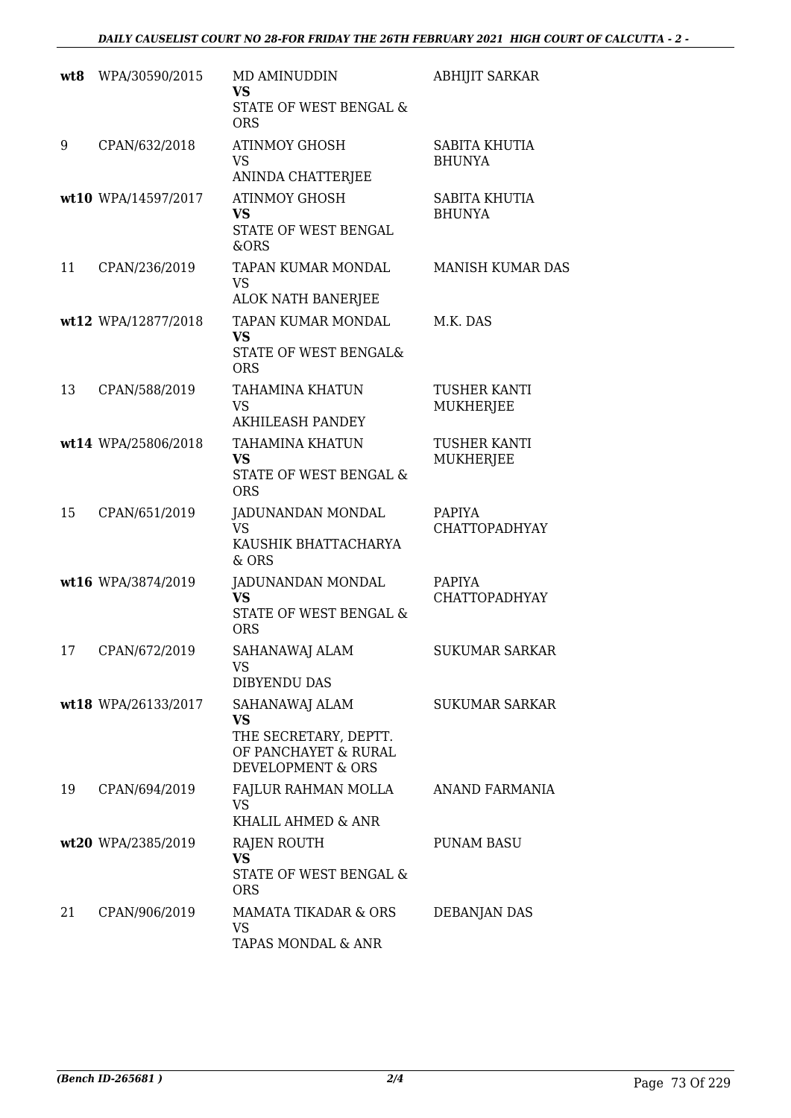| wt8 | WPA/30590/2015      | MD AMINUDDIN<br><b>VS</b><br>STATE OF WEST BENGAL &<br><b>ORS</b>                          | <b>ABHIJIT SARKAR</b>                 |
|-----|---------------------|--------------------------------------------------------------------------------------------|---------------------------------------|
| 9   | CPAN/632/2018       | <b>ATINMOY GHOSH</b><br><b>VS</b><br>ANINDA CHATTERJEE                                     | <b>SABITA KHUTIA</b><br><b>BHUNYA</b> |
|     | wt10 WPA/14597/2017 | <b>ATINMOY GHOSH</b><br><b>VS</b><br>STATE OF WEST BENGAL<br>&ORS                          | <b>SABITA KHUTIA</b><br><b>BHUNYA</b> |
| 11  | CPAN/236/2019       | TAPAN KUMAR MONDAL<br>VS<br>ALOK NATH BANERJEE                                             | <b>MANISH KUMAR DAS</b>               |
|     | wt12 WPA/12877/2018 | TAPAN KUMAR MONDAL<br><b>VS</b><br>STATE OF WEST BENGAL&<br><b>ORS</b>                     | M.K. DAS                              |
| 13  | CPAN/588/2019       | <b>TAHAMINA KHATUN</b><br><b>VS</b><br><b>AKHILEASH PANDEY</b>                             | <b>TUSHER KANTI</b><br>MUKHERJEE      |
|     | wt14 WPA/25806/2018 | <b>TAHAMINA KHATUN</b><br><b>VS</b><br>STATE OF WEST BENGAL &<br><b>ORS</b>                | <b>TUSHER KANTI</b><br>MUKHERJEE      |
| 15  | CPAN/651/2019       | JADUNANDAN MONDAL<br><b>VS</b><br>KAUSHIK BHATTACHARYA<br>$&$ ORS                          | PAPIYA<br><b>CHATTOPADHYAY</b>        |
|     | wt16 WPA/3874/2019  | JADUNANDAN MONDAL<br><b>VS</b><br>STATE OF WEST BENGAL &<br><b>ORS</b>                     | PAPIYA<br>CHATTOPADHYAY               |
| 17  | CPAN/672/2019       | SAHANAWAJ ALAM<br>VS<br>DIBYENDU DAS                                                       | <b>SUKUMAR SARKAR</b>                 |
|     | wt18 WPA/26133/2017 | SAHANAWAJ ALAM<br>VS<br>THE SECRETARY, DEPTT.<br>OF PANCHAYET & RURAL<br>DEVELOPMENT & ORS | <b>SUKUMAR SARKAR</b>                 |
| 19  | CPAN/694/2019       | FAJLUR RAHMAN MOLLA<br>VS.<br>KHALIL AHMED & ANR                                           | ANAND FARMANIA                        |
|     | wt20 WPA/2385/2019  | RAJEN ROUTH<br><b>VS</b><br>STATE OF WEST BENGAL &<br><b>ORS</b>                           | <b>PUNAM BASU</b>                     |
| 21  | CPAN/906/2019       | <b>MAMATA TIKADAR &amp; ORS</b><br>VS<br>TAPAS MONDAL & ANR                                | DEBANJAN DAS                          |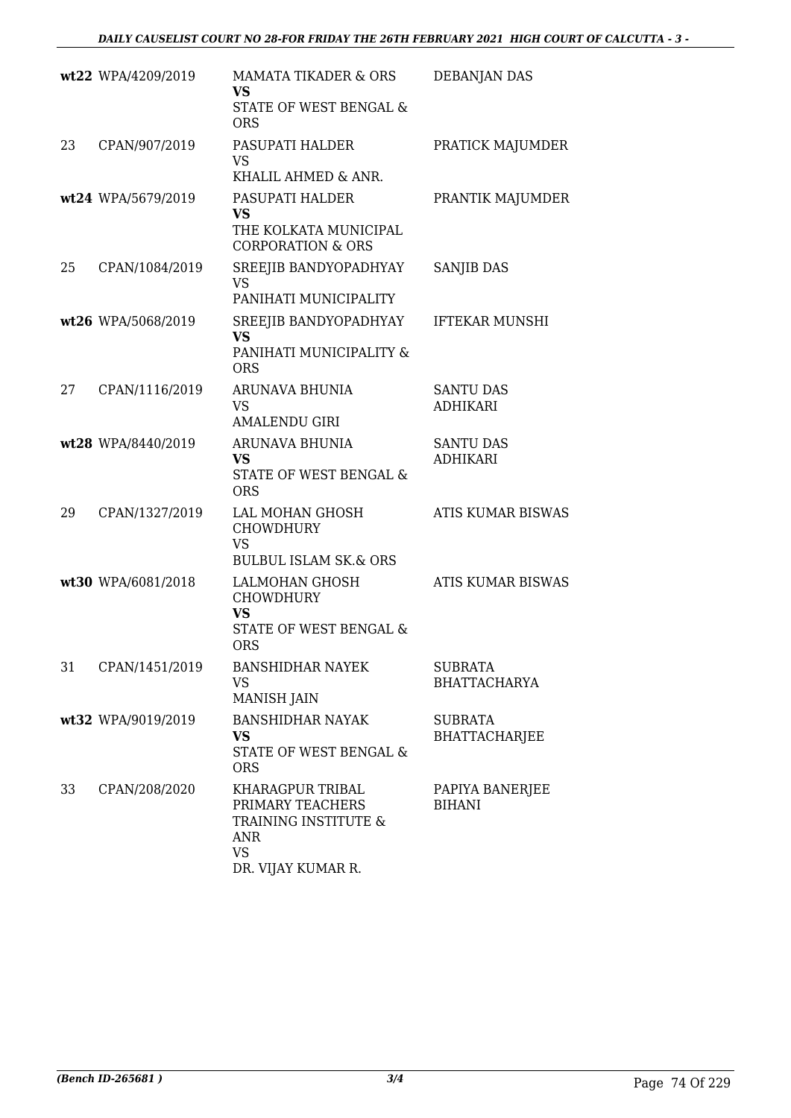|    | wt22 WPA/4209/2019 | <b>MAMATA TIKADER &amp; ORS</b><br><b>VS</b><br>STATE OF WEST BENGAL &<br><b>ORS</b>                   | <b>DEBANJAN DAS</b>                    |
|----|--------------------|--------------------------------------------------------------------------------------------------------|----------------------------------------|
| 23 | CPAN/907/2019      | PASUPATI HALDER<br><b>VS</b><br>KHALIL AHMED & ANR.                                                    | PRATICK MAJUMDER                       |
|    | wt24 WPA/5679/2019 | PASUPATI HALDER<br><b>VS</b><br>THE KOLKATA MUNICIPAL<br><b>CORPORATION &amp; ORS</b>                  | PRANTIK MAJUMDER                       |
| 25 | CPAN/1084/2019     | SREEJIB BANDYOPADHYAY<br><b>VS</b><br>PANIHATI MUNICIPALITY                                            | <b>SANJIB DAS</b>                      |
|    | wt26 WPA/5068/2019 | SREEJIB BANDYOPADHYAY<br><b>VS</b><br>PANIHATI MUNICIPALITY &<br><b>ORS</b>                            | <b>IFTEKAR MUNSHI</b>                  |
| 27 | CPAN/1116/2019     | ARUNAVA BHUNIA<br>VS<br><b>AMALENDU GIRI</b>                                                           | <b>SANTU DAS</b><br><b>ADHIKARI</b>    |
|    | wt28 WPA/8440/2019 | ARUNAVA BHUNIA<br><b>VS</b><br>STATE OF WEST BENGAL &<br><b>ORS</b>                                    | <b>SANTU DAS</b><br><b>ADHIKARI</b>    |
| 29 | CPAN/1327/2019     | LAL MOHAN GHOSH<br><b>CHOWDHURY</b><br><b>VS</b><br><b>BULBUL ISLAM SK.&amp; ORS</b>                   | <b>ATIS KUMAR BISWAS</b>               |
|    | wt30 WPA/6081/2018 | LALMOHAN GHOSH<br><b>CHOWDHURY</b><br><b>VS</b><br>STATE OF WEST BENGAL &<br><b>ORS</b>                | <b>ATIS KUMAR BISWAS</b>               |
| 31 | CPAN/1451/2019     | <b>BANSHIDHAR NAYEK</b><br><b>VS</b><br><b>MANISH JAIN</b>                                             | <b>SUBRATA</b><br><b>BHATTACHARYA</b>  |
|    | wt32 WPA/9019/2019 | <b>BANSHIDHAR NAYAK</b><br>VS<br>STATE OF WEST BENGAL &<br><b>ORS</b>                                  | <b>SUBRATA</b><br><b>BHATTACHARJEE</b> |
| 33 | CPAN/208/2020      | KHARAGPUR TRIBAL<br>PRIMARY TEACHERS<br>TRAINING INSTITUTE &<br>ANR<br><b>VS</b><br>DR. VIJAY KUMAR R. | PAPIYA BANERJEE<br><b>BIHANI</b>       |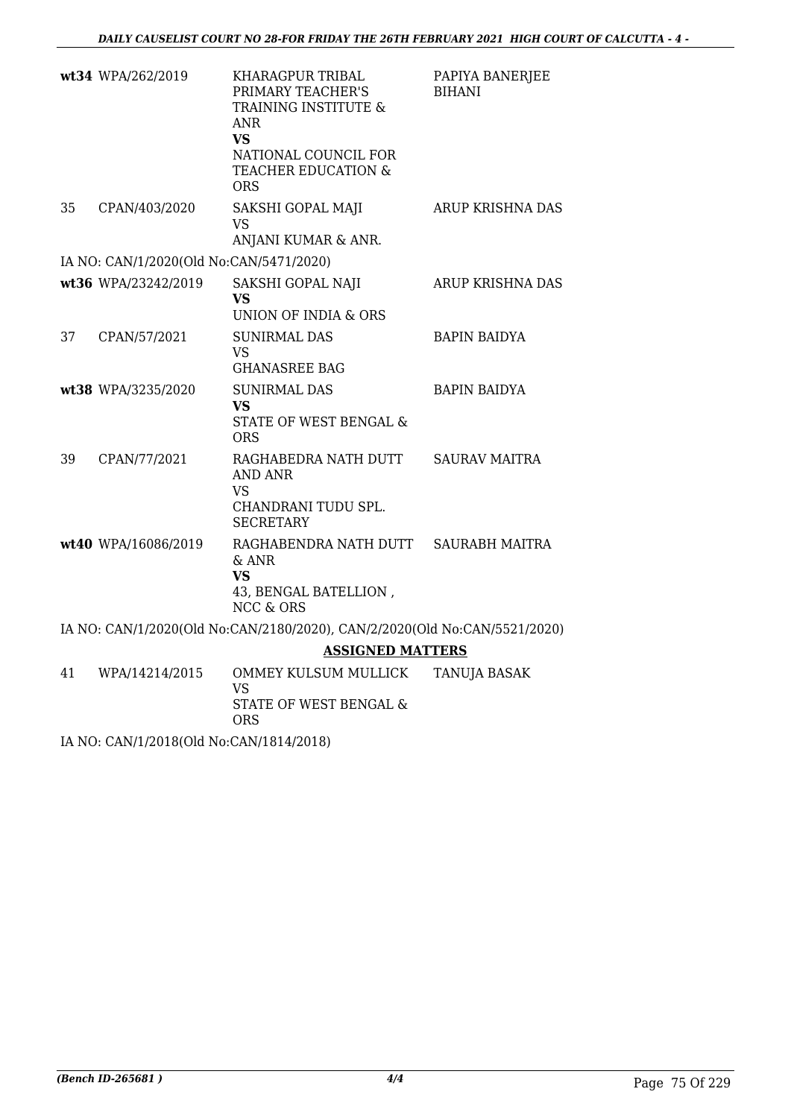|    | wt34 WPA/262/2019                       | KHARAGPUR TRIBAL<br>PRIMARY TEACHER'S<br>TRAINING INSTITUTE &<br><b>ANR</b><br><b>VS</b><br>NATIONAL COUNCIL FOR<br>TEACHER EDUCATION &<br>ORS | PAPIYA BANERJEE<br><b>BIHANI</b> |
|----|-----------------------------------------|------------------------------------------------------------------------------------------------------------------------------------------------|----------------------------------|
| 35 | CPAN/403/2020                           | SAKSHI GOPAL MAJI<br><b>VS</b><br>ANJANI KUMAR & ANR.                                                                                          | ARUP KRISHNA DAS                 |
|    | IA NO: CAN/1/2020(Old No:CAN/5471/2020) |                                                                                                                                                |                                  |
|    | wt36 WPA/23242/2019                     | SAKSHI GOPAL NAJI<br><b>VS</b><br><b>UNION OF INDIA &amp; ORS</b>                                                                              | ARUP KRISHNA DAS                 |
| 37 | CPAN/57/2021                            | <b>SUNIRMAL DAS</b><br><b>VS</b><br><b>GHANASREE BAG</b>                                                                                       | <b>BAPIN BAIDYA</b>              |
|    | wt38 WPA/3235/2020                      | <b>SUNIRMAL DAS</b><br><b>VS</b><br>STATE OF WEST BENGAL &<br><b>ORS</b>                                                                       | <b>BAPIN BAIDYA</b>              |
| 39 | CPAN/77/2021                            | RAGHABEDRA NATH DUTT<br>AND ANR<br><b>VS</b><br>CHANDRANI TUDU SPL.<br><b>SECRETARY</b>                                                        | <b>SAURAV MAITRA</b>             |
|    | wt40 WPA/16086/2019                     | RAGHABENDRA NATH DUTT SAURABH MAITRA<br>& ANR<br><b>VS</b><br>43, BENGAL BATELLION,<br><b>NCC &amp; ORS</b>                                    |                                  |
|    |                                         | IA NO: CAN/1/2020(Old No:CAN/2180/2020), CAN/2/2020(Old No:CAN/5521/2020)                                                                      |                                  |
|    |                                         | <b>ASSIGNED MATTERS</b>                                                                                                                        |                                  |
| 41 | WPA/14214/2015                          | OMMEY KULSUM MULLICK<br><b>VS</b><br>STATE OF WEST BENGAL &                                                                                    | <b>TANUJA BASAK</b>              |

IA NO: CAN/1/2018(Old No:CAN/1814/2018)

ORS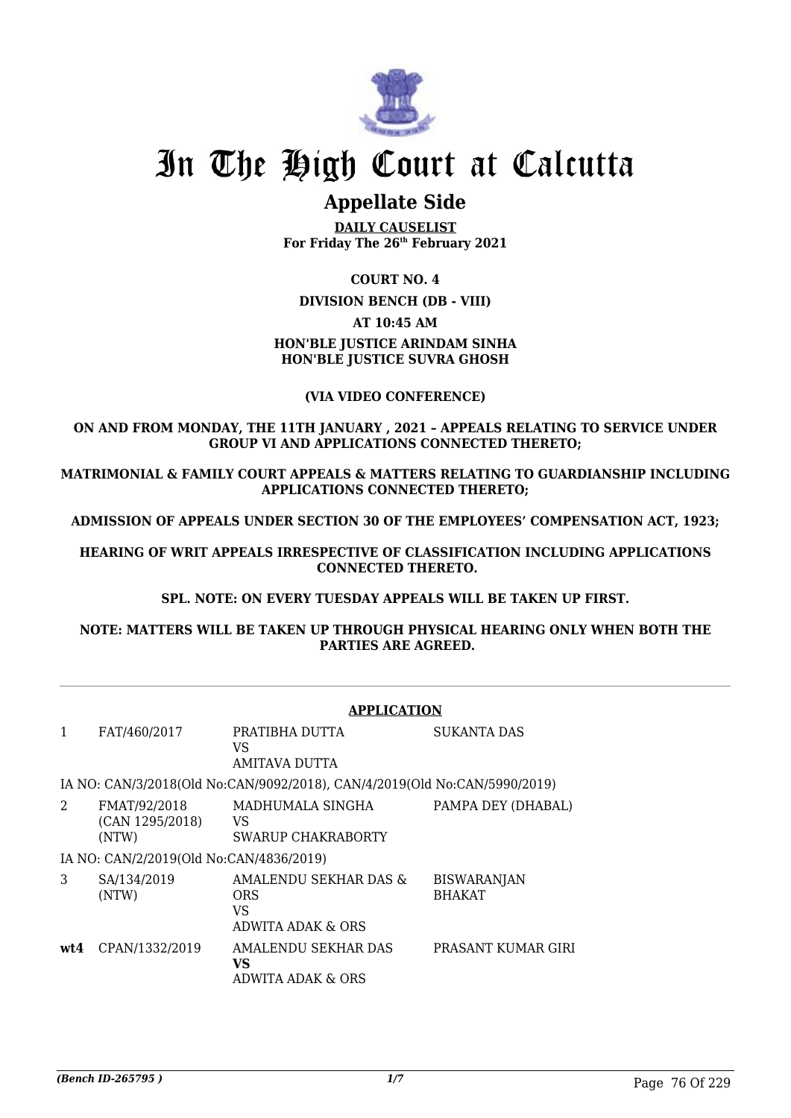

## **Appellate Side**

**DAILY CAUSELIST For Friday The 26th February 2021**

### **COURT NO. 4**

**DIVISION BENCH (DB - VIII)**

#### **AT 10:45 AM**

### **HON'BLE JUSTICE ARINDAM SINHA HON'BLE JUSTICE SUVRA GHOSH**

### **(VIA VIDEO CONFERENCE)**

### **ON AND FROM MONDAY, THE 11TH JANUARY , 2021 – APPEALS RELATING TO SERVICE UNDER GROUP VI AND APPLICATIONS CONNECTED THERETO;**

**MATRIMONIAL & FAMILY COURT APPEALS & MATTERS RELATING TO GUARDIANSHIP INCLUDING APPLICATIONS CONNECTED THERETO;**

**ADMISSION OF APPEALS UNDER SECTION 30 OF THE EMPLOYEES' COMPENSATION ACT, 1923;**

**HEARING OF WRIT APPEALS IRRESPECTIVE OF CLASSIFICATION INCLUDING APPLICATIONS CONNECTED THERETO.**

**SPL. NOTE: ON EVERY TUESDAY APPEALS WILL BE TAKEN UP FIRST.**

**NOTE: MATTERS WILL BE TAKEN UP THROUGH PHYSICAL HEARING ONLY WHEN BOTH THE PARTIES ARE AGREED.**

|     |                                          | <b>APPLICATION</b>                                                        |                                     |
|-----|------------------------------------------|---------------------------------------------------------------------------|-------------------------------------|
| 1   | FAT/460/2017                             | PRATIBHA DUTTA<br>VS.<br>AMITAVA DUTTA                                    | SUKANTA DAS                         |
|     |                                          | IA NO: CAN/3/2018(Old No:CAN/9092/2018), CAN/4/2019(Old No:CAN/5990/2019) |                                     |
| 2   | FMAT/92/2018<br>(CAN 1295/2018)<br>(NTW) | MADHUMALA SINGHA<br>VS<br>SWARUP CHAKRABORTY                              | PAMPA DEY (DHABAL)                  |
|     | IA NO: CAN/2/2019(Old No:CAN/4836/2019)  |                                                                           |                                     |
| 3   | SA/134/2019<br>(NTW)                     | AMALENDU SEKHAR DAS &<br><b>ORS</b><br>VS<br>ADWITA ADAK & ORS            | <b>BISWARANJAN</b><br><b>BHAKAT</b> |
| wt4 | CPAN/1332/2019                           | AMALENDU SEKHAR DAS<br>VS<br>ADWITA ADAK & ORS                            | PRASANT KUMAR GIRI                  |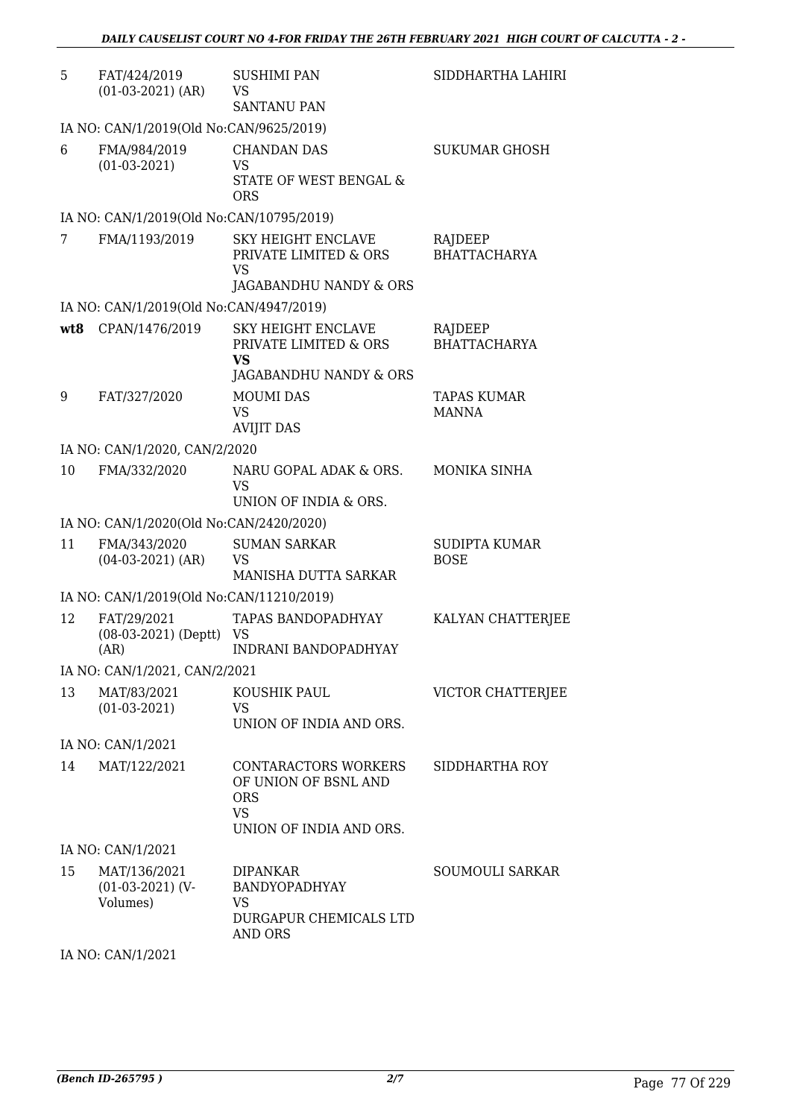| 5   | FAT/424/2019<br>$(01-03-2021)$ (AR)            | <b>SUSHIMI PAN</b><br>VS<br><b>SANTANU PAN</b>                                                     | SIDDHARTHA LAHIRI                   |
|-----|------------------------------------------------|----------------------------------------------------------------------------------------------------|-------------------------------------|
|     | IA NO: CAN/1/2019(Old No:CAN/9625/2019)        |                                                                                                    |                                     |
| 6   | FMA/984/2019<br>$(01-03-2021)$                 | <b>CHANDAN DAS</b><br>VS<br>STATE OF WEST BENGAL &<br><b>ORS</b>                                   | <b>SUKUMAR GHOSH</b>                |
|     | IA NO: CAN/1/2019(Old No:CAN/10795/2019)       |                                                                                                    |                                     |
| 7   | FMA/1193/2019                                  | <b>SKY HEIGHT ENCLAVE</b><br>PRIVATE LIMITED & ORS<br>VS<br>JAGABANDHU NANDY & ORS                 | RAJDEEP<br><b>BHATTACHARYA</b>      |
|     | IA NO: CAN/1/2019(Old No:CAN/4947/2019)        |                                                                                                    |                                     |
| wt8 | CPAN/1476/2019                                 | <b>SKY HEIGHT ENCLAVE</b><br>PRIVATE LIMITED & ORS<br><b>VS</b><br>JAGABANDHU NANDY & ORS          | RAJDEEP<br><b>BHATTACHARYA</b>      |
| 9   | FAT/327/2020                                   | <b>MOUMI DAS</b><br>VS<br><b>AVIJIT DAS</b>                                                        | <b>TAPAS KUMAR</b><br><b>MANNA</b>  |
|     | IA NO: CAN/1/2020, CAN/2/2020                  |                                                                                                    |                                     |
| 10  | FMA/332/2020                                   | NARU GOPAL ADAK & ORS.<br>VS<br>UNION OF INDIA & ORS.                                              | MONIKA SINHA                        |
|     | IA NO: CAN/1/2020(Old No:CAN/2420/2020)        |                                                                                                    |                                     |
| 11  | FMA/343/2020<br>$(04-03-2021)$ (AR)            | <b>SUMAN SARKAR</b><br>VS<br>MANISHA DUTTA SARKAR                                                  | <b>SUDIPTA KUMAR</b><br><b>BOSE</b> |
|     | IA NO: CAN/1/2019(Old No:CAN/11210/2019)       |                                                                                                    |                                     |
| 12  | FAT/29/2021<br>$(08-03-2021)$ (Deptt)<br>(AR)  | TAPAS BANDOPADHYAY<br>VS<br><b>INDRANI BANDOPADHYAY</b>                                            | KALYAN CHATTERJEE                   |
|     | IA NO: CAN/1/2021, CAN/2/2021                  |                                                                                                    |                                     |
| 13  | MAT/83/2021<br>$(01-03-2021)$                  | KOUSHIK PAUL<br>VS<br>UNION OF INDIA AND ORS.                                                      | VICTOR CHATTERJEE                   |
|     | IA NO: CAN/1/2021                              |                                                                                                    |                                     |
| 14  | MAT/122/2021                                   | CONTARACTORS WORKERS<br>OF UNION OF BSNL AND<br><b>ORS</b><br><b>VS</b><br>UNION OF INDIA AND ORS. | SIDDHARTHA ROY                      |
|     | IA NO: CAN/1/2021                              |                                                                                                    |                                     |
| 15  | MAT/136/2021<br>$(01-03-2021)$ (V-<br>Volumes) | <b>DIPANKAR</b><br><b>BANDYOPADHYAY</b><br>VS<br>DURGAPUR CHEMICALS LTD<br><b>AND ORS</b>          | <b>SOUMOULI SARKAR</b>              |

IA NO: CAN/1/2021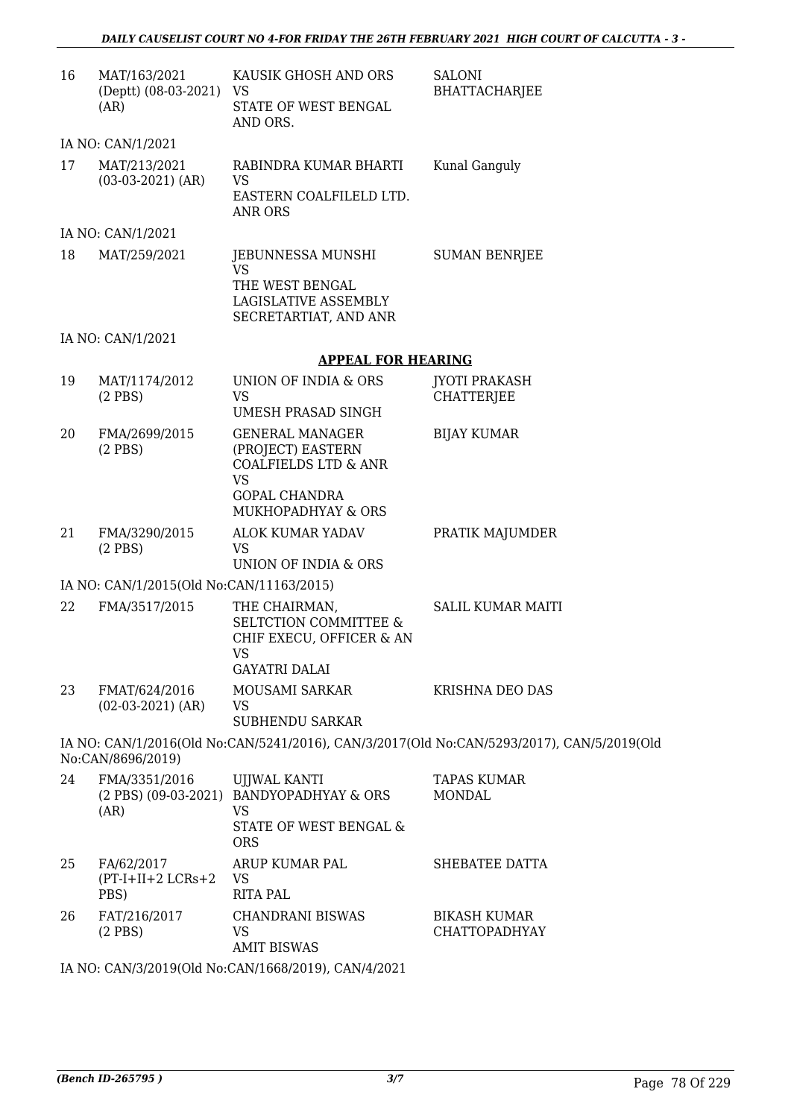| 16 | MAT/163/2021<br>(Deptt) (08-03-2021)<br>(AR) | KAUSIK GHOSH AND ORS<br>VS<br>STATE OF WEST BENGAL<br>AND ORS.                                                                            | SALONI<br><b>BHATTACHARJEE</b>                                                            |
|----|----------------------------------------------|-------------------------------------------------------------------------------------------------------------------------------------------|-------------------------------------------------------------------------------------------|
|    | IA NO: CAN/1/2021                            |                                                                                                                                           |                                                                                           |
| 17 | MAT/213/2021<br>$(03-03-2021)$ (AR)          | RABINDRA KUMAR BHARTI<br><b>VS</b><br>EASTERN COALFILELD LTD.<br>ANR ORS                                                                  | Kunal Ganguly                                                                             |
|    | IA NO: CAN/1/2021                            |                                                                                                                                           |                                                                                           |
| 18 | MAT/259/2021                                 | JEBUNNESSA MUNSHI<br><b>VS</b><br>THE WEST BENGAL<br>LAGISLATIVE ASSEMBLY<br>SECRETARTIAT, AND ANR                                        | <b>SUMAN BENRJEE</b>                                                                      |
|    | IA NO: CAN/1/2021                            |                                                                                                                                           |                                                                                           |
|    |                                              | <b>APPEAL FOR HEARING</b>                                                                                                                 |                                                                                           |
| 19 | MAT/1174/2012<br>$(2$ PBS)                   | UNION OF INDIA & ORS<br>VS<br><b>UMESH PRASAD SINGH</b>                                                                                   | <b>JYOTI PRAKASH</b><br><b>CHATTERJEE</b>                                                 |
| 20 | FMA/2699/2015<br>$(2$ PBS $)$                | <b>GENERAL MANAGER</b><br>(PROJECT) EASTERN<br><b>COALFIELDS LTD &amp; ANR</b><br><b>VS</b><br><b>GOPAL CHANDRA</b><br>MUKHOPADHYAY & ORS | <b>BIJAY KUMAR</b>                                                                        |
| 21 | FMA/3290/2015<br>$(2$ PBS)                   | ALOK KUMAR YADAV<br>VS<br>UNION OF INDIA & ORS                                                                                            | PRATIK MAJUMDER                                                                           |
|    | IA NO: CAN/1/2015(Old No:CAN/11163/2015)     |                                                                                                                                           |                                                                                           |
| 22 | FMA/3517/2015                                | THE CHAIRMAN,<br><b>SELTCTION COMMITTEE &amp;</b><br>CHIF EXECU, OFFICER & AN<br>VS.<br><b>GAYATRI DALAI</b>                              | <b>SALIL KUMAR MAITI</b>                                                                  |
| 23 | FMAT/624/2016<br>$(02-03-2021)$ (AR)         | MOUSAMI SARKAR<br>VS<br><b>SUBHENDU SARKAR</b>                                                                                            | <b>KRISHNA DEO DAS</b>                                                                    |
|    | No:CAN/8696/2019)                            |                                                                                                                                           | IA NO: CAN/1/2016(Old No:CAN/5241/2016), CAN/3/2017(Old No:CAN/5293/2017), CAN/5/2019(Old |
| 24 | FMA/3351/2016<br>(AR)                        | <b>UJJWAL KANTI</b><br>(2 PBS) (09-03-2021) BANDYOPADHYAY & ORS<br>VS<br>STATE OF WEST BENGAL &<br><b>ORS</b>                             | <b>TAPAS KUMAR</b><br><b>MONDAL</b>                                                       |
| 25 | FA/62/2017<br>$(PT-I+II+2 LCRs+2$<br>PBS)    | ARUP KUMAR PAL<br>VS<br><b>RITA PAL</b>                                                                                                   | SHEBATEE DATTA                                                                            |
| 26 | FAT/216/2017<br>$(2$ PBS)                    | <b>CHANDRANI BISWAS</b><br>VS.<br><b>AMIT BISWAS</b>                                                                                      | <b>BIKASH KUMAR</b><br><b>CHATTOPADHYAY</b>                                               |

IA NO: CAN/3/2019(Old No:CAN/1668/2019), CAN/4/2021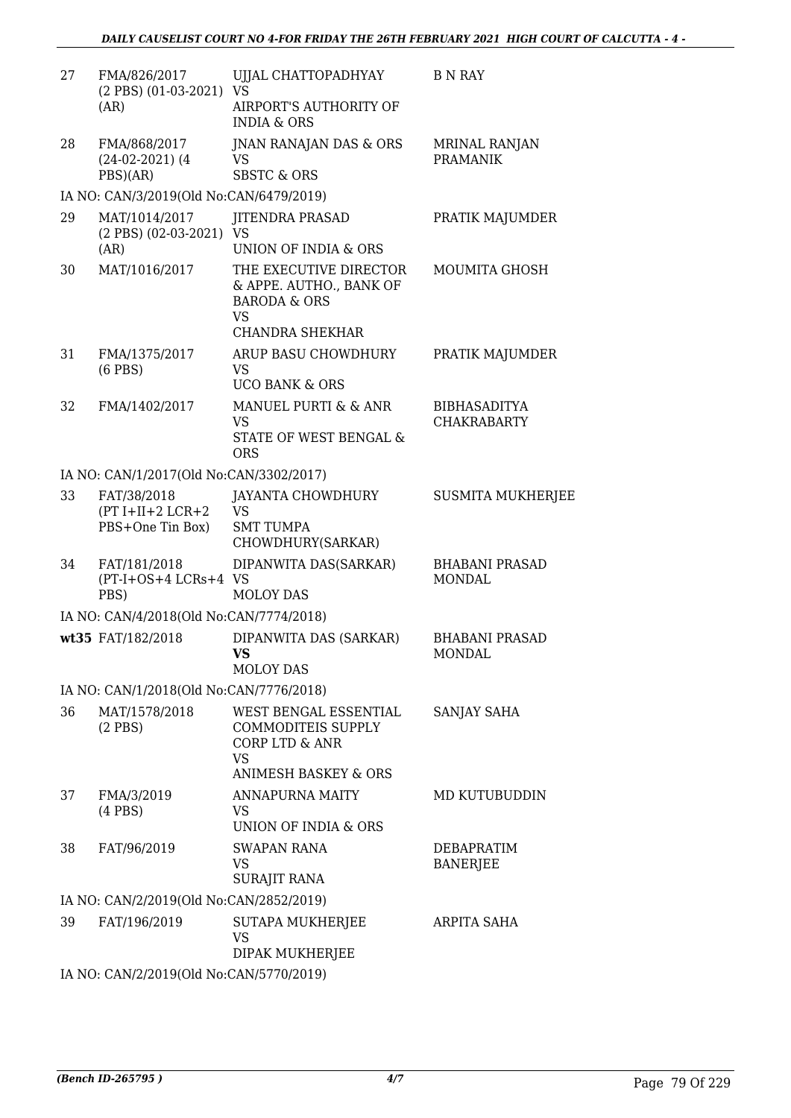| 27 | FMA/826/2017                                          | UJJAL CHATTOPADHYAY                                                                                                      | <b>B</b> N RAY                            |  |  |
|----|-------------------------------------------------------|--------------------------------------------------------------------------------------------------------------------------|-------------------------------------------|--|--|
|    | (2 PBS) (01-03-2021) VS                               |                                                                                                                          |                                           |  |  |
|    | (AR)                                                  | AIRPORT'S AUTHORITY OF<br><b>INDIA &amp; ORS</b>                                                                         |                                           |  |  |
| 28 | FMA/868/2017                                          | JNAN RANAJAN DAS & ORS                                                                                                   | <b>MRINAL RANJAN</b>                      |  |  |
|    | $(24-02-2021)$ (4)<br>PBS)(AR)                        | VS<br><b>SBSTC &amp; ORS</b>                                                                                             | <b>PRAMANIK</b>                           |  |  |
|    | IA NO: CAN/3/2019(Old No:CAN/6479/2019)               |                                                                                                                          |                                           |  |  |
| 29 | MAT/1014/2017<br>$(2$ PBS $)$ $(02-03-2021)$          | <b>JITENDRA PRASAD</b><br>VS                                                                                             | PRATIK MAJUMDER                           |  |  |
|    | (AR)                                                  | UNION OF INDIA & ORS                                                                                                     |                                           |  |  |
| 30 | MAT/1016/2017                                         | THE EXECUTIVE DIRECTOR<br>& APPE. AUTHO., BANK OF<br><b>BARODA &amp; ORS</b><br><b>VS</b><br><b>CHANDRA SHEKHAR</b>      | <b>MOUMITA GHOSH</b>                      |  |  |
| 31 | FMA/1375/2017<br>$(6$ PBS $)$                         | ARUP BASU CHOWDHURY<br><b>VS</b>                                                                                         | PRATIK MAJUMDER                           |  |  |
|    |                                                       | <b>UCO BANK &amp; ORS</b>                                                                                                |                                           |  |  |
| 32 | FMA/1402/2017                                         | MANUEL PURTI & & ANR<br>VS                                                                                               | <b>BIBHASADITYA</b><br><b>CHAKRABARTY</b> |  |  |
|    |                                                       | STATE OF WEST BENGAL &<br><b>ORS</b>                                                                                     |                                           |  |  |
|    | IA NO: CAN/1/2017(Old No:CAN/3302/2017)               |                                                                                                                          |                                           |  |  |
| 33 | FAT/38/2018<br>$(PT I+II+2 LCR+2$<br>PBS+One Tin Box) | JAYANTA CHOWDHURY<br><b>VS</b><br><b>SMT TUMPA</b>                                                                       | <b>SUSMITA MUKHERJEE</b>                  |  |  |
|    |                                                       | CHOWDHURY(SARKAR)                                                                                                        |                                           |  |  |
| 34 | FAT/181/2018<br>(PT-I+OS+4 LCRs+4 VS<br>PBS)          | DIPANWITA DAS(SARKAR)<br><b>MOLOY DAS</b>                                                                                | <b>BHABANI PRASAD</b><br><b>MONDAL</b>    |  |  |
|    | IA NO: CAN/4/2018(Old No:CAN/7774/2018)               |                                                                                                                          |                                           |  |  |
|    | wt35 FAT/182/2018                                     | DIPANWITA DAS (SARKAR)<br>VS                                                                                             | <b>BHABANI PRASAD</b><br>MONDAL           |  |  |
|    |                                                       | <b>MOLOY DAS</b>                                                                                                         |                                           |  |  |
|    | IA NO: CAN/1/2018(Old No:CAN/7776/2018)               |                                                                                                                          |                                           |  |  |
| 36 | MAT/1578/2018<br>$(2$ PBS $)$                         | WEST BENGAL ESSENTIAL<br>COMMODITEIS SUPPLY<br><b>CORP LTD &amp; ANR</b><br><b>VS</b><br><b>ANIMESH BASKEY &amp; ORS</b> | SANJAY SAHA                               |  |  |
| 37 | FMA/3/2019                                            | <b>ANNAPURNA MAITY</b>                                                                                                   | MD KUTUBUDDIN                             |  |  |
|    | $(4$ PBS $)$                                          | VS<br>UNION OF INDIA & ORS                                                                                               |                                           |  |  |
| 38 | FAT/96/2019                                           | <b>SWAPAN RANA</b><br><b>VS</b><br><b>SURAJIT RANA</b>                                                                   | DEBAPRATIM<br><b>BANERJEE</b>             |  |  |
|    | IA NO: CAN/2/2019(Old No:CAN/2852/2019)               |                                                                                                                          |                                           |  |  |
| 39 | FAT/196/2019                                          | SUTAPA MUKHERJEE                                                                                                         | ARPITA SAHA                               |  |  |
|    |                                                       | <b>VS</b><br>DIPAK MUKHERJEE                                                                                             |                                           |  |  |
|    | IA NO: CAN/2/2019(Old No:CAN/5770/2019)               |                                                                                                                          |                                           |  |  |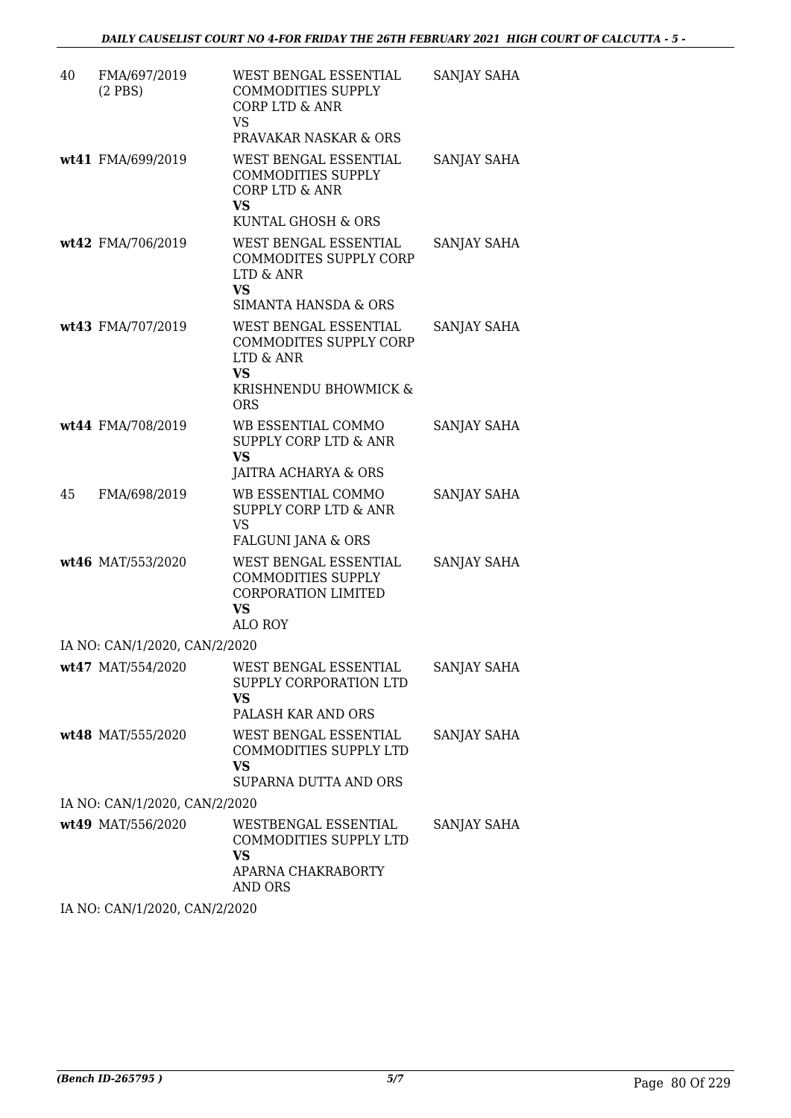| 40 | FMA/697/2019<br>$(2$ PBS $)$  | WEST BENGAL ESSENTIAL<br><b>COMMODITIES SUPPLY</b><br><b>CORP LTD &amp; ANR</b><br>VS.<br>PRAVAKAR NASKAR & ORS  | SANJAY SAHA        |
|----|-------------------------------|------------------------------------------------------------------------------------------------------------------|--------------------|
|    | wt41 FMA/699/2019             | WEST BENGAL ESSENTIAL<br><b>COMMODITIES SUPPLY</b><br><b>CORP LTD &amp; ANR</b><br>VS<br>KUNTAL GHOSH & ORS      | SANJAY SAHA        |
|    | wt42 FMA/706/2019             | WEST BENGAL ESSENTIAL<br>COMMODITES SUPPLY CORP<br>LTD & ANR<br><b>VS</b><br>SIMANTA HANSDA & ORS                | SANJAY SAHA        |
|    | wt43 FMA/707/2019             | WEST BENGAL ESSENTIAL<br>COMMODITES SUPPLY CORP<br>LTD & ANR<br><b>VS</b><br>KRISHNENDU BHOWMICK &<br><b>ORS</b> | SANJAY SAHA        |
|    | wt44 FMA/708/2019             | WB ESSENTIAL COMMO<br><b>SUPPLY CORP LTD &amp; ANR</b><br><b>VS</b><br>JAITRA ACHARYA & ORS                      | SANJAY SAHA        |
| 45 | FMA/698/2019                  | WB ESSENTIAL COMMO<br><b>SUPPLY CORP LTD &amp; ANR</b><br><b>VS</b><br>FALGUNI JANA & ORS                        | SANJAY SAHA        |
|    | wt46 MAT/553/2020             | WEST BENGAL ESSENTIAL<br><b>COMMODITIES SUPPLY</b><br><b>CORPORATION LIMITED</b><br>VS.<br>ALO ROY               | SANJAY SAHA        |
|    | IA NO: CAN/1/2020, CAN/2/2020 |                                                                                                                  |                    |
|    | wt47 MAT/554/2020             | WEST BENGAL ESSENTIAL<br>SUPPLY CORPORATION LTD<br><b>VS</b><br>PALASH KAR AND ORS                               | <b>SANJAY SAHA</b> |
|    | wt48 MAT/555/2020             | WEST BENGAL ESSENTIAL<br>COMMODITIES SUPPLY LTD<br><b>VS</b><br>SUPARNA DUTTA AND ORS                            | SANJAY SAHA        |
|    | IA NO: CAN/1/2020, CAN/2/2020 |                                                                                                                  |                    |
|    | wt49 MAT/556/2020             | WESTBENGAL ESSENTIAL<br>COMMODITIES SUPPLY LTD<br>VS.<br>APARNA CHAKRABORTY<br><b>AND ORS</b>                    | SANJAY SAHA        |

IA NO: CAN/1/2020, CAN/2/2020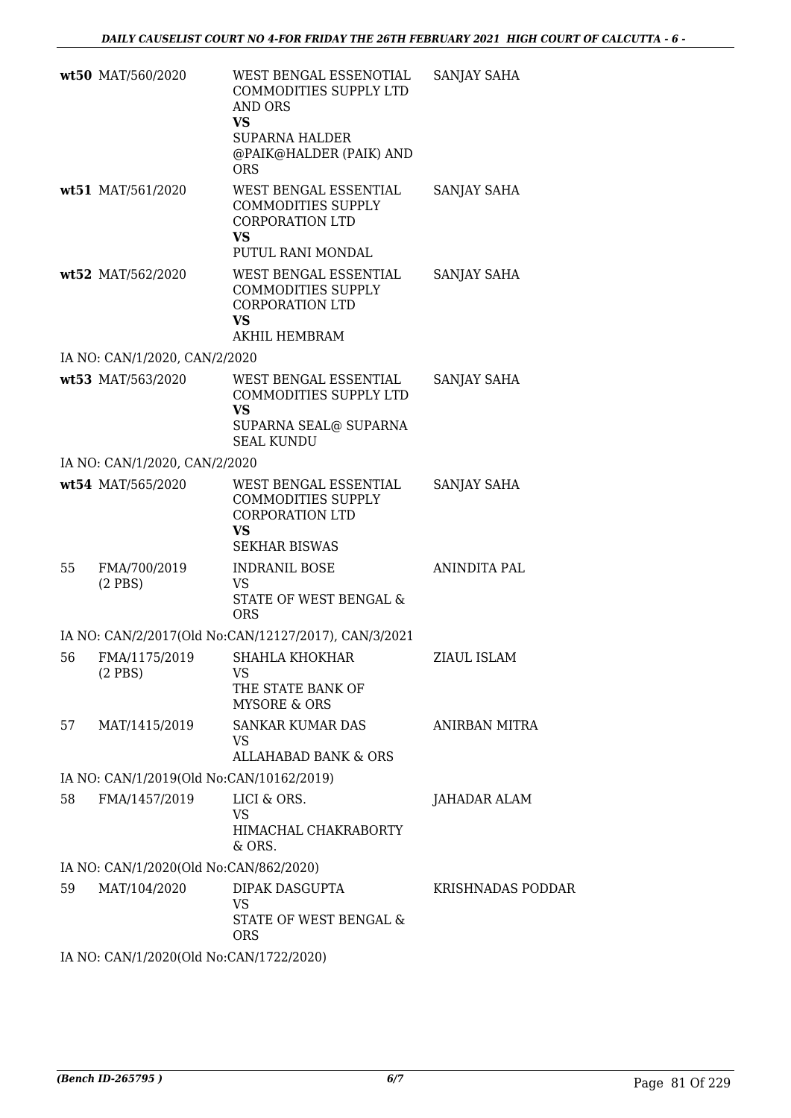|    | wt50 MAT/560/2020                        | WEST BENGAL ESSENOTIAL<br>COMMODITIES SUPPLY LTD<br>AND ORS<br><b>VS</b><br><b>SUPARNA HALDER</b><br>@PAIK@HALDER (PAIK) AND<br><b>ORS</b> | SANJAY SAHA       |
|----|------------------------------------------|--------------------------------------------------------------------------------------------------------------------------------------------|-------------------|
|    | wt51 MAT/561/2020                        | WEST BENGAL ESSENTIAL<br>COMMODITIES SUPPLY<br><b>CORPORATION LTD</b><br><b>VS</b><br>PUTUL RANI MONDAL                                    | SANJAY SAHA       |
|    | wt52 MAT/562/2020                        | WEST BENGAL ESSENTIAL<br>COMMODITIES SUPPLY<br><b>CORPORATION LTD</b><br><b>VS</b><br><b>AKHIL HEMBRAM</b>                                 | SANJAY SAHA       |
|    | IA NO: CAN/1/2020, CAN/2/2020            |                                                                                                                                            |                   |
|    | wt53 MAT/563/2020                        | WEST BENGAL ESSENTIAL<br>COMMODITIES SUPPLY LTD<br><b>VS</b><br>SUPARNA SEAL@ SUPARNA<br><b>SEAL KUNDU</b>                                 | SANJAY SAHA       |
|    | IA NO: CAN/1/2020, CAN/2/2020            |                                                                                                                                            |                   |
|    | wt54 MAT/565/2020                        | WEST BENGAL ESSENTIAL<br><b>COMMODITIES SUPPLY</b><br><b>CORPORATION LTD</b><br><b>VS</b><br><b>SEKHAR BISWAS</b>                          | SANJAY SAHA       |
| 55 | FMA/700/2019<br>$(2$ PBS)                | <b>INDRANIL BOSE</b><br>VS<br>STATE OF WEST BENGAL &<br><b>ORS</b>                                                                         | ANINDITA PAL      |
|    |                                          | IA NO: CAN/2/2017(Old No:CAN/12127/2017), CAN/3/2021                                                                                       |                   |
| 56 | FMA/1175/2019<br>$(2$ PBS)               | SHAHLA KHOKHAR<br>VS<br>THE STATE BANK OF<br><b>MYSORE &amp; ORS</b>                                                                       | ZIAUL ISLAM       |
| 57 | MAT/1415/2019                            | <b>SANKAR KUMAR DAS</b><br>VS<br><b>ALLAHABAD BANK &amp; ORS</b>                                                                           | ANIRBAN MITRA     |
|    | IA NO: CAN/1/2019(Old No:CAN/10162/2019) |                                                                                                                                            |                   |
|    |                                          |                                                                                                                                            |                   |
| 58 | FMA/1457/2019                            | LICI & ORS.<br><b>VS</b><br>HIMACHAL CHAKRABORTY<br>& ORS.                                                                                 | JAHADAR ALAM      |
|    | IA NO: CAN/1/2020(Old No:CAN/862/2020)   |                                                                                                                                            |                   |
| 59 | MAT/104/2020                             | DIPAK DASGUPTA<br><b>VS</b><br>STATE OF WEST BENGAL &<br><b>ORS</b>                                                                        | KRISHNADAS PODDAR |
|    | IA NO: CAN/1/2020(Old No:CAN/1722/2020)  |                                                                                                                                            |                   |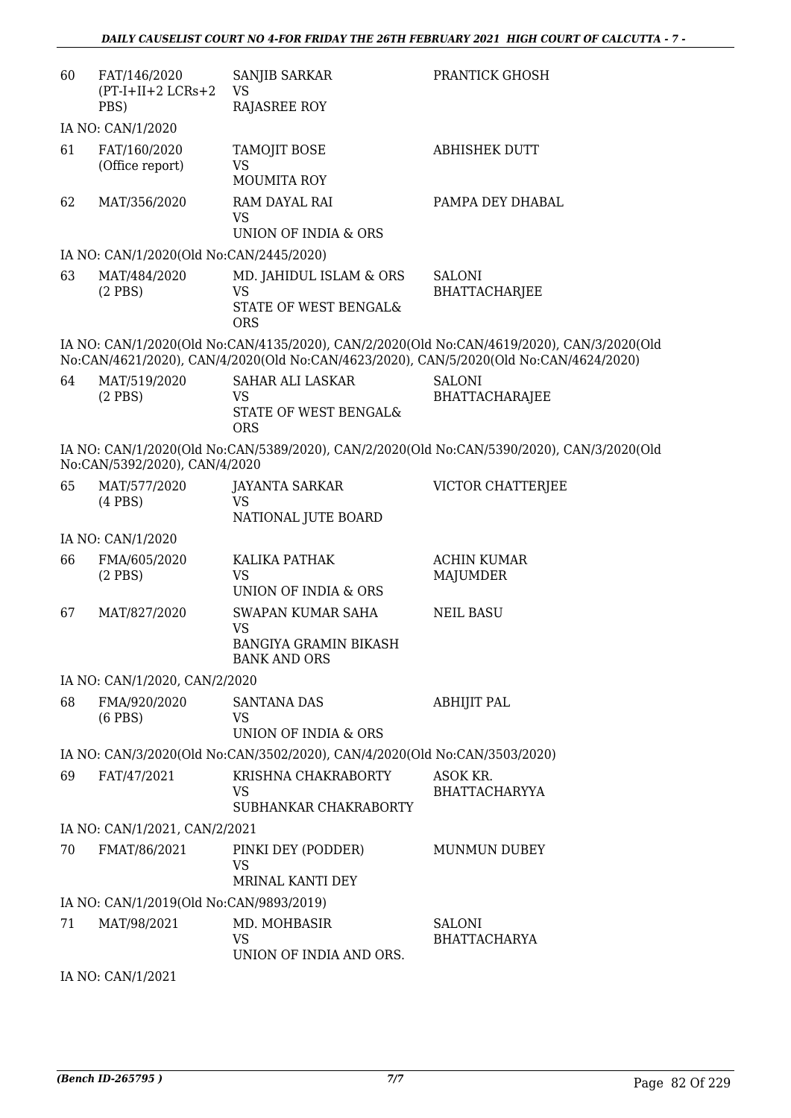| 60 | FAT/146/2020<br>$(PT-I+II+2 LCRs+2)$    | <b>SANJIB SARKAR</b><br>VS.                                                     | <b>PRANTICK GHOSH</b>                                                                                                                                                              |
|----|-----------------------------------------|---------------------------------------------------------------------------------|------------------------------------------------------------------------------------------------------------------------------------------------------------------------------------|
|    | PBS)                                    | <b>RAJASREE ROY</b>                                                             |                                                                                                                                                                                    |
|    | IA NO: CAN/1/2020                       |                                                                                 |                                                                                                                                                                                    |
| 61 | FAT/160/2020<br>(Office report)         | TAMOJIT BOSE<br><b>VS</b>                                                       | <b>ABHISHEK DUTT</b>                                                                                                                                                               |
|    |                                         | <b>MOUMITA ROY</b>                                                              |                                                                                                                                                                                    |
| 62 | MAT/356/2020                            | RAM DAYAL RAI<br><b>VS</b><br>UNION OF INDIA & ORS                              | PAMPA DEY DHABAL                                                                                                                                                                   |
|    | IA NO: CAN/1/2020(Old No:CAN/2445/2020) |                                                                                 |                                                                                                                                                                                    |
| 63 | MAT/484/2020<br>$(2$ PBS)               | MD. JAHIDUL ISLAM & ORS<br>VS<br>STATE OF WEST BENGAL&<br><b>ORS</b>            | <b>SALONI</b><br><b>BHATTACHARJEE</b>                                                                                                                                              |
|    |                                         |                                                                                 | IA NO: CAN/1/2020(Old No:CAN/4135/2020), CAN/2/2020(Old No:CAN/4619/2020), CAN/3/2020(Old<br>No:CAN/4621/2020), CAN/4/2020(Old No:CAN/4623/2020), CAN/5/2020(Old No:CAN/4624/2020) |
| 64 | MAT/519/2020<br>$(2$ PBS)               | SAHAR ALI LASKAR<br><b>VS</b><br><b>STATE OF WEST BENGAL&amp;</b><br><b>ORS</b> | <b>SALONI</b><br><b>BHATTACHARAJEE</b>                                                                                                                                             |
|    | No:CAN/5392/2020), CAN/4/2020           |                                                                                 | IA NO: CAN/1/2020(Old No:CAN/5389/2020), CAN/2/2020(Old No:CAN/5390/2020), CAN/3/2020(Old                                                                                          |
| 65 | MAT/577/2020<br>$(4$ PBS $)$            | JAYANTA SARKAR<br>VS.<br>NATIONAL JUTE BOARD                                    | VICTOR CHATTERJEE                                                                                                                                                                  |
|    | IA NO: CAN/1/2020                       |                                                                                 |                                                                                                                                                                                    |
| 66 | FMA/605/2020<br>$(2$ PBS)               | KALIKA PATHAK<br><b>VS</b>                                                      | <b>ACHIN KUMAR</b><br>MAJUMDER                                                                                                                                                     |
|    |                                         | UNION OF INDIA & ORS                                                            |                                                                                                                                                                                    |
| 67 | MAT/827/2020                            | SWAPAN KUMAR SAHA<br><b>VS</b><br><b>BANGIYA GRAMIN BIKASH</b>                  | <b>NEIL BASU</b>                                                                                                                                                                   |
|    |                                         | <b>BANK AND ORS</b>                                                             |                                                                                                                                                                                    |
|    | IA NO: CAN/1/2020, CAN/2/2020           |                                                                                 |                                                                                                                                                                                    |
| 68 | FMA/920/2020<br>$(6$ PBS $)$            | <b>SANTANA DAS</b><br>VS<br>UNION OF INDIA & ORS                                | <b>ABHIJIT PAL</b>                                                                                                                                                                 |
|    |                                         | IA NO: CAN/3/2020(Old No:CAN/3502/2020), CAN/4/2020(Old No:CAN/3503/2020)       |                                                                                                                                                                                    |
| 69 | FAT/47/2021                             | KRISHNA CHAKRABORTY                                                             | ASOK KR.                                                                                                                                                                           |
|    |                                         | VS                                                                              | <b>BHATTACHARYYA</b>                                                                                                                                                               |
|    |                                         | SUBHANKAR CHAKRABORTY                                                           |                                                                                                                                                                                    |
|    | IA NO: CAN/1/2021, CAN/2/2021           |                                                                                 |                                                                                                                                                                                    |
| 70 | FMAT/86/2021                            | PINKI DEY (PODDER)<br>VS<br>MRINAL KANTI DEY                                    | <b>MUNMUN DUBEY</b>                                                                                                                                                                |
|    | IA NO: CAN/1/2019(Old No:CAN/9893/2019) |                                                                                 |                                                                                                                                                                                    |
| 71 | MAT/98/2021                             | MD. MOHBASIR<br><b>VS</b><br>UNION OF INDIA AND ORS.                            | SALONI<br><b>BHATTACHARYA</b>                                                                                                                                                      |
|    | IA NO: CAN/1/2021                       |                                                                                 |                                                                                                                                                                                    |
|    |                                         |                                                                                 |                                                                                                                                                                                    |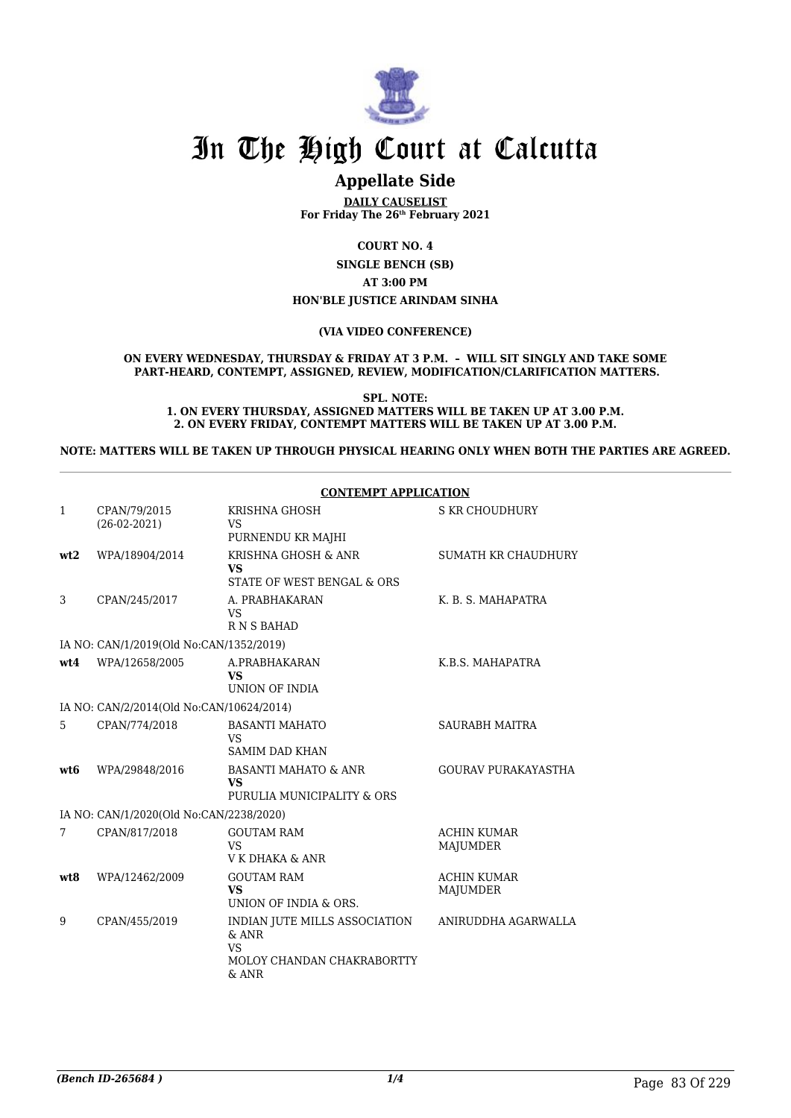

## **Appellate Side**

**DAILY CAUSELIST For Friday The 26th February 2021**

**COURT NO. 4**

**SINGLE BENCH (SB) AT 3:00 PM HON'BLE JUSTICE ARINDAM SINHA**

#### **(VIA VIDEO CONFERENCE)**

#### **ON EVERY WEDNESDAY, THURSDAY & FRIDAY AT 3 P.M. – WILL SIT SINGLY AND TAKE SOME PART-HEARD, CONTEMPT, ASSIGNED, REVIEW, MODIFICATION/CLARIFICATION MATTERS.**

**SPL. NOTE: 1. ON EVERY THURSDAY, ASSIGNED MATTERS WILL BE TAKEN UP AT 3.00 P.M. 2. ON EVERY FRIDAY, CONTEMPT MATTERS WILL BE TAKEN UP AT 3.00 P.M.**

#### **NOTE: MATTERS WILL BE TAKEN UP THROUGH PHYSICAL HEARING ONLY WHEN BOTH THE PARTIES ARE AGREED.**

|              |                                          | <b>CONTEMPT APPLICATION</b>                                                                    |                                |
|--------------|------------------------------------------|------------------------------------------------------------------------------------------------|--------------------------------|
| $\mathbf{1}$ | CPAN/79/2015<br>$(26-02-2021)$           | KRISHNA GHOSH<br><b>VS</b><br>PURNENDU KR MAJHI                                                | <b>S KR CHOUDHURY</b>          |
| wt2          | WPA/18904/2014                           | KRISHNA GHOSH & ANR<br><b>VS</b><br>STATE OF WEST BENGAL & ORS                                 | SUMATH KR CHAUDHURY            |
| 3            | CPAN/245/2017                            | A. PRABHAKARAN<br><b>VS</b><br><b>RNSBAHAD</b>                                                 | K. B. S. MAHAPATRA             |
|              | IA NO: CAN/1/2019(Old No:CAN/1352/2019)  |                                                                                                |                                |
| wt4          | WPA/12658/2005                           | A.PRABHAKARAN<br><b>VS</b><br>UNION OF INDIA                                                   | K.B.S. MAHAPATRA               |
|              | IA NO: CAN/2/2014(Old No:CAN/10624/2014) |                                                                                                |                                |
| 5            | CPAN/774/2018                            | <b>BASANTI MAHATO</b><br><b>VS</b><br><b>SAMIM DAD KHAN</b>                                    | <b>SAURABH MAITRA</b>          |
| wt.6         | WPA/29848/2016                           | BASANTI MAHATO & ANR<br><b>VS</b><br>PURULIA MUNICIPALITY & ORS                                | <b>GOURAV PURAKAYASTHA</b>     |
|              | IA NO: CAN/1/2020(Old No:CAN/2238/2020)  |                                                                                                |                                |
| 7            | CPAN/817/2018                            | <b>GOUTAM RAM</b><br><b>VS</b><br>V K DHAKA & ANR                                              | <b>ACHIN KUMAR</b><br>MAJUMDER |
| wt8          | WPA/12462/2009                           | <b>GOUTAM RAM</b><br><b>VS</b><br>UNION OF INDIA & ORS.                                        | <b>ACHIN KUMAR</b><br>MAJUMDER |
| 9            | CPAN/455/2019                            | INDIAN JUTE MILLS ASSOCIATION<br>$&$ ANR<br><b>VS</b><br>MOLOY CHANDAN CHAKRABORTTY<br>$&$ ANR | ANIRUDDHA AGARWALLA            |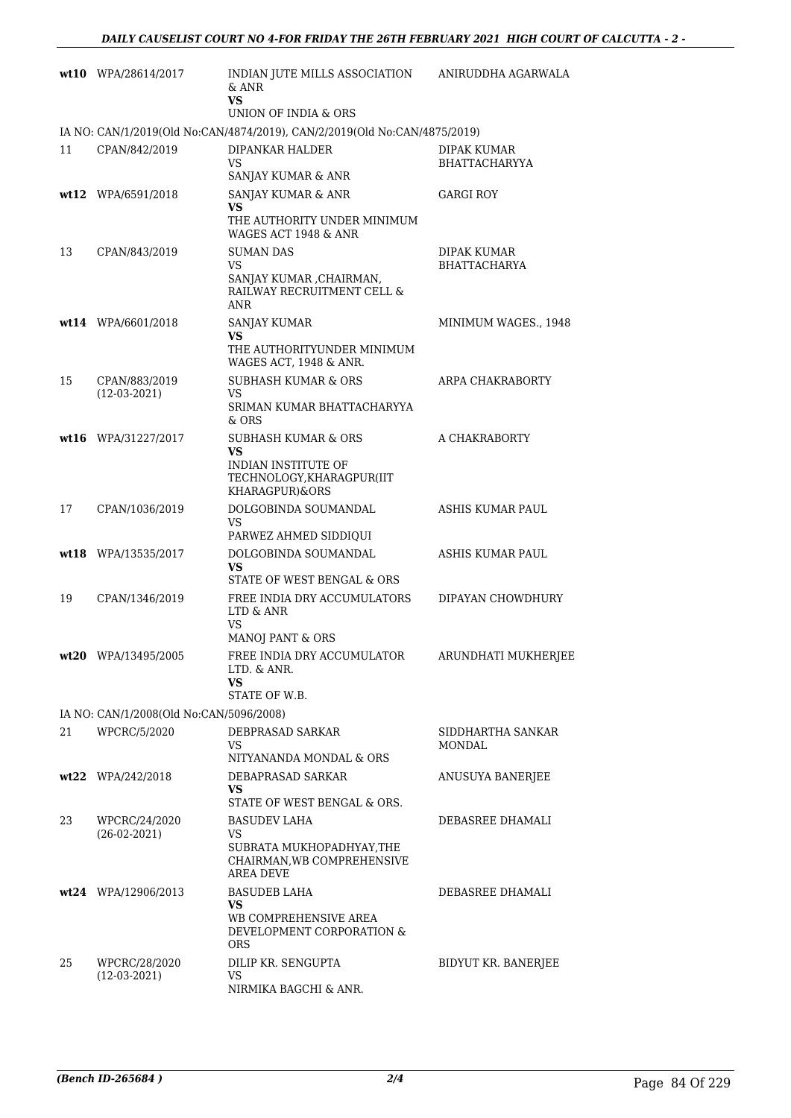|      | wt10 WPA/28614/2017                     | INDIAN JUTE MILLS ASSOCIATION<br>& ANR<br><b>VS</b>                                              | ANIRUDDHA AGARWALA                         |
|------|-----------------------------------------|--------------------------------------------------------------------------------------------------|--------------------------------------------|
|      |                                         | UNION OF INDIA & ORS                                                                             |                                            |
|      |                                         | IA NO: CAN/1/2019(Old No:CAN/4874/2019), CAN/2/2019(Old No:CAN/4875/2019)                        |                                            |
| 11   | CPAN/842/2019                           | DIPANKAR HALDER<br>VS<br>SANJAY KUMAR & ANR                                                      | <b>DIPAK KUMAR</b><br><b>BHATTACHARYYA</b> |
|      | wt12 WPA/6591/2018                      | SANJAY KUMAR & ANR                                                                               | <b>GARGI ROY</b>                           |
|      |                                         | VS<br>THE AUTHORITY UNDER MINIMUM<br>WAGES ACT 1948 & ANR                                        |                                            |
| 13   | CPAN/843/2019                           | <b>SUMAN DAS</b><br>VS<br>SANJAY KUMAR ,CHAIRMAN,<br>RAILWAY RECRUITMENT CELL &<br>ANR           | <b>DIPAK KUMAR</b><br><b>BHATTACHARYA</b>  |
|      | wt14 WPA/6601/2018                      | SANJAY KUMAR                                                                                     | MINIMUM WAGES., 1948                       |
|      |                                         | VS.<br>THE AUTHORITYUNDER MINIMUM<br>WAGES ACT, 1948 & ANR.                                      |                                            |
| 15   | CPAN/883/2019                           | <b>SUBHASH KUMAR &amp; ORS</b>                                                                   | ARPA CHAKRABORTY                           |
|      | $(12-03-2021)$                          | VS<br>SRIMAN KUMAR BHATTACHARYYA<br>& ORS                                                        |                                            |
|      | wt16 WPA/31227/2017                     | <b>SUBHASH KUMAR &amp; ORS</b>                                                                   | A CHAKRABORTY                              |
|      |                                         | VS<br>INDIAN INSTITUTE OF<br>TECHNOLOGY, KHARAGPUR(IIT<br>KHARAGPUR)&ORS                         |                                            |
| 17   | CPAN/1036/2019                          | DOLGOBINDA SOUMANDAL<br>VS<br>PARWEZ AHMED SIDDIQUI                                              | ASHIS KUMAR PAUL                           |
|      | wt18 WPA/13535/2017                     | DOLGOBINDA SOUMANDAL<br>VS                                                                       | ASHIS KUMAR PAUL                           |
|      |                                         | STATE OF WEST BENGAL & ORS                                                                       |                                            |
| 19   | CPAN/1346/2019                          | FREE INDIA DRY ACCUMULATORS<br>LTD & ANR<br>VS                                                   | DIPAYAN CHOWDHURY                          |
|      |                                         | <b>MANOJ PANT &amp; ORS</b>                                                                      |                                            |
| wt20 | WPA/13495/2005                          | FREE INDIA DRY ACCUMULATOR<br>LTD. & ANR.<br>VS<br>STATE OF W.B.                                 | ARUNDHATI MUKHERJEE                        |
|      | IA NO: CAN/1/2008(Old No:CAN/5096/2008) |                                                                                                  |                                            |
| 21   | WPCRC/5/2020                            | DEBPRASAD SARKAR                                                                                 | SIDDHARTHA SANKAR                          |
|      |                                         | VS                                                                                               | MONDAL                                     |
|      |                                         | NITYANANDA MONDAL & ORS                                                                          |                                            |
|      | $wt22$ WPA/242/2018                     | DEBAPRASAD SARKAR<br>VS.<br>STATE OF WEST BENGAL & ORS.                                          | ANUSUYA BANERJEE                           |
| 23   | WPCRC/24/2020<br>$(26-02-2021)$         | <b>BASUDEV LAHA</b><br>VS<br>SUBRATA MUKHOPADHYAY,THE<br>CHAIRMAN, WB COMPREHENSIVE<br>AREA DEVE | DEBASREE DHAMALI                           |
|      | wt24 WPA/12906/2013                     | <b>BASUDEB LAHA</b><br>VS<br>WB COMPREHENSIVE AREA<br>DEVELOPMENT CORPORATION &<br><b>ORS</b>    | DEBASREE DHAMALI                           |
| 25   | WPCRC/28/2020<br>$(12-03-2021)$         | DILIP KR. SENGUPTA<br>VS<br>NIRMIKA BAGCHI & ANR.                                                | BIDYUT KR. BANERJEE                        |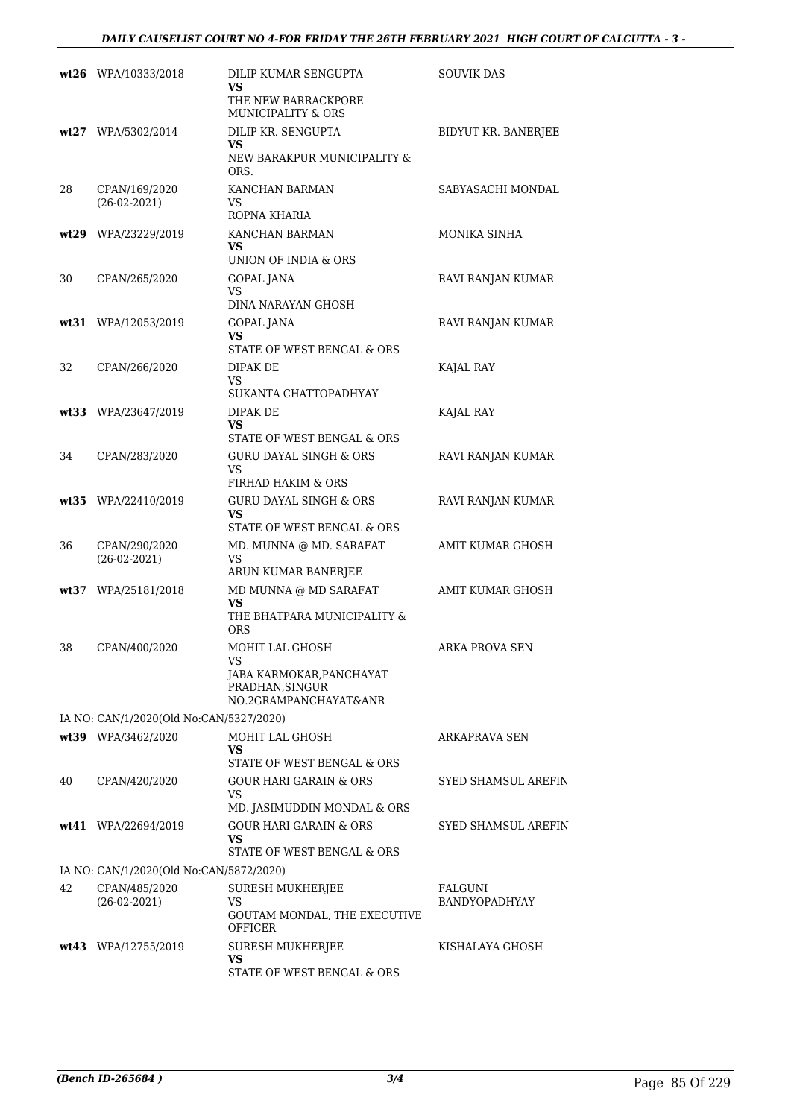|      | wt26 WPA/10333/2018                     | DILIP KUMAR SENGUPTA<br>VS<br>THE NEW BARRACKPORE<br>MUNICIPALITY & ORS                       | <b>SOUVIK DAS</b>          |
|------|-----------------------------------------|-----------------------------------------------------------------------------------------------|----------------------------|
|      | wt27 WPA/5302/2014                      | DILIP KR. SENGUPTA<br>VS.<br>NEW BARAKPUR MUNICIPALITY &<br>ORS.                              | BIDYUT KR. BANERJEE        |
| 28   | CPAN/169/2020<br>$(26-02-2021)$         | KANCHAN BARMAN<br>VS<br>ROPNA KHARIA                                                          | SABYASACHI MONDAL          |
|      | wt29 WPA/23229/2019                     | KANCHAN BARMAN<br><b>VS</b><br>UNION OF INDIA & ORS                                           | MONIKA SINHA               |
| 30   | CPAN/265/2020                           | GOPAL JANA<br>VS<br>DINA NARAYAN GHOSH                                                        | RAVI RANJAN KUMAR          |
|      | wt31 WPA/12053/2019                     | <b>GOPAL JANA</b><br>VS<br>STATE OF WEST BENGAL & ORS                                         | RAVI RANJAN KUMAR          |
| 32   | CPAN/266/2020                           | DIPAK DE<br><b>VS</b><br>SUKANTA CHATTOPADHYAY                                                | KAJAL RAY                  |
|      | wt33 WPA/23647/2019                     | DIPAK DE<br>VS<br>STATE OF WEST BENGAL & ORS                                                  | KAJAL RAY                  |
| 34   | CPAN/283/2020                           | <b>GURU DAYAL SINGH &amp; ORS</b><br>VS<br>FIRHAD HAKIM & ORS                                 | RAVI RANJAN KUMAR          |
|      | wt35 WPA/22410/2019                     | <b>GURU DAYAL SINGH &amp; ORS</b><br>VS<br>STATE OF WEST BENGAL & ORS                         | RAVI RANJAN KUMAR          |
| 36   | CPAN/290/2020<br>$(26-02-2021)$         | MD. MUNNA @ MD. SARAFAT<br><b>VS</b><br>ARUN KUMAR BANERJEE                                   | <b>AMIT KUMAR GHOSH</b>    |
| wt37 | WPA/25181/2018                          | MD MUNNA @ MD SARAFAT<br>VS<br>THE BHATPARA MUNICIPALITY &<br><b>ORS</b>                      | <b>AMIT KUMAR GHOSH</b>    |
| 38   | CPAN/400/2020                           | MOHIT LAL GHOSH<br>VS<br>JABA KARMOKAR, PANCHAYAT<br>PRADHAN, SINGUR<br>NO.2GRAMPANCHAYAT&ANR | ARKA PROVA SEN             |
|      | IA NO: CAN/1/2020(Old No:CAN/5327/2020) |                                                                                               |                            |
|      | wt39 WPA/3462/2020                      | MOHIT LAL GHOSH<br>VS<br>STATE OF WEST BENGAL & ORS                                           | ARKAPRAVA SEN              |
| 40   | CPAN/420/2020                           | GOUR HARI GARAIN & ORS<br>VS<br>MD. JASIMUDDIN MONDAL & ORS                                   | SYED SHAMSUL AREFIN        |
|      | wt41 WPA/22694/2019                     | <b>GOUR HARI GARAIN &amp; ORS</b><br><b>VS</b><br>STATE OF WEST BENGAL & ORS                  | <b>SYED SHAMSUL AREFIN</b> |
|      | IA NO: CAN/1/2020(Old No:CAN/5872/2020) |                                                                                               |                            |
| 42   | CPAN/485/2020<br>$(26-02-2021)$         | SURESH MUKHERJEE<br>VS<br>GOUTAM MONDAL, THE EXECUTIVE<br><b>OFFICER</b>                      | FALGUNI<br>BANDYOPADHYAY   |
|      | wt43 WPA/12755/2019                     | <b>SURESH MUKHERJEE</b><br>VS<br>STATE OF WEST BENGAL & ORS                                   | KISHALAYA GHOSH            |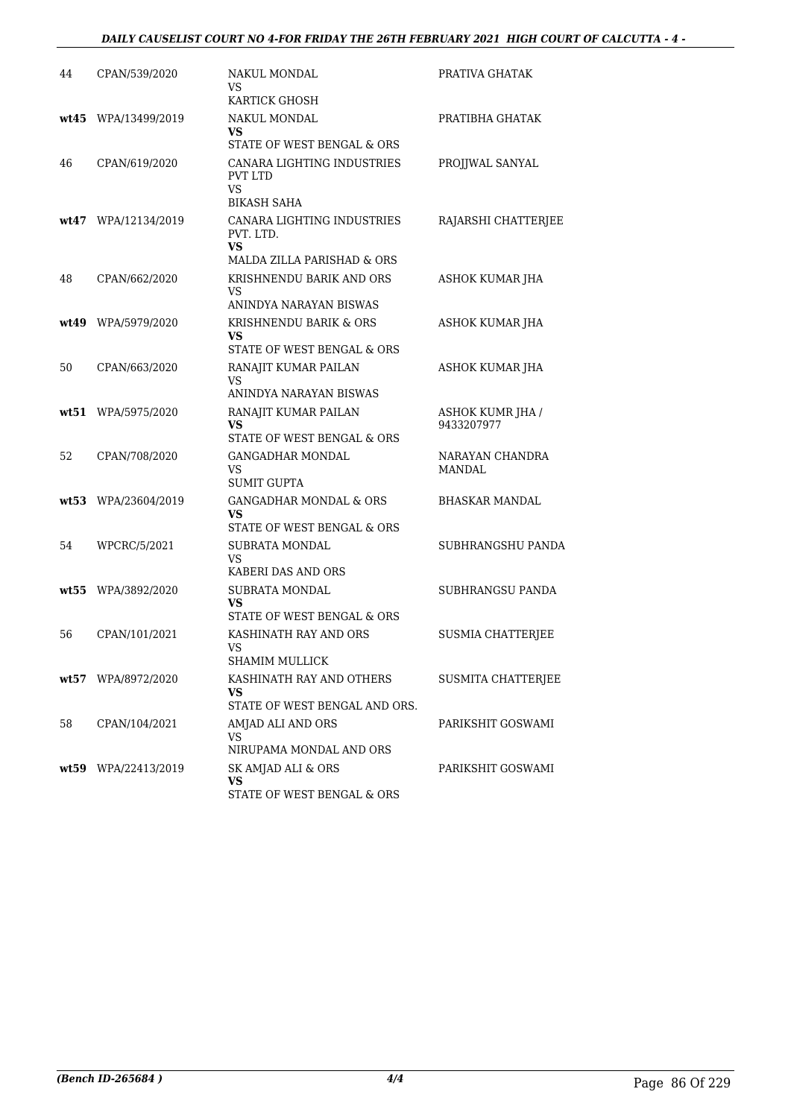### *DAILY CAUSELIST COURT NO 4-FOR FRIDAY THE 26TH FEBRUARY 2021 HIGH COURT OF CALCUTTA - 4 -*

| 44   | CPAN/539/2020       | NAKUL MONDAL<br>VS<br>KARTICK GHOSH                                                | PRATIVA GHATAK                        |
|------|---------------------|------------------------------------------------------------------------------------|---------------------------------------|
|      | wt45 WPA/13499/2019 | NAKUL MONDAL<br>VS<br>STATE OF WEST BENGAL & ORS                                   | PRATIBHA GHATAK                       |
| 46   | CPAN/619/2020       | CANARA LIGHTING INDUSTRIES<br><b>PVT LTD</b><br><b>VS</b><br>BIKASH SAHA           | PROJJWAL SANYAL                       |
|      | wt47 WPA/12134/2019 | CANARA LIGHTING INDUSTRIES<br>PVT. LTD.<br><b>VS</b><br>MALDA ZILLA PARISHAD & ORS | RAJARSHI CHATTERJEE                   |
| 48   | CPAN/662/2020       | KRISHNENDU BARIK AND ORS<br><b>VS</b><br>ANINDYA NARAYAN BISWAS                    | ASHOK KUMAR JHA                       |
|      | wt49 WPA/5979/2020  | KRISHNENDU BARIK & ORS<br>VS<br>STATE OF WEST BENGAL & ORS                         | ASHOK KUMAR JHA                       |
| 50   | CPAN/663/2020       | RANAJIT KUMAR PAILAN<br><b>VS</b><br>ANINDYA NARAYAN BISWAS                        | ASHOK KUMAR JHA                       |
|      | wt51 WPA/5975/2020  | RANAJIT KUMAR PAILAN<br>VS<br>STATE OF WEST BENGAL & ORS                           | <b>ASHOK KUMR JHA /</b><br>9433207977 |
| 52   | CPAN/708/2020       | <b>GANGADHAR MONDAL</b><br>VS<br><b>SUMIT GUPTA</b>                                | NARAYAN CHANDRA<br>MANDAL             |
|      | wt53 WPA/23604/2019 | <b>GANGADHAR MONDAL &amp; ORS</b><br>VS.<br>STATE OF WEST BENGAL & ORS             | <b>BHASKAR MANDAL</b>                 |
| 54   | WPCRC/5/2021        | <b>SUBRATA MONDAL</b><br><b>VS</b><br>KABERI DAS AND ORS                           | SUBHRANGSHU PANDA                     |
| wt55 | WPA/3892/2020       | SUBRATA MONDAL<br>VS<br>STATE OF WEST BENGAL & ORS                                 | SUBHRANGSU PANDA                      |
| 56   | CPAN/101/2021       | KASHINATH RAY AND ORS<br>VS<br>SHAMIM MULLICK                                      | <b>SUSMIA CHATTERJEE</b>              |
|      | wt57 WPA/8972/2020  | KASHINATH RAY AND OTHERS<br>VS<br>STATE OF WEST BENGAL AND ORS.                    | SUSMITA CHATTERJEE                    |
| 58   | CPAN/104/2021       | AMJAD ALI AND ORS<br>VS<br>NIRUPAMA MONDAL AND ORS                                 | PARIKSHIT GOSWAMI                     |
|      | wt59 WPA/22413/2019 | SK AMJAD ALI & ORS<br>VS<br>STATE OF WEST BENGAL & ORS                             | PARIKSHIT GOSWAMI                     |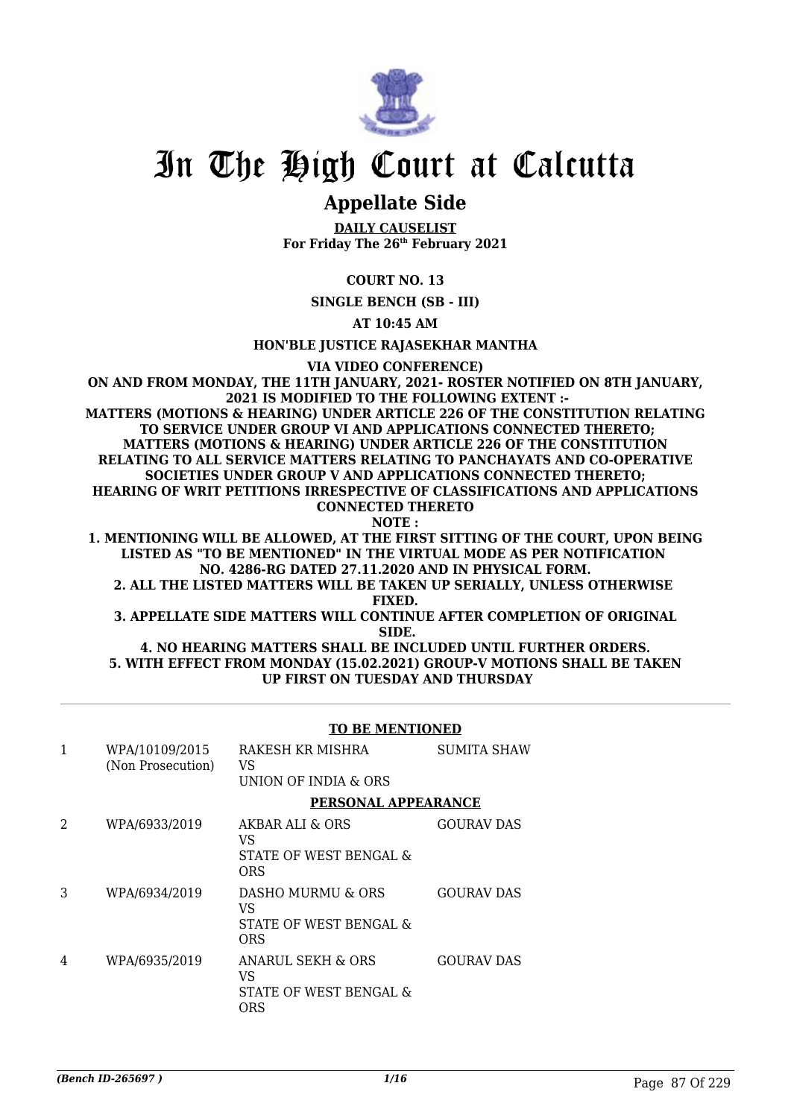

## **Appellate Side**

**DAILY CAUSELIST For Friday The 26th February 2021**

### **COURT NO. 13**

**SINGLE BENCH (SB - III)**

**AT 10:45 AM**

### **HON'BLE JUSTICE RAJASEKHAR MANTHA**

**VIA VIDEO CONFERENCE)**

**ON AND FROM MONDAY, THE 11TH JANUARY, 2021- ROSTER NOTIFIED ON 8TH JANUARY, 2021 IS MODIFIED TO THE FOLLOWING EXTENT :- MATTERS (MOTIONS & HEARING) UNDER ARTICLE 226 OF THE CONSTITUTION RELATING TO SERVICE UNDER GROUP VI AND APPLICATIONS CONNECTED THERETO; MATTERS (MOTIONS & HEARING) UNDER ARTICLE 226 OF THE CONSTITUTION RELATING TO ALL SERVICE MATTERS RELATING TO PANCHAYATS AND CO-OPERATIVE SOCIETIES UNDER GROUP V AND APPLICATIONS CONNECTED THERETO; HEARING OF WRIT PETITIONS IRRESPECTIVE OF CLASSIFICATIONS AND APPLICATIONS CONNECTED THERETO NOTE :**

**1. MENTIONING WILL BE ALLOWED, AT THE FIRST SITTING OF THE COURT, UPON BEING LISTED AS "TO BE MENTIONED" IN THE VIRTUAL MODE AS PER NOTIFICATION NO. 4286-RG DATED 27.11.2020 AND IN PHYSICAL FORM.**

**2. ALL THE LISTED MATTERS WILL BE TAKEN UP SERIALLY, UNLESS OTHERWISE FIXED.**

**3. APPELLATE SIDE MATTERS WILL CONTINUE AFTER COMPLETION OF ORIGINAL SIDE.**

**4. NO HEARING MATTERS SHALL BE INCLUDED UNTIL FURTHER ORDERS. 5. WITH EFFECT FROM MONDAY (15.02.2021) GROUP-V MOTIONS SHALL BE TAKEN UP FIRST ON TUESDAY AND THURSDAY**

### **TO BE MENTIONED**

| 1 | WPA/10109/2015<br>(Non Prosecution) | RAKESH KR MISHRA<br>VS<br>UNION OF INDIA & ORS                | <b>SUMITA SHAW</b> |
|---|-------------------------------------|---------------------------------------------------------------|--------------------|
|   |                                     | PERSONAL APPEARANCE                                           |                    |
| 2 | WPA/6933/2019                       | AKBAR ALL & ORS<br>VS<br>STATE OF WEST BENGAL &<br><b>ORS</b> | GOURAV DAS         |
| 3 | WPA/6934/2019                       | DASHO MURMU & ORS<br>VS<br>STATE OF WEST BENGAL &<br>ORS      | <b>GOURAV DAS</b>  |
| 4 | WPA/6935/2019                       | ANARUL SEKH & ORS<br>VS<br>STATE OF WEST BENGAL &<br>ORS      | <b>GOURAV DAS</b>  |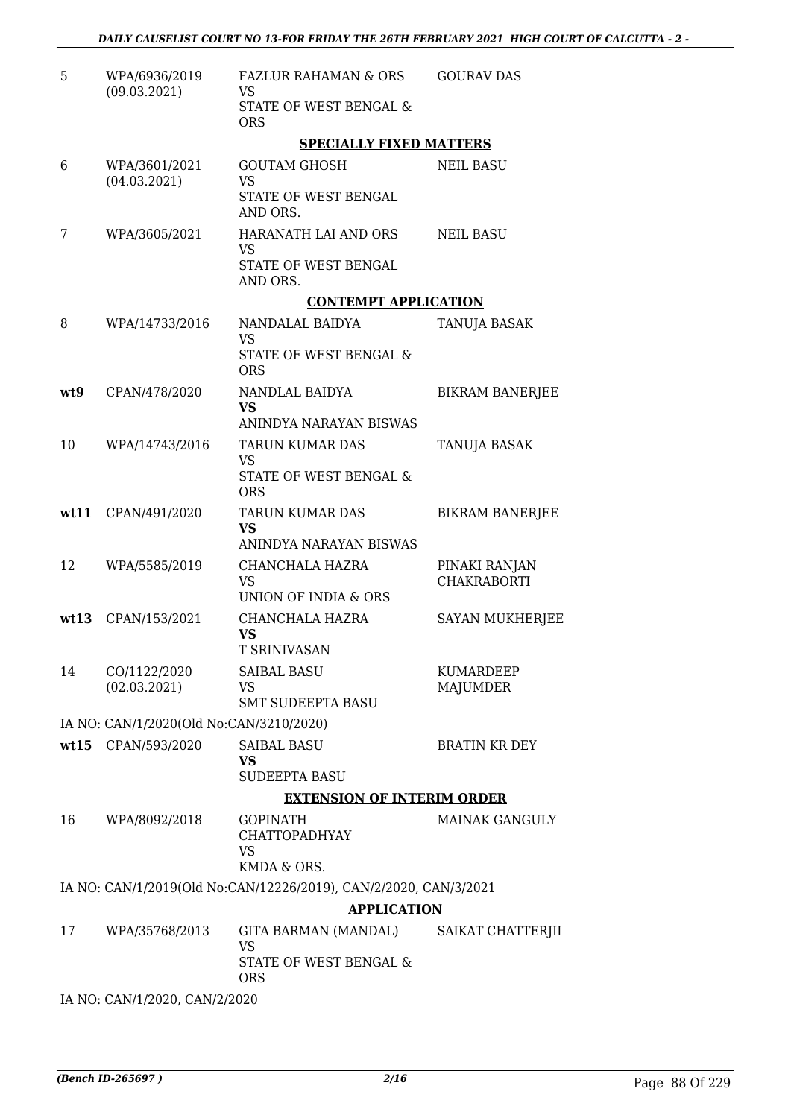| 5   | WPA/6936/2019<br>(09.03.2021)           | FAZLUR RAHAMAN & ORS<br>VS                                                             | <b>GOURAV DAS</b>                   |
|-----|-----------------------------------------|----------------------------------------------------------------------------------------|-------------------------------------|
|     |                                         | STATE OF WEST BENGAL &<br><b>ORS</b>                                                   |                                     |
|     |                                         | <b>SPECIALLY FIXED MATTERS</b>                                                         |                                     |
| 6   | WPA/3601/2021<br>(04.03.2021)           | <b>GOUTAM GHOSH</b><br><b>VS</b>                                                       | <b>NEIL BASU</b>                    |
|     |                                         | STATE OF WEST BENGAL<br>AND ORS.                                                       |                                     |
| 7   | WPA/3605/2021                           | HARANATH LAI AND ORS<br><b>VS</b>                                                      | <b>NEIL BASU</b>                    |
|     |                                         | STATE OF WEST BENGAL<br>AND ORS.                                                       |                                     |
|     |                                         | <b>CONTEMPT APPLICATION</b>                                                            |                                     |
| 8   | WPA/14733/2016                          | NANDALAL BAIDYA<br><b>VS</b>                                                           | TANUJA BASAK                        |
|     |                                         | STATE OF WEST BENGAL &<br><b>ORS</b>                                                   |                                     |
| wt9 | CPAN/478/2020                           | NANDLAL BAIDYA<br><b>VS</b>                                                            | <b>BIKRAM BANERJEE</b>              |
|     |                                         | ANINDYA NARAYAN BISWAS                                                                 |                                     |
| 10  | WPA/14743/2016                          | <b>TARUN KUMAR DAS</b><br>VS                                                           | TANUJA BASAK                        |
|     |                                         | STATE OF WEST BENGAL &<br><b>ORS</b>                                                   |                                     |
|     | wt11 CPAN/491/2020                      | <b>TARUN KUMAR DAS</b><br><b>VS</b><br>ANINDYA NARAYAN BISWAS                          | <b>BIKRAM BANERJEE</b>              |
| 12  | WPA/5585/2019                           | CHANCHALA HAZRA                                                                        |                                     |
|     |                                         | <b>VS</b><br>UNION OF INDIA & ORS                                                      | PINAKI RANJAN<br><b>CHAKRABORTI</b> |
|     | wt13 CPAN/153/2021                      | CHANCHALA HAZRA<br>VS                                                                  | <b>SAYAN MUKHERJEE</b>              |
|     |                                         | <b>T SRINIVASAN</b>                                                                    |                                     |
| 14  | CO/1122/2020                            | <b>SAIBAL BASU</b>                                                                     | <b>KUMARDEEP</b>                    |
|     | (02.03.2021)                            | <b>VS</b><br><b>SMT SUDEEPTA BASU</b>                                                  | <b>MAJUMDER</b>                     |
|     | IA NO: CAN/1/2020(Old No:CAN/3210/2020) |                                                                                        |                                     |
|     | wt15 CPAN/593/2020                      | <b>SAIBAL BASU</b><br><b>VS</b>                                                        | <b>BRATIN KR DEY</b>                |
|     |                                         | <b>SUDEEPTA BASU</b>                                                                   |                                     |
|     |                                         | <b>EXTENSION OF INTERIM ORDER</b>                                                      |                                     |
| 16  | WPA/8092/2018                           | <b>GOPINATH</b><br><b>CHATTOPADHYAY</b><br>VS                                          | <b>MAINAK GANGULY</b>               |
|     |                                         | KMDA & ORS.                                                                            |                                     |
|     |                                         | IA NO: CAN/1/2019(Old No:CAN/12226/2019), CAN/2/2020, CAN/3/2021<br><b>APPLICATION</b> |                                     |
| 17  | WPA/35768/2013                          | GITA BARMAN (MANDAL)                                                                   | SAIKAT CHATTERJII                   |
|     |                                         | VS<br>STATE OF WEST BENGAL &<br><b>ORS</b>                                             |                                     |
|     |                                         |                                                                                        |                                     |

IA NO: CAN/1/2020, CAN/2/2020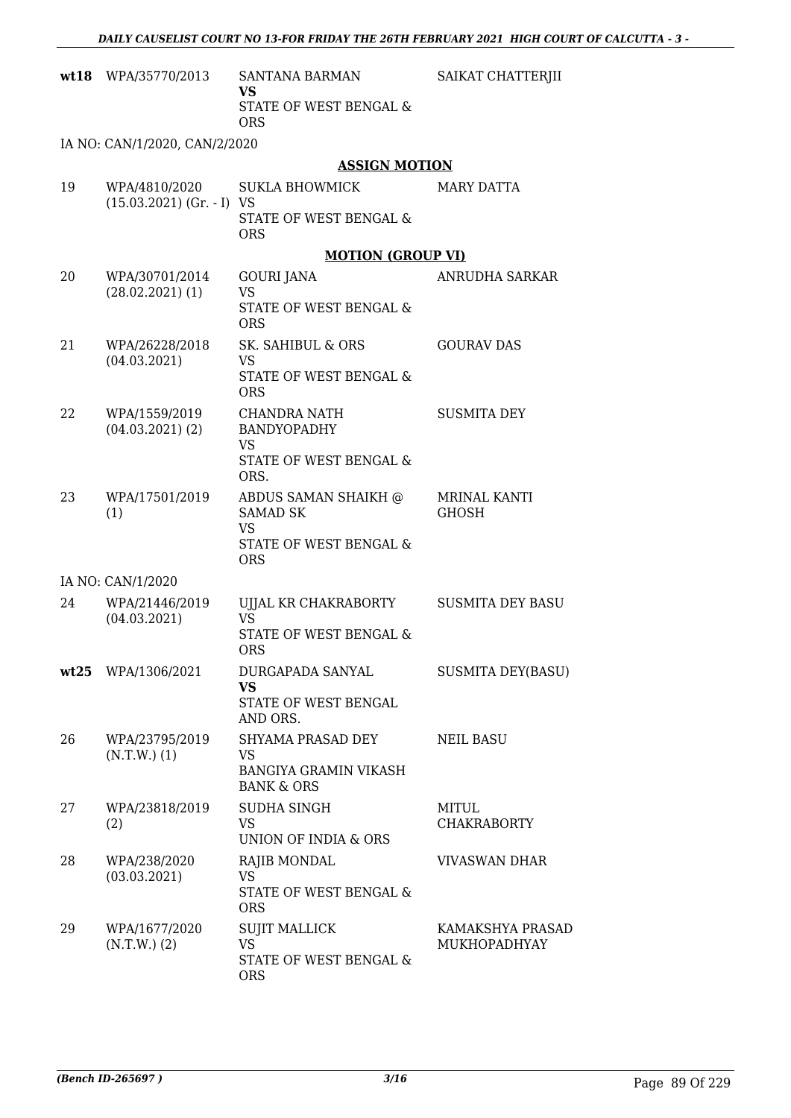|    | wt18 WPA/35770/2013                  | SANTANA BARMAN<br>VS<br>STATE OF WEST BENGAL &                                               | SAIKAT CHATTERJII                |
|----|--------------------------------------|----------------------------------------------------------------------------------------------|----------------------------------|
|    |                                      | <b>ORS</b>                                                                                   |                                  |
|    | IA NO: CAN/1/2020, CAN/2/2020        |                                                                                              |                                  |
|    |                                      | <b>ASSIGN MOTION</b>                                                                         |                                  |
| 19 | $(15.03.2021)$ (Gr. - I) VS          | WPA/4810/2020 SUKLA BHOWMICK<br>STATE OF WEST BENGAL &                                       | MARY DATTA                       |
|    |                                      | <b>ORS</b>                                                                                   |                                  |
|    |                                      | <b>MOTION (GROUP VI)</b>                                                                     |                                  |
| 20 | WPA/30701/2014<br>$(28.02.2021)$ (1) | <b>GOURI JANA</b><br><b>VS</b><br>STATE OF WEST BENGAL &                                     | ANRUDHA SARKAR                   |
| 21 | WPA/26228/2018<br>(04.03.2021)       | <b>ORS</b><br>SK. SAHIBUL & ORS<br>VS<br>STATE OF WEST BENGAL &<br><b>ORS</b>                | <b>GOURAV DAS</b>                |
| 22 | WPA/1559/2019<br>$(04.03.2021)$ (2)  | CHANDRA NATH<br><b>BANDYOPADHY</b><br>VS<br>STATE OF WEST BENGAL &                           | <b>SUSMITA DEY</b>               |
|    |                                      | ORS.                                                                                         |                                  |
| 23 | WPA/17501/2019<br>(1)                | ABDUS SAMAN SHAIKH @<br><b>SAMAD SK</b><br><b>VS</b><br>STATE OF WEST BENGAL &<br><b>ORS</b> | MRINAL KANTI<br><b>GHOSH</b>     |
|    | IA NO: CAN/1/2020                    |                                                                                              |                                  |
| 24 | WPA/21446/2019<br>(04.03.2021)       | UJJAL KR CHAKRABORTY<br><b>VS</b><br>STATE OF WEST BENGAL &<br><b>ORS</b>                    | <b>SUSMITA DEY BASU</b>          |
|    | wt25 WPA/1306/2021                   | DURGAPADA SANYAL<br><b>VS</b><br>STATE OF WEST BENGAL<br>AND ORS.                            | <b>SUSMITA DEY(BASU)</b>         |
| 26 | WPA/23795/2019<br>$(N.T.W.)$ (1)     | SHYAMA PRASAD DEY<br>VS<br>BANGIYA GRAMIN VIKASH<br><b>BANK &amp; ORS</b>                    | <b>NEIL BASU</b>                 |
| 27 | WPA/23818/2019<br>(2)                | SUDHA SINGH<br><b>VS</b><br>UNION OF INDIA & ORS                                             | MITUL<br><b>CHAKRABORTY</b>      |
| 28 | WPA/238/2020<br>(03.03.2021)         | RAJIB MONDAL<br><b>VS</b><br>STATE OF WEST BENGAL &<br><b>ORS</b>                            | <b>VIVASWAN DHAR</b>             |
| 29 | WPA/1677/2020<br>$(N.T.W.)$ (2)      | <b>SUJIT MALLICK</b><br><b>VS</b><br>STATE OF WEST BENGAL &<br><b>ORS</b>                    | KAMAKSHYA PRASAD<br>MUKHOPADHYAY |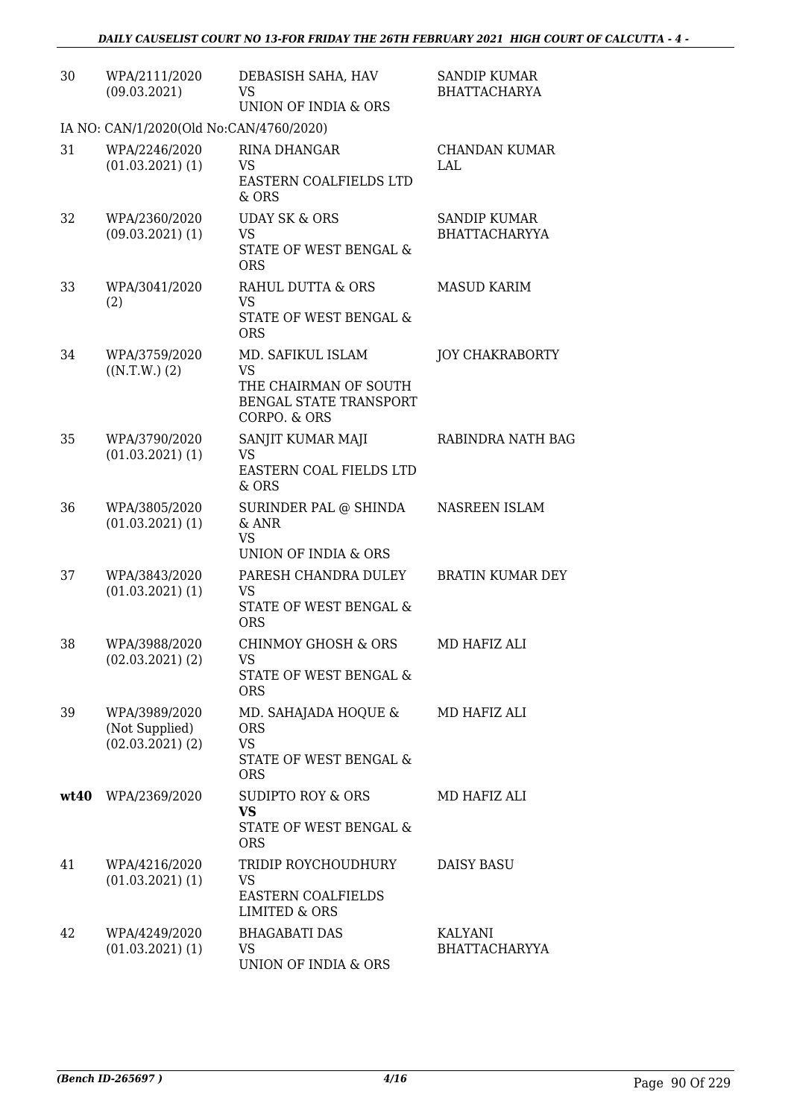| 30   | WPA/2111/2020<br>(09.03.2021)                           | DEBASISH SAHA, HAV<br>VS<br>UNION OF INDIA & ORS                                                         | <b>SANDIP KUMAR</b><br><b>BHATTACHARYA</b>  |
|------|---------------------------------------------------------|----------------------------------------------------------------------------------------------------------|---------------------------------------------|
|      | IA NO: CAN/1/2020(Old No:CAN/4760/2020)                 |                                                                                                          |                                             |
| 31   | WPA/2246/2020<br>$(01.03.2021)$ $(1)$                   | RINA DHANGAR<br><b>VS</b><br>EASTERN COALFIELDS LTD<br>& ORS                                             | <b>CHANDAN KUMAR</b><br>LAL                 |
| 32   | WPA/2360/2020<br>$(09.03.2021)$ $(1)$                   | <b>UDAY SK &amp; ORS</b><br>VS<br>STATE OF WEST BENGAL &<br><b>ORS</b>                                   | <b>SANDIP KUMAR</b><br><b>BHATTACHARYYA</b> |
| 33   | WPA/3041/2020<br>(2)                                    | RAHUL DUTTA & ORS<br><b>VS</b><br>STATE OF WEST BENGAL &<br><b>ORS</b>                                   | <b>MASUD KARIM</b>                          |
| 34   | WPA/3759/2020<br>((N.T.W.) (2)                          | MD. SAFIKUL ISLAM<br><b>VS</b><br>THE CHAIRMAN OF SOUTH<br><b>BENGAL STATE TRANSPORT</b><br>CORPO. & ORS | <b>JOY CHAKRABORTY</b>                      |
| 35   | WPA/3790/2020<br>$(01.03.2021)$ $(1)$                   | SANJIT KUMAR MAJI<br><b>VS</b><br>EASTERN COAL FIELDS LTD<br>& ORS                                       | RABINDRA NATH BAG                           |
| 36   | WPA/3805/2020<br>$(01.03.2021)$ $(1)$                   | SURINDER PAL @ SHINDA<br>& ANR<br>VS<br>UNION OF INDIA & ORS                                             | NASREEN ISLAM                               |
| 37   | WPA/3843/2020<br>$(01.03.2021)$ $(1)$                   | PARESH CHANDRA DULEY<br><b>VS</b><br>STATE OF WEST BENGAL &<br><b>ORS</b>                                | <b>BRATIN KUMAR DEY</b>                     |
| 38   | WPA/3988/2020<br>$(02.03.2021)$ $(2)$                   | <b>CHINMOY GHOSH &amp; ORS</b><br><b>VS</b><br>STATE OF WEST BENGAL &<br><b>ORS</b>                      | MD HAFIZ ALI                                |
| 39   | WPA/3989/2020<br>(Not Supplied)<br>$(02.03.2021)$ $(2)$ | MD. SAHAJADA HOQUE &<br><b>ORS</b><br><b>VS</b><br>STATE OF WEST BENGAL &<br><b>ORS</b>                  | MD HAFIZ ALI                                |
| wt40 | WPA/2369/2020                                           | SUDIPTO ROY & ORS<br><b>VS</b><br>STATE OF WEST BENGAL &<br><b>ORS</b>                                   | MD HAFIZ ALI                                |
| 41   | WPA/4216/2020<br>$(01.03.2021)$ $(1)$                   | TRIDIP ROYCHOUDHURY<br>VS<br><b>EASTERN COALFIELDS</b><br><b>LIMITED &amp; ORS</b>                       | <b>DAISY BASU</b>                           |
| 42   | WPA/4249/2020<br>$(01.03.2021)$ (1)                     | <b>BHAGABATI DAS</b><br>VS<br>UNION OF INDIA & ORS                                                       | <b>KALYANI</b><br><b>BHATTACHARYYA</b>      |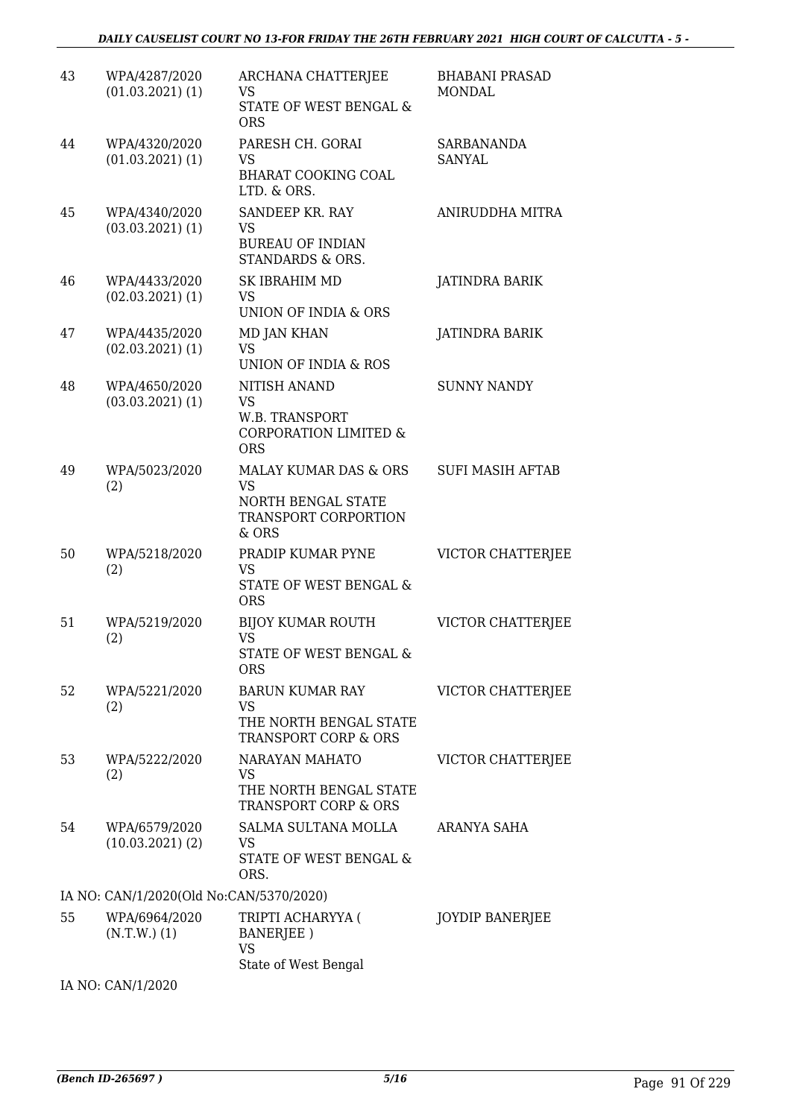| 43 | WPA/4287/2020<br>$(01.03.2021)$ $(1)$   | ARCHANA CHATTERJEE<br>VS<br>STATE OF WEST BENGAL &<br><b>ORS</b>                                     | <b>BHABANI PRASAD</b><br><b>MONDAL</b> |
|----|-----------------------------------------|------------------------------------------------------------------------------------------------------|----------------------------------------|
| 44 | WPA/4320/2020<br>$(01.03.2021)$ $(1)$   | PARESH CH. GORAI<br>VS<br><b>BHARAT COOKING COAL</b><br>LTD. & ORS.                                  | <b>SARBANANDA</b><br><b>SANYAL</b>     |
| 45 | WPA/4340/2020<br>$(03.03.2021)$ $(1)$   | SANDEEP KR. RAY<br><b>VS</b><br><b>BUREAU OF INDIAN</b><br>STANDARDS & ORS.                          | ANIRUDDHA MITRA                        |
| 46 | WPA/4433/2020<br>$(02.03.2021)$ $(1)$   | SK IBRAHIM MD<br>VS.<br>UNION OF INDIA & ORS                                                         | JATINDRA BARIK                         |
| 47 | WPA/4435/2020<br>$(02.03.2021)$ $(1)$   | <b>MD JAN KHAN</b><br>VS<br>UNION OF INDIA & ROS                                                     | JATINDRA BARIK                         |
| 48 | WPA/4650/2020<br>$(03.03.2021)$ $(1)$   | <b>NITISH ANAND</b><br><b>VS</b><br>W.B. TRANSPORT<br><b>CORPORATION LIMITED &amp;</b><br><b>ORS</b> | <b>SUNNY NANDY</b>                     |
| 49 | WPA/5023/2020<br>(2)                    | MALAY KUMAR DAS & ORS<br><b>VS</b><br>NORTH BENGAL STATE<br>TRANSPORT CORPORTION<br>& ORS            | <b>SUFI MASIH AFTAB</b>                |
| 50 | WPA/5218/2020<br>(2)                    | PRADIP KUMAR PYNE<br>VS<br><b>STATE OF WEST BENGAL &amp;</b><br><b>ORS</b>                           | VICTOR CHATTERJEE                      |
| 51 | WPA/5219/2020<br>(2)                    | <b>BIJOY KUMAR ROUTH</b><br><b>VS</b><br>STATE OF WEST BENGAL &<br><b>ORS</b>                        | VICTOR CHATTERJEE                      |
| 52 | WPA/5221/2020<br>(2)                    | BARUN KUMAR RAY<br>VS<br>THE NORTH BENGAL STATE<br>TRANSPORT CORP & ORS                              | VICTOR CHATTERJEE                      |
| 53 | WPA/5222/2020<br>(2)                    | NARAYAN MAHATO<br>VS<br>THE NORTH BENGAL STATE<br><b>TRANSPORT CORP &amp; ORS</b>                    | VICTOR CHATTERJEE                      |
| 54 | WPA/6579/2020<br>(10.03.2021)(2)        | SALMA SULTANA MOLLA<br>VS<br>STATE OF WEST BENGAL &<br>ORS.                                          | ARANYA SAHA                            |
|    | IA NO: CAN/1/2020(Old No:CAN/5370/2020) |                                                                                                      |                                        |
| 55 | WPA/6964/2020<br>$(N.T.W.)$ $(1)$       | TRIPTI ACHARYYA (<br>BANERJEE)<br>VS<br>State of West Bengal                                         | <b>JOYDIP BANERJEE</b>                 |

IA NO: CAN/1/2020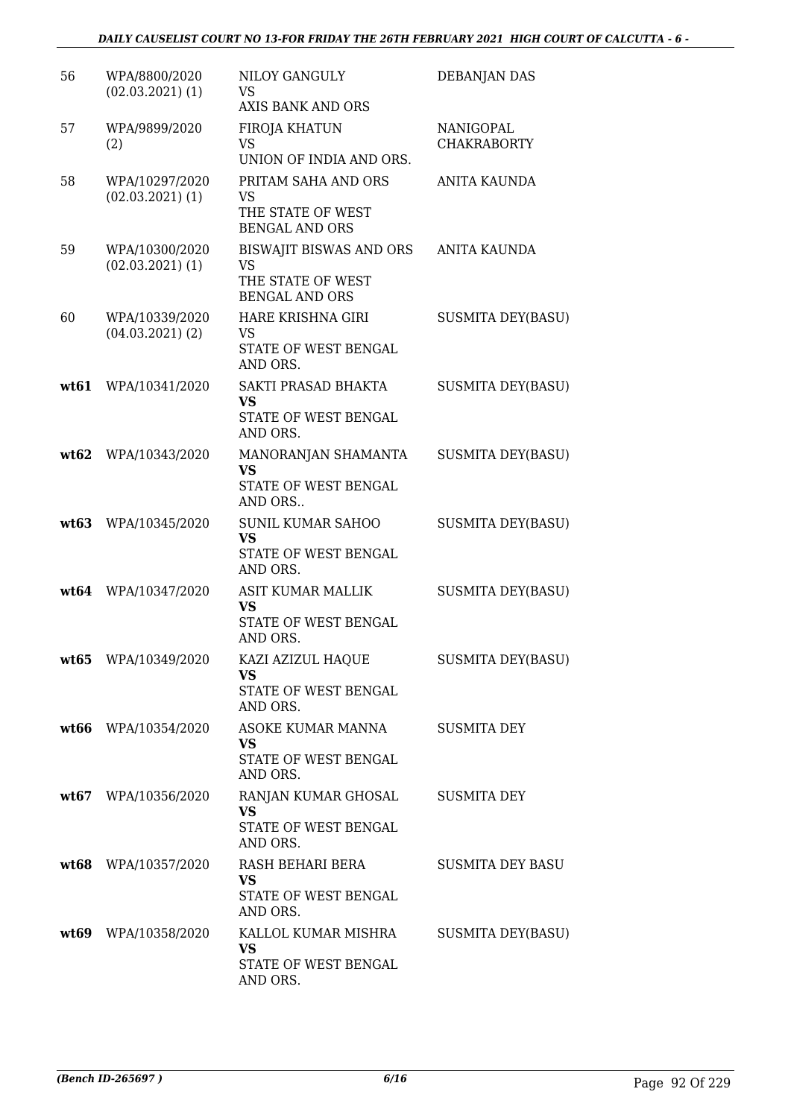| 56   | WPA/8800/2020<br>$(02.03.2021)$ $(1)$  | NILOY GANGULY<br><b>VS</b><br>AXIS BANK AND ORS                                    | DEBANJAN DAS                    |
|------|----------------------------------------|------------------------------------------------------------------------------------|---------------------------------|
| 57   | WPA/9899/2020<br>(2)                   | FIROJA KHATUN<br>VS<br>UNION OF INDIA AND ORS.                                     | NANIGOPAL<br><b>CHAKRABORTY</b> |
| 58   | WPA/10297/2020<br>$(02.03.2021)$ $(1)$ | PRITAM SAHA AND ORS<br><b>VS</b><br>THE STATE OF WEST<br><b>BENGAL AND ORS</b>     | <b>ANITA KAUNDA</b>             |
| 59   | WPA/10300/2020<br>$(02.03.2021)$ $(1)$ | <b>BISWAJIT BISWAS AND ORS</b><br>VS<br>THE STATE OF WEST<br><b>BENGAL AND ORS</b> | <b>ANITA KAUNDA</b>             |
| 60   | WPA/10339/2020<br>$(04.03.2021)$ (2)   | HARE KRISHNA GIRI<br>VS<br>STATE OF WEST BENGAL<br>AND ORS.                        | <b>SUSMITA DEY(BASU)</b>        |
| wt61 | WPA/10341/2020                         | SAKTI PRASAD BHAKTA<br><b>VS</b><br>STATE OF WEST BENGAL<br>AND ORS.               | <b>SUSMITA DEY(BASU)</b>        |
| wt62 | WPA/10343/2020                         | MANORANJAN SHAMANTA<br><b>VS</b><br>STATE OF WEST BENGAL<br>AND ORS                | <b>SUSMITA DEY(BASU)</b>        |
| wt63 | WPA/10345/2020                         | <b>SUNIL KUMAR SAHOO</b><br><b>VS</b><br>STATE OF WEST BENGAL<br>AND ORS.          | <b>SUSMITA DEY(BASU)</b>        |
| wt64 | WPA/10347/2020                         | <b>ASIT KUMAR MALLIK</b><br><b>VS</b><br>STATE OF WEST BENGAL<br>AND ORS.          | <b>SUSMITA DEY(BASU)</b>        |
|      | wt65 WPA/10349/2020                    | KAZI AZIZUL HAQUE<br><b>VS</b><br>STATE OF WEST BENGAL<br>AND ORS.                 | <b>SUSMITA DEY(BASU)</b>        |
|      | wt66 WPA/10354/2020                    | ASOKE KUMAR MANNA<br><b>VS</b><br>STATE OF WEST BENGAL<br>AND ORS.                 | <b>SUSMITA DEY</b>              |
|      | wt67 WPA/10356/2020                    | RANJAN KUMAR GHOSAL<br><b>VS</b><br>STATE OF WEST BENGAL<br>AND ORS.               | SUSMITA DEY                     |
|      | wt68 WPA/10357/2020                    | RASH BEHARI BERA<br><b>VS</b><br>STATE OF WEST BENGAL<br>AND ORS.                  | <b>SUSMITA DEY BASU</b>         |
|      | wt69 WPA/10358/2020                    | KALLOL KUMAR MISHRA<br>VS<br>STATE OF WEST BENGAL<br>AND ORS.                      | <b>SUSMITA DEY(BASU)</b>        |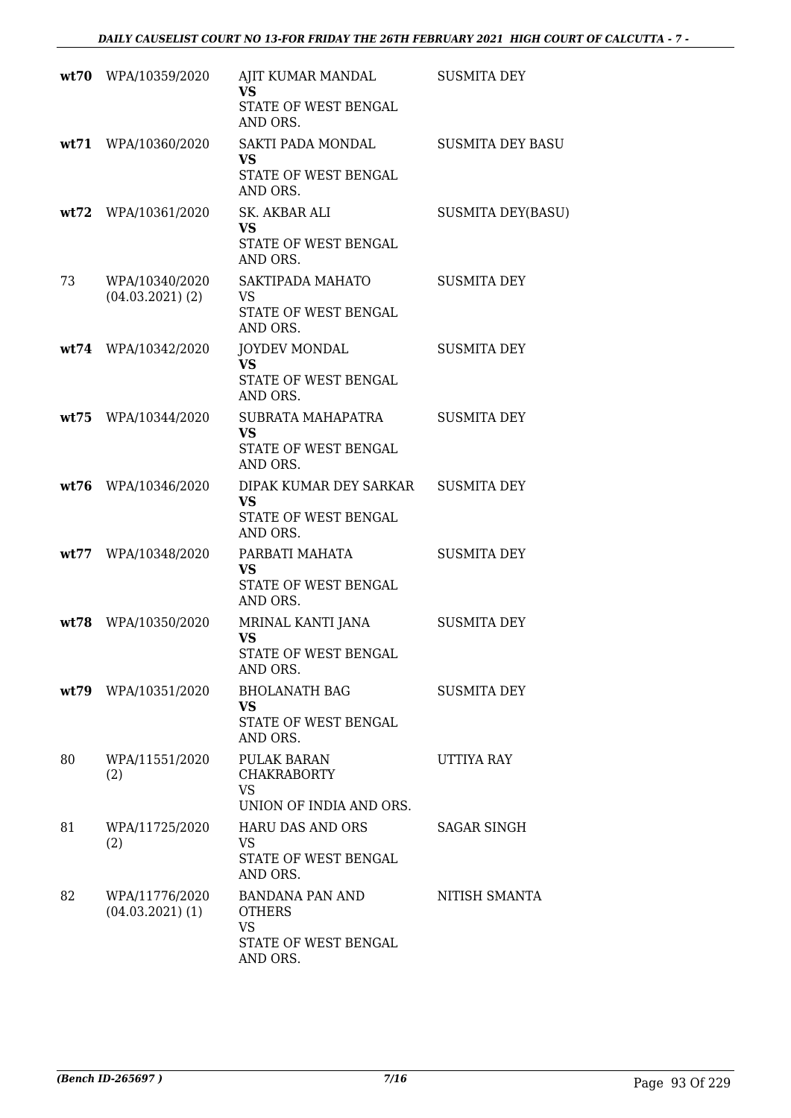|      | wt70 WPA/10359/2020                  | AJIT KUMAR MANDAL<br><b>VS</b>                                                    | <b>SUSMITA DEY</b>       |
|------|--------------------------------------|-----------------------------------------------------------------------------------|--------------------------|
|      |                                      | STATE OF WEST BENGAL<br>AND ORS.                                                  |                          |
|      | wt71 WPA/10360/2020                  | SAKTI PADA MONDAL<br><b>VS</b><br>STATE OF WEST BENGAL<br>AND ORS.                | <b>SUSMITA DEY BASU</b>  |
|      | wt72 WPA/10361/2020                  | SK. AKBAR ALI<br><b>VS</b><br>STATE OF WEST BENGAL<br>AND ORS.                    | <b>SUSMITA DEY(BASU)</b> |
| 73   | WPA/10340/2020<br>$(04.03.2021)$ (2) | SAKTIPADA MAHATO<br><b>VS</b><br>STATE OF WEST BENGAL<br>AND ORS.                 | <b>SUSMITA DEY</b>       |
|      | wt74 WPA/10342/2020                  | <b>JOYDEV MONDAL</b><br><b>VS</b><br>STATE OF WEST BENGAL<br>AND ORS.             | <b>SUSMITA DEY</b>       |
|      | wt75 WPA/10344/2020                  | SUBRATA MAHAPATRA<br><b>VS</b><br><b>STATE OF WEST BENGAL</b><br>AND ORS.         | <b>SUSMITA DEY</b>       |
| wt76 | WPA/10346/2020                       | DIPAK KUMAR DEY SARKAR<br><b>VS</b><br>STATE OF WEST BENGAL<br>AND ORS.           | <b>SUSMITA DEY</b>       |
|      | wt77 WPA/10348/2020                  | PARBATI MAHATA<br><b>VS</b><br>STATE OF WEST BENGAL<br>AND ORS.                   | <b>SUSMITA DEY</b>       |
| wt78 | WPA/10350/2020                       | MRINAL KANTI JANA<br><b>VS</b><br>STATE OF WEST BENGAL<br>AND ORS.                | <b>SUSMITA DEY</b>       |
|      | wt79 WPA/10351/2020                  | BHOLANATH BAG<br>VS.<br>STATE OF WEST BENGAL<br>AND ORS.                          | <b>SUSMITA DEY</b>       |
| 80   | WPA/11551/2020<br>(2)                | PULAK BARAN<br><b>CHAKRABORTY</b><br><b>VS</b><br>UNION OF INDIA AND ORS.         | UTTIYA RAY               |
| 81   | WPA/11725/2020<br>(2)                | <b>HARU DAS AND ORS</b><br>VS<br>STATE OF WEST BENGAL<br>AND ORS.                 | <b>SAGAR SINGH</b>       |
| 82   | WPA/11776/2020<br>$(04.03.2021)$ (1) | BANDANA PAN AND<br><b>OTHERS</b><br><b>VS</b><br>STATE OF WEST BENGAL<br>AND ORS. | NITISH SMANTA            |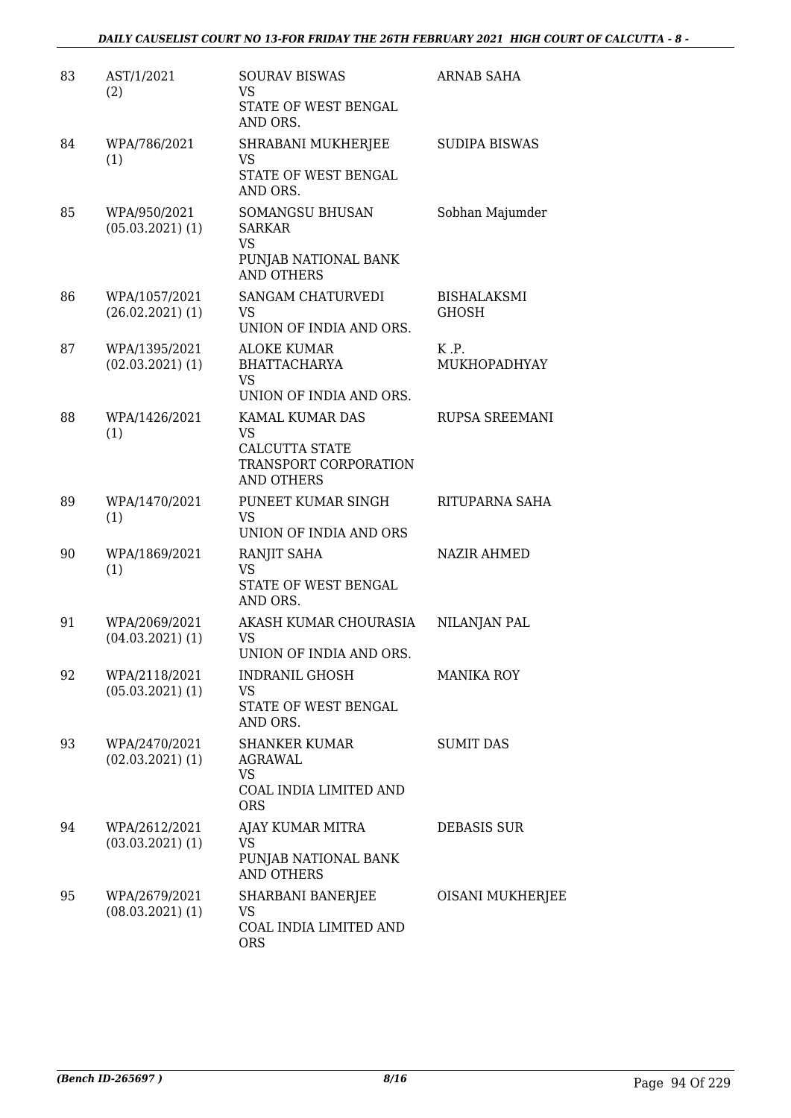| 83 | AST/1/2021<br>(2)                     | <b>SOURAV BISWAS</b><br><b>VS</b>                                                      | <b>ARNAB SAHA</b>                  |
|----|---------------------------------------|----------------------------------------------------------------------------------------|------------------------------------|
|    |                                       | STATE OF WEST BENGAL<br>AND ORS.                                                       |                                    |
| 84 | WPA/786/2021<br>(1)                   | SHRABANI MUKHERJEE<br><b>VS</b><br>STATE OF WEST BENGAL                                | <b>SUDIPA BISWAS</b>               |
| 85 | WPA/950/2021<br>$(05.03.2021)$ (1)    | AND ORS.<br>SOMANGSU BHUSAN<br><b>SARKAR</b><br><b>VS</b>                              | Sobhan Majumder                    |
|    |                                       | PUNJAB NATIONAL BANK<br><b>AND OTHERS</b>                                              |                                    |
| 86 | WPA/1057/2021<br>$(26.02.2021)$ (1)   | SANGAM CHATURVEDI<br>VS<br>UNION OF INDIA AND ORS.                                     | <b>BISHALAKSMI</b><br><b>GHOSH</b> |
| 87 | WPA/1395/2021<br>$(02.03.2021)$ $(1)$ | <b>ALOKE KUMAR</b><br><b>BHATTACHARYA</b><br><b>VS</b><br>UNION OF INDIA AND ORS.      | K.P.<br>MUKHOPADHYAY               |
| 88 | WPA/1426/2021<br>(1)                  | KAMAL KUMAR DAS<br>VS.<br>CALCUTTA STATE<br>TRANSPORT CORPORATION<br><b>AND OTHERS</b> | RUPSA SREEMANI                     |
| 89 | WPA/1470/2021<br>(1)                  | PUNEET KUMAR SINGH<br><b>VS</b><br>UNION OF INDIA AND ORS                              | RITUPARNA SAHA                     |
| 90 | WPA/1869/2021<br>(1)                  | RANJIT SAHA<br><b>VS</b><br>STATE OF WEST BENGAL<br>AND ORS.                           | <b>NAZIR AHMED</b>                 |
| 91 | WPA/2069/2021<br>$(04.03.2021)$ (1)   | AKASH KUMAR CHOURASIA<br>VS<br>UNION OF INDIA AND ORS.                                 | NILANJAN PAL                       |
| 92 | WPA/2118/2021<br>$(05.03.2021)$ $(1)$ | <b>INDRANIL GHOSH</b><br>VS<br>STATE OF WEST BENGAL<br>AND ORS.                        | <b>MANIKA ROY</b>                  |
| 93 | WPA/2470/2021<br>$(02.03.2021)$ $(1)$ | <b>SHANKER KUMAR</b><br>AGRAWAL<br><b>VS</b><br>COAL INDIA LIMITED AND<br><b>ORS</b>   | <b>SUMIT DAS</b>                   |
| 94 | WPA/2612/2021<br>$(03.03.2021)$ $(1)$ | AJAY KUMAR MITRA<br>VS<br>PUNJAB NATIONAL BANK<br><b>AND OTHERS</b>                    | <b>DEBASIS SUR</b>                 |
| 95 | WPA/2679/2021<br>$(08.03.2021)$ $(1)$ | SHARBANI BANERJEE<br>VS<br>COAL INDIA LIMITED AND<br><b>ORS</b>                        | OISANI MUKHERJEE                   |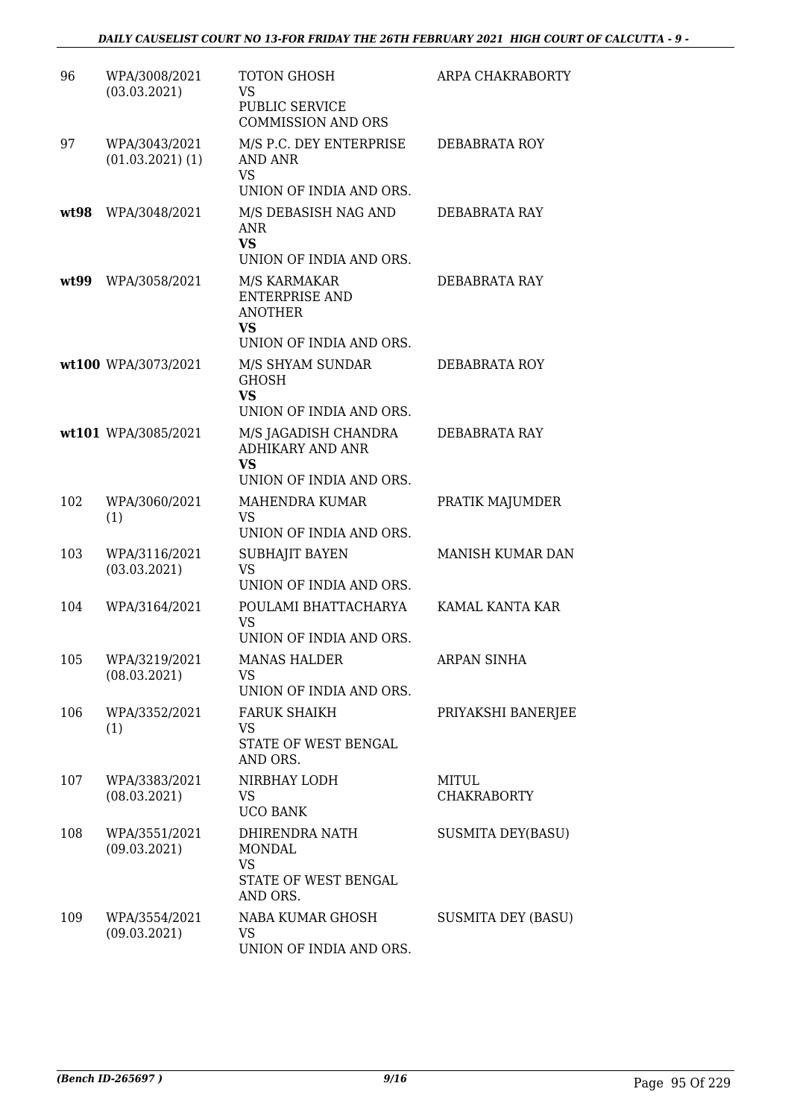| 96   | WPA/3008/2021                       | TOTON GHOSH                                                                                                                | ARPA CHAKRABORTY            |
|------|-------------------------------------|----------------------------------------------------------------------------------------------------------------------------|-----------------------------|
|      | (03.03.2021)                        | VS<br><b>PUBLIC SERVICE</b><br><b>COMMISSION AND ORS</b>                                                                   |                             |
| 97   | WPA/3043/2021<br>$(01.03.2021)$ (1) | M/S P.C. DEY ENTERPRISE<br>AND ANR<br><b>VS</b><br>UNION OF INDIA AND ORS.                                                 | DEBABRATA ROY               |
| wt98 | WPA/3048/2021                       | M/S DEBASISH NAG AND<br><b>ANR</b><br><b>VS</b>                                                                            | DEBABRATA RAY               |
| wt99 | WPA/3058/2021                       | UNION OF INDIA AND ORS.<br>M/S KARMAKAR<br><b>ENTERPRISE AND</b><br><b>ANOTHER</b><br><b>VS</b><br>UNION OF INDIA AND ORS. | DEBABRATA RAY               |
|      | wt100 WPA/3073/2021                 | M/S SHYAM SUNDAR<br><b>GHOSH</b><br><b>VS</b><br>UNION OF INDIA AND ORS.                                                   | DEBABRATA ROY               |
|      | wt101 WPA/3085/2021                 | M/S JAGADISH CHANDRA<br><b>ADHIKARY AND ANR</b><br><b>VS</b><br>UNION OF INDIA AND ORS.                                    | DEBABRATA RAY               |
| 102  | WPA/3060/2021<br>(1)                | MAHENDRA KUMAR<br><b>VS</b><br>UNION OF INDIA AND ORS.                                                                     | PRATIK MAJUMDER             |
| 103  | WPA/3116/2021<br>(03.03.2021)       | SUBHAJIT BAYEN<br><b>VS</b><br>UNION OF INDIA AND ORS.                                                                     | MANISH KUMAR DAN            |
| 104  | WPA/3164/2021                       | POULAMI BHATTACHARYA<br><b>VS</b><br>UNION OF INDIA AND ORS.                                                               | KAMAL KANTA KAR             |
|      | 105 WPA/3219/2021<br>(08.03.2021)   | <b>MANAS HALDER</b><br>VS<br>UNION OF INDIA AND ORS.                                                                       | <b>ARPAN SINHA</b>          |
| 106  | WPA/3352/2021<br>(1)                | <b>FARUK SHAIKH</b><br>VS.<br>STATE OF WEST BENGAL<br>AND ORS.                                                             | PRIYAKSHI BANERJEE          |
| 107  | WPA/3383/2021<br>(08.03.2021)       | NIRBHAY LODH<br>VS<br><b>UCO BANK</b>                                                                                      | MITUL<br><b>CHAKRABORTY</b> |
| 108  | WPA/3551/2021<br>(09.03.2021)       | DHIRENDRA NATH<br><b>MONDAL</b><br><b>VS</b><br>STATE OF WEST BENGAL<br>AND ORS.                                           | <b>SUSMITA DEY(BASU)</b>    |
| 109  | WPA/3554/2021<br>(09.03.2021)       | NABA KUMAR GHOSH<br>VS.<br>UNION OF INDIA AND ORS.                                                                         | <b>SUSMITA DEY (BASU)</b>   |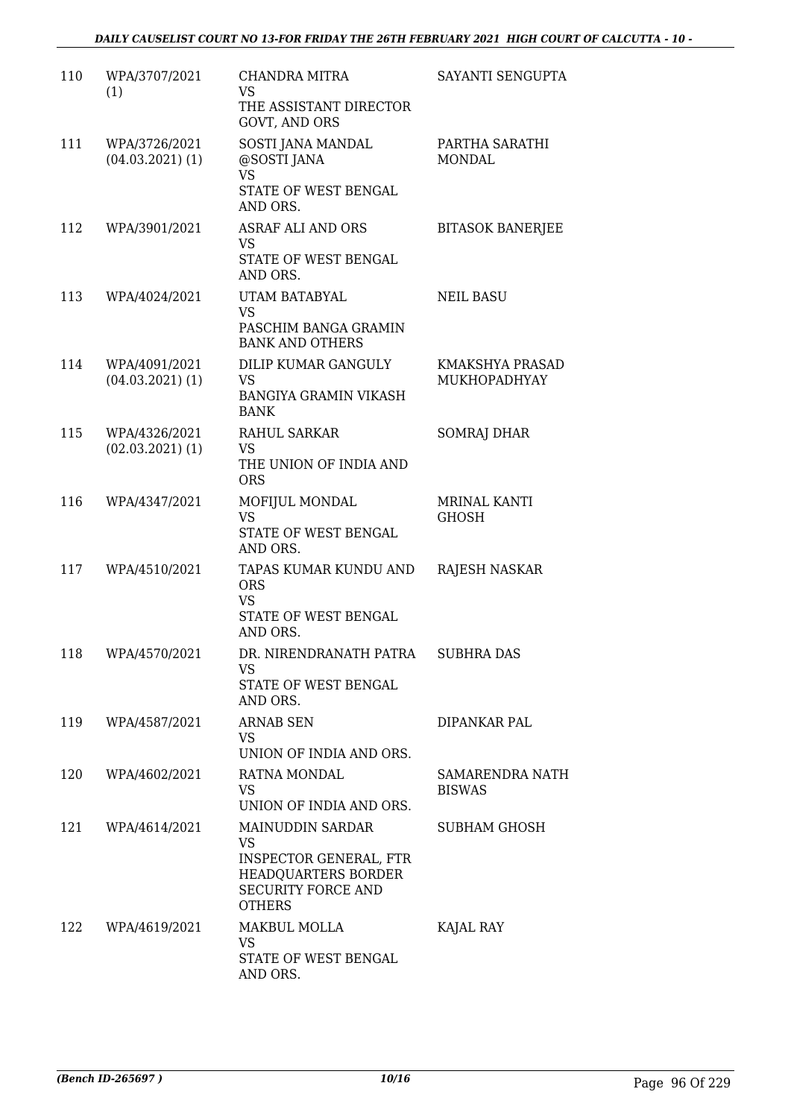| 110 | WPA/3707/2021<br>(1)                  | <b>CHANDRA MITRA</b><br><b>VS</b><br>THE ASSISTANT DIRECTOR<br>GOVT, AND ORS                                                                      | SAYANTI SENGUPTA                 |
|-----|---------------------------------------|---------------------------------------------------------------------------------------------------------------------------------------------------|----------------------------------|
| 111 | WPA/3726/2021<br>$(04.03.2021)$ (1)   | SOSTI JANA MANDAL<br>@SOSTI JANA<br><b>VS</b><br>STATE OF WEST BENGAL<br>AND ORS.                                                                 | PARTHA SARATHI<br><b>MONDAL</b>  |
| 112 | WPA/3901/2021                         | <b>ASRAF ALI AND ORS</b><br>VS.<br>STATE OF WEST BENGAL<br>AND ORS.                                                                               | <b>BITASOK BANERJEE</b>          |
| 113 | WPA/4024/2021                         | UTAM BATABYAL<br><b>VS</b><br>PASCHIM BANGA GRAMIN<br><b>BANK AND OTHERS</b>                                                                      | <b>NEIL BASU</b>                 |
| 114 | WPA/4091/2021<br>$(04.03.2021)$ (1)   | DILIP KUMAR GANGULY<br>VS<br><b>BANGIYA GRAMIN VIKASH</b><br><b>BANK</b>                                                                          | KMAKSHYA PRASAD<br>MUKHOPADHYAY  |
| 115 | WPA/4326/2021<br>$(02.03.2021)$ $(1)$ | RAHUL SARKAR<br><b>VS</b><br>THE UNION OF INDIA AND<br><b>ORS</b>                                                                                 | <b>SOMRAJ DHAR</b>               |
| 116 | WPA/4347/2021                         | MOFIJUL MONDAL<br>VS<br>STATE OF WEST BENGAL<br>AND ORS.                                                                                          | MRINAL KANTI<br><b>GHOSH</b>     |
| 117 | WPA/4510/2021                         | TAPAS KUMAR KUNDU AND<br><b>ORS</b><br><b>VS</b><br>STATE OF WEST BENGAL<br>AND ORS.                                                              | RAJESH NASKAR                    |
| 118 | WPA/4570/2021                         | DR. NIRENDRANATH PATRA<br>VS<br>STATE OF WEST BENGAL<br>AND ORS.                                                                                  | <b>SUBHRA DAS</b>                |
| 119 | WPA/4587/2021                         | <b>ARNAB SEN</b><br>VS.<br>UNION OF INDIA AND ORS.                                                                                                | DIPANKAR PAL                     |
| 120 | WPA/4602/2021                         | RATNA MONDAL<br>VS.<br>UNION OF INDIA AND ORS.                                                                                                    | SAMARENDRA NATH<br><b>BISWAS</b> |
| 121 | WPA/4614/2021                         | <b>MAINUDDIN SARDAR</b><br><b>VS</b><br><b>INSPECTOR GENERAL, FTR</b><br><b>HEADQUARTERS BORDER</b><br><b>SECURITY FORCE AND</b><br><b>OTHERS</b> | <b>SUBHAM GHOSH</b>              |
| 122 | WPA/4619/2021                         | MAKBUL MOLLA<br>VS.<br>STATE OF WEST BENGAL<br>AND ORS.                                                                                           | KAJAL RAY                        |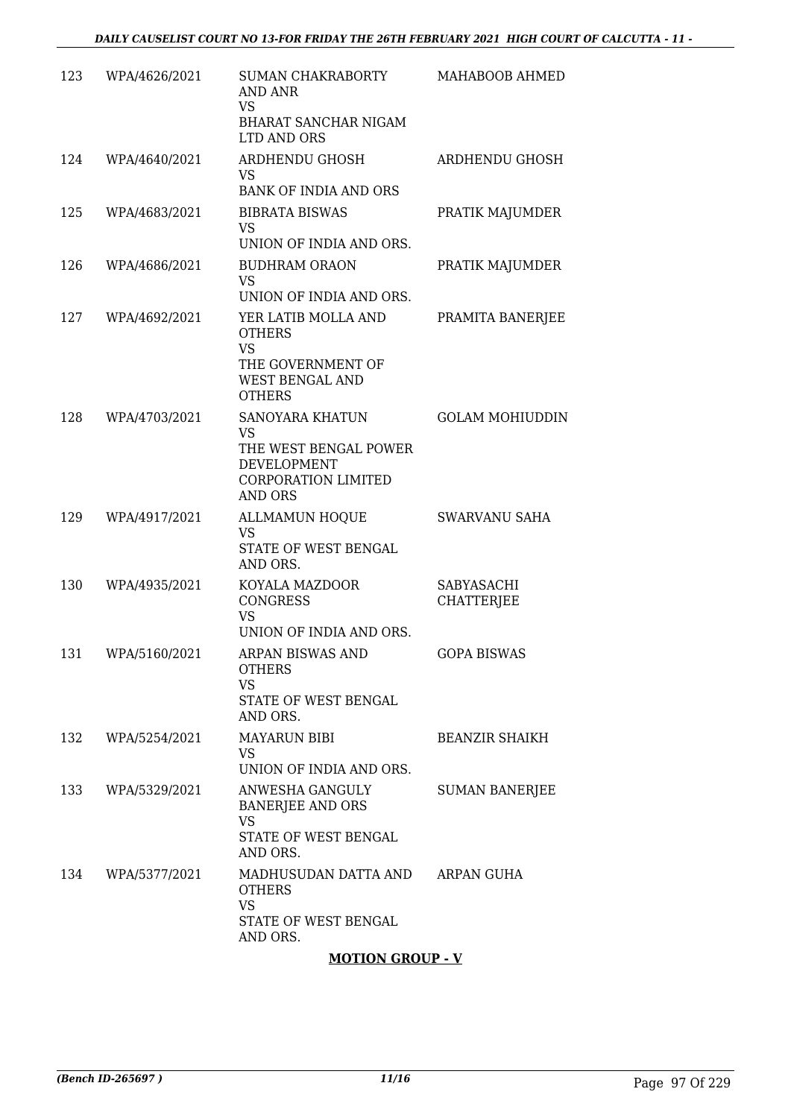| 123 | WPA/4626/2021 | SUMAN CHAKRABORTY<br>AND ANR<br>VS<br>BHARAT SANCHAR NIGAM<br>LTD AND ORS                                                   | MAHABOOB AHMED                  |
|-----|---------------|-----------------------------------------------------------------------------------------------------------------------------|---------------------------------|
| 124 | WPA/4640/2021 | ARDHENDU GHOSH<br><b>VS</b><br><b>BANK OF INDIA AND ORS</b>                                                                 | ARDHENDU GHOSH                  |
| 125 | WPA/4683/2021 | <b>BIBRATA BISWAS</b><br><b>VS</b><br>UNION OF INDIA AND ORS.                                                               | PRATIK MAJUMDER                 |
| 126 | WPA/4686/2021 | <b>BUDHRAM ORAON</b><br><b>VS</b><br>UNION OF INDIA AND ORS.                                                                | PRATIK MAJUMDER                 |
| 127 | WPA/4692/2021 | YER LATIB MOLLA AND<br><b>OTHERS</b><br><b>VS</b><br>THE GOVERNMENT OF<br>WEST BENGAL AND<br><b>OTHERS</b>                  | PRAMITA BANERJEE                |
| 128 | WPA/4703/2021 | <b>SANOYARA KHATUN</b><br><b>VS</b><br>THE WEST BENGAL POWER<br>DEVELOPMENT<br><b>CORPORATION LIMITED</b><br><b>AND ORS</b> | <b>GOLAM MOHIUDDIN</b>          |
| 129 | WPA/4917/2021 | <b>ALLMAMUN HOQUE</b><br><b>VS</b><br>STATE OF WEST BENGAL<br>AND ORS.                                                      | SWARVANU SAHA                   |
| 130 | WPA/4935/2021 | KOYALA MAZDOOR<br><b>CONGRESS</b><br><b>VS</b><br>UNION OF INDIA AND ORS.                                                   | SABYASACHI<br><b>CHATTERJEE</b> |
| 131 | WPA/5160/2021 | ARPAN BISWAS AND<br><b>OTHERS</b><br><b>VS</b><br>STATE OF WEST BENGAL<br>AND ORS.                                          | <b>GOPA BISWAS</b>              |
| 132 | WPA/5254/2021 | <b>MAYARUN BIBI</b><br>VS.<br>UNION OF INDIA AND ORS.                                                                       | <b>BEANZIR SHAIKH</b>           |
| 133 | WPA/5329/2021 | ANWESHA GANGULY<br><b>BANERJEE AND ORS</b><br><b>VS</b><br>STATE OF WEST BENGAL<br>AND ORS.                                 | <b>SUMAN BANERJEE</b>           |
| 134 | WPA/5377/2021 | MADHUSUDAN DATTA AND<br><b>OTHERS</b><br><b>VS</b><br>STATE OF WEST BENGAL<br>AND ORS.                                      | ARPAN GUHA                      |

## **MOTION GROUP - V**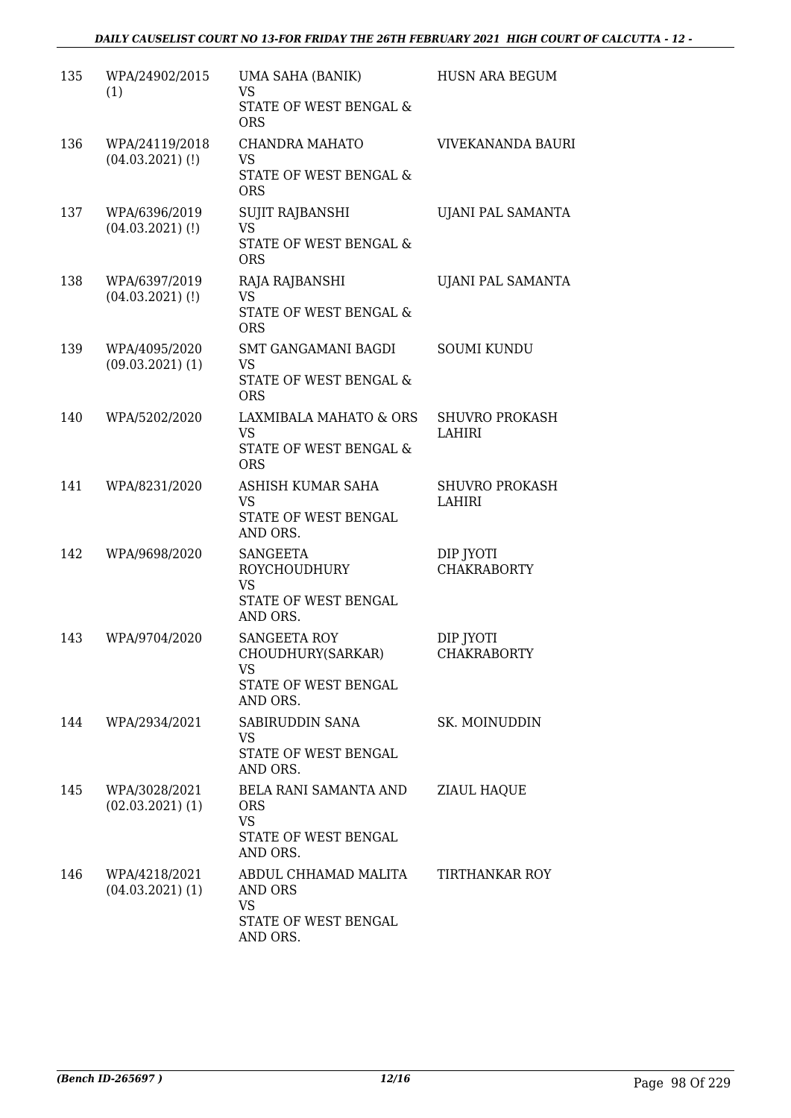| 135 | WPA/24902/2015<br>(1)                 | UMA SAHA (BANIK)<br><b>VS</b>                | HUSN ARA BEGUM                         |
|-----|---------------------------------------|----------------------------------------------|----------------------------------------|
|     |                                       | STATE OF WEST BENGAL &<br><b>ORS</b>         |                                        |
| 136 | WPA/24119/2018<br>$(04.03.2021)$ (!)  | CHANDRA MAHATO<br>VS                         | VIVEKANANDA BAURI                      |
|     |                                       | STATE OF WEST BENGAL &<br><b>ORS</b>         |                                        |
| 137 | WPA/6396/2019<br>$(04.03.2021)$ (!)   | SUJIT RAJBANSHI<br><b>VS</b>                 | UJANI PAL SAMANTA                      |
|     |                                       | STATE OF WEST BENGAL &<br><b>ORS</b>         |                                        |
| 138 | WPA/6397/2019<br>$(04.03.2021)$ (!)   | RAJA RAJBANSHI<br><b>VS</b>                  | UJANI PAL SAMANTA                      |
|     |                                       | STATE OF WEST BENGAL &<br><b>ORS</b>         |                                        |
| 139 | WPA/4095/2020<br>$(09.03.2021)$ $(1)$ | SMT GANGAMANI BAGDI<br>VS                    | <b>SOUMI KUNDU</b>                     |
|     |                                       | STATE OF WEST BENGAL &<br><b>ORS</b>         |                                        |
| 140 | WPA/5202/2020                         | LAXMIBALA MAHATO & ORS<br><b>VS</b>          | <b>SHUVRO PROKASH</b><br><b>LAHIRI</b> |
|     |                                       | STATE OF WEST BENGAL &<br><b>ORS</b>         |                                        |
| 141 | WPA/8231/2020                         | ASHISH KUMAR SAHA<br><b>VS</b>               | <b>SHUVRO PROKASH</b><br>LAHIRI        |
|     |                                       | STATE OF WEST BENGAL<br>AND ORS.             |                                        |
| 142 | WPA/9698/2020                         | SANGEETA<br><b>ROYCHOUDHURY</b>              | DIP JYOTI<br><b>CHAKRABORTY</b>        |
|     |                                       | <b>VS</b><br>STATE OF WEST BENGAL            |                                        |
| 143 | WPA/9704/2020                         | AND ORS.<br>SANGEETA ROY                     | DIP JYOTI                              |
|     |                                       | CHOUDHURY(SARKAR)<br>VS                      | CHAKRABORTY                            |
|     |                                       | STATE OF WEST BENGAL<br>AND ORS.             |                                        |
| 144 | WPA/2934/2021                         | SABIRUDDIN SANA<br>VS                        | SK. MOINUDDIN                          |
|     |                                       | STATE OF WEST BENGAL<br>AND ORS.             |                                        |
| 145 | WPA/3028/2021<br>$(02.03.2021)$ $(1)$ | BELA RANI SAMANTA AND<br><b>ORS</b>          | ZIAUL HAQUE                            |
|     |                                       | <b>VS</b><br>STATE OF WEST BENGAL            |                                        |
|     |                                       | AND ORS.                                     |                                        |
| 146 | WPA/4218/2021<br>$(04.03.2021)$ (1)   | ABDUL CHHAMAD MALITA<br>AND ORS<br><b>VS</b> | TIRTHANKAR ROY                         |
|     |                                       | STATE OF WEST BENGAL<br>AND ORS.             |                                        |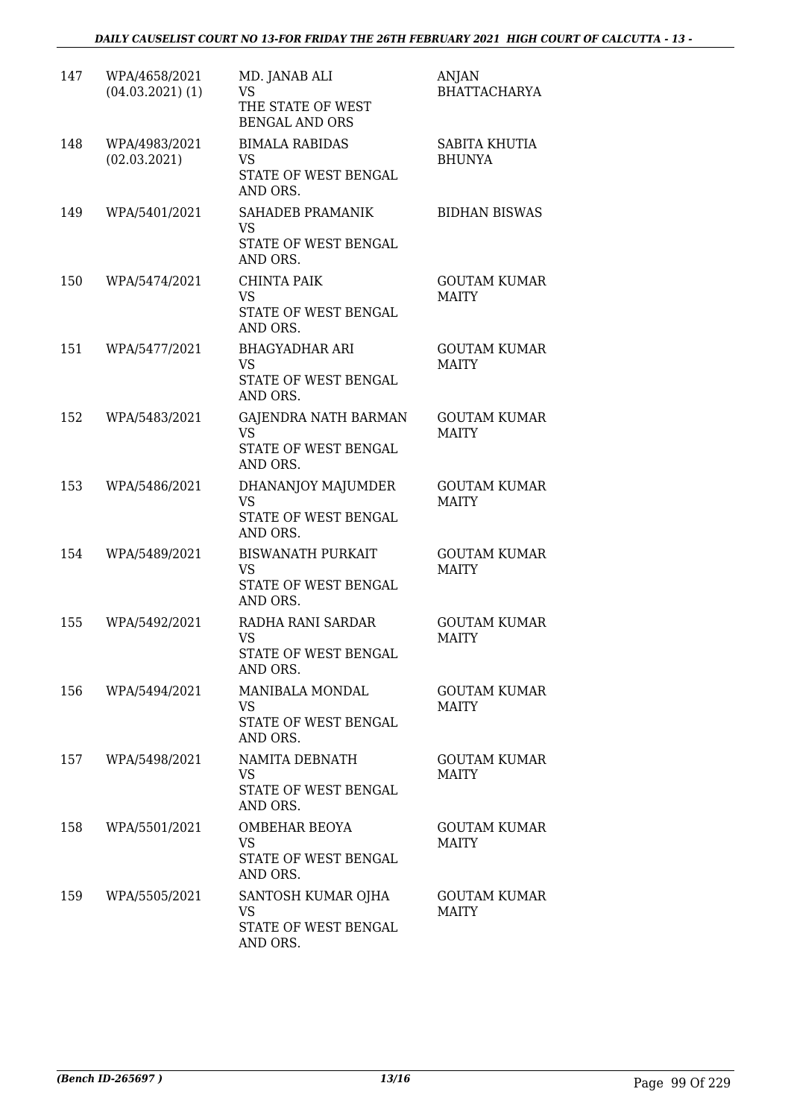| 147 | WPA/4658/2021<br>$(04.03.2021)$ $(1)$ | MD. JANAB ALI<br>VS<br>THE STATE OF WEST<br><b>BENGAL AND ORS</b>         | ANJAN<br><b>BHATTACHARYA</b>          |
|-----|---------------------------------------|---------------------------------------------------------------------------|---------------------------------------|
| 148 | WPA/4983/2021<br>(02.03.2021)         | <b>BIMALA RABIDAS</b><br>VS<br>STATE OF WEST BENGAL<br>AND ORS.           | <b>SABITA KHUTIA</b><br><b>BHUNYA</b> |
| 149 | WPA/5401/2021                         | SAHADEB PRAMANIK<br><b>VS</b><br>STATE OF WEST BENGAL<br>AND ORS.         | <b>BIDHAN BISWAS</b>                  |
| 150 | WPA/5474/2021                         | CHINTA PAIK<br><b>VS</b><br>STATE OF WEST BENGAL<br>AND ORS.              | <b>GOUTAM KUMAR</b><br><b>MAITY</b>   |
| 151 | WPA/5477/2021                         | <b>BHAGYADHAR ARI</b><br>VS<br>STATE OF WEST BENGAL<br>AND ORS.           | <b>GOUTAM KUMAR</b><br><b>MAITY</b>   |
| 152 | WPA/5483/2021                         | GAJENDRA NATH BARMAN<br><b>VS</b><br>STATE OF WEST BENGAL<br>AND ORS.     | <b>GOUTAM KUMAR</b><br><b>MAITY</b>   |
| 153 | WPA/5486/2021                         | DHANANJOY MAJUMDER<br><b>VS</b><br>STATE OF WEST BENGAL<br>AND ORS.       | <b>GOUTAM KUMAR</b><br><b>MAITY</b>   |
| 154 | WPA/5489/2021                         | <b>BISWANATH PURKAIT</b><br><b>VS</b><br>STATE OF WEST BENGAL<br>AND ORS. | <b>GOUTAM KUMAR</b><br><b>MAITY</b>   |
| 155 | WPA/5492/2021                         | RADHA RANI SARDAR<br><b>VS</b><br>STATE OF WEST BENGAL<br>AND ORS.        | <b>GOUTAM KUMAR</b><br><b>MAITY</b>   |
| 156 | WPA/5494/2021                         | MANIBALA MONDAL<br><b>VS</b><br>STATE OF WEST BENGAL<br>AND ORS.          | <b>GOUTAM KUMAR</b><br><b>MAITY</b>   |
| 157 | WPA/5498/2021                         | NAMITA DEBNATH<br>VS<br>STATE OF WEST BENGAL<br>AND ORS.                  | <b>GOUTAM KUMAR</b><br><b>MAITY</b>   |
| 158 | WPA/5501/2021                         | OMBEHAR BEOYA<br><b>VS</b><br>STATE OF WEST BENGAL<br>AND ORS.            | <b>GOUTAM KUMAR</b><br><b>MAITY</b>   |
| 159 | WPA/5505/2021                         | SANTOSH KUMAR OJHA<br><b>VS</b><br>STATE OF WEST BENGAL<br>AND ORS.       | <b>GOUTAM KUMAR</b><br><b>MAITY</b>   |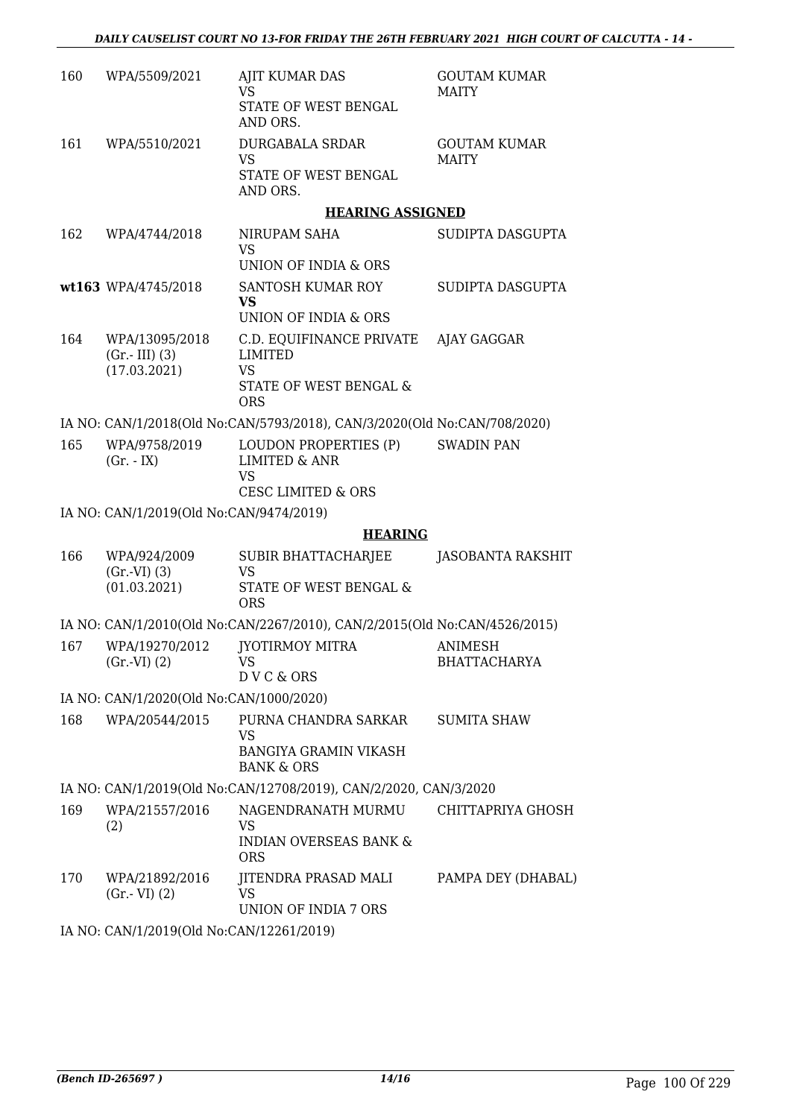| 160 | WPA/5509/2021                           | AJIT KUMAR DAS<br>VS                                                      | <b>GOUTAM KUMAR</b><br><b>MAITY</b>   |
|-----|-----------------------------------------|---------------------------------------------------------------------------|---------------------------------------|
|     |                                         | STATE OF WEST BENGAL<br>AND ORS.                                          |                                       |
| 161 | WPA/5510/2021                           | <b>DURGABALA SRDAR</b><br><b>VS</b>                                       | <b>GOUTAM KUMAR</b><br><b>MAITY</b>   |
|     |                                         | STATE OF WEST BENGAL<br>AND ORS.                                          |                                       |
|     |                                         | <b>HEARING ASSIGNED</b>                                                   |                                       |
| 162 | WPA/4744/2018                           | NIRUPAM SAHA<br>VS                                                        | SUDIPTA DASGUPTA                      |
|     |                                         | UNION OF INDIA & ORS                                                      |                                       |
|     | wt163 WPA/4745/2018                     | SANTOSH KUMAR ROY<br><b>VS</b><br>UNION OF INDIA & ORS                    | SUDIPTA DASGUPTA                      |
| 164 | WPA/13095/2018<br>$(Gr.-III)$ (3)       | C.D. EQUIFINANCE PRIVATE<br><b>LIMITED</b>                                | AJAY GAGGAR                           |
|     | (17.03.2021)                            | <b>VS</b>                                                                 |                                       |
|     |                                         | STATE OF WEST BENGAL &<br><b>ORS</b>                                      |                                       |
|     |                                         | IA NO: CAN/1/2018(Old No:CAN/5793/2018), CAN/3/2020(Old No:CAN/708/2020)  |                                       |
| 165 | WPA/9758/2019<br>$(Gr. - IX)$           | LOUDON PROPERTIES (P)<br><b>LIMITED &amp; ANR</b><br>VS                   | <b>SWADIN PAN</b>                     |
|     |                                         | <b>CESC LIMITED &amp; ORS</b>                                             |                                       |
|     | IA NO: CAN/1/2019(Old No:CAN/9474/2019) |                                                                           |                                       |
|     |                                         | <b>HEARING</b>                                                            |                                       |
| 166 | WPA/924/2009                            | SUBIR BHATTACHARJEE                                                       | JASOBANTA RAKSHIT                     |
|     | $(Gr.-VI)$ $(3)$<br>(01.03.2021)        | <b>VS</b><br>STATE OF WEST BENGAL &<br><b>ORS</b>                         |                                       |
|     |                                         | IA NO: CAN/1/2010(Old No:CAN/2267/2010), CAN/2/2015(Old No:CAN/4526/2015) |                                       |
| 167 | WPA/19270/2012<br>$(Gr.-VI) (2)$        | <b>JYOTIRMOY MITRA</b><br>VS                                              | <b>ANIMESH</b><br><b>BHATTACHARYA</b> |
|     |                                         | D V C & ORS                                                               |                                       |
|     | IA NO: CAN/1/2020(Old No:CAN/1000/2020) |                                                                           |                                       |
| 168 | WPA/20544/2015                          | PURNA CHANDRA SARKAR<br>VS                                                | <b>SUMITA SHAW</b>                    |
|     |                                         | <b>BANGIYA GRAMIN VIKASH</b><br><b>BANK &amp; ORS</b>                     |                                       |
|     |                                         | IA NO: CAN/1/2019(Old No:CAN/12708/2019), CAN/2/2020, CAN/3/2020          |                                       |
| 169 | WPA/21557/2016                          | NAGENDRANATH MURMU CHITTAPRIYA GHOSH                                      |                                       |
|     | (2)                                     | VS<br><b>INDIAN OVERSEAS BANK &amp;</b><br><b>ORS</b>                     |                                       |
| 170 | WPA/21892/2016<br>$(Gr.-VI)$ $(2)$      | JITENDRA PRASAD MALI<br>VS                                                | PAMPA DEY (DHABAL)                    |
|     |                                         | UNION OF INDIA 7 ORS<br>$10(0111T - 0111100010010)$                       |                                       |

IA NO: CAN/1/2019(Old No:CAN/12261/2019)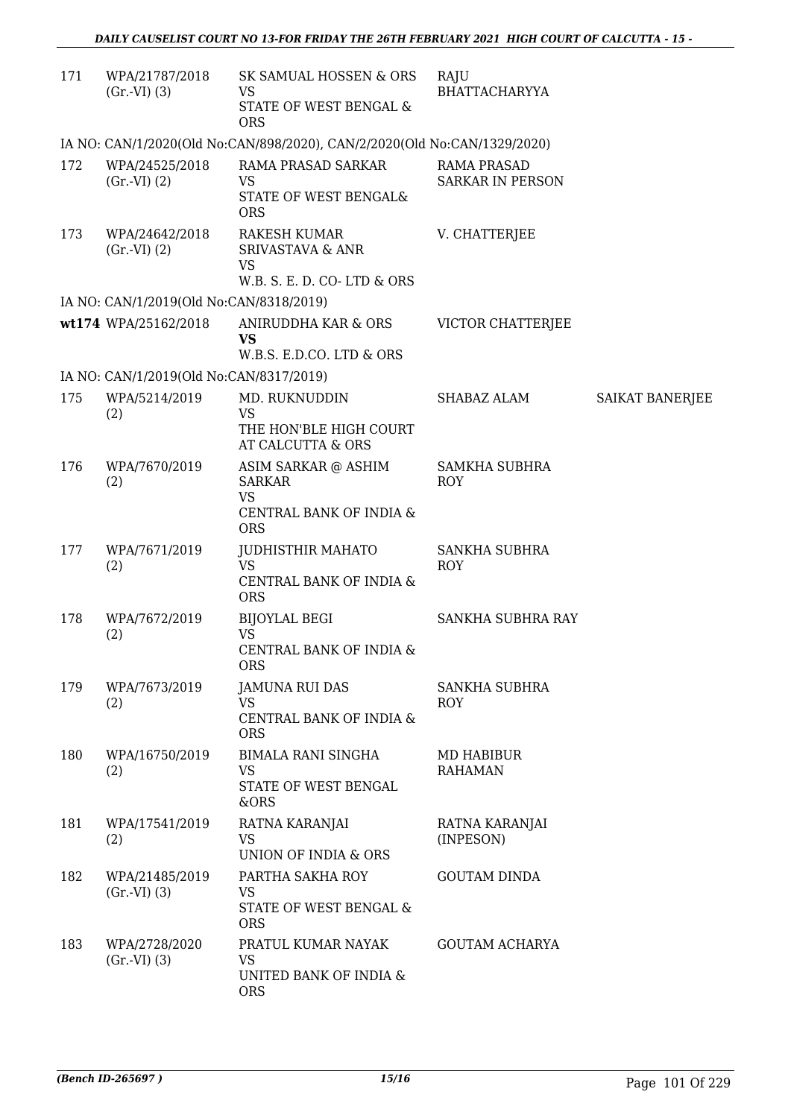| 171 | WPA/21787/2018<br>(Gr.VI) (3)           | SK SAMUAL HOSSEN & ORS<br>VS<br>STATE OF WEST BENGAL &<br><b>ORS</b>                                            | RAJU<br>BHATTACHARYYA                         |                 |
|-----|-----------------------------------------|-----------------------------------------------------------------------------------------------------------------|-----------------------------------------------|-----------------|
|     |                                         | IA NO: CAN/1/2020(Old No:CAN/898/2020), CAN/2/2020(Old No:CAN/1329/2020)                                        |                                               |                 |
| 172 | WPA/24525/2018<br>(Gr.VI) (2)           | RAMA PRASAD SARKAR<br><b>VS</b><br>STATE OF WEST BENGAL&<br><b>ORS</b>                                          | <b>RAMA PRASAD</b><br><b>SARKAR IN PERSON</b> |                 |
| 173 | WPA/24642/2018<br>(Gr.VI) (2)           | <b>RAKESH KUMAR</b><br><b>SRIVASTAVA &amp; ANR</b><br><b>VS</b><br>W.B. S. E. D. CO-LTD & ORS                   | V. CHATTERJEE                                 |                 |
|     | IA NO: CAN/1/2019(Old No:CAN/8318/2019) |                                                                                                                 |                                               |                 |
|     | wt174 WPA/25162/2018                    | ANIRUDDHA KAR & ORS<br><b>VS</b><br>W.B.S. E.D.CO. LTD & ORS                                                    | VICTOR CHATTERJEE                             |                 |
|     | IA NO: CAN/1/2019(Old No:CAN/8317/2019) |                                                                                                                 |                                               |                 |
| 175 | WPA/5214/2019<br>(2)                    | MD. RUKNUDDIN<br><b>VS</b><br>THE HON'BLE HIGH COURT                                                            | SHABAZ ALAM                                   | SAIKAT BANERJEE |
| 176 | WPA/7670/2019<br>(2)                    | AT CALCUTTA & ORS<br>ASIM SARKAR @ ASHIM<br><b>SARKAR</b><br><b>VS</b><br>CENTRAL BANK OF INDIA &<br><b>ORS</b> | <b>SAMKHA SUBHRA</b><br><b>ROY</b>            |                 |
| 177 | WPA/7671/2019<br>(2)                    | <b>JUDHISTHIR MAHATO</b><br><b>VS</b><br>CENTRAL BANK OF INDIA &<br><b>ORS</b>                                  | <b>SANKHA SUBHRA</b><br><b>ROY</b>            |                 |
| 178 | WPA/7672/2019<br>(2)                    | <b>BIJOYLAL BEGI</b><br><b>VS</b><br>CENTRAL BANK OF INDIA &<br><b>ORS</b>                                      | <b>SANKHA SUBHRA RAY</b>                      |                 |
| 179 | WPA/7673/2019<br>(2)                    | JAMUNA RUI DAS<br>VS<br>CENTRAL BANK OF INDIA &<br><b>ORS</b>                                                   | <b>SANKHA SUBHRA</b><br>ROY                   |                 |
| 180 | WPA/16750/2019<br>(2)                   | <b>BIMALA RANI SINGHA</b><br><b>VS</b><br>STATE OF WEST BENGAL<br>&ORS                                          | MD HABIBUR<br><b>RAHAMAN</b>                  |                 |
| 181 | WPA/17541/2019<br>(2)                   | RATNA KARANJAI<br><b>VS</b><br>UNION OF INDIA & ORS                                                             | RATNA KARANJAI<br>(INPESON)                   |                 |
| 182 | WPA/21485/2019<br>(Gr.VI) (3)           | PARTHA SAKHA ROY<br><b>VS</b><br>STATE OF WEST BENGAL &<br><b>ORS</b>                                           | <b>GOUTAM DINDA</b>                           |                 |
| 183 | WPA/2728/2020<br>(Gr.VI) (3)            | PRATUL KUMAR NAYAK<br><b>VS</b><br>UNITED BANK OF INDIA &<br><b>ORS</b>                                         | <b>GOUTAM ACHARYA</b>                         |                 |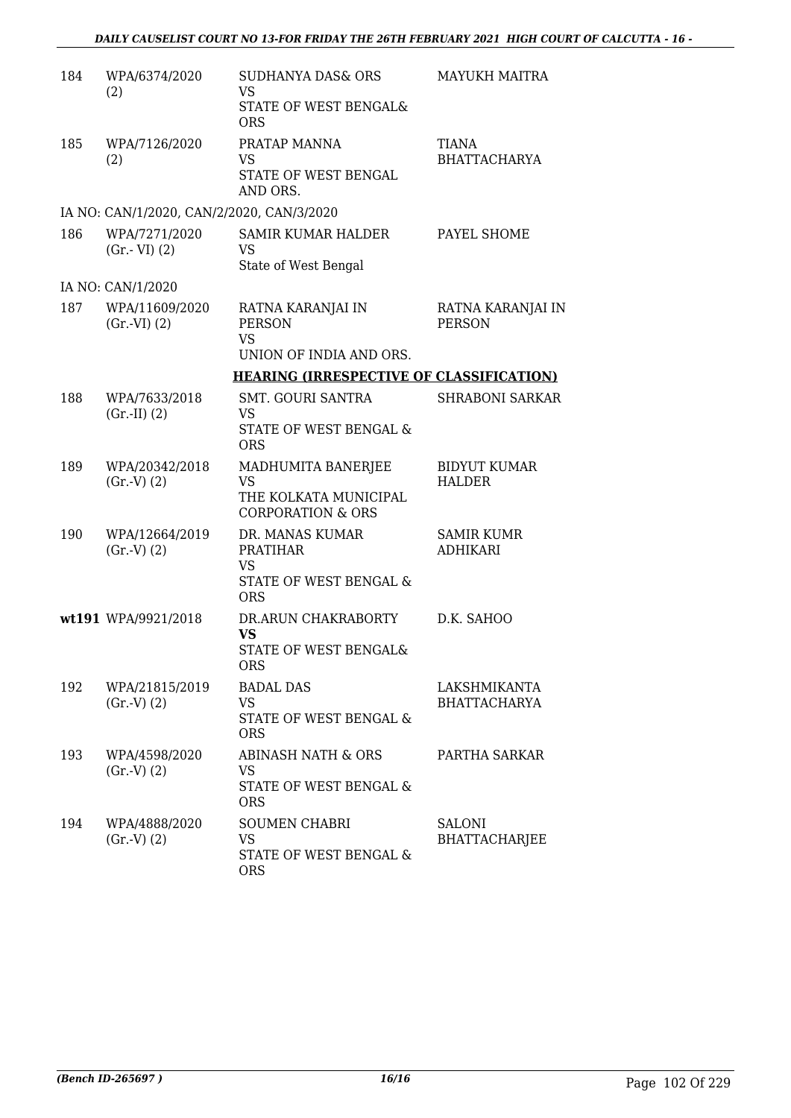| 184 | WPA/6374/2020<br>(2)                      | <b>SUDHANYA DAS&amp; ORS</b><br><b>VS</b><br>STATE OF WEST BENGAL&                          | <b>MAYUKH MAITRA</b>                 |
|-----|-------------------------------------------|---------------------------------------------------------------------------------------------|--------------------------------------|
| 185 | WPA/7126/2020<br>(2)                      | <b>ORS</b><br>PRATAP MANNA<br>VS<br>STATE OF WEST BENGAL<br>AND ORS.                        | TIANA<br><b>BHATTACHARYA</b>         |
|     | IA NO: CAN/1/2020, CAN/2/2020, CAN/3/2020 |                                                                                             |                                      |
| 186 | WPA/7271/2020<br>$(Gr.-VI)$ $(2)$         | SAMIR KUMAR HALDER<br>VS<br>State of West Bengal                                            | PAYEL SHOME                          |
|     | IA NO: CAN/1/2020                         |                                                                                             |                                      |
| 187 | WPA/11609/2020<br>$(Gr.-VI) (2)$          | RATNA KARANJAI IN<br><b>PERSON</b><br><b>VS</b>                                             | RATNA KARANJAI IN<br><b>PERSON</b>   |
|     |                                           | UNION OF INDIA AND ORS.                                                                     |                                      |
|     |                                           | <b>HEARING (IRRESPECTIVE OF CLASSIFICATION)</b>                                             |                                      |
| 188 | WPA/7633/2018<br>(Gr.II) (2)              | SMT. GOURI SANTRA<br>VS<br>STATE OF WEST BENGAL &<br><b>ORS</b>                             | <b>SHRABONI SARKAR</b>               |
| 189 | WPA/20342/2018<br>(Gr.V) (2)              | MADHUMITA BANERJEE<br><b>VS</b><br>THE KOLKATA MUNICIPAL<br><b>CORPORATION &amp; ORS</b>    | <b>BIDYUT KUMAR</b><br><b>HALDER</b> |
| 190 | WPA/12664/2019<br>(Gr.V) (2)              | DR. MANAS KUMAR<br><b>PRATIHAR</b><br>VS<br><b>STATE OF WEST BENGAL &amp;</b><br><b>ORS</b> | <b>SAMIR KUMR</b><br><b>ADHIKARI</b> |
|     | wt191 WPA/9921/2018                       | DR.ARUN CHAKRABORTY<br><b>VS</b><br>STATE OF WEST BENGAL&<br><b>ORS</b>                     | D.K. SAHOO                           |
| 192 | WPA/21815/2019<br>(Gr.V) (2)              | <b>BADAL DAS</b><br><b>VS</b><br>STATE OF WEST BENGAL &<br><b>ORS</b>                       | LAKSHMIKANTA<br><b>BHATTACHARYA</b>  |
| 193 | WPA/4598/2020<br>(Gr.V) (2)               | ABINASH NATH & ORS<br>VS.<br>STATE OF WEST BENGAL &<br><b>ORS</b>                           | PARTHA SARKAR                        |
| 194 | WPA/4888/2020<br>(Gr.V) (2)               | <b>SOUMEN CHABRI</b><br>VS<br>STATE OF WEST BENGAL &<br><b>ORS</b>                          | <b>SALONI</b><br>BHATTACHARJEE       |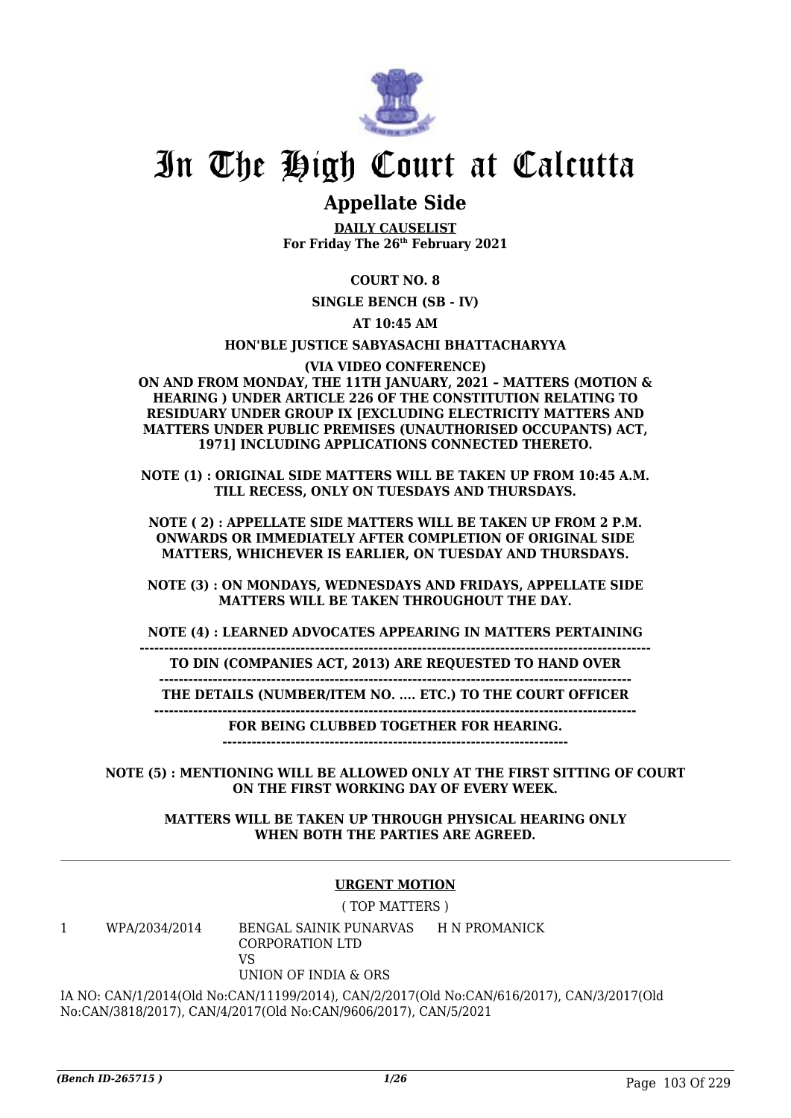

## **Appellate Side**

**DAILY CAUSELIST For Friday The 26th February 2021**

### **COURT NO. 8**

**SINGLE BENCH (SB - IV)**

**AT 10:45 AM**

**HON'BLE JUSTICE SABYASACHI BHATTACHARYYA**

**(VIA VIDEO CONFERENCE)**

**ON AND FROM MONDAY, THE 11TH JANUARY, 2021 – MATTERS (MOTION & HEARING ) UNDER ARTICLE 226 OF THE CONSTITUTION RELATING TO RESIDUARY UNDER GROUP IX [EXCLUDING ELECTRICITY MATTERS AND MATTERS UNDER PUBLIC PREMISES (UNAUTHORISED OCCUPANTS) ACT, 1971] INCLUDING APPLICATIONS CONNECTED THERETO.**

**NOTE (1) : ORIGINAL SIDE MATTERS WILL BE TAKEN UP FROM 10:45 A.M. TILL RECESS, ONLY ON TUESDAYS AND THURSDAYS.**

**NOTE ( 2) : APPELLATE SIDE MATTERS WILL BE TAKEN UP FROM 2 P.M. ONWARDS OR IMMEDIATELY AFTER COMPLETION OF ORIGINAL SIDE MATTERS, WHICHEVER IS EARLIER, ON TUESDAY AND THURSDAYS.**

**NOTE (3) : ON MONDAYS, WEDNESDAYS AND FRIDAYS, APPELLATE SIDE MATTERS WILL BE TAKEN THROUGHOUT THE DAY.**

**NOTE (4) : LEARNED ADVOCATES APPEARING IN MATTERS PERTAINING**

**--------------------------------------------------------------------------------------------------------- TO DIN (COMPANIES ACT, 2013) ARE REQUESTED TO HAND OVER**

**------------------------------------------------------------------------------------------------- THE DETAILS (NUMBER/ITEM NO. .... ETC.) TO THE COURT OFFICER**

**---------------------------------------------------------------------------------------------------**

**FOR BEING CLUBBED TOGETHER FOR HEARING.**

**-----------------------------------------------------------------------**

**NOTE (5) : MENTIONING WILL BE ALLOWED ONLY AT THE FIRST SITTING OF COURT ON THE FIRST WORKING DAY OF EVERY WEEK.**

**MATTERS WILL BE TAKEN UP THROUGH PHYSICAL HEARING ONLY WHEN BOTH THE PARTIES ARE AGREED.**

### **URGENT MOTION**

( TOP MATTERS )

1 WPA/2034/2014 BENGAL SAINIK PUNARVAS H N PROMANICK CORPORATION LTD VS UNION OF INDIA & ORS

IA NO: CAN/1/2014(Old No:CAN/11199/2014), CAN/2/2017(Old No:CAN/616/2017), CAN/3/2017(Old No:CAN/3818/2017), CAN/4/2017(Old No:CAN/9606/2017), CAN/5/2021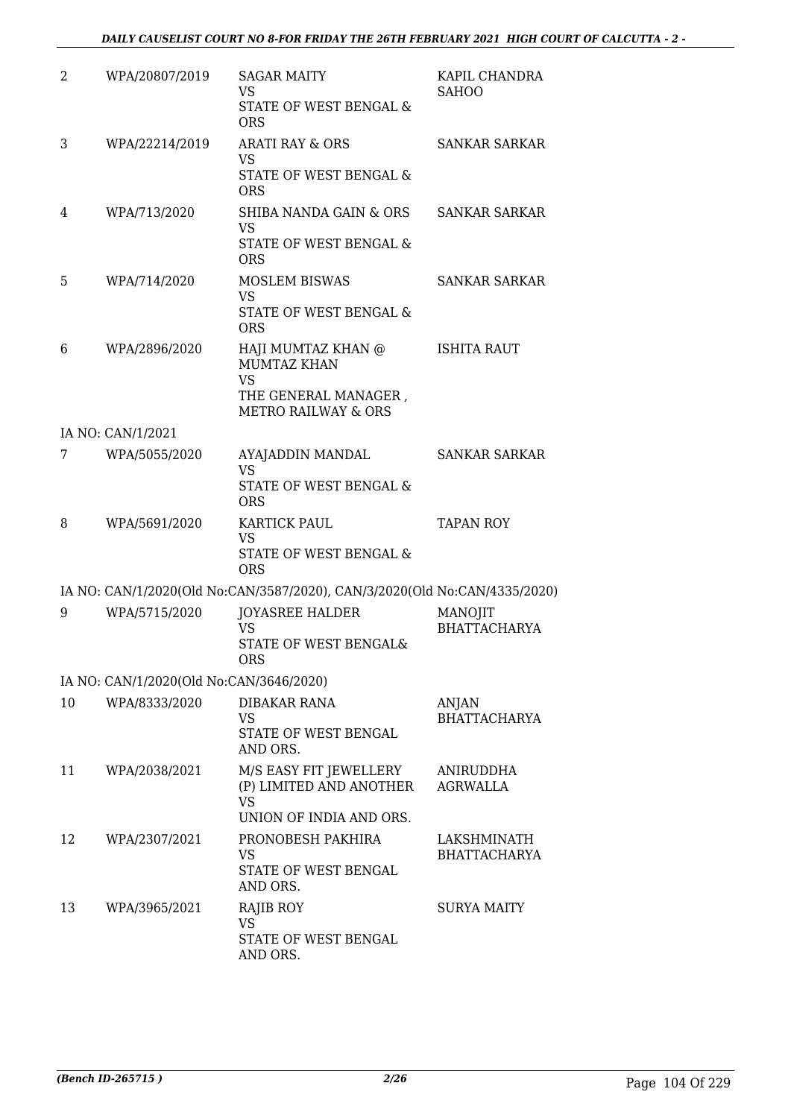| 2  | WPA/20807/2019                          | <b>SAGAR MAITY</b><br>VS<br>STATE OF WEST BENGAL &<br><b>ORS</b>                                                | KAPIL CHANDRA<br><b>SAHOO</b>      |
|----|-----------------------------------------|-----------------------------------------------------------------------------------------------------------------|------------------------------------|
| 3  | WPA/22214/2019                          | <b>ARATI RAY &amp; ORS</b><br>VS<br>STATE OF WEST BENGAL &<br><b>ORS</b>                                        | <b>SANKAR SARKAR</b>               |
| 4  | WPA/713/2020                            | SHIBA NANDA GAIN & ORS<br><b>VS</b><br>STATE OF WEST BENGAL &<br><b>ORS</b>                                     | <b>SANKAR SARKAR</b>               |
| 5  | WPA/714/2020                            | <b>MOSLEM BISWAS</b><br>VS<br>STATE OF WEST BENGAL &<br><b>ORS</b>                                              | <b>SANKAR SARKAR</b>               |
| 6  | WPA/2896/2020                           | HAJI MUMTAZ KHAN @<br><b>MUMTAZ KHAN</b><br><b>VS</b><br>THE GENERAL MANAGER,<br><b>METRO RAILWAY &amp; ORS</b> | <b>ISHITA RAUT</b>                 |
|    | IA NO: CAN/1/2021                       |                                                                                                                 |                                    |
| 7  | WPA/5055/2020                           | AYAJADDIN MANDAL<br><b>VS</b><br>STATE OF WEST BENGAL &                                                         | <b>SANKAR SARKAR</b>               |
|    |                                         | <b>ORS</b>                                                                                                      |                                    |
| 8  | WPA/5691/2020                           | <b>KARTICK PAUL</b><br><b>VS</b><br>STATE OF WEST BENGAL &<br><b>ORS</b>                                        | <b>TAPAN ROY</b>                   |
|    |                                         | IA NO: CAN/1/2020(Old No:CAN/3587/2020), CAN/3/2020(Old No:CAN/4335/2020)                                       |                                    |
| 9  | WPA/5715/2020                           | <b>JOYASREE HALDER</b><br><b>VS</b><br>STATE OF WEST BENGAL&<br><b>ORS</b>                                      | MANOJIT<br><b>BHATTACHARYA</b>     |
|    | IA NO: CAN/1/2020(Old No:CAN/3646/2020) |                                                                                                                 |                                    |
| 10 | WPA/8333/2020                           | DIBAKAR RANA<br>VS<br>STATE OF WEST BENGAL<br>AND ORS.                                                          | ANJAN<br><b>BHATTACHARYA</b>       |
| 11 | WPA/2038/2021                           | M/S EASY FIT JEWELLERY<br>(P) LIMITED AND ANOTHER<br>VS<br>UNION OF INDIA AND ORS.                              | ANIRUDDHA<br><b>AGRWALLA</b>       |
| 12 | WPA/2307/2021                           | PRONOBESH PAKHIRA<br>VS<br>STATE OF WEST BENGAL<br>AND ORS.                                                     | LAKSHMINATH<br><b>BHATTACHARYA</b> |
| 13 | WPA/3965/2021                           | RAJIB ROY<br><b>VS</b><br>STATE OF WEST BENGAL<br>AND ORS.                                                      | SURYA MAITY                        |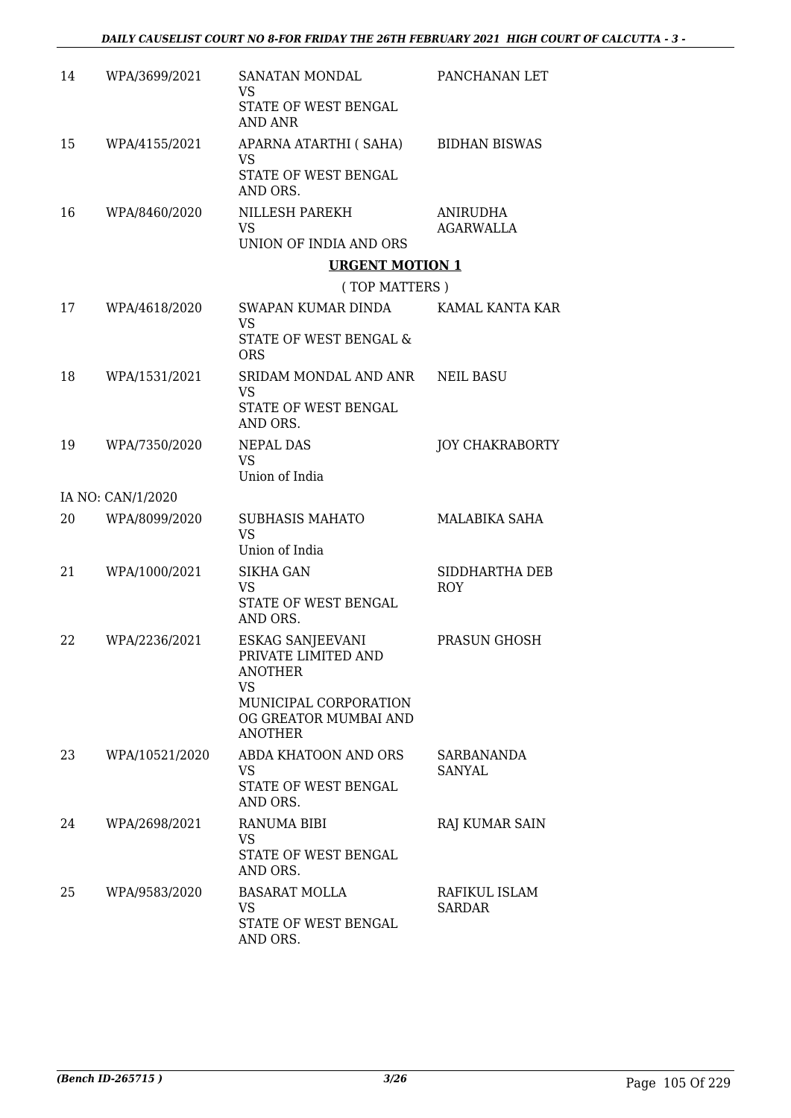| 14 | WPA/3699/2021     | SANATAN MONDAL<br>VS                                                          | PANCHANAN LET                |
|----|-------------------|-------------------------------------------------------------------------------|------------------------------|
|    |                   | STATE OF WEST BENGAL<br>AND ANR                                               |                              |
| 15 | WPA/4155/2021     | APARNA ATARTHI ( SAHA)<br>VS                                                  | <b>BIDHAN BISWAS</b>         |
|    |                   | STATE OF WEST BENGAL<br>AND ORS.                                              |                              |
| 16 | WPA/8460/2020     | NILLESH PAREKH<br>VS                                                          | ANIRUDHA<br><b>AGARWALLA</b> |
|    |                   | UNION OF INDIA AND ORS                                                        |                              |
|    |                   | <b>URGENT MOTION 1</b>                                                        |                              |
|    |                   | (TOP MATTERS)                                                                 |                              |
| 17 | WPA/4618/2020     | SWAPAN KUMAR DINDA<br>VS                                                      | KAMAL KANTA KAR              |
|    |                   | STATE OF WEST BENGAL &<br><b>ORS</b>                                          |                              |
| 18 | WPA/1531/2021     | SRIDAM MONDAL AND ANR<br>VS                                                   | NEIL BASU                    |
|    |                   | STATE OF WEST BENGAL<br>AND ORS.                                              |                              |
| 19 | WPA/7350/2020     | <b>NEPAL DAS</b><br><b>VS</b><br>Union of India                               | <b>JOY CHAKRABORTY</b>       |
|    | IA NO: CAN/1/2020 |                                                                               |                              |
| 20 | WPA/8099/2020     | <b>SUBHASIS MAHATO</b>                                                        | MALABIKA SAHA                |
|    |                   | <b>VS</b><br>Union of India                                                   |                              |
| 21 | WPA/1000/2021     | <b>SIKHA GAN</b><br><b>VS</b>                                                 | SIDDHARTHA DEB<br><b>ROY</b> |
|    |                   | STATE OF WEST BENGAL<br>AND ORS.                                              |                              |
| 22 | WPA/2236/2021     | ESKAG SANJEEVANI<br>PRIVATE LIMITED AND<br><b>ANOTHER</b>                     | PRASUN GHOSH                 |
|    |                   | <b>VS</b><br>MUNICIPAL CORPORATION<br>OG GREATOR MUMBAI AND<br><b>ANOTHER</b> |                              |
| 23 | WPA/10521/2020    | ABDA KHATOON AND ORS<br>VS.<br>STATE OF WEST BENGAL<br>AND ORS.               | SARBANANDA<br>SANYAL         |
| 24 | WPA/2698/2021     | RANUMA BIBI                                                                   | RAJ KUMAR SAIN               |
|    |                   | VS.<br>STATE OF WEST BENGAL<br>AND ORS.                                       |                              |
| 25 | WPA/9583/2020     | <b>BASARAT MOLLA</b><br><b>VS</b>                                             | RAFIKUL ISLAM<br>SARDAR      |
|    |                   | STATE OF WEST BENGAL<br>AND ORS.                                              |                              |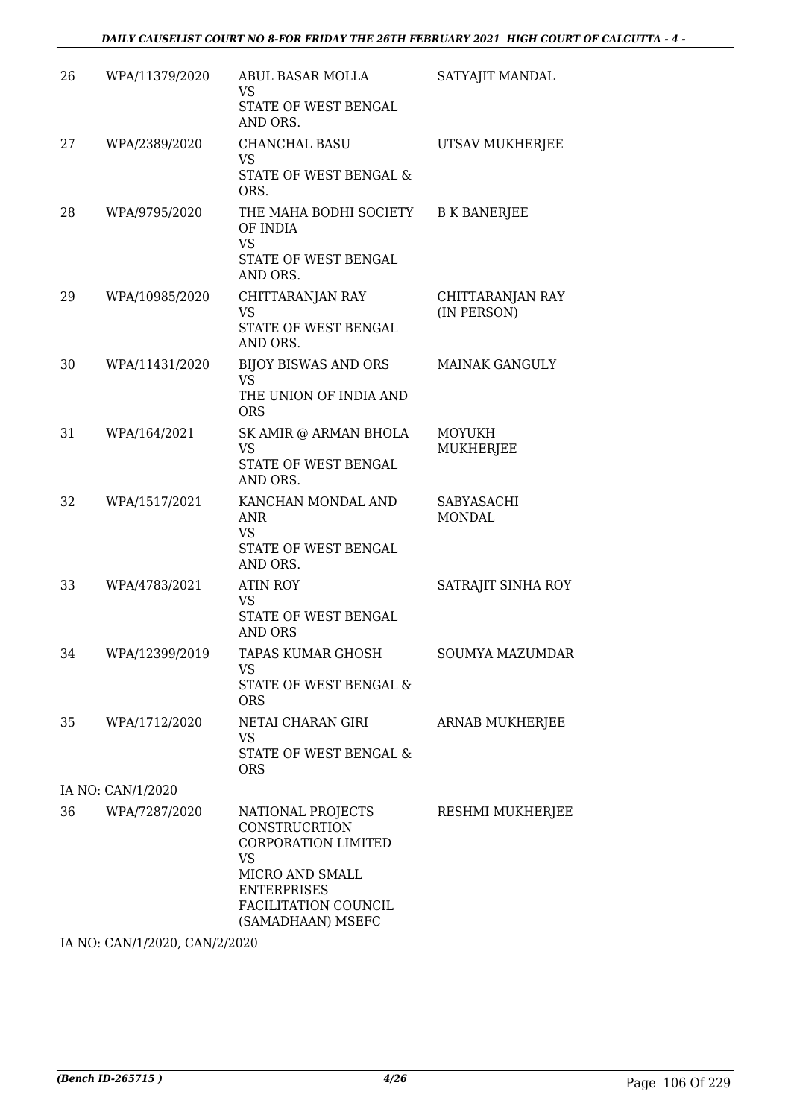| 26 | WPA/11379/2020    | ABUL BASAR MOLLA<br>VS<br>STATE OF WEST BENGAL<br>AND ORS.                                                                                                                 | SATYAJIT MANDAL                 |  |  |  |
|----|-------------------|----------------------------------------------------------------------------------------------------------------------------------------------------------------------------|---------------------------------|--|--|--|
| 27 | WPA/2389/2020     | CHANCHAL BASU<br><b>VS</b><br>STATE OF WEST BENGAL &<br>ORS.                                                                                                               | UTSAV MUKHERJEE                 |  |  |  |
| 28 | WPA/9795/2020     | THE MAHA BODHI SOCIETY<br>OF INDIA<br><b>VS</b><br>STATE OF WEST BENGAL<br>AND ORS.                                                                                        | <b>B K BANERJEE</b>             |  |  |  |
| 29 | WPA/10985/2020    | CHITTARANJAN RAY<br><b>VS</b><br>STATE OF WEST BENGAL<br>AND ORS.                                                                                                          | CHITTARANJAN RAY<br>(IN PERSON) |  |  |  |
| 30 | WPA/11431/2020    | BIJOY BISWAS AND ORS<br><b>VS</b><br>THE UNION OF INDIA AND<br><b>ORS</b>                                                                                                  | <b>MAINAK GANGULY</b>           |  |  |  |
| 31 | WPA/164/2021      | SK AMIR @ ARMAN BHOLA<br><b>VS</b><br>STATE OF WEST BENGAL<br>AND ORS.                                                                                                     | <b>MOYUKH</b><br>MUKHERJEE      |  |  |  |
| 32 | WPA/1517/2021     | KANCHAN MONDAL AND<br>ANR<br><b>VS</b><br>STATE OF WEST BENGAL<br>AND ORS.                                                                                                 | SABYASACHI<br><b>MONDAL</b>     |  |  |  |
| 33 | WPA/4783/2021     | <b>ATIN ROY</b><br>VS<br>STATE OF WEST BENGAL<br>AND ORS                                                                                                                   | SATRAJIT SINHA ROY              |  |  |  |
| 34 | WPA/12399/2019    | TAPAS KUMAR GHOSH<br>VS.<br>STATE OF WEST BENGAL &<br><b>ORS</b>                                                                                                           | SOUMYA MAZUMDAR                 |  |  |  |
| 35 | WPA/1712/2020     | NETAI CHARAN GIRI<br>VS<br>STATE OF WEST BENGAL &<br><b>ORS</b>                                                                                                            | ARNAB MUKHERJEE                 |  |  |  |
|    | IA NO: CAN/1/2020 |                                                                                                                                                                            |                                 |  |  |  |
| 36 | WPA/7287/2020     | NATIONAL PROJECTS<br><b>CONSTRUCRTION</b><br><b>CORPORATION LIMITED</b><br><b>VS</b><br>MICRO AND SMALL<br><b>ENTERPRISES</b><br>FACILITATION COUNCIL<br>(SAMADHAAN) MSEFC | RESHMI MUKHERJEE                |  |  |  |

IA NO: CAN/1/2020, CAN/2/2020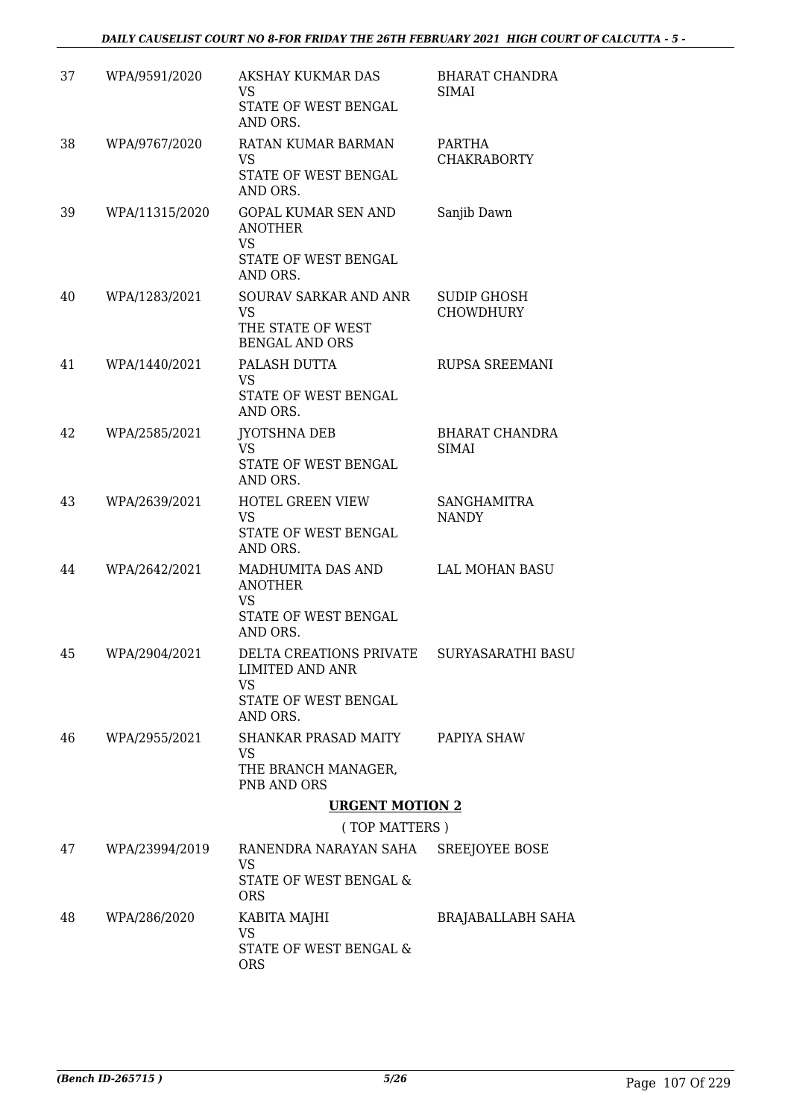| 37 | WPA/9591/2020  | AKSHAY KUKMAR DAS<br>VS<br>STATE OF WEST BENGAL<br>AND ORS.                                 | <b>BHARAT CHANDRA</b><br><b>SIMAI</b> |
|----|----------------|---------------------------------------------------------------------------------------------|---------------------------------------|
| 38 | WPA/9767/2020  | RATAN KUMAR BARMAN<br>VS<br>STATE OF WEST BENGAL<br>AND ORS.                                | PARTHA<br><b>CHAKRABORTY</b>          |
| 39 | WPA/11315/2020 | <b>GOPAL KUMAR SEN AND</b><br><b>ANOTHER</b><br><b>VS</b>                                   | Sanjib Dawn                           |
|    |                | STATE OF WEST BENGAL<br>AND ORS.                                                            |                                       |
| 40 | WPA/1283/2021  | SOURAV SARKAR AND ANR<br><b>VS</b><br>THE STATE OF WEST<br><b>BENGAL AND ORS</b>            | SUDIP GHOSH<br><b>CHOWDHURY</b>       |
| 41 | WPA/1440/2021  | PALASH DUTTA<br>VS<br>STATE OF WEST BENGAL                                                  | <b>RUPSA SREEMANI</b>                 |
| 42 | WPA/2585/2021  | AND ORS.<br><b>JYOTSHNA DEB</b><br><b>VS</b><br>STATE OF WEST BENGAL<br>AND ORS.            | <b>BHARAT CHANDRA</b><br><b>SIMAI</b> |
| 43 | WPA/2639/2021  | <b>HOTEL GREEN VIEW</b><br><b>VS</b><br>STATE OF WEST BENGAL<br>AND ORS.                    | <b>SANGHAMITRA</b><br><b>NANDY</b>    |
| 44 | WPA/2642/2021  | MADHUMITA DAS AND<br><b>ANOTHER</b><br><b>VS</b><br>STATE OF WEST BENGAL<br>AND ORS.        | LAL MOHAN BASU                        |
| 45 | WPA/2904/2021  | DELTA CREATIONS PRIVATE SURYASARATHI BASU<br>LIMITED AND ANR<br>VS.<br>STATE OF WEST BENGAL |                                       |
|    |                | AND ORS.                                                                                    |                                       |
| 46 | WPA/2955/2021  | SHANKAR PRASAD MAITY PAPIYA SHAW<br>VS<br>THE BRANCH MANAGER,<br>PNB AND ORS                |                                       |
|    |                | <b>URGENT MOTION 2</b>                                                                      |                                       |
|    |                | (TOP MATTERS)                                                                               |                                       |
| 47 | WPA/23994/2019 | RANENDRA NARAYAN SAHA<br>VS<br>STATE OF WEST BENGAL &<br><b>ORS</b>                         | SREEJOYEE BOSE                        |
| 48 | WPA/286/2020   | KABITA MAJHI                                                                                | <b>BRAJABALLABH SAHA</b>              |
|    |                | <b>VS</b><br>STATE OF WEST BENGAL &<br><b>ORS</b>                                           |                                       |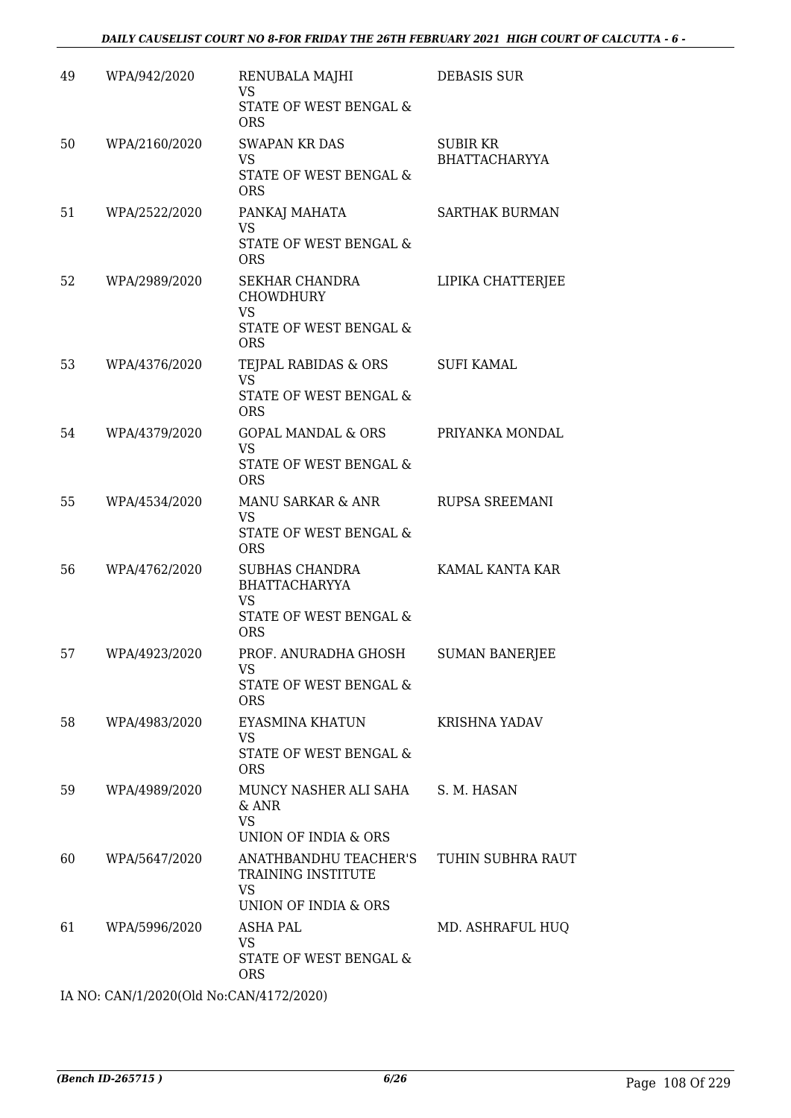| 49 | WPA/942/2020  | RENUBALA MAJHI<br><b>VS</b>                                                                    | <b>DEBASIS SUR</b>                      |
|----|---------------|------------------------------------------------------------------------------------------------|-----------------------------------------|
|    |               | STATE OF WEST BENGAL &<br><b>ORS</b>                                                           |                                         |
| 50 | WPA/2160/2020 | <b>SWAPAN KR DAS</b><br><b>VS</b>                                                              | <b>SUBIR KR</b><br><b>BHATTACHARYYA</b> |
|    |               | STATE OF WEST BENGAL &<br><b>ORS</b>                                                           |                                         |
| 51 | WPA/2522/2020 | PANKAJ MAHATA<br><b>VS</b><br>STATE OF WEST BENGAL &<br><b>ORS</b>                             | <b>SARTHAK BURMAN</b>                   |
| 52 | WPA/2989/2020 | SEKHAR CHANDRA<br><b>CHOWDHURY</b><br>VS                                                       | LIPIKA CHATTERJEE                       |
|    |               | STATE OF WEST BENGAL &<br><b>ORS</b>                                                           |                                         |
| 53 | WPA/4376/2020 | TEJPAL RABIDAS & ORS<br><b>VS</b>                                                              | <b>SUFI KAMAL</b>                       |
|    |               | STATE OF WEST BENGAL &<br><b>ORS</b>                                                           |                                         |
| 54 | WPA/4379/2020 | <b>GOPAL MANDAL &amp; ORS</b><br><b>VS</b>                                                     | PRIYANKA MONDAL                         |
|    |               | STATE OF WEST BENGAL &<br><b>ORS</b>                                                           |                                         |
| 55 | WPA/4534/2020 | MANU SARKAR & ANR<br><b>VS</b><br>STATE OF WEST BENGAL &<br><b>ORS</b>                         | RUPSA SREEMANI                          |
| 56 | WPA/4762/2020 | <b>SUBHAS CHANDRA</b><br><b>BHATTACHARYYA</b><br>VS                                            | KAMAL KANTA KAR                         |
|    |               | STATE OF WEST BENGAL &<br><b>ORS</b>                                                           |                                         |
| 57 | WPA/4923/2020 | PROF. ANURADHA GHOSH<br>VS<br>STATE OF WEST BENGAL &                                           | <b>SUMAN BANERJEE</b>                   |
|    |               | <b>ORS</b>                                                                                     |                                         |
| 58 | WPA/4983/2020 | EYASMINA KHATUN<br>VS<br>STATE OF WEST BENGAL &                                                | KRISHNA YADAV                           |
| 59 | WPA/4989/2020 | <b>ORS</b><br>MUNCY NASHER ALI SAHA<br>$&$ ANR<br><b>VS</b><br><b>UNION OF INDIA &amp; ORS</b> | S. M. HASAN                             |
| 60 | WPA/5647/2020 | ANATHBANDHU TEACHER'S<br>TRAINING INSTITUTE<br><b>VS</b>                                       | TUHIN SUBHRA RAUT                       |
|    |               | UNION OF INDIA & ORS                                                                           |                                         |
| 61 | WPA/5996/2020 | ASHA PAL<br><b>VS</b><br>STATE OF WEST BENGAL &<br><b>ORS</b>                                  | MD. ASHRAFUL HUQ                        |

IA NO: CAN/1/2020(Old No:CAN/4172/2020)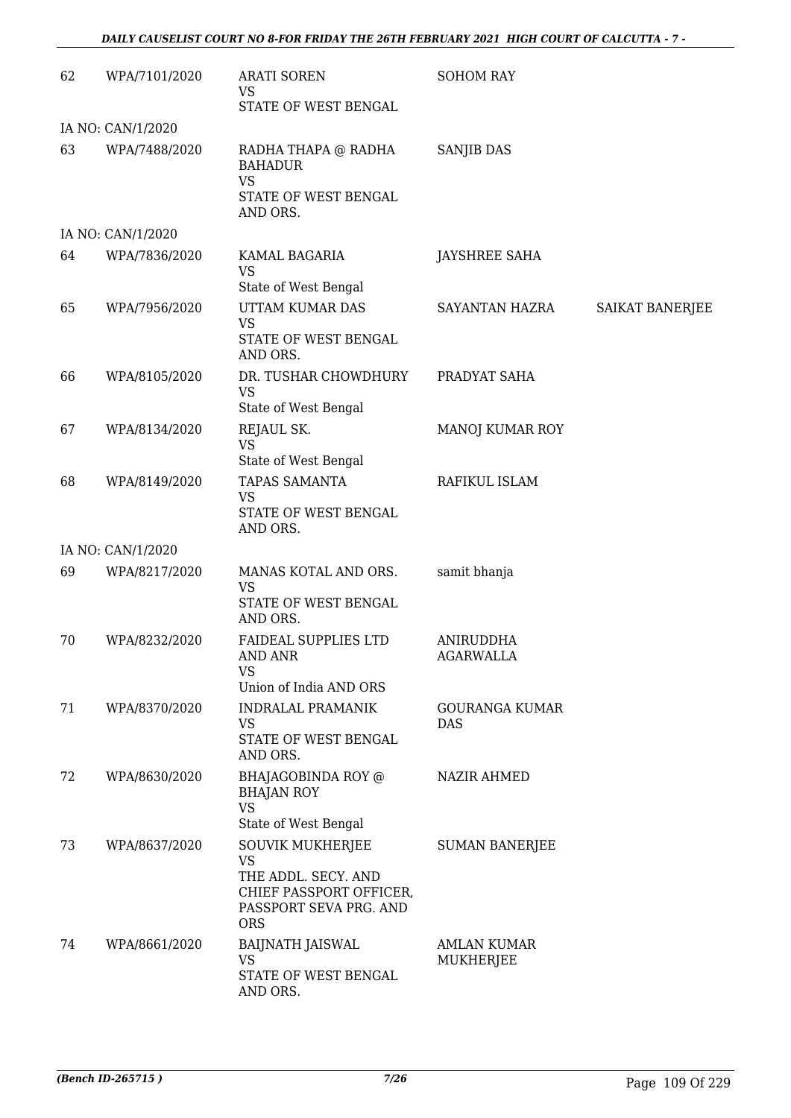| 62 | WPA/7101/2020     | <b>ARATI SOREN</b><br>VS<br>STATE OF WEST BENGAL                                                          | <b>SOHOM RAY</b>                    |                 |
|----|-------------------|-----------------------------------------------------------------------------------------------------------|-------------------------------------|-----------------|
|    | IA NO: CAN/1/2020 |                                                                                                           |                                     |                 |
| 63 | WPA/7488/2020     | RADHA THAPA @ RADHA<br><b>BAHADUR</b><br><b>VS</b><br>STATE OF WEST BENGAL<br>AND ORS.                    | <b>SANJIB DAS</b>                   |                 |
|    | IA NO: CAN/1/2020 |                                                                                                           |                                     |                 |
| 64 | WPA/7836/2020     | KAMAL BAGARIA<br>VS<br>State of West Bengal                                                               | JAYSHREE SAHA                       |                 |
| 65 | WPA/7956/2020     | UTTAM KUMAR DAS<br><b>VS</b><br>STATE OF WEST BENGAL<br>AND ORS.                                          | SAYANTAN HAZRA                      | SAIKAT BANERJEE |
| 66 | WPA/8105/2020     | DR. TUSHAR CHOWDHURY<br><b>VS</b><br>State of West Bengal                                                 | PRADYAT SAHA                        |                 |
| 67 | WPA/8134/2020     | REJAUL SK.<br><b>VS</b><br>State of West Bengal                                                           | MANOJ KUMAR ROY                     |                 |
| 68 | WPA/8149/2020     | TAPAS SAMANTA<br><b>VS</b><br>STATE OF WEST BENGAL<br>AND ORS.                                            | RAFIKUL ISLAM                       |                 |
|    | IA NO: CAN/1/2020 |                                                                                                           |                                     |                 |
| 69 | WPA/8217/2020     | MANAS KOTAL AND ORS.<br>VS<br>STATE OF WEST BENGAL<br>AND ORS.                                            | samit bhanja                        |                 |
| 70 | WPA/8232/2020     | <b>FAIDEAL SUPPLIES LTD</b><br>AND ANR<br><b>VS</b><br>Union of India AND ORS                             | ANIRUDDHA<br><b>AGARWALLA</b>       |                 |
| 71 | WPA/8370/2020     | <b>INDRALAL PRAMANIK</b><br><b>VS</b><br>STATE OF WEST BENGAL                                             | <b>GOURANGA KUMAR</b><br><b>DAS</b> |                 |
| 72 | WPA/8630/2020     | AND ORS.<br>BHAJAGOBINDA ROY @<br><b>BHAJAN ROY</b><br><b>VS</b><br>State of West Bengal                  | <b>NAZIR AHMED</b>                  |                 |
| 73 | WPA/8637/2020     | <b>SOUVIK MUKHERJEE</b><br>VS<br>THE ADDL. SECY. AND<br>CHIEF PASSPORT OFFICER,<br>PASSPORT SEVA PRG. AND | <b>SUMAN BANERJEE</b>               |                 |
| 74 | WPA/8661/2020     | <b>ORS</b><br>BAIJNATH JAISWAL<br><b>VS</b><br>STATE OF WEST BENGAL<br>AND ORS.                           | <b>AMLAN KUMAR</b><br>MUKHERJEE     |                 |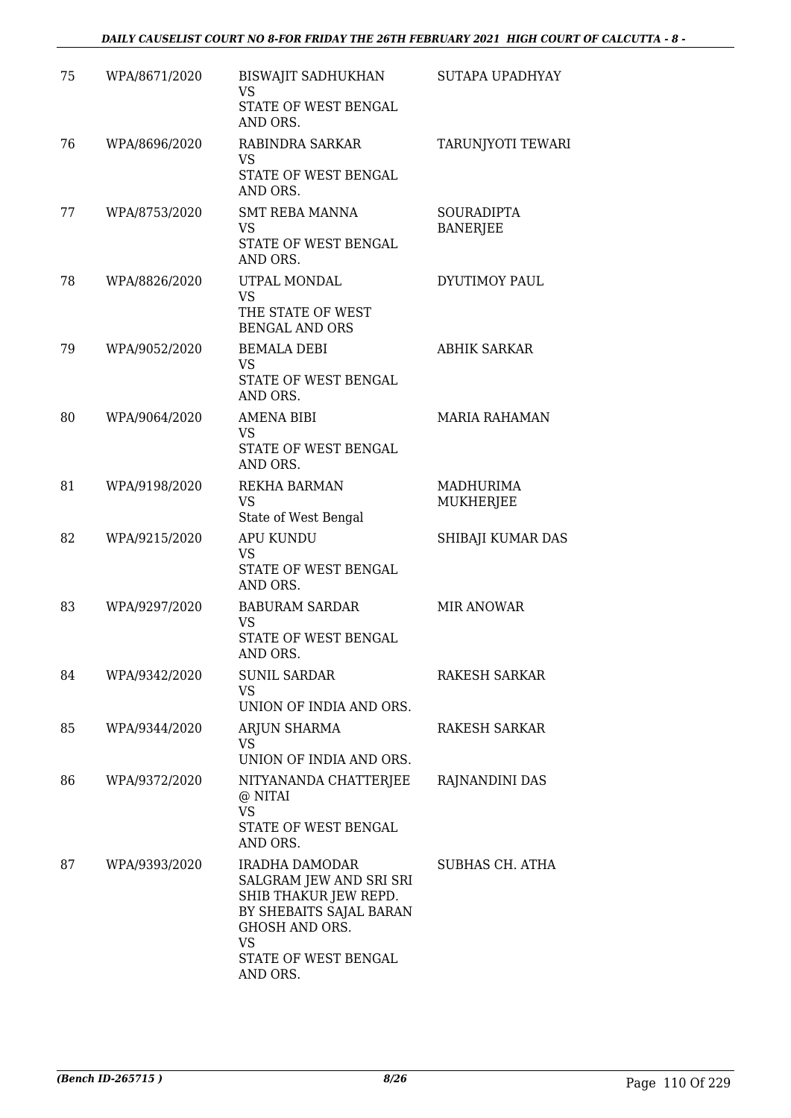| 75 | WPA/8671/2020 | <b>BISWAJIT SADHUKHAN</b><br><b>VS</b><br>STATE OF WEST BENGAL<br>AND ORS.                                                                                       | SUTAPA UPADHYAY                      |
|----|---------------|------------------------------------------------------------------------------------------------------------------------------------------------------------------|--------------------------------------|
| 76 | WPA/8696/2020 | RABINDRA SARKAR<br><b>VS</b><br>STATE OF WEST BENGAL<br>AND ORS.                                                                                                 | TARUNJYOTI TEWARI                    |
| 77 | WPA/8753/2020 | <b>SMT REBA MANNA</b><br>VS.<br>STATE OF WEST BENGAL<br>AND ORS.                                                                                                 | <b>SOURADIPTA</b><br><b>BANERJEE</b> |
| 78 | WPA/8826/2020 | UTPAL MONDAL<br>VS<br>THE STATE OF WEST<br><b>BENGAL AND ORS</b>                                                                                                 | DYUTIMOY PAUL                        |
| 79 | WPA/9052/2020 | <b>BEMALA DEBI</b><br><b>VS</b><br>STATE OF WEST BENGAL<br>AND ORS.                                                                                              | <b>ABHIK SARKAR</b>                  |
| 80 | WPA/9064/2020 | <b>AMENA BIBI</b><br>VS.<br>STATE OF WEST BENGAL<br>AND ORS.                                                                                                     | <b>MARIA RAHAMAN</b>                 |
| 81 | WPA/9198/2020 | REKHA BARMAN<br>VS<br>State of West Bengal                                                                                                                       | MADHURIMA<br>MUKHERJEE               |
| 82 | WPA/9215/2020 | <b>APU KUNDU</b><br><b>VS</b><br>STATE OF WEST BENGAL<br>AND ORS.                                                                                                | SHIBAJI KUMAR DAS                    |
| 83 | WPA/9297/2020 | <b>BABURAM SARDAR</b><br>VS<br>STATE OF WEST BENGAL<br>AND ORS.                                                                                                  | <b>MIR ANOWAR</b>                    |
| 84 | WPA/9342/2020 | <b>SUNIL SARDAR</b><br>VS.<br>UNION OF INDIA AND ORS.                                                                                                            | <b>RAKESH SARKAR</b>                 |
| 85 | WPA/9344/2020 | ARJUN SHARMA<br><b>VS</b><br>UNION OF INDIA AND ORS.                                                                                                             | RAKESH SARKAR                        |
| 86 | WPA/9372/2020 | NITYANANDA CHATTERJEE<br>@ NITAI<br>VS<br>STATE OF WEST BENGAL<br>AND ORS.                                                                                       | RAJNANDINI DAS                       |
| 87 | WPA/9393/2020 | IRADHA DAMODAR<br>SALGRAM JEW AND SRI SRI<br>SHIB THAKUR JEW REPD.<br>BY SHEBAITS SAJAL BARAN<br>GHOSH AND ORS.<br><b>VS</b><br>STATE OF WEST BENGAL<br>AND ORS. | SUBHAS CH. ATHA                      |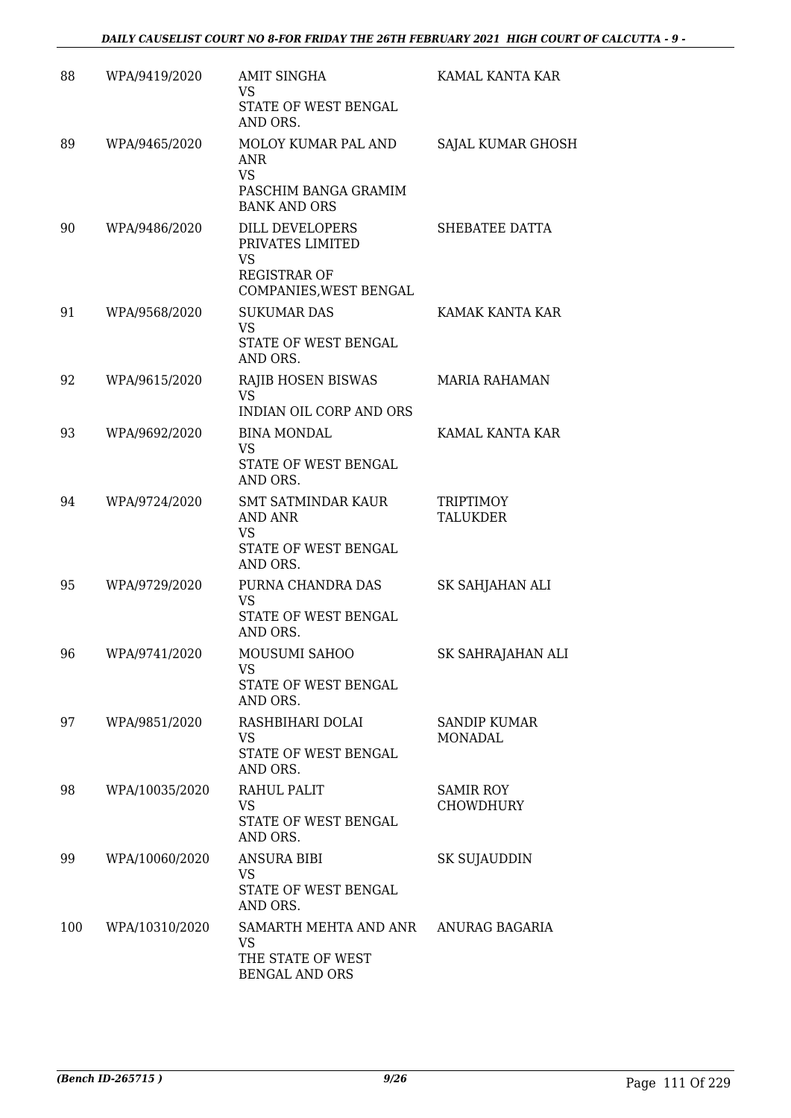| 88  | WPA/9419/2020  | <b>AMIT SINGHA</b><br>VS.<br>STATE OF WEST BENGAL<br>AND ORS.                                     | KAMAL KANTA KAR                      |
|-----|----------------|---------------------------------------------------------------------------------------------------|--------------------------------------|
| 89  | WPA/9465/2020  | MOLOY KUMAR PAL AND<br>ANR<br><b>VS</b><br>PASCHIM BANGA GRAMIM<br><b>BANK AND ORS</b>            | SAJAL KUMAR GHOSH                    |
| 90  | WPA/9486/2020  | DILL DEVELOPERS<br>PRIVATES LIMITED<br><b>VS</b><br><b>REGISTRAR OF</b><br>COMPANIES, WEST BENGAL | SHEBATEE DATTA                       |
| 91  | WPA/9568/2020  | <b>SUKUMAR DAS</b><br><b>VS</b><br>STATE OF WEST BENGAL<br>AND ORS.                               | KAMAK KANTA KAR                      |
| 92  | WPA/9615/2020  | RAJIB HOSEN BISWAS<br><b>VS</b><br><b>INDIAN OIL CORP AND ORS</b>                                 | <b>MARIA RAHAMAN</b>                 |
| 93  | WPA/9692/2020  | <b>BINA MONDAL</b><br><b>VS</b><br>STATE OF WEST BENGAL<br>AND ORS.                               | KAMAL KANTA KAR                      |
| 94  | WPA/9724/2020  | <b>SMT SATMINDAR KAUR</b><br><b>AND ANR</b><br><b>VS</b><br>STATE OF WEST BENGAL<br>AND ORS.      | <b>TRIPTIMOY</b><br><b>TALUKDER</b>  |
| 95  | WPA/9729/2020  | PURNA CHANDRA DAS<br><b>VS</b><br>STATE OF WEST BENGAL<br>AND ORS.                                | SK SAHJAHAN ALI                      |
| 96  | WPA/9741/2020  | MOUSUMI SAHOO<br>VS<br>STATE OF WEST BENGAL<br>AND ORS.                                           | SK SAHRAJAHAN ALI                    |
| 97  | WPA/9851/2020  | RASHBIHARI DOLAI<br>VS.<br>STATE OF WEST BENGAL<br>AND ORS.                                       | <b>SANDIP KUMAR</b><br>MONADAL       |
| 98  | WPA/10035/2020 | RAHUL PALIT<br><b>VS</b><br>STATE OF WEST BENGAL<br>AND ORS.                                      | <b>SAMIR ROY</b><br><b>CHOWDHURY</b> |
| 99  | WPA/10060/2020 | <b>ANSURA BIBI</b><br><b>VS</b><br>STATE OF WEST BENGAL<br>AND ORS.                               | SK SUJAUDDIN                         |
| 100 | WPA/10310/2020 | SAMARTH MEHTA AND ANR ANURAG BAGARIA<br><b>VS</b><br>THE STATE OF WEST<br>BENGAL AND ORS          |                                      |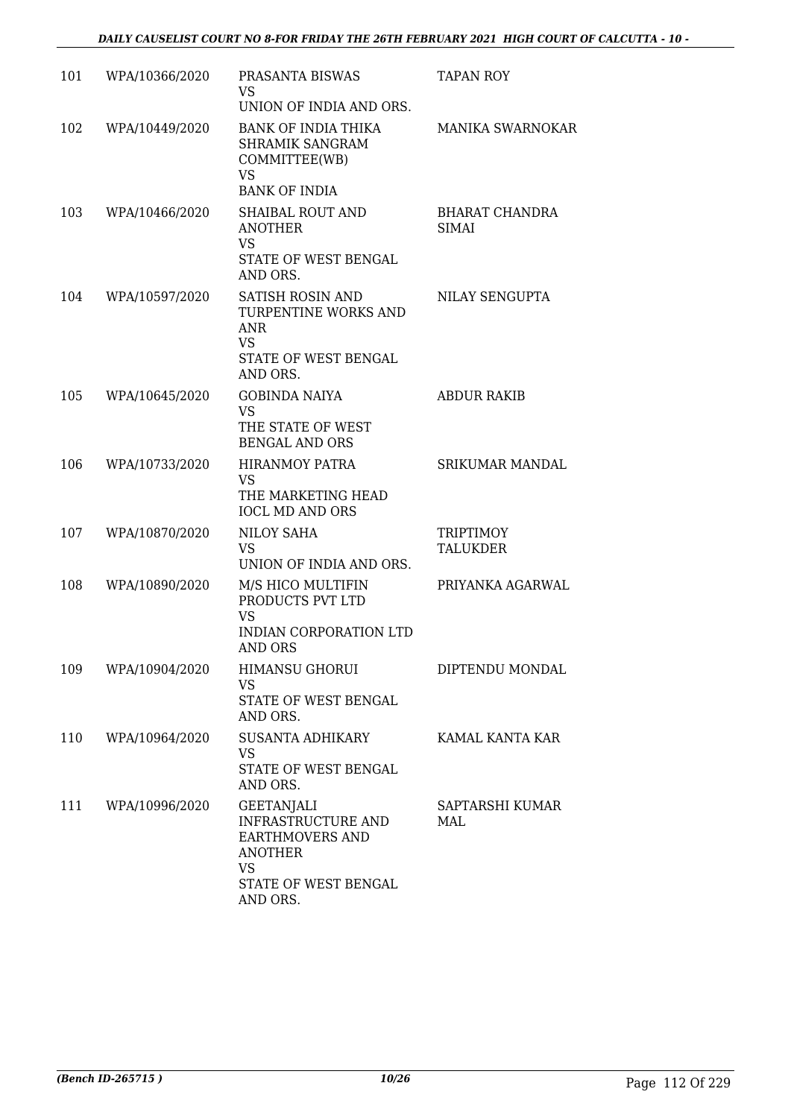| 101 | WPA/10366/2020 | PRASANTA BISWAS<br>VS.<br>UNION OF INDIA AND ORS.                                                                                    | <b>TAPAN ROY</b>                      |
|-----|----------------|--------------------------------------------------------------------------------------------------------------------------------------|---------------------------------------|
| 102 | WPA/10449/2020 | <b>BANK OF INDIA THIKA</b><br>SHRAMIK SANGRAM<br>COMMITTEE(WB)<br><b>VS</b><br><b>BANK OF INDIA</b>                                  | <b>MANIKA SWARNOKAR</b>               |
| 103 | WPA/10466/2020 | <b>SHAIBAL ROUT AND</b><br><b>ANOTHER</b><br><b>VS</b><br>STATE OF WEST BENGAL<br>AND ORS.                                           | <b>BHARAT CHANDRA</b><br><b>SIMAI</b> |
| 104 | WPA/10597/2020 | SATISH ROSIN AND<br>TURPENTINE WORKS AND<br><b>ANR</b><br><b>VS</b><br>STATE OF WEST BENGAL<br>AND ORS.                              | NILAY SENGUPTA                        |
| 105 | WPA/10645/2020 | <b>GOBINDA NAIYA</b><br><b>VS</b><br>THE STATE OF WEST<br><b>BENGAL AND ORS</b>                                                      | <b>ABDUR RAKIB</b>                    |
| 106 | WPA/10733/2020 | <b>HIRANMOY PATRA</b><br><b>VS</b><br>THE MARKETING HEAD<br><b>IOCL MD AND ORS</b>                                                   | <b>SRIKUMAR MANDAL</b>                |
| 107 | WPA/10870/2020 | NILOY SAHA<br><b>VS</b><br>UNION OF INDIA AND ORS.                                                                                   | <b>TRIPTIMOY</b><br>TALUKDER          |
| 108 | WPA/10890/2020 | M/S HICO MULTIFIN<br>PRODUCTS PVT LTD<br><b>VS</b><br>INDIAN CORPORATION LTD<br><b>AND ORS</b>                                       | PRIYANKA AGARWAL                      |
| 109 | WPA/10904/2020 | <b>HIMANSU GHORUI</b><br>VS<br>STATE OF WEST BENGAL<br>AND ORS.                                                                      | DIPTENDU MONDAL                       |
| 110 | WPA/10964/2020 | SUSANTA ADHIKARY<br>VS<br>STATE OF WEST BENGAL<br>AND ORS.                                                                           | KAMAL KANTA KAR                       |
| 111 | WPA/10996/2020 | <b>GEETANJALI</b><br><b>INFRASTRUCTURE AND</b><br><b>EARTHMOVERS AND</b><br><b>ANOTHER</b><br>VS<br>STATE OF WEST BENGAL<br>AND ORS. | SAPTARSHI KUMAR<br>MAL                |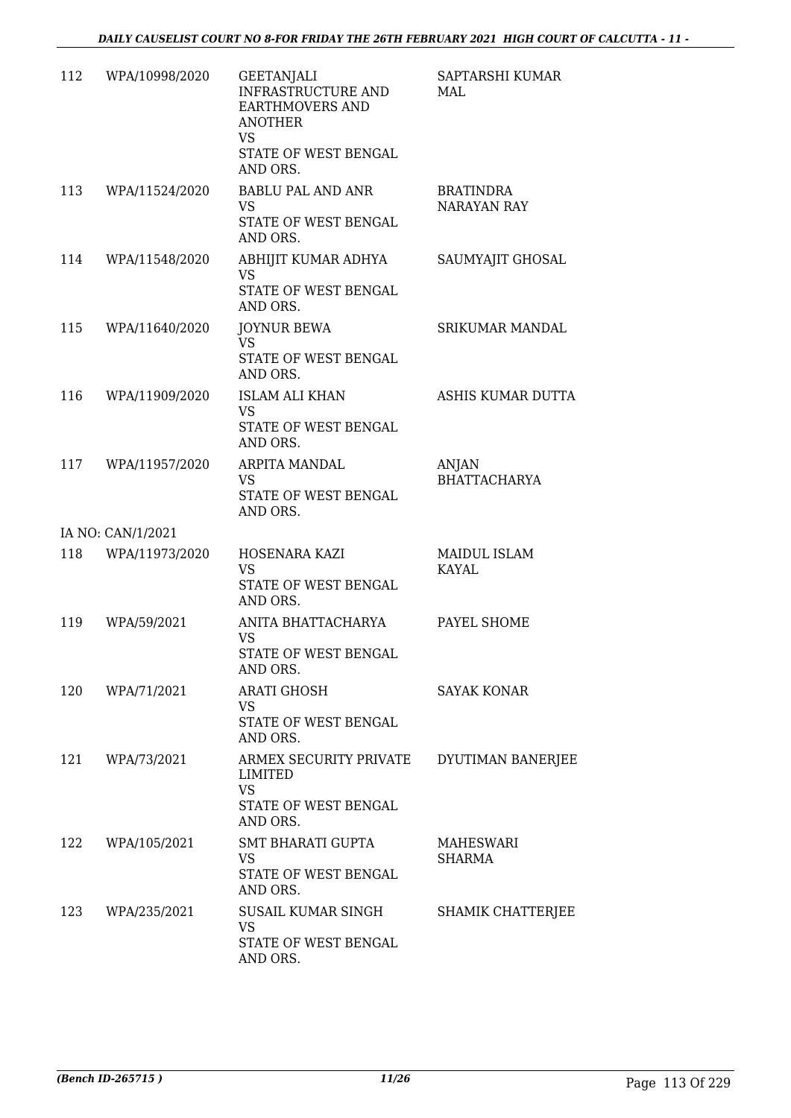| 112 | WPA/10998/2020    | <b>GEETANJALI</b><br>INFRASTRUCTURE AND<br>EARTHMOVERS AND<br><b>ANOTHER</b><br>VS<br>STATE OF WEST BENGAL | SAPTARSHI KUMAR<br>MAL          |
|-----|-------------------|------------------------------------------------------------------------------------------------------------|---------------------------------|
| 113 | WPA/11524/2020    | AND ORS.<br><b>BABLU PAL AND ANR</b><br>VS.<br>STATE OF WEST BENGAL<br>AND ORS.                            | <b>BRATINDRA</b><br>NARAYAN RAY |
| 114 | WPA/11548/2020    | ABHIJIT KUMAR ADHYA<br><b>VS</b><br>STATE OF WEST BENGAL<br>AND ORS.                                       | SAUMYAJIT GHOSAL                |
| 115 | WPA/11640/2020    | <b>JOYNUR BEWA</b><br><b>VS</b><br>STATE OF WEST BENGAL<br>AND ORS.                                        | <b>SRIKUMAR MANDAL</b>          |
| 116 | WPA/11909/2020    | <b>ISLAM ALI KHAN</b><br><b>VS</b><br>STATE OF WEST BENGAL<br>AND ORS.                                     | ASHIS KUMAR DUTTA               |
| 117 | WPA/11957/2020    | ARPITA MANDAL<br><b>VS</b><br>STATE OF WEST BENGAL<br>AND ORS.                                             | ANJAN<br><b>BHATTACHARYA</b>    |
|     | IA NO: CAN/1/2021 |                                                                                                            |                                 |
| 118 | WPA/11973/2020    | HOSENARA KAZI<br><b>VS</b><br>STATE OF WEST BENGAL<br>AND ORS.                                             | MAIDUL ISLAM<br><b>KAYAL</b>    |
| 119 | WPA/59/2021       | ANITA BHATTACHARYA<br><b>VS</b><br>STATE OF WEST BENGAL<br>AND ORS.                                        | PAYEL SHOME                     |
|     | 120 WPA/71/2021   | <b>ARATI GHOSH</b><br><b>VS</b><br>STATE OF WEST BENGAL<br>AND ORS.                                        | SAYAK KONAR                     |
| 121 | WPA/73/2021       | ARMEX SECURITY PRIVATE<br>LIMITED<br><b>VS</b><br>STATE OF WEST BENGAL<br>AND ORS.                         | DYUTIMAN BANERJEE               |
| 122 | WPA/105/2021      | <b>SMT BHARATI GUPTA</b><br><b>VS</b><br>STATE OF WEST BENGAL<br>AND ORS.                                  | MAHESWARI<br><b>SHARMA</b>      |
| 123 | WPA/235/2021      | SUSAIL KUMAR SINGH<br>VS<br>STATE OF WEST BENGAL<br>AND ORS.                                               | SHAMIK CHATTERJEE               |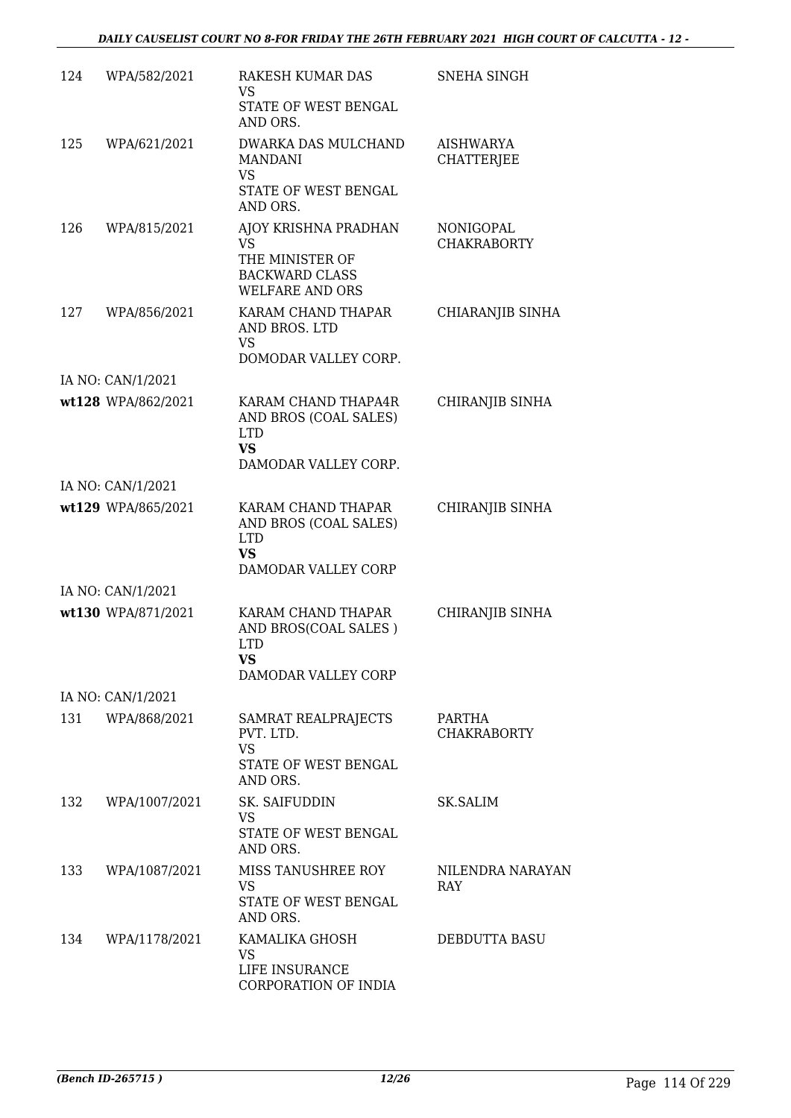| 124 | WPA/582/2021       | <b>RAKESH KUMAR DAS</b><br>VS<br>STATE OF WEST BENGAL<br>AND ORS.                                 | <b>SNEHA SINGH</b>                     |
|-----|--------------------|---------------------------------------------------------------------------------------------------|----------------------------------------|
| 125 | WPA/621/2021       | DWARKA DAS MULCHAND<br><b>MANDANI</b><br><b>VS</b><br>STATE OF WEST BENGAL                        | AISHWARYA<br><b>CHATTERJEE</b>         |
|     |                    | AND ORS.                                                                                          |                                        |
| 126 | WPA/815/2021       | AJOY KRISHNA PRADHAN<br>VS.<br>THE MINISTER OF<br><b>BACKWARD CLASS</b><br><b>WELFARE AND ORS</b> | <b>NONIGOPAL</b><br><b>CHAKRABORTY</b> |
| 127 | WPA/856/2021       | KARAM CHAND THAPAR<br>AND BROS. LTD<br>VS<br>DOMODAR VALLEY CORP.                                 | CHIARANJIB SINHA                       |
|     | IA NO: CAN/1/2021  |                                                                                                   |                                        |
|     | wt128 WPA/862/2021 | KARAM CHAND THAPA4R<br>AND BROS (COAL SALES)<br><b>LTD</b><br><b>VS</b><br>DAMODAR VALLEY CORP.   | CHIRANJIB SINHA                        |
|     | IA NO: CAN/1/2021  |                                                                                                   |                                        |
|     | wt129 WPA/865/2021 | KARAM CHAND THAPAR<br>AND BROS (COAL SALES)<br><b>LTD</b><br>VS<br>DAMODAR VALLEY CORP            | CHIRANJIB SINHA                        |
|     | IA NO: CAN/1/2021  |                                                                                                   |                                        |
|     | wt130 WPA/871/2021 | KARAM CHAND THAPAR<br>AND BROS(COAL SALES)<br><b>LTD</b><br><b>VS</b><br>DAMODAR VALLEY CORP      | CHIRANJIB SINHA                        |
|     | IA NO: CAN/1/2021  |                                                                                                   |                                        |
|     | 131 WPA/868/2021   | SAMRAT REALPRAJECTS<br>PVT. LTD.<br>VS.<br>STATE OF WEST BENGAL<br>AND ORS.                       | PARTHA<br><b>CHAKRABORTY</b>           |
| 132 | WPA/1007/2021      | SK. SAIFUDDIN<br>VS<br>STATE OF WEST BENGAL<br>AND ORS.                                           | SK.SALIM                               |
| 133 | WPA/1087/2021      | MISS TANUSHREE ROY<br><b>VS</b><br>STATE OF WEST BENGAL<br>AND ORS.                               | NILENDRA NARAYAN<br><b>RAY</b>         |
| 134 | WPA/1178/2021      | KAMALIKA GHOSH<br>VS<br>LIFE INSURANCE<br>CORPORATION OF INDIA                                    | DEBDUTTA BASU                          |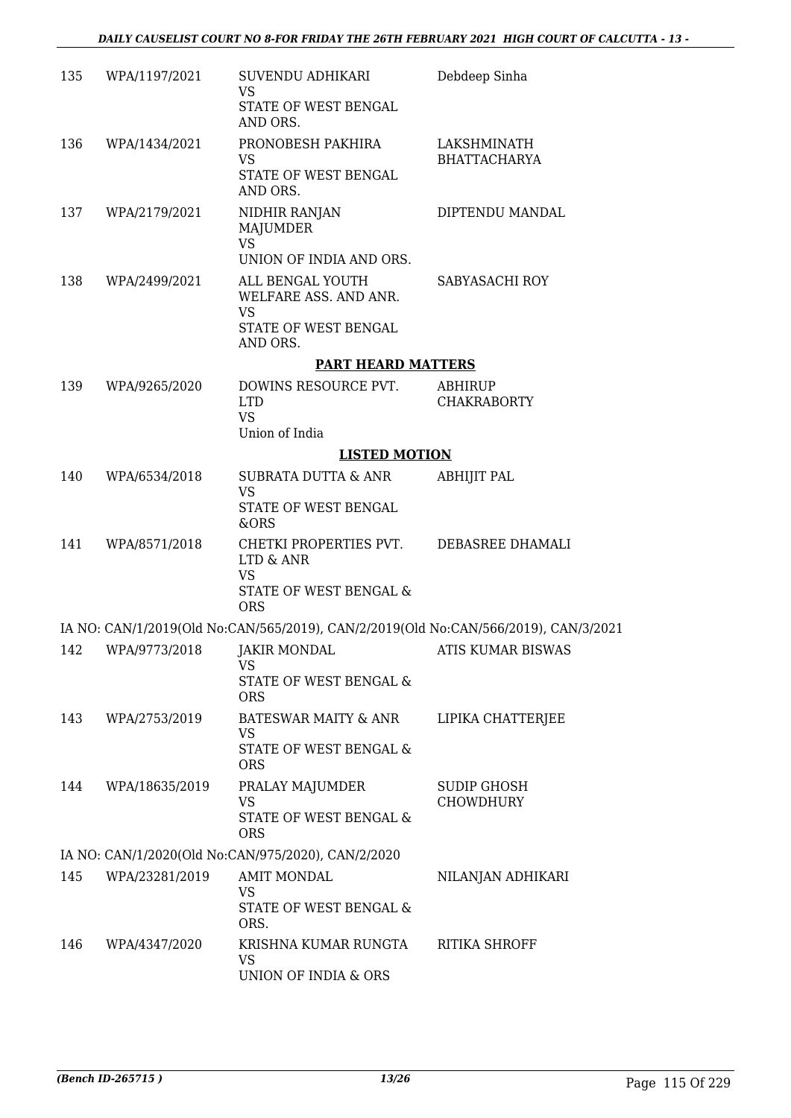| 135 | WPA/1197/2021  | SUVENDU ADHIKARI<br><b>VS</b><br>STATE OF WEST BENGAL<br>AND ORS.                                                 | Debdeep Sinha                      |
|-----|----------------|-------------------------------------------------------------------------------------------------------------------|------------------------------------|
| 136 | WPA/1434/2021  | PRONOBESH PAKHIRA<br>VS.<br>STATE OF WEST BENGAL<br>AND ORS.                                                      | LAKSHMINATH<br><b>BHATTACHARYA</b> |
| 137 | WPA/2179/2021  | NIDHIR RANJAN<br>MAJUMDER<br><b>VS</b><br>UNION OF INDIA AND ORS.                                                 | DIPTENDU MANDAL                    |
| 138 | WPA/2499/2021  | ALL BENGAL YOUTH<br>WELFARE ASS. AND ANR.<br><b>VS</b><br>STATE OF WEST BENGAL<br>AND ORS.                        | SABYASACHI ROY                     |
|     |                | <b>PART HEARD MATTERS</b>                                                                                         |                                    |
| 139 | WPA/9265/2020  | DOWINS RESOURCE PVT.<br><b>LTD</b><br><b>VS</b><br>Union of India                                                 | ABHIRUP<br><b>CHAKRABORTY</b>      |
|     |                | <b>LISTED MOTION</b>                                                                                              |                                    |
| 140 | WPA/6534/2018  | SUBRATA DUTTA & ANR<br><b>VS</b><br>STATE OF WEST BENGAL                                                          | <b>ABHIJIT PAL</b>                 |
| 141 | WPA/8571/2018  | &ORS<br>CHETKI PROPERTIES PVT. DEBASREE DHAMALI<br>LTD & ANR<br><b>VS</b><br>STATE OF WEST BENGAL &<br><b>ORS</b> |                                    |
|     |                | IA NO: CAN/1/2019(Old No:CAN/565/2019), CAN/2/2019(Old No:CAN/566/2019), CAN/3/2021                               |                                    |
| 142 | WPA/9773/2018  | JAKIR MONDAL<br>VS<br>STATE OF WEST BENGAL &<br><b>ORS</b>                                                        | ATIS KUMAR BISWAS                  |
| 143 | WPA/2753/2019  | BATESWAR MAITY & ANR<br><b>VS</b><br>STATE OF WEST BENGAL &<br><b>ORS</b>                                         | LIPIKA CHATTERJEE                  |
| 144 | WPA/18635/2019 | PRALAY MAJUMDER<br>VS<br>STATE OF WEST BENGAL &<br><b>ORS</b>                                                     | SUDIP GHOSH<br><b>CHOWDHURY</b>    |
|     |                | IA NO: CAN/1/2020(Old No:CAN/975/2020), CAN/2/2020                                                                |                                    |
| 145 | WPA/23281/2019 | <b>AMIT MONDAL</b><br><b>VS</b><br>STATE OF WEST BENGAL &<br>ORS.                                                 | NILANJAN ADHIKARI                  |
| 146 | WPA/4347/2020  | KRISHNA KUMAR RUNGTA<br><b>VS</b><br>UNION OF INDIA & ORS                                                         | RITIKA SHROFF                      |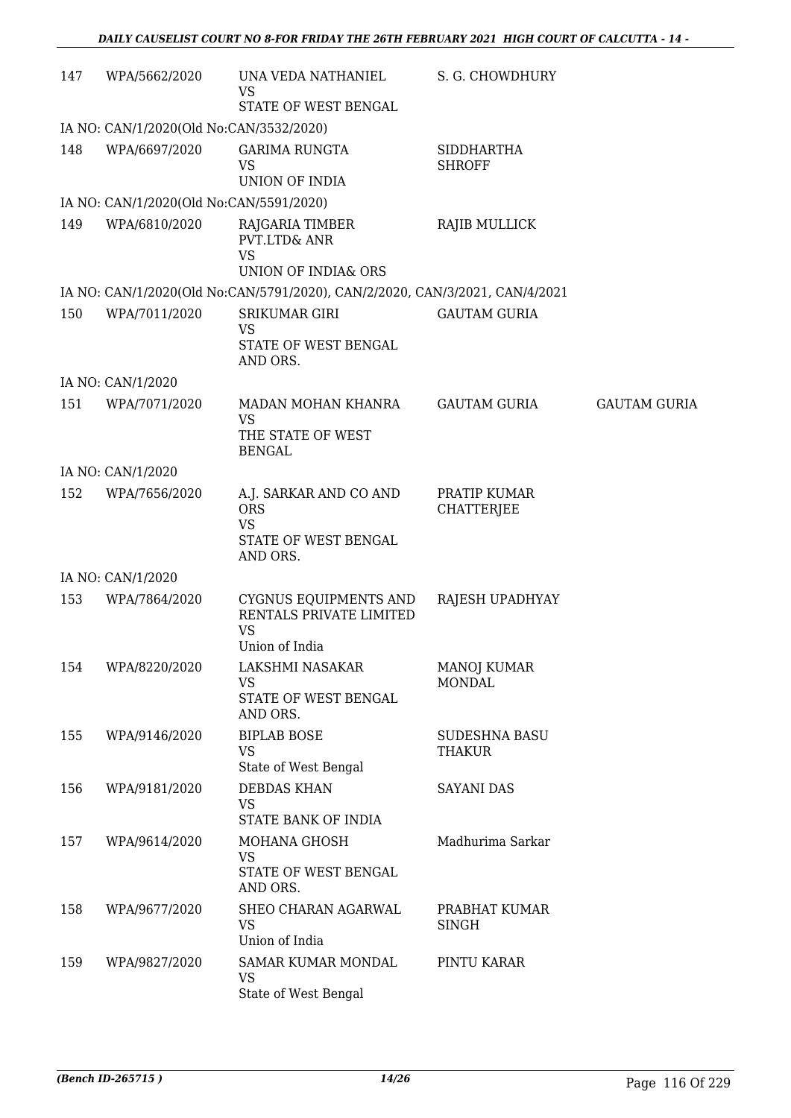| 147 | WPA/5662/2020                           | UNA VEDA NATHANIEL<br>VS<br>STATE OF WEST BENGAL                                      | S. G. CHOWDHURY                     |                     |
|-----|-----------------------------------------|---------------------------------------------------------------------------------------|-------------------------------------|---------------------|
|     | IA NO: CAN/1/2020(Old No:CAN/3532/2020) |                                                                                       |                                     |                     |
| 148 | WPA/6697/2020                           | <b>GARIMA RUNGTA</b><br><b>VS</b><br><b>UNION OF INDIA</b>                            | <b>SIDDHARTHA</b><br><b>SHROFF</b>  |                     |
|     | IA NO: CAN/1/2020(Old No:CAN/5591/2020) |                                                                                       |                                     |                     |
| 149 | WPA/6810/2020                           | RAJGARIA TIMBER<br><b>PVT.LTD&amp; ANR</b><br><b>VS</b>                               | RAJIB MULLICK                       |                     |
|     |                                         | <b>UNION OF INDIA&amp; ORS</b>                                                        |                                     |                     |
|     |                                         | IA NO: CAN/1/2020(Old No:CAN/5791/2020), CAN/2/2020, CAN/3/2021, CAN/4/2021           |                                     |                     |
| 150 | WPA/7011/2020                           | <b>SRIKUMAR GIRI</b><br><b>VS</b><br>STATE OF WEST BENGAL<br>AND ORS.                 | <b>GAUTAM GURIA</b>                 |                     |
|     | IA NO: CAN/1/2020                       |                                                                                       |                                     |                     |
| 151 | WPA/7071/2020                           | MADAN MOHAN KHANRA<br><b>VS</b><br>THE STATE OF WEST<br><b>BENGAL</b>                 | <b>GAUTAM GURIA</b>                 | <b>GAUTAM GURIA</b> |
|     | IA NO: CAN/1/2020                       |                                                                                       |                                     |                     |
| 152 | WPA/7656/2020                           | A.J. SARKAR AND CO AND<br><b>ORS</b><br><b>VS</b><br>STATE OF WEST BENGAL<br>AND ORS. | PRATIP KUMAR<br><b>CHATTERJEE</b>   |                     |
|     | IA NO: CAN/1/2020                       |                                                                                       |                                     |                     |
| 153 | WPA/7864/2020                           | CYGNUS EQUIPMENTS AND<br>RENTALS PRIVATE LIMITED<br><b>VS</b><br>Union of India       | RAJESH UPADHYAY                     |                     |
| 154 | WPA/8220/2020                           | LAKSHMI NASAKAR<br>VS<br>STATE OF WEST BENGAL<br>AND ORS.                             | <b>MANOJ KUMAR</b><br><b>MONDAL</b> |                     |
| 155 | WPA/9146/2020                           | <b>BIPLAB BOSE</b><br><b>VS</b><br>State of West Bengal                               | SUDESHNA BASU<br>THAKUR             |                     |
| 156 | WPA/9181/2020                           | <b>DEBDAS KHAN</b><br><b>VS</b><br>STATE BANK OF INDIA                                | <b>SAYANI DAS</b>                   |                     |
| 157 | WPA/9614/2020                           | MOHANA GHOSH<br><b>VS</b><br>STATE OF WEST BENGAL<br>AND ORS.                         | Madhurima Sarkar                    |                     |
| 158 | WPA/9677/2020                           | SHEO CHARAN AGARWAL<br>VS<br>Union of India                                           | PRABHAT KUMAR<br><b>SINGH</b>       |                     |
| 159 | WPA/9827/2020                           | <b>SAMAR KUMAR MONDAL</b><br><b>VS</b><br>State of West Bengal                        | PINTU KARAR                         |                     |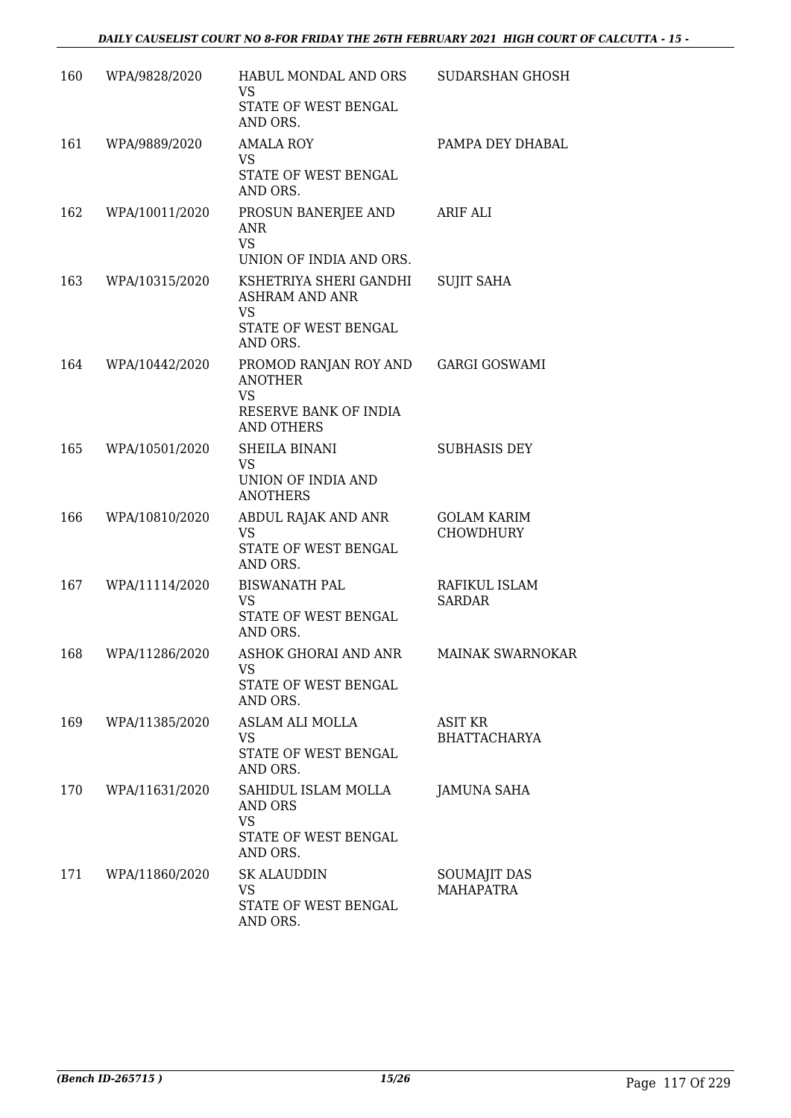| 160 | WPA/9828/2020  | HABUL MONDAL AND ORS<br>VS<br>STATE OF WEST BENGAL<br>AND ORS.                                   | SUDARSHAN GHOSH                         |
|-----|----------------|--------------------------------------------------------------------------------------------------|-----------------------------------------|
| 161 | WPA/9889/2020  | <b>AMALA ROY</b><br>VS.<br>STATE OF WEST BENGAL<br>AND ORS.                                      | PAMPA DEY DHABAL                        |
| 162 | WPA/10011/2020 | PROSUN BANERJEE AND<br><b>ANR</b><br><b>VS</b><br>UNION OF INDIA AND ORS.                        | ARIF ALI                                |
| 163 | WPA/10315/2020 | KSHETRIYA SHERI GANDHI<br><b>ASHRAM AND ANR</b><br><b>VS</b><br>STATE OF WEST BENGAL<br>AND ORS. | <b>SUJIT SAHA</b>                       |
| 164 | WPA/10442/2020 | PROMOD RANJAN ROY AND<br><b>ANOTHER</b><br><b>VS</b><br>RESERVE BANK OF INDIA<br>AND OTHERS      | <b>GARGI GOSWAMI</b>                    |
| 165 | WPA/10501/2020 | SHEILA BINANI<br><b>VS</b><br>UNION OF INDIA AND<br><b>ANOTHERS</b>                              | SUBHASIS DEY                            |
| 166 | WPA/10810/2020 | ABDUL RAJAK AND ANR<br><b>VS</b><br>STATE OF WEST BENGAL<br>AND ORS.                             | <b>GOLAM KARIM</b><br><b>CHOWDHURY</b>  |
| 167 | WPA/11114/2020 | <b>BISWANATH PAL</b><br>VS<br>STATE OF WEST BENGAL<br>AND ORS.                                   | RAFIKUL ISLAM<br>SARDAR                 |
| 168 | WPA/11286/2020 | ASHOK GHORAI AND ANR<br>VS.<br>STATE OF WEST BENGAL<br>AND ORS.                                  | <b>MAINAK SWARNOKAR</b>                 |
| 169 | WPA/11385/2020 | <b>ASLAM ALI MOLLA</b><br><b>VS</b><br>STATE OF WEST BENGAL<br>AND ORS.                          | ASIT KR<br><b>BHATTACHARYA</b>          |
| 170 | WPA/11631/2020 | SAHIDUL ISLAM MOLLA<br>AND ORS<br><b>VS</b><br>STATE OF WEST BENGAL<br>AND ORS.                  | JAMUNA SAHA                             |
| 171 | WPA/11860/2020 | <b>SK ALAUDDIN</b><br><b>VS</b><br>STATE OF WEST BENGAL<br>AND ORS.                              | <b>SOUMAJIT DAS</b><br><b>MAHAPATRA</b> |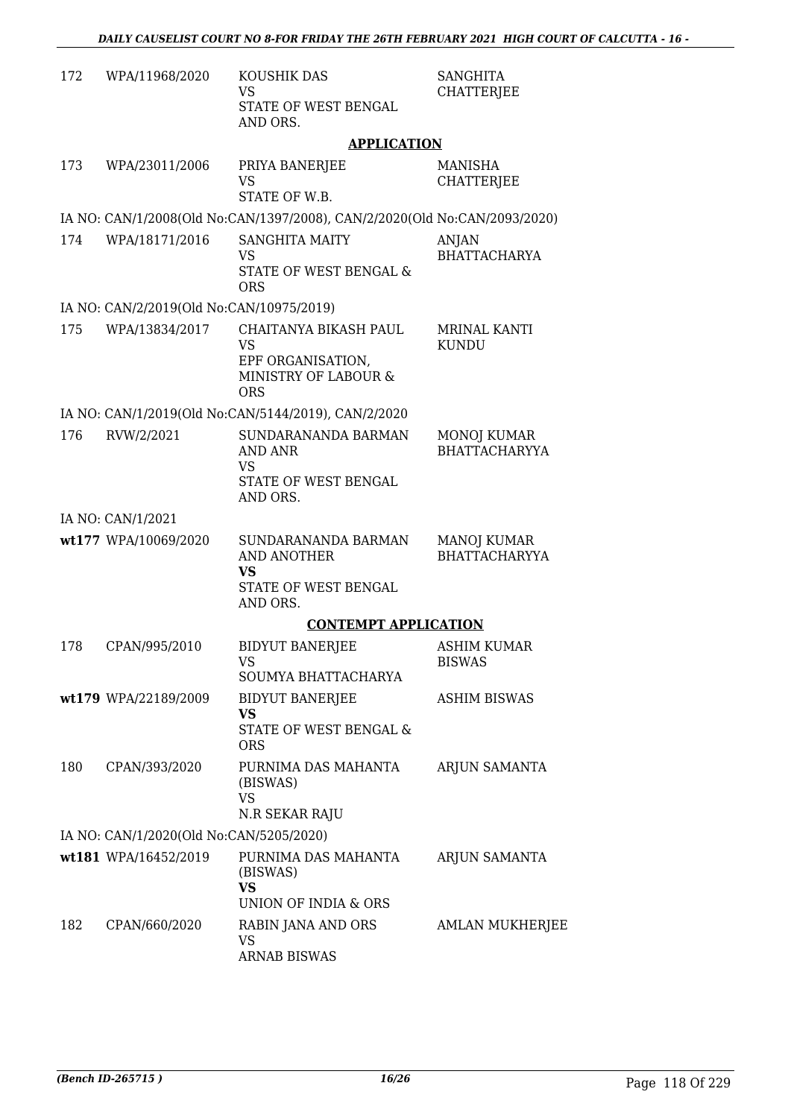| 172 | WPA/11968/2020                           | KOUSHIK DAS<br>VS<br>STATE OF WEST BENGAL<br>AND ORS.                                         | <b>SANGHITA</b><br><b>CHATTERJEE</b>       |
|-----|------------------------------------------|-----------------------------------------------------------------------------------------------|--------------------------------------------|
|     |                                          | <b>APPLICATION</b>                                                                            |                                            |
| 173 | WPA/23011/2006                           | PRIYA BANERJEE<br><b>VS</b><br>STATE OF W.B.                                                  | <b>MANISHA</b><br><b>CHATTERJEE</b>        |
|     |                                          | IA NO: CAN/1/2008(Old No:CAN/1397/2008), CAN/2/2020(Old No:CAN/2093/2020)                     |                                            |
| 174 | WPA/18171/2016                           | <b>SANGHITA MAITY</b><br>VS<br>STATE OF WEST BENGAL &<br><b>ORS</b>                           | ANJAN<br><b>BHATTACHARYA</b>               |
|     | IA NO: CAN/2/2019(Old No:CAN/10975/2019) |                                                                                               |                                            |
| 175 | WPA/13834/2017                           | CHAITANYA BIKASH PAUL<br><b>VS</b><br>EPF ORGANISATION,<br>MINISTRY OF LABOUR &<br><b>ORS</b> | MRINAL KANTI<br><b>KUNDU</b>               |
|     |                                          | IA NO: CAN/1/2019(Old No:CAN/5144/2019), CAN/2/2020                                           |                                            |
| 176 | RVW/2/2021                               | SUNDARANANDA BARMAN<br>AND ANR<br>VS<br>STATE OF WEST BENGAL<br>AND ORS.                      | <b>MONOJ KUMAR</b><br><b>BHATTACHARYYA</b> |
|     | IA NO: CAN/1/2021                        |                                                                                               |                                            |
|     | wt177 WPA/10069/2020                     | SUNDARANANDA BARMAN<br>AND ANOTHER<br><b>VS</b><br>STATE OF WEST BENGAL<br>AND ORS.           | <b>MANOJ KUMAR</b><br><b>BHATTACHARYYA</b> |
|     |                                          | <b>CONTEMPT APPLICATION</b>                                                                   |                                            |
| 178 | CPAN/995/2010                            | <b>BIDYUT BANERJEE</b><br><b>VS</b><br>SOUMYA BHATTACHARYA                                    | <b>ASHIM KUMAR</b><br><b>BISWAS</b>        |
|     | wt179 WPA/22189/2009                     | <b>BIDYUT BANERJEE</b><br><b>VS</b><br>STATE OF WEST BENGAL &<br><b>ORS</b>                   | <b>ASHIM BISWAS</b>                        |
| 180 | CPAN/393/2020                            | PURNIMA DAS MAHANTA<br>(BISWAS)<br><b>VS</b><br>N.R SEKAR RAJU                                | ARJUN SAMANTA                              |
|     | IA NO: CAN/1/2020(Old No:CAN/5205/2020)  |                                                                                               |                                            |
|     | wt181 WPA/16452/2019                     | PURNIMA DAS MAHANTA<br>(BISWAS)<br><b>VS</b><br>UNION OF INDIA & ORS                          | ARJUN SAMANTA                              |
| 182 | CPAN/660/2020                            | RABIN JANA AND ORS<br><b>VS</b><br>ARNAB BISWAS                                               | <b>AMLAN MUKHERJEE</b>                     |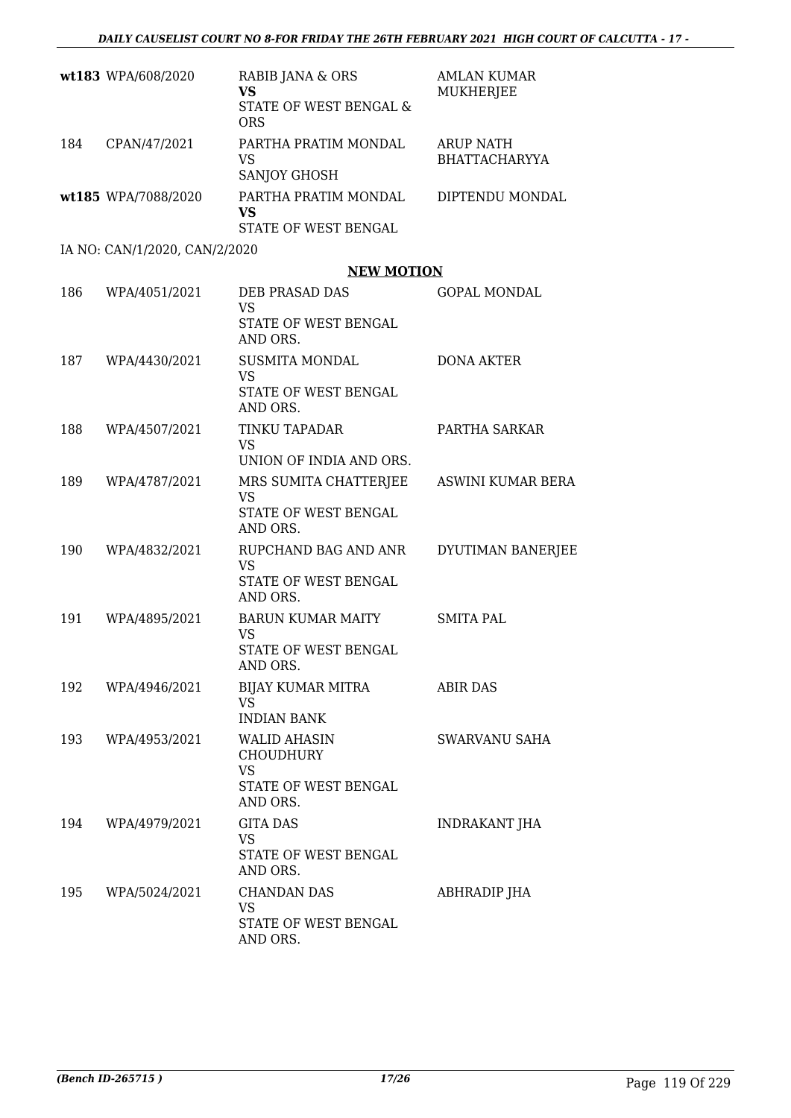|     | wt183 WPA/608/2020            | RABIB JANA & ORS<br><b>VS</b><br>STATE OF WEST BENGAL &<br><b>ORS</b>                    | <b>AMLAN KUMAR</b><br>MUKHERJEE          |
|-----|-------------------------------|------------------------------------------------------------------------------------------|------------------------------------------|
| 184 | CPAN/47/2021                  | PARTHA PRATIM MONDAL<br><b>VS</b><br>SANJOY GHOSH                                        | <b>ARUP NATH</b><br><b>BHATTACHARYYA</b> |
|     | wt185 WPA/7088/2020           | PARTHA PRATIM MONDAL<br>VS<br>STATE OF WEST BENGAL                                       | DIPTENDU MONDAL                          |
|     | IA NO: CAN/1/2020, CAN/2/2020 |                                                                                          |                                          |
|     |                               | <b>NEW MOTION</b>                                                                        |                                          |
| 186 | WPA/4051/2021                 | DEB PRASAD DAS<br><b>VS</b><br>STATE OF WEST BENGAL<br>AND ORS.                          | <b>GOPAL MONDAL</b>                      |
| 187 | WPA/4430/2021                 | <b>SUSMITA MONDAL</b><br><b>VS</b><br>STATE OF WEST BENGAL<br>AND ORS.                   | <b>DONA AKTER</b>                        |
| 188 | WPA/4507/2021                 | <b>TINKU TAPADAR</b><br>VS.<br>UNION OF INDIA AND ORS.                                   | PARTHA SARKAR                            |
| 189 | WPA/4787/2021                 | MRS SUMITA CHATTERJEE<br>VS<br>STATE OF WEST BENGAL<br>AND ORS.                          | ASWINI KUMAR BERA                        |
| 190 | WPA/4832/2021                 | RUPCHAND BAG AND ANR<br>VS<br>STATE OF WEST BENGAL<br>AND ORS.                           | DYUTIMAN BANERJEE                        |
| 191 | WPA/4895/2021                 | BARUN KUMAR MAITY<br><b>VS</b><br>STATE OF WEST BENGAL<br>AND ORS.                       | <b>SMITA PAL</b>                         |
| 192 | WPA/4946/2021                 | BIJAY KUMAR MITRA<br>VS.<br><b>INDIAN BANK</b>                                           | <b>ABIR DAS</b>                          |
| 193 | WPA/4953/2021                 | <b>WALID AHASIN</b><br><b>CHOUDHURY</b><br><b>VS</b><br>STATE OF WEST BENGAL<br>AND ORS. | SWARVANU SAHA                            |
| 194 | WPA/4979/2021                 | <b>GITA DAS</b><br>VS<br>STATE OF WEST BENGAL<br>AND ORS.                                | INDRAKANT JHA                            |
| 195 | WPA/5024/2021                 | <b>CHANDAN DAS</b><br>VS<br>STATE OF WEST BENGAL<br>AND ORS.                             | ABHRADIP JHA                             |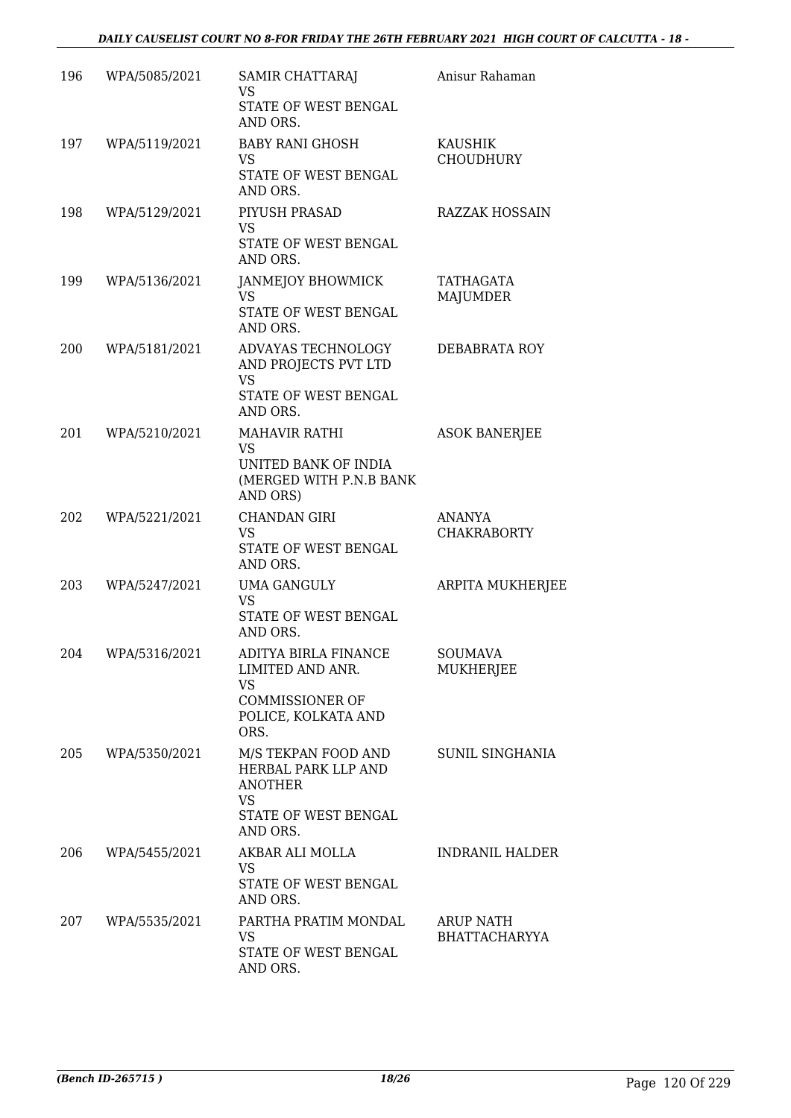| 196 | WPA/5085/2021 | SAMIR CHATTARAJ<br>VS<br>STATE OF WEST BENGAL<br>AND ORS.                                                | Anisur Rahaman                     |
|-----|---------------|----------------------------------------------------------------------------------------------------------|------------------------------------|
| 197 | WPA/5119/2021 | <b>BABY RANI GHOSH</b><br><b>VS</b><br>STATE OF WEST BENGAL<br>AND ORS.                                  | <b>KAUSHIK</b><br><b>CHOUDHURY</b> |
| 198 | WPA/5129/2021 | PIYUSH PRASAD<br><b>VS</b><br>STATE OF WEST BENGAL<br>AND ORS.                                           | <b>RAZZAK HOSSAIN</b>              |
| 199 | WPA/5136/2021 | JANMEJOY BHOWMICK<br><b>VS</b><br>STATE OF WEST BENGAL<br>AND ORS.                                       | TATHAGATA<br><b>MAJUMDER</b>       |
| 200 | WPA/5181/2021 | ADVAYAS TECHNOLOGY<br>AND PROJECTS PVT LTD<br><b>VS</b><br>STATE OF WEST BENGAL<br>AND ORS.              | DEBABRATA ROY                      |
| 201 | WPA/5210/2021 | <b>MAHAVIR RATHI</b><br><b>VS</b><br>UNITED BANK OF INDIA<br>(MERGED WITH P.N.B BANK<br>AND ORS)         | <b>ASOK BANERJEE</b>               |
| 202 | WPA/5221/2021 | <b>CHANDAN GIRI</b><br><b>VS</b><br>STATE OF WEST BENGAL<br>AND ORS.                                     | ANANYA<br><b>CHAKRABORTY</b>       |
| 203 | WPA/5247/2021 | <b>UMA GANGULY</b><br><b>VS</b><br>STATE OF WEST BENGAL<br>AND ORS.                                      | <b>ARPITA MUKHERJEE</b>            |
| 204 | WPA/5316/2021 | ADITYA BIRLA FINANCE<br>LIMITED AND ANR.<br>VS.<br><b>COMMISSIONER OF</b><br>POLICE, KOLKATA AND<br>ORS. | SOUMAVA<br>MUKHERJEE               |
| 205 | WPA/5350/2021 | M/S TEKPAN FOOD AND<br>HERBAL PARK LLP AND<br><b>ANOTHER</b><br>VS<br>STATE OF WEST BENGAL<br>AND ORS.   | SUNIL SINGHANIA                    |
| 206 | WPA/5455/2021 | AKBAR ALI MOLLA<br><b>VS</b><br>STATE OF WEST BENGAL<br>AND ORS.                                         | <b>INDRANIL HALDER</b>             |
| 207 | WPA/5535/2021 | PARTHA PRATIM MONDAL<br><b>VS</b><br>STATE OF WEST BENGAL<br>AND ORS.                                    | ARUP NATH<br><b>BHATTACHARYYA</b>  |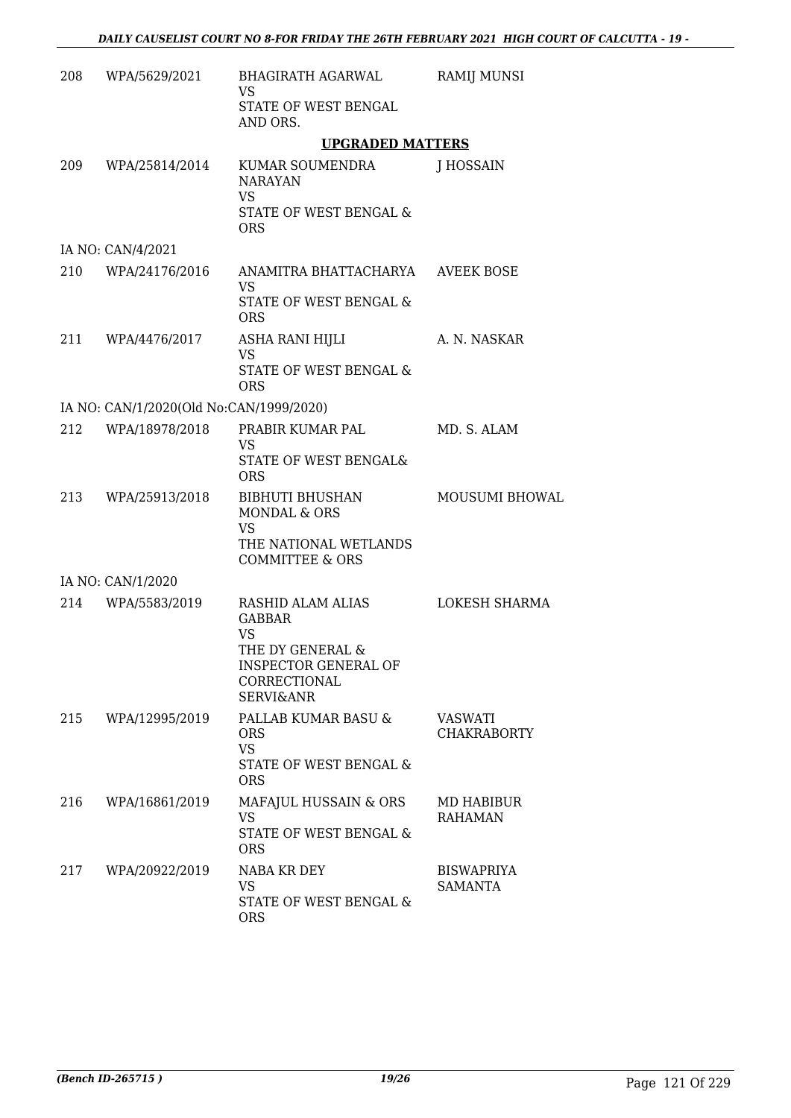| 208 | WPA/5629/2021                           | BHAGIRATH AGARWAL<br>VS                                                                                                                    | RAMIJ MUNSI                          |
|-----|-----------------------------------------|--------------------------------------------------------------------------------------------------------------------------------------------|--------------------------------------|
|     |                                         | STATE OF WEST BENGAL<br>AND ORS.                                                                                                           |                                      |
|     |                                         | <b>UPGRADED MATTERS</b>                                                                                                                    |                                      |
|     | 209 WPA/25814/2014                      | KUMAR SOUMENDRA<br><b>NARAYAN</b><br>VS<br>STATE OF WEST BENGAL &<br><b>ORS</b>                                                            | J HOSSAIN                            |
|     | IA NO: CAN/4/2021                       |                                                                                                                                            |                                      |
|     | 210 WPA/24176/2016                      | ANAMITRA BHATTACHARYA<br>VS.<br>STATE OF WEST BENGAL &<br><b>ORS</b>                                                                       | <b>AVEEK BOSE</b>                    |
|     | 211 WPA/4476/2017                       | ASHA RANI HIJLI<br><b>VS</b><br><b>STATE OF WEST BENGAL &amp;</b><br><b>ORS</b>                                                            | A. N. NASKAR                         |
|     | IA NO: CAN/1/2020(Old No:CAN/1999/2020) |                                                                                                                                            |                                      |
| 212 | WPA/18978/2018                          | PRABIR KUMAR PAL<br><b>VS</b><br>STATE OF WEST BENGAL&<br><b>ORS</b>                                                                       | MD. S. ALAM                          |
|     | 213 WPA/25913/2018                      | BIBHUTI BHUSHAN<br>MONDAL & ORS<br>VS<br>THE NATIONAL WETLANDS<br><b>COMMITTEE &amp; ORS</b>                                               | <b>MOUSUMI BHOWAL</b>                |
|     | IA NO: CAN/1/2020                       |                                                                                                                                            |                                      |
|     | 214 WPA/5583/2019                       | RASHID ALAM ALIAS<br><b>GABBAR</b><br><b>VS</b><br>THE DY GENERAL &<br><b>INSPECTOR GENERAL OF</b><br>CORRECTIONAL<br><b>SERVI&amp;ANR</b> | LOKESH SHARMA                        |
| 215 | WPA/12995/2019                          | PALLAB KUMAR BASU &<br><b>ORS</b><br><b>VS</b><br>STATE OF WEST BENGAL &<br><b>ORS</b>                                                     | <b>VASWATI</b><br><b>CHAKRABORTY</b> |
| 216 | WPA/16861/2019                          | MAFAJUL HUSSAIN & ORS<br>VS<br>STATE OF WEST BENGAL &<br><b>ORS</b>                                                                        | MD HABIBUR<br><b>RAHAMAN</b>         |
| 217 | WPA/20922/2019                          | NABA KR DEY<br>VS<br>STATE OF WEST BENGAL &<br><b>ORS</b>                                                                                  | <b>BISWAPRIYA</b><br><b>SAMANTA</b>  |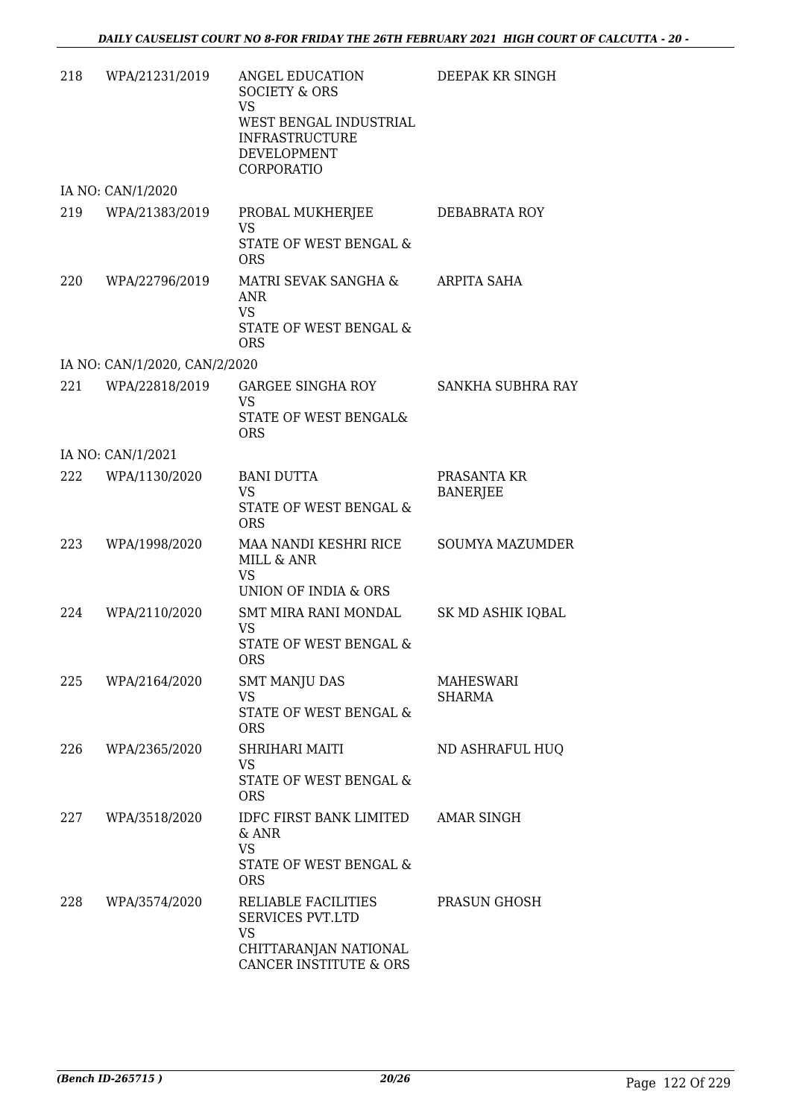| 218 | WPA/21231/2019                | ANGEL EDUCATION<br><b>SOCIETY &amp; ORS</b><br><b>VS</b><br>WEST BENGAL INDUSTRIAL<br><b>INFRASTRUCTURE</b><br><b>DEVELOPMENT</b><br>CORPORATIO | DEEPAK KR SINGH                |
|-----|-------------------------------|-------------------------------------------------------------------------------------------------------------------------------------------------|--------------------------------|
|     | IA NO: CAN/1/2020             |                                                                                                                                                 |                                |
| 219 | WPA/21383/2019                | PROBAL MUKHERJEE<br><b>VS</b><br>STATE OF WEST BENGAL &<br><b>ORS</b>                                                                           | DEBABRATA ROY                  |
| 220 | WPA/22796/2019                | MATRI SEVAK SANGHA &<br>ANR<br><b>VS</b><br>STATE OF WEST BENGAL &<br><b>ORS</b>                                                                | ARPITA SAHA                    |
|     | IA NO: CAN/1/2020, CAN/2/2020 |                                                                                                                                                 |                                |
| 221 | WPA/22818/2019                | GARGEE SINGHA ROY<br>VS<br>STATE OF WEST BENGAL&<br><b>ORS</b>                                                                                  | SANKHA SUBHRA RAY              |
|     | IA NO: CAN/1/2021             |                                                                                                                                                 |                                |
|     | 222 WPA/1130/2020             | <b>BANI DUTTA</b><br><b>VS</b><br>STATE OF WEST BENGAL &<br><b>ORS</b>                                                                          | PRASANTA KR<br><b>BANERJEE</b> |
| 223 | WPA/1998/2020                 | MAA NANDI KESHRI RICE<br>MILL & ANR<br>VS<br>UNION OF INDIA & ORS                                                                               | <b>SOUMYA MAZUMDER</b>         |
| 224 | WPA/2110/2020                 | SMT MIRA RANI MONDAL<br>VS.<br>STATE OF WEST BENGAL &<br>ORS.                                                                                   | SK MD ASHIK IQBAL              |
|     | 225 WPA/2164/2020             | <b>SMT MANJU DAS</b><br><b>VS</b><br>STATE OF WEST BENGAL &<br><b>ORS</b>                                                                       | MAHESWARI<br><b>SHARMA</b>     |
| 226 | WPA/2365/2020                 | SHRIHARI MAITI<br><b>VS</b><br>STATE OF WEST BENGAL &<br><b>ORS</b>                                                                             | ND ASHRAFUL HUQ                |
| 227 | WPA/3518/2020                 | IDFC FIRST BANK LIMITED<br>& ANR<br><b>VS</b><br>STATE OF WEST BENGAL &<br><b>ORS</b>                                                           | <b>AMAR SINGH</b>              |
| 228 | WPA/3574/2020                 | RELIABLE FACILITIES<br><b>SERVICES PVT.LTD</b><br>VS<br>CHITTARANJAN NATIONAL<br>CANCER INSTITUTE & ORS                                         | PRASUN GHOSH                   |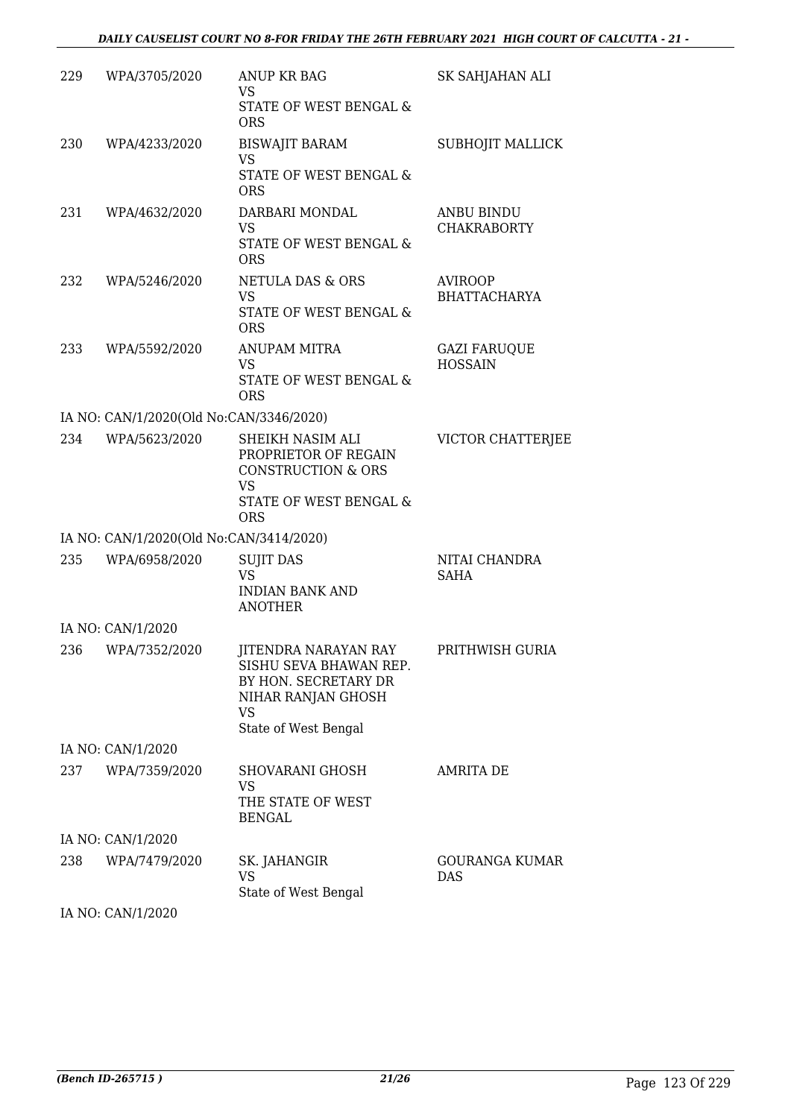| 229 | WPA/3705/2020                                            | ANUP KR BAG<br>VS                                                                                                                 | SK SAHJAHAN ALI                         |
|-----|----------------------------------------------------------|-----------------------------------------------------------------------------------------------------------------------------------|-----------------------------------------|
|     |                                                          | STATE OF WEST BENGAL &<br><b>ORS</b>                                                                                              |                                         |
| 230 | WPA/4233/2020                                            | <b>BISWAJIT BARAM</b><br><b>VS</b>                                                                                                | SUBHOJIT MALLICK                        |
|     |                                                          | STATE OF WEST BENGAL &<br><b>ORS</b>                                                                                              |                                         |
| 231 | WPA/4632/2020                                            | DARBARI MONDAL<br><b>VS</b><br>STATE OF WEST BENGAL &                                                                             | <b>ANBU BINDU</b><br><b>CHAKRABORTY</b> |
|     |                                                          | <b>ORS</b>                                                                                                                        |                                         |
| 232 | WPA/5246/2020                                            | NETULA DAS & ORS<br>VS<br>STATE OF WEST BENGAL &                                                                                  | AVIROOP<br><b>BHATTACHARYA</b>          |
|     |                                                          | <b>ORS</b>                                                                                                                        |                                         |
| 233 | WPA/5592/2020                                            | <b>ANUPAM MITRA</b><br><b>VS</b><br>STATE OF WEST BENGAL &                                                                        | <b>GAZI FARUQUE</b><br><b>HOSSAIN</b>   |
|     |                                                          | <b>ORS</b>                                                                                                                        |                                         |
| 234 | IA NO: CAN/1/2020(Old No:CAN/3346/2020)<br>WPA/5623/2020 | SHEIKH NASIM ALI                                                                                                                  | VICTOR CHATTERJEE                       |
|     |                                                          | PROPRIETOR OF REGAIN<br><b>CONSTRUCTION &amp; ORS</b><br>VS<br>STATE OF WEST BENGAL &                                             |                                         |
|     | IA NO: CAN/1/2020(Old No:CAN/3414/2020)                  | <b>ORS</b>                                                                                                                        |                                         |
| 235 | WPA/6958/2020                                            | <b>SUJIT DAS</b>                                                                                                                  | NITAI CHANDRA                           |
|     |                                                          | <b>VS</b><br><b>INDIAN BANK AND</b>                                                                                               | SAHA                                    |
|     |                                                          | <b>ANOTHER</b>                                                                                                                    |                                         |
|     | IA NO: CAN/1/2020                                        |                                                                                                                                   |                                         |
| 236 | WPA/7352/2020                                            | JITENDRA NARAYAN RAY<br>SISHU SEVA BHAWAN REP.<br>BY HON. SECRETARY DR<br>NIHAR RANJAN GHOSH<br><b>VS</b><br>State of West Bengal | PRITHWISH GURIA                         |
|     | IA NO: CAN/1/2020                                        |                                                                                                                                   |                                         |
| 237 | WPA/7359/2020                                            | SHOVARANI GHOSH<br>VS<br>THE STATE OF WEST<br><b>BENGAL</b>                                                                       | <b>AMRITA DE</b>                        |
|     | IA NO: CAN/1/2020                                        |                                                                                                                                   |                                         |
| 238 | WPA/7479/2020                                            | SK. JAHANGIR<br>VS<br>State of West Bengal                                                                                        | GOURANGA KUMAR<br>DAS                   |
|     | IA NO: CAN/1/2020                                        |                                                                                                                                   |                                         |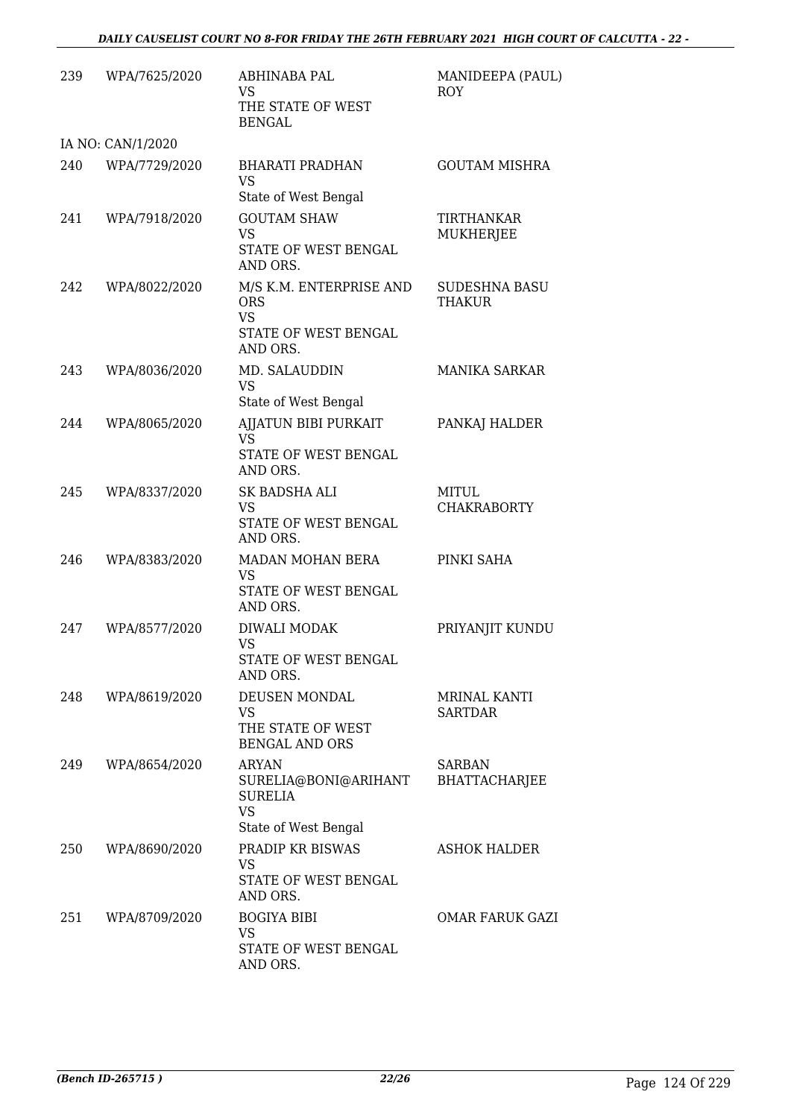| 239 | WPA/7625/2020     | ABHINABA PAL<br><b>VS</b><br>THE STATE OF WEST<br><b>BENGAL</b>                             | MANIDEEPA (PAUL)<br>ROY               |
|-----|-------------------|---------------------------------------------------------------------------------------------|---------------------------------------|
|     | IA NO: CAN/1/2020 |                                                                                             |                                       |
| 240 | WPA/7729/2020     | <b>BHARATI PRADHAN</b><br><b>VS</b><br>State of West Bengal                                 | <b>GOUTAM MISHRA</b>                  |
| 241 | WPA/7918/2020     | <b>GOUTAM SHAW</b><br><b>VS</b><br>STATE OF WEST BENGAL<br>AND ORS.                         | <b>TIRTHANKAR</b><br><b>MUKHERJEE</b> |
| 242 | WPA/8022/2020     | M/S K.M. ENTERPRISE AND<br><b>ORS</b><br><b>VS</b><br>STATE OF WEST BENGAL<br>AND ORS.      | <b>SUDESHNA BASU</b><br><b>THAKUR</b> |
| 243 | WPA/8036/2020     | MD. SALAUDDIN<br><b>VS</b><br>State of West Bengal                                          | <b>MANIKA SARKAR</b>                  |
| 244 | WPA/8065/2020     | AJJATUN BIBI PURKAIT<br><b>VS</b><br>STATE OF WEST BENGAL                                   | PANKAJ HALDER                         |
|     |                   | AND ORS.                                                                                    |                                       |
| 245 | WPA/8337/2020     | SK BADSHA ALI<br><b>VS</b><br>STATE OF WEST BENGAL<br>AND ORS.                              | MITUL<br><b>CHAKRABORTY</b>           |
| 246 | WPA/8383/2020     | MADAN MOHAN BERA<br><b>VS</b><br>STATE OF WEST BENGAL<br>AND ORS.                           | PINKI SAHA                            |
| 247 | WPA/8577/2020     | DIWALI MODAK<br>VS<br>STATE OF WEST BENGAL<br>AND ORS.                                      | PRIYANJIT KUNDU                       |
| 248 | WPA/8619/2020     | DEUSEN MONDAL<br><b>VS</b><br>THE STATE OF WEST<br><b>BENGAL AND ORS</b>                    | <b>MRINAL KANTI</b><br><b>SARTDAR</b> |
| 249 | WPA/8654/2020     | <b>ARYAN</b><br>SURELIA@BONI@ARIHANT<br><b>SURELIA</b><br><b>VS</b><br>State of West Bengal | SARBAN<br><b>BHATTACHARJEE</b>        |
| 250 | WPA/8690/2020     | PRADIP KR BISWAS<br><b>VS</b><br>STATE OF WEST BENGAL<br>AND ORS.                           | ASHOK HALDER                          |
| 251 | WPA/8709/2020     | <b>BOGIYA BIBI</b><br>VS<br>STATE OF WEST BENGAL<br>AND ORS.                                | OMAR FARUK GAZI                       |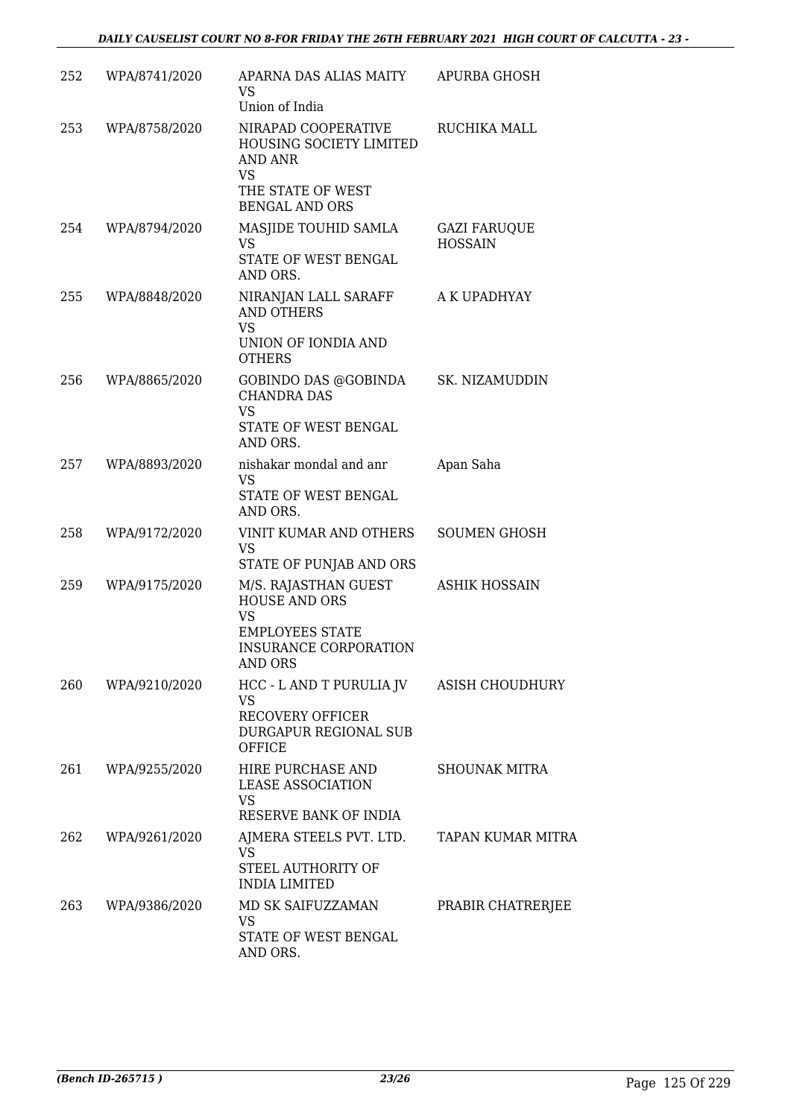| 252 | WPA/8741/2020 | APARNA DAS ALIAS MAITY<br>VS<br>Union of India                                                                                 | <b>APURBA GHOSH</b>                   |
|-----|---------------|--------------------------------------------------------------------------------------------------------------------------------|---------------------------------------|
| 253 | WPA/8758/2020 | NIRAPAD COOPERATIVE<br>HOUSING SOCIETY LIMITED<br>AND ANR<br><b>VS</b><br>THE STATE OF WEST                                    | RUCHIKA MALL                          |
|     |               | <b>BENGAL AND ORS</b>                                                                                                          |                                       |
| 254 | WPA/8794/2020 | MASJIDE TOUHID SAMLA<br><b>VS</b><br>STATE OF WEST BENGAL<br>AND ORS.                                                          | <b>GAZI FARUQUE</b><br><b>HOSSAIN</b> |
| 255 | WPA/8848/2020 | NIRANJAN LALL SARAFF<br><b>AND OTHERS</b><br><b>VS</b><br>UNION OF IONDIA AND<br><b>OTHERS</b>                                 | A K UPADHYAY                          |
| 256 | WPA/8865/2020 | GOBINDO DAS @GOBINDA<br><b>CHANDRA DAS</b><br><b>VS</b><br>STATE OF WEST BENGAL<br>AND ORS.                                    | SK. NIZAMUDDIN                        |
| 257 | WPA/8893/2020 | nishakar mondal and anr<br><b>VS</b><br>STATE OF WEST BENGAL<br>AND ORS.                                                       | Apan Saha                             |
| 258 | WPA/9172/2020 | VINIT KUMAR AND OTHERS<br><b>VS</b><br>STATE OF PUNJAB AND ORS                                                                 | <b>SOUMEN GHOSH</b>                   |
| 259 | WPA/9175/2020 | M/S. RAJASTHAN GUEST<br><b>HOUSE AND ORS</b><br><b>VS</b><br><b>EMPLOYEES STATE</b><br><b>INSURANCE CORPORATION</b><br>AND ORS | <b>ASHIK HOSSAIN</b>                  |
| 260 | WPA/9210/2020 | HCC - LAND T PURULIA JV ASISH CHOUDHURY<br><b>VS</b><br><b>RECOVERY OFFICER</b><br>DURGAPUR REGIONAL SUB<br><b>OFFICE</b>      |                                       |
| 261 | WPA/9255/2020 | HIRE PURCHASE AND<br><b>LEASE ASSOCIATION</b><br>VS<br>RESERVE BANK OF INDIA                                                   | <b>SHOUNAK MITRA</b>                  |
| 262 | WPA/9261/2020 | AJMERA STEELS PVT. LTD.<br>VS<br>STEEL AUTHORITY OF<br><b>INDIA LIMITED</b>                                                    | TAPAN KUMAR MITRA                     |
| 263 | WPA/9386/2020 | MD SK SAIFUZZAMAN<br>VS.<br>STATE OF WEST BENGAL<br>AND ORS.                                                                   | PRABIR CHATRERJEE                     |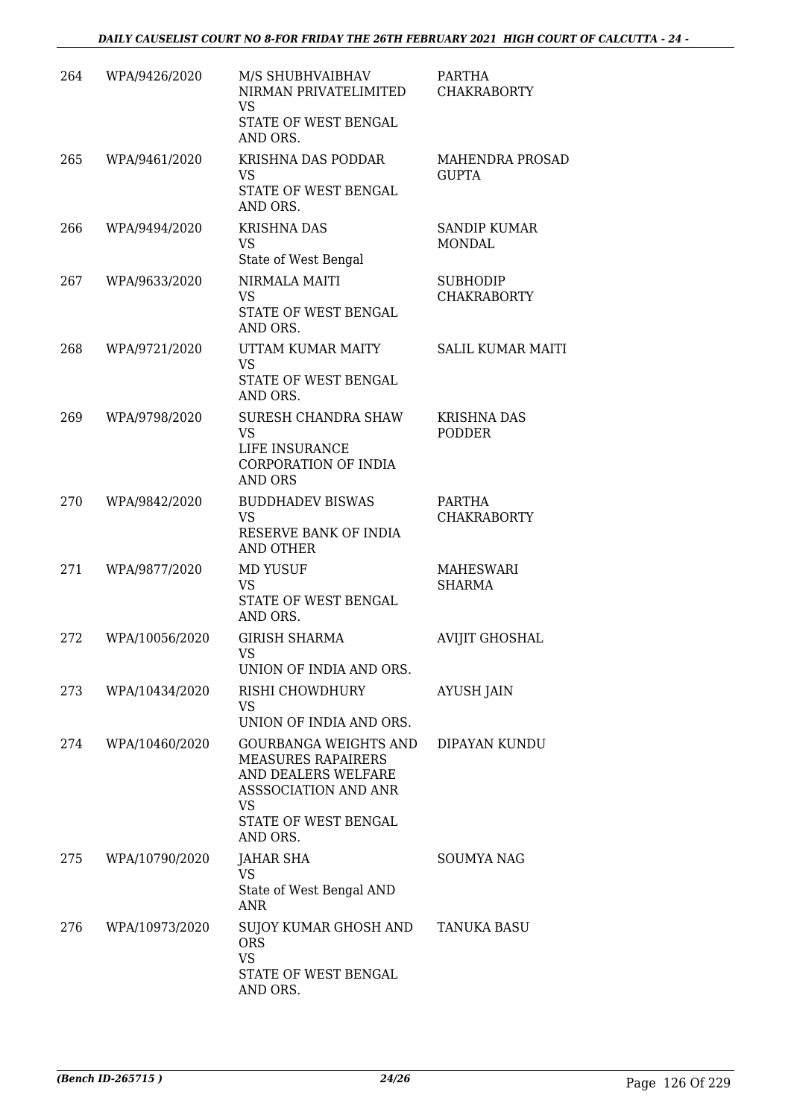| 264 | WPA/9426/2020  | M/S SHUBHVAIBHAV<br>NIRMAN PRIVATELIMITED<br><b>VS</b><br>STATE OF WEST BENGAL<br>AND ORS.                                                         | PARTHA<br><b>CHAKRABORTY</b>           |
|-----|----------------|----------------------------------------------------------------------------------------------------------------------------------------------------|----------------------------------------|
| 265 | WPA/9461/2020  | KRISHNA DAS PODDAR<br><b>VS</b><br>STATE OF WEST BENGAL<br>AND ORS.                                                                                | <b>MAHENDRA PROSAD</b><br><b>GUPTA</b> |
| 266 | WPA/9494/2020  | <b>KRISHNA DAS</b><br><b>VS</b><br>State of West Bengal                                                                                            | <b>SANDIP KUMAR</b><br><b>MONDAL</b>   |
| 267 | WPA/9633/2020  | NIRMALA MAITI<br><b>VS</b><br>STATE OF WEST BENGAL<br>AND ORS.                                                                                     | <b>SUBHODIP</b><br><b>CHAKRABORTY</b>  |
| 268 | WPA/9721/2020  | UTTAM KUMAR MAITY<br><b>VS</b><br>STATE OF WEST BENGAL<br>AND ORS.                                                                                 | <b>SALIL KUMAR MAITI</b>               |
| 269 | WPA/9798/2020  | SURESH CHANDRA SHAW<br><b>VS</b><br>LIFE INSURANCE<br><b>CORPORATION OF INDIA</b><br><b>AND ORS</b>                                                | <b>KRISHNA DAS</b><br><b>PODDER</b>    |
| 270 | WPA/9842/2020  | <b>BUDDHADEV BISWAS</b><br><b>VS</b><br>RESERVE BANK OF INDIA<br><b>AND OTHER</b>                                                                  | PARTHA<br><b>CHAKRABORTY</b>           |
| 271 | WPA/9877/2020  | <b>MD YUSUF</b><br><b>VS</b><br>STATE OF WEST BENGAL<br>AND ORS.                                                                                   | MAHESWARI<br><b>SHARMA</b>             |
| 272 | WPA/10056/2020 | <b>GIRISH SHARMA</b><br><b>VS</b><br>UNION OF INDIA AND ORS.                                                                                       | <b>AVIJIT GHOSHAL</b>                  |
| 273 | WPA/10434/2020 | RISHI CHOWDHURY<br>VS<br>UNION OF INDIA AND ORS.                                                                                                   | AYUSH JAIN                             |
| 274 | WPA/10460/2020 | <b>GOURBANGA WEIGHTS AND</b><br><b>MEASURES RAPAIRERS</b><br>AND DEALERS WELFARE<br>ASSSOCIATION AND ANR<br>VS<br>STATE OF WEST BENGAL<br>AND ORS. | DIPAYAN KUNDU                          |
| 275 | WPA/10790/2020 | JAHAR SHA<br><b>VS</b><br>State of West Bengal AND<br><b>ANR</b>                                                                                   | <b>SOUMYA NAG</b>                      |
| 276 | WPA/10973/2020 | SUJOY KUMAR GHOSH AND<br><b>ORS</b><br><b>VS</b><br>STATE OF WEST BENGAL<br>AND ORS.                                                               | TANUKA BASU                            |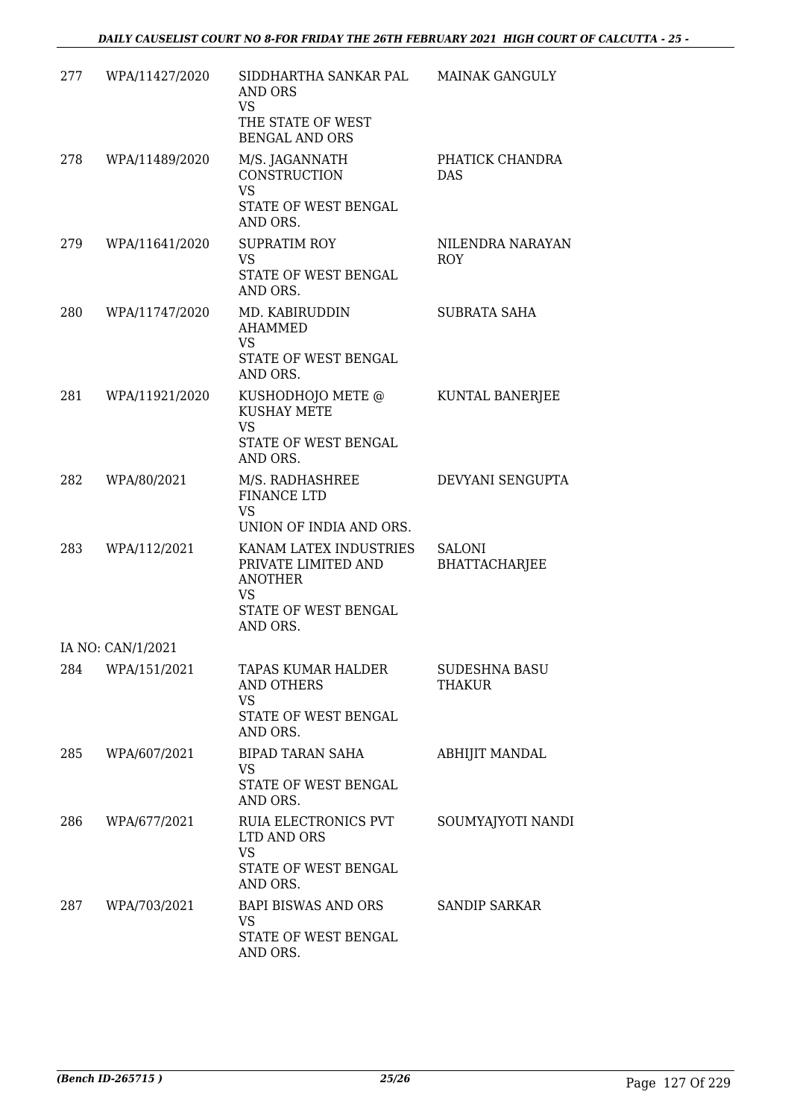| 277 | WPA/11427/2020    | SIDDHARTHA SANKAR PAL<br><b>AND ORS</b><br><b>VS</b><br>THE STATE OF WEST<br><b>BENGAL AND ORS</b>               | <b>MAINAK GANGULY</b>          |
|-----|-------------------|------------------------------------------------------------------------------------------------------------------|--------------------------------|
| 278 | WPA/11489/2020    | M/S. JAGANNATH<br>CONSTRUCTION<br><b>VS</b><br>STATE OF WEST BENGAL                                              | PHATICK CHANDRA<br><b>DAS</b>  |
| 279 | WPA/11641/2020    | AND ORS.<br><b>SUPRATIM ROY</b><br>VS<br>STATE OF WEST BENGAL<br>AND ORS.                                        | NILENDRA NARAYAN<br><b>ROY</b> |
| 280 | WPA/11747/2020    | MD. KABIRUDDIN<br><b>AHAMMED</b><br><b>VS</b><br>STATE OF WEST BENGAL<br>AND ORS.                                | SUBRATA SAHA                   |
| 281 | WPA/11921/2020    | KUSHODHOJO METE @<br><b>KUSHAY METE</b><br><b>VS</b><br>STATE OF WEST BENGAL<br>AND ORS.                         | KUNTAL BANERJEE                |
| 282 | WPA/80/2021       | M/S. RADHASHREE<br><b>FINANCE LTD</b><br><b>VS</b><br>UNION OF INDIA AND ORS.                                    | DEVYANI SENGUPTA               |
| 283 | WPA/112/2021      | KANAM LATEX INDUSTRIES<br>PRIVATE LIMITED AND<br><b>ANOTHER</b><br><b>VS</b><br>STATE OF WEST BENGAL<br>AND ORS. | <b>SALONI</b><br>BHATTACHARJEE |
|     | IA NO: CAN/1/2021 |                                                                                                                  |                                |
| 284 | WPA/151/2021      | TAPAS KUMAR HALDER<br><b>AND OTHERS</b><br><b>VS</b><br>STATE OF WEST BENGAL<br>AND ORS.                         | SUDESHNA BASU<br>THAKUR        |
| 285 | WPA/607/2021      | BIPAD TARAN SAHA<br>VS<br>STATE OF WEST BENGAL<br>AND ORS.                                                       | <b>ABHIJIT MANDAL</b>          |
| 286 | WPA/677/2021      | RUIA ELECTRONICS PVT<br>LTD AND ORS<br>VS<br>STATE OF WEST BENGAL<br>AND ORS.                                    | SOUMYAJYOTI NANDI              |
| 287 | WPA/703/2021      | BAPI BISWAS AND ORS<br>VS.<br>STATE OF WEST BENGAL<br>AND ORS.                                                   | <b>SANDIP SARKAR</b>           |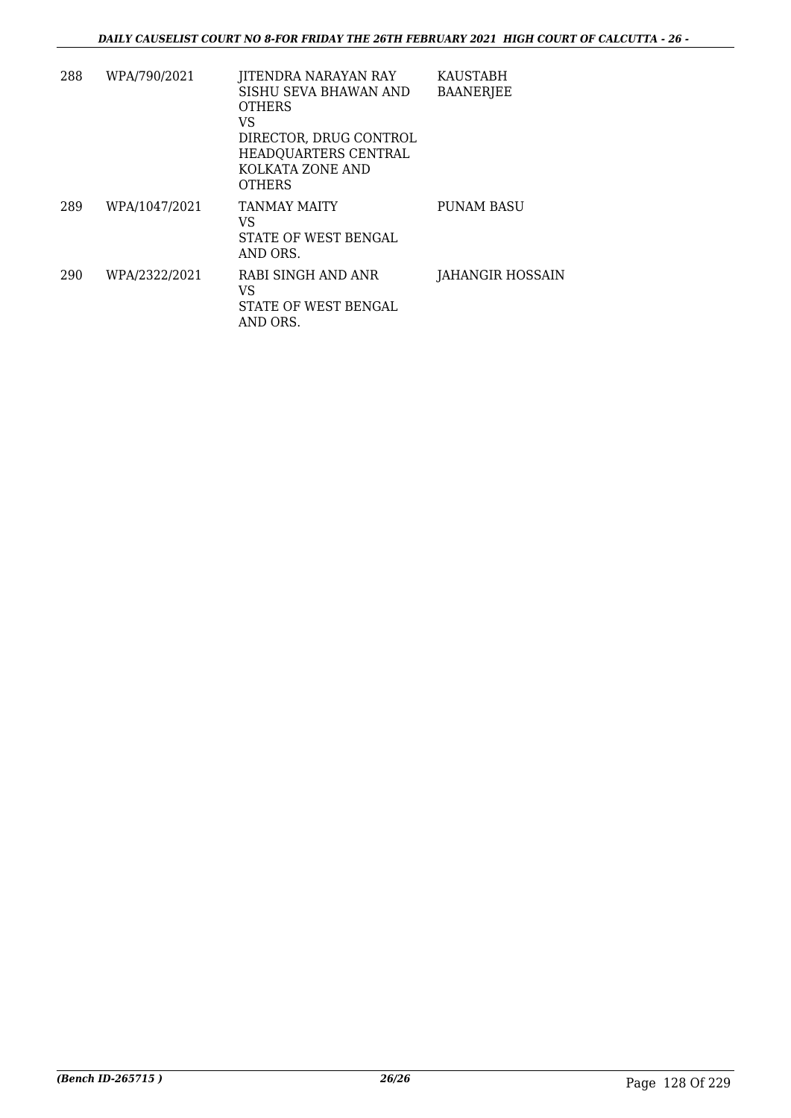| 288 | WPA/790/2021  | JITENDRA NARAYAN RAY<br>SISHU SEVA BHAWAN AND<br><b>OTHERS</b><br>VS.<br>DIRECTOR, DRUG CONTROL<br>HEADQUARTERS CENTRAL<br>KOLKATA ZONE AND<br><b>OTHERS</b> | <b>KAUSTABH</b><br><b>BAANERJEE</b> |
|-----|---------------|--------------------------------------------------------------------------------------------------------------------------------------------------------------|-------------------------------------|
| 289 | WPA/1047/2021 | <b>TANMAY MAITY</b><br>VS<br><b>STATE OF WEST BENGAL</b><br>AND ORS.                                                                                         | <b>PUNAM BASU</b>                   |
| 290 | WPA/2322/2021 | RABI SINGH AND ANR<br>VS.<br>STATE OF WEST BENGAL<br>AND ORS.                                                                                                | JAHANGIR HOSSAIN                    |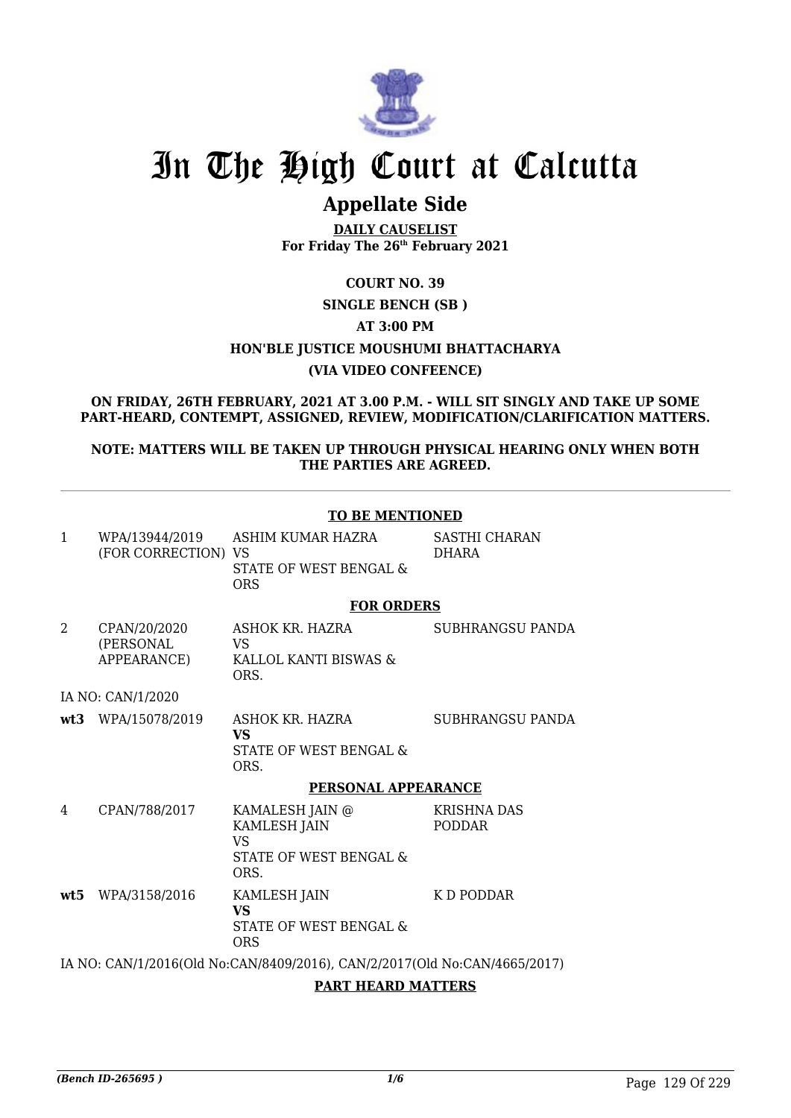

# In The High Court at Calcutta

# **Appellate Side**

**DAILY CAUSELIST For Friday The 26th February 2021**

**COURT NO. 39**

# **SINGLE BENCH (SB )**

**AT 3:00 PM**

**HON'BLE JUSTICE MOUSHUMI BHATTACHARYA**

# **(VIA VIDEO CONFEENCE)**

**ON FRIDAY, 26TH FEBRUARY, 2021 AT 3.00 P.M. - WILL SIT SINGLY AND TAKE UP SOME PART-HEARD, CONTEMPT, ASSIGNED, REVIEW, MODIFICATION/CLARIFICATION MATTERS.**

**NOTE: MATTERS WILL BE TAKEN UP THROUGH PHYSICAL HEARING ONLY WHEN BOTH THE PARTIES ARE AGREED.**

|                |                                          | <b>TO BE MENTIONED</b>                                                         |                                      |
|----------------|------------------------------------------|--------------------------------------------------------------------------------|--------------------------------------|
| 1              | WPA/13944/2019<br>(FOR CORRECTION) VS    | ASHIM KUMAR HAZRA<br>STATE OF WEST BENGAL &<br><b>ORS</b>                      | <b>SASTHI CHARAN</b><br><b>DHARA</b> |
|                |                                          | <b>FOR ORDERS</b>                                                              |                                      |
| $\overline{2}$ | CPAN/20/2020<br>(PERSONAL<br>APPEARANCE) | ASHOK KR. HAZRA<br>VS<br>KALLOL KANTI BISWAS &<br>ORS.                         | SUBHRANGSU PANDA                     |
|                | IA NO: CAN/1/2020                        |                                                                                |                                      |
|                | wt3 WPA/15078/2019                       | ASHOK KR. HAZRA<br><b>VS</b><br>STATE OF WEST BENGAL &<br>ORS.                 | SUBHRANGSU PANDA                     |
|                |                                          | PERSONAL APPEARANCE                                                            |                                      |
| 4              | CPAN/788/2017                            | KAMALESH JAIN @<br><b>KAMLESH JAIN</b><br>VS<br>STATE OF WEST BENGAL &<br>ORS. | <b>KRISHNA DAS</b><br><b>PODDAR</b>  |
|                | wt5 WPA/3158/2016                        | <b>KAMLESH JAIN</b><br><b>VS</b><br>STATE OF WEST BENGAL &<br><b>ORS</b>       | K D PODDAR                           |
|                |                                          | IA NO: CAN/1/2016(Old No:CAN/8409/2016), CAN/2/2017(Old No:CAN/4665/2017)      |                                      |

**PART HEARD MATTERS**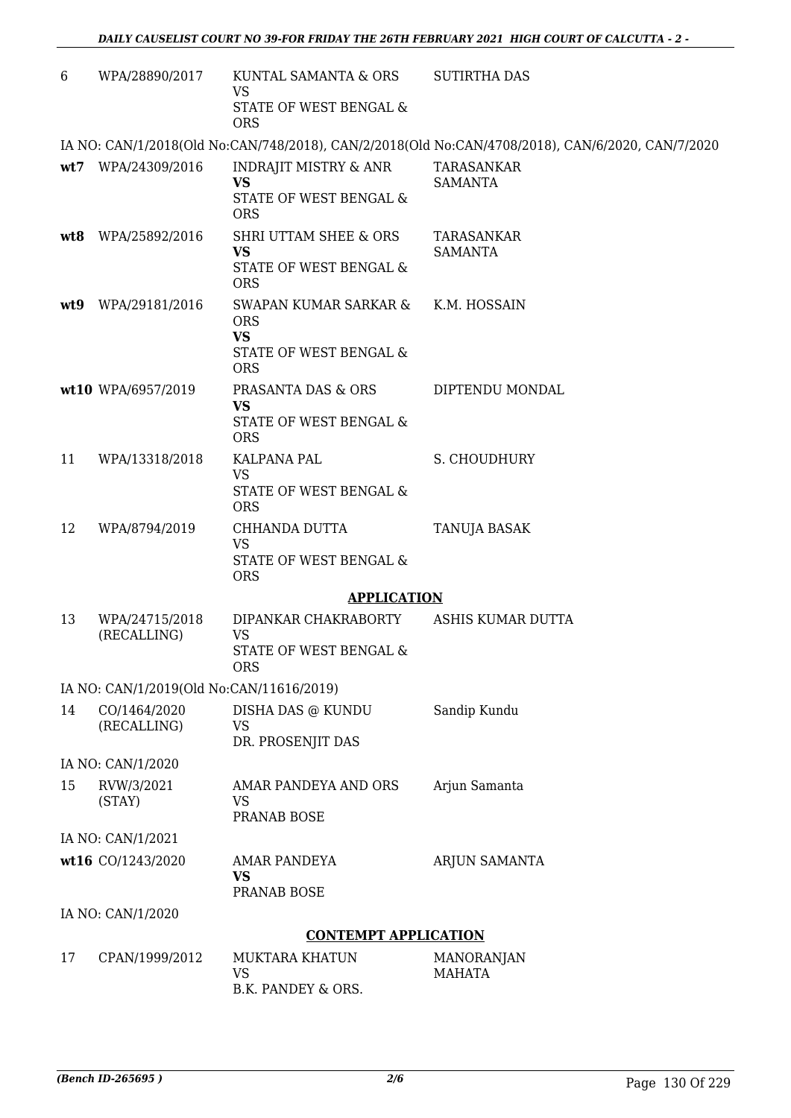| 6   | WPA/28890/2017                           | KUNTAL SAMANTA & ORS<br>VS                                                               | <b>SUTIRTHA DAS</b>                                                                              |
|-----|------------------------------------------|------------------------------------------------------------------------------------------|--------------------------------------------------------------------------------------------------|
|     |                                          | STATE OF WEST BENGAL &<br><b>ORS</b>                                                     |                                                                                                  |
|     |                                          |                                                                                          | IA NO: CAN/1/2018(Old No:CAN/748/2018), CAN/2/2018(Old No:CAN/4708/2018), CAN/6/2020, CAN/7/2020 |
| wt7 | WPA/24309/2016                           | <b>INDRAJIT MISTRY &amp; ANR</b><br><b>VS</b><br>STATE OF WEST BENGAL &<br><b>ORS</b>    | TARASANKAR<br><b>SAMANTA</b>                                                                     |
|     | wt8 WPA/25892/2016                       | SHRI UTTAM SHEE & ORS<br><b>VS</b><br>STATE OF WEST BENGAL &<br><b>ORS</b>               | TARASANKAR<br><b>SAMANTA</b>                                                                     |
| wt9 | WPA/29181/2016                           | SWAPAN KUMAR SARKAR &<br><b>ORS</b><br><b>VS</b><br>STATE OF WEST BENGAL &<br><b>ORS</b> | K.M. HOSSAIN                                                                                     |
|     | wt10 WPA/6957/2019                       | PRASANTA DAS & ORS<br><b>VS</b><br>STATE OF WEST BENGAL &<br><b>ORS</b>                  | DIPTENDU MONDAL                                                                                  |
| 11  | WPA/13318/2018                           | KALPANA PAL<br><b>VS</b><br>STATE OF WEST BENGAL &                                       | S. CHOUDHURY                                                                                     |
| 12  | WPA/8794/2019                            | <b>ORS</b><br>CHHANDA DUTTA<br><b>VS</b><br>STATE OF WEST BENGAL &<br><b>ORS</b>         | TANUJA BASAK                                                                                     |
|     |                                          | <b>APPLICATION</b>                                                                       |                                                                                                  |
| 13  | WPA/24715/2018<br>(RECALLING)            | DIPANKAR CHAKRABORTY<br>VS<br>STATE OF WEST BENGAL &<br><b>ORS</b>                       | ASHIS KUMAR DUTTA                                                                                |
|     | IA NO: CAN/1/2019(Old No:CAN/11616/2019) |                                                                                          |                                                                                                  |
| 14  | CO/1464/2020<br>(RECALLING)              | DISHA DAS @ KUNDU<br><b>VS</b><br>DR. PROSENJIT DAS                                      | Sandip Kundu                                                                                     |
|     | IA NO: CAN/1/2020                        |                                                                                          |                                                                                                  |
| 15  | RVW/3/2021<br>(STAY)                     | AMAR PANDEYA AND ORS<br>VS<br>PRANAB BOSE                                                | Arjun Samanta                                                                                    |
|     | IA NO: CAN/1/2021                        |                                                                                          |                                                                                                  |
|     | wt16 CO/1243/2020                        | <b>AMAR PANDEYA</b><br><b>VS</b><br>PRANAB BOSE                                          | ARJUN SAMANTA                                                                                    |
|     | IA NO: CAN/1/2020                        |                                                                                          |                                                                                                  |
|     |                                          | <b>CONTEMPT APPLICATION</b>                                                              |                                                                                                  |
| 17  | CPAN/1999/2012                           | <b>MUKTARA KHATUN</b><br><b>VS</b><br>B.K. PANDEY & ORS.                                 | MANORANJAN<br><b>MAHATA</b>                                                                      |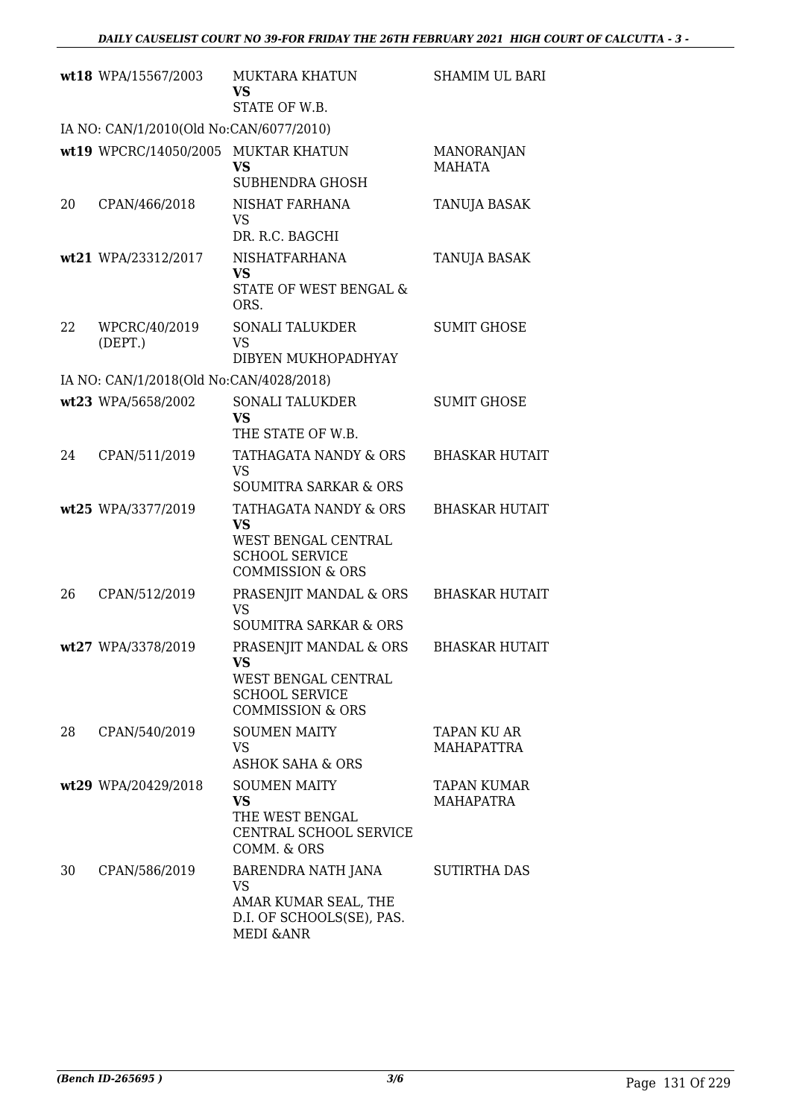|    | wt18 WPA/15567/2003                                                            | MUKTARA KHATUN<br><b>VS</b>                                                 | <b>SHAMIM UL BARI</b>                  |
|----|--------------------------------------------------------------------------------|-----------------------------------------------------------------------------|----------------------------------------|
|    |                                                                                | STATE OF W.B.                                                               |                                        |
|    | IA NO: CAN/1/2010(Old No:CAN/6077/2010)<br>wt19 WPCRC/14050/2005 MUKTAR KHATUN |                                                                             | <b>MANORANJAN</b>                      |
|    |                                                                                | <b>VS</b>                                                                   | <b>MAHATA</b>                          |
|    |                                                                                | <b>SUBHENDRA GHOSH</b>                                                      |                                        |
| 20 | CPAN/466/2018                                                                  | NISHAT FARHANA<br>VS                                                        | TANUJA BASAK                           |
|    |                                                                                | DR. R.C. BAGCHI<br><b>NISHATFARHANA</b>                                     |                                        |
|    | wt21 WPA/23312/2017                                                            | <b>VS</b>                                                                   | TANUJA BASAK                           |
|    |                                                                                | STATE OF WEST BENGAL &<br>ORS.                                              |                                        |
| 22 | WPCRC/40/2019                                                                  | <b>SONALI TALUKDER</b>                                                      | <b>SUMIT GHOSE</b>                     |
|    | (DEFT.)                                                                        | <b>VS</b>                                                                   |                                        |
|    |                                                                                | DIBYEN MUKHOPADHYAY                                                         |                                        |
|    | IA NO: CAN/1/2018(Old No:CAN/4028/2018)                                        |                                                                             |                                        |
|    | wt23 WPA/5658/2002                                                             | <b>SONALI TALUKDER</b><br><b>VS</b>                                         | <b>SUMIT GHOSE</b>                     |
|    |                                                                                | THE STATE OF W.B.                                                           |                                        |
| 24 | CPAN/511/2019                                                                  | TATHAGATA NANDY & ORS                                                       | <b>BHASKAR HUTAIT</b>                  |
|    |                                                                                | <b>VS</b>                                                                   |                                        |
|    |                                                                                | <b>SOUMITRA SARKAR &amp; ORS</b>                                            |                                        |
|    | wt25 WPA/3377/2019                                                             | TATHAGATA NANDY & ORS<br><b>VS</b><br>WEST BENGAL CENTRAL                   | <b>BHASKAR HUTAIT</b>                  |
|    |                                                                                | <b>SCHOOL SERVICE</b><br><b>COMMISSION &amp; ORS</b>                        |                                        |
| 26 | CPAN/512/2019                                                                  | PRASENJIT MANDAL & ORS                                                      | <b>BHASKAR HUTAIT</b>                  |
|    |                                                                                | <b>VS</b>                                                                   |                                        |
|    |                                                                                | <b>SOUMITRA SARKAR &amp; ORS</b>                                            |                                        |
|    | wt27 WPA/3378/2019                                                             | PRASENJIT MANDAL & ORS<br>VS                                                | <b>BHASKAR HUTAIT</b>                  |
|    |                                                                                | WEST BENGAL CENTRAL<br><b>SCHOOL SERVICE</b><br><b>COMMISSION &amp; ORS</b> |                                        |
| 28 | CPAN/540/2019                                                                  | <b>SOUMEN MAITY</b>                                                         | TAPAN KU AR                            |
|    |                                                                                | VS                                                                          | MAHAPATTRA                             |
|    |                                                                                | <b>ASHOK SAHA &amp; ORS</b>                                                 |                                        |
|    | wt29 WPA/20429/2018                                                            | <b>SOUMEN MAITY</b><br><b>VS</b>                                            | <b>TAPAN KUMAR</b><br><b>MAHAPATRA</b> |
|    |                                                                                | THE WEST BENGAL                                                             |                                        |
|    |                                                                                | CENTRAL SCHOOL SERVICE                                                      |                                        |
|    |                                                                                | COMM. & ORS                                                                 |                                        |
| 30 | CPAN/586/2019                                                                  | BARENDRA NATH JANA<br><b>VS</b>                                             | SUTIRTHA DAS                           |
|    |                                                                                | AMAR KUMAR SEAL, THE<br>D.I. OF SCHOOLS(SE), PAS.<br><b>MEDI &amp; ANR</b>  |                                        |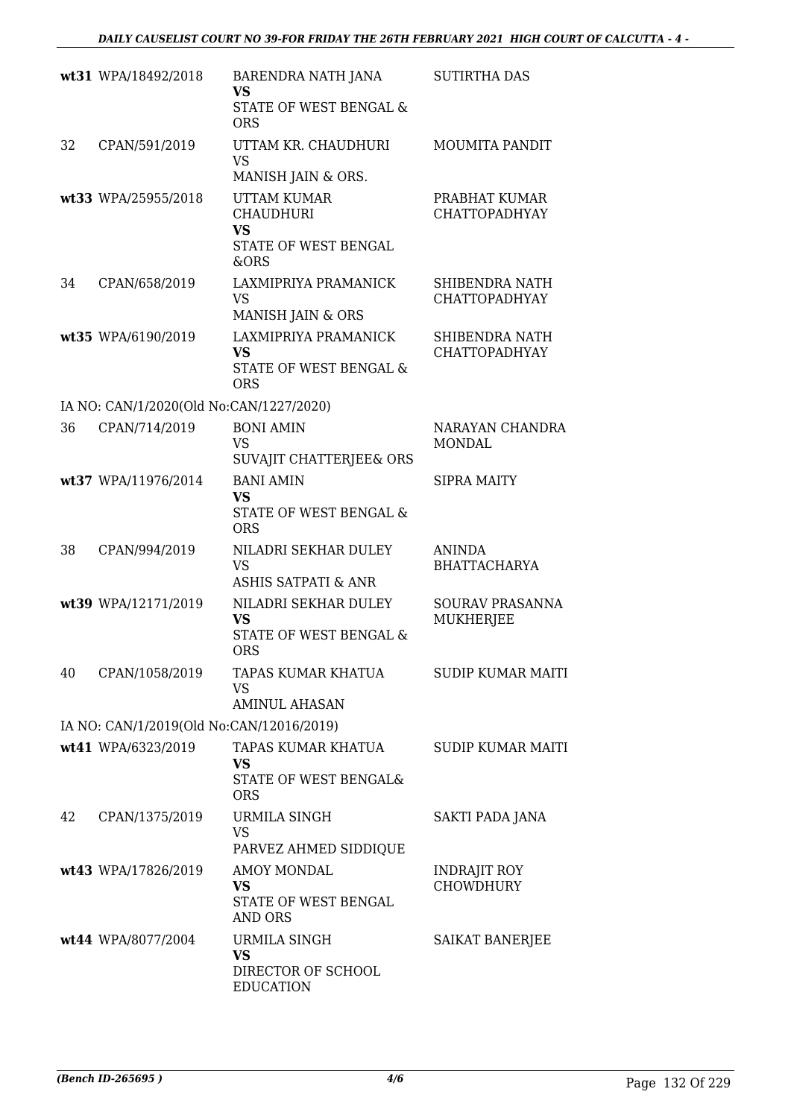|    | wt31 WPA/18492/2018                      | BARENDRA NATH JANA<br><b>VS</b><br>STATE OF WEST BENGAL &<br><b>ORS</b>             | <b>SUTIRTHA DAS</b>                     |
|----|------------------------------------------|-------------------------------------------------------------------------------------|-----------------------------------------|
| 32 | CPAN/591/2019                            | UTTAM KR. CHAUDHURI<br><b>VS</b><br>MANISH JAIN & ORS.                              | <b>MOUMITA PANDIT</b>                   |
|    | wt33 WPA/25955/2018                      | <b>UTTAM KUMAR</b><br><b>CHAUDHURI</b><br><b>VS</b><br>STATE OF WEST BENGAL<br>&ORS | PRABHAT KUMAR<br><b>CHATTOPADHYAY</b>   |
| 34 | CPAN/658/2019                            | LAXMIPRIYA PRAMANICK<br><b>VS</b><br>MANISH JAIN & ORS                              | SHIBENDRA NATH<br><b>CHATTOPADHYAY</b>  |
|    | wt35 WPA/6190/2019                       | <b>LAXMIPRIYA PRAMANICK</b><br><b>VS</b><br>STATE OF WEST BENGAL &<br><b>ORS</b>    | SHIBENDRA NATH<br><b>CHATTOPADHYAY</b>  |
|    | IA NO: CAN/1/2020(Old No:CAN/1227/2020)  |                                                                                     |                                         |
| 36 | CPAN/714/2019                            | <b>BONI AMIN</b><br><b>VS</b><br>SUVAJIT CHATTERJEE& ORS                            | NARAYAN CHANDRA<br><b>MONDAL</b>        |
|    | wt37 WPA/11976/2014                      | <b>BANI AMIN</b><br><b>VS</b><br>STATE OF WEST BENGAL &<br><b>ORS</b>               | <b>SIPRA MAITY</b>                      |
| 38 | CPAN/994/2019                            | NILADRI SEKHAR DULEY<br><b>VS</b><br><b>ASHIS SATPATI &amp; ANR</b>                 | <b>ANINDA</b><br><b>BHATTACHARYA</b>    |
|    | wt39 WPA/12171/2019                      | NILADRI SEKHAR DULEY<br><b>VS</b><br>STATE OF WEST BENGAL &<br><b>ORS</b>           | SOURAV PRASANNA<br><b>MUKHERJEE</b>     |
| 40 | CPAN/1058/2019                           | TAPAS KUMAR KHATUA<br><b>VS</b><br><b>AMINUL AHASAN</b>                             | <b>SUDIP KUMAR MAITI</b>                |
|    | IA NO: CAN/1/2019(Old No:CAN/12016/2019) |                                                                                     |                                         |
|    | wt41 WPA/6323/2019                       | TAPAS KUMAR KHATUA<br>VS<br>STATE OF WEST BENGAL&<br><b>ORS</b>                     | <b>SUDIP KUMAR MAITI</b>                |
| 42 | CPAN/1375/2019                           | <b>URMILA SINGH</b><br>VS<br>PARVEZ AHMED SIDDIQUE                                  | SAKTI PADA JANA                         |
|    | wt43 WPA/17826/2019                      | <b>AMOY MONDAL</b><br><b>VS</b><br>STATE OF WEST BENGAL<br><b>AND ORS</b>           | <b>INDRAJIT ROY</b><br><b>CHOWDHURY</b> |
|    | wt44 WPA/8077/2004                       | URMILA SINGH<br>VS<br>DIRECTOR OF SCHOOL<br><b>EDUCATION</b>                        | SAIKAT BANERJEE                         |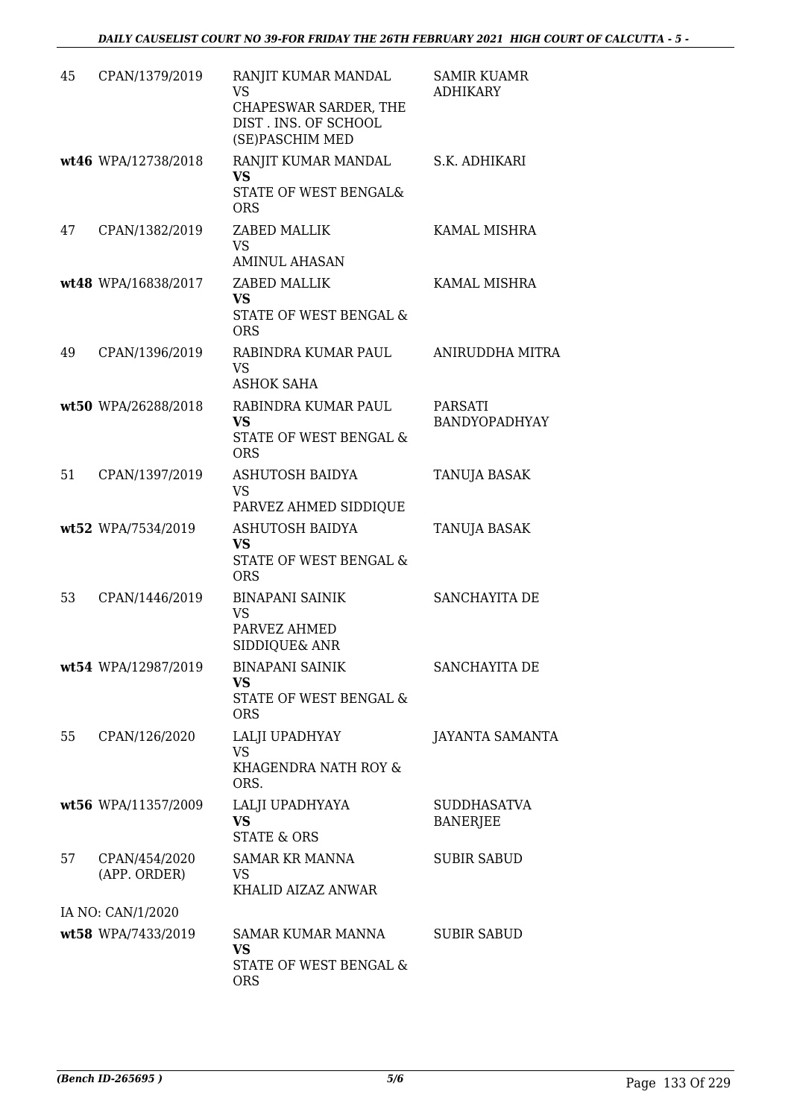| 45 | CPAN/1379/2019                | RANJIT KUMAR MANDAL<br><b>VS</b><br>CHAPESWAR SARDER, THE<br>DIST. INS. OF SCHOOL<br>(SE)PASCHIM MED | <b>SAMIR KUAMR</b><br><b>ADHIKARY</b> |
|----|-------------------------------|------------------------------------------------------------------------------------------------------|---------------------------------------|
|    | wt46 WPA/12738/2018           | RANJIT KUMAR MANDAL<br><b>VS</b><br>STATE OF WEST BENGAL&<br><b>ORS</b>                              | S.K. ADHIKARI                         |
| 47 | CPAN/1382/2019                | ZABED MALLIK<br><b>VS</b><br><b>AMINUL AHASAN</b>                                                    | KAMAL MISHRA                          |
|    | wt48 WPA/16838/2017           | <b>ZABED MALLIK</b><br><b>VS</b><br>STATE OF WEST BENGAL &<br><b>ORS</b>                             | KAMAL MISHRA                          |
| 49 | CPAN/1396/2019                | RABINDRA KUMAR PAUL<br><b>VS</b><br><b>ASHOK SAHA</b>                                                | <b>ANIRUDDHA MITRA</b>                |
|    | wt50 WPA/26288/2018           | RABINDRA KUMAR PAUL<br><b>VS</b><br>STATE OF WEST BENGAL &<br><b>ORS</b>                             | PARSATI<br><b>BANDYOPADHYAY</b>       |
| 51 | CPAN/1397/2019                | ASHUTOSH BAIDYA<br><b>VS</b><br>PARVEZ AHMED SIDDIQUE                                                | TANUJA BASAK                          |
|    | wt52 WPA/7534/2019            | <b>ASHUTOSH BAIDYA</b><br><b>VS</b><br>STATE OF WEST BENGAL &<br><b>ORS</b>                          | <b>TANUJA BASAK</b>                   |
| 53 | CPAN/1446/2019                | <b>BINAPANI SAINIK</b><br><b>VS</b><br>PARVEZ AHMED<br><b>SIDDIQUE&amp; ANR</b>                      | SANCHAYITA DE                         |
|    | wt54 WPA/12987/2019           | <b>BINAPANI SAINIK</b><br><b>VS</b><br>STATE OF WEST BENGAL &<br><b>ORS</b>                          | SANCHAYITA DE                         |
| 55 | CPAN/126/2020                 | LALJI UPADHYAY<br><b>VS</b><br>KHAGENDRA NATH ROY &<br>ORS.                                          | <b>JAYANTA SAMANTA</b>                |
|    | wt56 WPA/11357/2009           | LALJI UPADHYAYA<br><b>VS</b><br><b>STATE &amp; ORS</b>                                               | <b>SUDDHASATVA</b><br><b>BANERJEE</b> |
| 57 | CPAN/454/2020<br>(APP. ORDER) | <b>SAMAR KR MANNA</b><br>VS.<br>KHALID AIZAZ ANWAR                                                   | <b>SUBIR SABUD</b>                    |
|    | IA NO: CAN/1/2020             |                                                                                                      |                                       |
|    | wt58 WPA/7433/2019            | SAMAR KUMAR MANNA<br>VS<br>STATE OF WEST BENGAL &<br><b>ORS</b>                                      | <b>SUBIR SABUD</b>                    |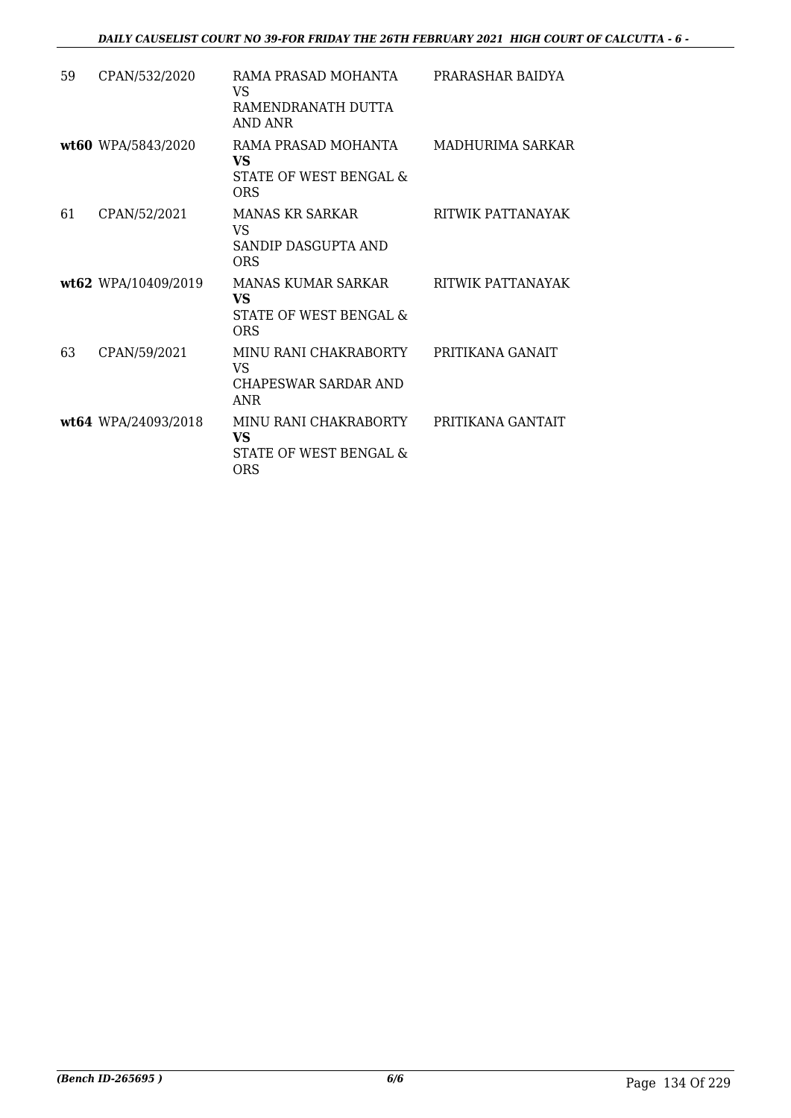| 59 | CPAN/532/2020       | RAMA PRASAD MOHANTA<br>VS<br>RAMENDRANATH DUTTA<br>AND ANR          | PRARASHAR BAIDYA  |
|----|---------------------|---------------------------------------------------------------------|-------------------|
|    | wt60 WPA/5843/2020  | RAMA PRASAD MOHANTA<br>VS<br>STATE OF WEST BENGAL &<br><b>ORS</b>   | MADHURIMA SARKAR  |
| 61 | CPAN/52/2021        | <b>MANAS KR SARKAR</b><br>VS<br>SANDIP DASGUPTA AND<br><b>ORS</b>   | RITWIK PATTANAYAK |
|    | wt62 WPA/10409/2019 | <b>MANAS KUMAR SARKAR</b><br>VS<br>STATE OF WEST BENGAL &<br>ORS    | RITWIK PATTANAYAK |
| 63 | CPAN/59/2021        | MINU RANI CHAKRABORTY<br>VS<br>CHAPESWAR SARDAR AND<br><b>ANR</b>   | PRITIKANA GANAIT  |
|    | wt64 WPA/24093/2018 | MINU RANI CHAKRABORTY<br>VS<br>STATE OF WEST BENGAL &<br><b>ORS</b> | PRITIKANA GANTAIT |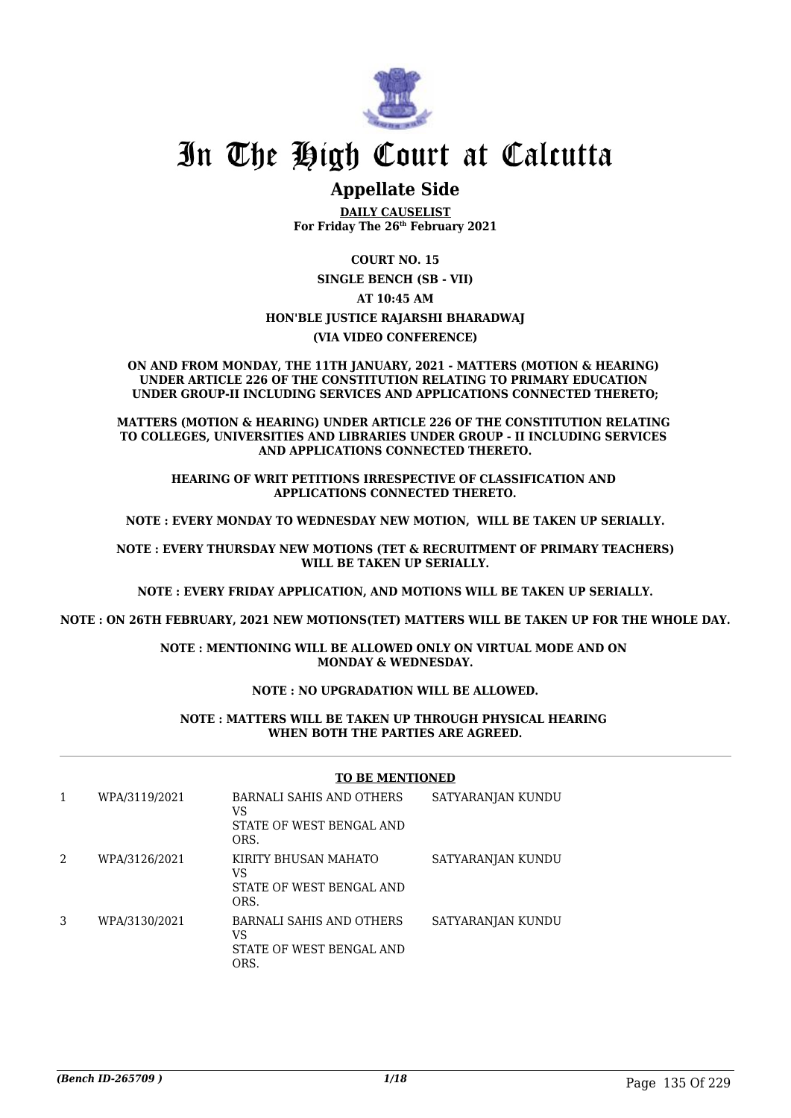

# In The High Court at Calcutta

# **Appellate Side**

**DAILY CAUSELIST For Friday The 26th February 2021**

**COURT NO. 15**

**SINGLE BENCH (SB - VII)**

#### **AT 10:45 AM**

#### **HON'BLE JUSTICE RAJARSHI BHARADWAJ**

#### **(VIA VIDEO CONFERENCE)**

**ON AND FROM MONDAY, THE 11TH JANUARY, 2021 - MATTERS (MOTION & HEARING) UNDER ARTICLE 226 OF THE CONSTITUTION RELATING TO PRIMARY EDUCATION UNDER GROUP-II INCLUDING SERVICES AND APPLICATIONS CONNECTED THERETO;**

**MATTERS (MOTION & HEARING) UNDER ARTICLE 226 OF THE CONSTITUTION RELATING TO COLLEGES, UNIVERSITIES AND LIBRARIES UNDER GROUP - II INCLUDING SERVICES AND APPLICATIONS CONNECTED THERETO.**

**HEARING OF WRIT PETITIONS IRRESPECTIVE OF CLASSIFICATION AND APPLICATIONS CONNECTED THERETO.**

**NOTE : EVERY MONDAY TO WEDNESDAY NEW MOTION, WILL BE TAKEN UP SERIALLY.**

**NOTE : EVERY THURSDAY NEW MOTIONS (TET & RECRUITMENT OF PRIMARY TEACHERS) WILL BE TAKEN UP SERIALLY.**

**NOTE : EVERY FRIDAY APPLICATION, AND MOTIONS WILL BE TAKEN UP SERIALLY.**

**NOTE : ON 26TH FEBRUARY, 2021 NEW MOTIONS(TET) MATTERS WILL BE TAKEN UP FOR THE WHOLE DAY.**

**NOTE : MENTIONING WILL BE ALLOWED ONLY ON VIRTUAL MODE AND ON MONDAY & WEDNESDAY.**

#### **NOTE : NO UPGRADATION WILL BE ALLOWED.**

#### **NOTE : MATTERS WILL BE TAKEN UP THROUGH PHYSICAL HEARING WHEN BOTH THE PARTIES ARE AGREED.**

#### **TO BE MENTIONED**

|                | WPA/3119/2021 | BARNALI SAHIS AND OTHERS<br>VS<br>STATE OF WEST BENGAL AND<br>ORS. | SATYARANJAN KUNDU |
|----------------|---------------|--------------------------------------------------------------------|-------------------|
| $\mathfrak{D}$ | WPA/3126/2021 | KIRITY BHUSAN MAHATO<br>VS<br>STATE OF WEST BENGAL AND<br>ORS.     | SATYARANJAN KUNDU |
| 3              | WPA/3130/2021 | BARNALI SAHIS AND OTHERS<br>VS<br>STATE OF WEST BENGAL AND<br>ORS. | SATYARANJAN KUNDU |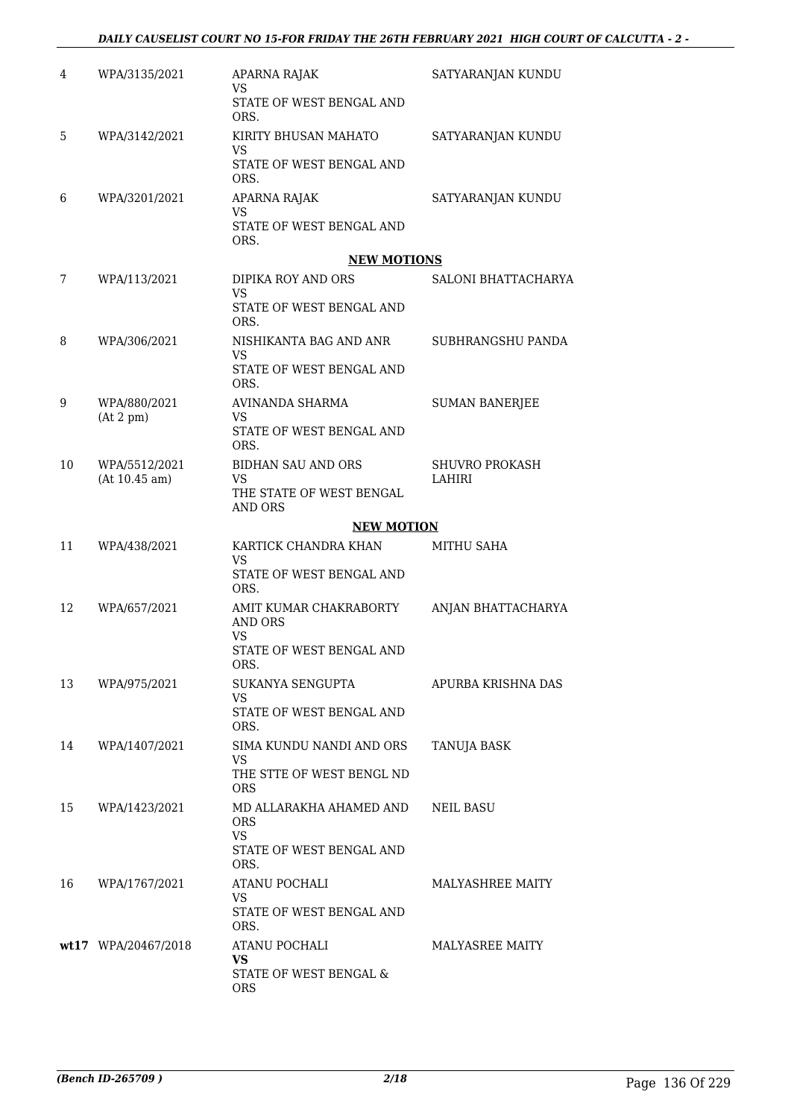| 4  | WPA/3135/2021       | APARNA RAJAK<br>VS<br>STATE OF WEST BENGAL AND    | SATYARANJAN KUNDU     |
|----|---------------------|---------------------------------------------------|-----------------------|
|    |                     | ORS.                                              |                       |
| 5  | WPA/3142/2021       | KIRITY BHUSAN MAHATO<br>VS.                       | SATYARANJAN KUNDU     |
|    |                     | STATE OF WEST BENGAL AND<br>ORS.                  |                       |
| 6  | WPA/3201/2021       | APARNA RAJAK<br><b>VS</b>                         | SATYARANJAN KUNDU     |
|    |                     | STATE OF WEST BENGAL AND<br>ORS.                  |                       |
|    |                     | <b>NEW MOTIONS</b>                                |                       |
| 7  | WPA/113/2021        | DIPIKA ROY AND ORS<br><b>VS</b>                   | SALONI BHATTACHARYA   |
|    |                     | STATE OF WEST BENGAL AND<br>ORS.                  |                       |
| 8  | WPA/306/2021        | NISHIKANTA BAG AND ANR<br>VS                      | SUBHRANGSHU PANDA     |
|    |                     | STATE OF WEST BENGAL AND<br>ORS.                  |                       |
| 9  | WPA/880/2021        | AVINANDA SHARMA                                   | <b>SUMAN BANERJEE</b> |
|    | (At 2 pm)           | VS<br>STATE OF WEST BENGAL AND<br>ORS.            |                       |
| 10 | WPA/5512/2021       | <b>BIDHAN SAU AND ORS</b>                         | <b>SHUVRO PROKASH</b> |
|    | (At 10.45 am)       | VS.<br>THE STATE OF WEST BENGAL<br><b>AND ORS</b> | LAHIRI                |
|    |                     | <b>NEW MOTION</b>                                 |                       |
| 11 | WPA/438/2021        | KARTICK CHANDRA KHAN<br>VS                        | <b>MITHU SAHA</b>     |
|    |                     | STATE OF WEST BENGAL AND<br>ORS.                  |                       |
| 12 | WPA/657/2021        | AMIT KUMAR CHAKRABORTY<br>AND ORS<br><b>VS</b>    | ANJAN BHATTACHARYA    |
|    |                     | STATE OF WEST BENGAL AND<br>ORS.                  |                       |
| 13 | WPA/975/2021        | SUKANYA SENGUPTA                                  | APURBA KRISHNA DAS    |
|    |                     | VS<br>STATE OF WEST BENGAL AND<br>ORS.            |                       |
| 14 | WPA/1407/2021       | SIMA KUNDU NANDI AND ORS<br><b>VS</b>             | TANUJA BASK           |
|    |                     | THE STTE OF WEST BENGL ND<br><b>ORS</b>           |                       |
| 15 | WPA/1423/2021       | MD ALLARAKHA AHAMED AND<br><b>ORS</b>             | NEIL BASU             |
|    |                     | <b>VS</b><br>STATE OF WEST BENGAL AND<br>ORS.     |                       |
| 16 | WPA/1767/2021       | ATANU POCHALI                                     | MALYASHREE MAITY      |
|    |                     | <b>VS</b><br>STATE OF WEST BENGAL AND<br>ORS.     |                       |
|    | wt17 WPA/20467/2018 | ATANU POCHALI                                     | MALYASREE MAITY       |
|    |                     | VS<br>STATE OF WEST BENGAL &                      |                       |
|    |                     | ORS                                               |                       |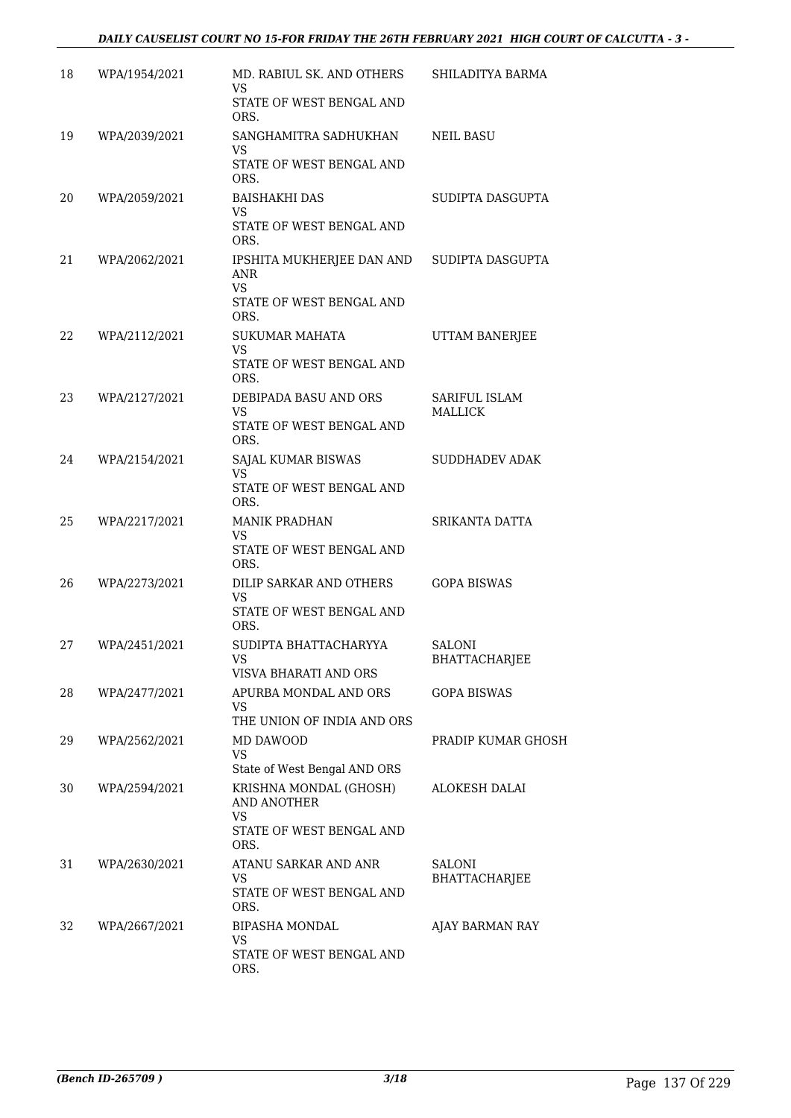## *DAILY CAUSELIST COURT NO 15-FOR FRIDAY THE 26TH FEBRUARY 2021 HIGH COURT OF CALCUTTA - 3 -*

| 18 | WPA/1954/2021 | MD. RABIUL SK. AND OTHERS<br>VS.                                      | SHILADITYA BARMA                      |
|----|---------------|-----------------------------------------------------------------------|---------------------------------------|
|    |               | STATE OF WEST BENGAL AND<br>ORS.                                      |                                       |
| 19 | WPA/2039/2021 | SANGHAMITRA SADHUKHAN<br><b>VS</b>                                    | NEIL BASU                             |
|    |               | STATE OF WEST BENGAL AND<br>ORS.                                      |                                       |
| 20 | WPA/2059/2021 | <b>BAISHAKHI DAS</b><br>VS.                                           | SUDIPTA DASGUPTA                      |
|    |               | STATE OF WEST BENGAL AND<br>ORS.                                      |                                       |
| 21 | WPA/2062/2021 | IPSHITA MUKHERJEE DAN AND SUDIPTA DASGUPTA<br><b>ANR</b><br><b>VS</b> |                                       |
|    |               | STATE OF WEST BENGAL AND<br>ORS.                                      |                                       |
| 22 | WPA/2112/2021 | <b>SUKUMAR MAHATA</b><br><b>VS</b>                                    | UTTAM BANERJEE                        |
|    |               | STATE OF WEST BENGAL AND<br>ORS.                                      |                                       |
| 23 | WPA/2127/2021 | DEBIPADA BASU AND ORS                                                 | SARIFUL ISLAM                         |
|    |               | VS.<br>STATE OF WEST BENGAL AND<br>ORS.                               | MALLICK                               |
| 24 | WPA/2154/2021 | SAJAL KUMAR BISWAS<br>VS.                                             | SUDDHADEV ADAK                        |
|    |               | STATE OF WEST BENGAL AND<br>ORS.                                      |                                       |
| 25 | WPA/2217/2021 | <b>MANIK PRADHAN</b><br>VS.                                           | SRIKANTA DATTA                        |
|    |               | STATE OF WEST BENGAL AND<br>ORS.                                      |                                       |
| 26 | WPA/2273/2021 | DILIP SARKAR AND OTHERS<br>VS                                         | <b>GOPA BISWAS</b>                    |
|    |               | STATE OF WEST BENGAL AND<br>ORS.                                      |                                       |
| 27 | WPA/2451/2021 | SUDIPTA BHATTACHARYYA                                                 | <b>SALONI</b><br><b>BHATTACHARJEE</b> |
| 28 | WPA/2477/2021 | VISVA BHARATI AND ORS<br>APURBA MONDAL AND ORS                        | <b>GOPA BISWAS</b>                    |
|    |               | VS<br>THE UNION OF INDIA AND ORS                                      |                                       |
| 29 | WPA/2562/2021 | MD DAWOOD                                                             | PRADIP KUMAR GHOSH                    |
|    |               | <b>VS</b><br>State of West Bengal AND ORS                             |                                       |
| 30 | WPA/2594/2021 | KRISHNA MONDAL (GHOSH)<br><b>AND ANOTHER</b>                          | ALOKESH DALAI                         |
|    |               | <b>VS</b><br>STATE OF WEST BENGAL AND<br>ORS.                         |                                       |
| 31 | WPA/2630/2021 | ATANU SARKAR AND ANR<br>VS.                                           | SALONI<br><b>BHATTACHARJEE</b>        |
|    |               | STATE OF WEST BENGAL AND<br>ORS.                                      |                                       |
| 32 | WPA/2667/2021 | <b>BIPASHA MONDAL</b><br>VS                                           | AJAY BARMAN RAY                       |
|    |               | STATE OF WEST BENGAL AND<br>ORS.                                      |                                       |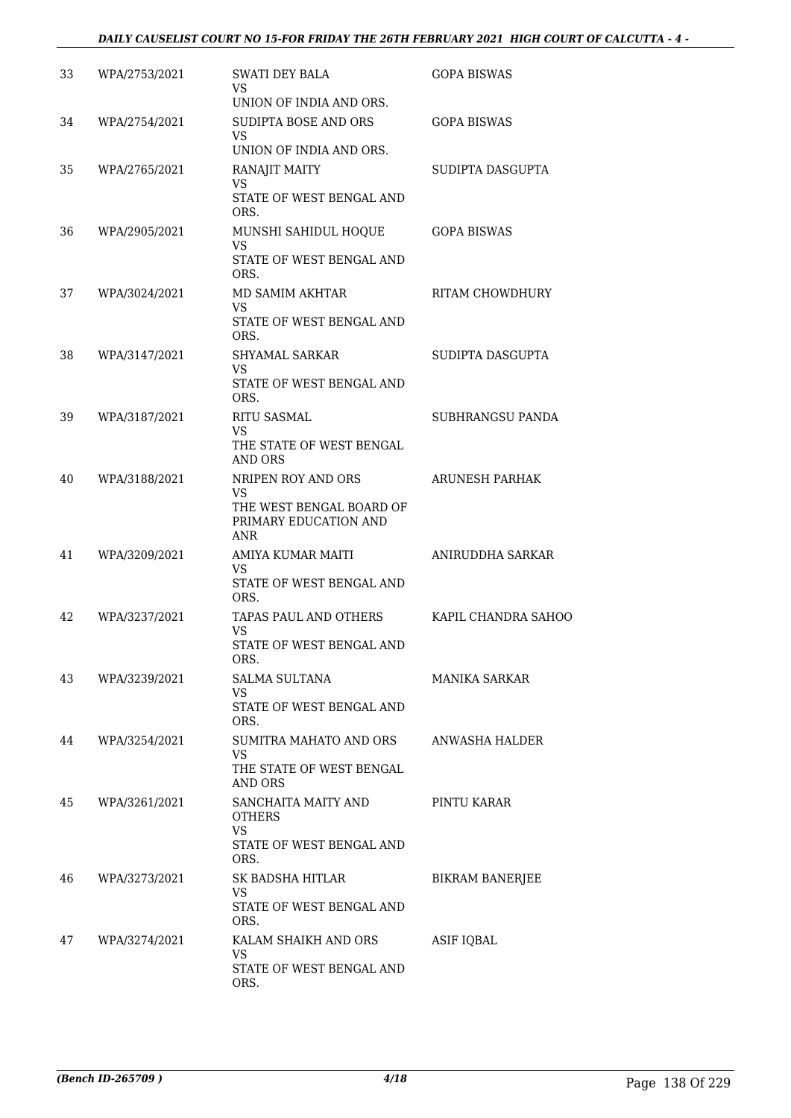| 33 | WPA/2753/2021 | SWATI DEY BALA<br>VS                                     | <b>GOPA BISWAS</b>    |
|----|---------------|----------------------------------------------------------|-----------------------|
|    |               | UNION OF INDIA AND ORS.                                  |                       |
| 34 | WPA/2754/2021 | SUDIPTA BOSE AND ORS<br>VS.                              | <b>GOPA BISWAS</b>    |
|    |               | UNION OF INDIA AND ORS.                                  |                       |
| 35 | WPA/2765/2021 | RANAJIT MAITY<br>VS                                      | SUDIPTA DASGUPTA      |
|    |               | STATE OF WEST BENGAL AND<br>ORS.                         |                       |
| 36 | WPA/2905/2021 | MUNSHI SAHIDUL HOQUE<br>VS                               | <b>GOPA BISWAS</b>    |
|    |               | STATE OF WEST BENGAL AND<br>ORS.                         |                       |
| 37 | WPA/3024/2021 | MD SAMIM AKHTAR<br>VS                                    | RITAM CHOWDHURY       |
|    |               | STATE OF WEST BENGAL AND<br>ORS.                         |                       |
| 38 | WPA/3147/2021 | <b>SHYAMAL SARKAR</b><br>VS                              | SUDIPTA DASGUPTA      |
|    |               | STATE OF WEST BENGAL AND<br>ORS.                         |                       |
| 39 | WPA/3187/2021 | <b>RITU SASMAL</b><br>VS                                 | SUBHRANGSU PANDA      |
|    |               | THE STATE OF WEST BENGAL<br><b>AND ORS</b>               |                       |
| 40 | WPA/3188/2021 | NRIPEN ROY AND ORS<br>VS                                 | <b>ARUNESH PARHAK</b> |
|    |               | THE WEST BENGAL BOARD OF<br>PRIMARY EDUCATION AND<br>ANR |                       |
| 41 | WPA/3209/2021 | AMIYA KUMAR MAITI<br><b>VS</b>                           | ANIRUDDHA SARKAR      |
|    |               | STATE OF WEST BENGAL AND<br>ORS.                         |                       |
| 42 | WPA/3237/2021 | TAPAS PAUL AND OTHERS<br>VS                              | KAPIL CHANDRA SAHOO   |
|    |               | STATE OF WEST BENGAL AND<br>ORS.                         |                       |
| 43 | WPA/3239/2021 | SALMA SULTANA<br><b>VS</b>                               | MANIKA SARKAR         |
|    |               | STATE OF WEST BENGAL AND<br>ORS.                         |                       |
| 44 | WPA/3254/2021 | SUMITRA MAHATO AND ORS<br><b>VS</b>                      | ANWASHA HALDER        |
|    |               | THE STATE OF WEST BENGAL<br><b>AND ORS</b>               |                       |
| 45 | WPA/3261/2021 | SANCHAITA MAITY AND<br><b>OTHERS</b>                     | PINTU KARAR           |
|    |               | <b>VS</b><br>STATE OF WEST BENGAL AND<br>ORS.            |                       |
| 46 | WPA/3273/2021 | SK BADSHA HITLAR<br>VS                                   | BIKRAM BANERJEE       |
|    |               | STATE OF WEST BENGAL AND<br>ORS.                         |                       |
| 47 | WPA/3274/2021 | KALAM SHAIKH AND ORS<br>VS                               | ASIF IQBAL            |
|    |               | STATE OF WEST BENGAL AND<br>ORS.                         |                       |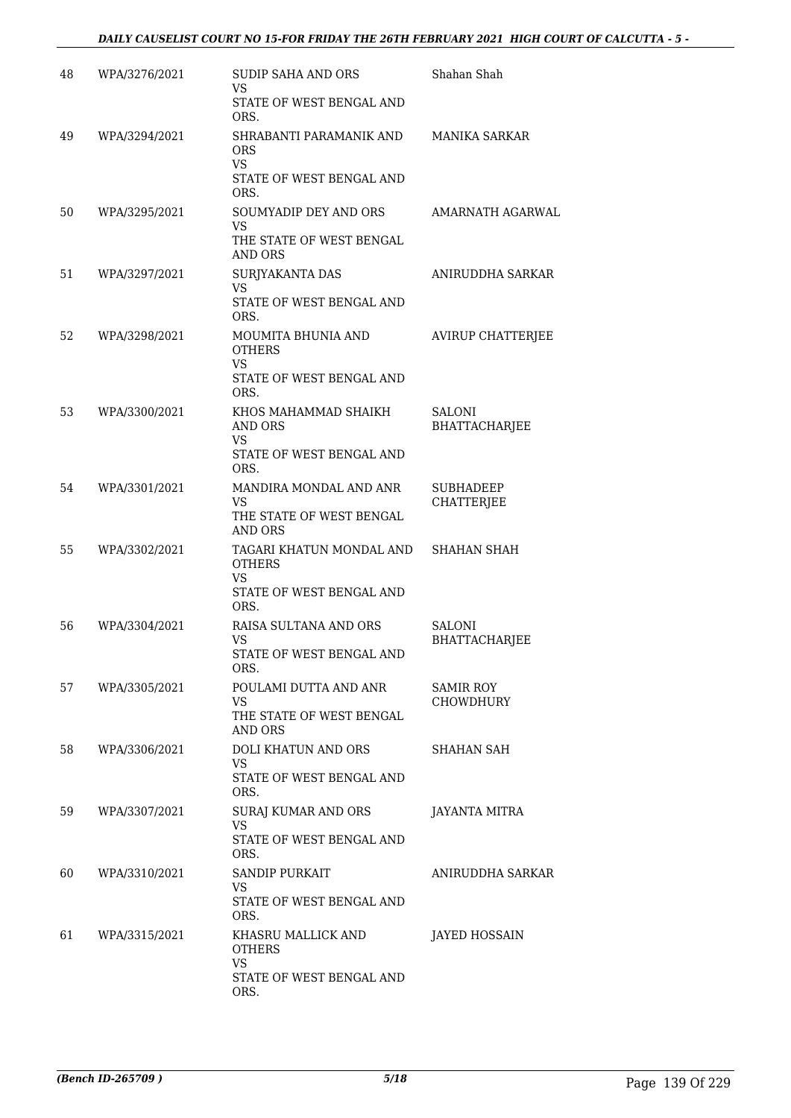| 48 | WPA/3276/2021 | <b>SUDIP SAHA AND ORS</b><br>VS<br>STATE OF WEST BENGAL AND<br>ORS.                        | Shahan Shah                           |
|----|---------------|--------------------------------------------------------------------------------------------|---------------------------------------|
| 49 | WPA/3294/2021 | SHRABANTI PARAMANIK AND<br><b>ORS</b><br><b>VS</b><br>STATE OF WEST BENGAL AND<br>ORS.     | <b>MANIKA SARKAR</b>                  |
| 50 | WPA/3295/2021 | SOUMYADIP DEY AND ORS<br>VS.<br>THE STATE OF WEST BENGAL<br><b>AND ORS</b>                 | AMARNATH AGARWAL                      |
| 51 | WPA/3297/2021 | SURJYAKANTA DAS<br>VS.<br>STATE OF WEST BENGAL AND<br>ORS.                                 | ANIRUDDHA SARKAR                      |
| 52 | WPA/3298/2021 | MOUMITA BHUNIA AND<br><b>OTHERS</b><br><b>VS</b><br>STATE OF WEST BENGAL AND<br>ORS.       | <b>AVIRUP CHATTERJEE</b>              |
| 53 | WPA/3300/2021 | KHOS MAHAMMAD SHAIKH<br>AND ORS<br>VS.<br>STATE OF WEST BENGAL AND<br>ORS.                 | <b>SALONI</b><br><b>BHATTACHARJEE</b> |
| 54 | WPA/3301/2021 | MANDIRA MONDAL AND ANR<br>VS<br>THE STATE OF WEST BENGAL<br><b>AND ORS</b>                 | <b>SUBHADEEP</b><br><b>CHATTERJEE</b> |
| 55 | WPA/3302/2021 | TAGARI KHATUN MONDAL AND<br><b>OTHERS</b><br><b>VS</b><br>STATE OF WEST BENGAL AND<br>ORS. | <b>SHAHAN SHAH</b>                    |
| 56 | WPA/3304/2021 | RAISA SULTANA AND ORS<br><b>VS</b><br>STATE OF WEST BENGAL AND<br>ORS.                     | SALONI<br><b>BHATTACHARJEE</b>        |
| 57 | WPA/3305/2021 | POULAMI DUTTA AND ANR<br>VS<br>THE STATE OF WEST BENGAL<br><b>AND ORS</b>                  | SAMIR ROY<br>CHOWDHURY                |
| 58 | WPA/3306/2021 | DOLI KHATUN AND ORS<br>VS.<br>STATE OF WEST BENGAL AND<br>ORS.                             | SHAHAN SAH                            |
| 59 | WPA/3307/2021 | <b>SURAJ KUMAR AND ORS</b><br><b>VS</b><br>STATE OF WEST BENGAL AND<br>ORS.                | JAYANTA MITRA                         |
| 60 | WPA/3310/2021 | SANDIP PURKAIT<br>VS.<br>STATE OF WEST BENGAL AND<br>ORS.                                  | ANIRUDDHA SARKAR                      |
| 61 | WPA/3315/2021 | KHASRU MALLICK AND<br><b>OTHERS</b><br>VS.<br>STATE OF WEST BENGAL AND<br>ORS.             | JAYED HOSSAIN                         |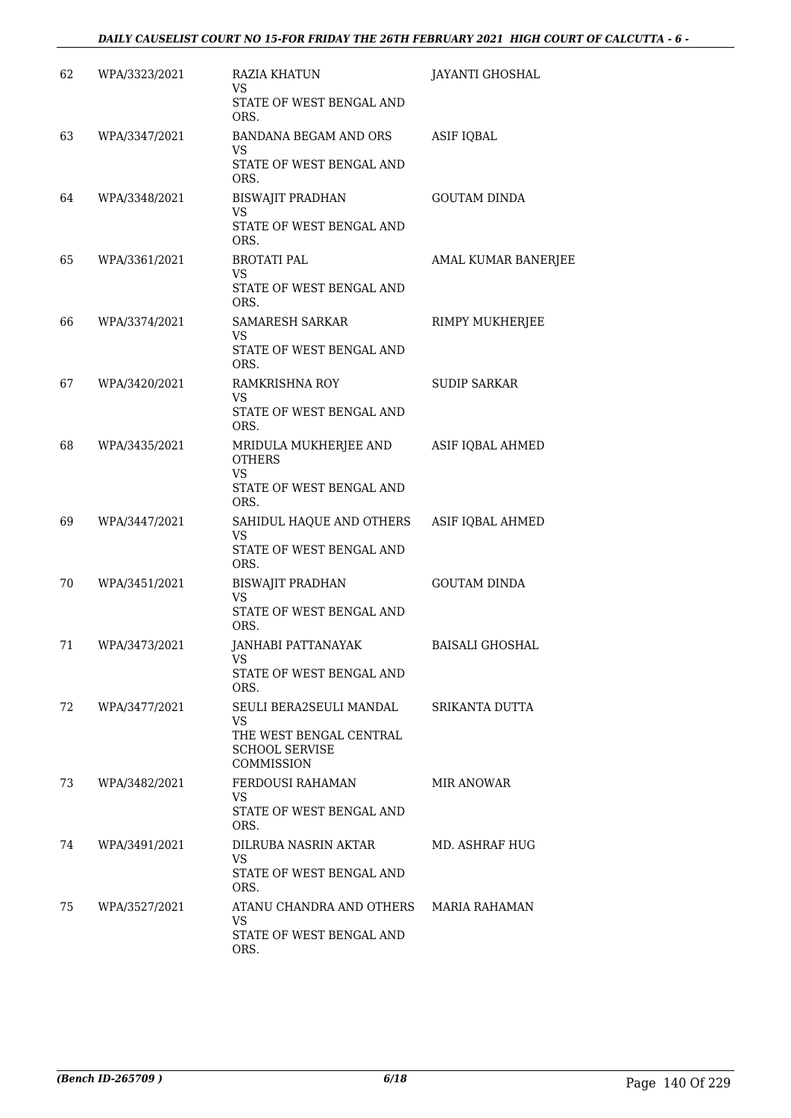| 62  | WPA/3323/2021 | <b>RAZIA KHATUN</b><br>VS                                                                        | <b>JAYANTI GHOSHAL</b> |
|-----|---------------|--------------------------------------------------------------------------------------------------|------------------------|
|     |               | STATE OF WEST BENGAL AND<br>ORS.                                                                 |                        |
| 63  | WPA/3347/2021 | BANDANA BEGAM AND ORS<br>VS<br>STATE OF WEST BENGAL AND<br>ORS.                                  | <b>ASIF IQBAL</b>      |
| 64  | WPA/3348/2021 | <b>BISWAJIT PRADHAN</b><br><b>VS</b><br>STATE OF WEST BENGAL AND<br>ORS.                         | <b>GOUTAM DINDA</b>    |
| 65  | WPA/3361/2021 | <b>BROTATI PAL</b><br>VS<br>STATE OF WEST BENGAL AND<br>ORS.                                     | AMAL KUMAR BANERJEE    |
| 66  | WPA/3374/2021 | SAMARESH SARKAR<br><b>VS</b><br>STATE OF WEST BENGAL AND<br>ORS.                                 | RIMPY MUKHERJEE        |
| 67  | WPA/3420/2021 | RAMKRISHNA ROY<br>VS<br>STATE OF WEST BENGAL AND<br>ORS.                                         | <b>SUDIP SARKAR</b>    |
| 68  | WPA/3435/2021 | MRIDULA MUKHERJEE AND<br><b>OTHERS</b><br><b>VS</b><br>STATE OF WEST BENGAL AND<br>ORS.          | ASIF IQBAL AHMED       |
| 69  | WPA/3447/2021 | SAHIDUL HAQUE AND OTHERS<br>VS<br>STATE OF WEST BENGAL AND<br>ORS.                               | ASIF IQBAL AHMED       |
| 70  | WPA/3451/2021 | <b>BISWAJIT PRADHAN</b><br>VS<br>STATE OF WEST BENGAL AND<br>ORS.                                | <b>GOUTAM DINDA</b>    |
| 71  | WPA/3473/2021 | JANHABI PATTANAYAK<br>VS —<br>STATE OF WEST BENGAL AND<br>ORS.                                   | <b>BAISALI GHOSHAL</b> |
| 72  | WPA/3477/2021 | SEULI BERA2SEULI MANDAL<br>VS.<br>THE WEST BENGAL CENTRAL<br><b>SCHOOL SERVISE</b><br>COMMISSION | SRIKANTA DUTTA         |
| 73. | WPA/3482/2021 | FERDOUSI RAHAMAN<br>VS.<br>STATE OF WEST BENGAL AND<br>ORS.                                      | MIR ANOWAR             |
| 74  | WPA/3491/2021 | DILRUBA NASRIN AKTAR<br>VS.<br>STATE OF WEST BENGAL AND<br>ORS.                                  | MD. ASHRAF HUG         |
| 75  | WPA/3527/2021 | ATANU CHANDRA AND OTHERS<br>VS.<br>STATE OF WEST BENGAL AND<br>ORS.                              | MARIA RAHAMAN          |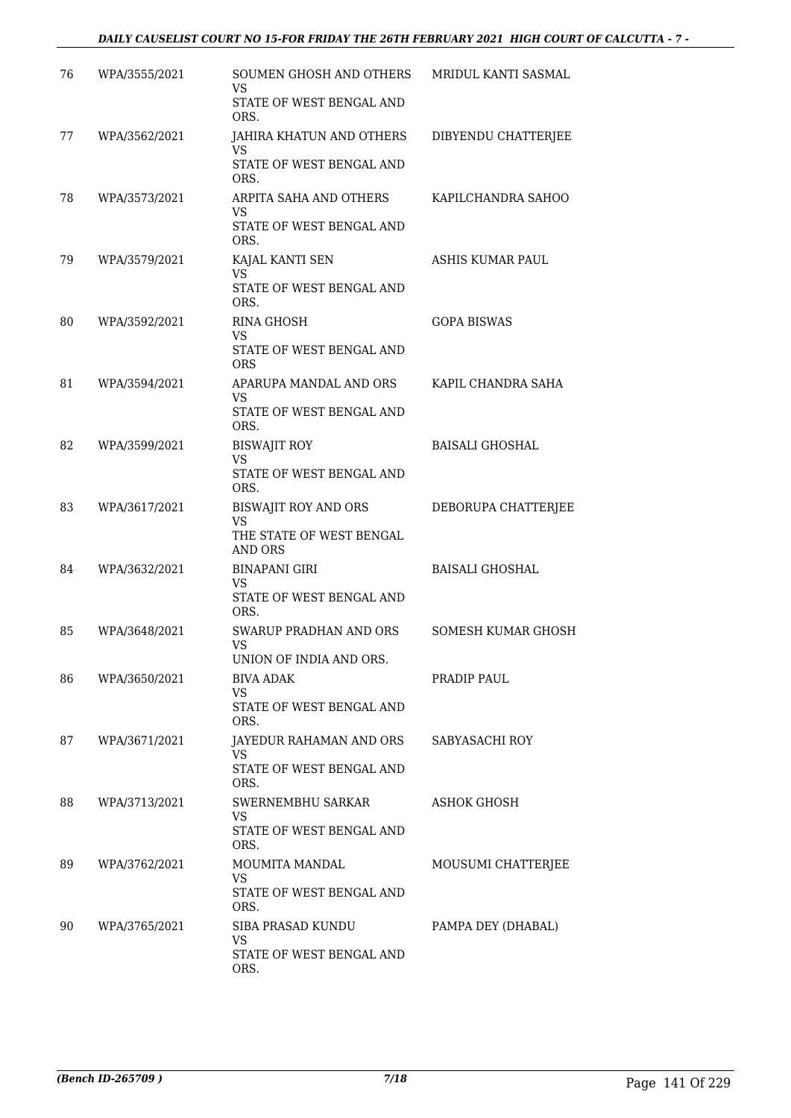## *DAILY CAUSELIST COURT NO 15-FOR FRIDAY THE 26TH FEBRUARY 2021 HIGH COURT OF CALCUTTA - 7 -*

| 76 | WPA/3555/2021 | SOUMEN GHOSH AND OTHERS<br>VS                                            | MRIDUL KANTI SASMAL    |
|----|---------------|--------------------------------------------------------------------------|------------------------|
|    |               | STATE OF WEST BENGAL AND<br>ORS.                                         |                        |
| 77 | WPA/3562/2021 | JAHIRA KHATUN AND OTHERS<br>VS<br>STATE OF WEST BENGAL AND<br>ORS.       | DIBYENDU CHATTERJEE    |
| 78 | WPA/3573/2021 | ARPITA SAHA AND OTHERS<br><b>VS</b><br>STATE OF WEST BENGAL AND<br>ORS.  | KAPILCHANDRA SAHOO     |
| 79 | WPA/3579/2021 | KAJAL KANTI SEN<br><b>VS</b><br>STATE OF WEST BENGAL AND<br>ORS.         | ASHIS KUMAR PAUL       |
| 80 | WPA/3592/2021 | RINA GHOSH<br><b>VS</b><br>STATE OF WEST BENGAL AND<br><b>ORS</b>        | <b>GOPA BISWAS</b>     |
| 81 | WPA/3594/2021 | APARUPA MANDAL AND ORS<br><b>VS</b><br>STATE OF WEST BENGAL AND<br>ORS.  | KAPIL CHANDRA SAHA     |
| 82 | WPA/3599/2021 | <b>BISWAJIT ROY</b><br><b>VS</b><br>STATE OF WEST BENGAL AND<br>ORS.     | <b>BAISALI GHOSHAL</b> |
| 83 | WPA/3617/2021 | BISWAJIT ROY AND ORS<br>VS<br>THE STATE OF WEST BENGAL<br><b>AND ORS</b> | DEBORUPA CHATTERJEE    |
| 84 | WPA/3632/2021 | <b>BINAPANI GIRI</b><br>VS<br>STATE OF WEST BENGAL AND<br>ORS.           | <b>BAISALI GHOSHAL</b> |
| 85 | WPA/3648/2021 | <b>SWARUP PRADHAN AND ORS</b><br>VS<br>UNION OF INDIA AND ORS.           | SOMESH KUMAR GHOSH     |
| 86 | WPA/3650/2021 | BIVA ADAK<br>VS<br>STATE OF WEST BENGAL AND<br>ORS.                      | PRADIP PAUL            |
| 87 | WPA/3671/2021 | JAYEDUR RAHAMAN AND ORS<br>VS<br>STATE OF WEST BENGAL AND<br>ORS.        | SABYASACHI ROY         |
| 88 | WPA/3713/2021 | SWERNEMBHU SARKAR<br>VS<br>STATE OF WEST BENGAL AND<br>ORS.              | ASHOK GHOSH            |
| 89 | WPA/3762/2021 | <b>MOUMITA MANDAL</b><br>VS<br>STATE OF WEST BENGAL AND<br>ORS.          | MOUSUMI CHATTERJEE     |
| 90 | WPA/3765/2021 | SIBA PRASAD KUNDU<br>VS<br>STATE OF WEST BENGAL AND<br>ORS.              | PAMPA DEY (DHABAL)     |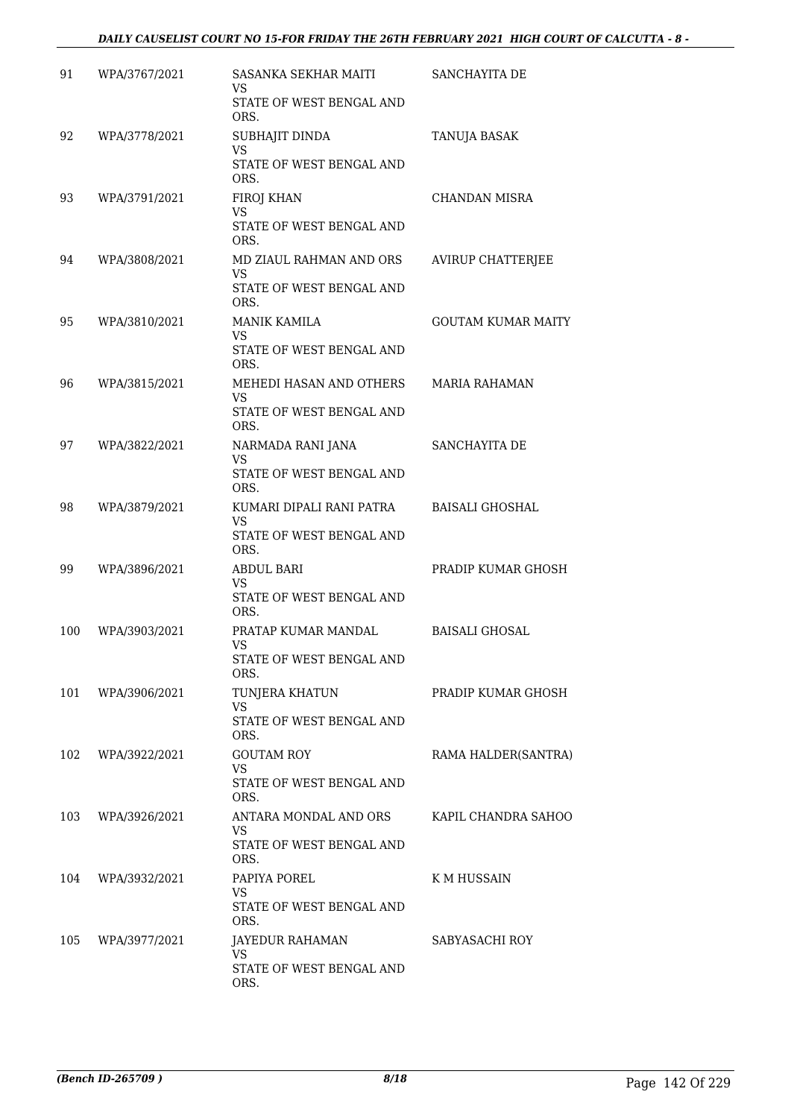## *DAILY CAUSELIST COURT NO 15-FOR FRIDAY THE 26TH FEBRUARY 2021 HIGH COURT OF CALCUTTA - 8 -*

| 91  | WPA/3767/2021 | SASANKA SEKHAR MAITI<br>VS           | SANCHAYITA DE             |
|-----|---------------|--------------------------------------|---------------------------|
|     |               | STATE OF WEST BENGAL AND<br>ORS.     |                           |
| 92  | WPA/3778/2021 | SUBHAJIT DINDA<br><b>VS</b>          | TANUJA BASAK              |
|     |               | STATE OF WEST BENGAL AND<br>ORS.     |                           |
| 93  | WPA/3791/2021 | FIROJ KHAN<br><b>VS</b>              | <b>CHANDAN MISRA</b>      |
|     |               | STATE OF WEST BENGAL AND<br>ORS.     |                           |
| 94  | WPA/3808/2021 | MD ZIAUL RAHMAN AND ORS<br><b>VS</b> | <b>AVIRUP CHATTERJEE</b>  |
|     |               | STATE OF WEST BENGAL AND<br>ORS.     |                           |
| 95  | WPA/3810/2021 | <b>MANIK KAMILA</b><br><b>VS</b>     | <b>GOUTAM KUMAR MAITY</b> |
|     |               | STATE OF WEST BENGAL AND<br>ORS.     |                           |
| 96  | WPA/3815/2021 | MEHEDI HASAN AND OTHERS<br>VS.       | <b>MARIA RAHAMAN</b>      |
|     |               | STATE OF WEST BENGAL AND<br>ORS.     |                           |
| 97  | WPA/3822/2021 | NARMADA RANI JANA<br><b>VS</b>       | <b>SANCHAYITA DE</b>      |
|     |               | STATE OF WEST BENGAL AND<br>ORS.     |                           |
| 98  | WPA/3879/2021 | KUMARI DIPALI RANI PATRA<br>VS       | <b>BAISALI GHOSHAL</b>    |
|     |               | STATE OF WEST BENGAL AND<br>ORS.     |                           |
| 99  | WPA/3896/2021 | <b>ABDUL BARI</b><br>VS              | PRADIP KUMAR GHOSH        |
|     |               | STATE OF WEST BENGAL AND<br>ORS.     |                           |
| 100 | WPA/3903/2021 | PRATAP KUMAR MANDAL<br>VS            | <b>BAISALI GHOSAL</b>     |
|     |               | STATE OF WEST BENGAL AND<br>ORS.     |                           |
| 101 | WPA/3906/2021 | TUNJERA KHATUN<br>VS.                | PRADIP KUMAR GHOSH        |
|     |               | STATE OF WEST BENGAL AND<br>ORS.     |                           |
| 102 | WPA/3922/2021 | <b>GOUTAM ROY</b><br>VS.             | RAMA HALDER(SANTRA)       |
|     |               | STATE OF WEST BENGAL AND<br>ORS.     |                           |
| 103 | WPA/3926/2021 | ANTARA MONDAL AND ORS<br>VS.         | KAPIL CHANDRA SAHOO       |
|     |               | STATE OF WEST BENGAL AND<br>ORS.     |                           |
| 104 | WPA/3932/2021 | PAPIYA POREL<br>VS.                  | K M HUSSAIN               |
|     |               | STATE OF WEST BENGAL AND<br>ORS.     |                           |
| 105 | WPA/3977/2021 | JAYEDUR RAHAMAN<br><b>VS</b>         | SABYASACHI ROY            |
|     |               | STATE OF WEST BENGAL AND<br>ORS.     |                           |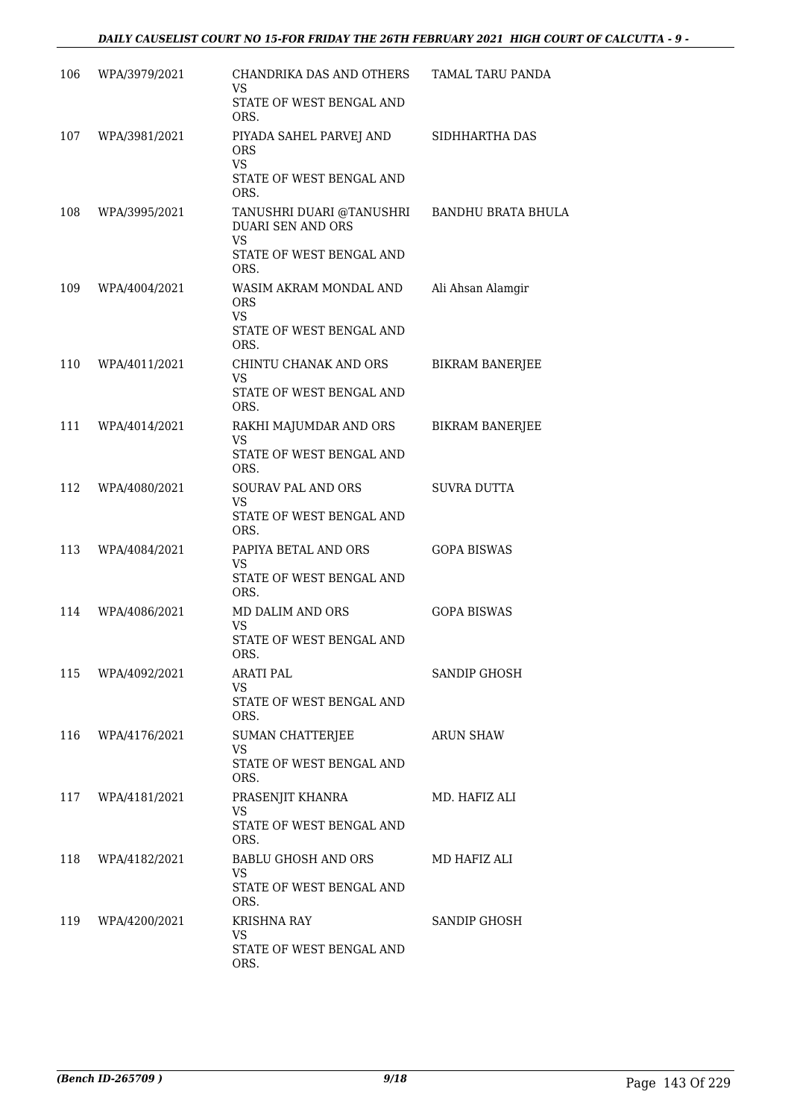| 106 | WPA/3979/2021     | CHANDRIKA DAS AND OTHERS<br>VS<br>STATE OF WEST BENGAL AND                                     | TAMAL TARU PANDA          |
|-----|-------------------|------------------------------------------------------------------------------------------------|---------------------------|
| 107 | WPA/3981/2021     | ORS.<br>PIYADA SAHEL PARVEJ AND<br><b>ORS</b><br><b>VS</b><br>STATE OF WEST BENGAL AND<br>ORS. | SIDHHARTHA DAS            |
| 108 | WPA/3995/2021     | TANUSHRI DUARI @TANUSHRI<br><b>DUARI SEN AND ORS</b><br>VS<br>STATE OF WEST BENGAL AND<br>ORS. | <b>BANDHU BRATA BHULA</b> |
| 109 | WPA/4004/2021     | WASIM AKRAM MONDAL AND<br><b>ORS</b><br><b>VS</b><br>STATE OF WEST BENGAL AND<br>ORS.          | Ali Ahsan Alamgir         |
| 110 | WPA/4011/2021     | CHINTU CHANAK AND ORS<br><b>VS</b><br>STATE OF WEST BENGAL AND<br>ORS.                         | <b>BIKRAM BANERJEE</b>    |
| 111 | WPA/4014/2021     | RAKHI MAJUMDAR AND ORS<br>VS<br>STATE OF WEST BENGAL AND<br>ORS.                               | <b>BIKRAM BANERJEE</b>    |
| 112 | WPA/4080/2021     | SOURAV PAL AND ORS<br>VS<br>STATE OF WEST BENGAL AND<br>ORS.                                   | <b>SUVRA DUTTA</b>        |
| 113 | WPA/4084/2021     | PAPIYA BETAL AND ORS<br>VS<br>STATE OF WEST BENGAL AND<br>ORS.                                 | <b>GOPA BISWAS</b>        |
| 114 | WPA/4086/2021     | MD DALIM AND ORS<br>VS<br>STATE OF WEST BENGAL AND<br>ORS.                                     | <b>GOPA BISWAS</b>        |
| 115 | WPA/4092/2021     | ARATI PAL<br>VS.<br>STATE OF WEST BENGAL AND<br>ORS.                                           | SANDIP GHOSH              |
| 116 | WPA/4176/2021     | SUMAN CHATTERJEE<br><b>VS</b><br>STATE OF WEST BENGAL AND<br>ORS.                              | <b>ARUN SHAW</b>          |
|     | 117 WPA/4181/2021 | PRASENJIT KHANRA<br>VS<br>STATE OF WEST BENGAL AND<br>ORS.                                     | MD. HAFIZ ALI             |
| 118 | WPA/4182/2021     | BABLU GHOSH AND ORS<br><b>VS</b><br>STATE OF WEST BENGAL AND<br>ORS.                           | MD HAFIZ ALI              |
| 119 | WPA/4200/2021     | KRISHNA RAY<br>VS.<br>STATE OF WEST BENGAL AND<br>ORS.                                         | <b>SANDIP GHOSH</b>       |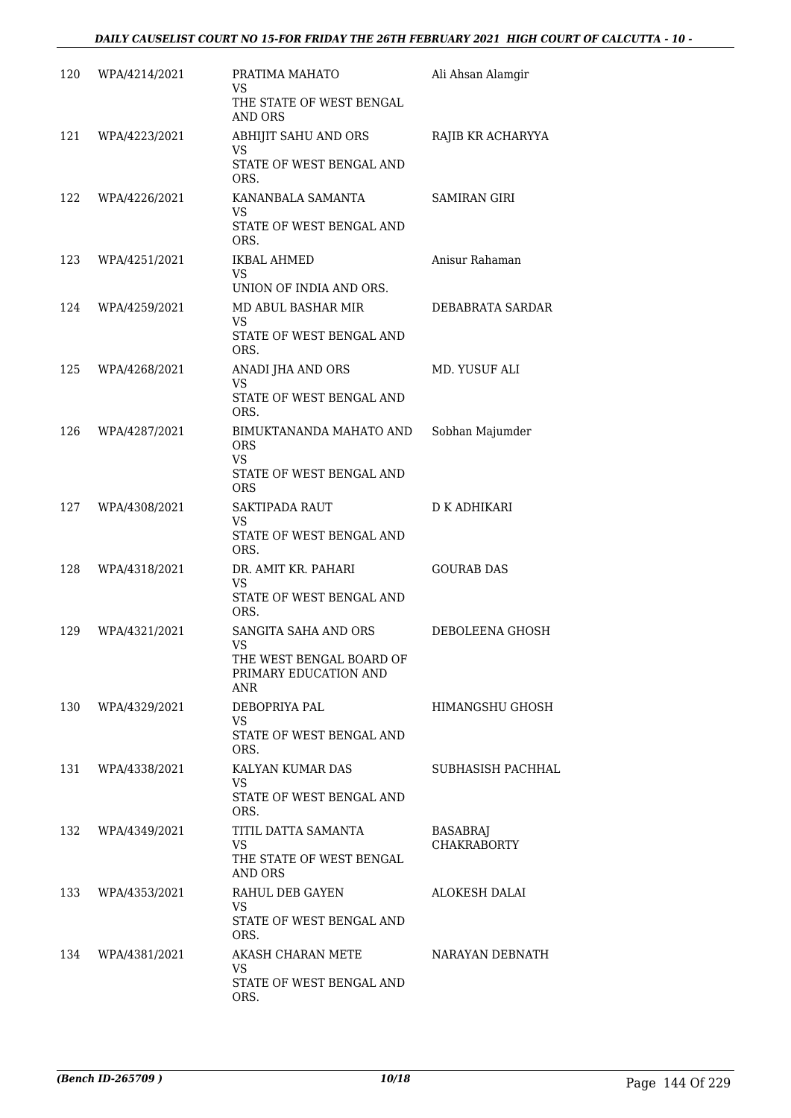| 120 | WPA/4214/2021 | PRATIMA MAHATO<br>VS<br>THE STATE OF WEST BENGAL<br>AND ORS                                  | Ali Ahsan Alamgir              |
|-----|---------------|----------------------------------------------------------------------------------------------|--------------------------------|
| 121 | WPA/4223/2021 | ABHIJIT SAHU AND ORS<br>VS.<br>STATE OF WEST BENGAL AND<br>ORS.                              | RAJIB KR ACHARYYA              |
| 122 | WPA/4226/2021 | KANANBALA SAMANTA<br>VS<br>STATE OF WEST BENGAL AND<br>ORS.                                  | SAMIRAN GIRI                   |
| 123 | WPA/4251/2021 | IKBAL AHMED<br>VS<br>UNION OF INDIA AND ORS.                                                 | Anisur Rahaman                 |
| 124 | WPA/4259/2021 | MD ABUL BASHAR MIR<br>VS.<br>STATE OF WEST BENGAL AND<br>ORS.                                | DEBABRATA SARDAR               |
| 125 | WPA/4268/2021 | ANADI JHA AND ORS<br>VS<br>STATE OF WEST BENGAL AND<br>ORS.                                  | MD. YUSUF ALI                  |
| 126 | WPA/4287/2021 | BIMUKTANANDA MAHATO AND<br><b>ORS</b><br><b>VS</b><br>STATE OF WEST BENGAL AND<br><b>ORS</b> | Sobhan Majumder                |
| 127 | WPA/4308/2021 | <b>SAKTIPADA RAUT</b><br>VS<br>STATE OF WEST BENGAL AND<br>ORS.                              | D K ADHIKARI                   |
| 128 | WPA/4318/2021 | DR. AMIT KR. PAHARI<br>VS<br>STATE OF WEST BENGAL AND<br>ORS.                                | <b>GOURAB DAS</b>              |
| 129 | WPA/4321/2021 | SANGITA SAHA AND ORS<br>VS<br>THE WEST BENGAL BOARD OF<br>PRIMARY EDUCATION AND<br>ANR       | DEBOLEENA GHOSH                |
| 130 | WPA/4329/2021 | DEBOPRIYA PAL<br>VS.<br>STATE OF WEST BENGAL AND<br>ORS.                                     | HIMANGSHU GHOSH                |
| 131 | WPA/4338/2021 | KALYAN KUMAR DAS<br>VS<br>STATE OF WEST BENGAL AND<br>ORS.                                   | SUBHASISH PACHHAL              |
| 132 | WPA/4349/2021 | TITIL DATTA SAMANTA<br><b>VS</b><br>THE STATE OF WEST BENGAL<br>AND ORS                      | BASABRAJ<br><b>CHAKRABORTY</b> |
| 133 | WPA/4353/2021 | RAHUL DEB GAYEN<br><b>VS</b><br>STATE OF WEST BENGAL AND<br>ORS.                             | ALOKESH DALAI                  |
| 134 | WPA/4381/2021 | AKASH CHARAN METE<br>VS.<br>STATE OF WEST BENGAL AND<br>ORS.                                 | NARAYAN DEBNATH                |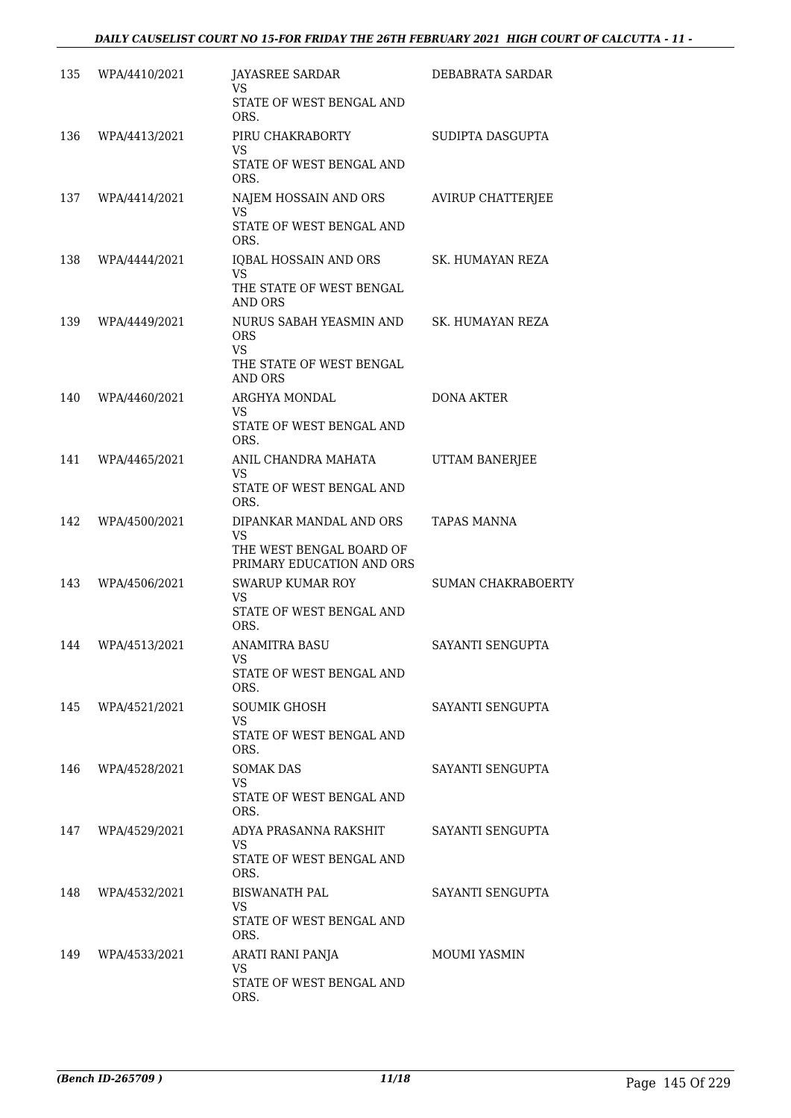| 135 | WPA/4410/2021 | <b>JAYASREE SARDAR</b><br>VS                                                           | DEBABRATA SARDAR          |
|-----|---------------|----------------------------------------------------------------------------------------|---------------------------|
|     |               | STATE OF WEST BENGAL AND<br>ORS.                                                       |                           |
| 136 | WPA/4413/2021 | PIRU CHAKRABORTY<br>VS.                                                                | SUDIPTA DASGUPTA          |
|     |               | STATE OF WEST BENGAL AND<br>ORS.                                                       |                           |
| 137 | WPA/4414/2021 | NAJEM HOSSAIN AND ORS<br><b>VS</b><br>STATE OF WEST BENGAL AND                         | <b>AVIRUP CHATTERJEE</b>  |
|     |               | ORS.                                                                                   |                           |
| 138 | WPA/4444/2021 | IQBAL HOSSAIN AND ORS<br><b>VS</b>                                                     | SK. HUMAYAN REZA          |
|     |               | THE STATE OF WEST BENGAL<br><b>AND ORS</b>                                             |                           |
| 139 | WPA/4449/2021 | NURUS SABAH YEASMIN AND<br><b>ORS</b><br><b>VS</b>                                     | SK. HUMAYAN REZA          |
|     |               | THE STATE OF WEST BENGAL<br><b>AND ORS</b>                                             |                           |
| 140 | WPA/4460/2021 | ARGHYA MONDAL                                                                          | DONA AKTER                |
|     |               | VS<br>STATE OF WEST BENGAL AND<br>ORS.                                                 |                           |
| 141 | WPA/4465/2021 | ANIL CHANDRA MAHATA<br>VS.                                                             | UTTAM BANERJEE            |
|     |               | STATE OF WEST BENGAL AND<br>ORS.                                                       |                           |
| 142 | WPA/4500/2021 | DIPANKAR MANDAL AND ORS<br>VS<br>THE WEST BENGAL BOARD OF<br>PRIMARY EDUCATION AND ORS | TAPAS MANNA               |
| 143 | WPA/4506/2021 | <b>SWARUP KUMAR ROY</b>                                                                | <b>SUMAN CHAKRABOERTY</b> |
|     |               | VS<br>STATE OF WEST BENGAL AND<br>ORS.                                                 |                           |
| 144 | WPA/4513/2021 | ANAMITRA BASU                                                                          | SAYANTI SENGUPTA          |
|     |               | <b>VS</b><br>STATE OF WEST BENGAL AND<br>ORS.                                          |                           |
| 145 | WPA/4521/2021 | <b>SOUMIK GHOSH</b><br>VS.                                                             | SAYANTI SENGUPTA          |
|     |               | STATE OF WEST BENGAL AND<br>ORS.                                                       |                           |
| 146 | WPA/4528/2021 | <b>SOMAK DAS</b>                                                                       | SAYANTI SENGUPTA          |
|     |               | VS<br>STATE OF WEST BENGAL AND<br>ORS.                                                 |                           |
| 147 | WPA/4529/2021 | ADYA PRASANNA RAKSHIT                                                                  | SAYANTI SENGUPTA          |
|     |               | VS<br>STATE OF WEST BENGAL AND<br>ORS.                                                 |                           |
| 148 | WPA/4532/2021 | <b>BISWANATH PAL</b>                                                                   | SAYANTI SENGUPTA          |
|     |               | VS.<br>STATE OF WEST BENGAL AND<br>ORS.                                                |                           |
| 149 | WPA/4533/2021 | ARATI RANI PANJA                                                                       | MOUMI YASMIN              |
|     |               | VS.<br>STATE OF WEST BENGAL AND<br>ORS.                                                |                           |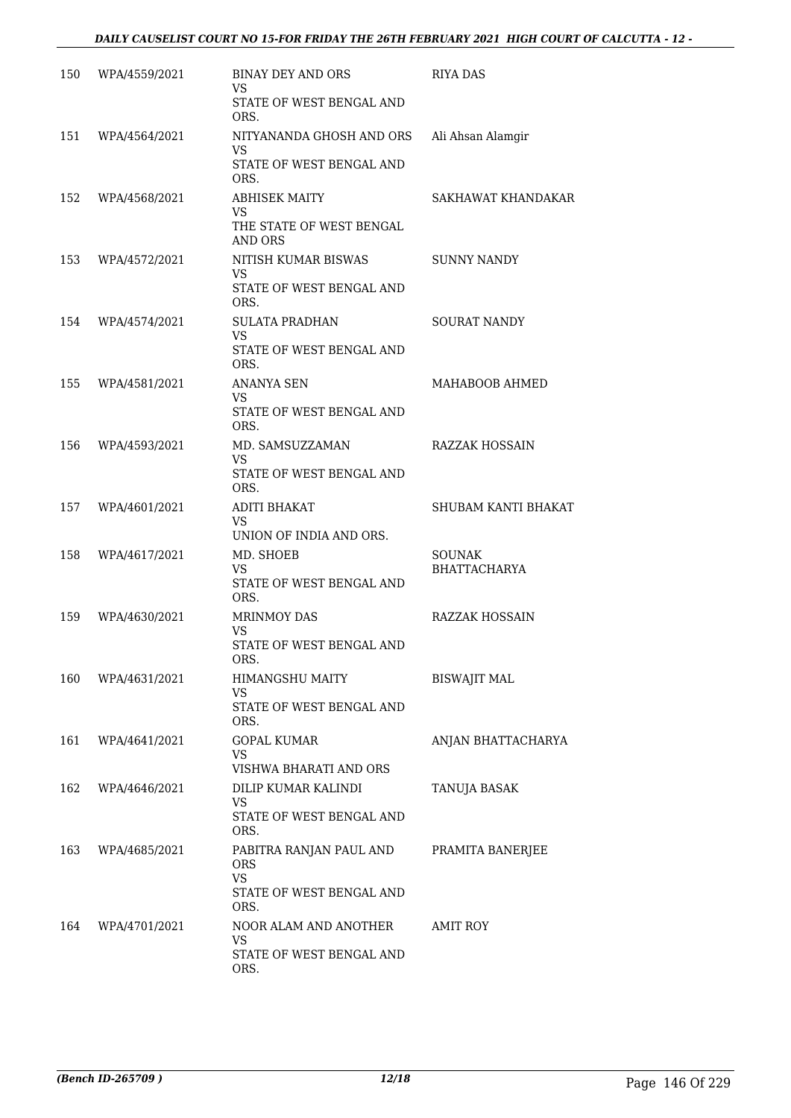| 150 | WPA/4559/2021 | <b>BINAY DEY AND ORS</b><br>VS.                                                 | <b>RIYA DAS</b>                      |
|-----|---------------|---------------------------------------------------------------------------------|--------------------------------------|
|     |               | STATE OF WEST BENGAL AND<br>ORS.                                                |                                      |
| 151 | WPA/4564/2021 | NITYANANDA GHOSH AND ORS<br>VS<br>STATE OF WEST BENGAL AND<br>ORS.              | Ali Ahsan Alamgir                    |
| 152 | WPA/4568/2021 | <b>ABHISEK MAITY</b><br><b>VS</b>                                               | SAKHAWAT KHANDAKAR                   |
|     |               | THE STATE OF WEST BENGAL<br><b>AND ORS</b>                                      |                                      |
| 153 | WPA/4572/2021 | NITISH KUMAR BISWAS<br>VS.<br>STATE OF WEST BENGAL AND<br>ORS.                  | <b>SUNNY NANDY</b>                   |
| 154 | WPA/4574/2021 | <b>SULATA PRADHAN</b><br><b>VS</b><br>STATE OF WEST BENGAL AND<br>ORS.          | <b>SOURAT NANDY</b>                  |
| 155 | WPA/4581/2021 | ANANYA SEN<br><b>VS</b><br>STATE OF WEST BENGAL AND<br>ORS.                     | MAHABOOB AHMED                       |
| 156 | WPA/4593/2021 | MD. SAMSUZZAMAN<br><b>VS</b><br>STATE OF WEST BENGAL AND                        | RAZZAK HOSSAIN                       |
| 157 | WPA/4601/2021 | ORS.<br>ADITI BHAKAT<br>VS<br>UNION OF INDIA AND ORS.                           | SHUBAM KANTI BHAKAT                  |
| 158 | WPA/4617/2021 | MD. SHOEB<br><b>VS</b><br>STATE OF WEST BENGAL AND<br>ORS.                      | <b>SOUNAK</b><br><b>BHATTACHARYA</b> |
| 159 | WPA/4630/2021 | <b>MRINMOY DAS</b><br>VS<br>STATE OF WEST BENGAL AND<br>ORS.                    | <b>RAZZAK HOSSAIN</b>                |
| 160 | WPA/4631/2021 | HIMANGSHU MAITY<br>VS<br>STATE OF WEST BENGAL AND<br>ORS.                       | <b>BISWAJIT MAL</b>                  |
| 161 | WPA/4641/2021 | <b>GOPAL KUMAR</b><br><b>VS</b><br>VISHWA BHARATI AND ORS                       | ANJAN BHATTACHARYA                   |
| 162 | WPA/4646/2021 | DILIP KUMAR KALINDI<br>VS<br>STATE OF WEST BENGAL AND<br>ORS.                   | TANUJA BASAK                         |
| 163 | WPA/4685/2021 | PABITRA RANJAN PAUL AND<br>ORS<br><b>VS</b><br>STATE OF WEST BENGAL AND<br>ORS. | PRAMITA BANERJEE                     |
| 164 | WPA/4701/2021 | NOOR ALAM AND ANOTHER<br>VS<br>STATE OF WEST BENGAL AND<br>ORS.                 | <b>AMIT ROY</b>                      |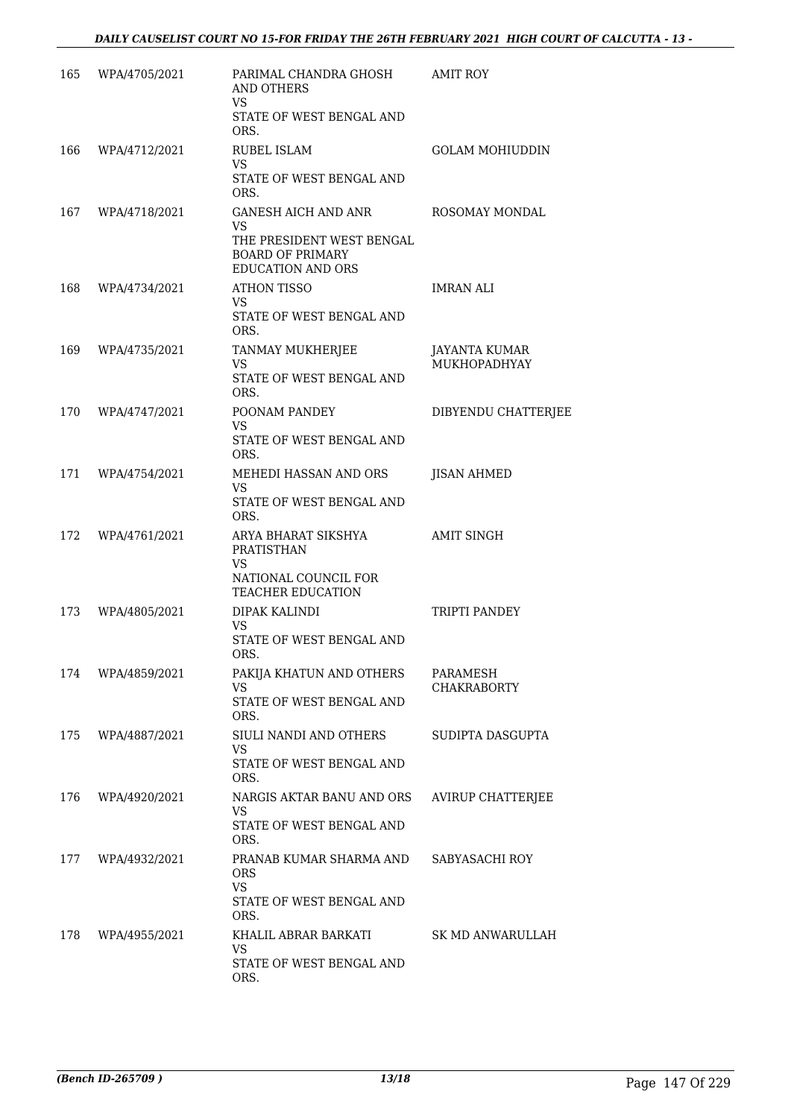| 165 | WPA/4705/2021 | PARIMAL CHANDRA GHOSH<br><b>AND OTHERS</b><br>VS.                                                                           | <b>AMIT ROY</b>                             |
|-----|---------------|-----------------------------------------------------------------------------------------------------------------------------|---------------------------------------------|
|     |               | STATE OF WEST BENGAL AND<br>ORS.                                                                                            |                                             |
| 166 | WPA/4712/2021 | <b>RUBEL ISLAM</b><br>VS.<br>STATE OF WEST BENGAL AND<br>ORS.                                                               | <b>GOLAM MOHIUDDIN</b>                      |
| 167 | WPA/4718/2021 | <b>GANESH AICH AND ANR</b><br><b>VS</b><br>THE PRESIDENT WEST BENGAL<br><b>BOARD OF PRIMARY</b><br><b>EDUCATION AND ORS</b> | ROSOMAY MONDAL                              |
| 168 | WPA/4734/2021 | <b>ATHON TISSO</b><br>VS.<br>STATE OF WEST BENGAL AND<br>ORS.                                                               | <b>IMRAN ALI</b>                            |
| 169 | WPA/4735/2021 | TANMAY MUKHERJEE<br>VS.<br>STATE OF WEST BENGAL AND<br>ORS.                                                                 | <b>JAYANTA KUMAR</b><br><b>MUKHOPADHYAY</b> |
| 170 | WPA/4747/2021 | POONAM PANDEY<br>VS.<br>STATE OF WEST BENGAL AND<br>ORS.                                                                    | DIBYENDU CHATTERJEE                         |
| 171 | WPA/4754/2021 | MEHEDI HASSAN AND ORS<br>VS<br>STATE OF WEST BENGAL AND<br>ORS.                                                             | JISAN AHMED                                 |
| 172 | WPA/4761/2021 | ARYA BHARAT SIKSHYA<br>PRATISTHAN<br>VS<br>NATIONAL COUNCIL FOR                                                             | <b>AMIT SINGH</b>                           |
| 173 | WPA/4805/2021 | TEACHER EDUCATION<br>DIPAK KALINDI<br>VS.<br>STATE OF WEST BENGAL AND<br>ORS.                                               | TRIPTI PANDEY                               |
| 174 | WPA/4859/2021 | PAKIJA KHATUN AND OTHERS<br>VS<br>STATE OF WEST BENGAL AND<br>ORS.                                                          | PARAMESH<br>CHAKRABORTY                     |
| 175 | WPA/4887/2021 | SIULI NANDI AND OTHERS<br>VS<br>STATE OF WEST BENGAL AND<br>ORS.                                                            | SUDIPTA DASGUPTA                            |
| 176 | WPA/4920/2021 | NARGIS AKTAR BANU AND ORS<br><b>VS</b><br>STATE OF WEST BENGAL AND<br>ORS.                                                  | <b>AVIRUP CHATTERJEE</b>                    |
| 177 | WPA/4932/2021 | PRANAB KUMAR SHARMA AND<br><b>ORS</b><br>VS.<br>STATE OF WEST BENGAL AND                                                    | SABYASACHI ROY                              |
| 178 | WPA/4955/2021 | ORS.<br>KHALIL ABRAR BARKATI<br><b>VS</b><br>STATE OF WEST BENGAL AND<br>ORS.                                               | SK MD ANWARULLAH                            |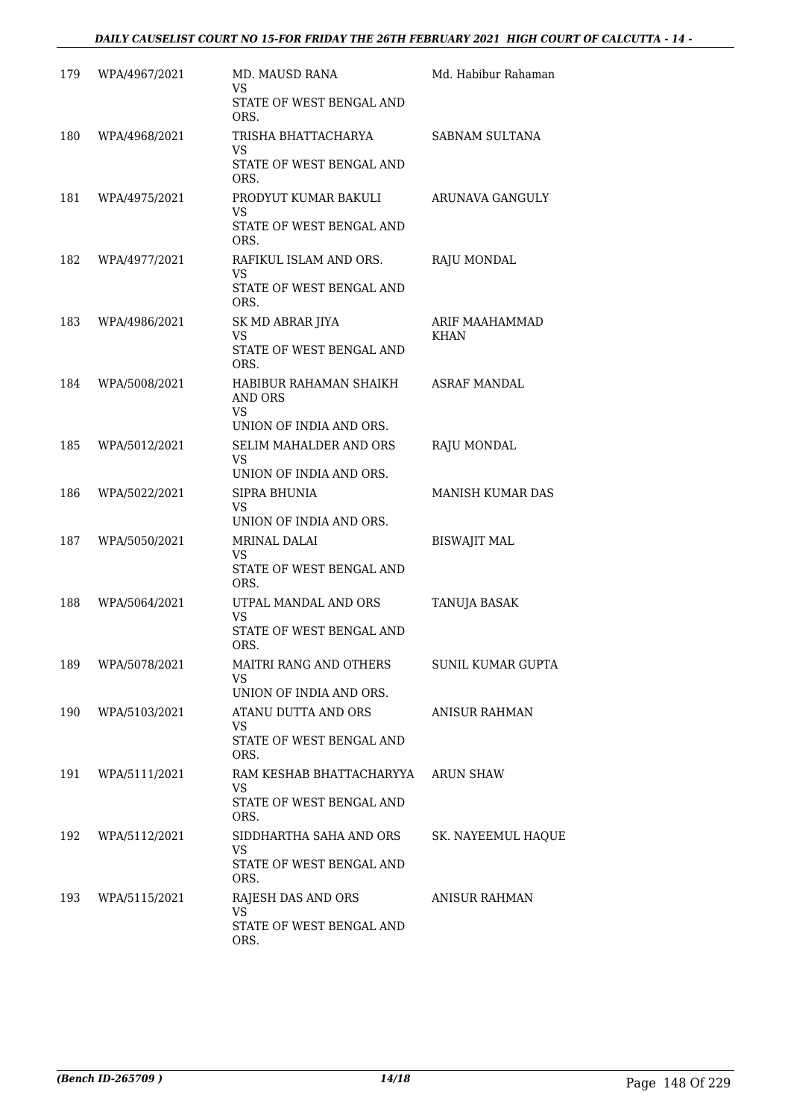| 179 | WPA/4967/2021 | MD. MAUSD RANA<br>VS<br>STATE OF WEST BENGAL AND                         | Md. Habibur Rahaman      |
|-----|---------------|--------------------------------------------------------------------------|--------------------------|
|     |               | ORS.                                                                     |                          |
| 180 | WPA/4968/2021 | TRISHA BHATTACHARYA<br>VS.                                               | SABNAM SULTANA           |
|     |               | STATE OF WEST BENGAL AND<br>ORS.                                         |                          |
| 181 | WPA/4975/2021 | PRODYUT KUMAR BAKULI<br><b>VS</b><br>STATE OF WEST BENGAL AND<br>ORS.    | ARUNAVA GANGULY          |
| 182 | WPA/4977/2021 | RAFIKUL ISLAM AND ORS.<br>VS.<br>STATE OF WEST BENGAL AND<br>ORS.        | RAJU MONDAL              |
| 183 | WPA/4986/2021 | SK MD ABRAR JIYA<br><b>VS</b><br>STATE OF WEST BENGAL AND<br>ORS.        | ARIF MAAHAMMAD<br>KHAN   |
| 184 | WPA/5008/2021 | HABIBUR RAHAMAN SHAIKH<br>AND ORS<br>VS<br>UNION OF INDIA AND ORS.       | <b>ASRAF MANDAL</b>      |
| 185 | WPA/5012/2021 | SELIM MAHALDER AND ORS<br><b>VS</b><br>UNION OF INDIA AND ORS.           | RAJU MONDAL              |
| 186 | WPA/5022/2021 | SIPRA BHUNIA<br><b>VS</b><br>UNION OF INDIA AND ORS.                     | <b>MANISH KUMAR DAS</b>  |
| 187 | WPA/5050/2021 | MRINAL DALAI<br><b>VS</b><br>STATE OF WEST BENGAL AND<br>ORS.            | <b>BISWAJIT MAL</b>      |
| 188 | WPA/5064/2021 | UTPAL MANDAL AND ORS<br>VS<br>STATE OF WEST BENGAL AND<br>ORS.           | TANUJA BASAK             |
| 189 | WPA/5078/2021 | MAITRI RANG AND OTHERS<br>VS<br>UNION OF INDIA AND ORS.                  | <b>SUNIL KUMAR GUPTA</b> |
| 190 | WPA/5103/2021 | ATANU DUTTA AND ORS<br>VS<br>STATE OF WEST BENGAL AND<br>ORS.            | ANISUR RAHMAN            |
| 191 | WPA/5111/2021 | RAM KESHAB BHATTACHARYYA<br>VS.<br>STATE OF WEST BENGAL AND<br>ORS.      | <b>ARUN SHAW</b>         |
| 192 | WPA/5112/2021 | SIDDHARTHA SAHA AND ORS<br><b>VS</b><br>STATE OF WEST BENGAL AND<br>ORS. | SK. NAYEEMUL HAQUE       |
| 193 | WPA/5115/2021 | RAJESH DAS AND ORS<br>VS.<br>STATE OF WEST BENGAL AND<br>ORS.            | ANISUR RAHMAN            |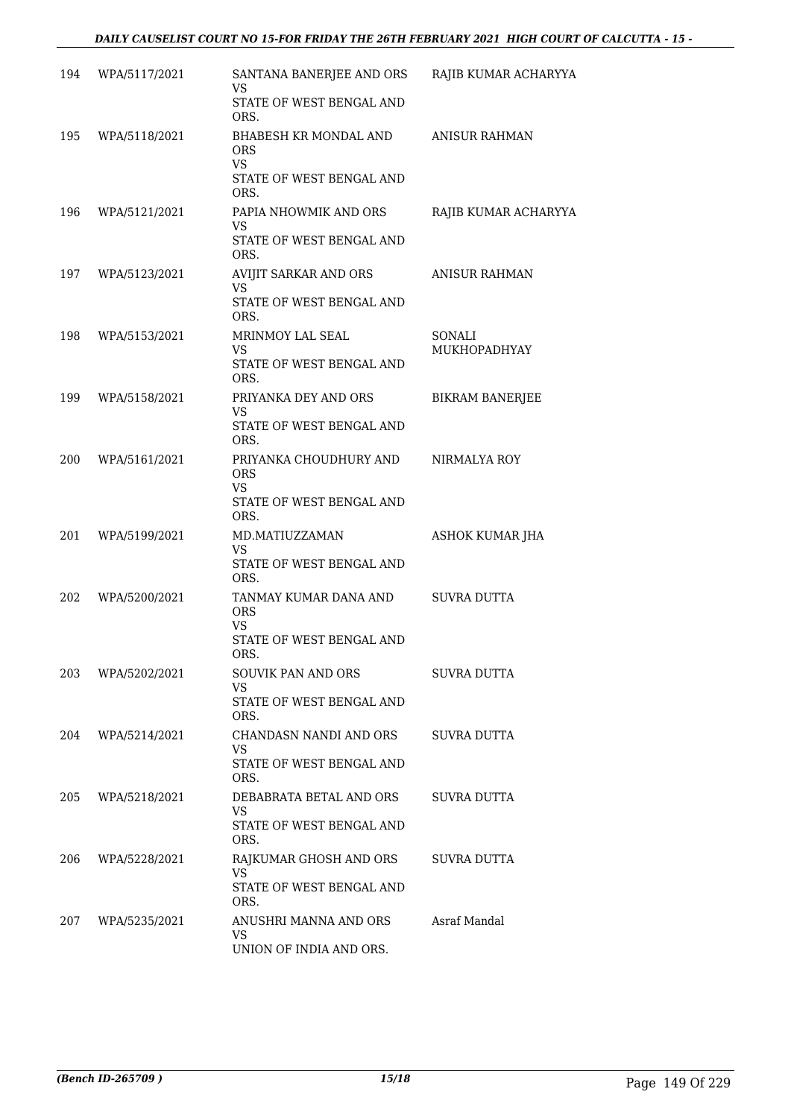#### *DAILY CAUSELIST COURT NO 15-FOR FRIDAY THE 26TH FEBRUARY 2021 HIGH COURT OF CALCUTTA - 15 -*

| 194 |               |                                                                                      |                        |
|-----|---------------|--------------------------------------------------------------------------------------|------------------------|
|     | WPA/5117/2021 | SANTANA BANERJEE AND ORS<br>VS<br>STATE OF WEST BENGAL AND                           | RAJIB KUMAR ACHARYYA   |
|     |               | ORS.                                                                                 |                        |
| 195 | WPA/5118/2021 | BHABESH KR MONDAL AND<br><b>ORS</b><br><b>VS</b><br>STATE OF WEST BENGAL AND<br>ORS. | <b>ANISUR RAHMAN</b>   |
| 196 | WPA/5121/2021 | PAPIA NHOWMIK AND ORS                                                                | RAJIB KUMAR ACHARYYA   |
|     |               | VS<br>STATE OF WEST BENGAL AND<br>ORS.                                               |                        |
| 197 | WPA/5123/2021 | AVIJIT SARKAR AND ORS<br><b>VS</b><br>STATE OF WEST BENGAL AND<br>ORS.               | <b>ANISUR RAHMAN</b>   |
| 198 | WPA/5153/2021 | MRINMOY LAL SEAL<br><b>VS</b><br>STATE OF WEST BENGAL AND<br>ORS.                    | SONALI<br>MUKHOPADHYAY |
| 199 | WPA/5158/2021 | PRIYANKA DEY AND ORS                                                                 | <b>BIKRAM BANERJEE</b> |
|     |               | VS<br>STATE OF WEST BENGAL AND<br>ORS.                                               |                        |
| 200 | WPA/5161/2021 | PRIYANKA CHOUDHURY AND<br><b>ORS</b><br><b>VS</b>                                    | NIRMALYA ROY           |
|     |               | STATE OF WEST BENGAL AND<br>ORS.                                                     |                        |
| 201 | WPA/5199/2021 | MD.MATIUZZAMAN<br>VS<br>STATE OF WEST BENGAL AND<br>ORS.                             | ASHOK KUMAR JHA        |
| 202 | WPA/5200/2021 | TANMAY KUMAR DANA AND<br><b>ORS</b><br>VS.<br>STATE OF WEST BENGAL AND               | <b>SUVRA DUTTA</b>     |
| 203 | WPA/5202/2021 | ORS.<br>SOUVIK PAN AND ORS<br>VS                                                     | SUVRA DUTTA            |
|     |               | STATE OF WEST BENGAL AND<br>ORS.                                                     |                        |
| 204 | WPA/5214/2021 | CHANDASN NANDI AND ORS<br>VS.<br>STATE OF WEST BENGAL AND                            | SUVRA DUTTA            |
|     |               | ORS.                                                                                 |                        |
| 205 | WPA/5218/2021 | DEBABRATA BETAL AND ORS<br><b>VS</b><br>STATE OF WEST BENGAL AND<br>ORS.             | SUVRA DUTTA            |
| 206 | WPA/5228/2021 | RAJKUMAR GHOSH AND ORS<br>VS.<br>STATE OF WEST BENGAL AND                            | SUVRA DUTTA            |
|     |               | ORS.                                                                                 |                        |
| 207 | WPA/5235/2021 | ANUSHRI MANNA AND ORS<br><b>VS</b><br>UNION OF INDIA AND ORS.                        | Asraf Mandal           |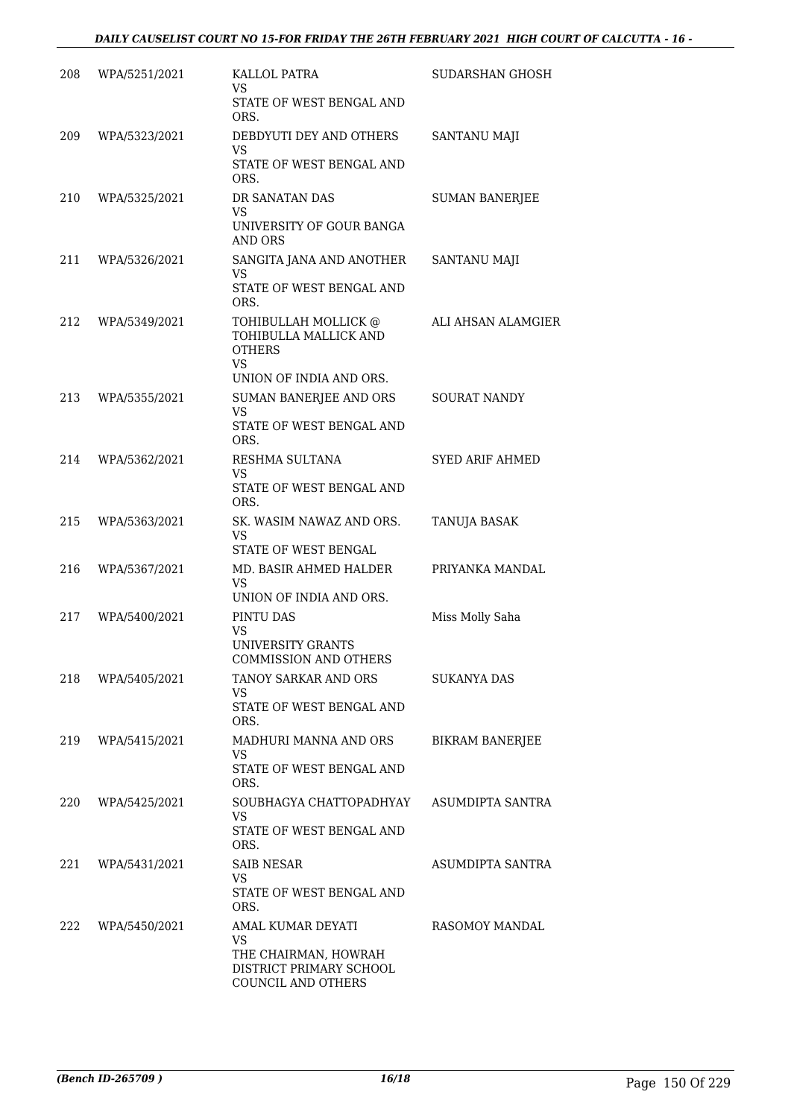| 208 | WPA/5251/2021 | KALLOL PATRA<br>VS                                                                               | SUDARSHAN GHOSH        |
|-----|---------------|--------------------------------------------------------------------------------------------------|------------------------|
|     |               | STATE OF WEST BENGAL AND<br>ORS.                                                                 |                        |
| 209 | WPA/5323/2021 | DEBDYUTI DEY AND OTHERS<br>VS.                                                                   | SANTANU MAJI           |
|     |               | STATE OF WEST BENGAL AND<br>ORS.                                                                 |                        |
| 210 | WPA/5325/2021 | DR SANATAN DAS<br><b>VS</b>                                                                      | <b>SUMAN BANERJEE</b>  |
|     |               | UNIVERSITY OF GOUR BANGA<br><b>AND ORS</b>                                                       |                        |
| 211 | WPA/5326/2021 | SANGITA JANA AND ANOTHER<br><b>VS</b>                                                            | SANTANU MAJI           |
|     |               | STATE OF WEST BENGAL AND<br>ORS.                                                                 |                        |
| 212 | WPA/5349/2021 | TOHIBULLAH MOLLICK @<br>TOHIBULLA MALLICK AND<br><b>OTHERS</b><br>VS.<br>UNION OF INDIA AND ORS. | ALI AHSAN ALAMGIER     |
| 213 | WPA/5355/2021 | SUMAN BANERJEE AND ORS                                                                           | <b>SOURAT NANDY</b>    |
|     |               | <b>VS</b><br>STATE OF WEST BENGAL AND<br>ORS.                                                    |                        |
| 214 | WPA/5362/2021 | RESHMA SULTANA<br>VS.                                                                            | <b>SYED ARIF AHMED</b> |
|     |               | STATE OF WEST BENGAL AND<br>ORS.                                                                 |                        |
| 215 | WPA/5363/2021 | SK. WASIM NAWAZ AND ORS.<br>VS.<br>STATE OF WEST BENGAL                                          | TANUJA BASAK           |
| 216 | WPA/5367/2021 | MD. BASIR AHMED HALDER                                                                           | PRIYANKA MANDAL        |
|     |               | VS<br>UNION OF INDIA AND ORS.                                                                    |                        |
| 217 | WPA/5400/2021 | PINTU DAS<br><b>VS</b><br>UNIVERSITY GRANTS<br>COMMISSION AND OTHERS                             | Miss Molly Saha        |
| 218 | WPA/5405/2021 | TANOY SARKAR AND ORS                                                                             | SUKANYA DAS            |
|     |               | VS.<br>STATE OF WEST BENGAL AND<br>ORS.                                                          |                        |
| 219 | WPA/5415/2021 | MADHURI MANNA AND ORS<br>VS                                                                      | <b>BIKRAM BANERJEE</b> |
|     |               | STATE OF WEST BENGAL AND<br>ORS.                                                                 |                        |
| 220 | WPA/5425/2021 | SOUBHAGYA CHATTOPADHYAY<br>VS.                                                                   | ASUMDIPTA SANTRA       |
|     |               | STATE OF WEST BENGAL AND<br>ORS.                                                                 |                        |
| 221 | WPA/5431/2021 | <b>SAIB NESAR</b><br>VS.                                                                         | ASUMDIPTA SANTRA       |
|     |               | STATE OF WEST BENGAL AND<br>ORS.                                                                 |                        |
| 222 | WPA/5450/2021 | AMAL KUMAR DEYATI<br><b>VS</b>                                                                   | RASOMOY MANDAL         |
|     |               | THE CHAIRMAN, HOWRAH<br>DISTRICT PRIMARY SCHOOL<br>COUNCIL AND OTHERS                            |                        |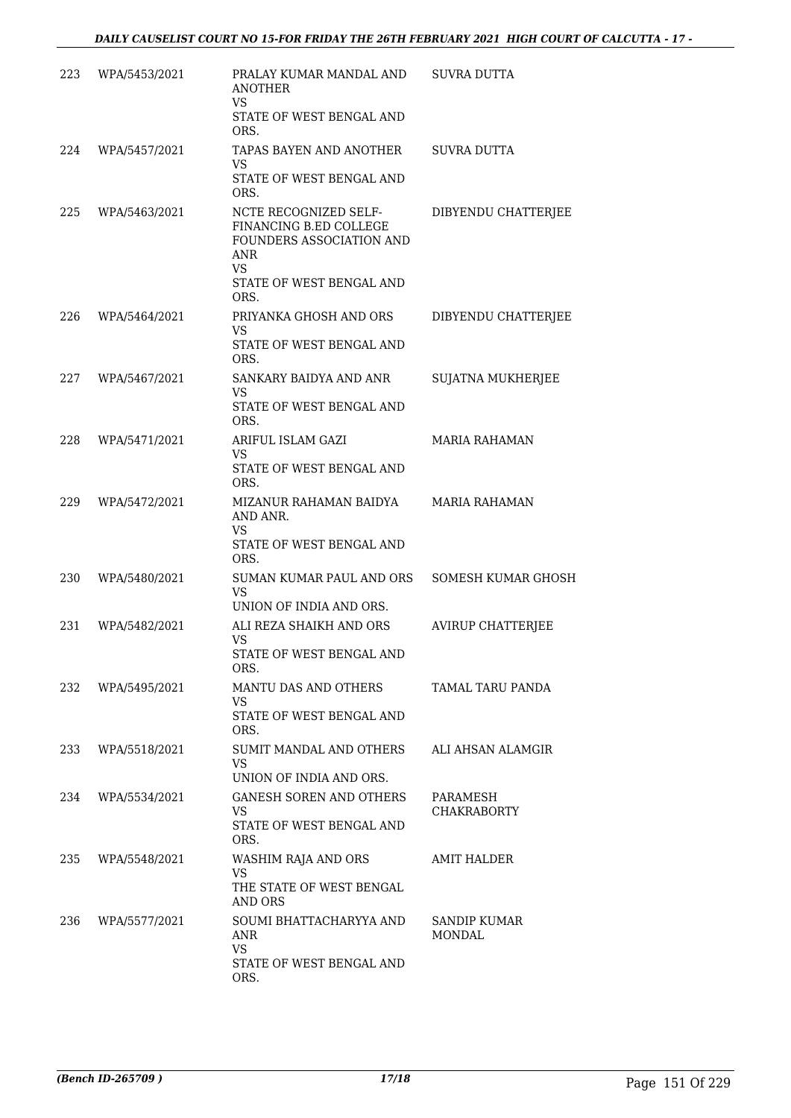| 223 | WPA/5453/2021 | PRALAY KUMAR MANDAL AND<br><b>ANOTHER</b><br><b>VS</b>                                                                                                    | SUVRA DUTTA                    |
|-----|---------------|-----------------------------------------------------------------------------------------------------------------------------------------------------------|--------------------------------|
|     |               | STATE OF WEST BENGAL AND<br>ORS.                                                                                                                          |                                |
| 224 | WPA/5457/2021 | TAPAS BAYEN AND ANOTHER<br>VS<br>STATE OF WEST BENGAL AND                                                                                                 | SUVRA DUTTA                    |
| 225 | WPA/5463/2021 | ORS.<br>NCTE RECOGNIZED SELF-<br>FINANCING B.ED COLLEGE<br><b>FOUNDERS ASSOCIATION AND</b><br><b>ANR</b><br><b>VS</b><br>STATE OF WEST BENGAL AND<br>ORS. | DIBYENDU CHATTERJEE            |
| 226 | WPA/5464/2021 | PRIYANKA GHOSH AND ORS<br>VS<br>STATE OF WEST BENGAL AND                                                                                                  | DIBYENDU CHATTERJEE            |
| 227 | WPA/5467/2021 | ORS.<br>SANKARY BAIDYA AND ANR<br>VS.<br>STATE OF WEST BENGAL AND<br>ORS.                                                                                 | <b>SUJATNA MUKHERJEE</b>       |
| 228 | WPA/5471/2021 | ARIFUL ISLAM GAZI<br>VS<br>STATE OF WEST BENGAL AND<br>ORS.                                                                                               | <b>MARIA RAHAMAN</b>           |
| 229 | WPA/5472/2021 | MIZANUR RAHAMAN BAIDYA<br>AND ANR.<br><b>VS</b><br>STATE OF WEST BENGAL AND<br>ORS.                                                                       | MARIA RAHAMAN                  |
| 230 | WPA/5480/2021 | SUMAN KUMAR PAUL AND ORS<br><b>VS</b><br>UNION OF INDIA AND ORS.                                                                                          | <b>SOMESH KUMAR GHOSH</b>      |
| 231 | WPA/5482/2021 | ALI REZA SHAIKH AND ORS<br><b>VS</b><br>STATE OF WEST BENGAL AND<br>ORS.                                                                                  | <b>AVIRUP CHATTERJEE</b>       |
| 232 | WPA/5495/2021 | MANTU DAS AND OTHERS<br>VS<br>STATE OF WEST BENGAL AND<br>ORS.                                                                                            | TAMAL TARU PANDA               |
| 233 | WPA/5518/2021 | SUMIT MANDAL AND OTHERS<br><b>VS</b><br>UNION OF INDIA AND ORS.                                                                                           | ALI AHSAN ALAMGIR              |
| 234 | WPA/5534/2021 | <b>GANESH SOREN AND OTHERS</b><br><b>VS</b><br>STATE OF WEST BENGAL AND<br>ORS.                                                                           | PARAMESH<br><b>CHAKRABORTY</b> |
| 235 | WPA/5548/2021 | WASHIM RAJA AND ORS<br><b>VS</b><br>THE STATE OF WEST BENGAL<br>AND ORS                                                                                   | AMIT HALDER                    |
| 236 | WPA/5577/2021 | SOUMI BHATTACHARYYA AND<br><b>ANR</b><br>VS<br>STATE OF WEST BENGAL AND<br>ORS.                                                                           | SANDIP KUMAR<br><b>MONDAL</b>  |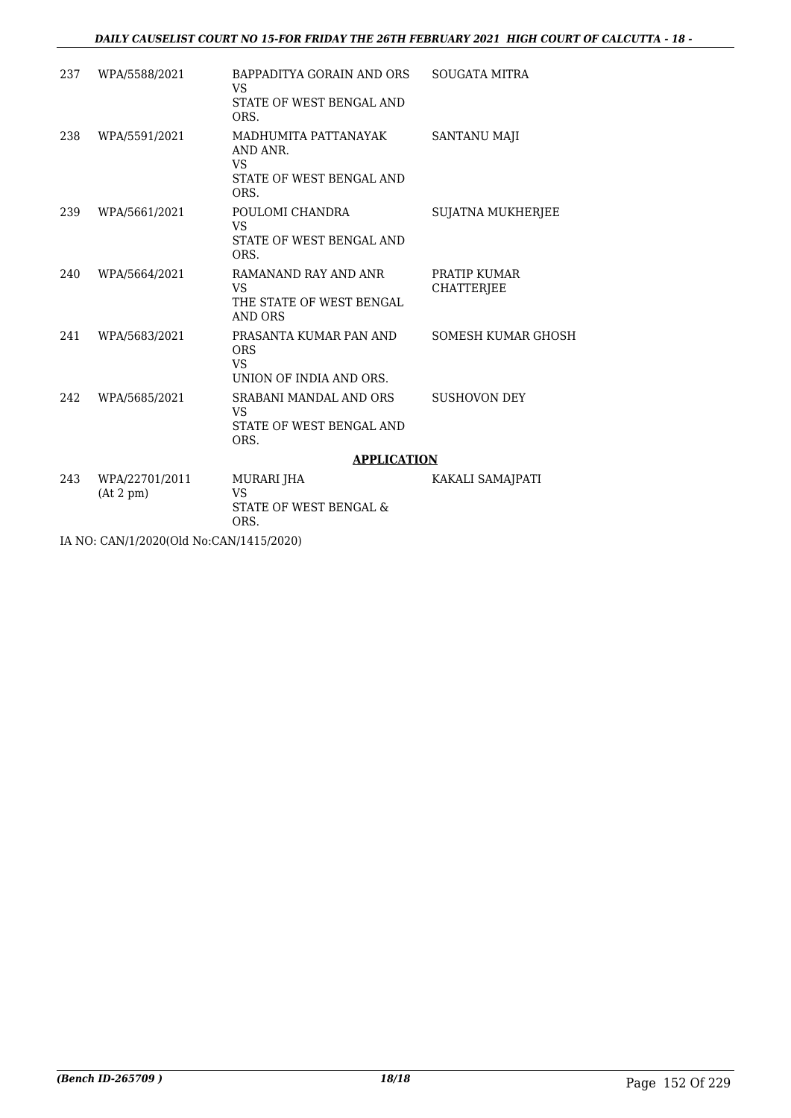#### *DAILY CAUSELIST COURT NO 15-FOR FRIDAY THE 26TH FEBRUARY 2021 HIGH COURT OF CALCUTTA - 18 -*

| 237 | WPA/5588/2021               | BAPPADITYA GORAIN AND ORS<br><b>VS</b>                                            | <b>SOUGATA MITRA</b>              |
|-----|-----------------------------|-----------------------------------------------------------------------------------|-----------------------------------|
|     |                             | STATE OF WEST BENGAL AND<br>ORS.                                                  |                                   |
| 238 | WPA/5591/2021               | MADHUMITA PATTANAYAK<br>AND ANR.<br><b>VS</b><br>STATE OF WEST BENGAL AND<br>ORS. | <b>SANTANU MAJI</b>               |
| 239 | WPA/5661/2021               | POULOMI CHANDRA<br><b>VS</b><br>STATE OF WEST BENGAL AND<br>ORS.                  | <b>SUJATNA MUKHERJEE</b>          |
| 240 | WPA/5664/2021               | RAMANAND RAY AND ANR<br><b>VS</b><br>THE STATE OF WEST BENGAL<br><b>AND ORS</b>   | PRATIP KUMAR<br><b>CHATTERIEE</b> |
| 241 | WPA/5683/2021               | PRASANTA KUMAR PAN AND<br><b>ORS</b><br><b>VS</b><br>UNION OF INDIA AND ORS.      | SOMESH KUMAR GHOSH                |
| 242 | WPA/5685/2021               | SRABANI MANDAL AND ORS<br>VS.<br>STATE OF WEST BENGAL AND<br>ORS.                 | <b>SUSHOVON DEY</b>               |
|     |                             | <b>APPLICATION</b>                                                                |                                   |
| 243 | WPA/22701/2011<br>(At 2 pm) | <b>MURARI JHA</b><br><b>VS</b><br>STATE OF WEST BENGAL &<br>ORS.                  | KAKALI SAMAJPATI                  |
|     |                             |                                                                                   |                                   |

IA NO: CAN/1/2020(Old No:CAN/1415/2020)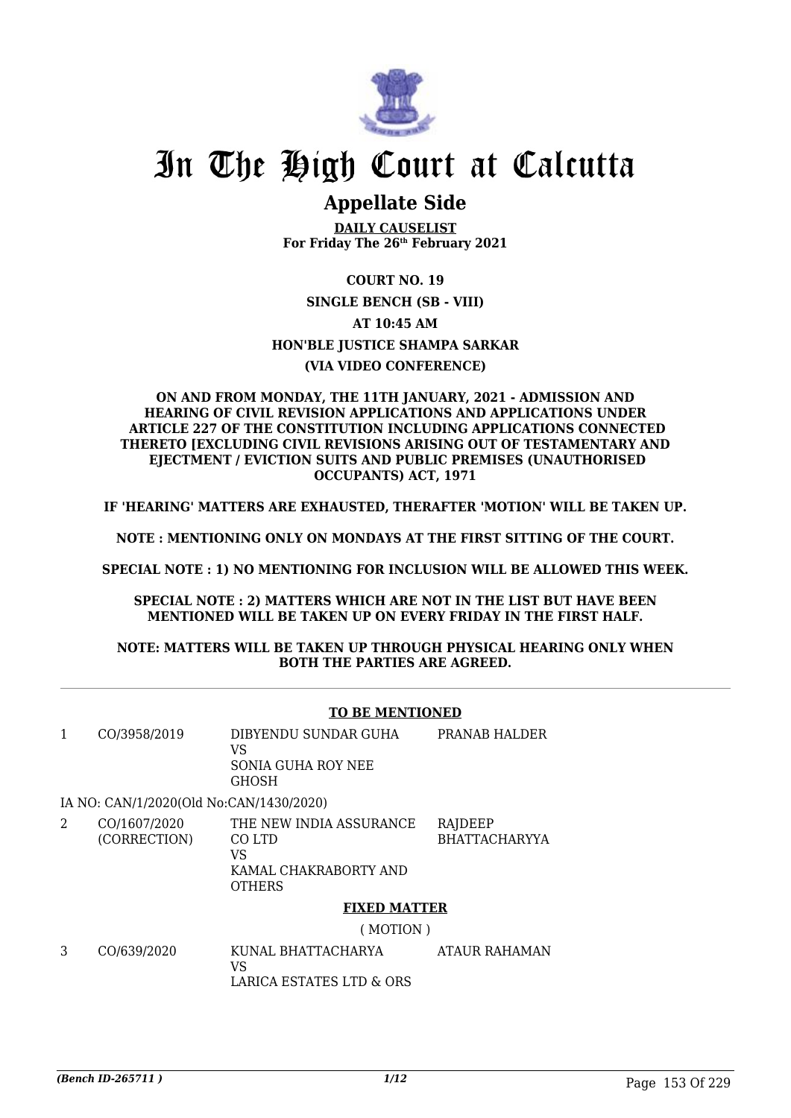

# In The High Court at Calcutta

### **Appellate Side**

**DAILY CAUSELIST For Friday The 26th February 2021**

## **COURT NO. 19**

#### **SINGLE BENCH (SB - VIII) AT 10:45 AM HON'BLE JUSTICE SHAMPA SARKAR (VIA VIDEO CONFERENCE)**

#### **ON AND FROM MONDAY, THE 11TH JANUARY, 2021 - ADMISSION AND HEARING OF CIVIL REVISION APPLICATIONS AND APPLICATIONS UNDER ARTICLE 227 OF THE CONSTITUTION INCLUDING APPLICATIONS CONNECTED THERETO [EXCLUDING CIVIL REVISIONS ARISING OUT OF TESTAMENTARY AND EJECTMENT / EVICTION SUITS AND PUBLIC PREMISES (UNAUTHORISED OCCUPANTS) ACT, 1971**

**IF 'HEARING' MATTERS ARE EXHAUSTED, THERAFTER 'MOTION' WILL BE TAKEN UP.**

**NOTE : MENTIONING ONLY ON MONDAYS AT THE FIRST SITTING OF THE COURT.**

**SPECIAL NOTE : 1) NO MENTIONING FOR INCLUSION WILL BE ALLOWED THIS WEEK.**

**SPECIAL NOTE : 2) MATTERS WHICH ARE NOT IN THE LIST BUT HAVE BEEN MENTIONED WILL BE TAKEN UP ON EVERY FRIDAY IN THE FIRST HALF.**

#### **NOTE: MATTERS WILL BE TAKEN UP THROUGH PHYSICAL HEARING ONLY WHEN BOTH THE PARTIES ARE AGREED.**

#### **TO BE MENTIONED**

|   | CO/3958/2019                            | DIBYENDU SUNDAR GUHA<br>VS<br><b>SONIA GUHA ROY NEE</b><br><b>GHOSH</b>           | PRANAB HALDER                   |
|---|-----------------------------------------|-----------------------------------------------------------------------------------|---------------------------------|
|   | IA NO: CAN/1/2020(Old No:CAN/1430/2020) |                                                                                   |                                 |
| 2 | CO/1607/2020<br>(CORRECTION)            | THE NEW INDIA ASSURANCE<br>CO LTD<br>VS<br>KAMAL CHAKRABORTY AND<br><b>OTHERS</b> | RAJDEEP<br><b>BHATTACHARYYA</b> |
|   |                                         | <b>FIXED MATTER</b>                                                               |                                 |
|   |                                         | (110T)                                                                            |                                 |

( MOTION )

3 CO/639/2020 KUNAL BHATTACHARYA VS LARICA ESTATES LTD & ORS ATAUR RAHAMAN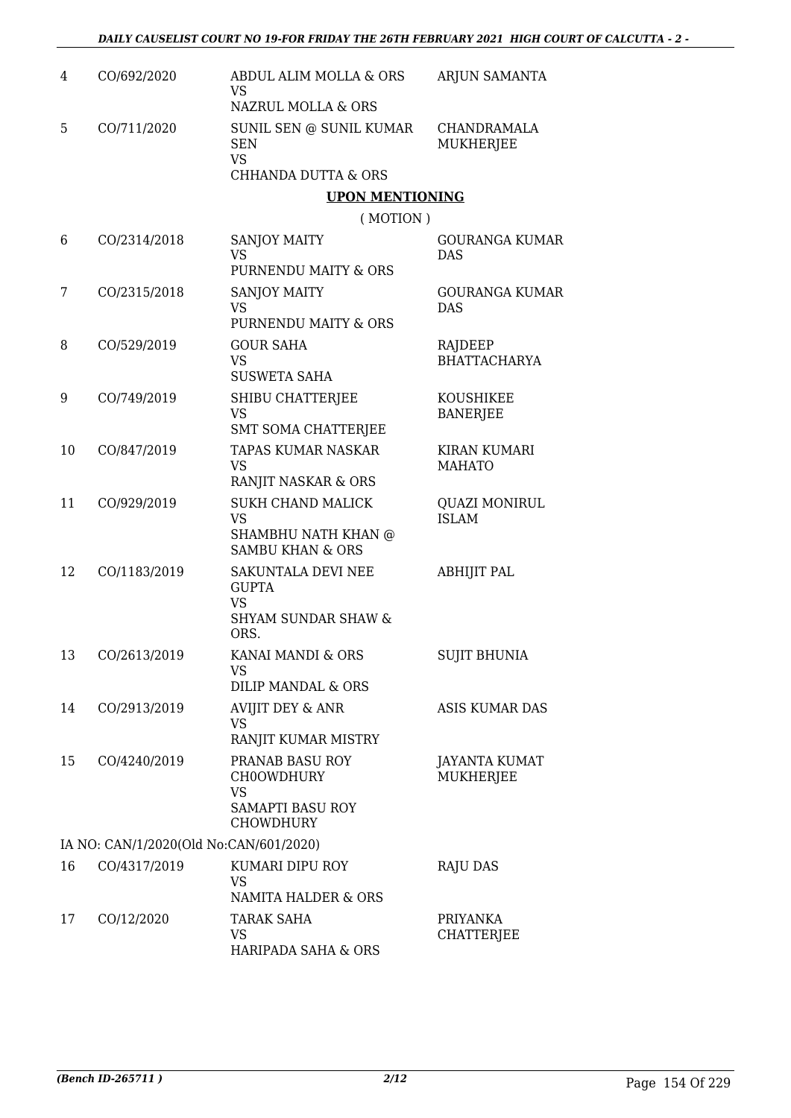| 4  | CO/692/2020                            | ABDUL ALIM MOLLA & ORS<br><b>VS</b><br>NAZRUL MOLLA & ORS                                   | ARJUN SAMANTA                        |
|----|----------------------------------------|---------------------------------------------------------------------------------------------|--------------------------------------|
| 5  | CO/711/2020                            | SUNIL SEN @ SUNIL KUMAR<br><b>SEN</b><br><b>VS</b><br><b>CHHANDA DUTTA &amp; ORS</b>        | CHANDRAMALA<br>MUKHERJEE             |
|    |                                        | <b>UPON MENTIONING</b>                                                                      |                                      |
|    |                                        | (MOTION)                                                                                    |                                      |
| 6  | CO/2314/2018                           | <b>SANJOY MAITY</b><br><b>VS</b><br>PURNENDU MAITY & ORS                                    | <b>GOURANGA KUMAR</b><br><b>DAS</b>  |
| 7  | CO/2315/2018                           | SANJOY MAITY<br><b>VS</b><br>PURNENDU MAITY & ORS                                           | <b>GOURANGA KUMAR</b><br><b>DAS</b>  |
| 8  | CO/529/2019                            | <b>GOUR SAHA</b><br><b>VS</b><br><b>SUSWETA SAHA</b>                                        | RAJDEEP<br><b>BHATTACHARYA</b>       |
| 9  | CO/749/2019                            | SHIBU CHATTERJEE<br>VS<br><b>SMT SOMA CHATTERJEE</b>                                        | KOUSHIKEE<br><b>BANERJEE</b>         |
| 10 | CO/847/2019                            | <b>TAPAS KUMAR NASKAR</b><br><b>VS</b><br>RANJIT NASKAR & ORS                               | <b>KIRAN KUMARI</b><br><b>MAHATO</b> |
| 11 | CO/929/2019                            | <b>SUKH CHAND MALICK</b><br><b>VS</b><br>SHAMBHU NATH KHAN @<br><b>SAMBU KHAN &amp; ORS</b> | <b>QUAZI MONIRUL</b><br><b>ISLAM</b> |
| 12 | CO/1183/2019                           | SAKUNTALA DEVI NEE<br><b>GUPTA</b><br><b>VS</b><br><b>SHYAM SUNDAR SHAW &amp;</b><br>ORS.   | <b>ABHIJIT PAL</b>                   |
| 13 | CO/2613/2019                           | KANAI MANDI & ORS<br>VS<br><b>DILIP MANDAL &amp; ORS</b>                                    | <b>SUJIT BHUNIA</b>                  |
| 14 | CO/2913/2019                           | <b>AVIJIT DEY &amp; ANR</b><br><b>VS</b><br>RANJIT KUMAR MISTRY                             | <b>ASIS KUMAR DAS</b>                |
| 15 | CO/4240/2019                           | PRANAB BASU ROY<br>CH0OWDHURY<br>VS<br><b>SAMAPTI BASU ROY</b><br><b>CHOWDHURY</b>          | JAYANTA KUMAT<br>MUKHERJEE           |
|    | IA NO: CAN/1/2020(Old No:CAN/601/2020) |                                                                                             |                                      |
| 16 | CO/4317/2019                           | KUMARI DIPU ROY<br>VS<br>NAMITA HALDER & ORS                                                | RAJU DAS                             |
| 17 | CO/12/2020                             | TARAK SAHA<br>VS<br>HARIPADA SAHA & ORS                                                     | PRIYANKA<br>CHATTERJEE               |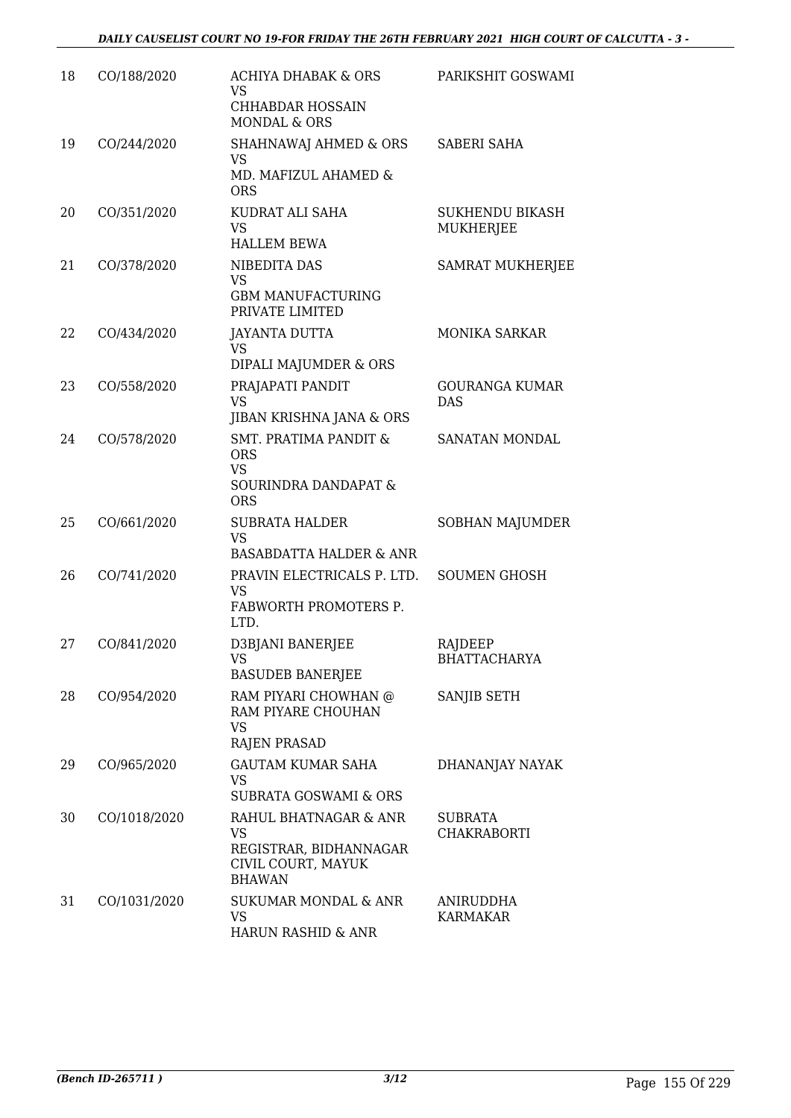| 18 | CO/188/2020  | <b>ACHIYA DHABAK &amp; ORS</b><br>VS<br><b>CHHABDAR HOSSAIN</b><br><b>MONDAL &amp; ORS</b>        | PARIKSHIT GOSWAMI                   |
|----|--------------|---------------------------------------------------------------------------------------------------|-------------------------------------|
| 19 | CO/244/2020  | SHAHNAWAJ AHMED & ORS<br>VS<br>MD. MAFIZUL AHAMED &<br><b>ORS</b>                                 | <b>SABERI SAHA</b>                  |
| 20 | CO/351/2020  | KUDRAT ALI SAHA<br><b>VS</b><br><b>HALLEM BEWA</b>                                                | <b>SUKHENDU BIKASH</b><br>MUKHERJEE |
| 21 | CO/378/2020  | NIBEDITA DAS<br><b>VS</b><br><b>GBM MANUFACTURING</b><br>PRIVATE LIMITED                          | <b>SAMRAT MUKHERJEE</b>             |
| 22 | CO/434/2020  | <b>JAYANTA DUTTA</b><br>VS<br>DIPALI MAJUMDER & ORS                                               | <b>MONIKA SARKAR</b>                |
| 23 | CO/558/2020  | PRAJAPATI PANDIT<br><b>VS</b><br>JIBAN KRISHNA JANA & ORS                                         | <b>GOURANGA KUMAR</b><br><b>DAS</b> |
| 24 | CO/578/2020  | <b>SMT. PRATIMA PANDIT &amp;</b><br><b>ORS</b><br><b>VS</b><br>SOURINDRA DANDAPAT &<br><b>ORS</b> | SANATAN MONDAL                      |
| 25 | CO/661/2020  | <b>SUBRATA HALDER</b><br><b>VS</b><br><b>BASABDATTA HALDER &amp; ANR</b>                          | SOBHAN MAJUMDER                     |
| 26 | CO/741/2020  | PRAVIN ELECTRICALS P. LTD.<br><b>VS</b><br>FABWORTH PROMOTERS P.<br>LTD.                          | <b>SOUMEN GHOSH</b>                 |
| 27 | CO/841/2020  | D3BJANI BANERJEE<br>VS<br><b>BASUDEB BANERJEE</b>                                                 | RAJDEEP<br><b>BHATTACHARYA</b>      |
| 28 | CO/954/2020  | RAM PIYARI CHOWHAN @<br>RAM PIYARE CHOUHAN<br><b>VS</b><br><b>RAJEN PRASAD</b>                    | SANJIB SETH                         |
| 29 | CO/965/2020  | <b>GAUTAM KUMAR SAHA</b><br><b>VS</b><br>SUBRATA GOSWAMI & ORS                                    | DHANANJAY NAYAK                     |
| 30 | CO/1018/2020 | RAHUL BHATNAGAR & ANR<br>VS<br>REGISTRAR, BIDHANNAGAR<br>CIVIL COURT, MAYUK<br><b>BHAWAN</b>      | <b>SUBRATA</b><br>CHAKRABORTI       |
| 31 | CO/1031/2020 | SUKUMAR MONDAL & ANR<br><b>VS</b><br>HARUN RASHID & ANR                                           | ANIRUDDHA<br><b>KARMAKAR</b>        |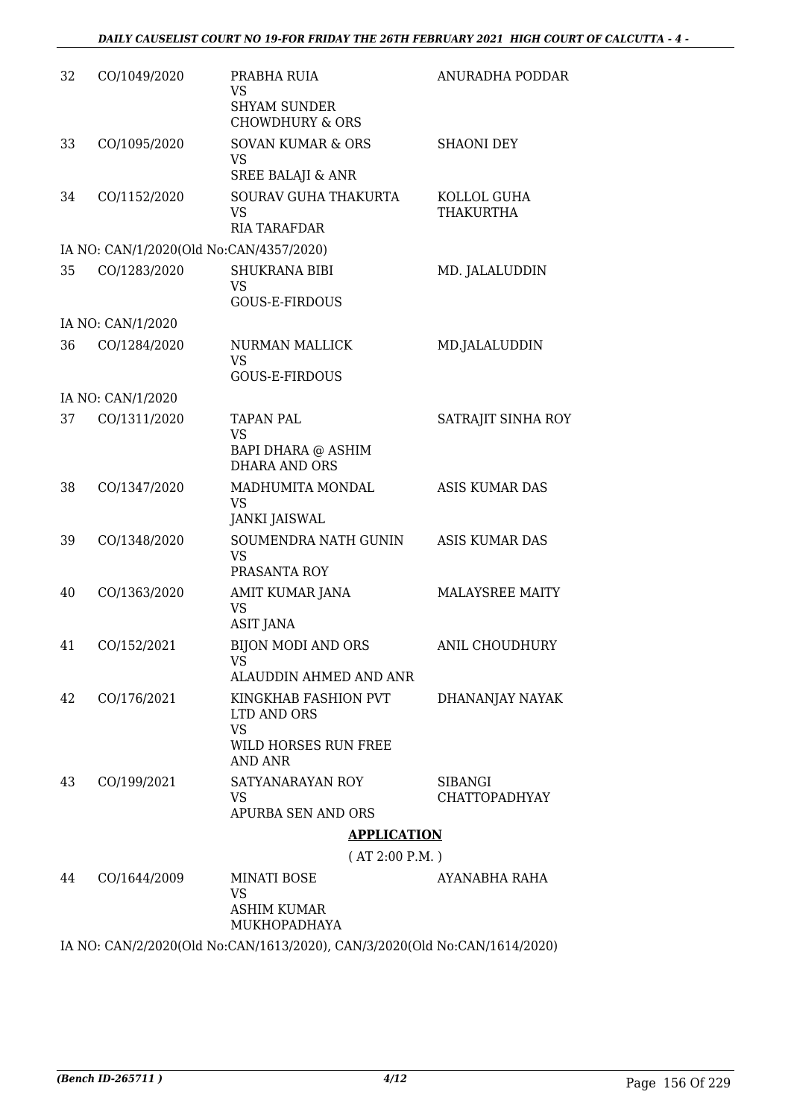| 32 | CO/1049/2020      | PRABHA RUIA<br>VS.                                             | <b>ANURADHA PODDAR</b>                 |
|----|-------------------|----------------------------------------------------------------|----------------------------------------|
|    |                   | <b>SHYAM SUNDER</b><br><b>CHOWDHURY &amp; ORS</b>              |                                        |
| 33 | CO/1095/2020      | <b>SOVAN KUMAR &amp; ORS</b><br><b>VS</b>                      | <b>SHAONI DEY</b>                      |
|    |                   | <b>SREE BALAJI &amp; ANR</b>                                   |                                        |
| 34 | CO/1152/2020      | SOURAV GUHA THAKURTA<br><b>VS</b><br><b>RIA TARAFDAR</b>       | KOLLOL GUHA<br><b>THAKURTHA</b>        |
|    |                   | IA NO: CAN/1/2020(Old No:CAN/4357/2020)                        |                                        |
| 35 | CO/1283/2020      | <b>SHUKRANA BIBI</b><br>VS<br><b>GOUS-E-FIRDOUS</b>            | MD. JALALUDDIN                         |
|    | IA NO: CAN/1/2020 |                                                                |                                        |
| 36 | CO/1284/2020      | NURMAN MALLICK                                                 | MD.JALALUDDIN                          |
|    |                   | <b>VS</b><br><b>GOUS-E-FIRDOUS</b>                             |                                        |
|    | IA NO: CAN/1/2020 |                                                                |                                        |
| 37 | CO/1311/2020      | <b>TAPAN PAL</b><br><b>VS</b>                                  | SATRAJIT SINHA ROY                     |
|    |                   | BAPI DHARA @ ASHIM<br><b>DHARA AND ORS</b>                     |                                        |
| 38 | CO/1347/2020      | MADHUMITA MONDAL<br><b>VS</b>                                  | ASIS KUMAR DAS                         |
|    |                   | <b>JANKI JAISWAL</b>                                           |                                        |
| 39 | CO/1348/2020      | SOUMENDRA NATH GUNIN<br><b>VS</b>                              | <b>ASIS KUMAR DAS</b>                  |
|    |                   | PRASANTA ROY                                                   |                                        |
| 40 | CO/1363/2020      | AMIT KUMAR JANA<br><b>VS</b><br><b>ASIT JANA</b>               | <b>MALAYSREE MAITY</b>                 |
| 41 | CO/152/2021       | <b>BIJON MODI AND ORS</b><br>VS                                | <b>ANIL CHOUDHURY</b>                  |
|    |                   | ALAUDDIN AHMED AND ANR                                         |                                        |
| 42 | CO/176/2021       | KINGKHAB FASHION PVT<br>LTD AND ORS                            | DHANANJAY NAYAK                        |
|    |                   | <b>VS</b><br>WILD HORSES RUN FREE<br>AND ANR                   |                                        |
| 43 | CO/199/2021       | SATYANARAYAN ROY<br>VS                                         | <b>SIBANGI</b><br><b>CHATTOPADHYAY</b> |
|    |                   | APURBA SEN AND ORS                                             |                                        |
|    |                   | <b>APPLICATION</b>                                             |                                        |
|    |                   | (AT 2:00 P.M.)                                                 |                                        |
| 44 | CO/1644/2009      | MINATI BOSE<br><b>VS</b><br><b>ASHIM KUMAR</b>                 | AYANABHA RAHA                          |
|    |                   | MUKHOPADHAYA                                                   |                                        |
|    |                   | IA NO CANICIONALO NE CANILLET 20000 CANICIONALO NE CANILLETATO |                                        |

IA NO: CAN/2/2020(Old No:CAN/1613/2020), CAN/3/2020(Old No:CAN/1614/2020)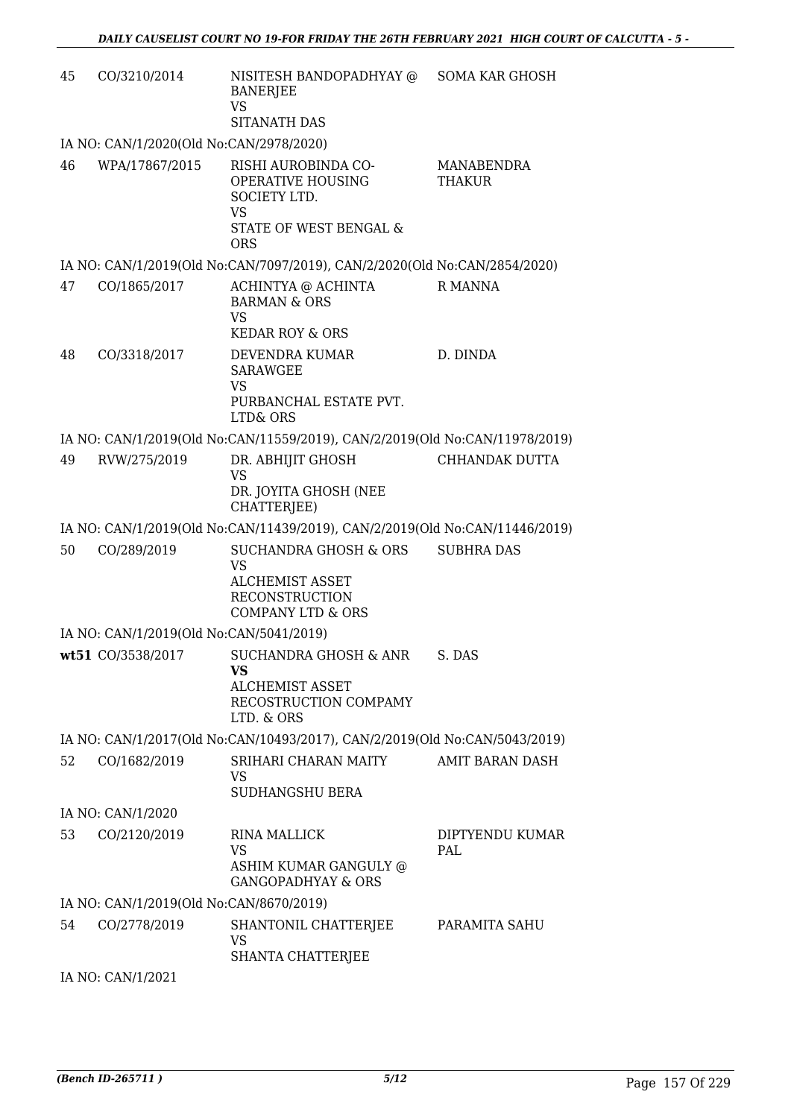| 45 | CO/3210/2014                            | NISITESH BANDOPADHYAY @<br><b>BANERJEE</b><br>VS<br>SITANATH DAS                                                      | <b>SOMA KAR GHOSH</b>  |
|----|-----------------------------------------|-----------------------------------------------------------------------------------------------------------------------|------------------------|
|    | IA NO: CAN/1/2020(Old No:CAN/2978/2020) |                                                                                                                       |                        |
| 46 | WPA/17867/2015                          | RISHI AUROBINDA CO-<br>OPERATIVE HOUSING<br>SOCIETY LTD.<br>VS<br><b>STATE OF WEST BENGAL &amp;</b><br><b>ORS</b>     | MANABENDRA<br>THAKUR   |
|    |                                         | IA NO: CAN/1/2019(Old No:CAN/7097/2019), CAN/2/2020(Old No:CAN/2854/2020)                                             |                        |
| 47 | CO/1865/2017                            | ACHINTYA @ ACHINTA<br><b>BARMAN &amp; ORS</b><br><b>VS</b><br><b>KEDAR ROY &amp; ORS</b>                              | R MANNA                |
| 48 | CO/3318/2017                            | DEVENDRA KUMAR<br><b>SARAWGEE</b><br><b>VS</b><br>PURBANCHAL ESTATE PVT.<br><b>LTD&amp; ORS</b>                       | D. DINDA               |
|    |                                         | IA NO: CAN/1/2019(Old No:CAN/11559/2019), CAN/2/2019(Old No:CAN/11978/2019)                                           |                        |
| 49 | RVW/275/2019                            | DR. ABHIJIT GHOSH<br><b>VS</b><br>DR. JOYITA GHOSH (NEE<br>CHATTERJEE)                                                | CHHANDAK DUTTA         |
|    |                                         | IA NO: CAN/1/2019(Old No:CAN/11439/2019), CAN/2/2019(Old No:CAN/11446/2019)                                           |                        |
| 50 | CO/289/2019                             | SUCHANDRA GHOSH & ORS<br><b>VS</b><br><b>ALCHEMIST ASSET</b><br><b>RECONSTRUCTION</b><br><b>COMPANY LTD &amp; ORS</b> | <b>SUBHRA DAS</b>      |
|    | IA NO: CAN/1/2019(Old No:CAN/5041/2019) |                                                                                                                       |                        |
|    | wt51 CO/3538/2017                       | SUCHANDRA GHOSH & ANR<br>VS<br>ALCHEMIST ASSET<br>RECOSTRUCTION COMPAMY<br>LTD. & ORS                                 | S. DAS                 |
|    |                                         | IA NO: CAN/1/2017(Old No:CAN/10493/2017), CAN/2/2019(Old No:CAN/5043/2019)                                            |                        |
| 52 | CO/1682/2019                            | SRIHARI CHARAN MAITY<br>VS<br><b>SUDHANGSHU BERA</b>                                                                  | <b>AMIT BARAN DASH</b> |
|    | IA NO: CAN/1/2020                       |                                                                                                                       |                        |
| 53 | CO/2120/2019                            | RINA MALLICK<br>VS<br>ASHIM KUMAR GANGULY @                                                                           | DIPTYENDU KUMAR<br>PAL |
|    |                                         | <b>GANGOPADHYAY &amp; ORS</b>                                                                                         |                        |
|    | IA NO: CAN/1/2019(Old No:CAN/8670/2019) |                                                                                                                       |                        |
| 54 | CO/2778/2019                            | SHANTONIL CHATTERJEE<br><b>VS</b><br>SHANTA CHATTERJEE                                                                | PARAMITA SAHU          |
|    | IA NO: CAN/1/2021                       |                                                                                                                       |                        |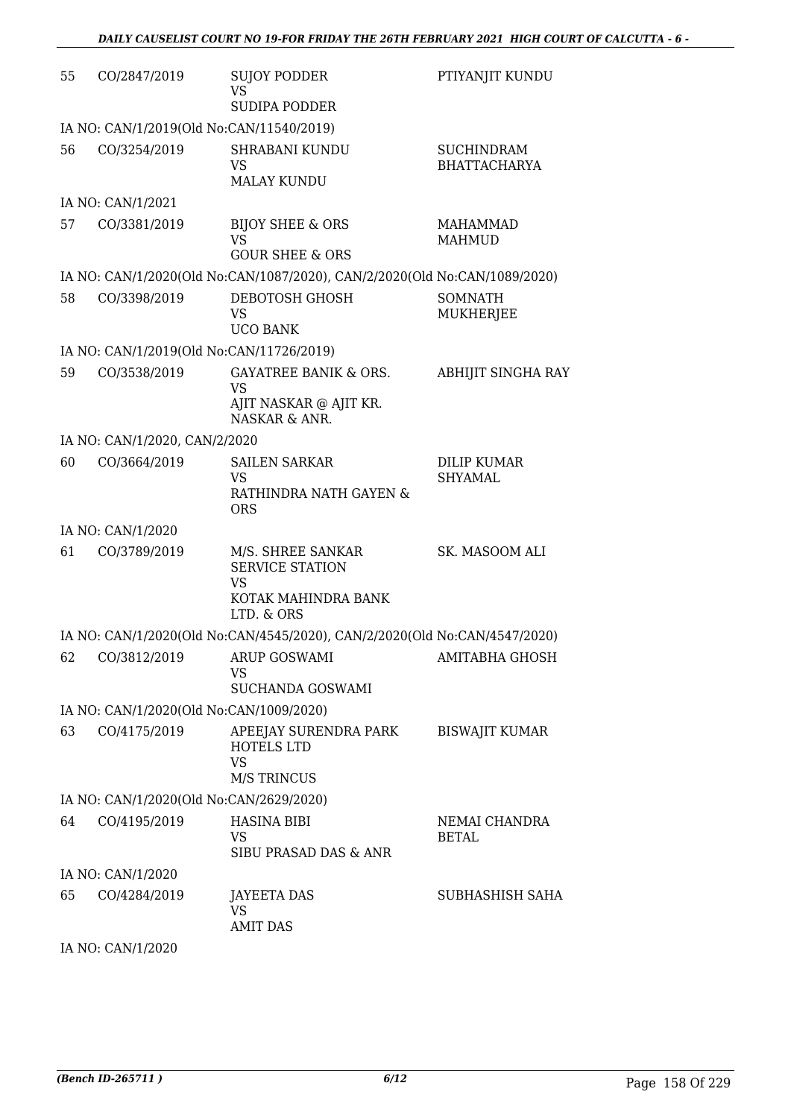| 55 | CO/2847/2019                             | <b>SUJOY PODDER</b><br>VS<br><b>SUDIPA PODDER</b>                                             | PTIYANJIT KUNDU                          |
|----|------------------------------------------|-----------------------------------------------------------------------------------------------|------------------------------------------|
|    | IA NO: CAN/1/2019(Old No:CAN/11540/2019) |                                                                                               |                                          |
| 56 | CO/3254/2019                             | <b>SHRABANI KUNDU</b><br><b>VS</b><br><b>MALAY KUNDU</b>                                      | <b>SUCHINDRAM</b><br><b>BHATTACHARYA</b> |
|    | IA NO: CAN/1/2021                        |                                                                                               |                                          |
| 57 | CO/3381/2019                             | <b>BIJOY SHEE &amp; ORS</b><br><b>VS</b><br><b>GOUR SHEE &amp; ORS</b>                        | <b>MAHAMMAD</b><br><b>MAHMUD</b>         |
|    |                                          | IA NO: CAN/1/2020(Old No:CAN/1087/2020), CAN/2/2020(Old No:CAN/1089/2020)                     |                                          |
| 58 | CO/3398/2019                             | DEBOTOSH GHOSH<br><b>VS</b><br><b>UCO BANK</b>                                                | <b>SOMNATH</b><br>MUKHERJEE              |
|    | IA NO: CAN/1/2019(Old No:CAN/11726/2019) |                                                                                               |                                          |
| 59 | CO/3538/2019                             | <b>GAYATREE BANIK &amp; ORS.</b><br>VS<br>AJIT NASKAR @ AJIT KR.<br>NASKAR & ANR.             | ABHIJIT SINGHA RAY                       |
|    | IA NO: CAN/1/2020, CAN/2/2020            |                                                                                               |                                          |
| 60 | CO/3664/2019                             | <b>SAILEN SARKAR</b><br><b>VS</b><br>RATHINDRA NATH GAYEN &<br><b>ORS</b>                     | <b>DILIP KUMAR</b><br>SHYAMAL            |
|    | IA NO: CAN/1/2020                        |                                                                                               |                                          |
| 61 | CO/3789/2019                             | M/S. SHREE SANKAR<br><b>SERVICE STATION</b><br><b>VS</b><br>KOTAK MAHINDRA BANK<br>LTD. & ORS | SK. MASOOM ALI                           |
|    |                                          | IA NO: CAN/1/2020(Old No:CAN/4545/2020), CAN/2/2020(Old No:CAN/4547/2020)                     |                                          |
| 62 | CO/3812/2019 ARUP GOSWAMI                | VS<br>SUCHANDA GOSWAMI                                                                        | <b>AMITABHA GHOSH</b>                    |
|    | IA NO: CAN/1/2020(Old No:CAN/1009/2020)  |                                                                                               |                                          |
| 63 | CO/4175/2019                             | APEEJAY SURENDRA PARK<br><b>HOTELS LTD</b><br><b>VS</b><br><b>M/S TRINCUS</b>                 | <b>BISWAJIT KUMAR</b>                    |
|    | IA NO: CAN/1/2020(Old No:CAN/2629/2020)  |                                                                                               |                                          |
| 64 | CO/4195/2019                             | <b>HASINA BIBI</b><br>VS<br>SIBU PRASAD DAS & ANR                                             | NEMAI CHANDRA<br><b>BETAL</b>            |
|    | IA NO: CAN/1/2020                        |                                                                                               |                                          |
| 65 | CO/4284/2019                             | <b>JAYEETA DAS</b><br>VS.<br><b>AMIT DAS</b>                                                  | SUBHASHISH SAHA                          |
|    |                                          |                                                                                               |                                          |

IA NO: CAN/1/2020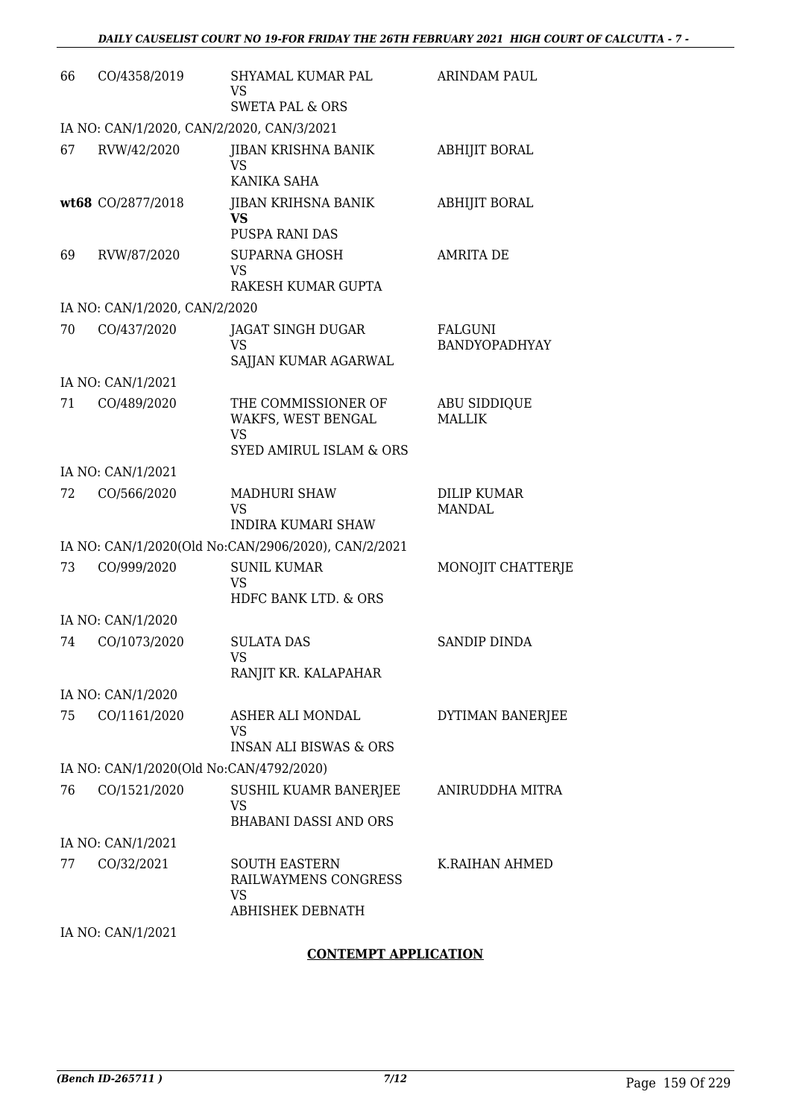| CO/4358/2019 | SHYAMAL KUMAR PAL<br>VS<br><b>SWETA PAL &amp; ORS</b>                                                                                           | <b>ARINDAM PAUL</b>                                                                                                                                                                                                                                             |
|--------------|-------------------------------------------------------------------------------------------------------------------------------------------------|-----------------------------------------------------------------------------------------------------------------------------------------------------------------------------------------------------------------------------------------------------------------|
|              |                                                                                                                                                 |                                                                                                                                                                                                                                                                 |
| RVW/42/2020  | JIBAN KRISHNA BANIK<br>VS                                                                                                                       | <b>ABHIJIT BORAL</b>                                                                                                                                                                                                                                            |
|              | <b>JIBAN KRIHSNA BANIK</b><br><b>VS</b><br>PUSPA RANI DAS                                                                                       | <b>ABHIJIT BORAL</b>                                                                                                                                                                                                                                            |
| RVW/87/2020  | <b>SUPARNA GHOSH</b><br><b>VS</b><br>RAKESH KUMAR GUPTA                                                                                         | <b>AMRITA DE</b>                                                                                                                                                                                                                                                |
|              |                                                                                                                                                 |                                                                                                                                                                                                                                                                 |
| CO/437/2020  | JAGAT SINGH DUGAR<br>VS<br>SAJJAN KUMAR AGARWAL                                                                                                 | <b>FALGUNI</b><br><b>BANDYOPADHYAY</b>                                                                                                                                                                                                                          |
|              |                                                                                                                                                 |                                                                                                                                                                                                                                                                 |
| CO/489/2020  | THE COMMISSIONER OF<br>WAKFS, WEST BENGAL<br>VS<br><b>SYED AMIRUL ISLAM &amp; ORS</b>                                                           | <b>ABU SIDDIQUE</b><br><b>MALLIK</b>                                                                                                                                                                                                                            |
|              |                                                                                                                                                 |                                                                                                                                                                                                                                                                 |
| CO/566/2020  | <b>MADHURI SHAW</b><br><b>VS</b><br><b>INDIRA KUMARI SHAW</b>                                                                                   | <b>DILIP KUMAR</b><br><b>MANDAL</b>                                                                                                                                                                                                                             |
|              |                                                                                                                                                 |                                                                                                                                                                                                                                                                 |
| CO/999/2020  | <b>SUNIL KUMAR</b><br><b>VS</b>                                                                                                                 | MONOJIT CHATTERJE                                                                                                                                                                                                                                               |
|              |                                                                                                                                                 |                                                                                                                                                                                                                                                                 |
| CO/1073/2020 | <b>SULATA DAS</b><br>VS —                                                                                                                       | SANDIP DINDA                                                                                                                                                                                                                                                    |
|              |                                                                                                                                                 |                                                                                                                                                                                                                                                                 |
| CO/1161/2020 | ASHER ALI MONDAL<br>VS<br><b>INSAN ALI BISWAS &amp; ORS</b>                                                                                     | DYTIMAN BANERJEE                                                                                                                                                                                                                                                |
|              |                                                                                                                                                 |                                                                                                                                                                                                                                                                 |
| CO/1521/2020 | SUSHIL KUAMR BANERJEE<br><b>VS</b><br><b>BHABANI DASSI AND ORS</b>                                                                              | ANIRUDDHA MITRA                                                                                                                                                                                                                                                 |
|              |                                                                                                                                                 |                                                                                                                                                                                                                                                                 |
| CO/32/2021   | <b>SOUTH EASTERN</b><br>RAILWAYMENS CONGRESS<br>VS                                                                                              | K.RAIHAN AHMED                                                                                                                                                                                                                                                  |
|              |                                                                                                                                                 |                                                                                                                                                                                                                                                                 |
|              | wt68 CO/2877/2018<br>IA NO: CAN/1/2021<br>IA NO: CAN/1/2021<br>IA NO: CAN/1/2020<br>IA NO: CAN/1/2020<br>IA NO: CAN/1/2021<br>IA NO: CAN/1/2021 | IA NO: CAN/1/2020, CAN/2/2020, CAN/3/2021<br>KANIKA SAHA<br>IA NO: CAN/1/2020, CAN/2/2020<br>IA NO: CAN/1/2020(Old No:CAN/2906/2020), CAN/2/2021<br>HDFC BANK LTD. & ORS<br>RANJIT KR. KALAPAHAR<br>IA NO: CAN/1/2020(Old No:CAN/4792/2020)<br>ABHISHEK DEBNATH |

#### **CONTEMPT APPLICATION**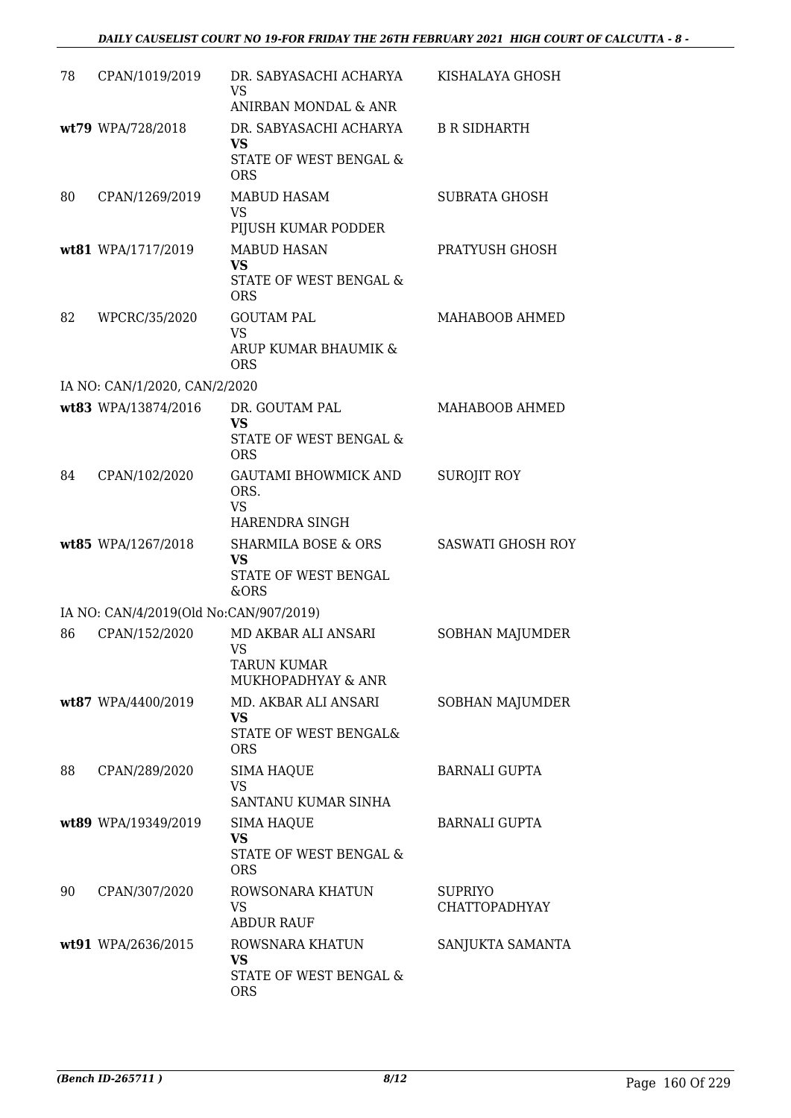| 78 | CPAN/1019/2019                         | DR. SABYASACHI ACHARYA<br><b>VS</b><br>ANIRBAN MONDAL & ANR                  | KISHALAYA GHOSH                        |
|----|----------------------------------------|------------------------------------------------------------------------------|----------------------------------------|
|    | wt79 WPA/728/2018                      | DR. SABYASACHI ACHARYA<br>VS<br>STATE OF WEST BENGAL &<br><b>ORS</b>         | <b>B R SIDHARTH</b>                    |
| 80 | CPAN/1269/2019                         | <b>MABUD HASAM</b><br><b>VS</b><br>PIJUSH KUMAR PODDER                       | <b>SUBRATA GHOSH</b>                   |
|    | wt81 WPA/1717/2019                     | <b>MABUD HASAN</b><br><b>VS</b><br>STATE OF WEST BENGAL &<br><b>ORS</b>      | PRATYUSH GHOSH                         |
| 82 | WPCRC/35/2020                          | <b>GOUTAM PAL</b><br><b>VS</b><br>ARUP KUMAR BHAUMIK &<br><b>ORS</b>         | MAHABOOB AHMED                         |
|    | IA NO: CAN/1/2020, CAN/2/2020          |                                                                              |                                        |
|    | wt83 WPA/13874/2016                    | DR. GOUTAM PAL<br><b>VS</b><br>STATE OF WEST BENGAL &<br><b>ORS</b>          | MAHABOOB AHMED                         |
| 84 | CPAN/102/2020                          | <b>GAUTAMI BHOWMICK AND</b><br>ORS.<br><b>VS</b><br>HARENDRA SINGH           | <b>SUROJIT ROY</b>                     |
|    | wt85 WPA/1267/2018                     | <b>SHARMILA BOSE &amp; ORS</b><br><b>VS</b><br>STATE OF WEST BENGAL<br>&ORS  | <b>SASWATI GHOSH ROY</b>               |
|    | IA NO: CAN/4/2019(Old No:CAN/907/2019) |                                                                              |                                        |
| 86 | CPAN/152/2020                          | MD AKBAR ALI ANSARI<br><b>VS</b><br><b>TARUN KUMAR</b><br>MUKHOPADHYAY & ANR | SOBHAN MAJUMDER                        |
|    | wt87 WPA/4400/2019                     | MD. AKBAR ALI ANSARI<br>VS<br>STATE OF WEST BENGAL&<br><b>ORS</b>            | SOBHAN MAJUMDER                        |
| 88 | CPAN/289/2020                          | <b>SIMA HAQUE</b><br>VS<br>SANTANU KUMAR SINHA                               | <b>BARNALI GUPTA</b>                   |
|    | wt89 WPA/19349/2019                    | <b>SIMA HAQUE</b><br><b>VS</b><br>STATE OF WEST BENGAL &<br><b>ORS</b>       | <b>BARNALI GUPTA</b>                   |
| 90 | CPAN/307/2020                          | ROWSONARA KHATUN<br><b>VS</b><br><b>ABDUR RAUF</b>                           | <b>SUPRIYO</b><br><b>CHATTOPADHYAY</b> |
|    | wt91 WPA/2636/2015                     | ROWSNARA KHATUN<br>VS<br>STATE OF WEST BENGAL &<br><b>ORS</b>                | SANJUKTA SAMANTA                       |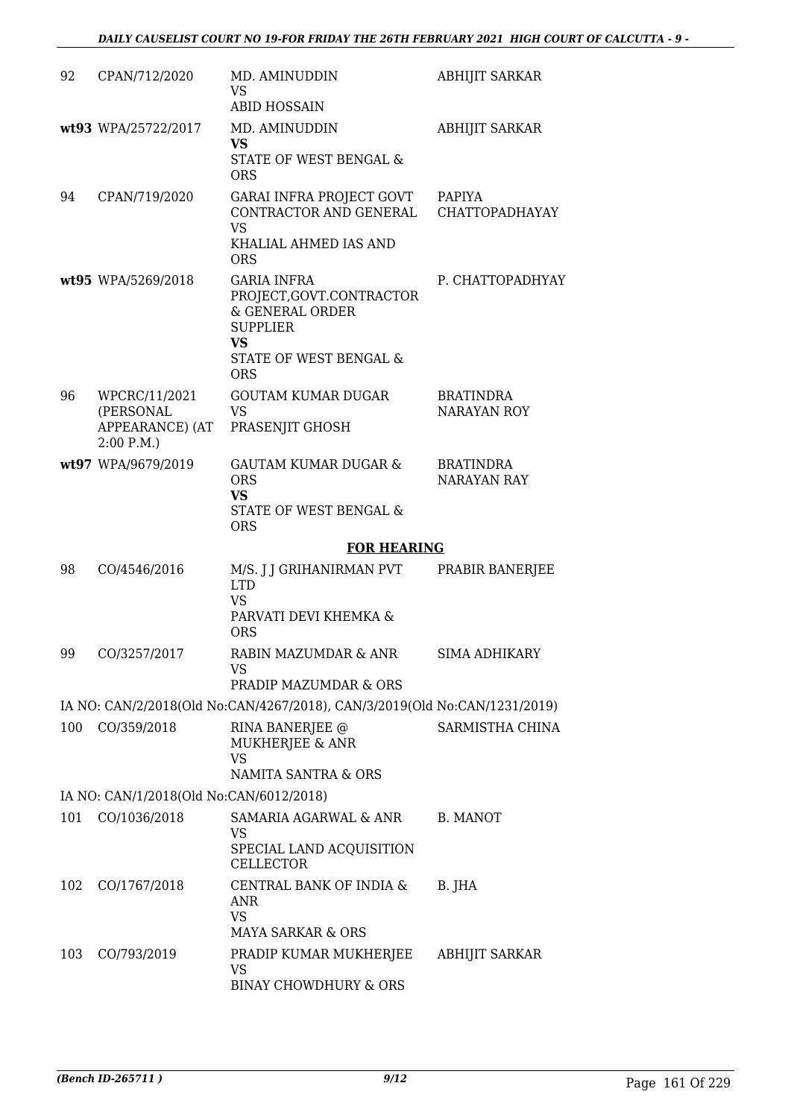| 92  | CPAN/712/2020                                              | MD. AMINUDDIN<br>VS<br><b>ABID HOSSAIN</b>                                                                                         | <b>ABHIJIT SARKAR</b>           |
|-----|------------------------------------------------------------|------------------------------------------------------------------------------------------------------------------------------------|---------------------------------|
|     | wt93 WPA/25722/2017                                        | MD. AMINUDDIN<br>VS<br>STATE OF WEST BENGAL &<br><b>ORS</b>                                                                        | <b>ABHIJIT SARKAR</b>           |
| 94  | CPAN/719/2020                                              | GARAI INFRA PROJECT GOVT<br>CONTRACTOR AND GENERAL<br><b>VS</b><br>KHALIAL AHMED IAS AND<br><b>ORS</b>                             | PAPIYA<br>CHATTOPADHAYAY        |
|     | wt95 WPA/5269/2018                                         | <b>GARIA INFRA</b><br>PROJECT, GOVT.CONTRACTOR<br>& GENERAL ORDER<br><b>SUPPLIER</b><br>VS<br>STATE OF WEST BENGAL &<br><b>ORS</b> | P. CHATTOPADHYAY                |
| 96  | WPCRC/11/2021<br>(PERSONAL<br>APPEARANCE) (AT<br>2:00 P.M. | <b>GOUTAM KUMAR DUGAR</b><br><b>VS</b><br>PRASENJIT GHOSH                                                                          | <b>BRATINDRA</b><br>NARAYAN ROY |
|     | wt97 WPA/9679/2019                                         | <b>GAUTAM KUMAR DUGAR &amp;</b><br><b>ORS</b><br><b>VS</b><br>STATE OF WEST BENGAL &<br><b>ORS</b>                                 | <b>BRATINDRA</b><br>NARAYAN RAY |
|     |                                                            |                                                                                                                                    |                                 |
|     |                                                            | <b>FOR HEARING</b>                                                                                                                 |                                 |
| 98  | CO/4546/2016                                               | M/S. J J GRIHANIRMAN PVT<br><b>LTD</b><br><b>VS</b><br>PARVATI DEVI KHEMKA &<br><b>ORS</b>                                         | PRABIR BANERJEE                 |
| 99  | CO/3257/2017                                               | RABIN MAZUMDAR & ANR<br>VS<br>PRADIP MAZUMDAR & ORS                                                                                | SIMA ADHIKARY                   |
|     |                                                            | IA NO: CAN/2/2018(Old No:CAN/4267/2018), CAN/3/2019(Old No:CAN/1231/2019)                                                          |                                 |
| 100 | CO/359/2018                                                | RINA BANERJEE @<br>MUKHERJEE & ANR<br><b>VS</b><br>NAMITA SANTRA & ORS                                                             | SARMISTHA CHINA                 |
|     |                                                            |                                                                                                                                    |                                 |
| 101 | IA NO: CAN/1/2018(Old No:CAN/6012/2018)<br>CO/1036/2018    | SAMARIA AGARWAL & ANR<br>VS<br>SPECIAL LAND ACQUISITION<br>CELLECTOR                                                               | B. MANOT                        |
| 102 | CO/1767/2018                                               | CENTRAL BANK OF INDIA &<br>ANR<br><b>VS</b><br><b>MAYA SARKAR &amp; ORS</b>                                                        | B. JHA                          |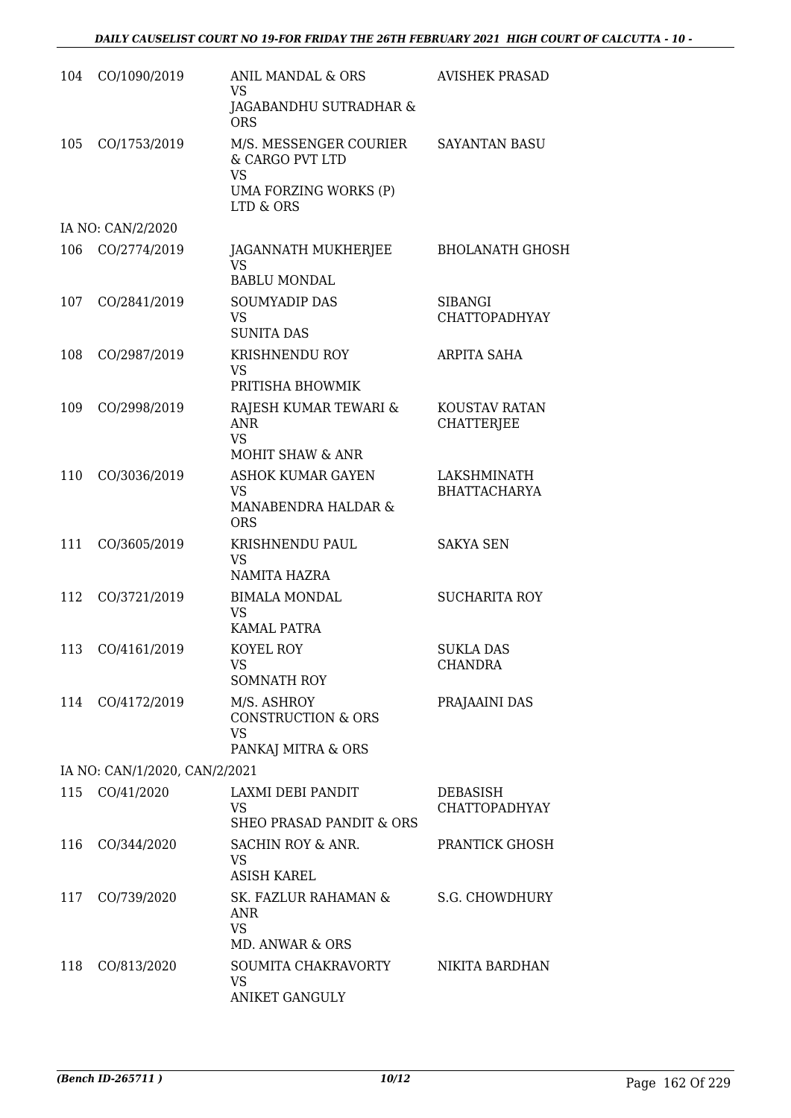| 104 | CO/1090/2019                  | ANIL MANDAL & ORS<br><b>VS</b>                                                                            | <b>AVISHEK PRASAD</b>                  |
|-----|-------------------------------|-----------------------------------------------------------------------------------------------------------|----------------------------------------|
|     |                               | JAGABANDHU SUTRADHAR &<br><b>ORS</b>                                                                      |                                        |
| 105 | CO/1753/2019                  | M/S. MESSENGER COURIER<br>& CARGO PVT LTD<br><b>VS</b><br>UMA FORZING WORKS (P)<br>LTD & ORS              | <b>SAYANTAN BASU</b>                   |
|     | IA NO: CAN/2/2020             |                                                                                                           |                                        |
| 106 | CO/2774/2019                  | JAGANNATH MUKHERJEE<br><b>VS</b><br><b>BABLU MONDAL</b>                                                   | <b>BHOLANATH GHOSH</b>                 |
| 107 | CO/2841/2019                  | <b>SOUMYADIP DAS</b><br><b>VS</b><br><b>SUNITA DAS</b>                                                    | <b>SIBANGI</b><br><b>CHATTOPADHYAY</b> |
| 108 | CO/2987/2019                  | <b>KRISHNENDU ROY</b><br><b>VS</b><br>PRITISHA BHOWMIK                                                    | ARPITA SAHA                            |
| 109 | CO/2998/2019                  | RAJESH KUMAR TEWARI &<br><b>ANR</b><br><b>VS</b>                                                          | KOUSTAV RATAN<br><b>CHATTERJEE</b>     |
| 110 | CO/3036/2019                  | <b>MOHIT SHAW &amp; ANR</b><br><b>ASHOK KUMAR GAYEN</b><br><b>VS</b><br>MANABENDRA HALDAR &<br><b>ORS</b> | LAKSHMINATH<br><b>BHATTACHARYA</b>     |
| 111 | CO/3605/2019                  | KRISHNENDU PAUL<br><b>VS</b><br>NAMITA HAZRA                                                              | <b>SAKYA SEN</b>                       |
| 112 | CO/3721/2019                  | <b>BIMALA MONDAL</b><br>VS<br><b>KAMAL PATRA</b>                                                          | <b>SUCHARITA ROY</b>                   |
| 113 | CO/4161/2019                  | KOYEL ROY<br>VS<br><b>SOMNATH ROY</b>                                                                     | <b>SUKLA DAS</b><br><b>CHANDRA</b>     |
| 114 | CO/4172/2019                  | M/S. ASHROY<br><b>CONSTRUCTION &amp; ORS</b><br><b>VS</b><br>PANKAJ MITRA & ORS                           | PRAJAAINI DAS                          |
|     | IA NO: CAN/1/2020, CAN/2/2021 |                                                                                                           |                                        |
| 115 | CO/41/2020                    | LAXMI DEBI PANDIT<br><b>VS</b><br>SHEO PRASAD PANDIT & ORS                                                | DEBASISH<br><b>CHATTOPADHYAY</b>       |
| 116 | CO/344/2020                   | SACHIN ROY & ANR.<br><b>VS</b><br><b>ASISH KAREL</b>                                                      | PRANTICK GHOSH                         |
| 117 | CO/739/2020                   | SK. FAZLUR RAHAMAN &<br>ANR<br><b>VS</b><br>MD. ANWAR & ORS                                               | S.G. CHOWDHURY                         |
| 118 | CO/813/2020                   | SOUMITA CHAKRAVORTY<br>VS<br><b>ANIKET GANGULY</b>                                                        | NIKITA BARDHAN                         |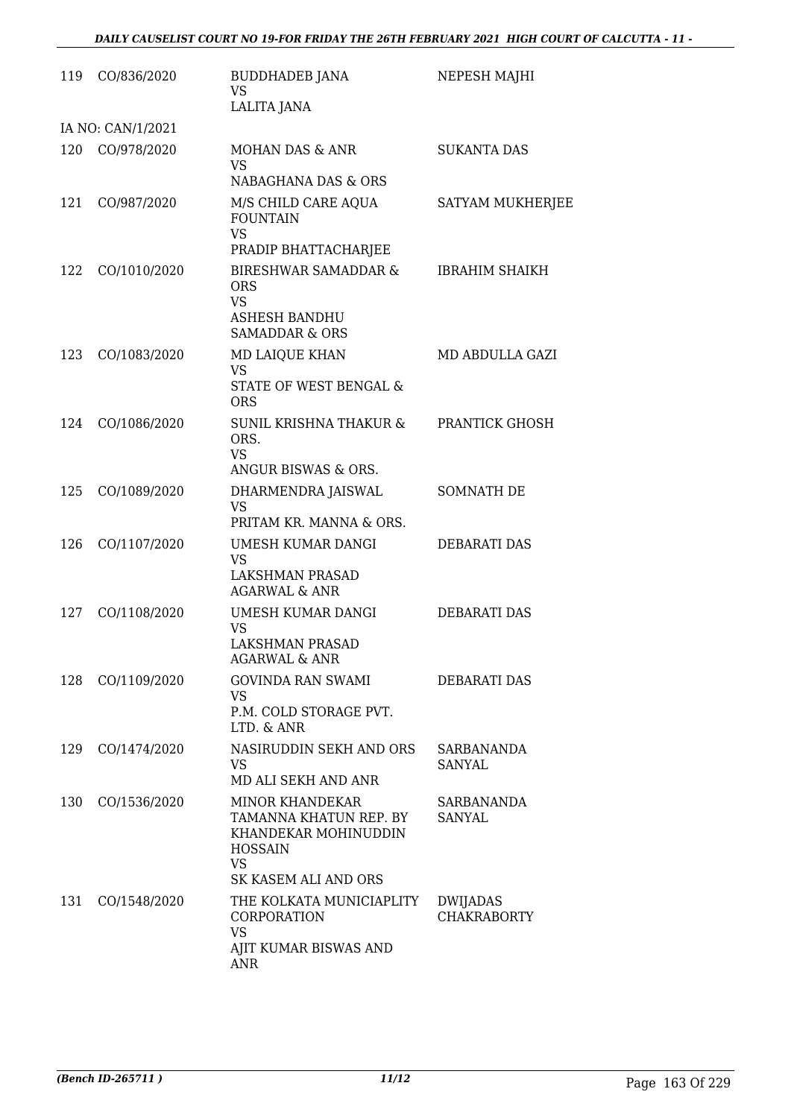| 119 | CO/836/2020       | <b>BUDDHADEB JANA</b><br><b>VS</b><br>LALITA JANA                                                                               | NEPESH MAJHI                   |
|-----|-------------------|---------------------------------------------------------------------------------------------------------------------------------|--------------------------------|
|     | IA NO: CAN/1/2021 |                                                                                                                                 |                                |
| 120 | CO/978/2020       | MOHAN DAS & ANR<br><b>VS</b><br>NABAGHANA DAS & ORS                                                                             | <b>SUKANTA DAS</b>             |
| 121 | CO/987/2020       | M/S CHILD CARE AQUA<br><b>FOUNTAIN</b><br><b>VS</b><br>PRADIP BHATTACHARJEE                                                     | SATYAM MUKHERJEE               |
| 122 | CO/1010/2020      | <b>BIRESHWAR SAMADDAR &amp;</b><br><b>ORS</b><br><b>VS</b><br>ASHESH BANDHU<br><b>SAMADDAR &amp; ORS</b>                        | <b>IBRAHIM SHAIKH</b>          |
| 123 | CO/1083/2020      | MD LAIQUE KHAN<br><b>VS</b><br>STATE OF WEST BENGAL &<br><b>ORS</b>                                                             | MD ABDULLA GAZI                |
| 124 | CO/1086/2020      | SUNIL KRISHNA THAKUR &<br>ORS.<br><b>VS</b><br>ANGUR BISWAS & ORS.                                                              | PRANTICK GHOSH                 |
| 125 | CO/1089/2020      | DHARMENDRA JAISWAL<br><b>VS</b><br>PRITAM KR. MANNA & ORS.                                                                      | SOMNATH DE                     |
| 126 | CO/1107/2020      | UMESH KUMAR DANGI<br><b>VS</b><br>LAKSHMAN PRASAD<br><b>AGARWAL &amp; ANR</b>                                                   | <b>DEBARATI DAS</b>            |
| 127 | CO/1108/2020      | UMESH KUMAR DANGI<br>VS<br>LAKSHMAN PRASAD<br>AGARWAL & ANR                                                                     | <b>DEBARATI DAS</b>            |
| 128 | CO/1109/2020      | <b>GOVINDA RAN SWAMI</b><br><b>VS</b><br>P.M. COLD STORAGE PVT.<br>LTD. & ANR                                                   | <b>DEBARATI DAS</b>            |
| 129 | CO/1474/2020      | NASIRUDDIN SEKH AND ORS<br><b>VS</b><br>MD ALI SEKH AND ANR                                                                     | SARBANANDA<br><b>SANYAL</b>    |
| 130 | CO/1536/2020      | <b>MINOR KHANDEKAR</b><br>TAMANNA KHATUN REP. BY<br>KHANDEKAR MOHINUDDIN<br><b>HOSSAIN</b><br><b>VS</b><br>SK KASEM ALI AND ORS | SARBANANDA<br>SANYAL           |
| 131 | CO/1548/2020      | THE KOLKATA MUNICIAPLITY<br>CORPORATION<br><b>VS</b><br>AJIT KUMAR BISWAS AND<br><b>ANR</b>                                     | DWIJADAS<br><b>CHAKRABORTY</b> |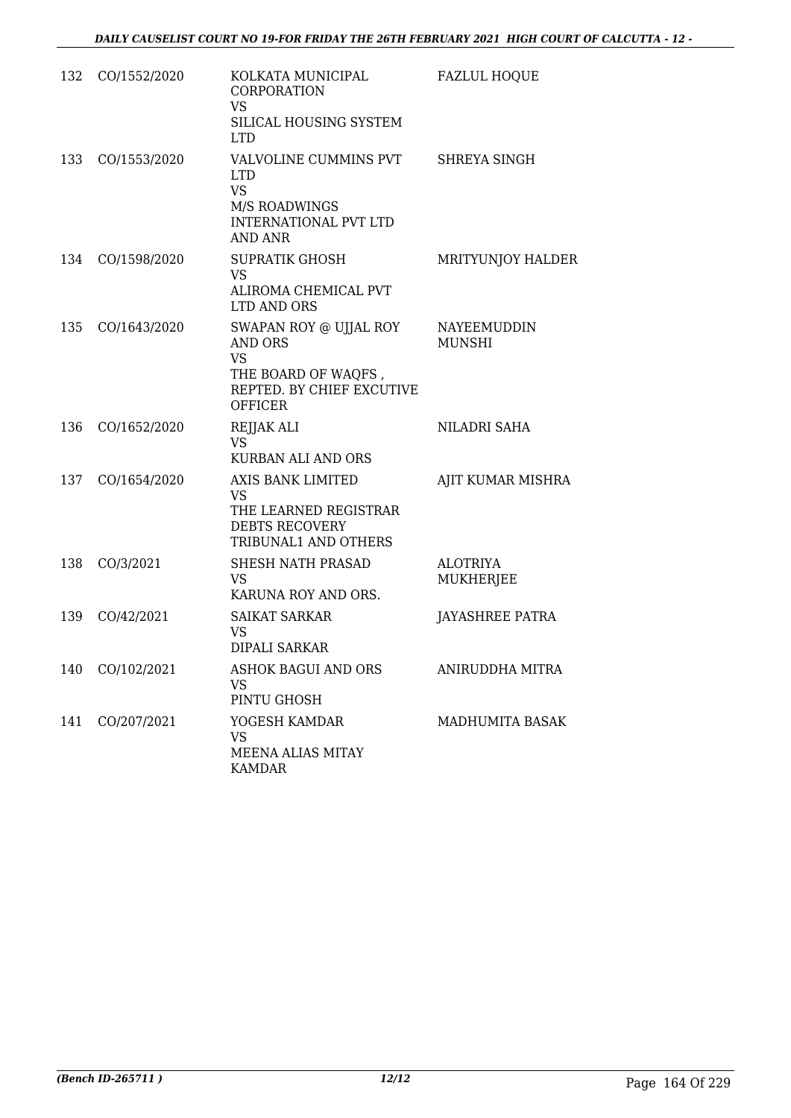| 132 | CO/1552/2020 | KOLKATA MUNICIPAL<br>CORPORATION<br><b>VS</b><br>SILICAL HOUSING SYSTEM<br>LTD.                                      | <b>FAZLUL HOQUE</b>                 |
|-----|--------------|----------------------------------------------------------------------------------------------------------------------|-------------------------------------|
| 133 | CO/1553/2020 | VALVOLINE CUMMINS PVT<br><b>LTD</b><br><b>VS</b><br>M/S ROADWINGS<br><b>INTERNATIONAL PVT LTD</b><br>AND ANR         | SHREYA SINGH                        |
| 134 | CO/1598/2020 | <b>SUPRATIK GHOSH</b><br>VS.<br>ALIROMA CHEMICAL PVT<br>LTD AND ORS                                                  | MRITYUNJOY HALDER                   |
| 135 | CO/1643/2020 | SWAPAN ROY @ UJJAL ROY<br>AND ORS<br><b>VS</b><br>THE BOARD OF WAQFS,<br>REPTED. BY CHIEF EXCUTIVE<br><b>OFFICER</b> | <b>NAYEEMUDDIN</b><br><b>MUNSHI</b> |
| 136 | CO/1652/2020 | REJJAK ALI<br><b>VS</b><br>KURBAN ALI AND ORS                                                                        | NILADRI SAHA                        |
| 137 | CO/1654/2020 | AXIS BANK LIMITED<br><b>VS</b><br>THE LEARNED REGISTRAR<br><b>DEBTS RECOVERY</b><br>TRIBUNAL1 AND OTHERS             | AJIT KUMAR MISHRA                   |
| 138 | CO/3/2021    | SHESH NATH PRASAD<br><b>VS</b><br>KARUNA ROY AND ORS.                                                                | <b>ALOTRIYA</b><br>MUKHERJEE        |
| 139 | CO/42/2021   | <b>SAIKAT SARKAR</b><br>VS<br><b>DIPALI SARKAR</b>                                                                   | JAYASHREE PATRA                     |
| 140 | CO/102/2021  | ASHOK BAGUI AND ORS<br><b>VS</b><br>PINTU GHOSH                                                                      | ANIRUDDHA MITRA                     |
| 141 | CO/207/2021  | YOGESH KAMDAR<br>VS<br>MEENA ALIAS MITAY<br><b>KAMDAR</b>                                                            | MADHUMITA BASAK                     |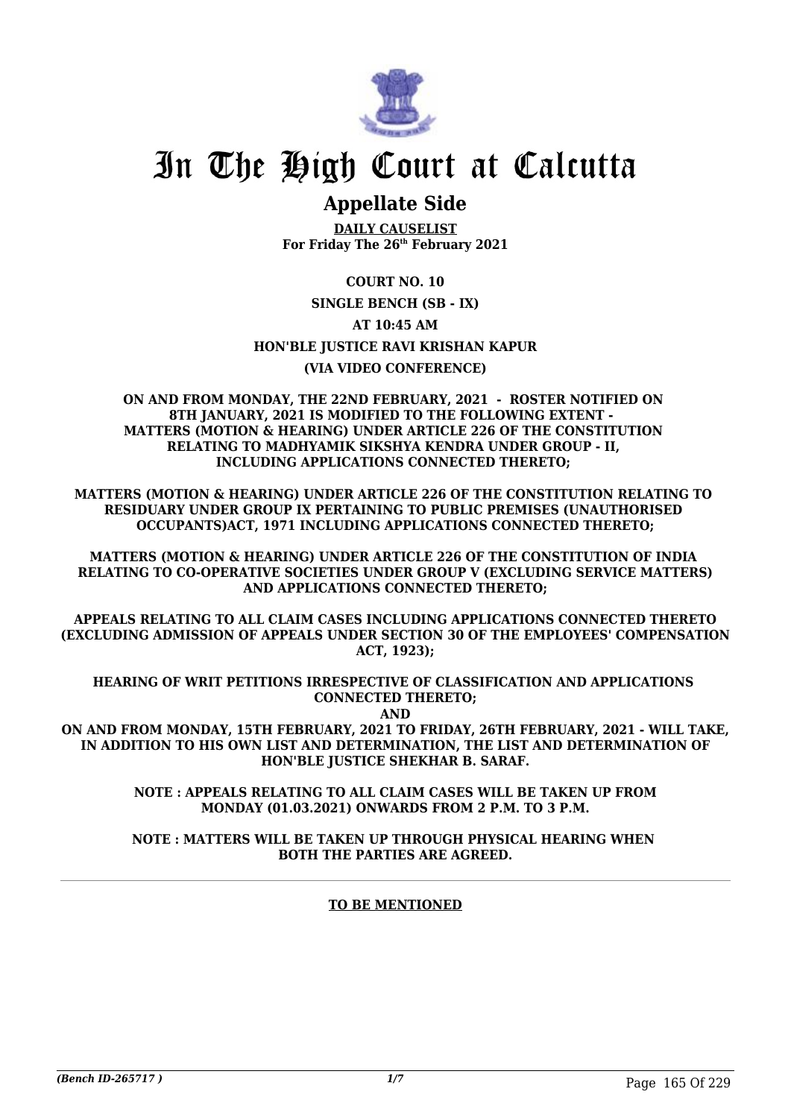

# In The High Court at Calcutta

### **Appellate Side**

**DAILY CAUSELIST For Friday The 26th February 2021**

#### **COURT NO. 10**

**SINGLE BENCH (SB - IX)**

#### **AT 10:45 AM**

**HON'BLE JUSTICE RAVI KRISHAN KAPUR**

#### **(VIA VIDEO CONFERENCE)**

**ON AND FROM MONDAY, THE 22ND FEBRUARY, 2021 - ROSTER NOTIFIED ON 8TH JANUARY, 2021 IS MODIFIED TO THE FOLLOWING EXTENT - MATTERS (MOTION & HEARING) UNDER ARTICLE 226 OF THE CONSTITUTION RELATING TO MADHYAMIK SIKSHYA KENDRA UNDER GROUP - II, INCLUDING APPLICATIONS CONNECTED THERETO;** 

**MATTERS (MOTION & HEARING) UNDER ARTICLE 226 OF THE CONSTITUTION RELATING TO RESIDUARY UNDER GROUP IX PERTAINING TO PUBLIC PREMISES (UNAUTHORISED OCCUPANTS)ACT, 1971 INCLUDING APPLICATIONS CONNECTED THERETO;**

**MATTERS (MOTION & HEARING) UNDER ARTICLE 226 OF THE CONSTITUTION OF INDIA RELATING TO CO-OPERATIVE SOCIETIES UNDER GROUP V (EXCLUDING SERVICE MATTERS) AND APPLICATIONS CONNECTED THERETO;**

**APPEALS RELATING TO ALL CLAIM CASES INCLUDING APPLICATIONS CONNECTED THERETO (EXCLUDING ADMISSION OF APPEALS UNDER SECTION 30 OF THE EMPLOYEES' COMPENSATION ACT, 1923);**

**HEARING OF WRIT PETITIONS IRRESPECTIVE OF CLASSIFICATION AND APPLICATIONS CONNECTED THERETO; AND**

**ON AND FROM MONDAY, 15TH FEBRUARY, 2021 TO FRIDAY, 26TH FEBRUARY, 2021 - WILL TAKE, IN ADDITION TO HIS OWN LIST AND DETERMINATION, THE LIST AND DETERMINATION OF HON'BLE JUSTICE SHEKHAR B. SARAF.**

> **NOTE : APPEALS RELATING TO ALL CLAIM CASES WILL BE TAKEN UP FROM MONDAY (01.03.2021) ONWARDS FROM 2 P.M. TO 3 P.M.**

> **NOTE : MATTERS WILL BE TAKEN UP THROUGH PHYSICAL HEARING WHEN BOTH THE PARTIES ARE AGREED.**

#### **TO BE MENTIONED**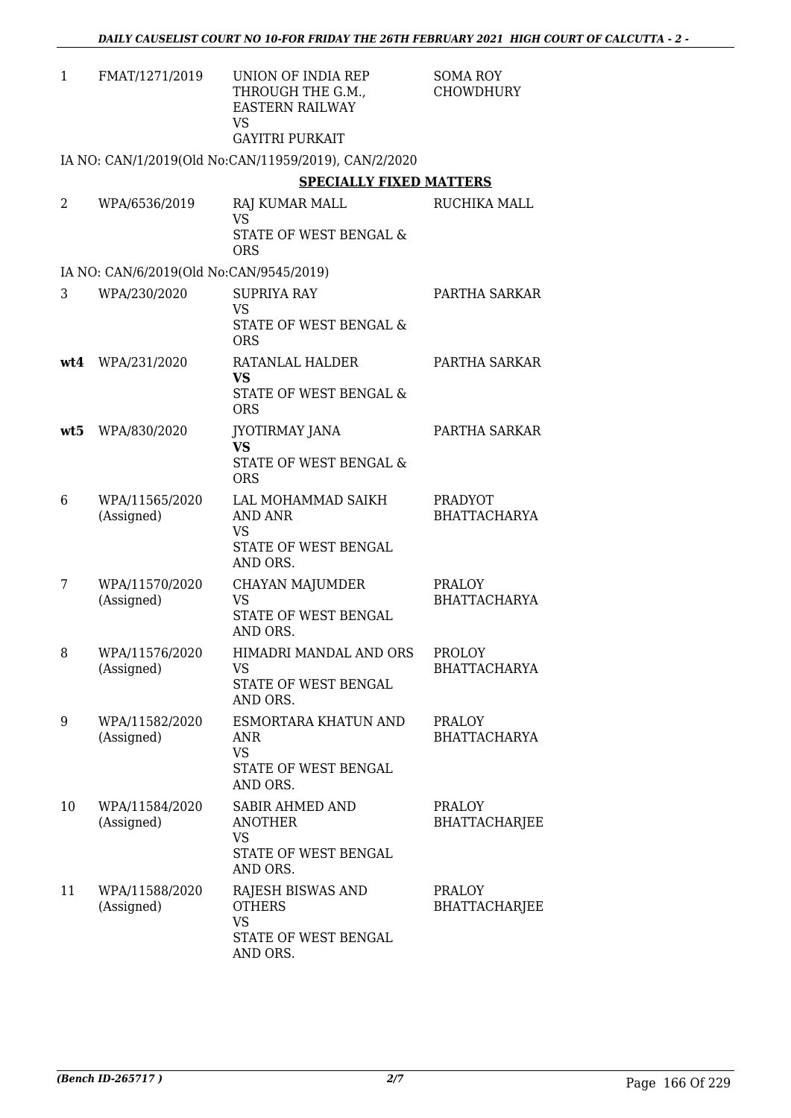| $\mathbf{1}$ | FMAT/1271/2019                          | UNION OF INDIA REP<br>THROUGH THE G.M.,<br><b>EASTERN RAILWAY</b><br>VS.<br><b>GAYITRI PURKAIT</b> | <b>SOMA ROY</b><br><b>CHOWDHURY</b>   |
|--------------|-----------------------------------------|----------------------------------------------------------------------------------------------------|---------------------------------------|
|              |                                         | IA NO: CAN/1/2019(Old No:CAN/11959/2019), CAN/2/2020                                               |                                       |
|              |                                         | <b>SPECIALLY FIXED MATTERS</b>                                                                     |                                       |
| 2            | WPA/6536/2019                           | RAJ KUMAR MALL<br><b>VS</b><br><b>STATE OF WEST BENGAL &amp;</b><br><b>ORS</b>                     | RUCHIKA MALL                          |
|              | IA NO: CAN/6/2019(Old No:CAN/9545/2019) |                                                                                                    |                                       |
| 3            | WPA/230/2020                            | <b>SUPRIYA RAY</b><br><b>VS</b><br>STATE OF WEST BENGAL &<br><b>ORS</b>                            | PARTHA SARKAR                         |
|              | wt4 WPA/231/2020                        | RATANLAL HALDER<br><b>VS</b><br><b>STATE OF WEST BENGAL &amp;</b><br><b>ORS</b>                    | PARTHA SARKAR                         |
| wt5          | WPA/830/2020                            | <b>JYOTIRMAY JANA</b><br><b>VS</b><br>STATE OF WEST BENGAL &<br><b>ORS</b>                         | PARTHA SARKAR                         |
| 6            | WPA/11565/2020<br>(Assigned)            | LAL MOHAMMAD SAIKH<br><b>AND ANR</b><br><b>VS</b><br>STATE OF WEST BENGAL<br>AND ORS.              | <b>PRADYOT</b><br><b>BHATTACHARYA</b> |
| 7            | WPA/11570/2020<br>(Assigned)            | CHAYAN MAJUMDER<br>VS<br>STATE OF WEST BENGAL<br>AND ORS.                                          | PRALOY<br><b>BHATTACHARYA</b>         |
| 8            | WPA/11576/2020<br>(Assigned)            | HIMADRI MANDAL AND ORS<br>VS<br>STATE OF WEST BENGAL<br>AND ORS.                                   | <b>PROLOY</b><br><b>BHATTACHARYA</b>  |
| 9            | WPA/11582/2020<br>(Assigned)            | ESMORTARA KHATUN AND<br>ANR<br><b>VS</b><br>STATE OF WEST BENGAL<br>AND ORS.                       | <b>PRALOY</b><br><b>BHATTACHARYA</b>  |
| 10           | WPA/11584/2020<br>(Assigned)            | <b>SABIR AHMED AND</b><br><b>ANOTHER</b><br><b>VS</b><br>STATE OF WEST BENGAL<br>AND ORS.          | <b>PRALOY</b><br><b>BHATTACHARJEE</b> |
| 11           | WPA/11588/2020<br>(Assigned)            | RAJESH BISWAS AND<br><b>OTHERS</b><br><b>VS</b><br>STATE OF WEST BENGAL<br>AND ORS.                | <b>PRALOY</b><br><b>BHATTACHARJEE</b> |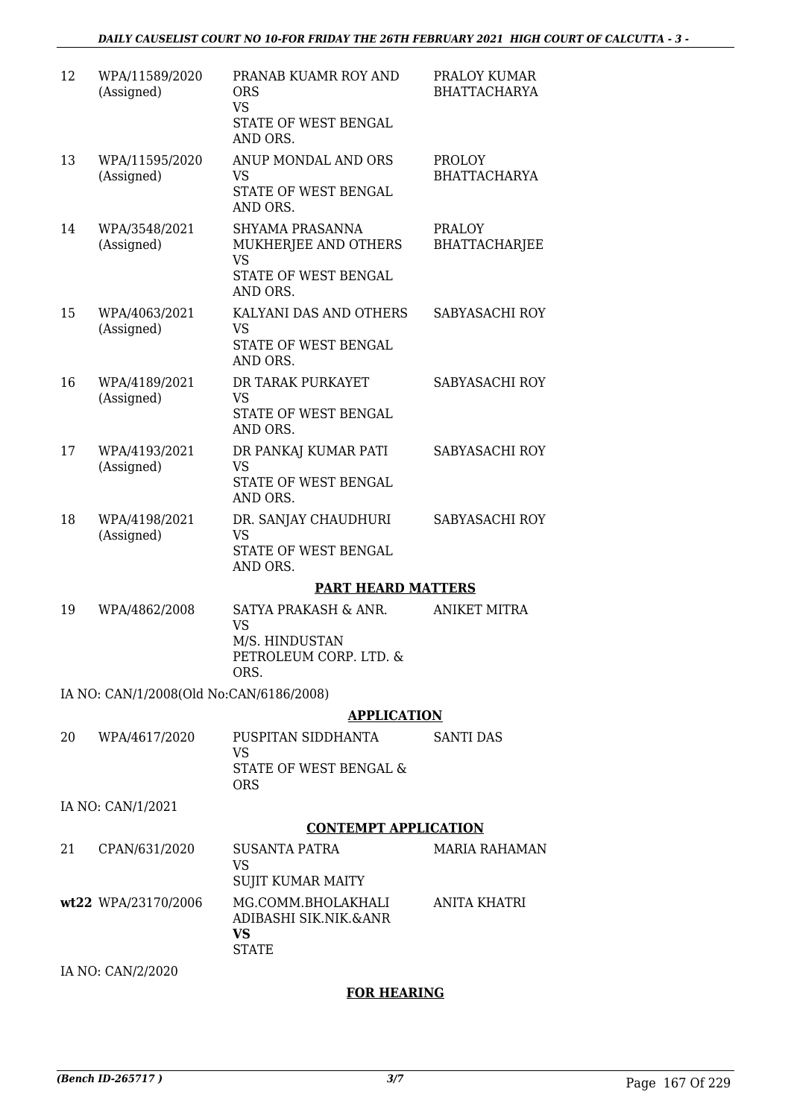| 12 | WPA/11589/2020<br>(Assigned)            | PRANAB KUAMR ROY AND<br><b>ORS</b><br><b>VS</b><br>STATE OF WEST BENGAL<br>AND ORS.      | PRALOY KUMAR<br><b>BHATTACHARYA</b>   |
|----|-----------------------------------------|------------------------------------------------------------------------------------------|---------------------------------------|
| 13 | WPA/11595/2020<br>(Assigned)            | ANUP MONDAL AND ORS<br><b>VS</b><br>STATE OF WEST BENGAL<br>AND ORS.                     | <b>PROLOY</b><br><b>BHATTACHARYA</b>  |
| 14 | WPA/3548/2021<br>(Assigned)             | SHYAMA PRASANNA<br>MUKHERJEE AND OTHERS<br><b>VS</b><br>STATE OF WEST BENGAL<br>AND ORS. | <b>PRALOY</b><br><b>BHATTACHARJEE</b> |
| 15 | WPA/4063/2021<br>(Assigned)             | KALYANI DAS AND OTHERS<br><b>VS</b><br>STATE OF WEST BENGAL<br>AND ORS.                  | SABYASACHI ROY                        |
| 16 | WPA/4189/2021<br>(Assigned)             | DR TARAK PURKAYET<br><b>VS</b><br>STATE OF WEST BENGAL<br>AND ORS.                       | SABYASACHI ROY                        |
| 17 | WPA/4193/2021<br>(Assigned)             | DR PANKAJ KUMAR PATI<br><b>VS</b><br>STATE OF WEST BENGAL<br>AND ORS.                    | SABYASACHI ROY                        |
| 18 | WPA/4198/2021<br>(Assigned)             | DR. SANJAY CHAUDHURI<br><b>VS</b><br>STATE OF WEST BENGAL<br>AND ORS.                    | SABYASACHI ROY                        |
|    |                                         | <b>PART HEARD MATTERS</b>                                                                |                                       |
| 19 | WPA/4862/2008                           | SATYA PRAKASH & ANR.<br><b>VS</b><br>M/S. HINDUSTAN<br>PETROLEUM CORP. LTD. &<br>ORS.    | <b>ANIKET MITRA</b>                   |
|    | IA NO: CAN/1/2008(Old No:CAN/6186/2008) |                                                                                          |                                       |
|    |                                         | <b>APPLICATION</b>                                                                       |                                       |
| 20 | WPA/4617/2020                           | PUSPITAN SIDDHANTA<br><b>VS</b>                                                          | <b>SANTI DAS</b>                      |
|    |                                         | STATE OF WEST BENGAL &<br><b>ORS</b>                                                     |                                       |
|    | IA NO: CAN/1/2021                       |                                                                                          |                                       |
|    |                                         | <b>CONTEMPT APPLICATION</b>                                                              |                                       |
| 21 | CPAN/631/2020                           | <b>SUSANTA PATRA</b><br><b>VS</b>                                                        | <b>MARIA RAHAMAN</b>                  |
|    |                                         | <b>SUJIT KUMAR MAITY</b>                                                                 |                                       |
|    | wt22 WPA/23170/2006                     | MG.COMM.BHOLAKHALI<br>ADIBASHI SIK.NIK.&ANR<br><b>VS</b><br><b>STATE</b>                 | ANITA KHATRI                          |
|    |                                         |                                                                                          |                                       |

IA NO: CAN/2/2020

#### **FOR HEARING**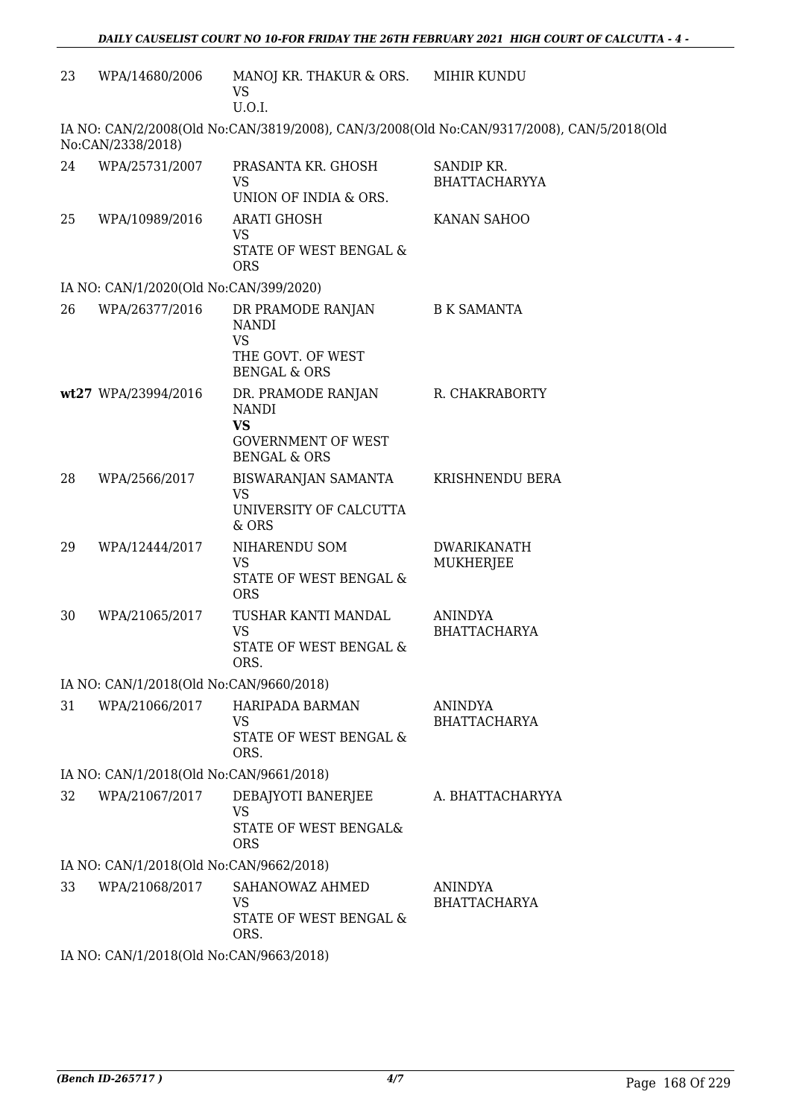| 23 | WPA/14680/2006                          | MANOJ KR. THAKUR & ORS.<br>VS<br>U.O.I.                                                                 | MIHIR KUNDU                                                                               |
|----|-----------------------------------------|---------------------------------------------------------------------------------------------------------|-------------------------------------------------------------------------------------------|
|    | No:CAN/2338/2018)                       |                                                                                                         | IA NO: CAN/2/2008(Old No:CAN/3819/2008), CAN/3/2008(Old No:CAN/9317/2008), CAN/5/2018(Old |
| 24 | WPA/25731/2007                          | PRASANTA KR. GHOSH<br><b>VS</b><br>UNION OF INDIA & ORS.                                                | SANDIP KR.<br><b>BHATTACHARYYA</b>                                                        |
| 25 | WPA/10989/2016                          | <b>ARATI GHOSH</b><br>VS<br>STATE OF WEST BENGAL &<br><b>ORS</b>                                        | KANAN SAHOO                                                                               |
|    | IA NO: CAN/1/2020(Old No:CAN/399/2020)  |                                                                                                         |                                                                                           |
| 26 | WPA/26377/2016                          | DR PRAMODE RANJAN<br><b>NANDI</b><br><b>VS</b>                                                          | <b>B K SAMANTA</b>                                                                        |
|    |                                         | THE GOVT. OF WEST<br><b>BENGAL &amp; ORS</b>                                                            |                                                                                           |
|    | wt27 WPA/23994/2016                     | DR. PRAMODE RANJAN<br><b>NANDI</b><br><b>VS</b><br><b>GOVERNMENT OF WEST</b><br><b>BENGAL &amp; ORS</b> | R. CHAKRABORTY                                                                            |
| 28 | WPA/2566/2017                           | BISWARANJAN SAMANTA<br><b>VS</b><br>UNIVERSITY OF CALCUTTA<br>& ORS                                     | KRISHNENDU BERA                                                                           |
| 29 | WPA/12444/2017                          | NIHARENDU SOM<br><b>VS</b><br>STATE OF WEST BENGAL &<br><b>ORS</b>                                      | <b>DWARIKANATH</b><br>MUKHERJEE                                                           |
| 30 | WPA/21065/2017                          | TUSHAR KANTI MANDAL<br><b>VS</b><br>STATE OF WEST BENGAL &<br>ORS.                                      | <b>ANINDYA</b><br><b>BHATTACHARYA</b>                                                     |
|    | IA NO: CAN/1/2018(Old No:CAN/9660/2018) |                                                                                                         |                                                                                           |
| 31 | WPA/21066/2017                          | HARIPADA BARMAN<br>VS<br>STATE OF WEST BENGAL &<br>ORS.                                                 | <b>ANINDYA</b><br><b>BHATTACHARYA</b>                                                     |
|    | IA NO: CAN/1/2018(Old No:CAN/9661/2018) |                                                                                                         |                                                                                           |
| 32 | WPA/21067/2017                          | DEBAJYOTI BANERJEE<br><b>VS</b><br>STATE OF WEST BENGAL&<br><b>ORS</b>                                  | A. BHATTACHARYYA                                                                          |
|    | IA NO: CAN/1/2018(Old No:CAN/9662/2018) |                                                                                                         |                                                                                           |
| 33 | WPA/21068/2017                          | SAHANOWAZ AHMED<br><b>VS</b><br>STATE OF WEST BENGAL &<br>ORS.                                          | <b>ANINDYA</b><br><b>BHATTACHARYA</b>                                                     |
|    | IA NO: CAN/1/2018(Old No:CAN/9663/2018) |                                                                                                         |                                                                                           |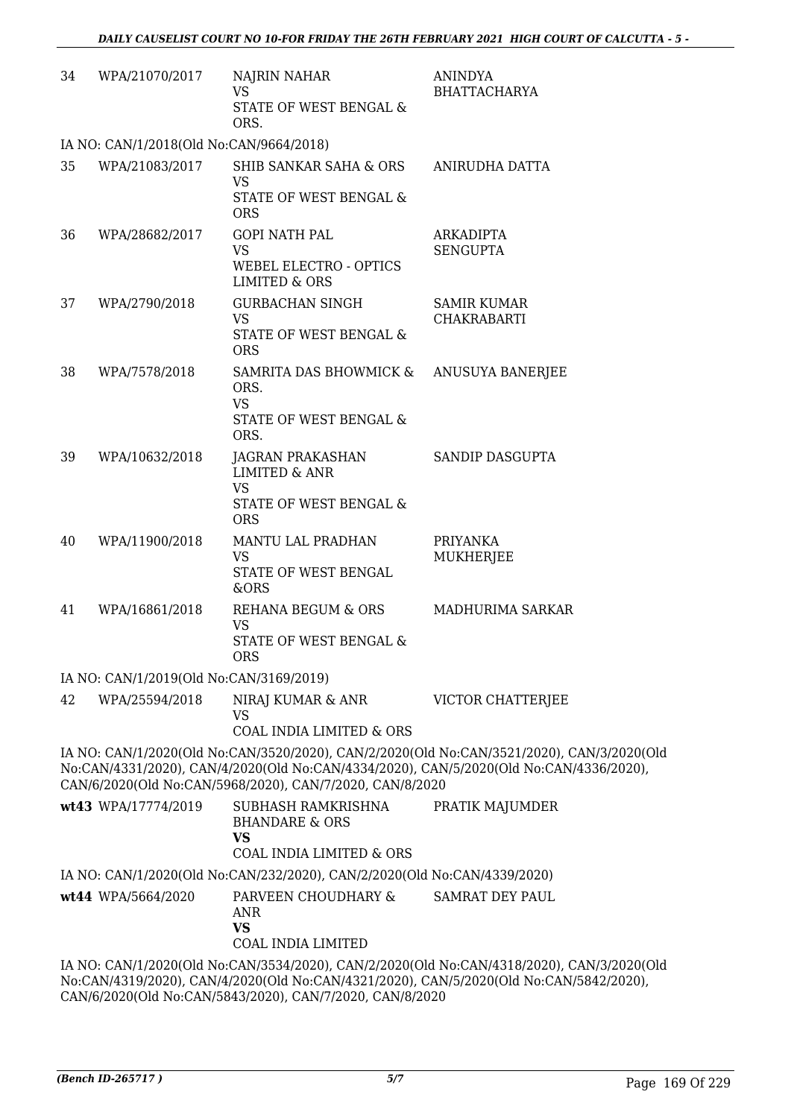| 34 | WPA/21070/2017                          | NAJRIN NAHAR<br><b>VS</b><br>STATE OF WEST BENGAL &                      | <b>ANINDYA</b><br><b>BHATTACHARYA</b>                                                                                                                                               |
|----|-----------------------------------------|--------------------------------------------------------------------------|-------------------------------------------------------------------------------------------------------------------------------------------------------------------------------------|
|    |                                         | ORS.                                                                     |                                                                                                                                                                                     |
|    | IA NO: CAN/1/2018(Old No:CAN/9664/2018) |                                                                          |                                                                                                                                                                                     |
| 35 | WPA/21083/2017                          | SHIB SANKAR SAHA & ORS<br>VS<br>STATE OF WEST BENGAL &                   | ANIRUDHA DATTA                                                                                                                                                                      |
|    |                                         | <b>ORS</b>                                                               |                                                                                                                                                                                     |
| 36 | WPA/28682/2017                          | <b>GOPI NATH PAL</b><br><b>VS</b>                                        | <b>ARKADIPTA</b><br><b>SENGUPTA</b>                                                                                                                                                 |
|    |                                         | WEBEL ELECTRO - OPTICS<br>LIMITED & ORS                                  |                                                                                                                                                                                     |
| 37 | WPA/2790/2018                           | <b>GURBACHAN SINGH</b><br><b>VS</b>                                      | <b>SAMIR KUMAR</b><br><b>CHAKRABARTI</b>                                                                                                                                            |
|    |                                         | STATE OF WEST BENGAL &<br><b>ORS</b>                                     |                                                                                                                                                                                     |
| 38 | WPA/7578/2018                           | SAMRITA DAS BHOWMICK &<br>ORS.                                           | ANUSUYA BANERJEE                                                                                                                                                                    |
|    |                                         | <b>VS</b><br>STATE OF WEST BENGAL &<br>ORS.                              |                                                                                                                                                                                     |
| 39 | WPA/10632/2018                          | JAGRAN PRAKASHAN<br><b>LIMITED &amp; ANR</b><br>VS                       | SANDIP DASGUPTA                                                                                                                                                                     |
|    |                                         | STATE OF WEST BENGAL &<br><b>ORS</b>                                     |                                                                                                                                                                                     |
| 40 | WPA/11900/2018                          | MANTU LAL PRADHAN<br><b>VS</b>                                           | <b>PRIYANKA</b><br>MUKHERJEE                                                                                                                                                        |
|    |                                         | STATE OF WEST BENGAL<br>&ORS                                             |                                                                                                                                                                                     |
| 41 | WPA/16861/2018                          | REHANA BEGUM & ORS<br>VS                                                 | MADHURIMA SARKAR                                                                                                                                                                    |
|    |                                         | STATE OF WEST BENGAL &<br><b>ORS</b>                                     |                                                                                                                                                                                     |
|    | IA NO: CAN/1/2019(Old No:CAN/3169/2019) |                                                                          |                                                                                                                                                                                     |
| 42 | WPA/25594/2018                          | NIRAJ KUMAR & ANR<br><b>VS</b>                                           | VICTOR CHATTERJEE                                                                                                                                                                   |
|    |                                         | <b>COAL INDIA LIMITED &amp; ORS</b>                                      |                                                                                                                                                                                     |
|    |                                         | CAN/6/2020(Old No:CAN/5968/2020), CAN/7/2020, CAN/8/2020                 | IA NO: CAN/1/2020(Old No:CAN/3520/2020), CAN/2/2020(Old No:CAN/3521/2020), CAN/3/2020(Old<br>No:CAN/4331/2020), CAN/4/2020(Old No:CAN/4334/2020), CAN/5/2020(Old No:CAN/4336/2020), |
|    | wt43 WPA/17774/2019                     | SUBHASH RAMKRISHNA<br><b>BHANDARE &amp; ORS</b><br><b>VS</b>             | PRATIK MAJUMDER                                                                                                                                                                     |
|    |                                         | <b>COAL INDIA LIMITED &amp; ORS</b>                                      |                                                                                                                                                                                     |
|    |                                         | IA NO: CAN/1/2020(Old No:CAN/232/2020), CAN/2/2020(Old No:CAN/4339/2020) |                                                                                                                                                                                     |
|    | wt44 WPA/5664/2020                      | PARVEEN CHOUDHARY &<br><b>ANR</b><br><b>VS</b>                           | <b>SAMRAT DEY PAUL</b>                                                                                                                                                              |
|    |                                         | COAL INDIA LIMITED                                                       |                                                                                                                                                                                     |
|    |                                         |                                                                          | IA NO: CAN/1/2020(Old No:CAN/3534/2020), CAN/2/2020(Old No:CAN/4318/2020), CAN/3/2020(Old                                                                                           |

No:CAN/4319/2020), CAN/4/2020(Old No:CAN/4321/2020), CAN/5/2020(Old No:CAN/5842/2020), CAN/6/2020(Old No:CAN/5843/2020), CAN/7/2020, CAN/8/2020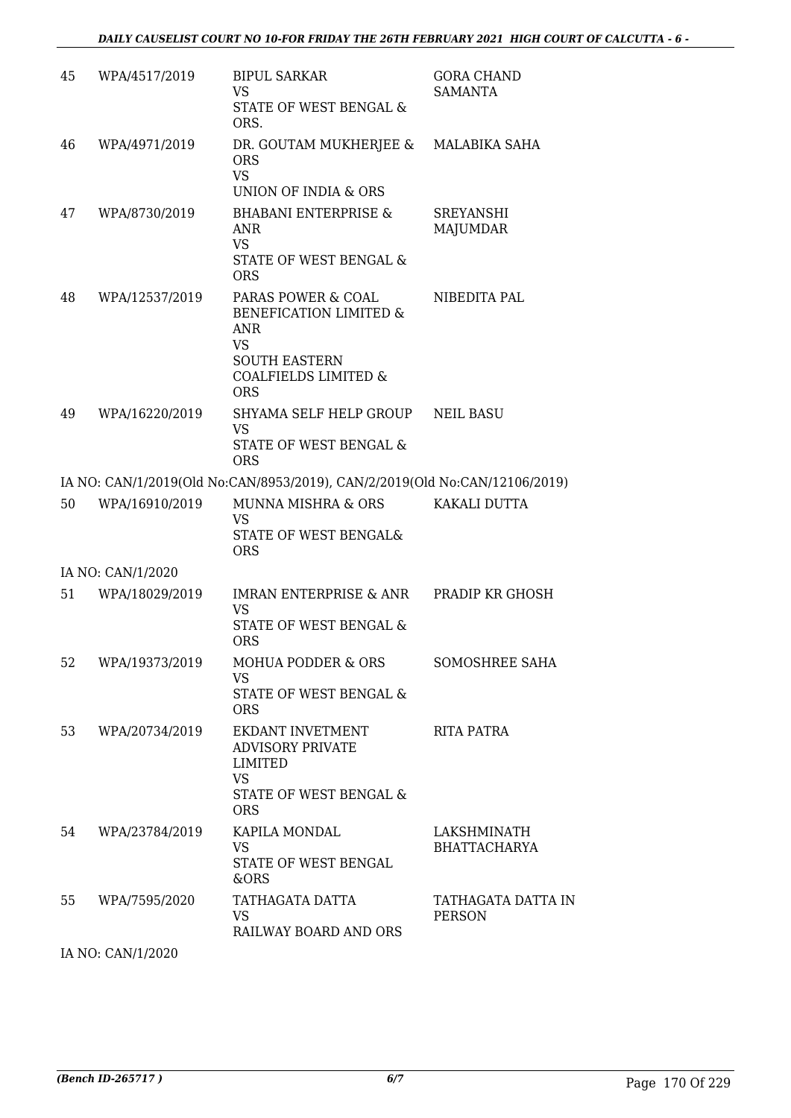| 45 | WPA/4517/2019     | <b>BIPUL SARKAR</b><br><b>VS</b><br><b>STATE OF WEST BENGAL &amp;</b><br>ORS.                                                             | <b>GORA CHAND</b><br><b>SAMANTA</b> |
|----|-------------------|-------------------------------------------------------------------------------------------------------------------------------------------|-------------------------------------|
| 46 | WPA/4971/2019     | DR. GOUTAM MUKHERJEE &<br><b>ORS</b><br><b>VS</b><br>UNION OF INDIA & ORS                                                                 | MALABIKA SAHA                       |
| 47 | WPA/8730/2019     | <b>BHABANI ENTERPRISE &amp;</b><br><b>ANR</b><br><b>VS</b><br>STATE OF WEST BENGAL &<br><b>ORS</b>                                        | SREYANSHI<br><b>MAJUMDAR</b>        |
| 48 | WPA/12537/2019    | PARAS POWER & COAL<br>BENEFICATION LIMITED &<br>ANR<br><b>VS</b><br><b>SOUTH EASTERN</b><br><b>COALFIELDS LIMITED &amp;</b><br><b>ORS</b> | NIBEDITA PAL                        |
| 49 | WPA/16220/2019    | SHYAMA SELF HELP GROUP<br><b>VS</b><br>STATE OF WEST BENGAL &<br><b>ORS</b>                                                               | <b>NEIL BASU</b>                    |
|    |                   | IA NO: CAN/1/2019(Old No:CAN/8953/2019), CAN/2/2019(Old No:CAN/12106/2019)                                                                |                                     |
| 50 | WPA/16910/2019    | MUNNA MISHRA & ORS<br><b>VS</b><br>STATE OF WEST BENGAL&<br><b>ORS</b>                                                                    | KAKALI DUTTA                        |
|    | IA NO: CAN/1/2020 |                                                                                                                                           |                                     |
| 51 | WPA/18029/2019    | IMRAN ENTERPRISE & ANR<br>VS<br>STATE OF WEST BENGAL &<br><b>ORS</b>                                                                      | PRADIP KR GHOSH                     |
| 52 | WPA/19373/2019    | <b>MOHUA PODDER &amp; ORS</b><br><b>VS</b><br>STATE OF WEST BENGAL &<br><b>ORS</b>                                                        | SOMOSHREE SAHA                      |
| 53 | WPA/20734/2019    | EKDANT INVETMENT<br><b>ADVISORY PRIVATE</b><br>LIMITED<br><b>VS</b><br>STATE OF WEST BENGAL &<br><b>ORS</b>                               | RITA PATRA                          |
| 54 | WPA/23784/2019    | KAPILA MONDAL<br><b>VS</b><br>STATE OF WEST BENGAL<br>&ORS                                                                                | LAKSHMINATH<br><b>BHATTACHARYA</b>  |
| 55 | WPA/7595/2020     | TATHAGATA DATTA<br><b>VS</b><br>RAILWAY BOARD AND ORS                                                                                     | TATHAGATA DATTA IN<br><b>PERSON</b> |
|    |                   |                                                                                                                                           |                                     |

IA NO: CAN/1/2020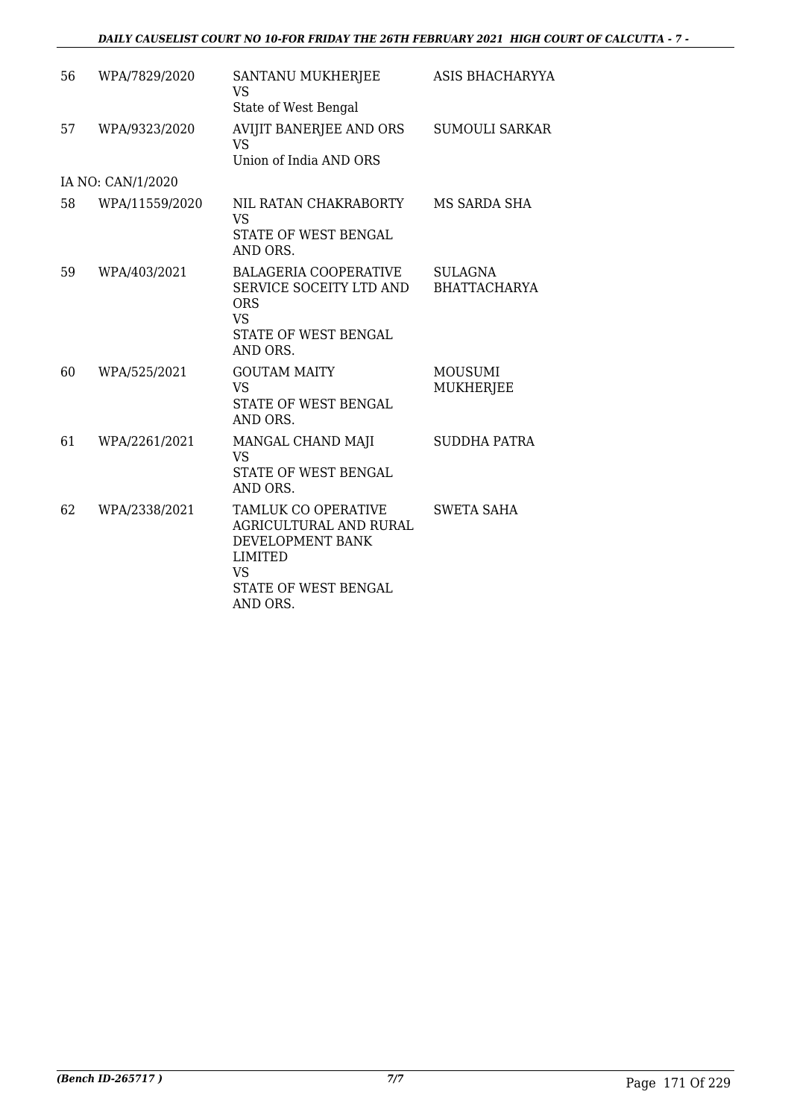| 56 | WPA/7829/2020     | SANTANU MUKHERJEE<br><b>VS</b><br>State of West Bengal                                                                        | ASIS BHACHARYYA                    |
|----|-------------------|-------------------------------------------------------------------------------------------------------------------------------|------------------------------------|
| 57 | WPA/9323/2020     | AVIJIT BANERJEE AND ORS<br>VS<br>Union of India AND ORS                                                                       | <b>SUMOULI SARKAR</b>              |
|    | IA NO: CAN/1/2020 |                                                                                                                               |                                    |
| 58 | WPA/11559/2020    | NIL RATAN CHAKRABORTY<br><b>VS</b><br>STATE OF WEST BENGAL<br>AND ORS.                                                        | MS SARDA SHA                       |
| 59 | WPA/403/2021      | <b>BALAGERIA COOPERATIVE</b><br>SERVICE SOCEITY LTD AND<br><b>ORS</b><br><b>VS</b><br>STATE OF WEST BENGAL<br>AND ORS.        | <b>SULAGNA</b><br>BHATTACHARYA     |
| 60 | WPA/525/2021      | <b>GOUTAM MAITY</b><br><b>VS</b><br>STATE OF WEST BENGAL<br>AND ORS.                                                          | <b>MOUSUMI</b><br><b>MUKHERJEE</b> |
| 61 | WPA/2261/2021     | MANGAL CHAND MAJI<br>VS<br>STATE OF WEST BENGAL<br>AND ORS.                                                                   | <b>SUDDHA PATRA</b>                |
| 62 | WPA/2338/2021     | TAMLUK CO OPERATIVE<br>AGRICULTURAL AND RURAL<br>DEVELOPMENT BANK<br>LIMITED<br><b>VS</b><br>STATE OF WEST BENGAL<br>AND ORS. | <b>SWETA SAHA</b>                  |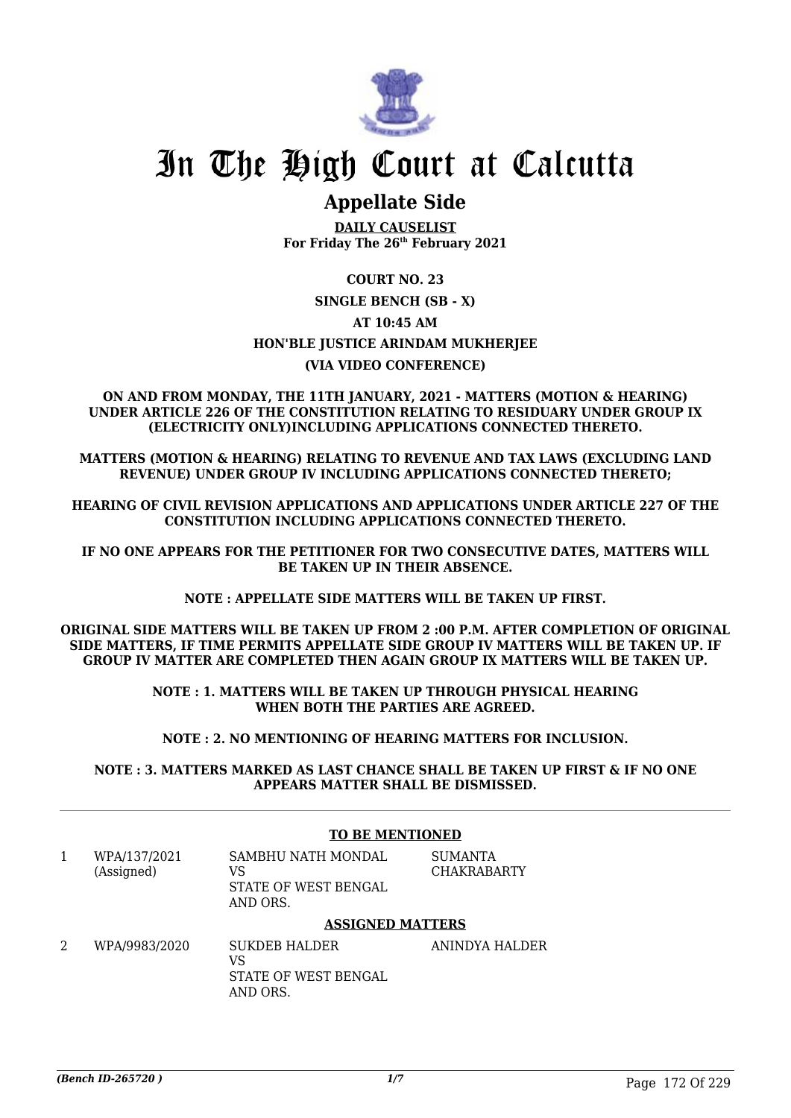

## In The High Court at Calcutta

### **Appellate Side**

**DAILY CAUSELIST For Friday The 26th February 2021**

#### **COURT NO. 23**

#### **SINGLE BENCH (SB - X) AT 10:45 AM HON'BLE JUSTICE ARINDAM MUKHERJEE (VIA VIDEO CONFERENCE)**

#### **ON AND FROM MONDAY, THE 11TH JANUARY, 2021 - MATTERS (MOTION & HEARING) UNDER ARTICLE 226 OF THE CONSTITUTION RELATING TO RESIDUARY UNDER GROUP IX (ELECTRICITY ONLY)INCLUDING APPLICATIONS CONNECTED THERETO.**

**MATTERS (MOTION & HEARING) RELATING TO REVENUE AND TAX LAWS (EXCLUDING LAND REVENUE) UNDER GROUP IV INCLUDING APPLICATIONS CONNECTED THERETO;**

**HEARING OF CIVIL REVISION APPLICATIONS AND APPLICATIONS UNDER ARTICLE 227 OF THE CONSTITUTION INCLUDING APPLICATIONS CONNECTED THERETO.**

**IF NO ONE APPEARS FOR THE PETITIONER FOR TWO CONSECUTIVE DATES, MATTERS WILL BE TAKEN UP IN THEIR ABSENCE.**

**NOTE : APPELLATE SIDE MATTERS WILL BE TAKEN UP FIRST.**

**ORIGINAL SIDE MATTERS WILL BE TAKEN UP FROM 2 :00 P.M. AFTER COMPLETION OF ORIGINAL SIDE MATTERS, IF TIME PERMITS APPELLATE SIDE GROUP IV MATTERS WILL BE TAKEN UP. IF GROUP IV MATTER ARE COMPLETED THEN AGAIN GROUP IX MATTERS WILL BE TAKEN UP.**

> **NOTE : 1. MATTERS WILL BE TAKEN UP THROUGH PHYSICAL HEARING WHEN BOTH THE PARTIES ARE AGREED.**

**NOTE : 2. NO MENTIONING OF HEARING MATTERS FOR INCLUSION.**

**NOTE : 3. MATTERS MARKED AS LAST CHANCE SHALL BE TAKEN UP FIRST & IF NO ONE APPEARS MATTER SHALL BE DISMISSED.**

#### **TO BE MENTIONED**

| WPA/137/2021 | SAMBHU NATH MONDAL   | SUMANTA            |
|--------------|----------------------|--------------------|
| (Assigned)   | VS.                  | <b>CHAKRABARTY</b> |
|              | STATE OF WEST BENGAL |                    |
|              | AND ORS.             |                    |

#### **ASSIGNED MATTERS**

2 WPA/9983/2020 SUKDEB HALDER VS STATE OF WEST BENGAL AND ORS. ANINDYA HALDER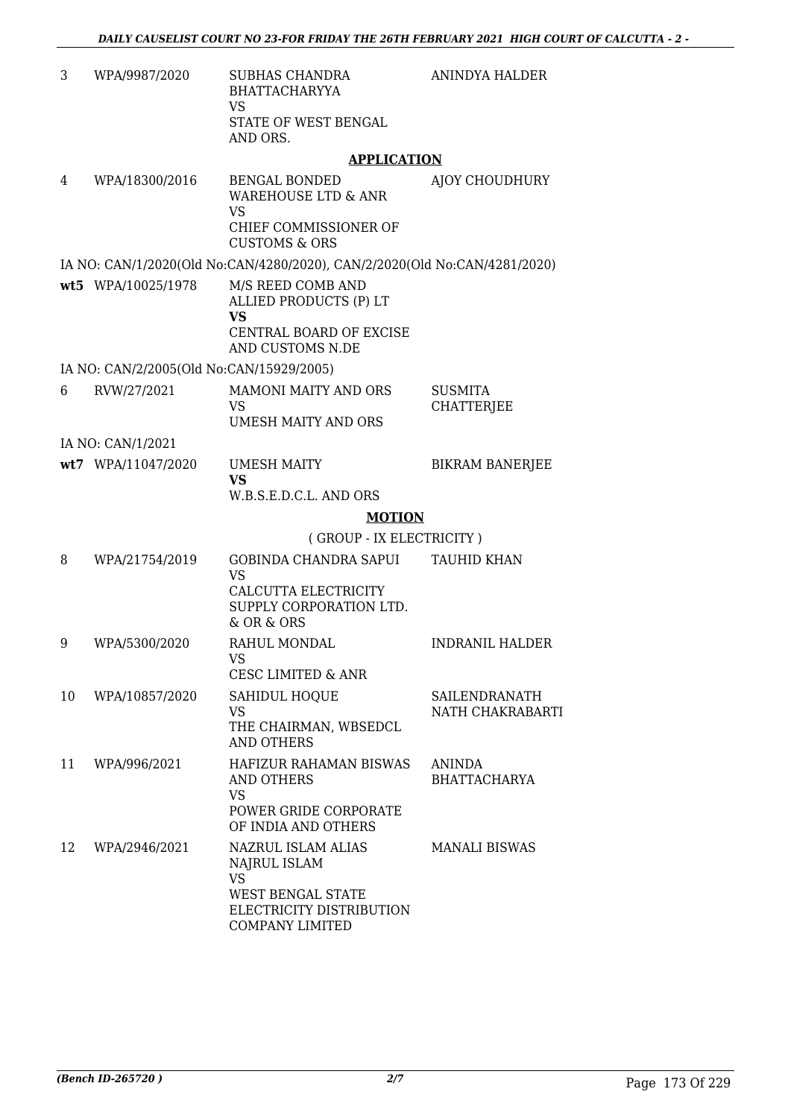| 3  | WPA/9987/2020                            | <b>SUBHAS CHANDRA</b><br><b>BHATTACHARYYA</b><br><b>VS</b>                                                               | ANINDYA HALDER                       |
|----|------------------------------------------|--------------------------------------------------------------------------------------------------------------------------|--------------------------------------|
|    |                                          | STATE OF WEST BENGAL<br>AND ORS.                                                                                         |                                      |
|    |                                          | <b>APPLICATION</b>                                                                                                       |                                      |
| 4  | WPA/18300/2016                           | <b>BENGAL BONDED</b><br><b>WAREHOUSE LTD &amp; ANR</b><br><b>VS</b><br>CHIEF COMMISSIONER OF<br><b>CUSTOMS &amp; ORS</b> | AJOY CHOUDHURY                       |
|    |                                          | IA NO: CAN/1/2020(Old No:CAN/4280/2020), CAN/2/2020(Old No:CAN/4281/2020)                                                |                                      |
|    | wt5 WPA/10025/1978                       | M/S REED COMB AND<br>ALLIED PRODUCTS (P) LT<br>VS                                                                        |                                      |
|    |                                          | CENTRAL BOARD OF EXCISE<br>AND CUSTOMS N.DE                                                                              |                                      |
|    | IA NO: CAN/2/2005(Old No:CAN/15929/2005) |                                                                                                                          |                                      |
| 6  | RVW/27/2021                              | <b>MAMONI MAITY AND ORS</b>                                                                                              | <b>SUSMITA</b>                       |
|    |                                          | <b>VS</b>                                                                                                                | CHATTERJEE                           |
|    |                                          | <b>UMESH MAITY AND ORS</b>                                                                                               |                                      |
|    | IA NO: CAN/1/2021                        |                                                                                                                          |                                      |
|    | wt7 WPA/11047/2020                       | <b>UMESH MAITY</b><br><b>VS</b>                                                                                          | <b>BIKRAM BANERJEE</b>               |
|    |                                          | W.B.S.E.D.C.L. AND ORS                                                                                                   |                                      |
|    |                                          | <b>MOTION</b>                                                                                                            |                                      |
|    |                                          | (GROUP - IX ELECTRICITY)                                                                                                 |                                      |
| 8  | WPA/21754/2019                           | <b>GOBINDA CHANDRA SAPUI</b><br><b>VS</b><br>CALCUTTA ELECTRICITY<br>SUPPLY CORPORATION LTD.<br>& OR & ORS               | <b>TAUHID KHAN</b>                   |
| 9  | WPA/5300/2020                            | RAHUL MONDAL<br>VS FOR THE VS.                                                                                           | <b>INDRANIL HALDER</b>               |
|    |                                          | <b>CESC LIMITED &amp; ANR</b>                                                                                            | SAILENDRANATH                        |
| 10 | WPA/10857/2020                           | <b>SAHIDUL HOQUE</b><br>VS<br>THE CHAIRMAN, WBSEDCL<br><b>AND OTHERS</b>                                                 | NATH CHAKRABARTI                     |
| 11 | WPA/996/2021                             | <b>HAFIZUR RAHAMAN BISWAS</b><br><b>AND OTHERS</b><br><b>VS</b><br>POWER GRIDE CORPORATE<br>OF INDIA AND OTHERS          | <b>ANINDA</b><br><b>BHATTACHARYA</b> |
| 12 | WPA/2946/2021                            | NAZRUL ISLAM ALIAS<br>NAJRUL ISLAM<br><b>VS</b><br>WEST BENGAL STATE<br>ELECTRICITY DISTRIBUTION<br>COMPANY LIMITED      | <b>MANALI BISWAS</b>                 |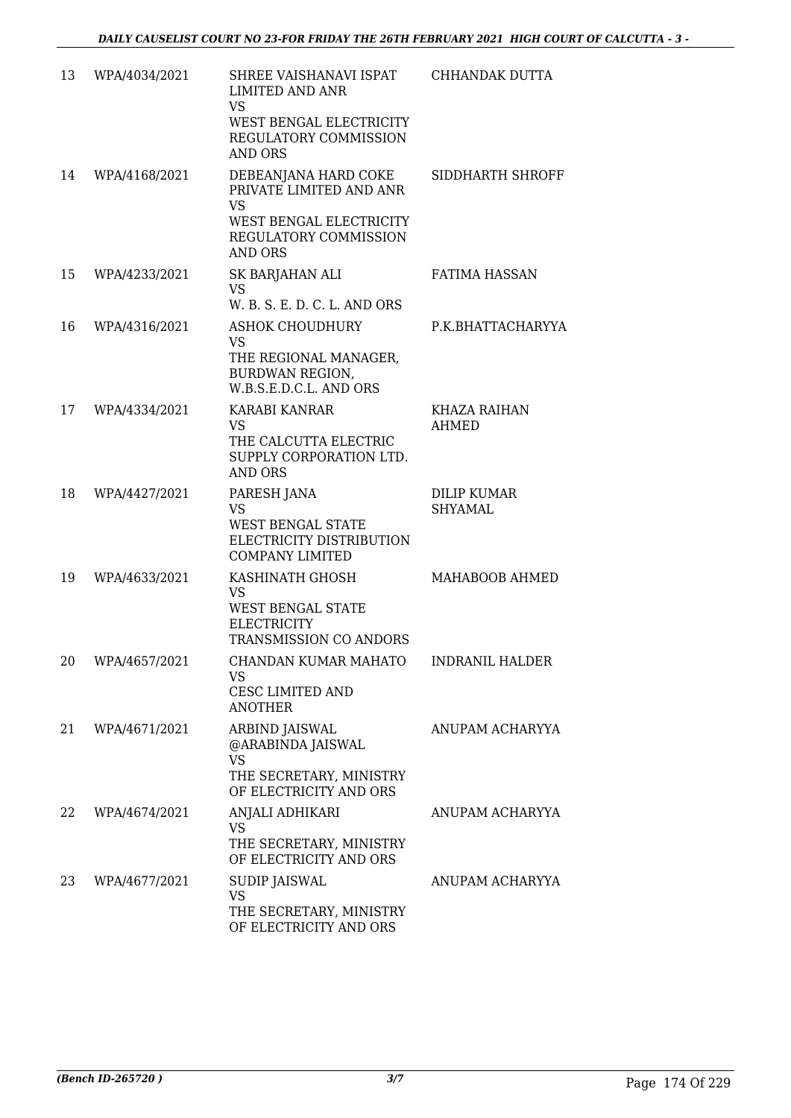| 13 | WPA/4034/2021    | SHREE VAISHANAVI ISPAT<br><b>LIMITED AND ANR</b><br><b>VS</b><br>WEST BENGAL ELECTRICITY<br>REGULATORY COMMISSION<br><b>AND ORS</b> | CHHANDAK DUTTA                       |
|----|------------------|-------------------------------------------------------------------------------------------------------------------------------------|--------------------------------------|
| 14 | WPA/4168/2021    | DEBEANJANA HARD COKE<br>PRIVATE LIMITED AND ANR<br><b>VS</b><br>WEST BENGAL ELECTRICITY<br>REGULATORY COMMISSION<br><b>AND ORS</b>  | SIDDHARTH SHROFF                     |
| 15 | WPA/4233/2021    | SK BARJAHAN ALI<br><b>VS</b><br>W. B. S. E. D. C. L. AND ORS                                                                        | <b>FATIMA HASSAN</b>                 |
| 16 | WPA/4316/2021    | <b>ASHOK CHOUDHURY</b><br><b>VS</b><br>THE REGIONAL MANAGER,<br><b>BURDWAN REGION,</b><br>W.B.S.E.D.C.L. AND ORS                    | P.K.BHATTACHARYYA                    |
| 17 | WPA/4334/2021    | KARABI KANRAR<br><b>VS</b><br>THE CALCUTTA ELECTRIC<br>SUPPLY CORPORATION LTD.<br><b>AND ORS</b>                                    | KHAZA RAIHAN<br>AHMED                |
| 18 | WPA/4427/2021    | PARESH JANA<br><b>VS</b><br><b>WEST BENGAL STATE</b><br>ELECTRICITY DISTRIBUTION<br><b>COMPANY LIMITED</b>                          | <b>DILIP KUMAR</b><br><b>SHYAMAL</b> |
| 19 | WPA/4633/2021    | KASHINATH GHOSH<br><b>VS</b><br>WEST BENGAL STATE<br><b>ELECTRICITY</b><br>TRANSMISSION CO ANDORS                                   | MAHABOOB AHMED                       |
|    | 20 WPA/4657/2021 | VS<br>CESC LIMITED AND<br><b>ANOTHER</b>                                                                                            |                                      |
| 21 | WPA/4671/2021    | ARBIND JAISWAL<br>@ARABINDA JAISWAL<br><b>VS</b><br>THE SECRETARY, MINISTRY<br>OF ELECTRICITY AND ORS                               | ANUPAM ACHARYYA                      |
| 22 | WPA/4674/2021    | ANJALI ADHIKARI<br><b>VS</b><br>THE SECRETARY, MINISTRY<br>OF ELECTRICITY AND ORS                                                   | ANUPAM ACHARYYA                      |
| 23 | WPA/4677/2021    | SUDIP JAISWAL<br>VS<br>THE SECRETARY, MINISTRY<br>OF ELECTRICITY AND ORS                                                            | ANUPAM ACHARYYA                      |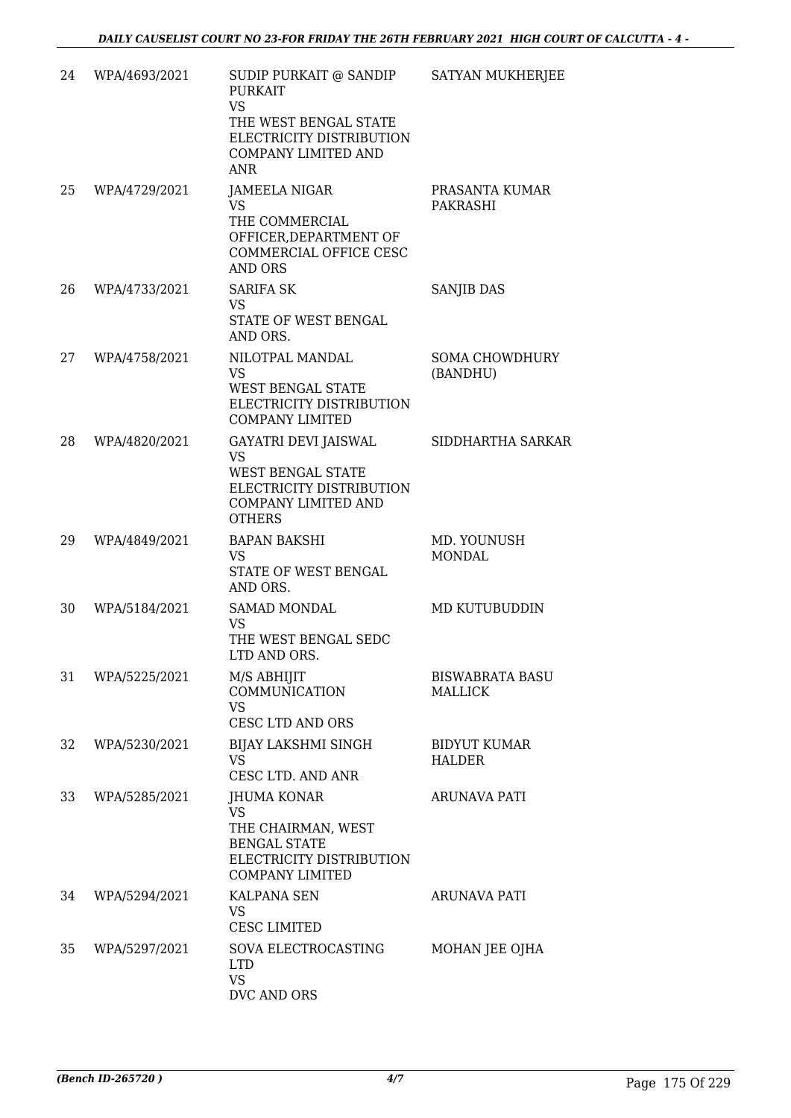| 24 | WPA/4693/2021 | SUDIP PURKAIT @ SANDIP<br><b>PURKAIT</b><br><b>VS</b><br>THE WEST BENGAL STATE<br>ELECTRICITY DISTRIBUTION<br><b>COMPANY LIMITED AND</b><br>ANR | SATYAN MUKHERJEE                         |
|----|---------------|-------------------------------------------------------------------------------------------------------------------------------------------------|------------------------------------------|
| 25 | WPA/4729/2021 | JAMEELA NIGAR<br><b>VS</b><br>THE COMMERCIAL<br>OFFICER, DEPARTMENT OF<br>COMMERCIAL OFFICE CESC<br><b>AND ORS</b>                              | PRASANTA KUMAR<br>PAKRASHI               |
| 26 | WPA/4733/2021 | <b>SARIFA SK</b><br><b>VS</b><br>STATE OF WEST BENGAL<br>AND ORS.                                                                               | SANJIB DAS                               |
| 27 | WPA/4758/2021 | NILOTPAL MANDAL<br><b>VS</b><br>WEST BENGAL STATE<br>ELECTRICITY DISTRIBUTION<br><b>COMPANY LIMITED</b>                                         | <b>SOMA CHOWDHURY</b><br>(BANDHU)        |
| 28 | WPA/4820/2021 | GAYATRI DEVI JAISWAL<br><b>VS</b><br><b>WEST BENGAL STATE</b><br>ELECTRICITY DISTRIBUTION<br><b>COMPANY LIMITED AND</b><br><b>OTHERS</b>        | SIDDHARTHA SARKAR                        |
| 29 | WPA/4849/2021 | <b>BAPAN BAKSHI</b><br><b>VS</b><br>STATE OF WEST BENGAL<br>AND ORS.                                                                            | MD. YOUNUSH<br><b>MONDAL</b>             |
| 30 | WPA/5184/2021 | <b>SAMAD MONDAL</b><br><b>VS</b><br>THE WEST BENGAL SEDC<br>LTD AND ORS.                                                                        | MD KUTUBUDDIN                            |
| 31 | WPA/5225/2021 | M/S ABHIJIT<br>COMMUNICATION<br><b>VS</b><br>CESC LTD AND ORS                                                                                   | <b>BISWABRATA BASU</b><br><b>MALLICK</b> |
| 32 | WPA/5230/2021 | BIJAY LAKSHMI SINGH<br>VS<br>CESC LTD. AND ANR                                                                                                  | <b>BIDYUT KUMAR</b><br><b>HALDER</b>     |
| 33 | WPA/5285/2021 | <b>JHUMA KONAR</b><br><b>VS</b><br>THE CHAIRMAN, WEST<br><b>BENGAL STATE</b><br>ELECTRICITY DISTRIBUTION<br><b>COMPANY LIMITED</b>              | <b>ARUNAVA PATI</b>                      |
| 34 | WPA/5294/2021 | KALPANA SEN<br>VS<br><b>CESC LIMITED</b>                                                                                                        | ARUNAVA PATI                             |
| 35 | WPA/5297/2021 | SOVA ELECTROCASTING<br><b>LTD</b><br><b>VS</b><br>DVC AND ORS                                                                                   | MOHAN JEE OJHA                           |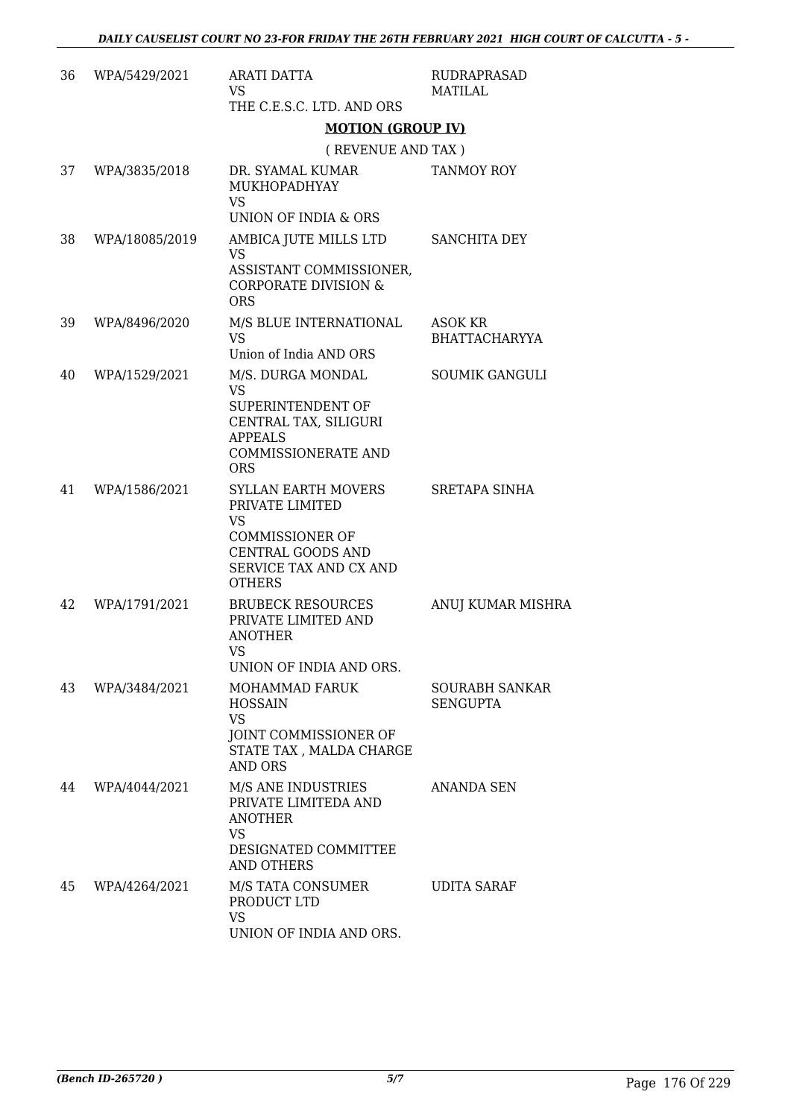| 36 | WPA/5429/2021  | <b>ARATI DATTA</b><br><b>VS</b><br>THE C.E.S.C. LTD. AND ORS                                                                                         | RUDRAPRASAD<br>MATILAL                   |
|----|----------------|------------------------------------------------------------------------------------------------------------------------------------------------------|------------------------------------------|
|    |                | <b>MOTION (GROUP IV)</b>                                                                                                                             |                                          |
|    |                | (REVENUE AND TAX)                                                                                                                                    |                                          |
| 37 | WPA/3835/2018  | DR. SYAMAL KUMAR<br>MUKHOPADHYAY<br><b>VS</b><br>UNION OF INDIA & ORS                                                                                | <b>TANMOY ROY</b>                        |
| 38 | WPA/18085/2019 | AMBICA JUTE MILLS LTD<br>VS<br>ASSISTANT COMMISSIONER,<br><b>CORPORATE DIVISION &amp;</b><br><b>ORS</b>                                              | SANCHITA DEY                             |
| 39 | WPA/8496/2020  | M/S BLUE INTERNATIONAL<br><b>VS</b><br>Union of India AND ORS                                                                                        | ASOK KR<br><b>BHATTACHARYYA</b>          |
| 40 | WPA/1529/2021  | M/S. DURGA MONDAL<br><b>VS</b><br>SUPERINTENDENT OF<br>CENTRAL TAX, SILIGURI<br><b>APPEALS</b><br><b>COMMISSIONERATE AND</b><br><b>ORS</b>           | SOUMIK GANGULI                           |
| 41 | WPA/1586/2021  | <b>SYLLAN EARTH MOVERS</b><br>PRIVATE LIMITED<br><b>VS</b><br><b>COMMISSIONER OF</b><br>CENTRAL GOODS AND<br>SERVICE TAX AND CX AND<br><b>OTHERS</b> | SRETAPA SINHA                            |
| 42 | WPA/1791/2021  | <b>BRUBECK RESOURCES</b><br>PRIVATE LIMITED AND<br><b>ANOTHER</b><br>VS<br>UNION OF INDIA AND ORS.                                                   | ANUJ KUMAR MISHRA                        |
| 43 | WPA/3484/2021  | MOHAMMAD FARUK<br><b>HOSSAIN</b><br><b>VS</b><br>JOINT COMMISSIONER OF<br>STATE TAX, MALDA CHARGE<br>AND ORS                                         | <b>SOURABH SANKAR</b><br><b>SENGUPTA</b> |
| 44 | WPA/4044/2021  | M/S ANE INDUSTRIES<br>PRIVATE LIMITEDA AND<br>ANOTHER<br>VS<br>DESIGNATED COMMITTEE<br>AND OTHERS                                                    | ANANDA SEN                               |
| 45 | WPA/4264/2021  | M/S TATA CONSUMER<br>PRODUCT LTD<br>VS<br>UNION OF INDIA AND ORS.                                                                                    | UDITA SARAF                              |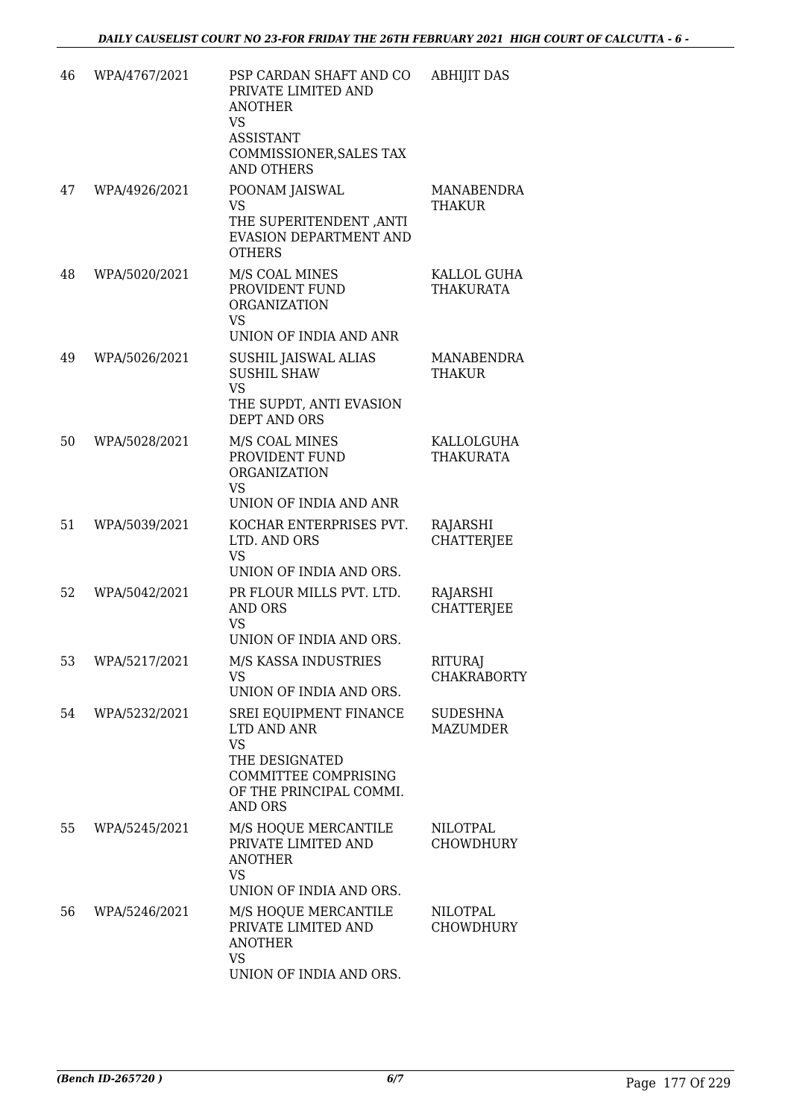| 46 | WPA/4767/2021 | PSP CARDAN SHAFT AND CO<br>PRIVATE LIMITED AND<br><b>ANOTHER</b><br>VS<br><b>ASSISTANT</b><br>COMMISSIONER, SALES TAX<br><b>AND OTHERS</b> | <b>ABHIJIT DAS</b>                   |
|----|---------------|--------------------------------------------------------------------------------------------------------------------------------------------|--------------------------------------|
| 47 | WPA/4926/2021 | POONAM JAISWAL<br>VS<br>THE SUPERITENDENT, ANTI<br>EVASION DEPARTMENT AND<br><b>OTHERS</b>                                                 | MANABENDRA<br><b>THAKUR</b>          |
| 48 | WPA/5020/2021 | M/S COAL MINES<br>PROVIDENT FUND<br><b>ORGANIZATION</b><br><b>VS</b><br>UNION OF INDIA AND ANR                                             | KALLOL GUHA<br>THAKURATA             |
| 49 | WPA/5026/2021 | SUSHIL JAISWAL ALIAS<br><b>SUSHIL SHAW</b><br><b>VS</b><br>THE SUPDT, ANTI EVASION<br><b>DEPT AND ORS</b>                                  | MANABENDRA<br>THAKUR                 |
| 50 | WPA/5028/2021 | M/S COAL MINES<br>PROVIDENT FUND<br><b>ORGANIZATION</b><br><b>VS</b><br>UNION OF INDIA AND ANR                                             | KALLOLGUHA<br>THAKURATA              |
| 51 | WPA/5039/2021 | KOCHAR ENTERPRISES PVT.<br>LTD. AND ORS<br><b>VS</b><br>UNION OF INDIA AND ORS.                                                            | RAJARSHI<br><b>CHATTERJEE</b>        |
| 52 | WPA/5042/2021 | PR FLOUR MILLS PVT. LTD.<br><b>AND ORS</b><br>VS<br>UNION OF INDIA AND ORS.                                                                | RAJARSHI<br><b>CHATTERJEE</b>        |
| 53 | WPA/5217/2021 | M/S KASSA INDUSTRIES<br>VS.<br>UNION OF INDIA AND ORS.                                                                                     | <b>RITURAJ</b><br><b>CHAKRABORTY</b> |
| 54 | WPA/5232/2021 | SREI EQUIPMENT FINANCE<br>LTD AND ANR<br><b>VS</b><br>THE DESIGNATED<br>COMMITTEE COMPRISING<br>OF THE PRINCIPAL COMMI.<br>AND ORS         | <b>SUDESHNA</b><br><b>MAZUMDER</b>   |
| 55 | WPA/5245/2021 | M/S HOQUE MERCANTILE<br>PRIVATE LIMITED AND<br><b>ANOTHER</b><br>VS<br>UNION OF INDIA AND ORS.                                             | NILOTPAL<br><b>CHOWDHURY</b>         |
| 56 | WPA/5246/2021 | M/S HOQUE MERCANTILE<br>PRIVATE LIMITED AND<br><b>ANOTHER</b><br><b>VS</b><br>UNION OF INDIA AND ORS.                                      | NILOTPAL<br><b>CHOWDHURY</b>         |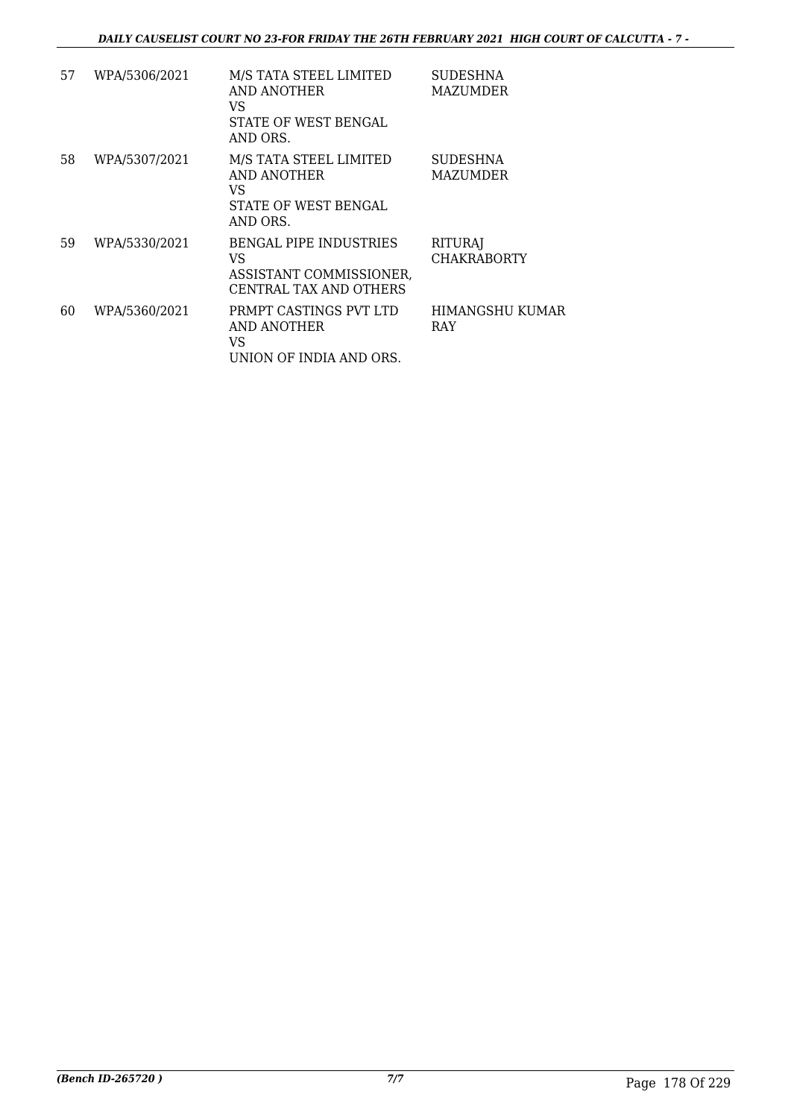| 57 | WPA/5306/2021 | M/S TATA STEEL LIMITED                                                                   | <b>SUDESHNA</b>                      |
|----|---------------|------------------------------------------------------------------------------------------|--------------------------------------|
|    |               | AND ANOTHER<br>VS                                                                        | MAZUMDER                             |
|    |               | STATE OF WEST BENGAL<br>AND ORS.                                                         |                                      |
| 58 | WPA/5307/2021 | M/S TATA STEEL LIMITED<br>AND ANOTHER<br>VS.<br>STATE OF WEST BENGAL<br>AND ORS.         | <b>SUDESHNA</b><br>MAZUMDER          |
| 59 | WPA/5330/2021 | <b>BENGAL PIPE INDUSTRIES</b><br>VS<br>ASSISTANT COMMISSIONER,<br>CENTRAL TAX AND OTHERS | <b>RITURAJ</b><br><b>CHAKRABORTY</b> |
| 60 | WPA/5360/2021 | PRMPT CASTINGS PVT LTD<br>AND ANOTHER<br>VS<br>UNION OF INDIA AND ORS.                   | HIMANGSHU KUMAR<br>RAY               |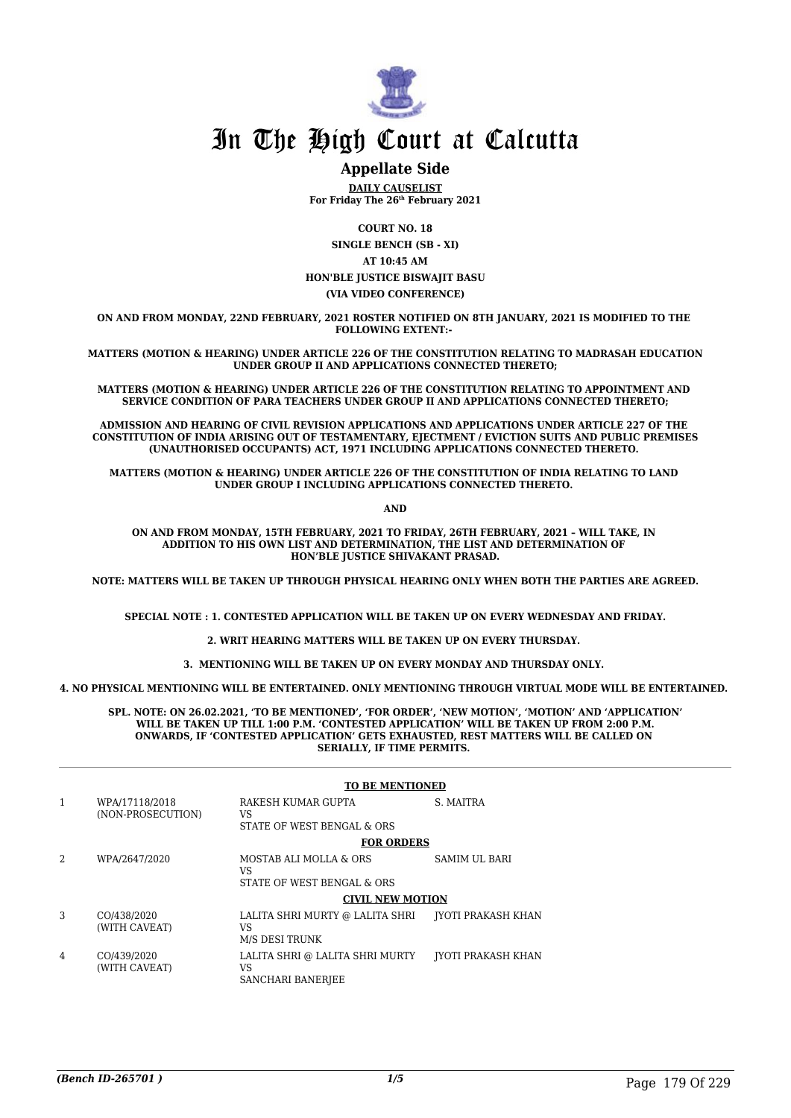

### **Appellate Side**

**DAILY CAUSELIST For Friday The 26th February 2021**

**COURT NO. 18**

**SINGLE BENCH (SB - XI) AT 10:45 AM HON'BLE JUSTICE BISWAJIT BASU (VIA VIDEO CONFERENCE)**

**ON AND FROM MONDAY, 22ND FEBRUARY, 2021 ROSTER NOTIFIED ON 8TH JANUARY, 2021 IS MODIFIED TO THE FOLLOWING EXTENT:-** 

**MATTERS (MOTION & HEARING) UNDER ARTICLE 226 OF THE CONSTITUTION RELATING TO MADRASAH EDUCATION UNDER GROUP II AND APPLICATIONS CONNECTED THERETO;**

**MATTERS (MOTION & HEARING) UNDER ARTICLE 226 OF THE CONSTITUTION RELATING TO APPOINTMENT AND SERVICE CONDITION OF PARA TEACHERS UNDER GROUP II AND APPLICATIONS CONNECTED THERETO;**

**ADMISSION AND HEARING OF CIVIL REVISION APPLICATIONS AND APPLICATIONS UNDER ARTICLE 227 OF THE CONSTITUTION OF INDIA ARISING OUT OF TESTAMENTARY, EJECTMENT / EVICTION SUITS AND PUBLIC PREMISES (UNAUTHORISED OCCUPANTS) ACT, 1971 INCLUDING APPLICATIONS CONNECTED THERETO.** 

**MATTERS (MOTION & HEARING) UNDER ARTICLE 226 OF THE CONSTITUTION OF INDIA RELATING TO LAND UNDER GROUP I INCLUDING APPLICATIONS CONNECTED THERETO.** 

**AND**

**ON AND FROM MONDAY, 15TH FEBRUARY, 2021 TO FRIDAY, 26TH FEBRUARY, 2021 – WILL TAKE, IN ADDITION TO HIS OWN LIST AND DETERMINATION, THE LIST AND DETERMINATION OF HON'BLE JUSTICE SHIVAKANT PRASAD.**

**NOTE: MATTERS WILL BE TAKEN UP THROUGH PHYSICAL HEARING ONLY WHEN BOTH THE PARTIES ARE AGREED.**

**SPECIAL NOTE : 1. CONTESTED APPLICATION WILL BE TAKEN UP ON EVERY WEDNESDAY AND FRIDAY.**

**2. WRIT HEARING MATTERS WILL BE TAKEN UP ON EVERY THURSDAY.** 

**3. MENTIONING WILL BE TAKEN UP ON EVERY MONDAY AND THURSDAY ONLY.** 

**4. NO PHYSICAL MENTIONING WILL BE ENTERTAINED. ONLY MENTIONING THROUGH VIRTUAL MODE WILL BE ENTERTAINED.** 

**SPL. NOTE: ON 26.02.2021, 'TO BE MENTIONED', 'FOR ORDER', 'NEW MOTION', 'MOTION' AND 'APPLICATION' WILL BE TAKEN UP TILL 1:00 P.M. 'CONTESTED APPLICATION' WILL BE TAKEN UP FROM 2:00 P.M. ONWARDS, IF 'CONTESTED APPLICATION' GETS EXHAUSTED, REST MATTERS WILL BE CALLED ON SERIALLY, IF TIME PERMITS.** 

|   |                                     | <b>TO BE MENTIONED</b>                                     |                           |
|---|-------------------------------------|------------------------------------------------------------|---------------------------|
| 1 | WPA/17118/2018<br>(NON-PROSECUTION) | RAKESH KUMAR GUPTA<br>VS<br>STATE OF WEST BENGAL & ORS     | S. MAITRA                 |
|   |                                     | <b>FOR ORDERS</b>                                          |                           |
| 2 | WPA/2647/2020                       | MOSTAB ALI MOLLA & ORS<br>VS<br>STATE OF WEST BENGAL & ORS | SAMIM UL BARI             |
|   |                                     | <b>CIVIL NEW MOTION</b>                                    |                           |
| 3 | CO/438/2020<br>(WITH CAVEAT)        | LALITA SHRI MURTY @ LALITA SHRI<br>VS<br>M/S DESI TRUNK    | <b>IYOTI PRAKASH KHAN</b> |
| 4 | CO/439/2020<br>(WITH CAVEAT)        | LALITA SHRI @ LALITA SHRI MURTY<br>VS<br>SANCHARI BANERJEE | IYOTI PRAKASH KHAN        |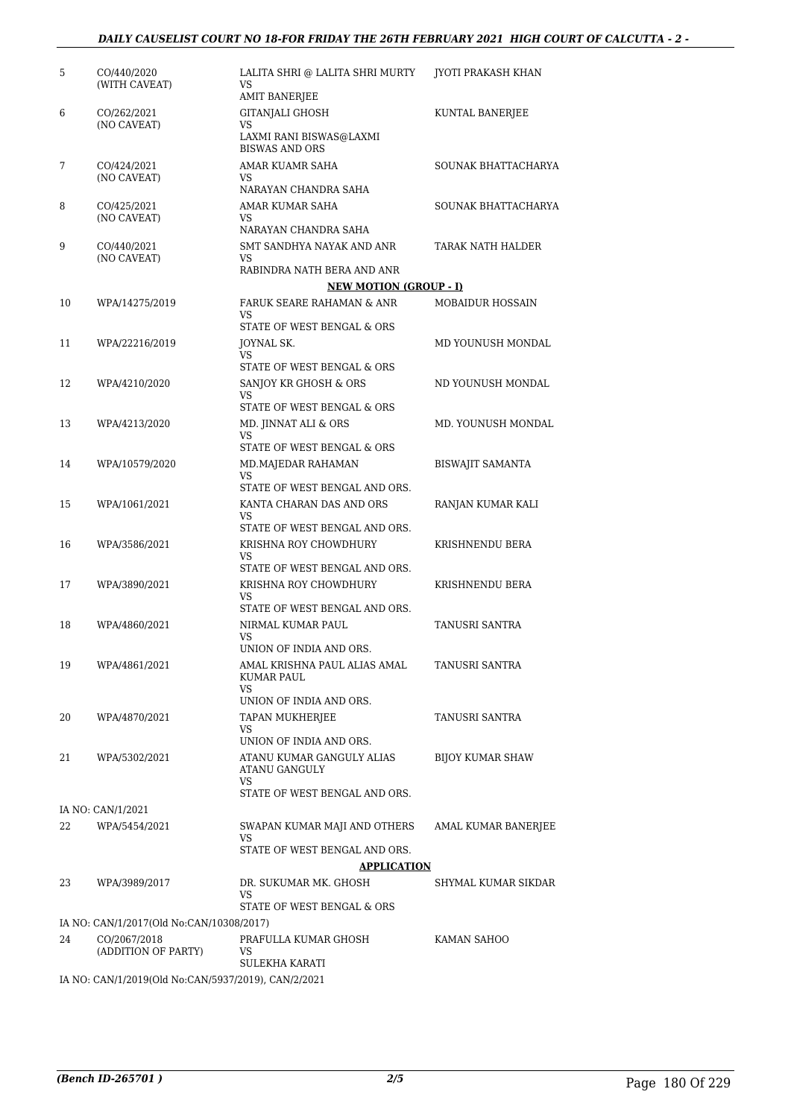| 5  | CO/440/2020<br>(WITH CAVEAT)                        | LALITA SHRI @ LALITA SHRI MURTY<br>VS.<br><b>AMIT BANERJEE</b> | <b>JYOTI PRAKASH KHAN</b> |
|----|-----------------------------------------------------|----------------------------------------------------------------|---------------------------|
| 6  | CO/262/2021<br>(NO CAVEAT)                          | <b>GITANJALI GHOSH</b><br>VS                                   | KUNTAL BANERJEE           |
|    |                                                     | LAXMI RANI BISWAS@LAXMI<br><b>BISWAS AND ORS</b>               |                           |
| 7  | CO/424/2021<br>(NO CAVEAT)                          | AMAR KUAMR SAHA<br><b>VS</b>                                   | SOUNAK BHATTACHARYA       |
|    |                                                     | NARAYAN CHANDRA SAHA                                           |                           |
| 8  | CO/425/2021<br>(NO CAVEAT)                          | AMAR KUMAR SAHA<br>VS.                                         | SOUNAK BHATTACHARYA       |
| 9  | CO/440/2021                                         | NARAYAN CHANDRA SAHA                                           |                           |
|    | (NO CAVEAT)                                         | SMT SANDHYA NAYAK AND ANR<br>VS<br>RABINDRA NATH BERA AND ANR  | TARAK NATH HALDER         |
|    |                                                     | <b>NEW MOTION (GROUP - I)</b>                                  |                           |
| 10 | WPA/14275/2019                                      | FARUK SEARE RAHAMAN & ANR                                      | MOBAIDUR HOSSAIN          |
|    |                                                     | VS<br><b>STATE OF WEST BENGAL &amp; ORS</b>                    |                           |
| 11 | WPA/22216/2019                                      | JOYNAL SK.                                                     | MD YOUNUSH MONDAL         |
|    |                                                     | VS.<br><b>STATE OF WEST BENGAL &amp; ORS</b>                   |                           |
| 12 | WPA/4210/2020                                       | SANJOY KR GHOSH & ORS                                          | ND YOUNUSH MONDAL         |
|    |                                                     | VS                                                             |                           |
|    |                                                     | <b>STATE OF WEST BENGAL &amp; ORS</b>                          |                           |
| 13 | WPA/4213/2020                                       | MD. JINNAT ALI & ORS<br>VS                                     | MD. YOUNUSH MONDAL        |
|    |                                                     | STATE OF WEST BENGAL & ORS                                     |                           |
| 14 | WPA/10579/2020                                      | MD.MAJEDAR RAHAMAN<br>VS                                       | <b>BISWAJIT SAMANTA</b>   |
|    |                                                     | STATE OF WEST BENGAL AND ORS.                                  |                           |
| 15 | WPA/1061/2021                                       | KANTA CHARAN DAS AND ORS                                       | RANJAN KUMAR KALI         |
|    |                                                     | VS<br>STATE OF WEST BENGAL AND ORS.                            |                           |
| 16 | WPA/3586/2021                                       | KRISHNA ROY CHOWDHURY                                          | KRISHNENDU BERA           |
|    |                                                     | <b>VS</b><br>STATE OF WEST BENGAL AND ORS.                     |                           |
| 17 | WPA/3890/2021                                       | KRISHNA ROY CHOWDHURY                                          | KRISHNENDU BERA           |
|    |                                                     | VS                                                             |                           |
|    | WPA/4860/2021                                       | STATE OF WEST BENGAL AND ORS.                                  |                           |
| 18 |                                                     | NIRMAL KUMAR PAUL<br>VS                                        | TANUSRI SANTRA            |
|    |                                                     | UNION OF INDIA AND ORS.                                        |                           |
| 19 | WPA/4861/2021                                       | AMAL KRISHNA PAUL ALIAS AMAL<br>KUMAR PAUL<br>VS               | TANUSRI SANTRA            |
|    |                                                     | UNION OF INDIA AND ORS.                                        |                           |
| 20 | WPA/4870/2021                                       | <b>TAPAN MUKHERJEE</b><br>VS.                                  | TANUSRI SANTRA            |
|    |                                                     | UNION OF INDIA AND ORS.                                        |                           |
| 21 | WPA/5302/2021                                       | ATANU KUMAR GANGULY ALIAS<br>ATANU GANGULY                     | <b>BIJOY KUMAR SHAW</b>   |
|    |                                                     | <b>VS</b><br>STATE OF WEST BENGAL AND ORS.                     |                           |
|    | IA NO: CAN/1/2021                                   |                                                                |                           |
| 22 | WPA/5454/2021                                       | SWAPAN KUMAR MAJI AND OTHERS<br>VS                             | AMAL KUMAR BANERJEE       |
|    |                                                     | STATE OF WEST BENGAL AND ORS.                                  |                           |
|    |                                                     | <b>APPLICATION</b>                                             |                           |
| 23 | WPA/3989/2017                                       | DR. SUKUMAR MK. GHOSH<br>VS                                    | SHYMAL KUMAR SIKDAR       |
|    |                                                     | STATE OF WEST BENGAL & ORS                                     |                           |
|    | IA NO: CAN/1/2017(Old No:CAN/10308/2017)            |                                                                |                           |
| 24 | CO/2067/2018<br>(ADDITION OF PARTY)                 | PRAFULLA KUMAR GHOSH<br>VS                                     | KAMAN SAHOO               |
|    |                                                     | SULEKHA KARATI                                                 |                           |
|    | IA NO: CAN/1/2019(Old No:CAN/5937/2019), CAN/2/2021 |                                                                |                           |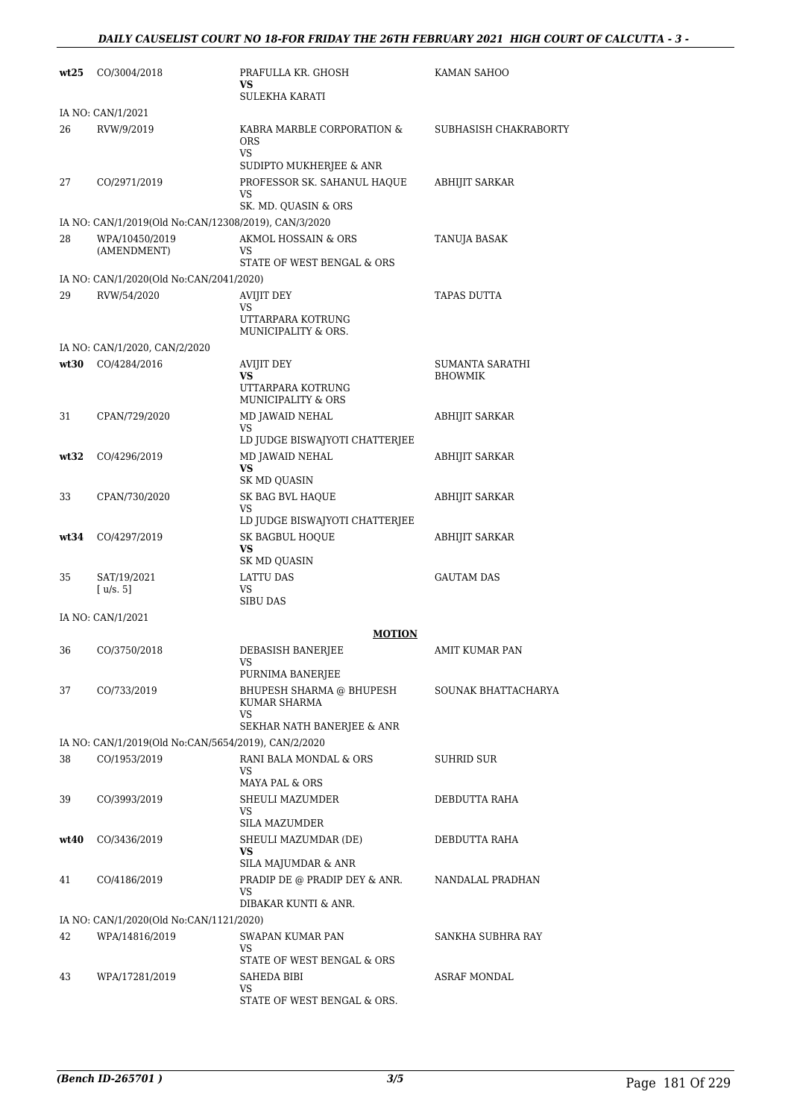| wt25 | CO/3004/2018                                                        | PRAFULLA KR. GHOSH<br>VS                                            | KAMAN SAHOO           |
|------|---------------------------------------------------------------------|---------------------------------------------------------------------|-----------------------|
|      |                                                                     | SULEKHA KARATI                                                      |                       |
|      | IA NO: CAN/1/2021                                                   |                                                                     |                       |
| 26   | RVW/9/2019                                                          | KABRA MARBLE CORPORATION &<br><b>ORS</b><br><b>VS</b>               | SUBHASISH CHAKRABORTY |
|      |                                                                     | SUDIPTO MUKHERJEE & ANR                                             |                       |
| 27   | CO/2971/2019                                                        | PROFESSOR SK. SAHANUL HAQUE<br>VS                                   | ABHIJIT SARKAR        |
|      |                                                                     | SK. MD. QUASIN & ORS                                                |                       |
|      | IA NO: CAN/1/2019(Old No:CAN/12308/2019), CAN/3/2020                |                                                                     |                       |
| 28   | WPA/10450/2019<br>(AMENDMENT)                                       | AKMOL HOSSAIN & ORS<br>VS<br>STATE OF WEST BENGAL & ORS             | TANUJA BASAK          |
|      | IA NO: CAN/1/2020(Old No:CAN/2041/2020)                             |                                                                     |                       |
| 29   | RVW/54/2020                                                         | <b>AVIJIT DEY</b><br>VS<br>UTTARPARA KOTRUNG<br>MUNICIPALITY & ORS. | TAPAS DUTTA           |
|      | IA NO: CAN/1/2020, CAN/2/2020                                       |                                                                     |                       |
| wt30 | CO/4284/2016                                                        | <b>AVIJIT DEY</b>                                                   | SUMANTA SARATHI       |
|      |                                                                     | VS<br>UTTARPARA KOTRUNG<br><b>MUNICIPALITY &amp; ORS</b>            | <b>BHOWMIK</b>        |
| 31   | CPAN/729/2020                                                       | MD JAWAID NEHAL                                                     | <b>ABHIJIT SARKAR</b> |
|      |                                                                     | <b>VS</b><br>LD JUDGE BISWAJYOTI CHATTERJEE                         |                       |
| wt32 | CO/4296/2019                                                        | MD JAWAID NEHAL                                                     | <b>ABHIJIT SARKAR</b> |
|      |                                                                     | <b>VS</b>                                                           |                       |
|      |                                                                     | SK MD QUASIN                                                        |                       |
| 33   | CPAN/730/2020                                                       | SK BAG BVL HAQUE<br>VS                                              | ABHIJIT SARKAR        |
|      |                                                                     | LD JUDGE BISWAJYOTI CHATTERJEE                                      |                       |
| wt34 | CO/4297/2019                                                        | <b>SK BAGBUL HOQUE</b><br><b>VS</b>                                 | ABHIJIT SARKAR        |
|      |                                                                     | SK MD QUASIN                                                        |                       |
| 35   | SAT/19/2021<br>[u/s. 5]                                             | LATTU DAS<br>VS                                                     | <b>GAUTAM DAS</b>     |
|      |                                                                     | <b>SIBU DAS</b>                                                     |                       |
|      | IA NO: CAN/1/2021                                                   |                                                                     |                       |
|      |                                                                     | <b>MOTION</b>                                                       |                       |
| 36   | CO/3750/2018                                                        | DEBASISH BANERJEE<br>VS<br>PURNIMA BANERJEE                         | AMIT KUMAR PAN        |
| 37   | CO/733/2019                                                         | BHUPESH SHARMA @ BHUPESH                                            | SOUNAK BHATTACHARYA   |
|      |                                                                     | KUMAR SHARMA<br>VS                                                  |                       |
|      |                                                                     | SEKHAR NATH BANERJEE & ANR                                          |                       |
| 38   | IA NO: CAN/1/2019(Old No:CAN/5654/2019), CAN/2/2020<br>CO/1953/2019 | RANI BALA MONDAL & ORS                                              | SUHRID SUR            |
|      |                                                                     | VS                                                                  |                       |
|      |                                                                     | MAYA PAL & ORS                                                      |                       |
| 39   | CO/3993/2019                                                        | SHEULI MAZUMDER<br>VS                                               | DEBDUTTA RAHA         |
|      |                                                                     | <b>SILA MAZUMDER</b>                                                |                       |
| wt40 | CO/3436/2019                                                        | SHEULI MAZUMDAR (DE)                                                | DEBDUTTA RAHA         |
|      |                                                                     | VS<br>SILA MAJUMDAR & ANR                                           |                       |
| 41   | CO/4186/2019                                                        | PRADIP DE @ PRADIP DEY & ANR.                                       | NANDALAL PRADHAN      |
|      |                                                                     | VS                                                                  |                       |
|      |                                                                     | DIBAKAR KUNTI & ANR.                                                |                       |
| 42   | IA NO: CAN/1/2020(Old No:CAN/1121/2020)<br>WPA/14816/2019           | SWAPAN KUMAR PAN                                                    | SANKHA SUBHRA RAY     |
|      |                                                                     | VS                                                                  |                       |
|      |                                                                     | STATE OF WEST BENGAL & ORS                                          |                       |
| 43   | WPA/17281/2019                                                      | SAHEDA BIBI<br>VS                                                   | ASRAF MONDAL          |
|      |                                                                     | STATE OF WEST BENGAL & ORS.                                         |                       |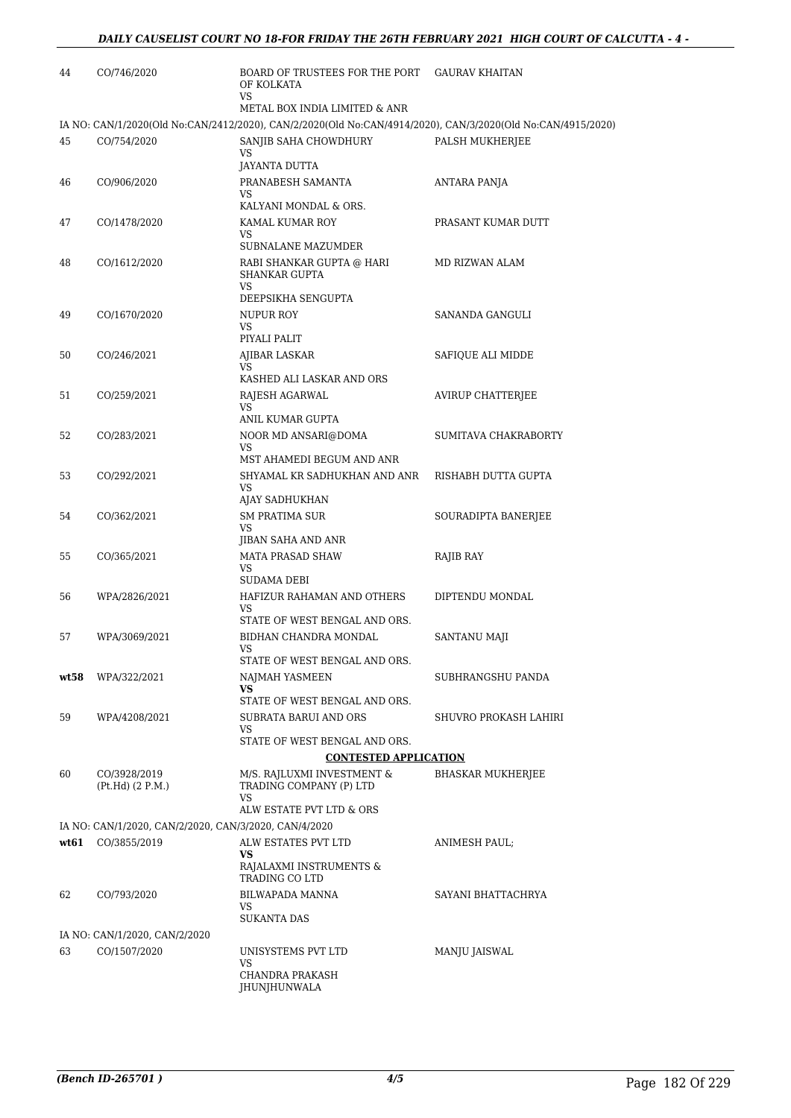| 44   | CO/746/2020                                           | <b>BOARD OF TRUSTEES FOR THE PORT</b><br>OF KOLKATA<br><b>VS</b>                                            | <b>GAURAV KHAITAN</b>    |
|------|-------------------------------------------------------|-------------------------------------------------------------------------------------------------------------|--------------------------|
|      |                                                       | METAL BOX INDIA LIMITED & ANR                                                                               |                          |
|      |                                                       | IA NO: CAN/1/2020(Old No:CAN/2412/2020), CAN/2/2020(Old No:CAN/4914/2020), CAN/3/2020(Old No:CAN/4915/2020) |                          |
| 45   | CO/754/2020                                           | SANJIB SAHA CHOWDHURY<br><b>VS</b><br>JAYANTA DUTTA                                                         | PALSH MUKHERJEE          |
| 46   | CO/906/2020                                           | PRANABESH SAMANTA<br>VS                                                                                     | ANTARA PANJA             |
|      |                                                       | KALYANI MONDAL & ORS.                                                                                       |                          |
| 47   | CO/1478/2020                                          | KAMAL KUMAR ROY<br><b>VS</b><br>SUBNALANE MAZUMDER                                                          | PRASANT KUMAR DUTT       |
| 48   | CO/1612/2020                                          | RABI SHANKAR GUPTA @ HARI<br><b>SHANKAR GUPTA</b><br>VS<br>DEEPSIKHA SENGUPTA                               | MD RIZWAN ALAM           |
| 49   | CO/1670/2020                                          | NUPUR ROY<br><b>VS</b>                                                                                      | SANANDA GANGULI          |
| 50   | CO/246/2021                                           | PIYALI PALIT<br><b>AJIBAR LASKAR</b><br><b>VS</b>                                                           | SAFIQUE ALI MIDDE        |
| 51   | CO/259/2021                                           | KASHED ALI LASKAR AND ORS<br>RAJESH AGARWAL<br><b>VS</b>                                                    | <b>AVIRUP CHATTERJEE</b> |
| 52   | CO/283/2021                                           | ANIL KUMAR GUPTA<br>NOOR MD ANSARI@DOMA<br>VS<br>MST AHAMEDI BEGUM AND ANR                                  | SUMITAVA CHAKRABORTY     |
| 53   | CO/292/2021                                           | SHYAMAL KR SADHUKHAN AND ANR<br><b>VS</b>                                                                   | RISHABH DUTTA GUPTA      |
| 54   | CO/362/2021                                           | AJAY SADHUKHAN<br><b>SM PRATIMA SUR</b><br>VS                                                               | SOURADIPTA BANERJEE      |
| 55   | CO/365/2021                                           | JIBAN SAHA AND ANR<br><b>MATA PRASAD SHAW</b><br>VS                                                         | RAJIB RAY                |
| 56   | WPA/2826/2021                                         | SUDAMA DEBI<br>HAFIZUR RAHAMAN AND OTHERS<br>VS                                                             | DIPTENDU MONDAL          |
| 57   | WPA/3069/2021                                         | STATE OF WEST BENGAL AND ORS.<br>BIDHAN CHANDRA MONDAL<br>VS                                                | SANTANU MAJI             |
| wt58 | WPA/322/2021                                          | STATE OF WEST BENGAL AND ORS.<br>NAJMAH YASMEEN<br><b>VS</b>                                                | SUBHRANGSHU PANDA        |
| 59   | WPA/4208/2021                                         | STATE OF WEST BENGAL AND ORS.<br>SUBRATA BARUI AND ORS                                                      | SHUVRO PROKASH LAHIRI    |
|      |                                                       | VS<br>STATE OF WEST BENGAL AND ORS.                                                                         |                          |
|      |                                                       | <b>CONTESTED APPLICATION</b>                                                                                |                          |
| 60   | CO/3928/2019<br>(Pt.Hd) (2 P.M.)                      | M/S. RAJLUXMI INVESTMENT &<br>TRADING COMPANY (P) LTD<br><b>VS</b>                                          | <b>BHASKAR MUKHERJEE</b> |
|      |                                                       | ALW ESTATE PVT LTD & ORS                                                                                    |                          |
|      | IA NO: CAN/1/2020, CAN/2/2020, CAN/3/2020, CAN/4/2020 |                                                                                                             |                          |
| wt61 | CO/3855/2019                                          | ALW ESTATES PVT LTD<br>VS.<br>RAJALAXMI INSTRUMENTS &                                                       | ANIMESH PAUL;            |
| 62   | CO/793/2020                                           | TRADING CO LTD<br>BILWAPADA MANNA<br><b>VS</b>                                                              | SAYANI BHATTACHRYA       |
|      |                                                       | <b>SUKANTA DAS</b>                                                                                          |                          |
|      | IA NO: CAN/1/2020, CAN/2/2020                         |                                                                                                             |                          |
| 63   | CO/1507/2020                                          | UNISYSTEMS PVT LTD<br><b>VS</b><br>CHANDRA PRAKASH                                                          | MANJU JAISWAL            |
|      |                                                       | JHUNJHUNWALA                                                                                                |                          |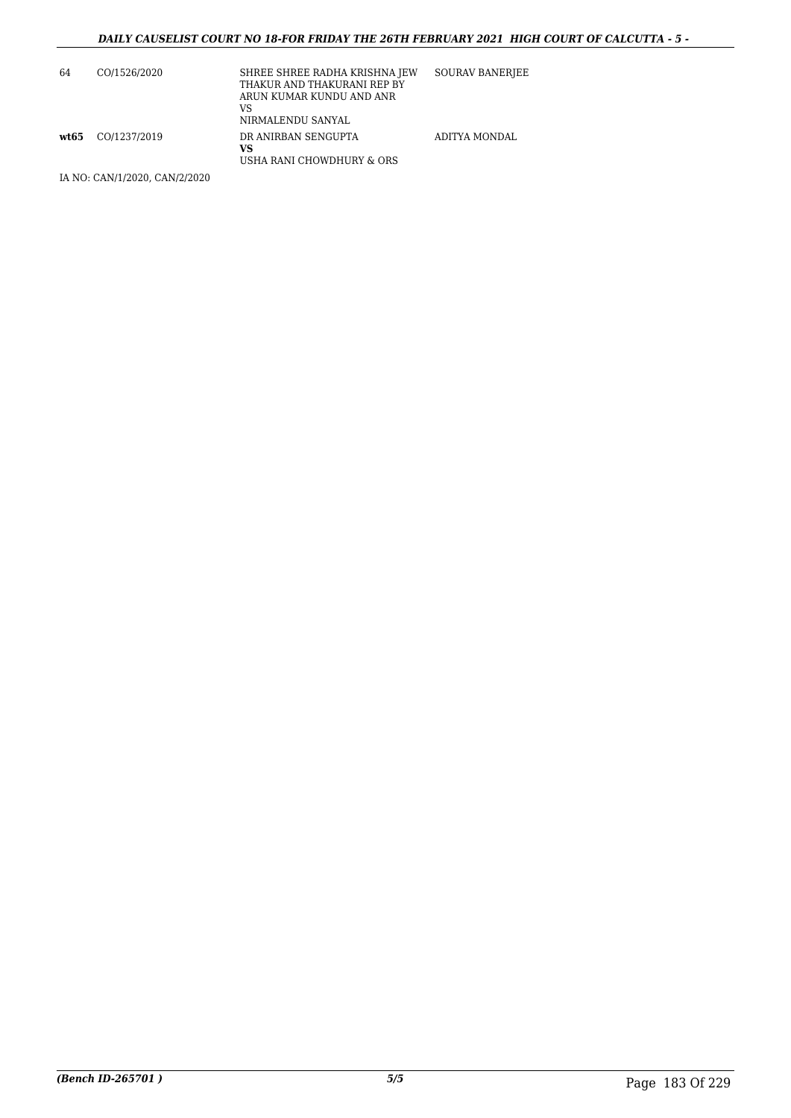| 64 | CO/1526/2020          | SHREE SHREE RADHA KRISHNA JEW<br>THAKUR AND THAKURANI REP BY<br>ARUN KUMAR KUNDU AND ANR<br>VS<br>NIRMALENDU SANYAL | SOURAV BANERIEE |
|----|-----------------------|---------------------------------------------------------------------------------------------------------------------|-----------------|
|    | $wt65$ $CO/1237/2019$ | DR ANIRBAN SENGUPTA<br>VS<br>USHA RANI CHOWDHURY & ORS                                                              | ADITYA MONDAL   |

IA NO: CAN/1/2020, CAN/2/2020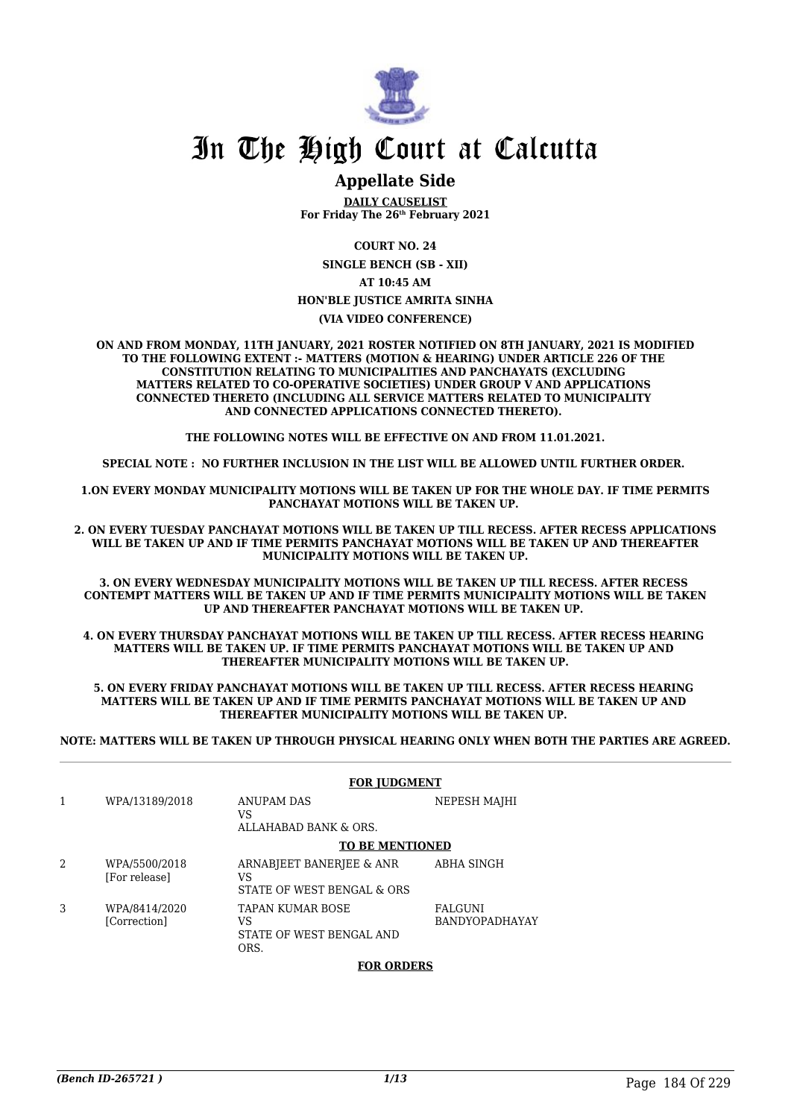

### **Appellate Side**

**DAILY CAUSELIST For Friday The 26th February 2021**

**COURT NO. 24**

**SINGLE BENCH (SB - XII) AT 10:45 AM**

#### **HON'BLE JUSTICE AMRITA SINHA**

#### **(VIA VIDEO CONFERENCE)**

**ON AND FROM MONDAY, 11TH JANUARY, 2021 ROSTER NOTIFIED ON 8TH JANUARY, 2021 IS MODIFIED TO THE FOLLOWING EXTENT :- MATTERS (MOTION & HEARING) UNDER ARTICLE 226 OF THE CONSTITUTION RELATING TO MUNICIPALITIES AND PANCHAYATS (EXCLUDING MATTERS RELATED TO CO-OPERATIVE SOCIETIES) UNDER GROUP V AND APPLICATIONS CONNECTED THERETO (INCLUDING ALL SERVICE MATTERS RELATED TO MUNICIPALITY AND CONNECTED APPLICATIONS CONNECTED THERETO).** 

**THE FOLLOWING NOTES WILL BE EFFECTIVE ON AND FROM 11.01.2021.**

**SPECIAL NOTE : NO FURTHER INCLUSION IN THE LIST WILL BE ALLOWED UNTIL FURTHER ORDER.** 

**1.ON EVERY MONDAY MUNICIPALITY MOTIONS WILL BE TAKEN UP FOR THE WHOLE DAY. IF TIME PERMITS PANCHAYAT MOTIONS WILL BE TAKEN UP.** 

**2. ON EVERY TUESDAY PANCHAYAT MOTIONS WILL BE TAKEN UP TILL RECESS. AFTER RECESS APPLICATIONS WILL BE TAKEN UP AND IF TIME PERMITS PANCHAYAT MOTIONS WILL BE TAKEN UP AND THEREAFTER MUNICIPALITY MOTIONS WILL BE TAKEN UP.**

**3. ON EVERY WEDNESDAY MUNICIPALITY MOTIONS WILL BE TAKEN UP TILL RECESS. AFTER RECESS CONTEMPT MATTERS WILL BE TAKEN UP AND IF TIME PERMITS MUNICIPALITY MOTIONS WILL BE TAKEN UP AND THEREAFTER PANCHAYAT MOTIONS WILL BE TAKEN UP.** 

**4. ON EVERY THURSDAY PANCHAYAT MOTIONS WILL BE TAKEN UP TILL RECESS. AFTER RECESS HEARING MATTERS WILL BE TAKEN UP. IF TIME PERMITS PANCHAYAT MOTIONS WILL BE TAKEN UP AND THEREAFTER MUNICIPALITY MOTIONS WILL BE TAKEN UP.**

**5. ON EVERY FRIDAY PANCHAYAT MOTIONS WILL BE TAKEN UP TILL RECESS. AFTER RECESS HEARING MATTERS WILL BE TAKEN UP AND IF TIME PERMITS PANCHAYAT MOTIONS WILL BE TAKEN UP AND THEREAFTER MUNICIPALITY MOTIONS WILL BE TAKEN UP.** 

**NOTE: MATTERS WILL BE TAKEN UP THROUGH PHYSICAL HEARING ONLY WHEN BOTH THE PARTIES ARE AGREED.**

|   | <b>FOR JUDGMENT</b>            |                                                                   |                                  |
|---|--------------------------------|-------------------------------------------------------------------|----------------------------------|
| 1 | WPA/13189/2018                 | ANUPAM DAS<br>VS<br>ALLAHABAD BANK & ORS.                         | NEPESH MAJHI                     |
|   |                                | <b>TO BE MENTIONED</b>                                            |                                  |
| 2 | WPA/5500/2018<br>[For release] | ARNABJEET BANERJEE & ANR<br>VS<br>STATE OF WEST BENGAL & ORS      | <b>ABHA SINGH</b>                |
| 3 | WPA/8414/2020<br>[Correction]  | <b>TAPAN KUMAR BOSE</b><br>VS<br>STATE OF WEST BENGAL AND<br>ORS. | FALGUNI<br><b>BANDYOPADHAYAY</b> |

#### **FOR ORDERS**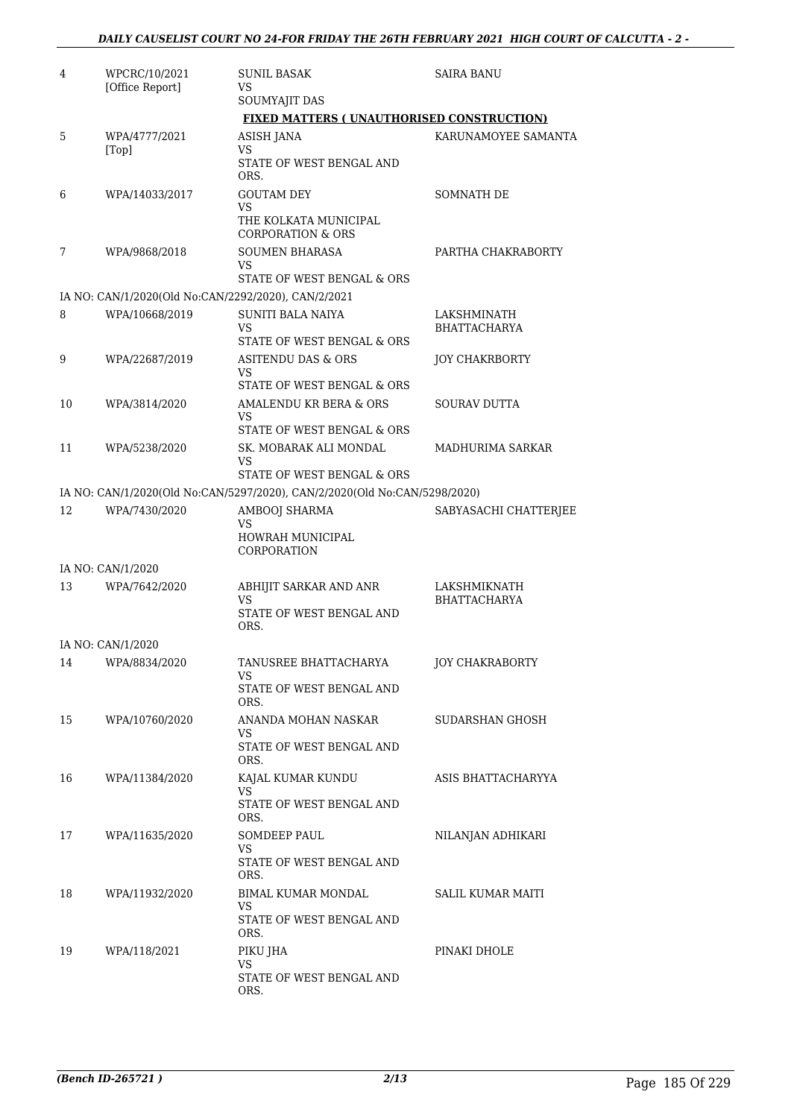| 4  | WPCRC/10/2021<br>[Office Report]                    | <b>SUNIL BASAK</b><br>VS                                                                                | <b>SAIRA BANU</b>                   |
|----|-----------------------------------------------------|---------------------------------------------------------------------------------------------------------|-------------------------------------|
|    |                                                     | SOUMYAJIT DAS                                                                                           |                                     |
|    |                                                     | FIXED MATTERS (UNAUTHORISED CONSTRUCTION)                                                               |                                     |
| 5  | WPA/4777/2021<br>[Top]                              | <b>ASISH JANA</b><br>VS<br>STATE OF WEST BENGAL AND<br>ORS.                                             | KARUNAMOYEE SAMANTA                 |
| 6  | WPA/14033/2017                                      | <b>GOUTAM DEY</b><br>VS<br>THE KOLKATA MUNICIPAL<br><b>CORPORATION &amp; ORS</b>                        | SOMNATH DE                          |
| 7  | WPA/9868/2018                                       | <b>SOUMEN BHARASA</b><br>VS<br>STATE OF WEST BENGAL & ORS                                               | PARTHA CHAKRABORTY                  |
|    | IA NO: CAN/1/2020(Old No:CAN/2292/2020), CAN/2/2021 |                                                                                                         |                                     |
| 8  | WPA/10668/2019                                      | <b>SUNITI BALA NAIYA</b><br>VS<br>STATE OF WEST BENGAL & ORS                                            | LAKSHMINATH<br><b>BHATTACHARYA</b>  |
| 9  | WPA/22687/2019                                      | <b>ASITENDU DAS &amp; ORS</b><br>VS                                                                     | <b>JOY CHAKRBORTY</b>               |
| 10 | WPA/3814/2020                                       | STATE OF WEST BENGAL & ORS<br>AMALENDU KR BERA & ORS<br>VS                                              | <b>SOURAV DUTTA</b>                 |
| 11 | WPA/5238/2020                                       | STATE OF WEST BENGAL & ORS<br>SK. MOBARAK ALI MONDAL<br>VS                                              | MADHURIMA SARKAR                    |
|    |                                                     | STATE OF WEST BENGAL & ORS<br>IA NO: CAN/1/2020(Old No:CAN/5297/2020), CAN/2/2020(Old No:CAN/5298/2020) |                                     |
| 12 | WPA/7430/2020                                       | AMBOOJ SHARMA                                                                                           | SABYASACHI CHATTERJEE               |
|    |                                                     | VS<br>HOWRAH MUNICIPAL<br>CORPORATION                                                                   |                                     |
|    | IA NO: CAN/1/2020                                   |                                                                                                         |                                     |
| 13 | WPA/7642/2020                                       | ABHIJIT SARKAR AND ANR<br>VS<br>STATE OF WEST BENGAL AND<br>ORS.                                        | LAKSHMIKNATH<br><b>BHATTACHARYA</b> |
|    | IA NO: CAN/1/2020                                   |                                                                                                         |                                     |
| 14 | WPA/8834/2020                                       | TANUSREE BHATTACHARYA<br>VS<br>STATE OF WEST BENGAL AND<br>ORS.                                         | JOY CHAKRABORTY                     |
| 15 | WPA/10760/2020                                      | ANANDA MOHAN NASKAR<br>VS<br>STATE OF WEST BENGAL AND<br>ORS.                                           | SUDARSHAN GHOSH                     |
| 16 | WPA/11384/2020                                      | KAJAL KUMAR KUNDU<br>VS<br>STATE OF WEST BENGAL AND<br>ORS.                                             | ASIS BHATTACHARYYA                  |
| 17 | WPA/11635/2020                                      | SOMDEEP PAUL<br>VS.<br>STATE OF WEST BENGAL AND<br>ORS.                                                 | NILANJAN ADHIKARI                   |
| 18 | WPA/11932/2020                                      | BIMAL KUMAR MONDAL<br>VS.<br>STATE OF WEST BENGAL AND<br>ORS.                                           | SALIL KUMAR MAITI                   |
| 19 | WPA/118/2021                                        | PIKU JHA<br>VS<br>STATE OF WEST BENGAL AND<br>ORS.                                                      | PINAKI DHOLE                        |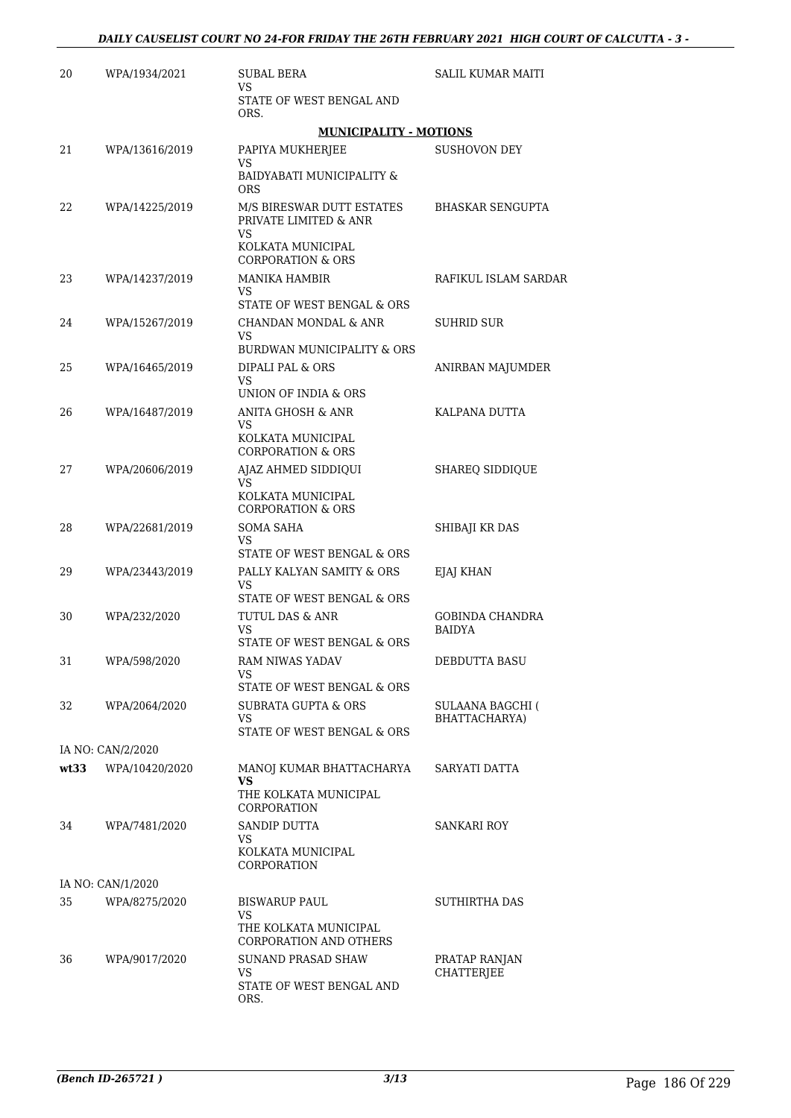| 20   | WPA/1934/2021     | SUBAL BERA                                                           | SALIL KUMAR MAITI                  |
|------|-------------------|----------------------------------------------------------------------|------------------------------------|
|      |                   | VS<br>STATE OF WEST BENGAL AND<br>ORS.                               |                                    |
|      |                   | <b>MUNICIPALITY - MOTIONS</b>                                        |                                    |
| 21   | WPA/13616/2019    | PAPIYA MUKHERJEE                                                     | SUSHOVON DEY                       |
|      |                   | VS<br>BAIDYABATI MUNICIPALITY &<br><b>ORS</b>                        |                                    |
| 22   | WPA/14225/2019    | M/S BIRESWAR DUTT ESTATES<br>PRIVATE LIMITED & ANR<br>VS             | <b>BHASKAR SENGUPTA</b>            |
|      |                   | KOLKATA MUNICIPAL<br><b>CORPORATION &amp; ORS</b>                    |                                    |
| 23   | WPA/14237/2019    | <b>MANIKA HAMBIR</b><br>VS.<br>STATE OF WEST BENGAL & ORS            | RAFIKUL ISLAM SARDAR               |
| 24   | WPA/15267/2019    | CHANDAN MONDAL & ANR                                                 | <b>SUHRID SUR</b>                  |
|      |                   | VS                                                                   |                                    |
|      |                   | BURDWAN MUNICIPALITY & ORS                                           |                                    |
| 25   | WPA/16465/2019    | DIPALI PAL & ORS<br>VS<br>UNION OF INDIA & ORS                       | ANIRBAN MAJUMDER                   |
| 26   | WPA/16487/2019    | <b>ANITA GHOSH &amp; ANR</b>                                         | KALPANA DUTTA                      |
|      |                   | VS<br>KOLKATA MUNICIPAL<br><b>CORPORATION &amp; ORS</b>              |                                    |
| 27   | WPA/20606/2019    | AJAZ AHMED SIDDIQUI                                                  | <b>SHAREQ SIDDIQUE</b>             |
|      |                   | VS<br>KOLKATA MUNICIPAL<br><b>CORPORATION &amp; ORS</b>              |                                    |
| 28   | WPA/22681/2019    | <b>SOMA SAHA</b><br>VS<br>STATE OF WEST BENGAL & ORS                 | SHIBAJI KR DAS                     |
| 29   | WPA/23443/2019    | PALLY KALYAN SAMITY & ORS<br>VS                                      | EJAJ KHAN                          |
| 30   | WPA/232/2020      | STATE OF WEST BENGAL & ORS<br>TUTUL DAS & ANR                        | <b>GOBINDA CHANDRA</b>             |
|      |                   | VS<br>STATE OF WEST BENGAL & ORS                                     | <b>BAIDYA</b>                      |
| 31   | WPA/598/2020      | RAM NIWAS YADAV                                                      | <b>DEBDUTTA BASU</b>               |
|      |                   | VS<br>STATE OF WEST BENGAL & ORS                                     |                                    |
| 32   | WPA/2064/2020     | SUBRATA GUPTA & ORS                                                  | SULAANA BAGCHI (                   |
|      |                   | VS.<br>STATE OF WEST BENGAL & ORS                                    | BHATTACHARYA)                      |
|      | IA NO: CAN/2/2020 |                                                                      |                                    |
| wt33 | WPA/10420/2020    | MANOJ KUMAR BHATTACHARYA<br>VS.                                      | SARYATI DATTA                      |
|      |                   | THE KOLKATA MUNICIPAL<br><b>CORPORATION</b>                          |                                    |
| 34   | WPA/7481/2020     | <b>SANDIP DUTTA</b><br>VS<br>KOLKATA MUNICIPAL                       | <b>SANKARI ROY</b>                 |
|      |                   | CORPORATION                                                          |                                    |
|      | IA NO: CAN/1/2020 |                                                                      |                                    |
| 35   | WPA/8275/2020     | <b>BISWARUP PAUL</b>                                                 | <b>SUTHIRTHA DAS</b>               |
|      |                   | VS<br>THE KOLKATA MUNICIPAL<br>CORPORATION AND OTHERS                |                                    |
| 36   | WPA/9017/2020     | <b>SUNAND PRASAD SHAW</b><br>VS.<br>STATE OF WEST BENGAL AND<br>ORS. | PRATAP RANJAN<br><b>CHATTERJEE</b> |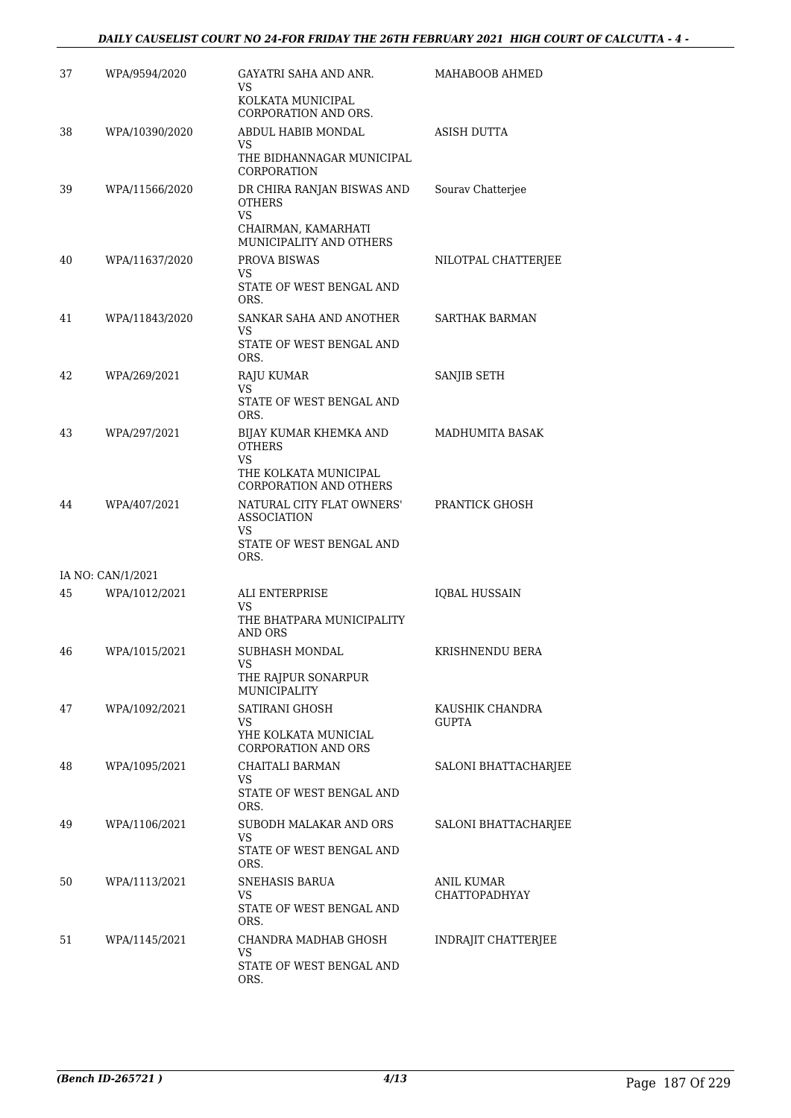| 37 | WPA/9594/2020     | GAYATRI SAHA AND ANR.<br>VS<br>KOLKATA MUNICIPAL                                          | MAHABOOB AHMED                     |
|----|-------------------|-------------------------------------------------------------------------------------------|------------------------------------|
| 38 | WPA/10390/2020    | CORPORATION AND ORS.<br>ABDUL HABIB MONDAL<br>VS                                          | ASISH DUTTA                        |
|    |                   | THE BIDHANNAGAR MUNICIPAL<br>CORPORATION                                                  |                                    |
| 39 | WPA/11566/2020    | DR CHIRA RANJAN BISWAS AND<br><b>OTHERS</b><br>VS                                         | Sourav Chatterjee                  |
|    |                   | CHAIRMAN, KAMARHATI<br>MUNICIPALITY AND OTHERS                                            |                                    |
| 40 | WPA/11637/2020    | PROVA BISWAS<br>VS.                                                                       | NILOTPAL CHATTERJEE                |
|    |                   | STATE OF WEST BENGAL AND<br>ORS.                                                          |                                    |
| 41 | WPA/11843/2020    | SANKAR SAHA AND ANOTHER<br>VS                                                             | SARTHAK BARMAN                     |
|    |                   | STATE OF WEST BENGAL AND<br>ORS.                                                          |                                    |
| 42 | WPA/269/2021      | RAJU KUMAR<br>VS                                                                          | SANJIB SETH                        |
|    |                   | STATE OF WEST BENGAL AND<br>ORS.                                                          |                                    |
| 43 | WPA/297/2021      | BIJAY KUMAR KHEMKA AND<br><b>OTHERS</b><br><b>VS</b>                                      | MADHUMITA BASAK                    |
|    |                   | THE KOLKATA MUNICIPAL<br><b>CORPORATION AND OTHERS</b>                                    |                                    |
| 44 | WPA/407/2021      | NATURAL CITY FLAT OWNERS'<br><b>ASSOCIATION</b><br>VS<br>STATE OF WEST BENGAL AND<br>ORS. | PRANTICK GHOSH                     |
|    | IA NO: CAN/1/2021 |                                                                                           |                                    |
| 45 | WPA/1012/2021     | ALI ENTERPRISE<br>VS<br>THE BHATPARA MUNICIPALITY<br><b>AND ORS</b>                       | <b>IQBAL HUSSAIN</b>               |
| 46 | WPA/1015/2021     | SUBHASH MONDAL                                                                            | KRISHNENDU BERA                    |
|    |                   | VS<br>THE RAJPUR SONARPUR<br>MUNICIPALITY                                                 |                                    |
| 47 | WPA/1092/2021     | SATIRANI GHOSH                                                                            | KAUSHIK CHANDRA                    |
|    |                   | VS.<br>YHE KOLKATA MUNICIAL<br>CORPORATION AND ORS                                        | <b>GUPTA</b>                       |
| 48 | WPA/1095/2021     | CHAITALI BARMAN<br>VS.                                                                    | SALONI BHATTACHARJEE               |
|    |                   | STATE OF WEST BENGAL AND<br>ORS.                                                          |                                    |
| 49 | WPA/1106/2021     | SUBODH MALAKAR AND ORS<br>VS<br>STATE OF WEST BENGAL AND                                  | <b>SALONI BHATTACHARJEE</b>        |
|    |                   | ORS.                                                                                      |                                    |
| 50 | WPA/1113/2021     | SNEHASIS BARUA<br>VS.<br>STATE OF WEST BENGAL AND                                         | ANIL KUMAR<br><b>CHATTOPADHYAY</b> |
| 51 | WPA/1145/2021     | ORS.<br>CHANDRA MADHAB GHOSH                                                              | <b>INDRAJIT CHATTERJEE</b>         |
|    |                   | VS.<br>STATE OF WEST BENGAL AND<br>ORS.                                                   |                                    |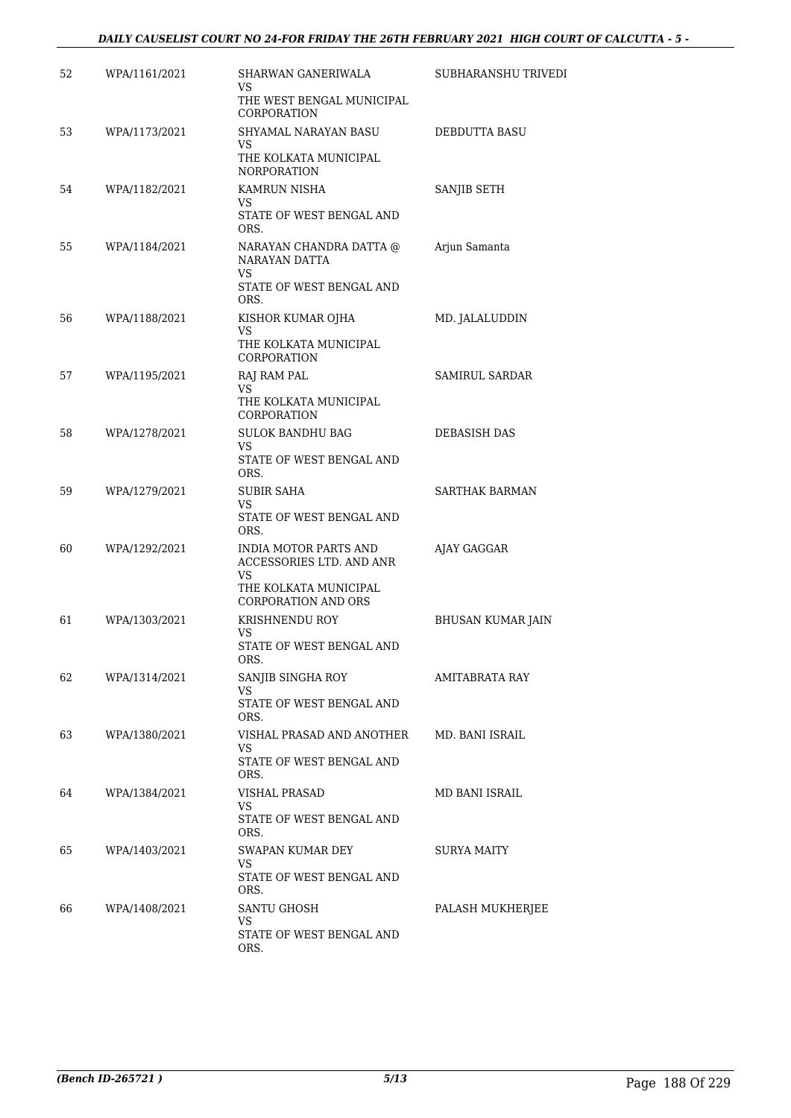| 52 | WPA/1161/2021 | SHARWAN GANERIWALA<br>VS<br>THE WEST BENGAL MUNICIPAL                                    | SUBHARANSHU TRIVEDI      |
|----|---------------|------------------------------------------------------------------------------------------|--------------------------|
| 53 | WPA/1173/2021 | CORPORATION<br>SHYAMAL NARAYAN BASU<br>VS                                                | DEBDUTTA BASU            |
|    |               | THE KOLKATA MUNICIPAL<br><b>NORPORATION</b>                                              |                          |
| 54 | WPA/1182/2021 | KAMRUN NISHA<br>VS.                                                                      | SANJIB SETH              |
|    |               | STATE OF WEST BENGAL AND<br>ORS.                                                         |                          |
| 55 | WPA/1184/2021 | NARAYAN CHANDRA DATTA @<br>NARAYAN DATTA<br>VS.<br>STATE OF WEST BENGAL AND<br>ORS.      | Arjun Samanta            |
| 56 | WPA/1188/2021 | KISHOR KUMAR OJHA<br>VS.<br>THE KOLKATA MUNICIPAL                                        | MD. JALALUDDIN           |
|    |               | CORPORATION                                                                              |                          |
| 57 | WPA/1195/2021 | RAJ RAM PAL<br>VS                                                                        | SAMIRUL SARDAR           |
|    |               | THE KOLKATA MUNICIPAL<br>CORPORATION                                                     |                          |
| 58 | WPA/1278/2021 | <b>SULOK BANDHU BAG</b><br>VS.                                                           | <b>DEBASISH DAS</b>      |
|    |               | STATE OF WEST BENGAL AND<br>ORS.                                                         |                          |
| 59 | WPA/1279/2021 | SUBIR SAHA<br>VS.                                                                        | SARTHAK BARMAN           |
|    |               | STATE OF WEST BENGAL AND<br>ORS.                                                         |                          |
| 60 | WPA/1292/2021 | <b>INDIA MOTOR PARTS AND</b><br>ACCESSORIES LTD. AND ANR<br>VS.<br>THE KOLKATA MUNICIPAL | AJAY GAGGAR              |
| 61 | WPA/1303/2021 | <b>CORPORATION AND ORS</b><br>KRISHNENDU ROY                                             | <b>BHUSAN KUMAR JAIN</b> |
|    |               | VS.<br>STATE OF WEST BENGAL AND                                                          |                          |
| 62 | WPA/1314/2021 | ORS.<br>SANJIB SINGHA ROY                                                                | AMITABRATA RAY           |
|    |               | VS<br>STATE OF WEST BENGAL AND<br>ORS.                                                   |                          |
| 63 | WPA/1380/2021 | VISHAL PRASAD AND ANOTHER                                                                | MD. BANI ISRAIL          |
|    |               | VS.<br>STATE OF WEST BENGAL AND<br>ORS.                                                  |                          |
| 64 | WPA/1384/2021 | <b>VISHAL PRASAD</b>                                                                     | MD BANI ISRAIL           |
|    |               | VS<br>STATE OF WEST BENGAL AND<br>ORS.                                                   |                          |
| 65 | WPA/1403/2021 | SWAPAN KUMAR DEY<br>VS                                                                   | SURYA MAITY              |
|    |               | STATE OF WEST BENGAL AND<br>ORS.                                                         |                          |
| 66 | WPA/1408/2021 | SANTU GHOSH<br>VS.                                                                       | PALASH MUKHERJEE         |
|    |               | STATE OF WEST BENGAL AND<br>ORS.                                                         |                          |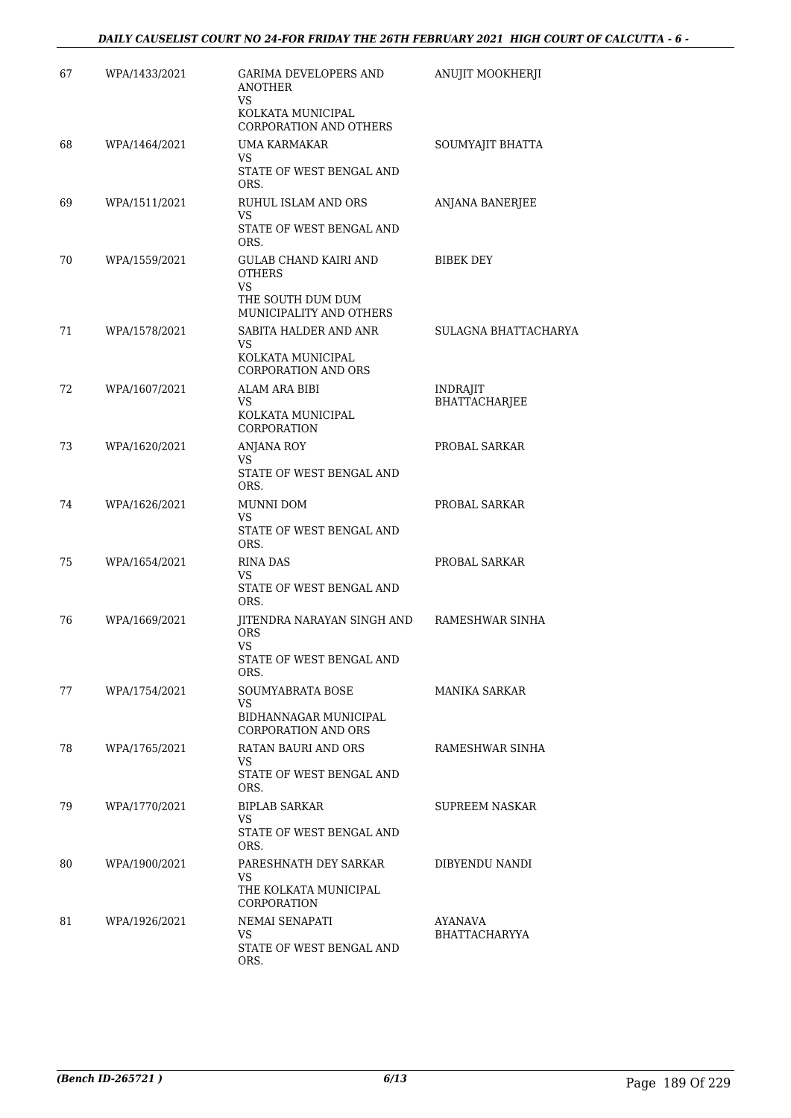| 67 | WPA/1433/2021 | GARIMA DEVELOPERS AND<br><b>ANOTHER</b><br>VS       | ANUJIT MOOKHERJI          |
|----|---------------|-----------------------------------------------------|---------------------------|
|    |               | KOLKATA MUNICIPAL<br><b>CORPORATION AND OTHERS</b>  |                           |
| 68 | WPA/1464/2021 | <b>UMA KARMAKAR</b><br>VS.                          | SOUMYAJIT BHATTA          |
|    |               | STATE OF WEST BENGAL AND<br>ORS.                    |                           |
| 69 | WPA/1511/2021 | RUHUL ISLAM AND ORS<br>VS                           | ANJANA BANERJEE           |
|    |               | STATE OF WEST BENGAL AND<br>ORS.                    |                           |
| 70 | WPA/1559/2021 | <b>GULAB CHAND KAIRI AND</b><br><b>OTHERS</b><br>VS | BIBEK DEY                 |
|    |               | THE SOUTH DUM DUM<br>MUNICIPALITY AND OTHERS        |                           |
| 71 | WPA/1578/2021 | SABITA HALDER AND ANR<br>VS.                        | SULAGNA BHATTACHARYA      |
|    |               | KOLKATA MUNICIPAL<br><b>CORPORATION AND ORS</b>     |                           |
| 72 | WPA/1607/2021 | ALAM ARA BIBI<br><b>VS</b>                          | INDRAJIT<br>BHATTACHARJEE |
|    |               | KOLKATA MUNICIPAL<br>CORPORATION                    |                           |
| 73 | WPA/1620/2021 | <b>ANJANA ROY</b><br><b>VS</b>                      | PROBAL SARKAR             |
|    |               | STATE OF WEST BENGAL AND<br>ORS.                    |                           |
| 74 | WPA/1626/2021 | MUNNI DOM<br>VS                                     | PROBAL SARKAR             |
|    |               | STATE OF WEST BENGAL AND<br>ORS.                    |                           |
| 75 | WPA/1654/2021 | RINA DAS<br><b>VS</b>                               | PROBAL SARKAR             |
|    |               | STATE OF WEST BENGAL AND<br>ORS.                    |                           |
| 76 | WPA/1669/2021 | JITENDRA NARAYAN SINGH AND<br><b>ORS</b><br>VS      | RAMESHWAR SINHA           |
|    |               | STATE OF WEST BENGAL AND<br>ORS.                    |                           |
| 77 | WPA/1754/2021 | SOUMYABRATA BOSE<br>VS.                             | MANIKA SARKAR             |
|    |               | BIDHANNAGAR MUNICIPAL<br><b>CORPORATION AND ORS</b> |                           |
| 78 | WPA/1765/2021 | RATAN BAURI AND ORS<br>VS.                          | RAMESHWAR SINHA           |
|    |               | STATE OF WEST BENGAL AND<br>ORS.                    |                           |
| 79 | WPA/1770/2021 | <b>BIPLAB SARKAR</b><br>VS                          | <b>SUPREEM NASKAR</b>     |
|    |               | STATE OF WEST BENGAL AND<br>ORS.                    |                           |
| 80 | WPA/1900/2021 | PARESHNATH DEY SARKAR<br>VS                         | DIBYENDU NANDI            |
|    |               | THE KOLKATA MUNICIPAL<br>CORPORATION                |                           |
| 81 | WPA/1926/2021 | NEMAI SENAPATI<br>VS.                               | AYANAVA<br>BHATTACHARYYA  |
|    |               | STATE OF WEST BENGAL AND<br>ORS.                    |                           |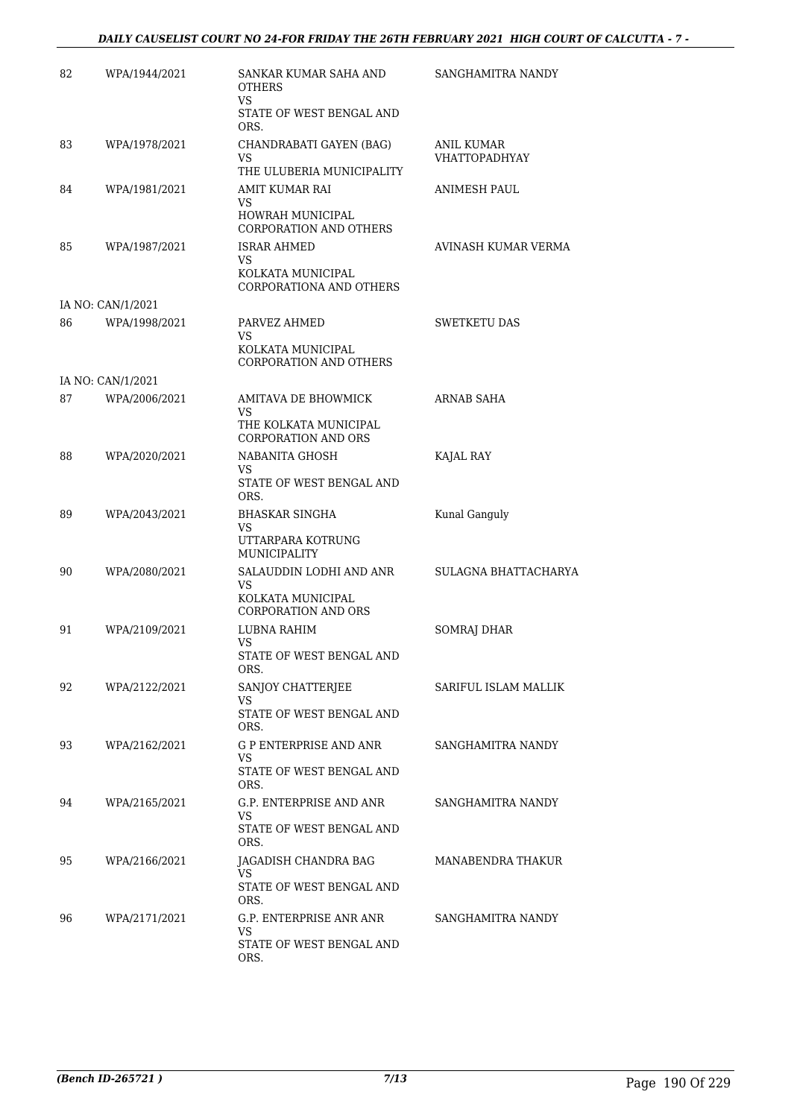| 82 | WPA/1944/2021     | SANKAR KUMAR SAHA AND<br><b>OTHERS</b><br><b>VS</b>        | SANGHAMITRA NANDY                  |
|----|-------------------|------------------------------------------------------------|------------------------------------|
|    |                   | STATE OF WEST BENGAL AND<br>ORS.                           |                                    |
| 83 | WPA/1978/2021     | CHANDRABATI GAYEN (BAG)<br>VS<br>THE ULUBERIA MUNICIPALITY | ANIL KUMAR<br><b>VHATTOPADHYAY</b> |
| 84 | WPA/1981/2021     | AMIT KUMAR RAI<br>VS<br><b>HOWRAH MUNICIPAL</b>            | <b>ANIMESH PAUL</b>                |
|    |                   | CORPORATION AND OTHERS                                     |                                    |
| 85 | WPA/1987/2021     | <b>ISRAR AHMED</b><br>VS.<br>KOLKATA MUNICIPAL             | AVINASH KUMAR VERMA                |
|    |                   | CORPORATIONA AND OTHERS                                    |                                    |
|    | IA NO: CAN/1/2021 |                                                            |                                    |
| 86 | WPA/1998/2021     | PARVEZ AHMED<br>VS<br>KOLKATA MUNICIPAL                    | <b>SWETKETU DAS</b>                |
|    |                   | <b>CORPORATION AND OTHERS</b>                              |                                    |
|    | IA NO: CAN/1/2021 |                                                            |                                    |
| 87 | WPA/2006/2021     | <b>AMITAVA DE BHOWMICK</b><br>VS                           | ARNAB SAHA                         |
|    |                   | THE KOLKATA MUNICIPAL<br><b>CORPORATION AND ORS</b>        |                                    |
| 88 | WPA/2020/2021     | NABANITA GHOSH<br>VS                                       | KAJAL RAY                          |
|    |                   | STATE OF WEST BENGAL AND<br>ORS.                           |                                    |
| 89 | WPA/2043/2021     | <b>BHASKAR SINGHA</b><br>VS                                | Kunal Ganguly                      |
|    |                   | UTTARPARA KOTRUNG<br>MUNICIPALITY                          |                                    |
| 90 | WPA/2080/2021     | SALAUDDIN LODHI AND ANR<br>VS                              | SULAGNA BHATTACHARYA               |
|    |                   | KOLKATA MUNICIPAL<br><b>CORPORATION AND ORS</b>            |                                    |
| 91 | WPA/2109/2021     | LUBNA RAHIM<br>VS                                          | <b>SOMRAJ DHAR</b>                 |
|    |                   | STATE OF WEST BENGAL AND<br>ORS.                           |                                    |
| 92 | WPA/2122/2021     | SANJOY CHATTERJEE<br>VS                                    | SARIFUL ISLAM MALLIK               |
|    |                   | STATE OF WEST BENGAL AND<br>ORS.                           |                                    |
| 93 | WPA/2162/2021     | G P ENTERPRISE AND ANR<br>VS                               | SANGHAMITRA NANDY                  |
|    |                   | STATE OF WEST BENGAL AND<br>ORS.                           |                                    |
| 94 | WPA/2165/2021     | G.P. ENTERPRISE AND ANR<br>VS                              | SANGHAMITRA NANDY                  |
|    |                   | STATE OF WEST BENGAL AND<br>ORS.                           |                                    |
| 95 | WPA/2166/2021     | JAGADISH CHANDRA BAG                                       | MANABENDRA THAKUR                  |
|    |                   | VS<br>STATE OF WEST BENGAL AND<br>ORS.                     |                                    |
| 96 | WPA/2171/2021     | G.P. ENTERPRISE ANR ANR<br>VS                              | SANGHAMITRA NANDY                  |
|    |                   | STATE OF WEST BENGAL AND<br>ORS.                           |                                    |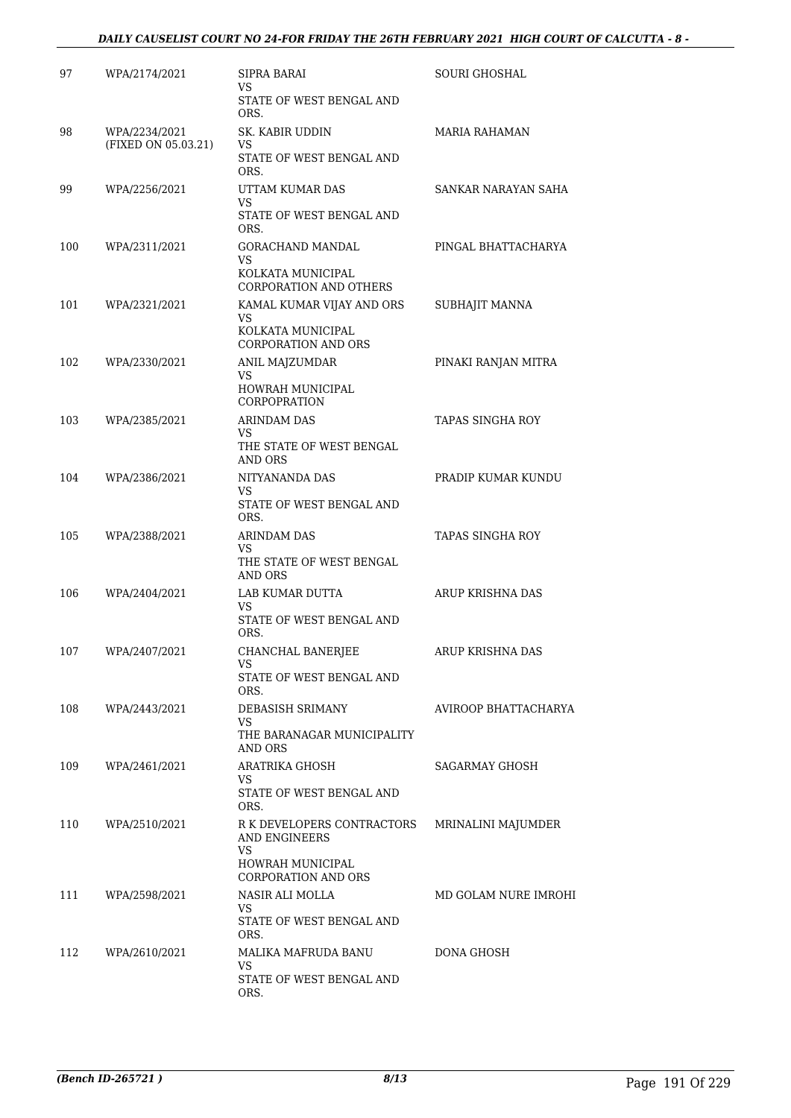### *DAILY CAUSELIST COURT NO 24-FOR FRIDAY THE 26TH FEBRUARY 2021 HIGH COURT OF CALCUTTA - 8 -*

| 97  | WPA/2174/2021       | SIPRA BARAI<br>VS                                                                            | SOURI GHOSHAL        |
|-----|---------------------|----------------------------------------------------------------------------------------------|----------------------|
|     |                     | STATE OF WEST BENGAL AND<br>ORS.                                                             |                      |
| 98  | WPA/2234/2021       | SK. KABIR UDDIN<br>VS                                                                        | <b>MARIA RAHAMAN</b> |
|     | (FIXED ON 05.03.21) | STATE OF WEST BENGAL AND<br>ORS.                                                             |                      |
| 99  | WPA/2256/2021       | UTTAM KUMAR DAS                                                                              | SANKAR NARAYAN SAHA  |
|     |                     | VS<br>STATE OF WEST BENGAL AND<br>ORS.                                                       |                      |
| 100 | WPA/2311/2021       | GORACHAND MANDAL<br>VS                                                                       | PINGAL BHATTACHARYA  |
|     |                     | KOLKATA MUNICIPAL<br><b>CORPORATION AND OTHERS</b>                                           |                      |
| 101 | WPA/2321/2021       | KAMAL KUMAR VIJAY AND ORS<br>VS<br>KOLKATA MUNICIPAL                                         | SUBHAJIT MANNA       |
|     |                     | <b>CORPORATION AND ORS</b>                                                                   |                      |
| 102 | WPA/2330/2021       | ANIL MAJZUMDAR<br>VS                                                                         | PINAKI RANJAN MITRA  |
|     |                     | HOWRAH MUNICIPAL<br><b>CORPOPRATION</b>                                                      |                      |
| 103 | WPA/2385/2021       | <b>ARINDAM DAS</b><br>VS                                                                     | TAPAS SINGHA ROY     |
|     |                     | THE STATE OF WEST BENGAL<br>AND ORS                                                          |                      |
| 104 | WPA/2386/2021       | NITYANANDA DAS<br>VS                                                                         | PRADIP KUMAR KUNDU   |
|     |                     | STATE OF WEST BENGAL AND<br>ORS.                                                             |                      |
| 105 | WPA/2388/2021       | ARINDAM DAS<br>VS                                                                            | TAPAS SINGHA ROY     |
|     |                     | THE STATE OF WEST BENGAL<br>AND ORS                                                          |                      |
| 106 | WPA/2404/2021       | LAB KUMAR DUTTA<br><b>VS</b>                                                                 | ARUP KRISHNA DAS     |
|     |                     | STATE OF WEST BENGAL AND<br>ORS.                                                             |                      |
| 107 | WPA/2407/2021       | CHANCHAL BANERJEE<br>VS                                                                      | ARUP KRISHNA DAS     |
|     |                     | STATE OF WEST BENGAL AND<br>ORS.                                                             |                      |
| 108 | WPA/2443/2021       | DEBASISH SRIMANY<br>VS                                                                       | AVIROOP BHATTACHARYA |
|     |                     | THE BARANAGAR MUNICIPALITY<br>AND ORS                                                        |                      |
| 109 | WPA/2461/2021       | ARATRIKA GHOSH<br>VS                                                                         | SAGARMAY GHOSH       |
|     |                     | STATE OF WEST BENGAL AND<br>ORS.                                                             |                      |
| 110 | WPA/2510/2021       | R K DEVELOPERS CONTRACTORS<br>AND ENGINEERS<br>VS<br>HOWRAH MUNICIPAL<br>CORPORATION AND ORS | MRINALINI MAJUMDER   |
| 111 | WPA/2598/2021       | NASIR ALI MOLLA                                                                              | MD GOLAM NURE IMROHI |
|     |                     | VS.<br>STATE OF WEST BENGAL AND<br>ORS.                                                      |                      |
| 112 | WPA/2610/2021       | MALIKA MAFRUDA BANU                                                                          | DONA GHOSH           |
|     |                     | VS.<br>STATE OF WEST BENGAL AND<br>ORS.                                                      |                      |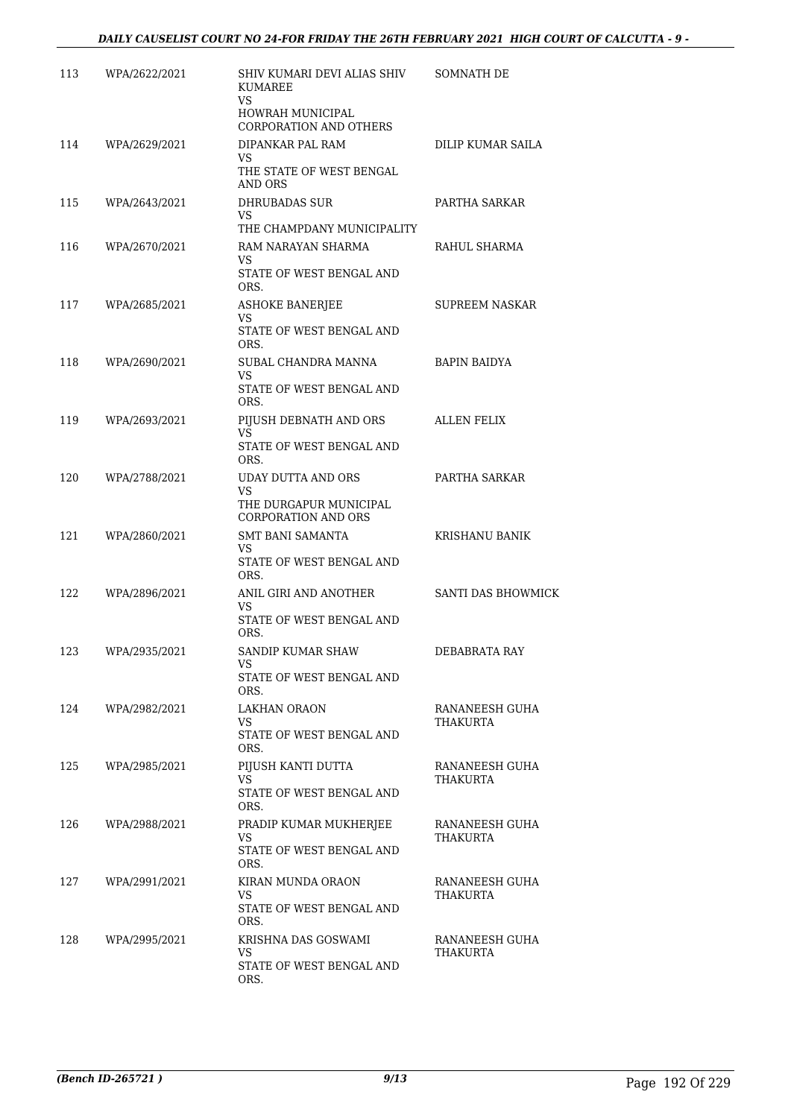| 113 | WPA/2622/2021 | SHIV KUMARI DEVI ALIAS SHIV<br><b>KUMAREE</b>              | SOMNATH DE                 |
|-----|---------------|------------------------------------------------------------|----------------------------|
|     |               | <b>VS</b><br>HOWRAH MUNICIPAL<br>CORPORATION AND OTHERS    |                            |
| 114 | WPA/2629/2021 | DIPANKAR PAL RAM                                           | DILIP KUMAR SAILA          |
|     |               | VS<br>THE STATE OF WEST BENGAL<br>AND ORS                  |                            |
| 115 | WPA/2643/2021 | <b>DHRUBADAS SUR</b>                                       | PARTHA SARKAR              |
|     |               | VS<br>THE CHAMPDANY MUNICIPALITY                           |                            |
| 116 | WPA/2670/2021 | RAM NARAYAN SHARMA<br>VS<br>STATE OF WEST BENGAL AND       | RAHUL SHARMA               |
|     |               | ORS.                                                       |                            |
| 117 | WPA/2685/2021 | <b>ASHOKE BANERJEE</b><br>VS<br>STATE OF WEST BENGAL AND   | <b>SUPREEM NASKAR</b>      |
| 118 | WPA/2690/2021 | ORS.<br>SUBAL CHANDRA MANNA                                | <b>BAPIN BAIDYA</b>        |
|     |               | VS<br>STATE OF WEST BENGAL AND                             |                            |
| 119 | WPA/2693/2021 | ORS.<br>PIJUSH DEBNATH AND ORS                             | <b>ALLEN FELIX</b>         |
|     |               | VS.<br>STATE OF WEST BENGAL AND<br>ORS.                    |                            |
| 120 | WPA/2788/2021 | <b>UDAY DUTTA AND ORS</b>                                  | PARTHA SARKAR              |
|     |               | VS<br>THE DURGAPUR MUNICIPAL<br><b>CORPORATION AND ORS</b> |                            |
| 121 | WPA/2860/2021 | <b>SMT BANI SAMANTA</b><br>VS                              | KRISHANU BANIK             |
|     |               | STATE OF WEST BENGAL AND<br>ORS.                           |                            |
| 122 | WPA/2896/2021 | ANIL GIRI AND ANOTHER<br>VS                                | <b>SANTI DAS BHOWMICK</b>  |
|     |               | STATE OF WEST BENGAL AND<br>ORS.                           |                            |
| 123 | WPA/2935/2021 | SANDIP KUMAR SHAW                                          | DEBABRATA RAY              |
|     |               | VS<br>STATE OF WEST BENGAL AND<br>ORS.                     |                            |
| 124 | WPA/2982/2021 | LAKHAN ORAON                                               | RANANEESH GUHA             |
|     |               | VS<br>STATE OF WEST BENGAL AND<br>ORS.                     | THAKURTA                   |
| 125 | WPA/2985/2021 | PIJUSH KANTI DUTTA<br>VS.                                  | RANANEESH GUHA<br>THAKURTA |
|     |               | STATE OF WEST BENGAL AND<br>ORS.                           |                            |
| 126 | WPA/2988/2021 | PRADIP KUMAR MUKHERJEE<br>VS                               | RANANEESH GUHA<br>THAKURTA |
|     |               | STATE OF WEST BENGAL AND<br>ORS.                           |                            |
| 127 | WPA/2991/2021 | KIRAN MUNDA ORAON<br>VS.                                   | RANANEESH GUHA             |
|     |               | STATE OF WEST BENGAL AND<br>ORS.                           | THAKURTA                   |
| 128 | WPA/2995/2021 | KRISHNA DAS GOSWAMI<br>VS                                  | RANANEESH GUHA<br>THAKURTA |
|     |               | STATE OF WEST BENGAL AND<br>ORS.                           |                            |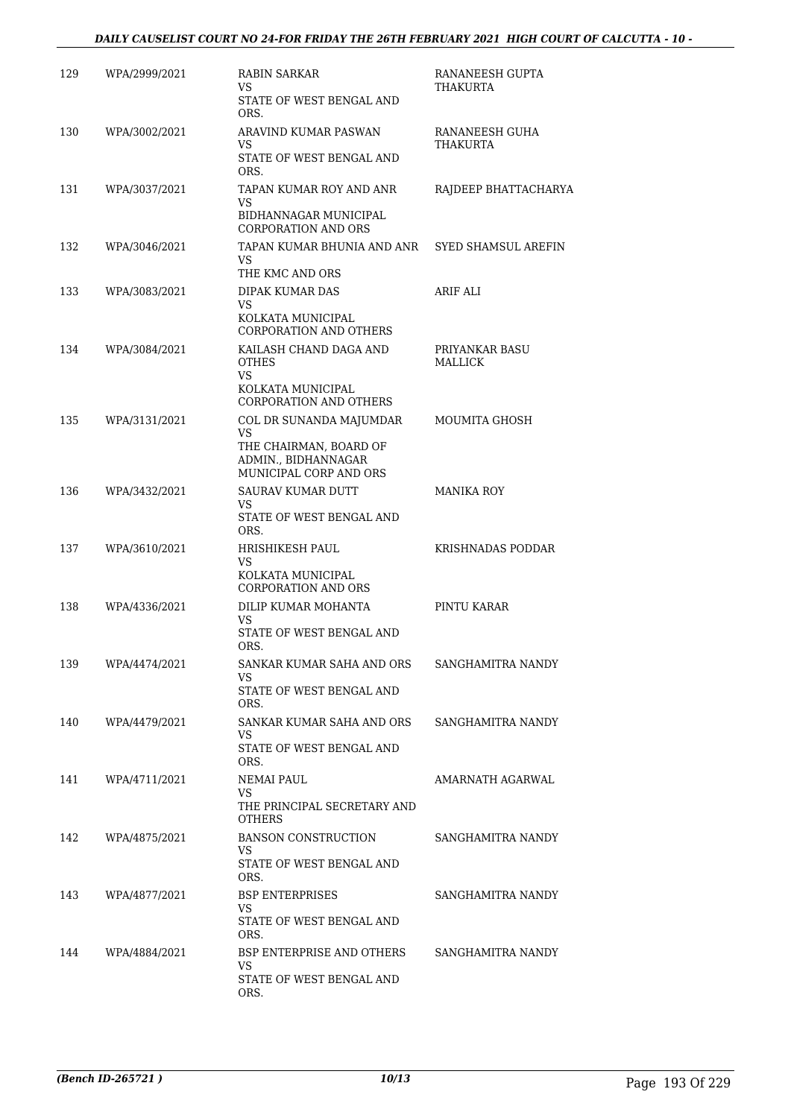### *DAILY CAUSELIST COURT NO 24-FOR FRIDAY THE 26TH FEBRUARY 2021 HIGH COURT OF CALCUTTA - 10 -*

| 129 | WPA/2999/2021 | RABIN SARKAR<br>VS                                                      | RANANEESH GUPTA<br>THAKURTA |
|-----|---------------|-------------------------------------------------------------------------|-----------------------------|
|     |               | STATE OF WEST BENGAL AND<br>ORS.                                        |                             |
| 130 | WPA/3002/2021 | ARAVIND KUMAR PASWAN<br>VS                                              | RANANEESH GUHA<br>THAKURTA  |
|     |               | STATE OF WEST BENGAL AND<br>ORS.                                        |                             |
| 131 | WPA/3037/2021 | TAPAN KUMAR ROY AND ANR<br>VS                                           | RAJDEEP BHATTACHARYA        |
|     |               | BIDHANNAGAR MUNICIPAL<br>CORPORATION AND ORS                            |                             |
| 132 | WPA/3046/2021 | TAPAN KUMAR BHUNIA AND ANR<br>VS.                                       | SYED SHAMSUL AREFIN         |
|     |               | THE KMC AND ORS                                                         |                             |
| 133 | WPA/3083/2021 | DIPAK KUMAR DAS<br>VS.                                                  | <b>ARIF ALI</b>             |
|     |               | KOLKATA MUNICIPAL<br><b>CORPORATION AND OTHERS</b>                      |                             |
| 134 | WPA/3084/2021 | KAILASH CHAND DAGA AND<br><b>OTHES</b>                                  | PRIYANKAR BASU<br>MALLICK   |
|     |               | <b>VS</b><br>KOLKATA MUNICIPAL                                          |                             |
| 135 | WPA/3131/2021 | <b>CORPORATION AND OTHERS</b><br>COL DR SUNANDA MAJUMDAR                | MOUMITA GHOSH               |
|     |               | <b>VS</b>                                                               |                             |
|     |               | THE CHAIRMAN, BOARD OF<br>ADMIN., BIDHANNAGAR<br>MUNICIPAL CORP AND ORS |                             |
| 136 | WPA/3432/2021 | SAURAV KUMAR DUTT                                                       | <b>MANIKA ROY</b>           |
|     |               | VS<br>STATE OF WEST BENGAL AND<br>ORS.                                  |                             |
| 137 | WPA/3610/2021 | HRISHIKESH PAUL<br>VS                                                   | KRISHNADAS PODDAR           |
|     |               | KOLKATA MUNICIPAL<br><b>CORPORATION AND ORS</b>                         |                             |
| 138 | WPA/4336/2021 | DILIP KUMAR MOHANTA<br>VS                                               | PINTU KARAR                 |
|     |               | STATE OF WEST BENGAL AND<br>ORS.                                        |                             |
| 139 | WPA/4474/2021 | SANKAR KUMAR SAHA AND ORS<br>VS.                                        | SANGHAMITRA NANDY           |
|     |               | STATE OF WEST BENGAL AND<br>ORS.                                        |                             |
| 140 | WPA/4479/2021 | SANKAR KUMAR SAHA AND ORS<br>VS.                                        | SANGHAMITRA NANDY           |
|     |               | STATE OF WEST BENGAL AND<br>ORS.                                        |                             |
| 141 | WPA/4711/2021 | NEMAI PAUL<br>VS                                                        | AMARNATH AGARWAL            |
|     |               | THE PRINCIPAL SECRETARY AND<br><b>OTHERS</b>                            |                             |
| 142 | WPA/4875/2021 | <b>BANSON CONSTRUCTION</b><br>VS.                                       | SANGHAMITRA NANDY           |
|     |               | STATE OF WEST BENGAL AND<br>ORS.                                        |                             |
| 143 | WPA/4877/2021 | <b>BSP ENTERPRISES</b><br>VS.                                           | SANGHAMITRA NANDY           |
|     |               | STATE OF WEST BENGAL AND<br>ORS.                                        |                             |
| 144 | WPA/4884/2021 | BSP ENTERPRISE AND OTHERS<br>VS.                                        | SANGHAMITRA NANDY           |
|     |               | STATE OF WEST BENGAL AND<br>ORS.                                        |                             |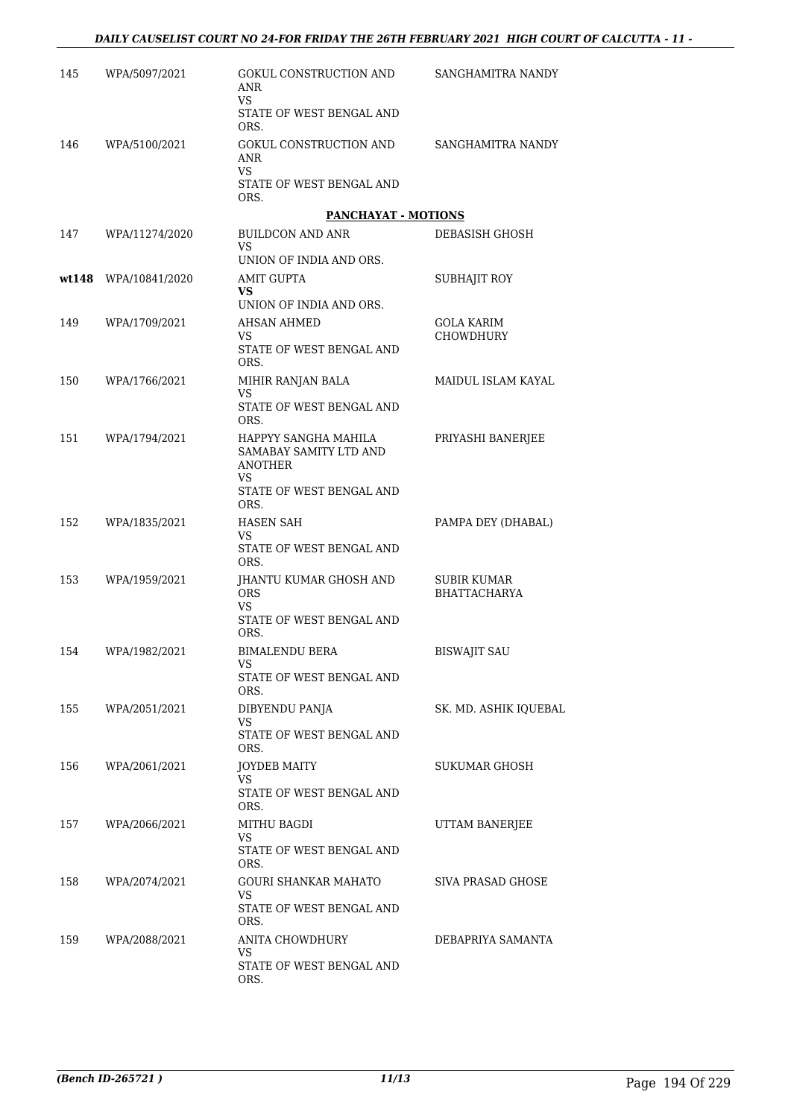| 145 | WPA/5097/2021        | GOKUL CONSTRUCTION AND<br>ANR<br><b>VS</b>                              | SANGHAMITRA NANDY                         |
|-----|----------------------|-------------------------------------------------------------------------|-------------------------------------------|
|     |                      | STATE OF WEST BENGAL AND<br>ORS.                                        |                                           |
| 146 | WPA/5100/2021        | GOKUL CONSTRUCTION AND<br>ANR<br>VS.                                    | SANGHAMITRA NANDY                         |
|     |                      | STATE OF WEST BENGAL AND<br>ORS.                                        |                                           |
|     |                      | <b>PANCHAYAT - MOTIONS</b>                                              |                                           |
| 147 | WPA/11274/2020       | <b>BUILDCON AND ANR</b><br>VS.<br>UNION OF INDIA AND ORS.               | DEBASISH GHOSH                            |
|     | wt148 WPA/10841/2020 | AMIT GUPTA                                                              | SUBHAJIT ROY                              |
|     |                      | VS<br>UNION OF INDIA AND ORS.                                           |                                           |
| 149 | WPA/1709/2021        | <b>AHSAN AHMED</b>                                                      | <b>GOLA KARIM</b>                         |
|     |                      | VS<br>STATE OF WEST BENGAL AND<br>ORS.                                  | <b>CHOWDHURY</b>                          |
| 150 | WPA/1766/2021        | MIHIR RANJAN BALA                                                       | MAIDUL ISLAM KAYAL                        |
|     |                      | VS                                                                      |                                           |
|     |                      | STATE OF WEST BENGAL AND<br>ORS.                                        |                                           |
| 151 | WPA/1794/2021        | HAPPYY SANGHA MAHILA<br>SAMABAY SAMITY LTD AND<br><b>ANOTHER</b><br>VS. | PRIYASHI BANERJEE                         |
|     |                      | STATE OF WEST BENGAL AND<br>ORS.                                        |                                           |
| 152 | WPA/1835/2021        | HASEN SAH<br>VS<br>STATE OF WEST BENGAL AND                             | PAMPA DEY (DHABAL)                        |
|     |                      | ORS.                                                                    |                                           |
| 153 | WPA/1959/2021        | JHANTU KUMAR GHOSH AND<br><b>ORS</b><br>VS                              | <b>SUBIR KUMAR</b><br><b>BHATTACHARYA</b> |
|     |                      | STATE OF WEST BENGAL AND<br>ORS.                                        |                                           |
| 154 | WPA/1982/2021        | <b>BIMALENDU BERA</b>                                                   | <b>BISWAJIT SAU</b>                       |
|     |                      | VS<br>STATE OF WEST BENGAL AND<br>ORS.                                  |                                           |
| 155 | WPA/2051/2021        | DIBYENDU PANJA                                                          | SK. MD. ASHIK IQUEBAL                     |
|     |                      | VS<br>STATE OF WEST BENGAL AND<br>ORS.                                  |                                           |
| 156 | WPA/2061/2021        | <b>JOYDEB MAITY</b>                                                     | SUKUMAR GHOSH                             |
|     |                      | VS.<br>STATE OF WEST BENGAL AND<br>ORS.                                 |                                           |
| 157 | WPA/2066/2021        | MITHU BAGDI<br>VS                                                       | UTTAM BANERJEE                            |
|     |                      | STATE OF WEST BENGAL AND<br>ORS.                                        |                                           |
| 158 | WPA/2074/2021        | GOURI SHANKAR MAHATO<br>VS.                                             | SIVA PRASAD GHOSE                         |
|     |                      | STATE OF WEST BENGAL AND<br>ORS.                                        |                                           |
| 159 | WPA/2088/2021        | ANITA CHOWDHURY<br>VS                                                   | DEBAPRIYA SAMANTA                         |
|     |                      | STATE OF WEST BENGAL AND<br>ORS.                                        |                                           |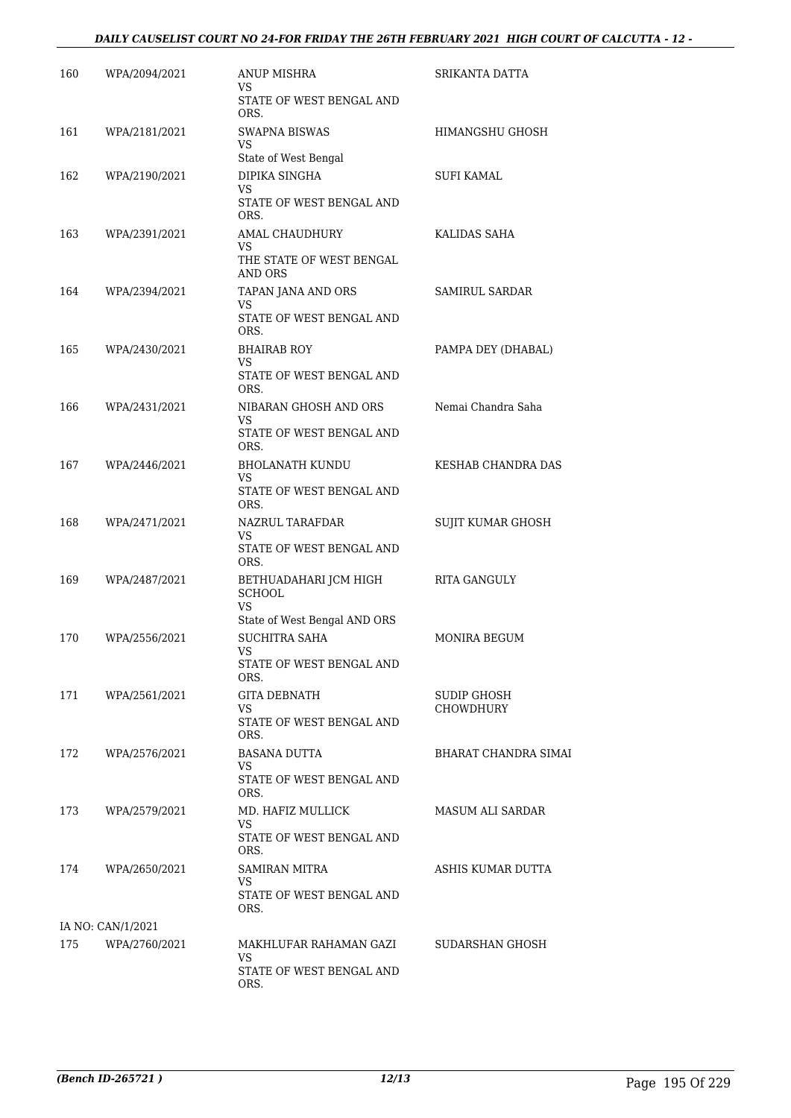### *DAILY CAUSELIST COURT NO 24-FOR FRIDAY THE 26TH FEBRUARY 2021 HIGH COURT OF CALCUTTA - 12 -*

| 160 | WPA/2094/2021     | ANUP MISHRA<br>VS.                                            | SRIKANTA DATTA                  |
|-----|-------------------|---------------------------------------------------------------|---------------------------------|
|     |                   | STATE OF WEST BENGAL AND<br>ORS.                              |                                 |
| 161 | WPA/2181/2021     | SWAPNA BISWAS<br>VS<br>State of West Bengal                   | HIMANGSHU GHOSH                 |
| 162 | WPA/2190/2021     | DIPIKA SINGHA                                                 | SUFI KAMAL                      |
|     |                   | VS<br>STATE OF WEST BENGAL AND<br>ORS.                        |                                 |
| 163 | WPA/2391/2021     | AMAL CHAUDHURY                                                | KALIDAS SAHA                    |
|     |                   | VS<br>THE STATE OF WEST BENGAL<br>AND ORS                     |                                 |
| 164 | WPA/2394/2021     | TAPAN JANA AND ORS                                            | SAMIRUL SARDAR                  |
|     |                   | <b>VS</b><br>STATE OF WEST BENGAL AND<br>ORS.                 |                                 |
| 165 | WPA/2430/2021     | <b>BHAIRAB ROY</b><br>VS.                                     | PAMPA DEY (DHABAL)              |
|     |                   | STATE OF WEST BENGAL AND<br>ORS.                              |                                 |
| 166 | WPA/2431/2021     | NIBARAN GHOSH AND ORS<br>VS.                                  | Nemai Chandra Saha              |
|     |                   | STATE OF WEST BENGAL AND<br>ORS.                              |                                 |
| 167 | WPA/2446/2021     | BHOLANATH KUNDU<br>VS.                                        | KESHAB CHANDRA DAS              |
|     |                   | STATE OF WEST BENGAL AND<br>ORS.                              |                                 |
| 168 | WPA/2471/2021     | NAZRUL TARAFDAR<br>VS.<br>STATE OF WEST BENGAL AND            | SUJIT KUMAR GHOSH               |
|     |                   | ORS.                                                          |                                 |
| 169 | WPA/2487/2021     | BETHUADAHARI JCM HIGH<br><b>SCHOOL</b><br>VS                  | <b>RITA GANGULY</b>             |
|     |                   | State of West Bengal AND ORS                                  |                                 |
| 170 | WPA/2556/2021     | <b>SUCHITRA SAHA</b><br><b>VS</b><br>STATE OF WEST BENGAL AND | <b>MONIRA BEGUM</b>             |
|     |                   | ORS.                                                          |                                 |
| 171 | WPA/2561/2021     | GITA DEBNATH<br>VS.                                           | SUDIP GHOSH<br><b>CHOWDHURY</b> |
|     |                   | STATE OF WEST BENGAL AND<br>ORS.                              |                                 |
| 172 | WPA/2576/2021     | BASANA DUTTA                                                  | BHARAT CHANDRA SIMAI            |
|     |                   | VS.<br>STATE OF WEST BENGAL AND<br>ORS.                       |                                 |
| 173 | WPA/2579/2021     | MD. HAFIZ MULLICK                                             | MASUM ALI SARDAR                |
|     |                   | VS.<br>STATE OF WEST BENGAL AND<br>ORS.                       |                                 |
| 174 | WPA/2650/2021     | SAMIRAN MITRA<br>VS.                                          | ASHIS KUMAR DUTTA               |
|     |                   | STATE OF WEST BENGAL AND<br>ORS.                              |                                 |
|     | IA NO: CAN/1/2021 |                                                               |                                 |
| 175 | WPA/2760/2021     | MAKHLUFAR RAHAMAN GAZI<br>VS.<br>STATE OF WEST BENGAL AND     | SUDARSHAN GHOSH                 |
|     |                   | ORS.                                                          |                                 |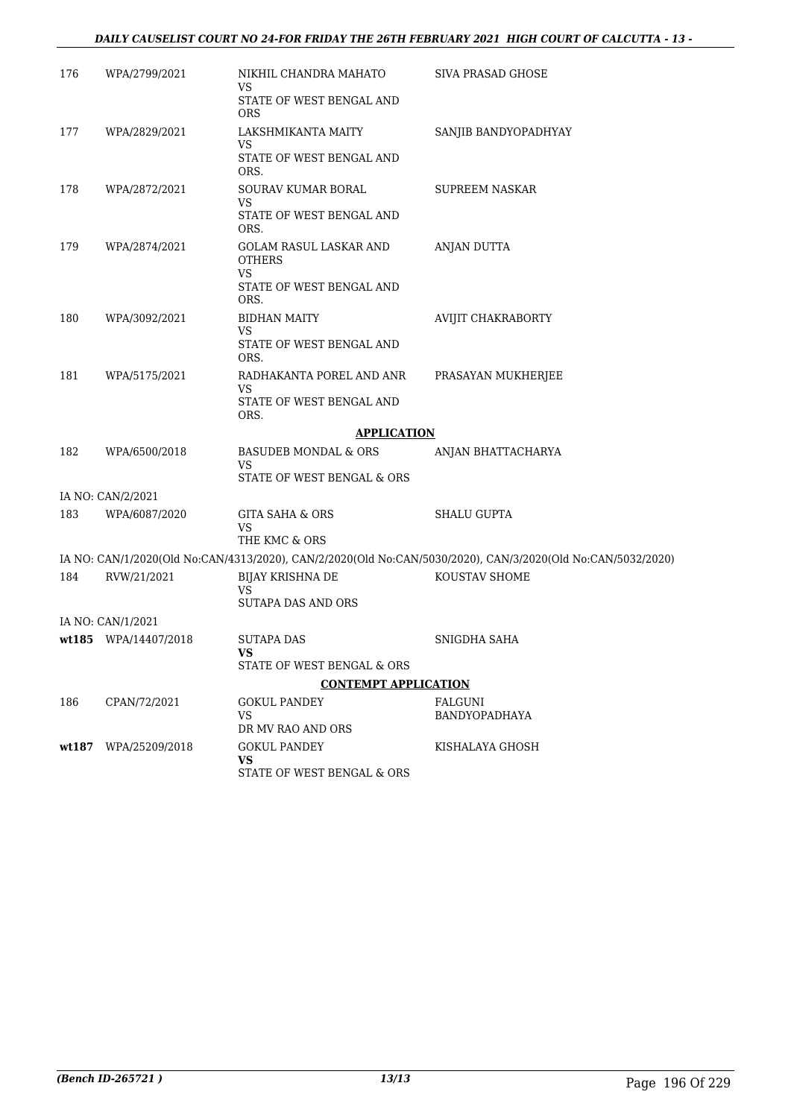### *DAILY CAUSELIST COURT NO 24-FOR FRIDAY THE 26TH FEBRUARY 2021 HIGH COURT OF CALCUTTA - 13 -*

| 176   | WPA/2799/2021        | NIKHIL CHANDRA MAHATO<br>VS                                                | SIVA PRASAD GHOSE                                                                                           |
|-------|----------------------|----------------------------------------------------------------------------|-------------------------------------------------------------------------------------------------------------|
|       |                      | STATE OF WEST BENGAL AND<br>ORS                                            |                                                                                                             |
| 177   | WPA/2829/2021        | LAKSHMIKANTA MAITY<br>VS                                                   | SANJIB BANDYOPADHYAY                                                                                        |
|       |                      | STATE OF WEST BENGAL AND<br>ORS.                                           |                                                                                                             |
| 178   | WPA/2872/2021        | SOURAV KUMAR BORAL<br>VS                                                   | <b>SUPREEM NASKAR</b>                                                                                       |
|       |                      | STATE OF WEST BENGAL AND<br>ORS.                                           |                                                                                                             |
| 179   | WPA/2874/2021        | GOLAM RASUL LASKAR AND<br><b>OTHERS</b>                                    | ANJAN DUTTA                                                                                                 |
|       |                      | <b>VS</b><br>STATE OF WEST BENGAL AND<br>ORS.                              |                                                                                                             |
| 180   | WPA/3092/2021        | <b>BIDHAN MAITY</b><br><b>VS</b>                                           | AVIJIT CHAKRABORTY                                                                                          |
|       |                      | STATE OF WEST BENGAL AND<br>ORS.                                           |                                                                                                             |
| 181   | WPA/5175/2021        | RADHAKANTA POREL AND ANR<br>VS                                             | PRASAYAN MUKHERJEE                                                                                          |
|       |                      | STATE OF WEST BENGAL AND<br>ORS.                                           |                                                                                                             |
|       |                      | <b>APPLICATION</b>                                                         |                                                                                                             |
| 182   | WPA/6500/2018        | <b>BASUDEB MONDAL &amp; ORS</b><br><b>VS</b><br>STATE OF WEST BENGAL & ORS | ANJAN BHATTACHARYA                                                                                          |
|       | IA NO: CAN/2/2021    |                                                                            |                                                                                                             |
| 183   | WPA/6087/2020        | <b>GITA SAHA &amp; ORS</b>                                                 | <b>SHALU GUPTA</b>                                                                                          |
|       |                      | VS<br>THE KMC & ORS                                                        |                                                                                                             |
|       |                      |                                                                            | IA NO: CAN/1/2020(Old No:CAN/4313/2020), CAN/2/2020(Old No:CAN/5030/2020), CAN/3/2020(Old No:CAN/5032/2020) |
| 184   | RVW/21/2021          | <b>BIJAY KRISHNA DE</b><br><b>VS</b>                                       | KOUSTAV SHOME                                                                                               |
|       |                      | SUTAPA DAS AND ORS                                                         |                                                                                                             |
|       | IA NO: CAN/1/2021    |                                                                            |                                                                                                             |
|       | wt185 WPA/14407/2018 | SUTAPA DAS<br>VS.                                                          | SNIGDHA SAHA                                                                                                |
|       |                      | STATE OF WEST BENGAL & ORS                                                 |                                                                                                             |
|       |                      | <b>CONTEMPT APPLICATION</b>                                                |                                                                                                             |
| 186   | CPAN/72/2021         | GOKUL PANDEY<br>VS                                                         | FALGUNI<br><b>BANDYOPADHAYA</b>                                                                             |
|       |                      | DR MV RAO AND ORS                                                          |                                                                                                             |
| wt187 | WPA/25209/2018       | <b>GOKUL PANDEY</b><br>VS.                                                 | KISHALAYA GHOSH                                                                                             |
|       |                      | STATE OF WEST BENGAL & ORS                                                 |                                                                                                             |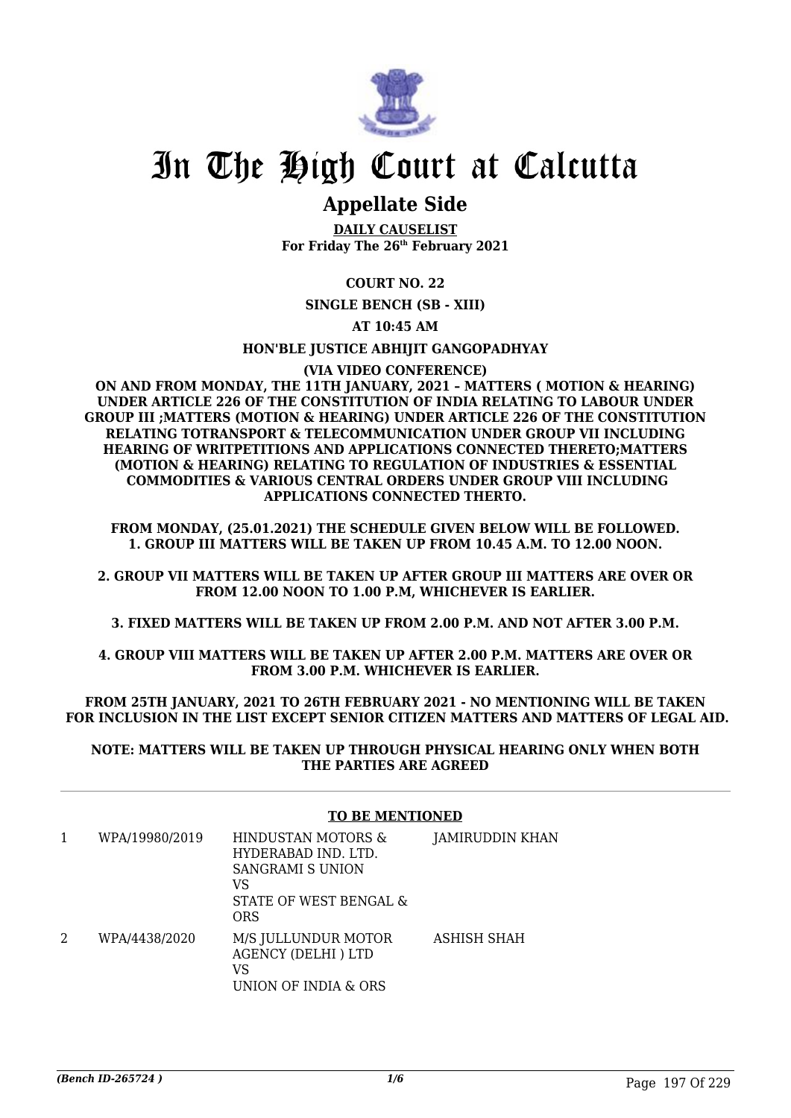

### **Appellate Side**

**DAILY CAUSELIST For Friday The 26th February 2021**

### **COURT NO. 22**

**SINGLE BENCH (SB - XIII)**

### **AT 10:45 AM**

### **HON'BLE JUSTICE ABHIJIT GANGOPADHYAY**

### **(VIA VIDEO CONFERENCE)**

**ON AND FROM MONDAY, THE 11TH JANUARY, 2021 – MATTERS ( MOTION & HEARING) UNDER ARTICLE 226 OF THE CONSTITUTION OF INDIA RELATING TO LABOUR UNDER GROUP III ;MATTERS (MOTION & HEARING) UNDER ARTICLE 226 OF THE CONSTITUTION RELATING TOTRANSPORT & TELECOMMUNICATION UNDER GROUP VII INCLUDING HEARING OF WRITPETITIONS AND APPLICATIONS CONNECTED THERETO;MATTERS (MOTION & HEARING) RELATING TO REGULATION OF INDUSTRIES & ESSENTIAL COMMODITIES & VARIOUS CENTRAL ORDERS UNDER GROUP VIII INCLUDING APPLICATIONS CONNECTED THERTO.**

**FROM MONDAY, (25.01.2021) THE SCHEDULE GIVEN BELOW WILL BE FOLLOWED. 1. GROUP III MATTERS WILL BE TAKEN UP FROM 10.45 A.M. TO 12.00 NOON.**

**2. GROUP VII MATTERS WILL BE TAKEN UP AFTER GROUP III MATTERS ARE OVER OR FROM 12.00 NOON TO 1.00 P.M, WHICHEVER IS EARLIER.**

**3. FIXED MATTERS WILL BE TAKEN UP FROM 2.00 P.M. AND NOT AFTER 3.00 P.M.**

**4. GROUP VIII MATTERS WILL BE TAKEN UP AFTER 2.00 P.M. MATTERS ARE OVER OR FROM 3.00 P.M. WHICHEVER IS EARLIER.**

**FROM 25TH JANUARY, 2021 TO 26TH FEBRUARY 2021 - NO MENTIONING WILL BE TAKEN FOR INCLUSION IN THE LIST EXCEPT SENIOR CITIZEN MATTERS AND MATTERS OF LEGAL AID.**

**NOTE: MATTERS WILL BE TAKEN UP THROUGH PHYSICAL HEARING ONLY WHEN BOTH THE PARTIES ARE AGREED**

### **TO BE MENTIONED**

| WPA/19980/2019 | HINDUSTAN MOTORS &<br>HYDERABAD IND. LTD.<br>SANGRAMI S UNION<br>VS<br>STATE OF WEST BENGAL &<br>ORS | JAMIRUDDIN KHAN |
|----------------|------------------------------------------------------------------------------------------------------|-----------------|
| WPA/4438/2020  | M/S JULLUNDUR MOTOR<br><b>AGENCY (DELHI) LTD</b><br>VS<br>UNION OF INDIA & ORS                       | ASHISH SHAH     |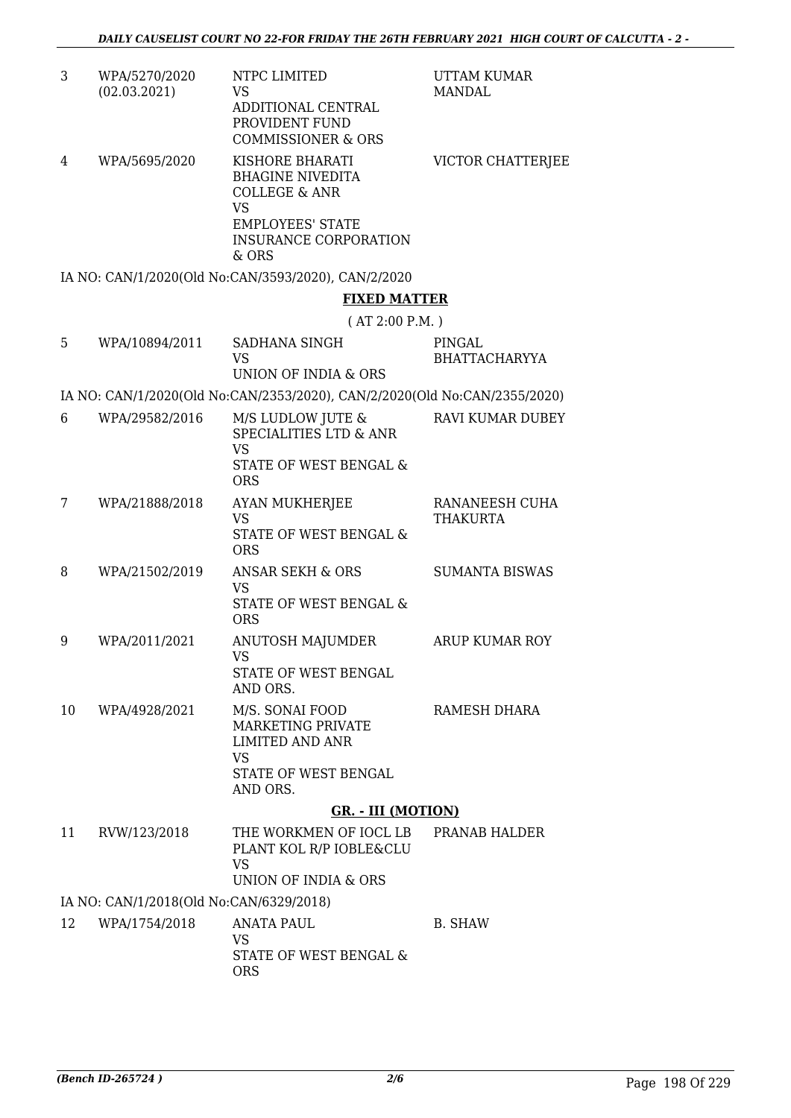| 3  | WPA/5270/2020<br>(02.03.2021)           | NTPC LIMITED<br><b>VS</b><br>ADDITIONAL CENTRAL<br>PROVIDENT FUND<br><b>COMMISSIONER &amp; ORS</b>                                                      | UTTAM KUMAR<br><b>MANDAL</b>      |
|----|-----------------------------------------|---------------------------------------------------------------------------------------------------------------------------------------------------------|-----------------------------------|
| 4  | WPA/5695/2020                           | KISHORE BHARATI<br><b>BHAGINE NIVEDITA</b><br><b>COLLEGE &amp; ANR</b><br><b>VS</b><br><b>EMPLOYEES' STATE</b><br><b>INSURANCE CORPORATION</b><br>& ORS | VICTOR CHATTERJEE                 |
|    |                                         | IA NO: CAN/1/2020(Old No:CAN/3593/2020), CAN/2/2020                                                                                                     |                                   |
|    |                                         | <b>FIXED MATTER</b>                                                                                                                                     |                                   |
|    |                                         | (AT 2:00 P.M.)                                                                                                                                          |                                   |
| 5  | WPA/10894/2011                          | SADHANA SINGH<br><b>VS</b><br>UNION OF INDIA & ORS                                                                                                      | PINGAL<br><b>BHATTACHARYYA</b>    |
|    |                                         | IA NO: CAN/1/2020(Old No:CAN/2353/2020), CAN/2/2020(Old No:CAN/2355/2020)                                                                               |                                   |
| 6  | WPA/29582/2016                          | M/S LUDLOW JUTE &<br>SPECIALITIES LTD & ANR<br><b>VS</b><br>STATE OF WEST BENGAL &                                                                      | <b>RAVI KUMAR DUBEY</b>           |
|    |                                         | <b>ORS</b>                                                                                                                                              |                                   |
| 7  | WPA/21888/2018                          | <b>AYAN MUKHERJEE</b><br><b>VS</b><br>STATE OF WEST BENGAL &<br><b>ORS</b>                                                                              | RANANEESH CUHA<br><b>THAKURTA</b> |
| 8  | WPA/21502/2019                          | ANSAR SEKH & ORS<br><b>VS</b><br><b>STATE OF WEST BENGAL &amp;</b><br><b>ORS</b>                                                                        | <b>SUMANTA BISWAS</b>             |
| 9  | WPA/2011/2021                           | ANUTOSH MAJUMDER<br>VS<br>STATE OF WEST BENGAL<br>AND ORS.                                                                                              | ARUP KUMAR ROY                    |
| 10 | WPA/4928/2021                           | M/S. SONAI FOOD<br>MARKETING PRIVATE<br><b>LIMITED AND ANR</b><br><b>VS</b><br>STATE OF WEST BENGAL<br>AND ORS.                                         | <b>RAMESH DHARA</b>               |
|    |                                         | <b>GR. - III (MOTION)</b>                                                                                                                               |                                   |
| 11 | RVW/123/2018                            | THE WORKMEN OF IOCL LB PRANAB HALDER<br>PLANT KOL R/P IOBLE&CLU<br><b>VS</b><br>UNION OF INDIA & ORS                                                    |                                   |
|    | IA NO: CAN/1/2018(Old No:CAN/6329/2018) |                                                                                                                                                         |                                   |
| 12 | WPA/1754/2018                           | <b>ANATA PAUL</b><br><b>VS</b><br>STATE OF WEST BENGAL &<br><b>ORS</b>                                                                                  | B. SHAW                           |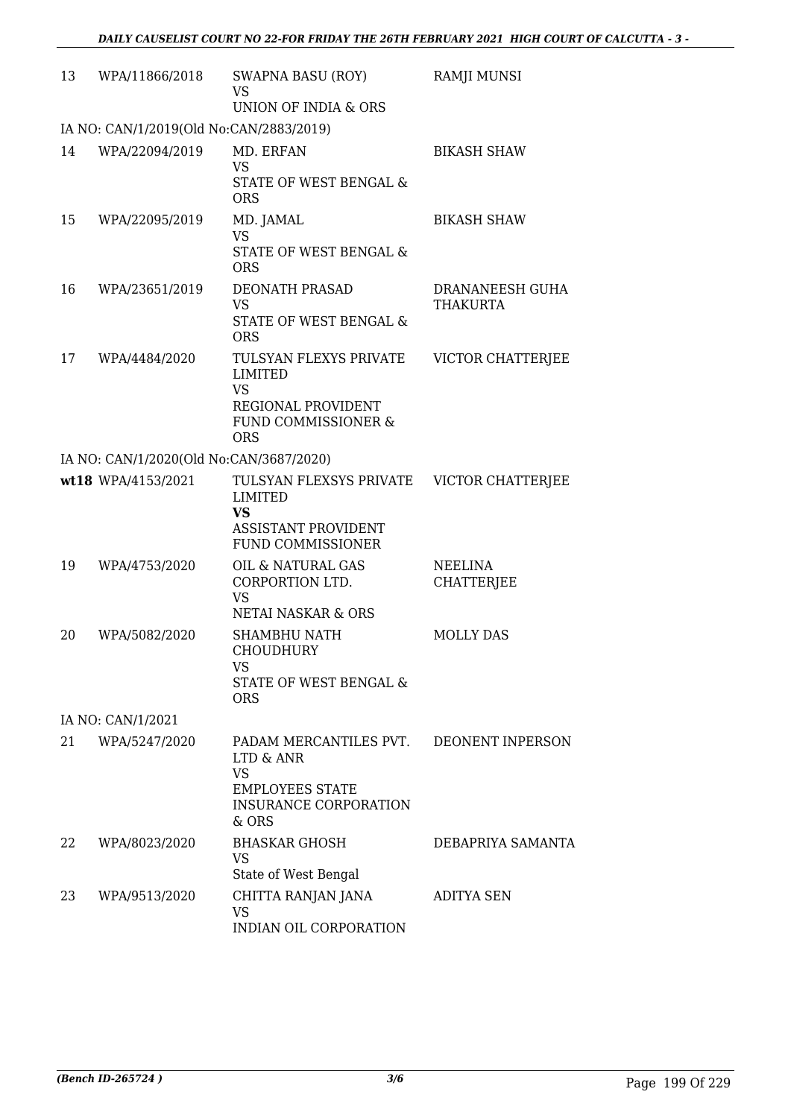| 13 | WPA/11866/2018                          | <b>SWAPNA BASU (ROY)</b><br><b>VS</b><br>UNION OF INDIA & ORS                                                       | <b>RAMJI MUNSI</b>                 |
|----|-----------------------------------------|---------------------------------------------------------------------------------------------------------------------|------------------------------------|
|    | IA NO: CAN/1/2019(Old No:CAN/2883/2019) |                                                                                                                     |                                    |
| 14 | WPA/22094/2019                          | MD. ERFAN<br><b>VS</b><br>STATE OF WEST BENGAL &<br><b>ORS</b>                                                      | <b>BIKASH SHAW</b>                 |
| 15 | WPA/22095/2019                          | MD. JAMAL<br><b>VS</b><br>STATE OF WEST BENGAL &<br><b>ORS</b>                                                      | <b>BIKASH SHAW</b>                 |
| 16 | WPA/23651/2019                          | DEONATH PRASAD<br><b>VS</b><br>STATE OF WEST BENGAL &<br><b>ORS</b>                                                 | DRANANEESH GUHA<br><b>THAKURTA</b> |
| 17 | WPA/4484/2020                           | TULSYAN FLEXYS PRIVATE<br>LIMITED<br><b>VS</b><br>REGIONAL PROVIDENT<br>FUND COMMISSIONER &<br><b>ORS</b>           | VICTOR CHATTERJEE                  |
|    | IA NO: CAN/1/2020(Old No:CAN/3687/2020) |                                                                                                                     |                                    |
|    | wt18 WPA/4153/2021                      | TULSYAN FLEXSYS PRIVATE<br><b>LIMITED</b><br><b>VS</b><br><b>ASSISTANT PROVIDENT</b><br><b>FUND COMMISSIONER</b>    | VICTOR CHATTERJEE                  |
| 19 | WPA/4753/2020                           | OIL & NATURAL GAS<br>CORPORTION LTD.<br><b>VS</b><br>NETAI NASKAR & ORS                                             | NEELINA<br><b>CHATTERJEE</b>       |
| 20 | WPA/5082/2020                           | <b>SHAMBHU NATH</b><br><b>CHOUDHURY</b><br>VS<br>STATE OF WEST BENGAL &<br><b>ORS</b>                               | <b>MOLLY DAS</b>                   |
|    | IA NO: CAN/1/2021                       |                                                                                                                     |                                    |
| 21 | WPA/5247/2020                           | PADAM MERCANTILES PVT.<br>LTD & ANR<br><b>VS</b><br><b>EMPLOYEES STATE</b><br><b>INSURANCE CORPORATION</b><br>& ORS | DEONENT INPERSON                   |
| 22 | WPA/8023/2020                           | <b>BHASKAR GHOSH</b><br><b>VS</b><br>State of West Bengal                                                           | DEBAPRIYA SAMANTA                  |
| 23 | WPA/9513/2020                           | CHITTA RANJAN JANA<br><b>VS</b><br>INDIAN OIL CORPORATION                                                           | <b>ADITYA SEN</b>                  |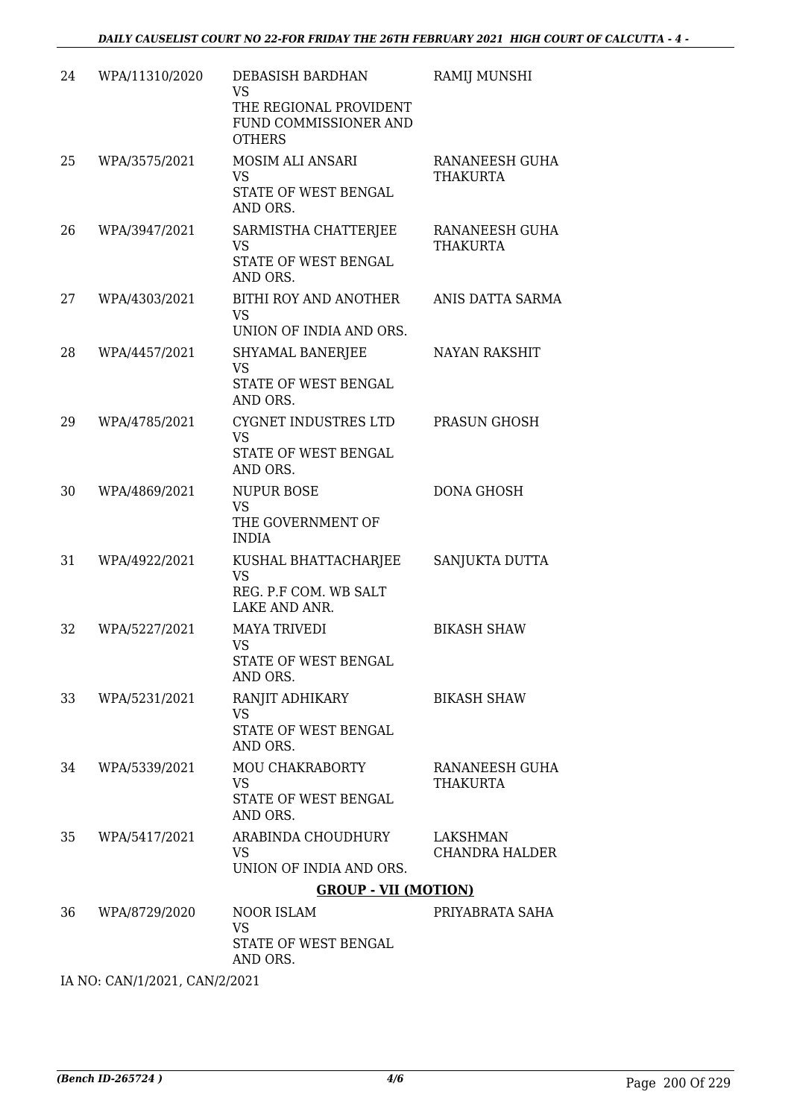| 24 | WPA/11310/2020 | DEBASISH BARDHAN<br><b>VS</b><br>THE REGIONAL PROVIDENT<br>FUND COMMISSIONER AND<br><b>OTHERS</b> | RAMIJ MUNSHI                      |
|----|----------------|---------------------------------------------------------------------------------------------------|-----------------------------------|
| 25 | WPA/3575/2021  | <b>MOSIM ALI ANSARI</b><br><b>VS</b><br>STATE OF WEST BENGAL<br>AND ORS.                          | RANANEESH GUHA<br><b>THAKURTA</b> |
| 26 | WPA/3947/2021  | SARMISTHA CHATTERJEE<br><b>VS</b><br>STATE OF WEST BENGAL<br>AND ORS.                             | RANANEESH GUHA<br><b>THAKURTA</b> |
| 27 | WPA/4303/2021  | BITHI ROY AND ANOTHER<br><b>VS</b><br>UNION OF INDIA AND ORS.                                     | ANIS DATTA SARMA                  |
| 28 | WPA/4457/2021  | SHYAMAL BANERJEE<br><b>VS</b><br><b>STATE OF WEST BENGAL</b><br>AND ORS.                          | <b>NAYAN RAKSHIT</b>              |
| 29 | WPA/4785/2021  | CYGNET INDUSTRES LTD<br><b>VS</b><br>STATE OF WEST BENGAL<br>AND ORS.                             | PRASUN GHOSH                      |
| 30 | WPA/4869/2021  | <b>NUPUR BOSE</b><br><b>VS</b><br>THE GOVERNMENT OF<br><b>INDIA</b>                               | <b>DONA GHOSH</b>                 |
| 31 | WPA/4922/2021  | KUSHAL BHATTACHARJEE<br><b>VS</b><br>REG. P.F COM. WB SALT<br>LAKE AND ANR.                       | SANJUKTA DUTTA                    |
| 32 | WPA/5227/2021  | <b>MAYA TRIVEDI</b><br>VS<br>STATE OF WEST BENGAL<br>AND ORS.                                     | <b>BIKASH SHAW</b>                |
| 33 | WPA/5231/2021  | RANJIT ADHIKARY<br><b>VS</b><br>STATE OF WEST BENGAL<br>AND ORS.                                  | <b>BIKASH SHAW</b>                |
| 34 | WPA/5339/2021  | MOU CHAKRABORTY<br><b>VS</b><br>STATE OF WEST BENGAL<br>AND ORS.                                  | RANANEESH GUHA<br><b>THAKURTA</b> |
| 35 | WPA/5417/2021  | ARABINDA CHOUDHURY<br>VS.<br>UNION OF INDIA AND ORS.                                              | LAKSHMAN<br><b>CHANDRA HALDER</b> |
|    |                | <b>GROUP - VII (MOTION)</b>                                                                       |                                   |
| 36 | WPA/8729/2020  | NOOR ISLAM<br>VS<br>STATE OF WEST BENGAL<br>AND ORS.                                              | PRIYABRATA SAHA                   |

IA NO: CAN/1/2021, CAN/2/2021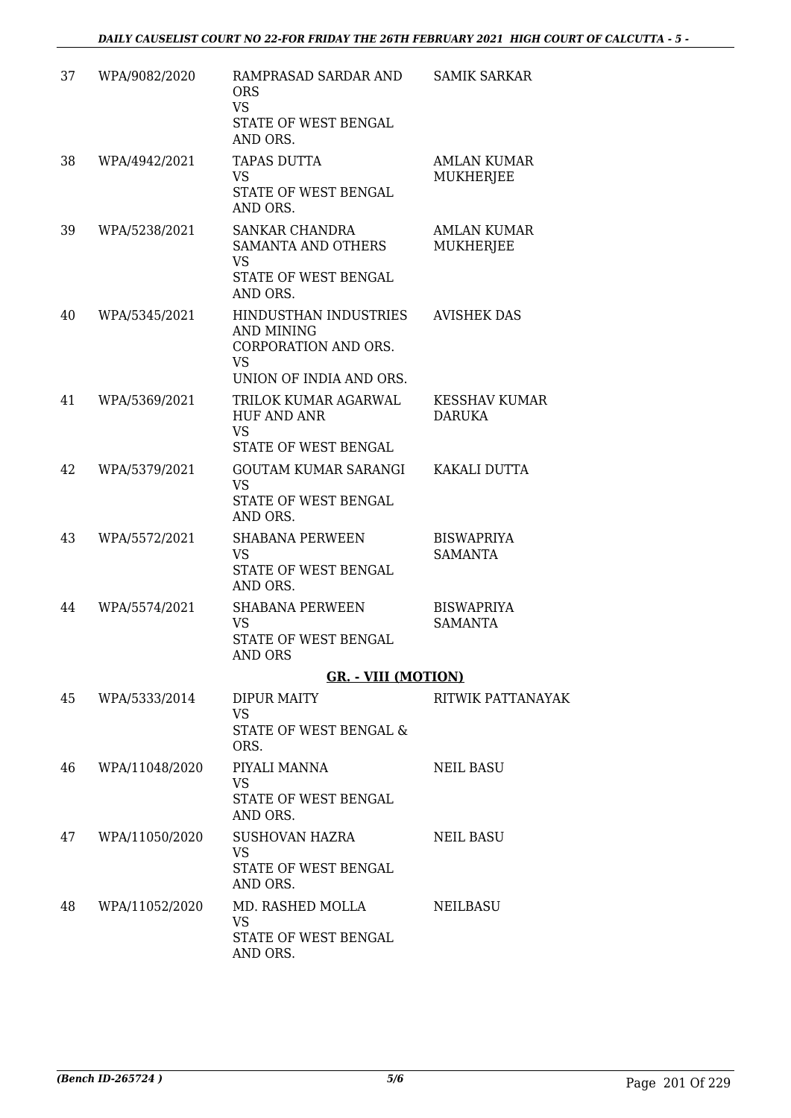| 37 | WPA/9082/2020  | RAMPRASAD SARDAR AND<br><b>ORS</b><br><b>VS</b><br>STATE OF WEST BENGAL<br>AND ORS.                 | <b>SAMIK SARKAR</b>                   |
|----|----------------|-----------------------------------------------------------------------------------------------------|---------------------------------------|
| 38 | WPA/4942/2021  | <b>TAPAS DUTTA</b><br><b>VS</b><br>STATE OF WEST BENGAL<br>AND ORS.                                 | <b>AMLAN KUMAR</b><br>MUKHERJEE       |
| 39 | WPA/5238/2021  | <b>SANKAR CHANDRA</b><br><b>SAMANTA AND OTHERS</b><br><b>VS</b><br>STATE OF WEST BENGAL<br>AND ORS. | <b>AMLAN KUMAR</b><br>MUKHERJEE       |
| 40 | WPA/5345/2021  | HINDUSTHAN INDUSTRIES<br>AND MINING<br>CORPORATION AND ORS.<br><b>VS</b><br>UNION OF INDIA AND ORS. | <b>AVISHEK DAS</b>                    |
| 41 | WPA/5369/2021  | TRILOK KUMAR AGARWAL<br><b>HUF AND ANR</b><br><b>VS</b><br>STATE OF WEST BENGAL                     | <b>KESSHAV KUMAR</b><br><b>DARUKA</b> |
| 42 | WPA/5379/2021  | <b>GOUTAM KUMAR SARANGI</b><br><b>VS</b><br>STATE OF WEST BENGAL<br>AND ORS.                        | KAKALI DUTTA                          |
| 43 | WPA/5572/2021  | <b>SHABANA PERWEEN</b><br><b>VS</b><br>STATE OF WEST BENGAL<br>AND ORS.                             | <b>BISWAPRIYA</b><br>SAMANTA          |
| 44 | WPA/5574/2021  | <b>SHABANA PERWEEN</b><br><b>VS</b><br>STATE OF WEST BENGAL<br><b>AND ORS</b>                       | <b>BISWAPRIYA</b><br><b>SAMANTA</b>   |
|    |                | <b>GR.</b> - VIII (MOTION)                                                                          |                                       |
| 45 | WPA/5333/2014  | <b>DIPUR MAITY</b><br><b>VS</b><br>STATE OF WEST BENGAL &<br>ORS.                                   | RITWIK PATTANAYAK                     |
| 46 | WPA/11048/2020 | PIYALI MANNA<br><b>VS</b><br>STATE OF WEST BENGAL<br>AND ORS.                                       | NEIL BASU                             |
| 47 | WPA/11050/2020 | SUSHOVAN HAZRA<br><b>VS</b><br>STATE OF WEST BENGAL<br>AND ORS.                                     | <b>NEIL BASU</b>                      |
| 48 | WPA/11052/2020 | MD. RASHED MOLLA<br><b>VS</b><br>STATE OF WEST BENGAL<br>AND ORS.                                   | NEILBASU                              |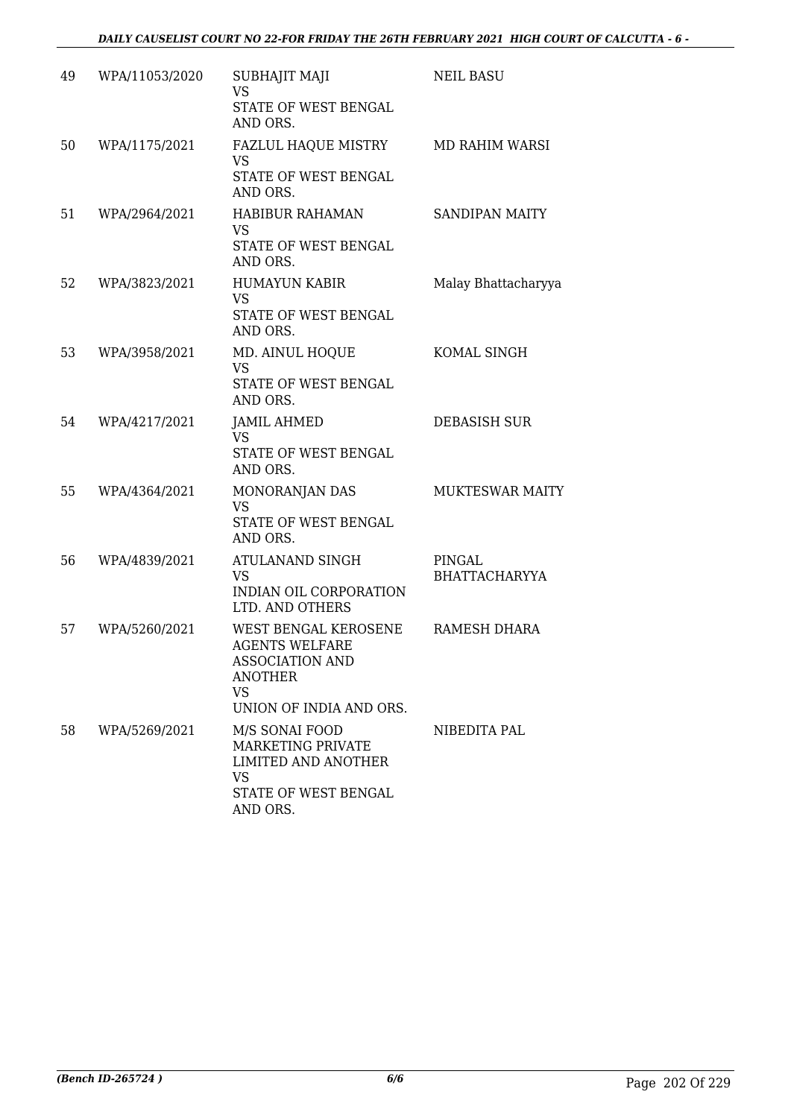| 49 | WPA/11053/2020 | SUBHAJIT MAJI<br><b>VS</b><br>STATE OF WEST BENGAL<br>AND ORS.                                                                    | <b>NEIL BASU</b>               |
|----|----------------|-----------------------------------------------------------------------------------------------------------------------------------|--------------------------------|
| 50 | WPA/1175/2021  | FAZLUL HAQUE MISTRY<br><b>VS</b><br>STATE OF WEST BENGAL<br>AND ORS.                                                              | MD RAHIM WARSI                 |
| 51 | WPA/2964/2021  | HABIBUR RAHAMAN<br><b>VS</b><br>STATE OF WEST BENGAL<br>AND ORS.                                                                  | <b>SANDIPAN MAITY</b>          |
| 52 | WPA/3823/2021  | <b>HUMAYUN KABIR</b><br><b>VS</b><br>STATE OF WEST BENGAL<br>AND ORS.                                                             | Malay Bhattacharyya            |
| 53 | WPA/3958/2021  | MD. AINUL HOQUE<br><b>VS</b><br>STATE OF WEST BENGAL<br>AND ORS.                                                                  | KOMAL SINGH                    |
| 54 | WPA/4217/2021  | <b>JAMIL AHMED</b><br><b>VS</b><br>STATE OF WEST BENGAL<br>AND ORS.                                                               | DEBASISH SUR                   |
| 55 | WPA/4364/2021  | MONORANJAN DAS<br><b>VS</b><br>STATE OF WEST BENGAL<br>AND ORS.                                                                   | <b>MUKTESWAR MAITY</b>         |
| 56 | WPA/4839/2021  | ATULANAND SINGH<br><b>VS</b><br>INDIAN OIL CORPORATION<br>LTD. AND OTHERS                                                         | PINGAL<br><b>BHATTACHARYYA</b> |
| 57 | WPA/5260/2021  | WEST BENGAL KEROSENE<br><b>AGENTS WELFARE</b><br><b>ASSOCIATION AND</b><br><b>ANOTHER</b><br><b>VS</b><br>UNION OF INDIA AND ORS. | RAMESH DHARA                   |
| 58 | WPA/5269/2021  | M/S SONAI FOOD<br>MARKETING PRIVATE<br><b>LIMITED AND ANOTHER</b><br><b>VS</b><br>STATE OF WEST BENGAL<br>AND ORS.                | NIBEDITA PAL                   |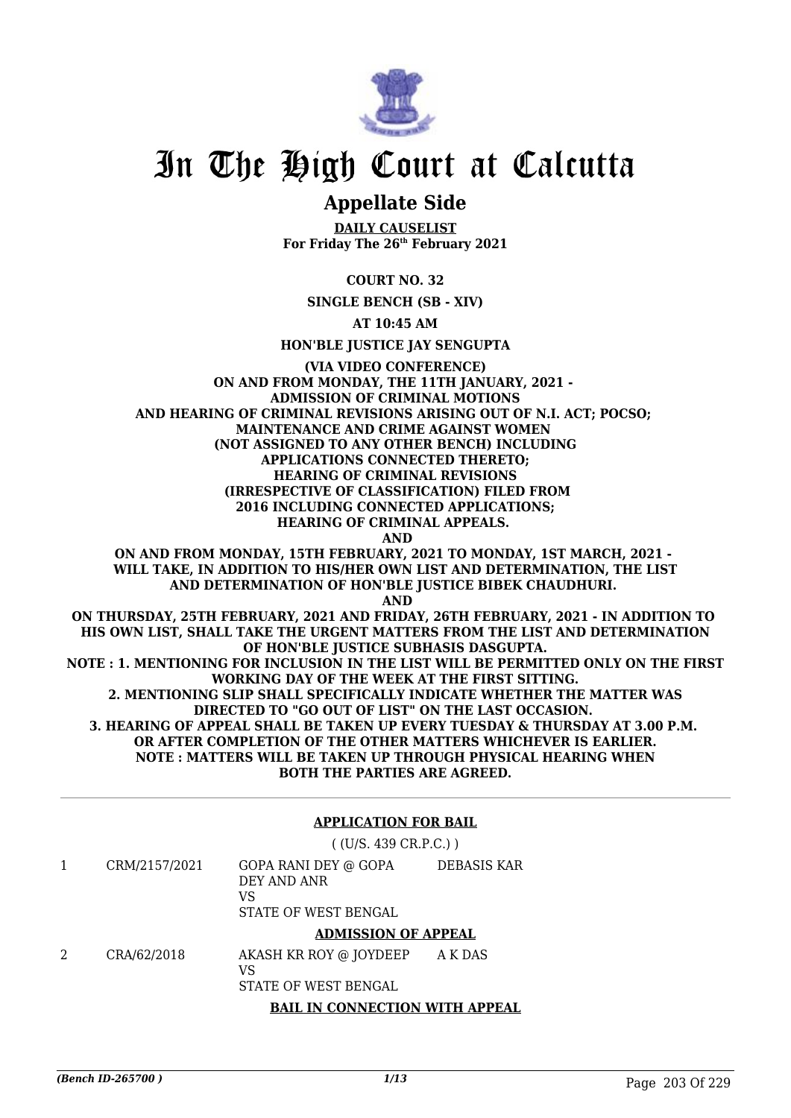

### **Appellate Side**

**DAILY CAUSELIST For Friday The 26th February 2021**

**COURT NO. 32**

**SINGLE BENCH (SB - XIV)**

**AT 10:45 AM**

**HON'BLE JUSTICE JAY SENGUPTA**

**(VIA VIDEO CONFERENCE) ON AND FROM MONDAY, THE 11TH JANUARY, 2021 - ADMISSION OF CRIMINAL MOTIONS AND HEARING OF CRIMINAL REVISIONS ARISING OUT OF N.I. ACT; POCSO; MAINTENANCE AND CRIME AGAINST WOMEN (NOT ASSIGNED TO ANY OTHER BENCH) INCLUDING APPLICATIONS CONNECTED THERETO; HEARING OF CRIMINAL REVISIONS (IRRESPECTIVE OF CLASSIFICATION) FILED FROM 2016 INCLUDING CONNECTED APPLICATIONS; HEARING OF CRIMINAL APPEALS. AND ON AND FROM MONDAY, 15TH FEBRUARY, 2021 TO MONDAY, 1ST MARCH, 2021 - WILL TAKE, IN ADDITION TO HIS/HER OWN LIST AND DETERMINATION, THE LIST AND DETERMINATION OF HON'BLE JUSTICE BIBEK CHAUDHURI. AND ON THURSDAY, 25TH FEBRUARY, 2021 AND FRIDAY, 26TH FEBRUARY, 2021 - IN ADDITION TO HIS OWN LIST, SHALL TAKE THE URGENT MATTERS FROM THE LIST AND DETERMINATION OF HON'BLE JUSTICE SUBHASIS DASGUPTA. NOTE : 1. MENTIONING FOR INCLUSION IN THE LIST WILL BE PERMITTED ONLY ON THE FIRST WORKING DAY OF THE WEEK AT THE FIRST SITTING. 2. MENTIONING SLIP SHALL SPECIFICALLY INDICATE WHETHER THE MATTER WAS DIRECTED TO "GO OUT OF LIST" ON THE LAST OCCASION. 3. HEARING OF APPEAL SHALL BE TAKEN UP EVERY TUESDAY & THURSDAY AT 3.00 P.M. OR AFTER COMPLETION OF THE OTHER MATTERS WHICHEVER IS EARLIER. NOTE : MATTERS WILL BE TAKEN UP THROUGH PHYSICAL HEARING WHEN**

**BOTH THE PARTIES ARE AGREED.**

### **APPLICATION FOR BAIL**

( (U/S. 439 CR.P.C.) ) 1 CRM/2157/2021 GOPA RANI DEY @ GOPA DEY AND ANR VS STATE OF WEST BENGAL DEBASIS KAR **ADMISSION OF APPEAL**

2 CRA/62/2018 AKASH KR ROY @ JOYDEEP VS A K DAS

STATE OF WEST BENGAL

### **BAIL IN CONNECTION WITH APPEAL**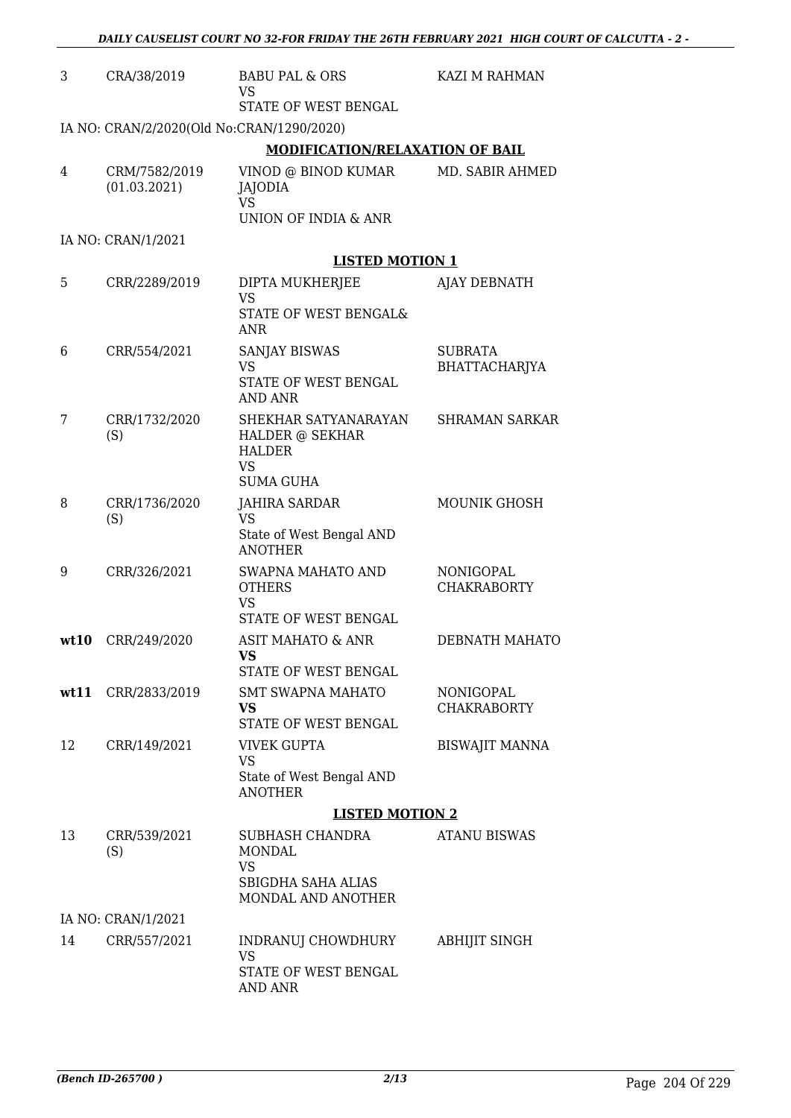| 3    | CRA/38/2019                               | <b>BABU PAL &amp; ORS</b><br><b>VS</b><br>STATE OF WEST BENGAL                            | KAZI M RAHMAN                          |
|------|-------------------------------------------|-------------------------------------------------------------------------------------------|----------------------------------------|
|      | IA NO: CRAN/2/2020(Old No:CRAN/1290/2020) |                                                                                           |                                        |
|      |                                           | <b>MODIFICATION/RELAXATION OF BAIL</b>                                                    |                                        |
| 4    | CRM/7582/2019<br>(01.03.2021)             | VINOD @ BINOD KUMAR<br><b>JAJODIA</b><br><b>VS</b><br>UNION OF INDIA & ANR                | MD. SABIR AHMED                        |
|      | IA NO: CRAN/1/2021                        |                                                                                           |                                        |
|      |                                           | <b>LISTED MOTION 1</b>                                                                    |                                        |
| 5    | CRR/2289/2019                             | DIPTA MUKHERJEE<br><b>VS</b><br>STATE OF WEST BENGAL&<br>ANR                              | AJAY DEBNATH                           |
| 6    | CRR/554/2021                              | <b>SANJAY BISWAS</b><br><b>VS</b><br>STATE OF WEST BENGAL<br><b>AND ANR</b>               | <b>SUBRATA</b><br><b>BHATTACHARJYA</b> |
| 7    | CRR/1732/2020<br>(S)                      | SHEKHAR SATYANARAYAN<br>HALDER @ SEKHAR<br><b>HALDER</b><br><b>VS</b><br><b>SUMA GUHA</b> | <b>SHRAMAN SARKAR</b>                  |
| 8    | CRR/1736/2020<br>(S)                      | <b>JAHIRA SARDAR</b><br><b>VS</b><br>State of West Bengal AND<br><b>ANOTHER</b>           | MOUNIK GHOSH                           |
| 9    | CRR/326/2021                              | SWAPNA MAHATO AND<br><b>OTHERS</b><br><b>VS</b><br>STATE OF WEST BENGAL                   | NONIGOPAL<br><b>CHAKRABORTY</b>        |
| wt10 | CRR/249/2020                              | <b>ASIT MAHATO &amp; ANR</b><br>VS.<br>STATE OF WEST BENGAL                               | DEBNATH MAHATO                         |
| wt11 | CRR/2833/2019                             | <b>SMT SWAPNA MAHATO</b><br>VS<br>STATE OF WEST BENGAL                                    | <b>NONIGOPAL</b><br><b>CHAKRABORTY</b> |
| 12   | CRR/149/2021                              | <b>VIVEK GUPTA</b><br><b>VS</b><br>State of West Bengal AND<br><b>ANOTHER</b>             | <b>BISWAJIT MANNA</b>                  |
|      |                                           | <b>LISTED MOTION 2</b>                                                                    |                                        |
| 13   | CRR/539/2021<br>(S)                       | SUBHASH CHANDRA<br><b>MONDAL</b><br>VS<br>SBIGDHA SAHA ALIAS<br>MONDAL AND ANOTHER        | <b>ATANU BISWAS</b>                    |
|      | IA NO: CRAN/1/2021                        |                                                                                           |                                        |
| 14   | CRR/557/2021                              | INDRANUJ CHOWDHURY<br>VS<br>STATE OF WEST BENGAL<br>AND ANR                               | <b>ABHIJIT SINGH</b>                   |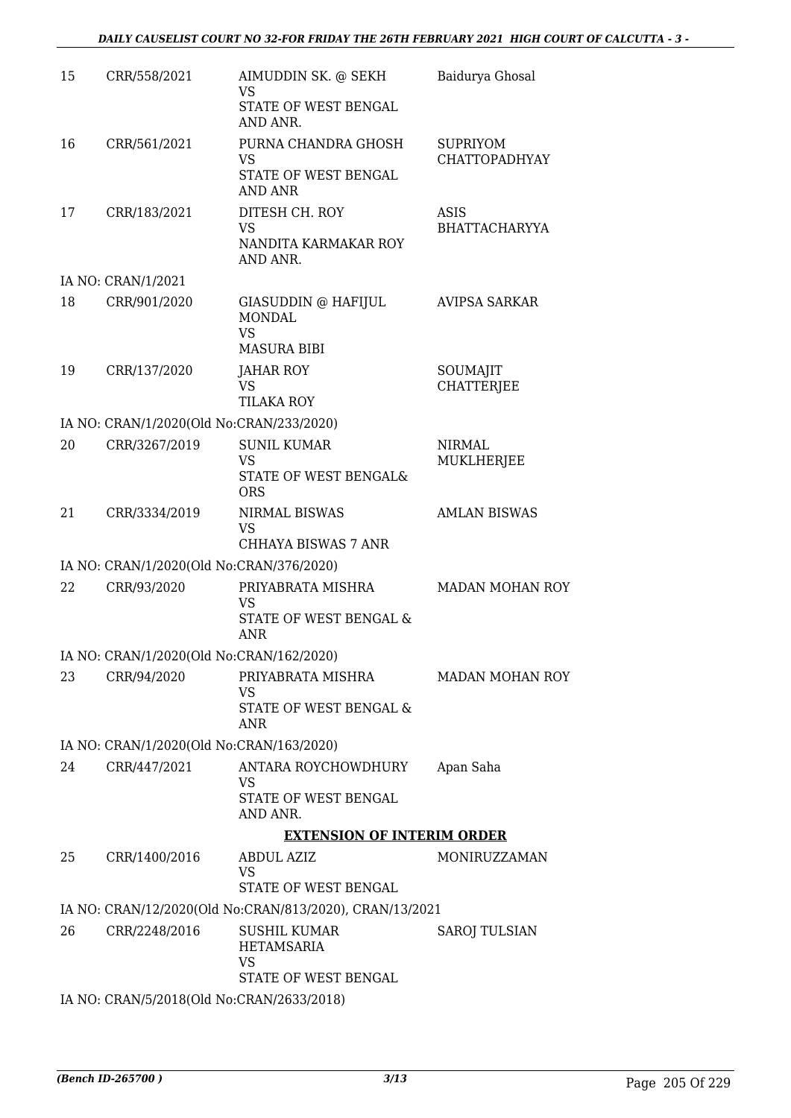| 15 | CRR/558/2021                              | AIMUDDIN SK. @ SEKH<br><b>VS</b>                        | Baidurya Ghosal             |
|----|-------------------------------------------|---------------------------------------------------------|-----------------------------|
|    |                                           | STATE OF WEST BENGAL<br>AND ANR.                        |                             |
| 16 | CRR/561/2021                              | PURNA CHANDRA GHOSH                                     | <b>SUPRIYOM</b>             |
|    |                                           | <b>VS</b>                                               | <b>CHATTOPADHYAY</b>        |
|    |                                           | STATE OF WEST BENGAL<br><b>AND ANR</b>                  |                             |
| 17 | CRR/183/2021                              | DITESH CH. ROY                                          | ASIS                        |
|    |                                           | <b>VS</b><br>NANDITA KARMAKAR ROY                       | <b>BHATTACHARYYA</b>        |
|    |                                           | AND ANR.                                                |                             |
|    | IA NO: CRAN/1/2021                        |                                                         |                             |
| 18 | CRR/901/2020                              | GIASUDDIN @ HAFIJUL<br><b>MONDAL</b>                    | <b>AVIPSA SARKAR</b>        |
|    |                                           | <b>VS</b><br><b>MASURA BIBI</b>                         |                             |
| 19 | CRR/137/2020                              | JAHAR ROY                                               | SOUMAJIT                    |
|    |                                           | <b>VS</b>                                               | <b>CHATTERJEE</b>           |
|    |                                           | TILAKA ROY                                              |                             |
|    | IA NO: CRAN/1/2020(Old No:CRAN/233/2020)  |                                                         |                             |
| 20 | CRR/3267/2019                             | <b>SUNIL KUMAR</b><br><b>VS</b>                         | <b>NIRMAL</b><br>MUKLHERJEE |
|    |                                           | STATE OF WEST BENGAL&                                   |                             |
|    |                                           | <b>ORS</b>                                              |                             |
| 21 | CRR/3334/2019                             | NIRMAL BISWAS<br><b>VS</b>                              | <b>AMLAN BISWAS</b>         |
|    |                                           | <b>CHHAYA BISWAS 7 ANR</b>                              |                             |
|    | IA NO: CRAN/1/2020(Old No:CRAN/376/2020)  |                                                         |                             |
| 22 | CRR/93/2020                               | PRIYABRATA MISHRA<br>VS                                 | <b>MADAN MOHAN ROY</b>      |
|    |                                           | STATE OF WEST BENGAL &                                  |                             |
|    |                                           | <b>ANR</b>                                              |                             |
|    | IA NO: CRAN/1/2020(Old No:CRAN/162/2020)  |                                                         |                             |
| 23 | CRR/94/2020                               | PRIYABRATA MISHRA<br>VS                                 | <b>MADAN MOHAN ROY</b>      |
|    |                                           | STATE OF WEST BENGAL &<br><b>ANR</b>                    |                             |
|    | IA NO: CRAN/1/2020(Old No:CRAN/163/2020)  |                                                         |                             |
| 24 | CRR/447/2021                              | ANTARA ROYCHOWDHURY                                     | Apan Saha                   |
|    |                                           | <b>VS</b>                                               |                             |
|    |                                           | STATE OF WEST BENGAL<br>AND ANR.                        |                             |
|    |                                           | <b>EXTENSION OF INTERIM ORDER</b>                       |                             |
| 25 | CRR/1400/2016                             | ABDUL AZIZ                                              | MONIRUZZAMAN                |
|    |                                           | <b>VS</b><br>STATE OF WEST BENGAL                       |                             |
|    |                                           | IA NO: CRAN/12/2020(Old No:CRAN/813/2020), CRAN/13/2021 |                             |
| 26 | CRR/2248/2016                             | SUSHIL KUMAR                                            | <b>SAROJ TULSIAN</b>        |
|    |                                           | HETAMSARIA                                              |                             |
|    |                                           | VS<br>STATE OF WEST BENGAL                              |                             |
|    | IA NO: CRAN/5/2018(Old No:CRAN/2633/2018) |                                                         |                             |
|    |                                           |                                                         |                             |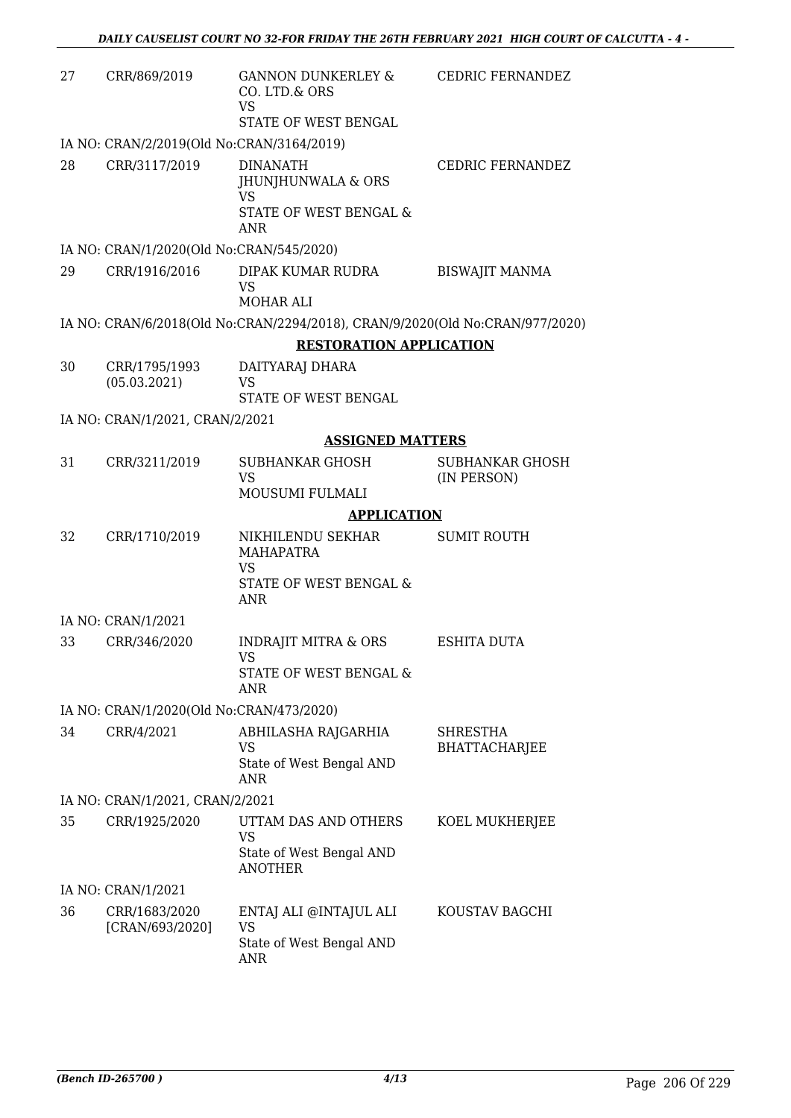| 27 | CRR/869/2019                              | <b>GANNON DUNKERLEY &amp;</b><br>CO. LTD.& ORS<br>VS<br>STATE OF WEST BENGAL               | <b>CEDRIC FERNANDEZ</b>          |
|----|-------------------------------------------|--------------------------------------------------------------------------------------------|----------------------------------|
|    | IA NO: CRAN/2/2019(Old No:CRAN/3164/2019) |                                                                                            |                                  |
| 28 | CRR/3117/2019                             | <b>DINANATH</b><br>JHUNJHUNWALA & ORS<br>VS<br><b>STATE OF WEST BENGAL &amp;</b><br>ANR    | <b>CEDRIC FERNANDEZ</b>          |
|    | IA NO: CRAN/1/2020(Old No:CRAN/545/2020)  |                                                                                            |                                  |
| 29 | CRR/1916/2016                             | DIPAK KUMAR RUDRA<br>VS<br><b>MOHAR ALI</b>                                                | <b>BISWAJIT MANMA</b>            |
|    |                                           | IA NO: CRAN/6/2018(Old No:CRAN/2294/2018), CRAN/9/2020(Old No:CRAN/977/2020)               |                                  |
|    |                                           | <b>RESTORATION APPLICATION</b>                                                             |                                  |
| 30 | CRR/1795/1993<br>(05.03.2021)             | DAITYARAJ DHARA<br><b>VS</b><br>STATE OF WEST BENGAL                                       |                                  |
|    | IA NO: CRAN/1/2021, CRAN/2/2021           |                                                                                            |                                  |
|    |                                           | <b>ASSIGNED MATTERS</b>                                                                    |                                  |
| 31 | CRR/3211/2019                             | SUBHANKAR GHOSH<br><b>VS</b><br>MOUSUMI FULMALI                                            | SUBHANKAR GHOSH<br>(IN PERSON)   |
|    |                                           | <b>APPLICATION</b>                                                                         |                                  |
| 32 | CRR/1710/2019                             | NIKHILENDU SEKHAR<br><b>MAHAPATRA</b><br><b>VS</b><br>STATE OF WEST BENGAL &<br><b>ANR</b> | <b>SUMIT ROUTH</b>               |
|    | IA NO: CRAN/1/2021                        |                                                                                            |                                  |
| 33 | CRR/346/2020                              | <b>INDRAJIT MITRA &amp; ORS</b><br>VS<br><b>STATE OF WEST BENGAL &amp;</b><br>ANR          | <b>ESHITA DUTA</b>               |
|    | IA NO: CRAN/1/2020(Old No:CRAN/473/2020)  |                                                                                            |                                  |
| 34 | CRR/4/2021                                | ABHILASHA RAJGARHIA<br>VS<br>State of West Bengal AND<br><b>ANR</b>                        | SHRESTHA<br><b>BHATTACHARJEE</b> |
|    | IA NO: CRAN/1/2021, CRAN/2/2021           |                                                                                            |                                  |
| 35 | CRR/1925/2020                             | UTTAM DAS AND OTHERS<br><b>VS</b><br>State of West Bengal AND<br><b>ANOTHER</b>            | KOEL MUKHERJEE                   |
|    | IA NO: CRAN/1/2021                        |                                                                                            |                                  |
| 36 | CRR/1683/2020<br>[CRAN/693/2020]          | ENTAJ ALI @INTAJUL ALI<br>VS<br>State of West Bengal AND<br>ANR                            | KOUSTAV BAGCHI                   |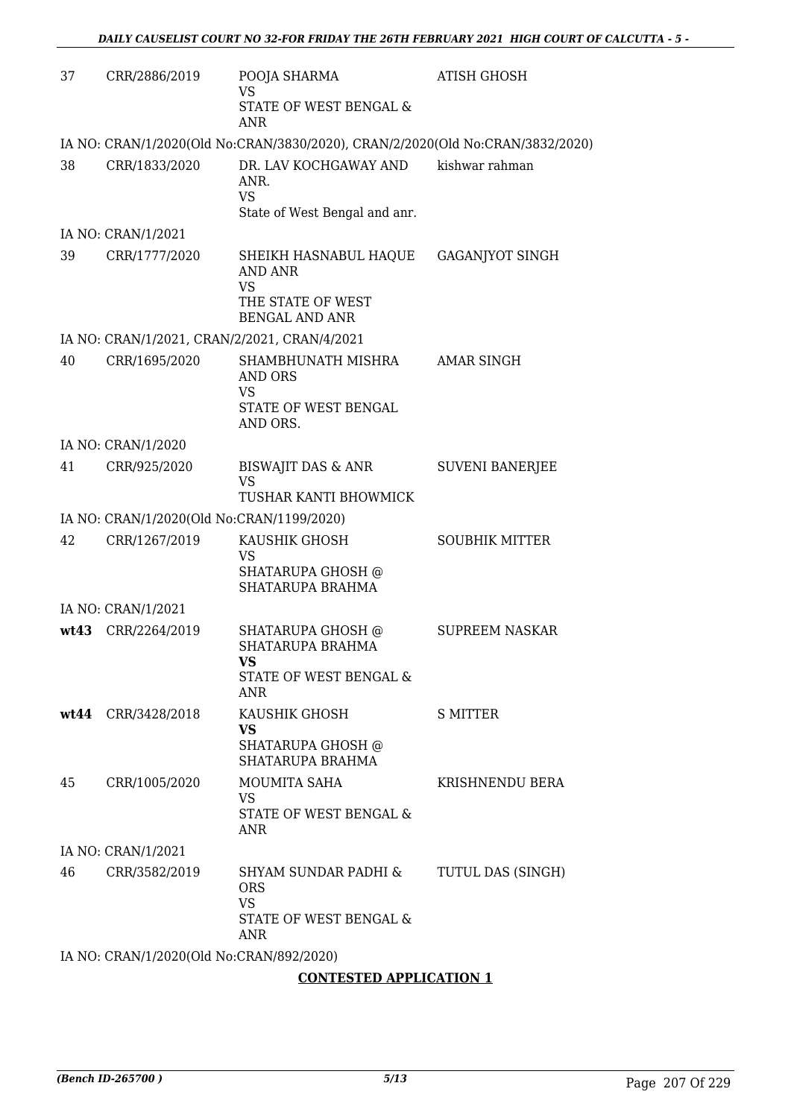| 37 | CRR/2886/2019                                | POOJA SHARMA<br><b>VS</b><br>STATE OF WEST BENGAL &                                         | <b>ATISH GHOSH</b>     |
|----|----------------------------------------------|---------------------------------------------------------------------------------------------|------------------------|
|    |                                              | <b>ANR</b>                                                                                  |                        |
|    |                                              | IA NO: CRAN/1/2020(Old No:CRAN/3830/2020), CRAN/2/2020(Old No:CRAN/3832/2020)               |                        |
| 38 | CRR/1833/2020                                | DR. LAV KOCHGAWAY AND<br>ANR.<br><b>VS</b>                                                  | kishwar rahman         |
|    |                                              | State of West Bengal and anr.                                                               |                        |
|    | IA NO: CRAN/1/2021                           |                                                                                             |                        |
| 39 | CRR/1777/2020                                | SHEIKH HASNABUL HAQUE<br>AND ANR<br><b>VS</b><br>THE STATE OF WEST<br><b>BENGAL AND ANR</b> | GAGANJYOT SINGH        |
|    | IA NO: CRAN/1/2021, CRAN/2/2021, CRAN/4/2021 |                                                                                             |                        |
| 40 | CRR/1695/2020                                | SHAMBHUNATH MISHRA<br><b>AND ORS</b>                                                        | <b>AMAR SINGH</b>      |
|    |                                              | <b>VS</b><br>STATE OF WEST BENGAL<br>AND ORS.                                               |                        |
|    | IA NO: CRAN/1/2020                           |                                                                                             |                        |
| 41 | CRR/925/2020                                 | <b>BISWAJIT DAS &amp; ANR</b><br><b>VS</b><br>TUSHAR KANTI BHOWMICK                         | <b>SUVENI BANERJEE</b> |
|    | IA NO: CRAN/1/2020(Old No:CRAN/1199/2020)    |                                                                                             |                        |
| 42 | CRR/1267/2019                                | KAUSHIK GHOSH<br><b>VS</b><br>SHATARUPA GHOSH @<br>SHATARUPA BRAHMA                         | <b>SOUBHIK MITTER</b>  |
|    | IA NO: CRAN/1/2021                           |                                                                                             |                        |
|    | wt43 CRR/2264/2019                           | SHATARUPA GHOSH @<br>SHATARUPA BRAHMA<br><b>VS</b>                                          | <b>SUPREEM NASKAR</b>  |
|    |                                              | STATE OF WEST BENGAL &<br>ANR                                                               |                        |
|    | wt44 CRR/3428/2018                           | KAUSHIK GHOSH<br>VS<br>SHATARUPA GHOSH @                                                    | <b>S MITTER</b>        |
|    |                                              | SHATARUPA BRAHMA                                                                            |                        |
| 45 | CRR/1005/2020                                | <b>MOUMITA SAHA</b><br>VS<br>STATE OF WEST BENGAL &<br>ANR                                  | KRISHNENDU BERA        |
|    | IA NO: CRAN/1/2021                           |                                                                                             |                        |
| 46 | CRR/3582/2019                                | SHYAM SUNDAR PADHI &<br><b>ORS</b><br><b>VS</b><br>STATE OF WEST BENGAL &<br><b>ANR</b>     | TUTUL DAS (SINGH)      |
|    | IA NO: CRAN/1/2020(Old No:CRAN/892/2020)     |                                                                                             |                        |
|    |                                              | <b>CONTESTED APPLICATION 1</b>                                                              |                        |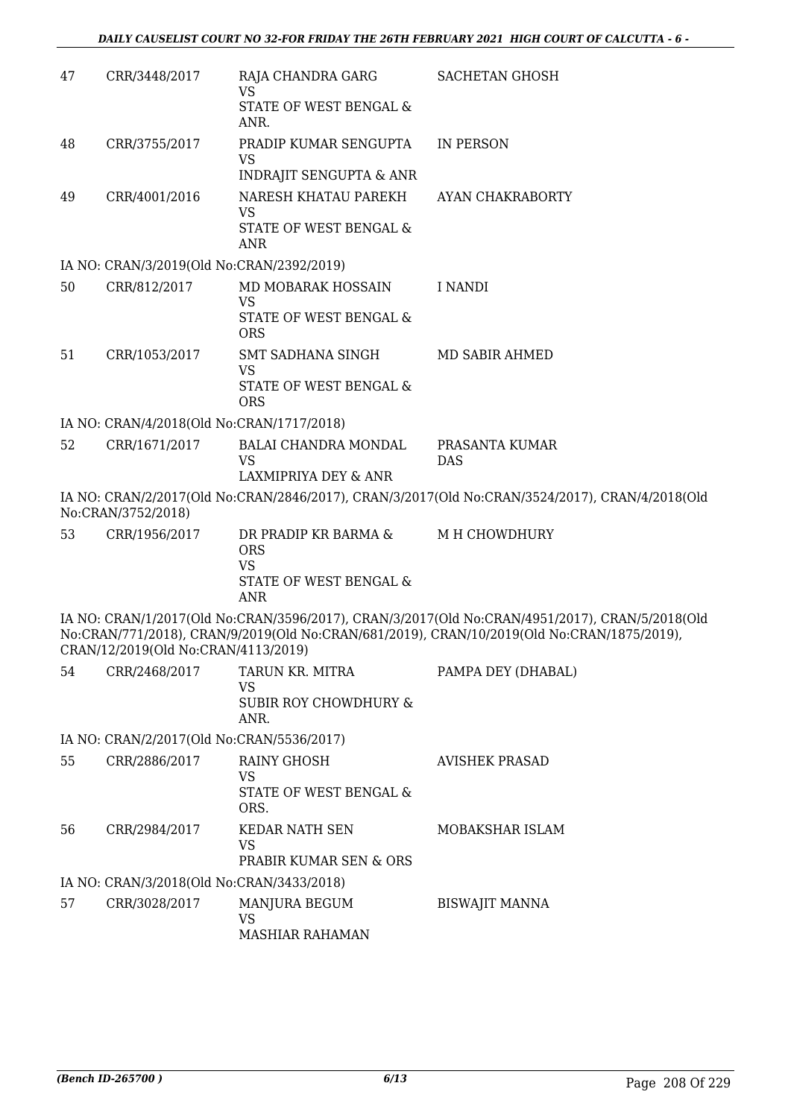| 47 | CRR/3448/2017                             | RAJA CHANDRA GARG<br><b>VS</b><br><b>STATE OF WEST BENGAL &amp;</b><br>ANR.             | <b>SACHETAN GHOSH</b>                                                                                                                                                                        |
|----|-------------------------------------------|-----------------------------------------------------------------------------------------|----------------------------------------------------------------------------------------------------------------------------------------------------------------------------------------------|
| 48 | CRR/3755/2017                             | PRADIP KUMAR SENGUPTA<br>VS<br><b>INDRAJIT SENGUPTA &amp; ANR</b>                       | <b>IN PERSON</b>                                                                                                                                                                             |
| 49 | CRR/4001/2016                             | NARESH KHATAU PAREKH<br><b>VS</b><br>STATE OF WEST BENGAL &<br><b>ANR</b>               | AYAN CHAKRABORTY                                                                                                                                                                             |
|    | IA NO: CRAN/3/2019(Old No:CRAN/2392/2019) |                                                                                         |                                                                                                                                                                                              |
| 50 | CRR/812/2017                              | MD MOBARAK HOSSAIN<br><b>VS</b><br>STATE OF WEST BENGAL &<br><b>ORS</b>                 | <b>I NANDI</b>                                                                                                                                                                               |
| 51 | CRR/1053/2017                             | SMT SADHANA SINGH<br><b>VS</b><br>STATE OF WEST BENGAL &<br><b>ORS</b>                  | MD SABIR AHMED                                                                                                                                                                               |
|    | IA NO: CRAN/4/2018(Old No:CRAN/1717/2018) |                                                                                         |                                                                                                                                                                                              |
| 52 | CRR/1671/2017                             | <b>BALAI CHANDRA MONDAL</b><br><b>VS</b><br>LAXMIPRIYA DEY & ANR                        | PRASANTA KUMAR<br><b>DAS</b>                                                                                                                                                                 |
|    | No:CRAN/3752/2018)                        |                                                                                         | IA NO: CRAN/2/2017(Old No:CRAN/2846/2017), CRAN/3/2017(Old No:CRAN/3524/2017), CRAN/4/2018(Old                                                                                               |
| 53 | CRR/1956/2017                             | DR PRADIP KR BARMA &<br><b>ORS</b><br><b>VS</b><br>STATE OF WEST BENGAL &<br><b>ANR</b> | M H CHOWDHURY                                                                                                                                                                                |
|    | CRAN/12/2019(Old No:CRAN/4113/2019)       |                                                                                         | IA NO: CRAN/1/2017(Old No:CRAN/3596/2017), CRAN/3/2017(Old No:CRAN/4951/2017), CRAN/5/2018(Old<br>No:CRAN/771/2018), CRAN/9/2019(Old No:CRAN/681/2019), CRAN/10/2019(Old No:CRAN/1875/2019), |
| 54 | CRR/2468/2017                             | TARUN KR. MITRA<br><b>VS</b><br><b>SUBIR ROY CHOWDHURY &amp;</b><br>ANR.                | PAMPA DEY (DHABAL)                                                                                                                                                                           |
|    | IA NO: CRAN/2/2017(Old No:CRAN/5536/2017) |                                                                                         |                                                                                                                                                                                              |
| 55 | CRR/2886/2017                             | RAINY GHOSH<br><b>VS</b><br>STATE OF WEST BENGAL &<br>ORS.                              | <b>AVISHEK PRASAD</b>                                                                                                                                                                        |
| 56 | CRR/2984/2017                             | KEDAR NATH SEN<br>VS<br>PRABIR KUMAR SEN & ORS                                          | MOBAKSHAR ISLAM                                                                                                                                                                              |
|    | IA NO: CRAN/3/2018(Old No:CRAN/3433/2018) |                                                                                         |                                                                                                                                                                                              |
| 57 | CRR/3028/2017                             | MANJURA BEGUM<br><b>VS</b><br><b>MASHIAR RAHAMAN</b>                                    | <b>BISWAJIT MANNA</b>                                                                                                                                                                        |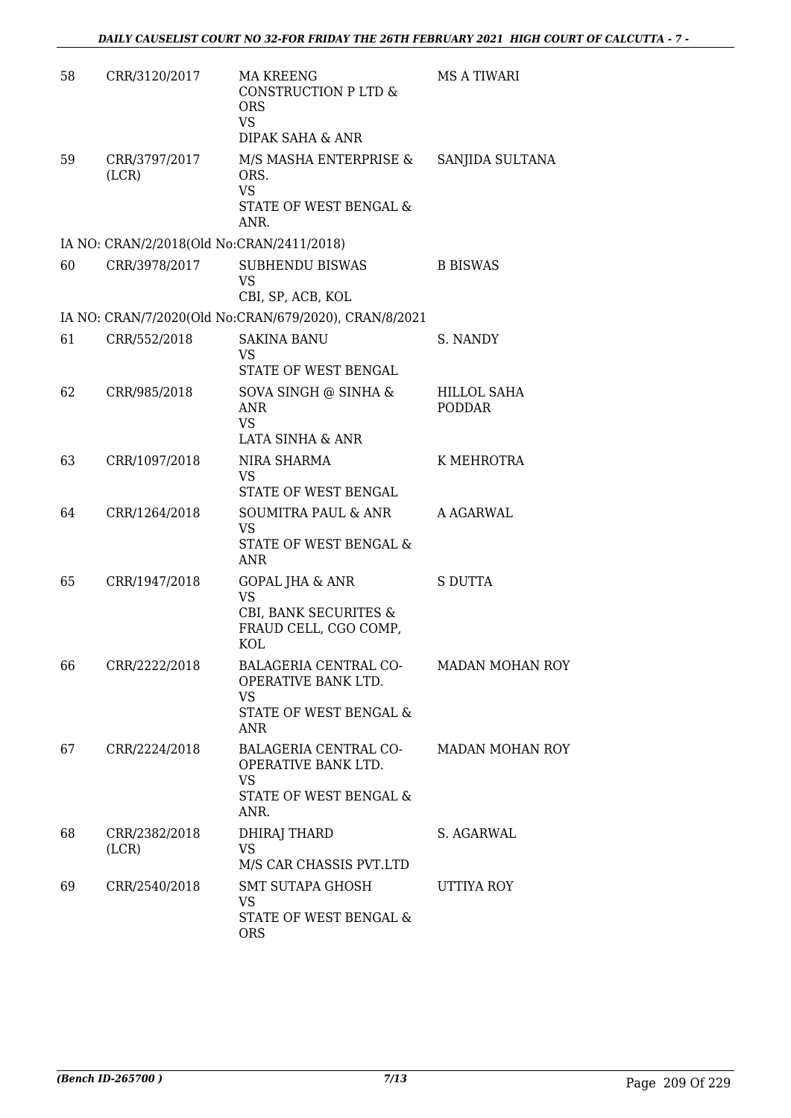| 58 | CRR/3120/2017                             | MA KREENG<br>CONSTRUCTION P LTD &<br><b>ORS</b><br><b>VS</b><br>DIPAK SAHA & ANR                 | <b>MS A TIWARI</b>           |
|----|-------------------------------------------|--------------------------------------------------------------------------------------------------|------------------------------|
| 59 | CRR/3797/2017<br>(LCR)                    | M/S MASHA ENTERPRISE &<br>ORS.<br><b>VS</b><br>STATE OF WEST BENGAL &<br>ANR.                    | SANJIDA SULTANA              |
|    | IA NO: CRAN/2/2018(Old No:CRAN/2411/2018) |                                                                                                  |                              |
| 60 | CRR/3978/2017                             | SUBHENDU BISWAS<br><b>VS</b><br>CBI, SP, ACB, KOL                                                | <b>B BISWAS</b>              |
|    |                                           | IA NO: CRAN/7/2020(Old No:CRAN/679/2020), CRAN/8/2021                                            |                              |
| 61 | CRR/552/2018                              | <b>SAKINA BANU</b><br>VS                                                                         | S. NANDY                     |
| 62 | CRR/985/2018                              | STATE OF WEST BENGAL<br>SOVA SINGH @ SINHA &<br><b>ANR</b><br><b>VS</b>                          | HILLOL SAHA<br><b>PODDAR</b> |
| 63 | CRR/1097/2018                             | LATA SINHA & ANR<br>NIRA SHARMA<br><b>VS</b><br>STATE OF WEST BENGAL                             | K MEHROTRA                   |
| 64 | CRR/1264/2018                             | SOUMITRA PAUL & ANR<br><b>VS</b><br>STATE OF WEST BENGAL &<br><b>ANR</b>                         | A AGARWAL                    |
| 65 | CRR/1947/2018                             | <b>GOPAL JHA &amp; ANR</b><br><b>VS</b><br>CBI, BANK SECURITES &<br>FRAUD CELL, CGO COMP,<br>KOL | <b>S DUTTA</b>               |
| bb | CRR/2222/2018                             | BALAGERIA CENTRAL CO-<br>OPERATIVE BANK LTD.<br>VS.<br><b>STATE OF WEST BENGAL &amp;</b><br>ANR  | MADAN MOHAN ROY              |
| 67 | CRR/2224/2018                             | BALAGERIA CENTRAL CO-<br>OPERATIVE BANK LTD.<br><b>VS</b><br>STATE OF WEST BENGAL &<br>ANR.      | <b>MADAN MOHAN ROY</b>       |
| 68 | CRR/2382/2018<br>(LCR)                    | DHIRAJ THARD<br>VS.<br>M/S CAR CHASSIS PVT.LTD                                                   | S. AGARWAL                   |
| 69 | CRR/2540/2018                             | SMT SUTAPA GHOSH<br>VS<br>STATE OF WEST BENGAL &<br><b>ORS</b>                                   | UTTIYA ROY                   |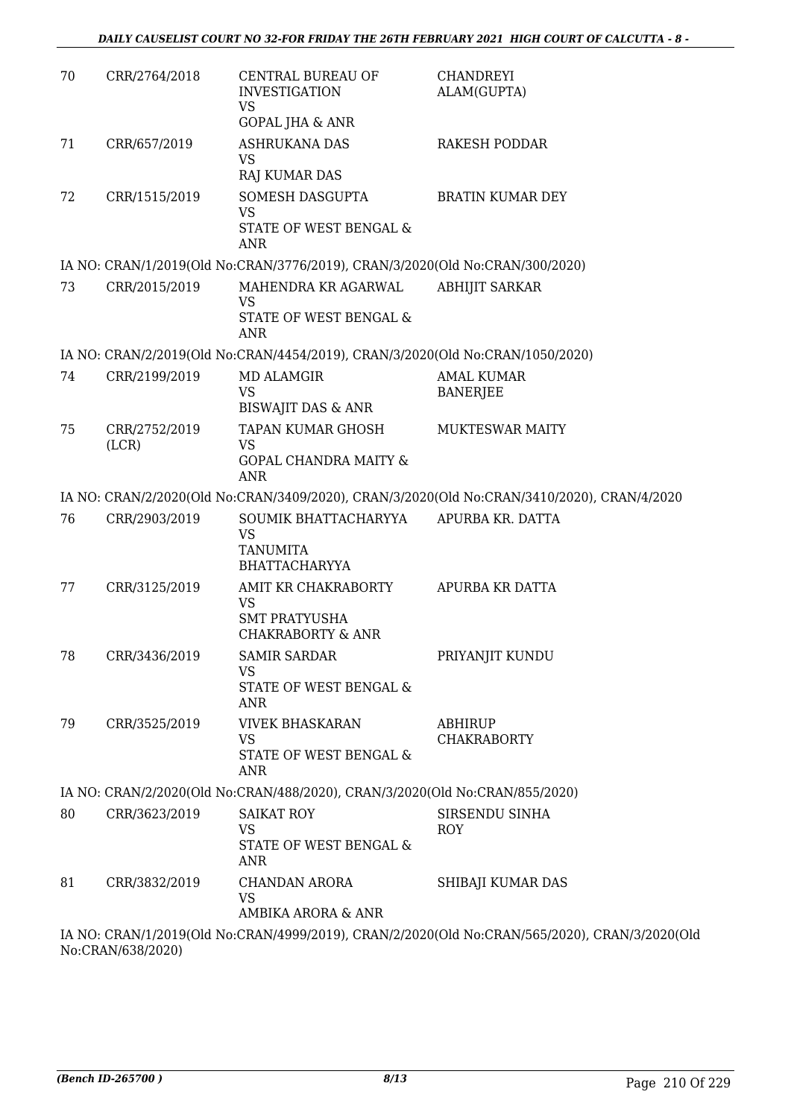| 70 | CRR/2764/2018 | <b>CENTRAL BUREAU OF</b><br><b>INVESTIGATION</b><br><b>VS</b><br><b>GOPAL JHA &amp; ANR</b> | <b>CHANDREYI</b><br>ALAM(GUPTA)                                                               |
|----|---------------|---------------------------------------------------------------------------------------------|-----------------------------------------------------------------------------------------------|
| 71 | CRR/657/2019  | <b>ASHRUKANA DAS</b><br><b>VS</b><br><b>RAJ KUMAR DAS</b>                                   | <b>RAKESH PODDAR</b>                                                                          |
| 72 | CRR/1515/2019 | SOMESH DASGUPTA<br><b>VS</b><br>STATE OF WEST BENGAL &<br><b>ANR</b>                        | <b>BRATIN KUMAR DEY</b>                                                                       |
|    |               | IA NO: CRAN/1/2019(Old No:CRAN/3776/2019), CRAN/3/2020(Old No:CRAN/300/2020)                |                                                                                               |
| 73 | CRR/2015/2019 | MAHENDRA KR AGARWAL<br><b>VS</b><br>STATE OF WEST BENGAL &<br><b>ANR</b>                    | <b>ABHIJIT SARKAR</b>                                                                         |
|    |               | IA NO: CRAN/2/2019(Old No:CRAN/4454/2019), CRAN/3/2020(Old No:CRAN/1050/2020)               |                                                                                               |
| 74 | CRR/2199/2019 | <b>MD ALAMGIR</b><br><b>VS</b>                                                              | <b>AMAL KUMAR</b><br><b>BANERJEE</b>                                                          |
| 75 | CRR/2752/2019 | <b>BISWAJIT DAS &amp; ANR</b><br>TAPAN KUMAR GHOSH                                          | <b>MUKTESWAR MAITY</b>                                                                        |
|    | (LCR)         | <b>VS</b><br><b>GOPAL CHANDRA MAITY &amp;</b><br><b>ANR</b>                                 |                                                                                               |
|    |               |                                                                                             | IA NO: CRAN/2/2020(Old No:CRAN/3409/2020), CRAN/3/2020(Old No:CRAN/3410/2020), CRAN/4/2020    |
| 76 | CRR/2903/2019 | SOUMIK BHATTACHARYYA<br>VS<br><b>TANUMITA</b><br><b>BHATTACHARYYA</b>                       | APURBA KR. DATTA                                                                              |
| 77 | CRR/3125/2019 | AMIT KR CHAKRABORTY<br><b>VS</b><br><b>SMT PRATYUSHA</b><br><b>CHAKRABORTY &amp; ANR</b>    | APURBA KR DATTA                                                                               |
| 78 | CRR/3436/2019 | <b>SAMIR SARDAR</b><br><b>VS</b><br>STATE OF WEST BENGAL &<br><b>ANR</b>                    | PRIYANJIT KUNDU                                                                               |
| 79 | CRR/3525/2019 | <b>VIVEK BHASKARAN</b><br><b>VS</b><br>STATE OF WEST BENGAL &<br><b>ANR</b>                 | <b>ABHIRUP</b><br><b>CHAKRABORTY</b>                                                          |
|    |               | IA NO: CRAN/2/2020(Old No:CRAN/488/2020), CRAN/3/2020(Old No:CRAN/855/2020)                 |                                                                                               |
| 80 | CRR/3623/2019 | <b>SAIKAT ROY</b><br>VS<br>STATE OF WEST BENGAL &<br>ANR                                    | SIRSENDU SINHA<br><b>ROY</b>                                                                  |
| 81 | CRR/3832/2019 | <b>CHANDAN ARORA</b><br>VS<br>AMBIKA ARORA & ANR                                            | SHIBAJI KUMAR DAS                                                                             |
|    |               |                                                                                             | IA NO: CRAN/1/2019(Old No:CRAN/4999/2019), CRAN/2/2020(Old No:CRAN/565/2020), CRAN/3/2020(Old |

No:CRAN/638/2020)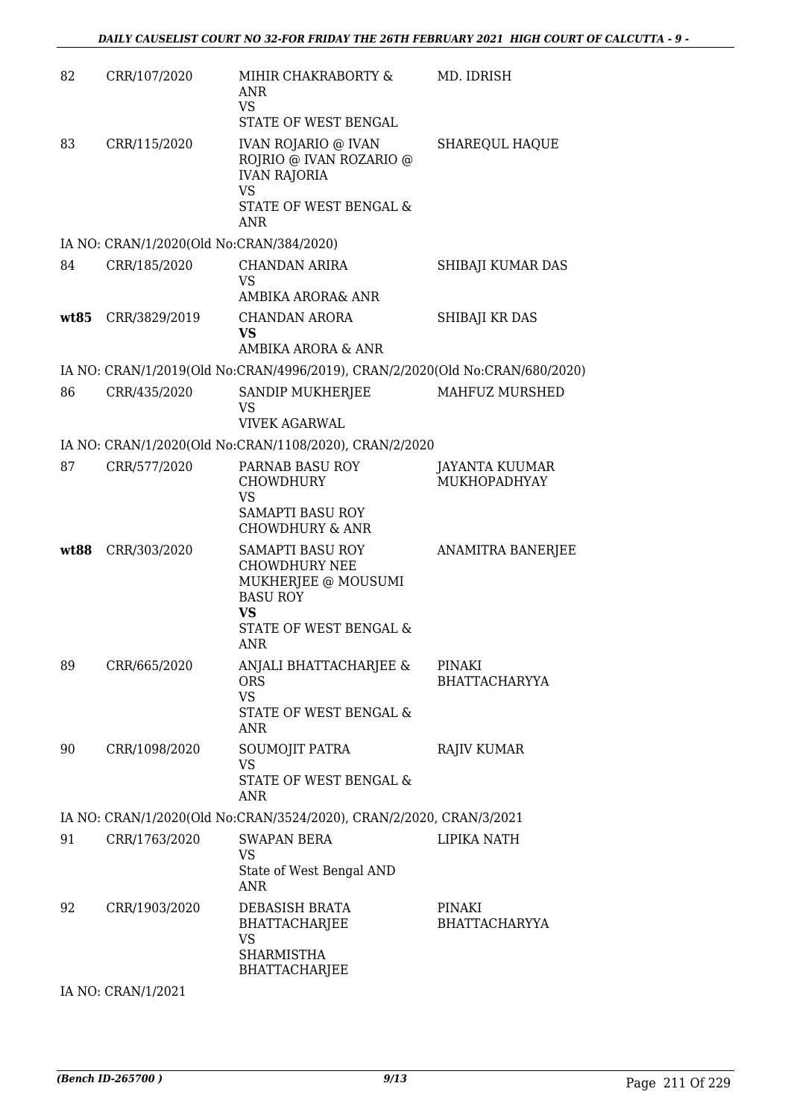| 82   | CRR/107/2020                             | MIHIR CHAKRABORTY &<br><b>ANR</b><br><b>VS</b><br>STATE OF WEST BENGAL                                                           | MD. IDRISH                     |
|------|------------------------------------------|----------------------------------------------------------------------------------------------------------------------------------|--------------------------------|
| 83   | CRR/115/2020                             | <b>IVAN ROJARIO @ IVAN</b><br>ROJRIO @ IVAN ROZARIO @<br><b>IVAN RAJORIA</b><br><b>VS</b><br>STATE OF WEST BENGAL &<br>ANR       | SHAREQUL HAQUE                 |
|      | IA NO: CRAN/1/2020(Old No:CRAN/384/2020) |                                                                                                                                  |                                |
| 84   | CRR/185/2020                             | CHANDAN ARIRA<br><b>VS</b><br>AMBIKA ARORA& ANR                                                                                  | SHIBAJI KUMAR DAS              |
| wt85 | CRR/3829/2019                            | <b>CHANDAN ARORA</b><br><b>VS</b>                                                                                                | SHIBAJI KR DAS                 |
|      |                                          | AMBIKA ARORA & ANR                                                                                                               |                                |
| 86   | CRR/435/2020                             | IA NO: CRAN/1/2019(Old No:CRAN/4996/2019), CRAN/2/2020(Old No:CRAN/680/2020)<br>SANDIP MUKHERJEE<br><b>VS</b>                    | MAHFUZ MURSHED                 |
|      |                                          | <b>VIVEK AGARWAL</b><br>IA NO: CRAN/1/2020(Old No:CRAN/1108/2020), CRAN/2/2020                                                   |                                |
| 87   | CRR/577/2020                             | PARNAB BASU ROY<br><b>CHOWDHURY</b><br><b>VS</b>                                                                                 | JAYANTA KUUMAR<br>MUKHOPADHYAY |
|      |                                          | <b>SAMAPTI BASU ROY</b><br><b>CHOWDHURY &amp; ANR</b>                                                                            |                                |
| wt88 | CRR/303/2020                             | SAMAPTI BASU ROY<br><b>CHOWDHURY NEE</b><br>MUKHERJEE @ MOUSUMI<br><b>BASU ROY</b><br><b>VS</b><br>STATE OF WEST BENGAL &<br>ANR | ANAMITRA BANERJEE              |
| 89   | CRR/665/2020                             | ANJALI BHATTACHARJEE & PINAKI<br><b>ORS</b><br><b>VS</b><br>STATE OF WEST BENGAL &                                               | <b>BHATTACHARYYA</b>           |
| 90   | CRR/1098/2020                            | ANR<br>SOUMOJIT PATRA<br><b>VS</b><br><b>STATE OF WEST BENGAL &amp;</b><br>ANR                                                   | <b>RAJIV KUMAR</b>             |
|      |                                          | IA NO: CRAN/1/2020(Old No:CRAN/3524/2020), CRAN/2/2020, CRAN/3/2021                                                              |                                |
| 91   | CRR/1763/2020                            | <b>SWAPAN BERA</b>                                                                                                               | LIPIKA NATH                    |
|      |                                          | VS<br>State of West Bengal AND<br>ANR                                                                                            |                                |
| 92   | CRR/1903/2020                            | DEBASISH BRATA<br>BHATTACHARJEE<br>VS<br><b>SHARMISTHA</b><br>BHATTACHARJEE                                                      | PINAKI<br><b>BHATTACHARYYA</b> |
|      |                                          |                                                                                                                                  |                                |

IA NO: CRAN/1/2021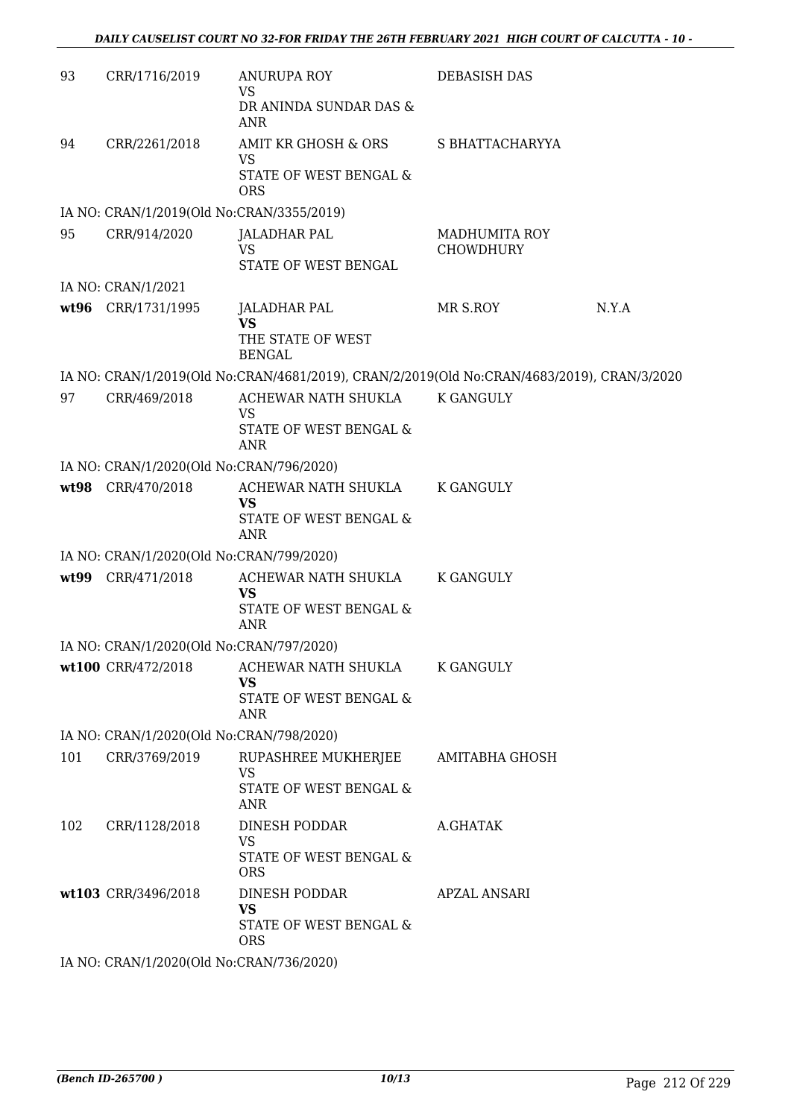| 93  | CRR/1716/2019                                                  | <b>ANURUPA ROY</b><br><b>VS</b>                                                            | <b>DEBASISH DAS</b>               |       |
|-----|----------------------------------------------------------------|--------------------------------------------------------------------------------------------|-----------------------------------|-------|
|     |                                                                | DR ANINDA SUNDAR DAS &<br>ANR                                                              |                                   |       |
| 94  | CRR/2261/2018                                                  | AMIT KR GHOSH & ORS<br>VS                                                                  | S BHATTACHARYYA                   |       |
|     |                                                                | STATE OF WEST BENGAL &<br><b>ORS</b>                                                       |                                   |       |
|     | IA NO: CRAN/1/2019(Old No:CRAN/3355/2019)                      |                                                                                            |                                   |       |
| 95  | CRR/914/2020                                                   | <b>JALADHAR PAL</b><br><b>VS</b>                                                           | <b>MADHUMITA ROY</b><br>CHOWDHURY |       |
|     |                                                                | STATE OF WEST BENGAL                                                                       |                                   |       |
|     | IA NO: CRAN/1/2021                                             |                                                                                            |                                   |       |
|     | wt96 CRR/1731/1995                                             | <b>JALADHAR PAL</b><br><b>VS</b>                                                           | MR S.ROY                          | N.Y.A |
|     |                                                                | THE STATE OF WEST<br><b>BENGAL</b>                                                         |                                   |       |
|     |                                                                | IA NO: CRAN/1/2019(Old No:CRAN/4681/2019), CRAN/2/2019(Old No:CRAN/4683/2019), CRAN/3/2020 |                                   |       |
| 97  | CRR/469/2018                                                   | ACHEWAR NATH SHUKLA<br><b>VS</b>                                                           | <b>K GANGULY</b>                  |       |
|     |                                                                | STATE OF WEST BENGAL &                                                                     |                                   |       |
|     |                                                                | <b>ANR</b>                                                                                 |                                   |       |
|     | IA NO: CRAN/1/2020(Old No:CRAN/796/2020)                       |                                                                                            |                                   |       |
|     | wt98 CRR/470/2018                                              | ACHEWAR NATH SHUKLA<br><b>VS</b>                                                           | K GANGULY                         |       |
|     |                                                                | STATE OF WEST BENGAL &<br><b>ANR</b>                                                       |                                   |       |
|     | IA NO: CRAN/1/2020(Old No:CRAN/799/2020)                       |                                                                                            |                                   |       |
|     | wt99 CRR/471/2018                                              | ACHEWAR NATH SHUKLA<br><b>VS</b><br>STATE OF WEST BENGAL &                                 | K GANGULY                         |       |
|     |                                                                | <b>ANR</b>                                                                                 |                                   |       |
|     | IA NO: CRAN/1/2020(Old No:CRAN/797/2020)<br>wt100 CRR/472/2018 | ACHEWAR NATH SHUKLA                                                                        | K GANGULY                         |       |
|     |                                                                | <b>VS</b>                                                                                  |                                   |       |
|     |                                                                | STATE OF WEST BENGAL &<br><b>ANR</b>                                                       |                                   |       |
|     | IA NO: CRAN/1/2020(Old No:CRAN/798/2020)                       |                                                                                            |                                   |       |
| 101 | CRR/3769/2019                                                  | RUPASHREE MUKHERJEE<br>VS                                                                  | AMITABHA GHOSH                    |       |
|     |                                                                | STATE OF WEST BENGAL &<br>ANR                                                              |                                   |       |
| 102 | CRR/1128/2018                                                  | DINESH PODDAR                                                                              | A.GHATAK                          |       |
|     |                                                                | <b>VS</b><br>STATE OF WEST BENGAL &<br><b>ORS</b>                                          |                                   |       |
|     | wt103 CRR/3496/2018                                            | DINESH PODDAR                                                                              | <b>APZAL ANSARI</b>               |       |
|     |                                                                | <b>VS</b><br>STATE OF WEST BENGAL &<br><b>ORS</b>                                          |                                   |       |
|     | IA NO: CRAN/1/2020(Old No:CRAN/736/2020)                       |                                                                                            |                                   |       |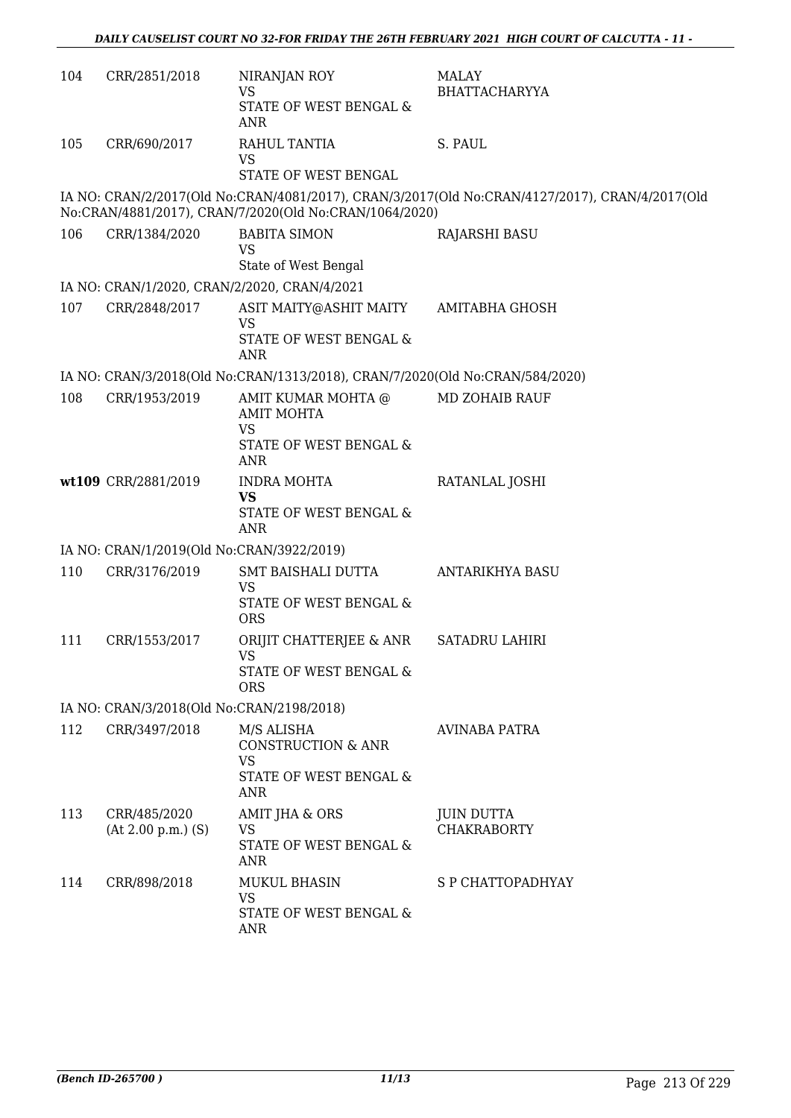| 104 | CRR/2851/2018                                | NIRANJAN ROY<br><b>VS</b><br>STATE OF WEST BENGAL &<br><b>ANR</b>                         | <b>MALAY</b><br><b>BHATTACHARYYA</b>                                                           |
|-----|----------------------------------------------|-------------------------------------------------------------------------------------------|------------------------------------------------------------------------------------------------|
| 105 | CRR/690/2017                                 | RAHUL TANTIA<br><b>VS</b><br>STATE OF WEST BENGAL                                         | S. PAUL                                                                                        |
|     |                                              | No:CRAN/4881/2017), CRAN/7/2020(Old No:CRAN/1064/2020)                                    | IA NO: CRAN/2/2017(Old No:CRAN/4081/2017), CRAN/3/2017(Old No:CRAN/4127/2017), CRAN/4/2017(Old |
| 106 | CRR/1384/2020                                | <b>BABITA SIMON</b><br><b>VS</b><br>State of West Bengal                                  | <b>RAJARSHI BASU</b>                                                                           |
|     | IA NO: CRAN/1/2020, CRAN/2/2020, CRAN/4/2021 |                                                                                           |                                                                                                |
| 107 | CRR/2848/2017                                | ASIT MAITY@ASHIT MAITY<br><b>VS</b><br>STATE OF WEST BENGAL &<br><b>ANR</b>               | AMITABHA GHOSH                                                                                 |
|     |                                              | IA NO: CRAN/3/2018(Old No:CRAN/1313/2018), CRAN/7/2020(Old No:CRAN/584/2020)              |                                                                                                |
| 108 | CRR/1953/2019                                | AMIT KUMAR MOHTA @<br><b>AMIT MOHTA</b><br><b>VS</b><br>STATE OF WEST BENGAL &            | <b>MD ZOHAIB RAUF</b>                                                                          |
|     |                                              | <b>ANR</b>                                                                                |                                                                                                |
|     | wt109 CRR/2881/2019                          | <b>INDRA MOHTA</b><br><b>VS</b><br>STATE OF WEST BENGAL &<br><b>ANR</b>                   | RATANLAL JOSHI                                                                                 |
|     | IA NO: CRAN/1/2019(Old No:CRAN/3922/2019)    |                                                                                           |                                                                                                |
| 110 | CRR/3176/2019                                | SMT BAISHALI DUTTA<br><b>VS</b><br>STATE OF WEST BENGAL &<br><b>ORS</b>                   | ANTARIKHYA BASU                                                                                |
| 111 | CRR/1553/2017                                | ORIJIT CHATTERJEE & ANR<br><b>VS</b><br>STATE OF WEST BENGAL &<br><b>ORS</b>              | <b>SATADRU LAHIRI</b>                                                                          |
|     | IA NO: CRAN/3/2018(Old No:CRAN/2198/2018)    |                                                                                           |                                                                                                |
| 112 | CRR/3497/2018                                | M/S ALISHA<br><b>CONSTRUCTION &amp; ANR</b><br><b>VS</b><br>STATE OF WEST BENGAL &<br>ANR | <b>AVINABA PATRA</b>                                                                           |
| 113 | CRR/485/2020<br>$(At 2.00 p.m.)$ $(S)$       | AMIT JHA & ORS<br>VS<br>STATE OF WEST BENGAL &<br>ANR                                     | <b>JUIN DUTTA</b><br><b>CHAKRABORTY</b>                                                        |
| 114 | CRR/898/2018                                 | <b>MUKUL BHASIN</b><br>VS<br>STATE OF WEST BENGAL &<br>ANR                                | S P CHATTOPADHYAY                                                                              |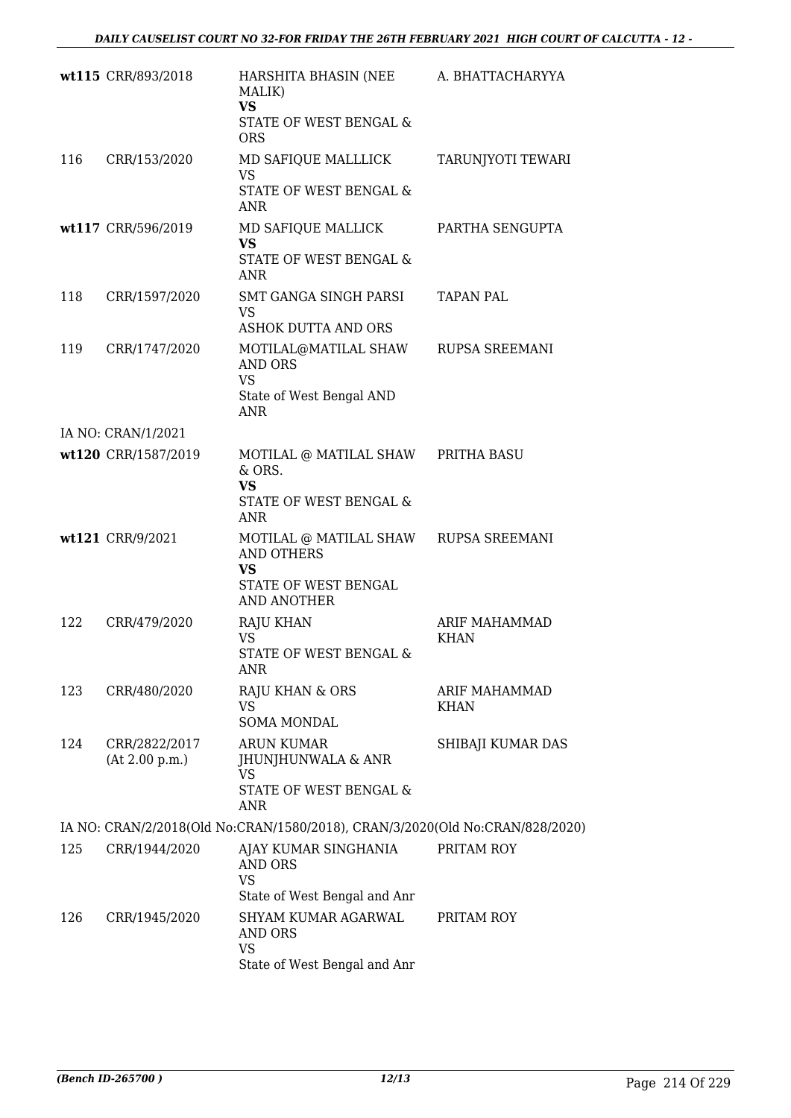|     | wt115 CRR/893/2018              | HARSHITA BHASIN (NEE<br>MALIK)<br><b>VS</b><br>STATE OF WEST BENGAL &<br><b>ORS</b>           | A. BHATTACHARYYA                    |
|-----|---------------------------------|-----------------------------------------------------------------------------------------------|-------------------------------------|
| 116 | CRR/153/2020                    | MD SAFIQUE MALLLICK<br><b>VS</b><br>STATE OF WEST BENGAL &<br><b>ANR</b>                      | TARUNJYOTI TEWARI                   |
|     | wt117 CRR/596/2019              | MD SAFIQUE MALLICK<br><b>VS</b><br>STATE OF WEST BENGAL &<br><b>ANR</b>                       | PARTHA SENGUPTA                     |
| 118 | CRR/1597/2020                   | SMT GANGA SINGH PARSI<br><b>VS</b><br>ASHOK DUTTA AND ORS                                     | <b>TAPAN PAL</b>                    |
| 119 | CRR/1747/2020                   | MOTILAL@MATILAL SHAW<br><b>AND ORS</b><br><b>VS</b><br>State of West Bengal AND<br><b>ANR</b> | <b>RUPSA SREEMANI</b>               |
|     | IA NO: CRAN/1/2021              |                                                                                               |                                     |
|     | wt120 CRR/1587/2019             | MOTILAL @ MATILAL SHAW PRITHA BASU<br>$&$ ORS.<br><b>VS</b><br>STATE OF WEST BENGAL &<br>ANR  |                                     |
|     | wt121 CRR/9/2021                | MOTILAL @ MATILAL SHAW<br><b>AND OTHERS</b><br>VS<br>STATE OF WEST BENGAL<br>AND ANOTHER      | RUPSA SREEMANI                      |
| 122 | CRR/479/2020                    | <b>RAJU KHAN</b><br><b>VS</b><br>STATE OF WEST BENGAL &<br>ANR                                | <b>ARIF MAHAMMAD</b><br><b>KHAN</b> |
| 123 | CRR/480/2020                    | <b>RAJU KHAN &amp; ORS</b><br>VS<br>SOMA MONDAL                                               | ARIF MAHAMMAD<br>KHAN               |
| 124 | CRR/2822/2017<br>(At 2.00 p.m.) | <b>ARUN KUMAR</b><br>JHUNJHUNWALA & ANR<br><b>VS</b><br>STATE OF WEST BENGAL &<br><b>ANR</b>  | SHIBAJI KUMAR DAS                   |
|     |                                 | IA NO: CRAN/2/2018(Old No:CRAN/1580/2018), CRAN/3/2020(Old No:CRAN/828/2020)                  |                                     |
| 125 | CRR/1944/2020                   | AJAY KUMAR SINGHANIA<br>AND ORS<br><b>VS</b><br>State of West Bengal and Anr                  | PRITAM ROY                          |
| 126 | CRR/1945/2020                   | SHYAM KUMAR AGARWAL<br><b>AND ORS</b><br><b>VS</b><br>State of West Bengal and Anr            | PRITAM ROY                          |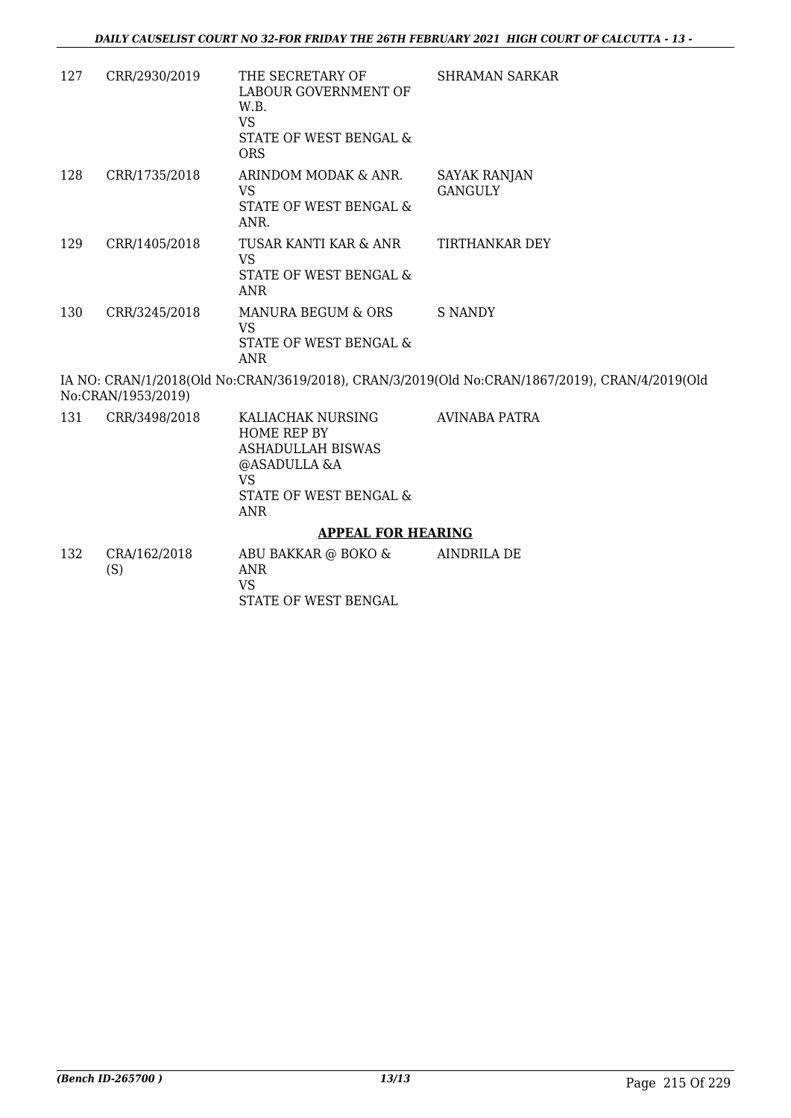| 127 | CRR/2930/2019      | THE SECRETARY OF<br>LABOUR GOVERNMENT OF<br>W.B.<br><b>VS</b><br>STATE OF WEST BENGAL &<br><b>ORS</b>                      | <b>SHRAMAN SARKAR</b>                                                                          |
|-----|--------------------|----------------------------------------------------------------------------------------------------------------------------|------------------------------------------------------------------------------------------------|
| 128 | CRR/1735/2018      | ARINDOM MODAK & ANR.<br>VS<br>STATE OF WEST BENGAL &<br>ANR.                                                               | SAYAK RANJAN<br><b>GANGULY</b>                                                                 |
| 129 | CRR/1405/2018      | TUSAR KANTI KAR & ANR<br><b>VS</b><br>STATE OF WEST BENGAL &<br><b>ANR</b>                                                 | <b>TIRTHANKAR DEY</b>                                                                          |
| 130 | CRR/3245/2018      | MANURA BEGUM & ORS<br><b>VS</b><br>STATE OF WEST BENGAL &<br><b>ANR</b>                                                    | <b>S NANDY</b>                                                                                 |
|     | No:CRAN/1953/2019) |                                                                                                                            | IA NO: CRAN/1/2018(Old No:CRAN/3619/2018), CRAN/3/2019(Old No:CRAN/1867/2019), CRAN/4/2019(Old |
| 131 | CRR/3498/2018      | KALIACHAK NURSING<br>HOME REP BY<br><b>ASHADULLAH BISWAS</b><br>@ASADULLA &A<br><b>VS</b><br>STATE OF WEST BENGAL &<br>ANR | AVINABA PATRA                                                                                  |

#### **APPEAL FOR HEARING**

132 CRA/162/2018 (S) ABU BAKKAR @ BOKO & ANR VS STATE OF WEST BENGAL AINDRILA DE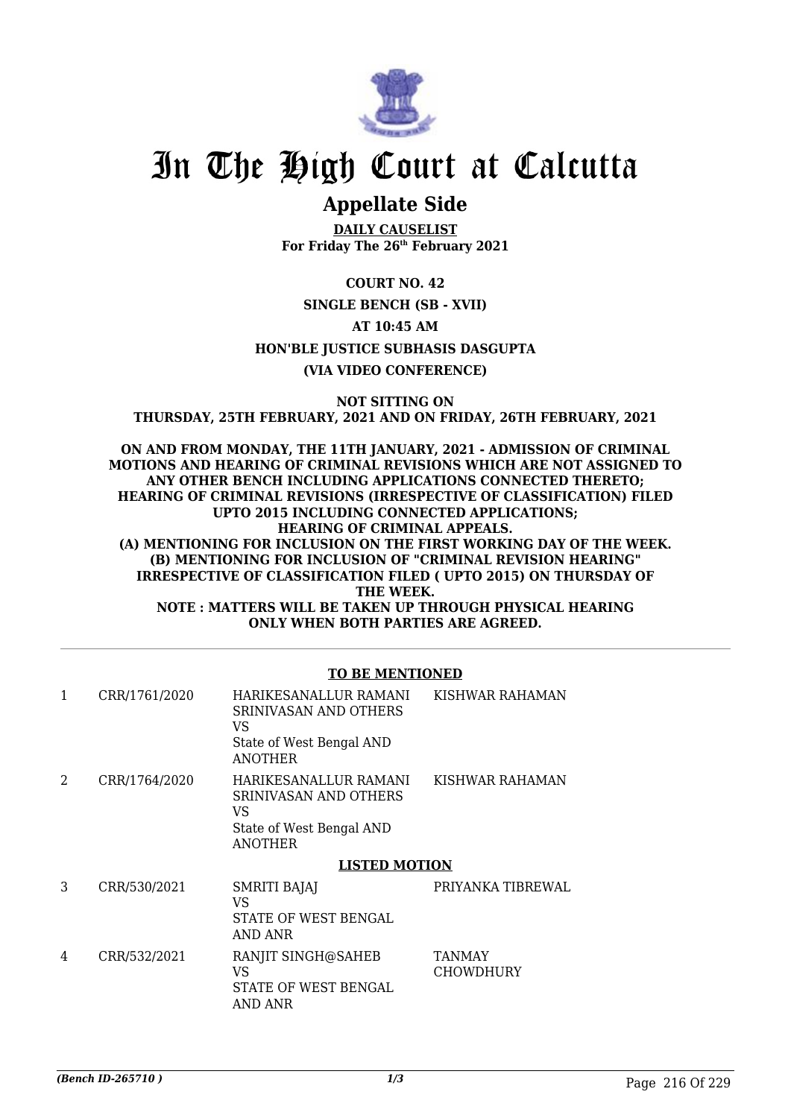

# In The High Court at Calcutta

## **Appellate Side**

**DAILY CAUSELIST For Friday The 26th February 2021**

**COURT NO. 42 SINGLE BENCH (SB - XVII) AT 10:45 AM HON'BLE JUSTICE SUBHASIS DASGUPTA (VIA VIDEO CONFERENCE)**

**NOT SITTING ON THURSDAY, 25TH FEBRUARY, 2021 AND ON FRIDAY, 26TH FEBRUARY, 2021**

**ON AND FROM MONDAY, THE 11TH JANUARY, 2021 - ADMISSION OF CRIMINAL MOTIONS AND HEARING OF CRIMINAL REVISIONS WHICH ARE NOT ASSIGNED TO ANY OTHER BENCH INCLUDING APPLICATIONS CONNECTED THERETO; HEARING OF CRIMINAL REVISIONS (IRRESPECTIVE OF CLASSIFICATION) FILED UPTO 2015 INCLUDING CONNECTED APPLICATIONS; HEARING OF CRIMINAL APPEALS. (A) MENTIONING FOR INCLUSION ON THE FIRST WORKING DAY OF THE WEEK. (B) MENTIONING FOR INCLUSION OF "CRIMINAL REVISION HEARING" IRRESPECTIVE OF CLASSIFICATION FILED ( UPTO 2015) ON THURSDAY OF THE WEEK. NOTE : MATTERS WILL BE TAKEN UP THROUGH PHYSICAL HEARING ONLY WHEN BOTH PARTIES ARE AGREED.**

### **TO BE MENTIONED**

| 1 | CRR/1761/2020 | HARIKESANALLUR RAMANI<br>SRINIVASAN AND OTHERS<br>VS<br>State of West Bengal AND<br><b>ANOTHER</b> | KISHWAR RAHAMAN   |
|---|---------------|----------------------------------------------------------------------------------------------------|-------------------|
| 2 | CRR/1764/2020 | HARIKESANALLUR RAMANI<br>SRINIVASAN AND OTHERS<br>VS<br>State of West Bengal AND<br><b>ANOTHER</b> | KISHWAR RAHAMAN   |
|   |               | <b>LISTED MOTION</b>                                                                               |                   |
| 3 |               |                                                                                                    |                   |
|   | CRR/530/2021  | <b>SMRITI BAJAJ</b><br>VS<br>STATE OF WEST BENGAL<br>AND ANR                                       | PRIYANKA TIBREWAL |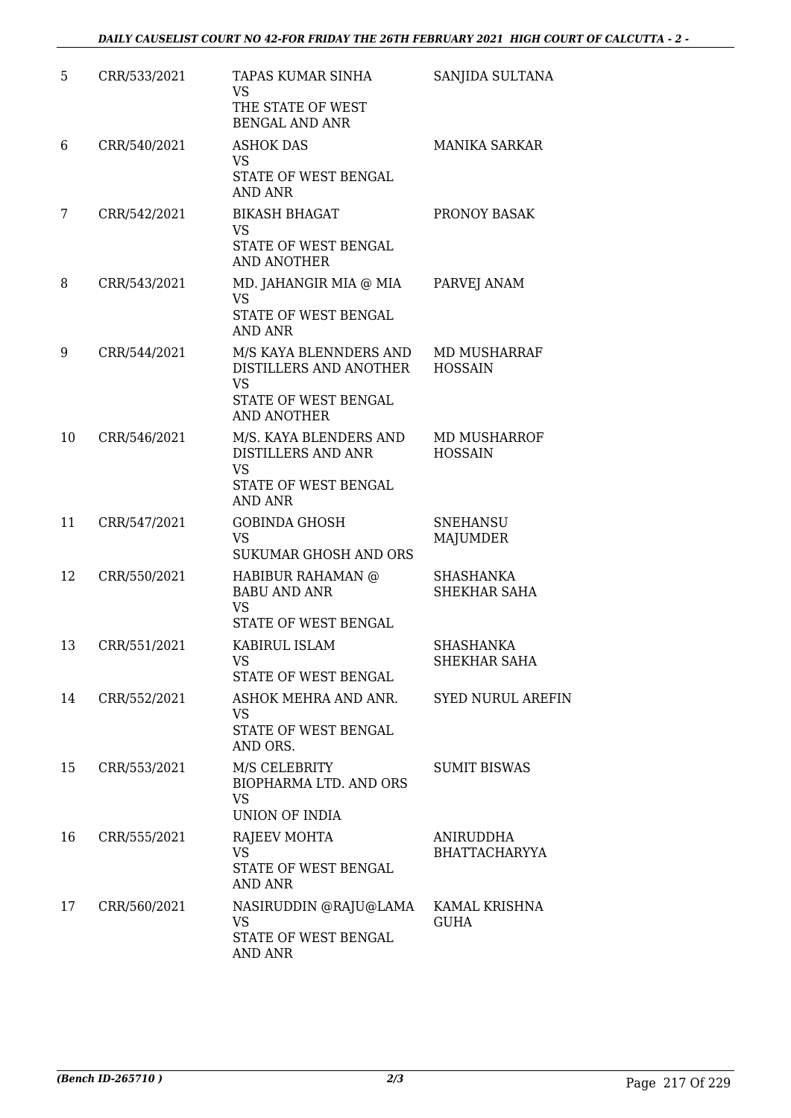| 5  | CRR/533/2021 | TAPAS KUMAR SINHA<br><b>VS</b><br>THE STATE OF WEST<br><b>BENGAL AND ANR</b>                                | SANJIDA SULTANA                          |
|----|--------------|-------------------------------------------------------------------------------------------------------------|------------------------------------------|
| 6  | CRR/540/2021 | <b>ASHOK DAS</b><br>VS<br>STATE OF WEST BENGAL<br><b>AND ANR</b>                                            | <b>MANIKA SARKAR</b>                     |
| 7  | CRR/542/2021 | <b>BIKASH BHAGAT</b><br><b>VS</b><br>STATE OF WEST BENGAL<br><b>AND ANOTHER</b>                             | PRONOY BASAK                             |
| 8  | CRR/543/2021 | MD. JAHANGIR MIA @ MIA<br><b>VS</b><br>STATE OF WEST BENGAL<br>AND ANR                                      | PARVEJ ANAM                              |
| 9  | CRR/544/2021 | M/S KAYA BLENNDERS AND<br>DISTILLERS AND ANOTHER<br><b>VS</b><br>STATE OF WEST BENGAL<br><b>AND ANOTHER</b> | MD MUSHARRAF<br><b>HOSSAIN</b>           |
| 10 | CRR/546/2021 | M/S. KAYA BLENDERS AND<br>DISTILLERS AND ANR<br><b>VS</b><br>STATE OF WEST BENGAL<br><b>AND ANR</b>         | <b>MD MUSHARROF</b><br><b>HOSSAIN</b>    |
| 11 | CRR/547/2021 | <b>GOBINDA GHOSH</b><br><b>VS</b><br>SUKUMAR GHOSH AND ORS                                                  | <b>SNEHANSU</b><br>MAJUMDER              |
| 12 | CRR/550/2021 | HABIBUR RAHAMAN @<br><b>BABU AND ANR</b><br><b>VS</b><br>STATE OF WEST BENGAL                               | SHASHANKA<br><b>SHEKHAR SAHA</b>         |
| 13 | CRR/551/2021 | KABIRUL ISLAM<br>VS<br>STATE OF WEST BENGAL                                                                 | <b>SHASHANKA</b><br>SHEKHAR SAHA         |
| 14 | CRR/552/2021 | ASHOK MEHRA AND ANR.<br><b>VS</b><br>STATE OF WEST BENGAL<br>AND ORS.                                       | <b>SYED NURUL AREFIN</b>                 |
| 15 | CRR/553/2021 | M/S CELEBRITY<br><b>BIOPHARMA LTD. AND ORS</b><br><b>VS</b><br><b>UNION OF INDIA</b>                        | <b>SUMIT BISWAS</b>                      |
| 16 | CRR/555/2021 | <b>RAJEEV MOHTA</b><br><b>VS</b><br>STATE OF WEST BENGAL<br><b>AND ANR</b>                                  | <b>ANIRUDDHA</b><br><b>BHATTACHARYYA</b> |
| 17 | CRR/560/2021 | NASIRUDDIN @RAJU@LAMA<br><b>VS</b><br>STATE OF WEST BENGAL<br>AND ANR                                       | KAMAL KRISHNA<br><b>GUHA</b>             |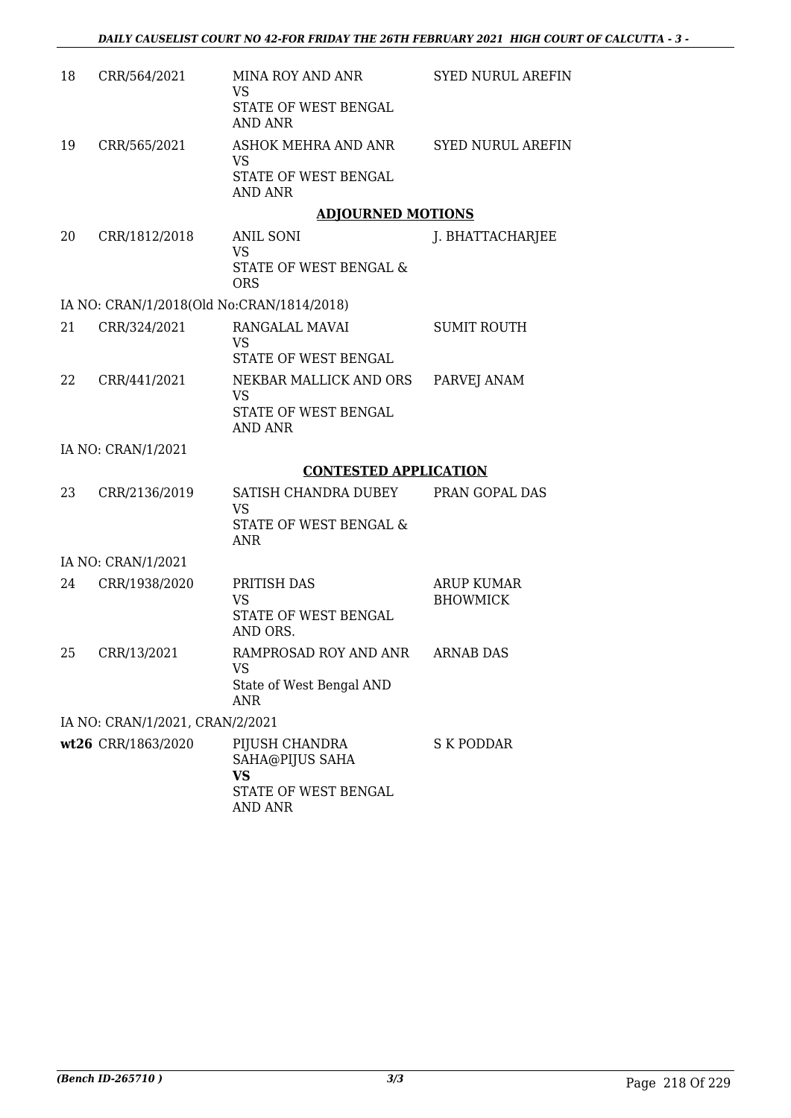| 18     | CRR/564/2021                              | MINA ROY AND ANR<br><b>VS</b>                                                          | <b>SYED NURUL AREFIN</b>             |
|--------|-------------------------------------------|----------------------------------------------------------------------------------------|--------------------------------------|
|        |                                           | STATE OF WEST BENGAL<br><b>AND ANR</b>                                                 |                                      |
| 19     | CRR/565/2021                              | ASHOK MEHRA AND ANR<br><b>VS</b><br>STATE OF WEST BENGAL<br><b>AND ANR</b>             | <b>SYED NURUL AREFIN</b>             |
|        |                                           | <b>ADJOURNED MOTIONS</b>                                                               |                                      |
| 20     | CRR/1812/2018                             | ANIL SONI<br><b>VS</b><br>STATE OF WEST BENGAL &<br><b>ORS</b>                         | J. BHATTACHARJEE                     |
|        | IA NO: CRAN/1/2018(Old No:CRAN/1814/2018) |                                                                                        |                                      |
| 21     | CRR/324/2021                              | RANGALAL MAVAI<br><b>VS</b><br>STATE OF WEST BENGAL                                    | <b>SUMIT ROUTH</b>                   |
| 22     | CRR/441/2021                              | NEKBAR MALLICK AND ORS<br><b>VS</b><br>STATE OF WEST BENGAL                            | PARVEJ ANAM                          |
|        |                                           | <b>AND ANR</b>                                                                         |                                      |
|        | IA NO: CRAN/1/2021                        |                                                                                        |                                      |
| 23     | CRR/2136/2019                             | <b>CONTESTED APPLICATION</b><br>SATISH CHANDRA DUBEY                                   | PRAN GOPAL DAS                       |
|        |                                           | <b>VS</b>                                                                              |                                      |
|        |                                           | STATE OF WEST BENGAL &<br><b>ANR</b>                                                   |                                      |
|        | IA NO: CRAN/1/2021                        |                                                                                        |                                      |
| 24     | CRR/1938/2020                             | PRITISH DAS<br><b>VS</b><br>STATE OF WEST BENGAL<br>AND ORS.                           | <b>ARUP KUMAR</b><br><b>BHOWMICK</b> |
| $25 -$ | CRR/13/2021                               | RAMPROSAD ROY AND ANR ARNAB DAS<br><b>VS</b><br>State of West Bengal AND<br><b>ANR</b> |                                      |
|        | IA NO: CRAN/1/2021, CRAN/2/2021           |                                                                                        |                                      |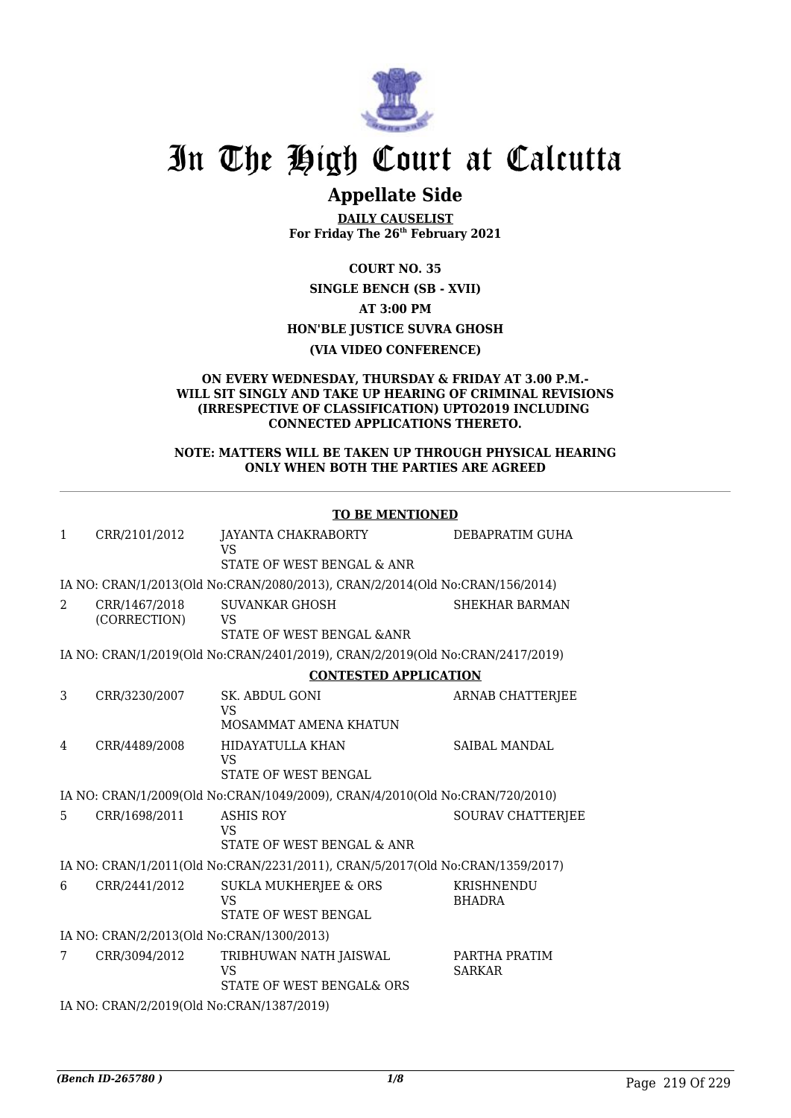

## In The High Court at Calcutta

### **Appellate Side**

**DAILY CAUSELIST For Friday The 26th February 2021**

**COURT NO. 35**

**SINGLE BENCH (SB - XVII) AT 3:00 PM HON'BLE JUSTICE SUVRA GHOSH**

**(VIA VIDEO CONFERENCE)**

#### **ON EVERY WEDNESDAY, THURSDAY & FRIDAY AT 3.00 P.M.- WILL SIT SINGLY AND TAKE UP HEARING OF CRIMINAL REVISIONS (IRRESPECTIVE OF CLASSIFICATION) UPTO2019 INCLUDING CONNECTED APPLICATIONS THERETO.**

#### **NOTE: MATTERS WILL BE TAKEN UP THROUGH PHYSICAL HEARING ONLY WHEN BOTH THE PARTIES ARE AGREED**

|              |                                           | <b>TO BE MENTIONED</b>                                                        |                                |  |  |
|--------------|-------------------------------------------|-------------------------------------------------------------------------------|--------------------------------|--|--|
| $\mathbf{1}$ | CRR/2101/2012                             | JAYANTA CHAKRABORTY<br><b>VS</b>                                              | DEBAPRATIM GUHA                |  |  |
|              |                                           | STATE OF WEST BENGAL & ANR                                                    |                                |  |  |
|              |                                           | IA NO: CRAN/1/2013(Old No:CRAN/2080/2013), CRAN/2/2014(Old No:CRAN/156/2014)  |                                |  |  |
| 2            | CRR/1467/2018<br>(CORRECTION)             | <b>SUVANKAR GHOSH</b><br><b>VS</b>                                            | <b>SHEKHAR BARMAN</b>          |  |  |
|              |                                           | STATE OF WEST BENGAL & ANR                                                    |                                |  |  |
|              |                                           | IA NO: CRAN/1/2019(Old No:CRAN/2401/2019), CRAN/2/2019(Old No:CRAN/2417/2019) |                                |  |  |
|              |                                           | <b>CONTESTED APPLICATION</b>                                                  |                                |  |  |
| 3            | CRR/3230/2007                             | <b>SK. ABDUL GONI</b><br><b>VS</b><br>MOSAMMAT AMENA KHATUN                   | <b>ARNAB CHATTERJEE</b>        |  |  |
|              |                                           |                                                                               | <b>SAIBAL MANDAL</b>           |  |  |
| 4            | CRR/4489/2008                             | HIDAYATULLA KHAN<br><b>VS</b>                                                 |                                |  |  |
|              |                                           | <b>STATE OF WEST BENGAL</b>                                                   |                                |  |  |
|              |                                           | IA NO: CRAN/1/2009(Old No:CRAN/1049/2009), CRAN/4/2010(Old No:CRAN/720/2010)  |                                |  |  |
| 5.           | CRR/1698/2011                             | <b>ASHIS ROY</b><br><b>VS</b>                                                 | <b>SOURAV CHATTERJEE</b>       |  |  |
|              |                                           | STATE OF WEST BENGAL & ANR                                                    |                                |  |  |
|              |                                           | IA NO: CRAN/1/2011(Old No:CRAN/2231/2011), CRAN/5/2017(Old No:CRAN/1359/2017) |                                |  |  |
| 6            | CRR/2441/2012                             | <b>SUKLA MUKHERJEE &amp; ORS</b><br><b>VS</b><br><b>STATE OF WEST BENGAL</b>  | KRISHNENDU<br><b>BHADRA</b>    |  |  |
|              | IA NO: CRAN/2/2013(Old No:CRAN/1300/2013) |                                                                               |                                |  |  |
| 7            | CRR/3094/2012                             | TRIBHUWAN NATH JAISWAL<br><b>VS</b><br>STATE OF WEST BENGAL& ORS              | PARTHA PRATIM<br><b>SARKAR</b> |  |  |
|              | IA NO: CRAN/2/2019(Old No:CRAN/1387/2019) |                                                                               |                                |  |  |
|              |                                           |                                                                               |                                |  |  |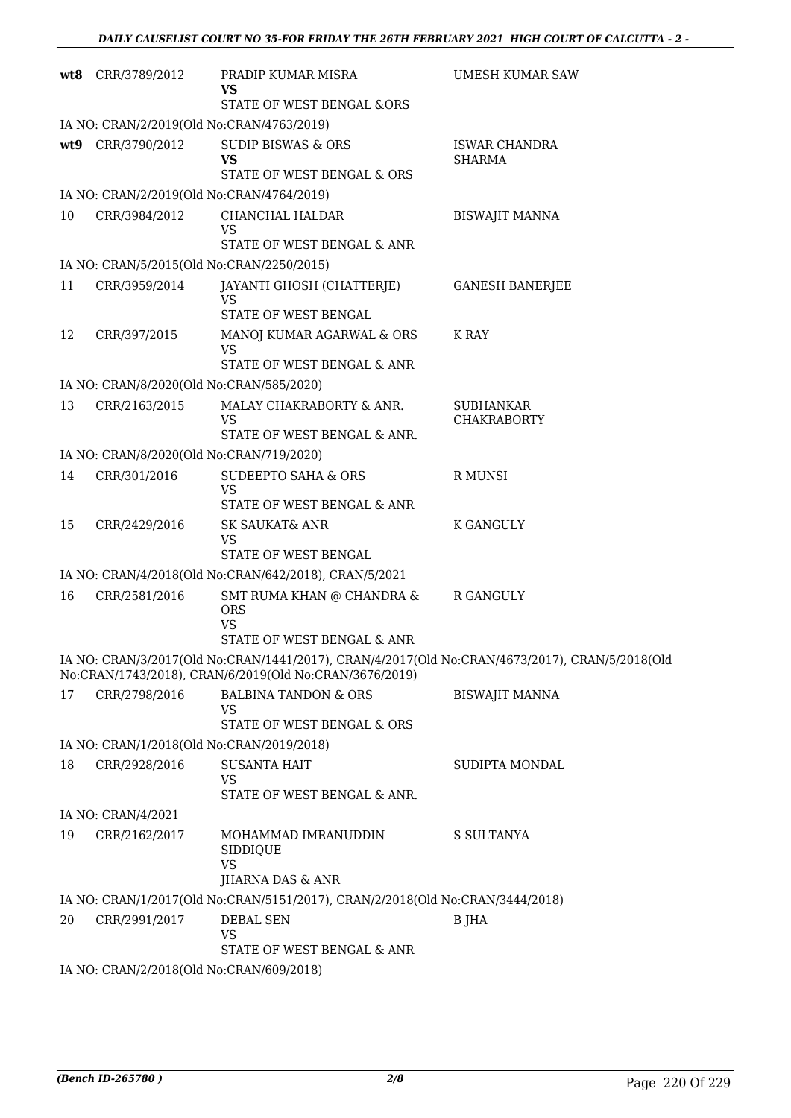|     | wt8 CRR/3789/2012                         | PRADIP KUMAR MISRA<br>VS<br>STATE OF WEST BENGAL &ORS                                                                                                    | <b>UMESH KUMAR SAW</b>                |
|-----|-------------------------------------------|----------------------------------------------------------------------------------------------------------------------------------------------------------|---------------------------------------|
|     | IA NO: CRAN/2/2019(Old No:CRAN/4763/2019) |                                                                                                                                                          |                                       |
| wt9 | CRR/3790/2012                             | <b>SUDIP BISWAS &amp; ORS</b><br><b>VS</b><br>STATE OF WEST BENGAL & ORS                                                                                 | <b>ISWAR CHANDRA</b><br><b>SHARMA</b> |
|     | IA NO: CRAN/2/2019(Old No:CRAN/4764/2019) |                                                                                                                                                          |                                       |
| 10  | CRR/3984/2012                             | CHANCHAL HALDAR                                                                                                                                          | <b>BISWAJIT MANNA</b>                 |
|     |                                           | <b>VS</b>                                                                                                                                                |                                       |
|     |                                           | STATE OF WEST BENGAL & ANR                                                                                                                               |                                       |
|     | IA NO: CRAN/5/2015(Old No:CRAN/2250/2015) |                                                                                                                                                          |                                       |
| 11  | CRR/3959/2014                             | JAYANTI GHOSH (CHATTERJE)<br><b>VS</b><br>STATE OF WEST BENGAL                                                                                           | <b>GANESH BANERJEE</b>                |
| 12  | CRR/397/2015                              | MANOJ KUMAR AGARWAL & ORS                                                                                                                                | K RAY                                 |
|     |                                           | <b>VS</b><br>STATE OF WEST BENGAL & ANR                                                                                                                  |                                       |
|     | IA NO: CRAN/8/2020(Old No:CRAN/585/2020)  |                                                                                                                                                          |                                       |
| 13  | CRR/2163/2015                             | MALAY CHAKRABORTY & ANR.<br><b>VS</b>                                                                                                                    | SUBHANKAR<br><b>CHAKRABORTY</b>       |
|     |                                           | STATE OF WEST BENGAL & ANR.                                                                                                                              |                                       |
|     | IA NO: CRAN/8/2020(Old No:CRAN/719/2020)  |                                                                                                                                                          |                                       |
| 14  | CRR/301/2016                              | <b>SUDEEPTO SAHA &amp; ORS</b><br><b>VS</b><br>STATE OF WEST BENGAL & ANR                                                                                | R MUNSI                               |
| 15  | CRR/2429/2016                             | SK SAUKAT& ANR                                                                                                                                           | K GANGULY                             |
|     |                                           | <b>VS</b><br>STATE OF WEST BENGAL                                                                                                                        |                                       |
|     |                                           | IA NO: CRAN/4/2018(Old No:CRAN/642/2018), CRAN/5/2021                                                                                                    |                                       |
| 16  | CRR/2581/2016                             | SMT RUMA KHAN @ CHANDRA &<br><b>ORS</b><br><b>VS</b><br>STATE OF WEST BENGAL & ANR                                                                       | R GANGULY                             |
|     |                                           | IA NO: CRAN/3/2017(Old No:CRAN/1441/2017), CRAN/4/2017(Old No:CRAN/4673/2017), CRAN/5/2018(Old<br>No:CRAN/1743/2018), CRAN/6/2019(Old No:CRAN/3676/2019) |                                       |
| 17  | CRR/2798/2016                             | <b>BALBINA TANDON &amp; ORS</b>                                                                                                                          | <b>BISWAJIT MANNA</b>                 |
|     |                                           | VS<br>STATE OF WEST BENGAL & ORS                                                                                                                         |                                       |
|     | IA NO: CRAN/1/2018(Old No:CRAN/2019/2018) |                                                                                                                                                          |                                       |
| 18  | CRR/2928/2016                             | <b>SUSANTA HAIT</b>                                                                                                                                      | SUDIPTA MONDAL                        |
|     |                                           | <b>VS</b><br>STATE OF WEST BENGAL & ANR.                                                                                                                 |                                       |
|     | IA NO: CRAN/4/2021                        |                                                                                                                                                          |                                       |
| 19  | CRR/2162/2017                             | MOHAMMAD IMRANUDDIN<br>SIDDIQUE<br><b>VS</b>                                                                                                             | S SULTANYA                            |
|     |                                           | JHARNA DAS & ANR                                                                                                                                         |                                       |
|     |                                           | IA NO: CRAN/1/2017(Old No:CRAN/5151/2017), CRAN/2/2018(Old No:CRAN/3444/2018)                                                                            |                                       |
| 20  | CRR/2991/2017                             | <b>DEBAL SEN</b><br><b>VS</b><br>STATE OF WEST BENGAL & ANR                                                                                              | <b>B</b> JHA                          |
|     | IA NO: CRAN/2/2018(Old No:CRAN/609/2018)  |                                                                                                                                                          |                                       |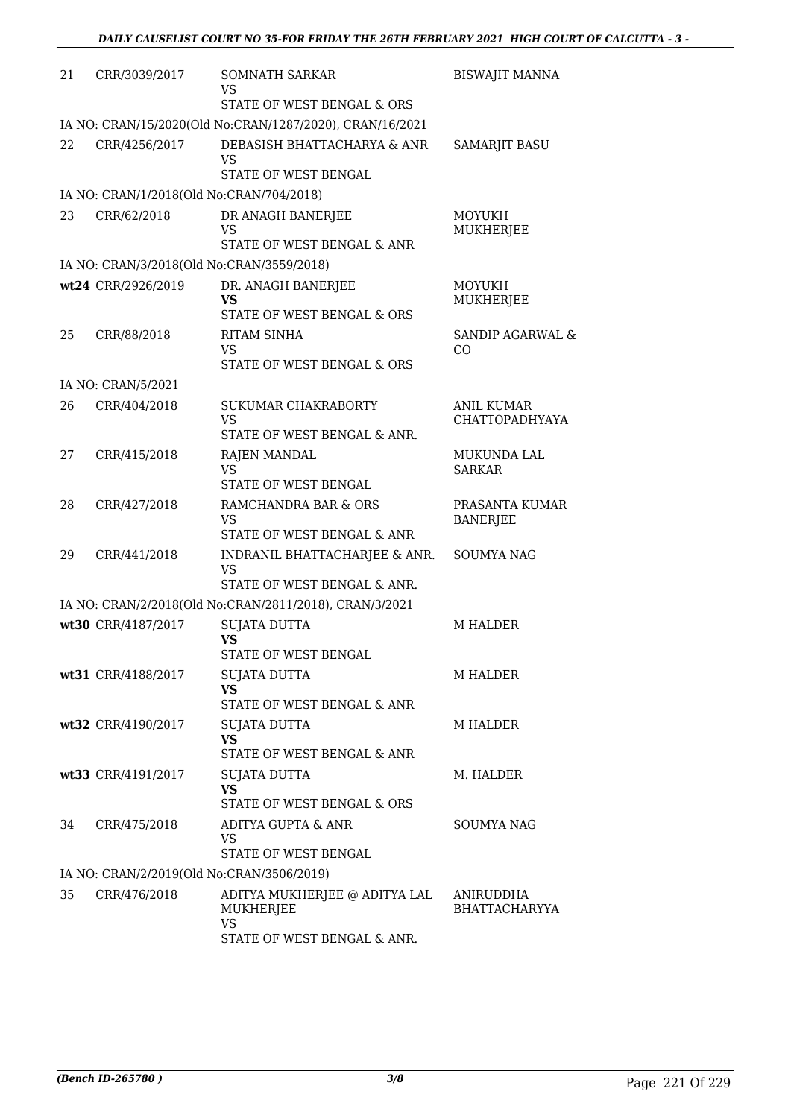| 21 | CRR/3039/2017                             | SOMNATH SARKAR<br>VS                                                      | <b>BISWAJIT MANNA</b>               |
|----|-------------------------------------------|---------------------------------------------------------------------------|-------------------------------------|
|    |                                           | STATE OF WEST BENGAL & ORS                                                |                                     |
|    |                                           | IA NO: CRAN/15/2020(Old No:CRAN/1287/2020), CRAN/16/2021                  |                                     |
| 22 | CRR/4256/2017                             | DEBASISH BHATTACHARYA & ANR<br><b>VS</b><br>STATE OF WEST BENGAL          | <b>SAMARJIT BASU</b>                |
|    | IA NO: CRAN/1/2018(Old No:CRAN/704/2018)  |                                                                           |                                     |
| 23 | CRR/62/2018                               | DR ANAGH BANERJEE<br>VS<br>STATE OF WEST BENGAL & ANR                     | <b>MOYUKH</b><br>MUKHERJEE          |
|    | IA NO: CRAN/3/2018(Old No:CRAN/3559/2018) |                                                                           |                                     |
|    | wt24 CRR/2926/2019                        | DR. ANAGH BANERJEE<br>VS                                                  | <b>MOYUKH</b><br>MUKHERJEE          |
|    |                                           | STATE OF WEST BENGAL & ORS                                                |                                     |
| 25 | CRR/88/2018                               | RITAM SINHA<br>VS<br>STATE OF WEST BENGAL & ORS                           | <b>SANDIP AGARWAL &amp;</b><br>CO   |
|    | IA NO: CRAN/5/2021                        |                                                                           |                                     |
| 26 | CRR/404/2018                              | <b>SUKUMAR CHAKRABORTY</b><br><b>VS</b>                                   | ANIL KUMAR<br><b>CHATTOPADHYAYA</b> |
| 27 | CRR/415/2018                              | STATE OF WEST BENGAL & ANR.<br>RAJEN MANDAL<br>VS                         | MUKUNDA LAL<br><b>SARKAR</b>        |
|    |                                           | STATE OF WEST BENGAL                                                      |                                     |
| 28 | CRR/427/2018                              | RAMCHANDRA BAR & ORS<br><b>VS</b><br>STATE OF WEST BENGAL & ANR           | PRASANTA KUMAR<br><b>BANERJEE</b>   |
| 29 | CRR/441/2018                              | INDRANIL BHATTACHARJEE & ANR.<br><b>VS</b><br>STATE OF WEST BENGAL & ANR. | <b>SOUMYA NAG</b>                   |
|    |                                           | IA NO: CRAN/2/2018(Old No:CRAN/2811/2018), CRAN/3/2021                    |                                     |
|    | wt30 CRR/4187/2017                        | <b>SUJATA DUTTA</b><br><b>VS</b>                                          | <b>M HALDER</b>                     |
|    |                                           | STATE OF WEST BENGAL                                                      |                                     |
|    | wt31 CRR/4188/2017                        | <b>SUJATA DUTTA</b><br><b>VS</b>                                          | M HALDER                            |
|    |                                           | STATE OF WEST BENGAL & ANR                                                |                                     |
|    | wt32 CRR/4190/2017                        | SUJATA DUTTA<br><b>VS</b><br>STATE OF WEST BENGAL & ANR                   | <b>M HALDER</b>                     |
|    | wt33 CRR/4191/2017                        | SUJATA DUTTA<br><b>VS</b>                                                 | M. HALDER                           |
|    |                                           | STATE OF WEST BENGAL & ORS                                                |                                     |
| 34 | CRR/475/2018                              | ADITYA GUPTA & ANR<br><b>VS</b><br>STATE OF WEST BENGAL                   | <b>SOUMYA NAG</b>                   |
|    | IA NO: CRAN/2/2019(Old No:CRAN/3506/2019) |                                                                           |                                     |
| 35 | CRR/476/2018                              | ADITYA MUKHERJEE @ ADITYA LAL<br>MUKHERJEE                                | ANIRUDDHA<br><b>BHATTACHARYYA</b>   |
|    |                                           | <b>VS</b><br>STATE OF WEST BENGAL & ANR.                                  |                                     |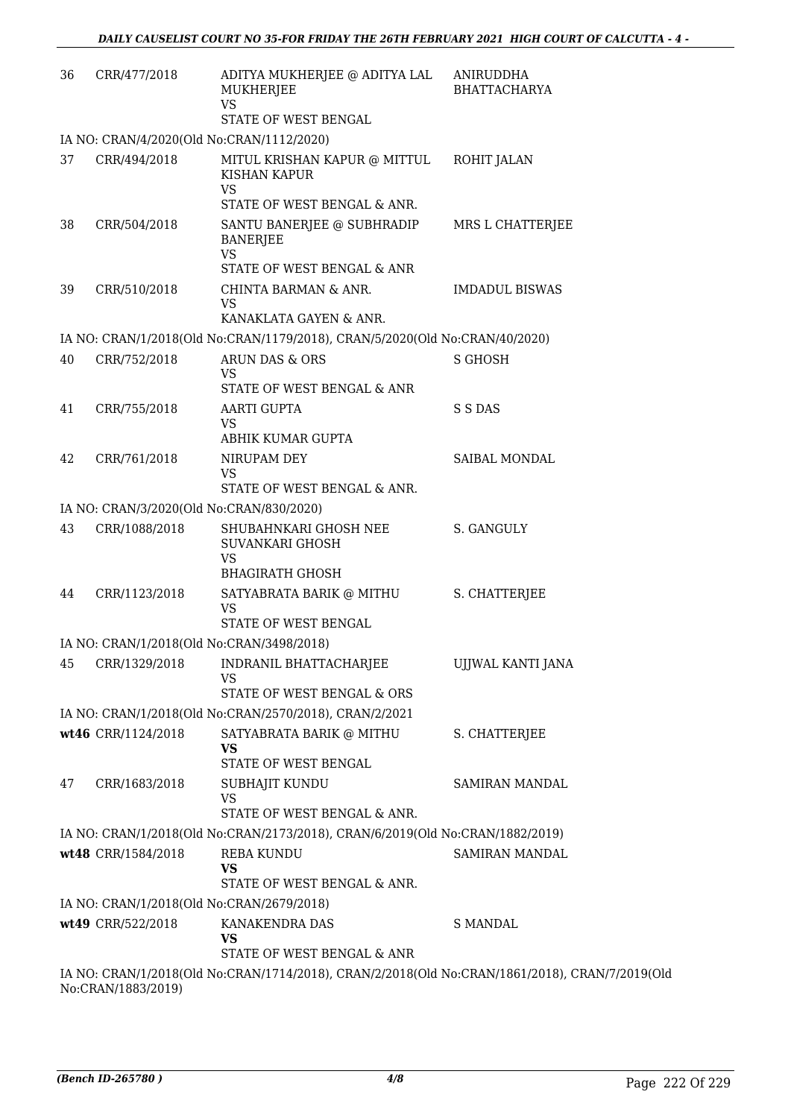| 36 | CRR/477/2018       | ADITYA MUKHERJEE @ ADITYA LAL<br>MUKHERJEE<br><b>VS</b>                                        | ANIRUDDHA<br><b>BHATTACHARYA</b> |
|----|--------------------|------------------------------------------------------------------------------------------------|----------------------------------|
|    |                    | STATE OF WEST BENGAL                                                                           |                                  |
|    |                    | IA NO: CRAN/4/2020(Old No:CRAN/1112/2020)                                                      |                                  |
| 37 | CRR/494/2018       | MITUL KRISHAN KAPUR @ MITTUL<br>KISHAN KAPUR<br><b>VS</b>                                      | ROHIT JALAN                      |
|    |                    | STATE OF WEST BENGAL & ANR.                                                                    |                                  |
| 38 | CRR/504/2018       | SANTU BANERJEE @ SUBHRADIP<br><b>BANERJEE</b><br><b>VS</b>                                     | MRS L CHATTERJEE                 |
|    |                    | STATE OF WEST BENGAL & ANR                                                                     |                                  |
| 39 | CRR/510/2018       | CHINTA BARMAN & ANR.<br><b>VS</b><br>KANAKLATA GAYEN & ANR.                                    | <b>IMDADUL BISWAS</b>            |
|    |                    | IA NO: CRAN/1/2018(Old No:CRAN/1179/2018), CRAN/5/2020(Old No:CRAN/40/2020)                    |                                  |
| 40 | CRR/752/2018       | ARUN DAS & ORS                                                                                 | <b>S GHOSH</b>                   |
|    |                    | <b>VS</b>                                                                                      |                                  |
|    |                    | STATE OF WEST BENGAL & ANR                                                                     |                                  |
| 41 | CRR/755/2018       | <b>AARTI GUPTA</b><br><b>VS</b><br>ABHIK KUMAR GUPTA                                           | S S DAS                          |
| 42 | CRR/761/2018       | NIRUPAM DEY                                                                                    | SAIBAL MONDAL                    |
|    |                    | <b>VS</b><br>STATE OF WEST BENGAL & ANR.                                                       |                                  |
|    |                    | IA NO: CRAN/3/2020(Old No:CRAN/830/2020)                                                       |                                  |
| 43 | CRR/1088/2018      | SHUBAHNKARI GHOSH NEE<br>SUVANKARI GHOSH<br><b>VS</b><br><b>BHAGIRATH GHOSH</b>                | S. GANGULY                       |
| 44 | CRR/1123/2018      | SATYABRATA BARIK @ MITHU<br><b>VS</b><br>STATE OF WEST BENGAL                                  | S. CHATTERJEE                    |
|    |                    | IA NO: CRAN/1/2018(Old No:CRAN/3498/2018)                                                      |                                  |
|    |                    | 45 CRR/1329/2018 INDRANIL BHATTACHARJEE                                                        | UJJWAL KANTI JANA                |
|    |                    | VS<br>STATE OF WEST BENGAL & ORS                                                               |                                  |
|    |                    | IA NO: CRAN/1/2018(Old No:CRAN/2570/2018), CRAN/2/2021                                         |                                  |
|    | wt46 CRR/1124/2018 | SATYABRATA BARIK @ MITHU<br><b>VS</b><br><b>STATE OF WEST BENGAL</b>                           | S. CHATTERJEE                    |
| 47 | CRR/1683/2018      | SUBHAJIT KUNDU<br><b>VS</b>                                                                    | SAMIRAN MANDAL                   |
|    |                    | STATE OF WEST BENGAL & ANR.                                                                    |                                  |
|    |                    | IA NO: CRAN/1/2018(Old No:CRAN/2173/2018), CRAN/6/2019(Old No:CRAN/1882/2019)                  |                                  |
|    | wt48 CRR/1584/2018 | <b>REBA KUNDU</b>                                                                              | SAMIRAN MANDAL                   |
|    |                    | <b>VS</b><br>STATE OF WEST BENGAL & ANR.                                                       |                                  |
|    |                    | IA NO: CRAN/1/2018(Old No:CRAN/2679/2018)                                                      |                                  |
|    | wt49 CRR/522/2018  | KANAKENDRA DAS<br><b>VS</b>                                                                    | <b>S MANDAL</b>                  |
|    |                    | STATE OF WEST BENGAL & ANR                                                                     |                                  |
|    | No:CRAN/1883/2019) | IA NO: CRAN/1/2018(Old No:CRAN/1714/2018), CRAN/2/2018(Old No:CRAN/1861/2018), CRAN/7/2019(Old |                                  |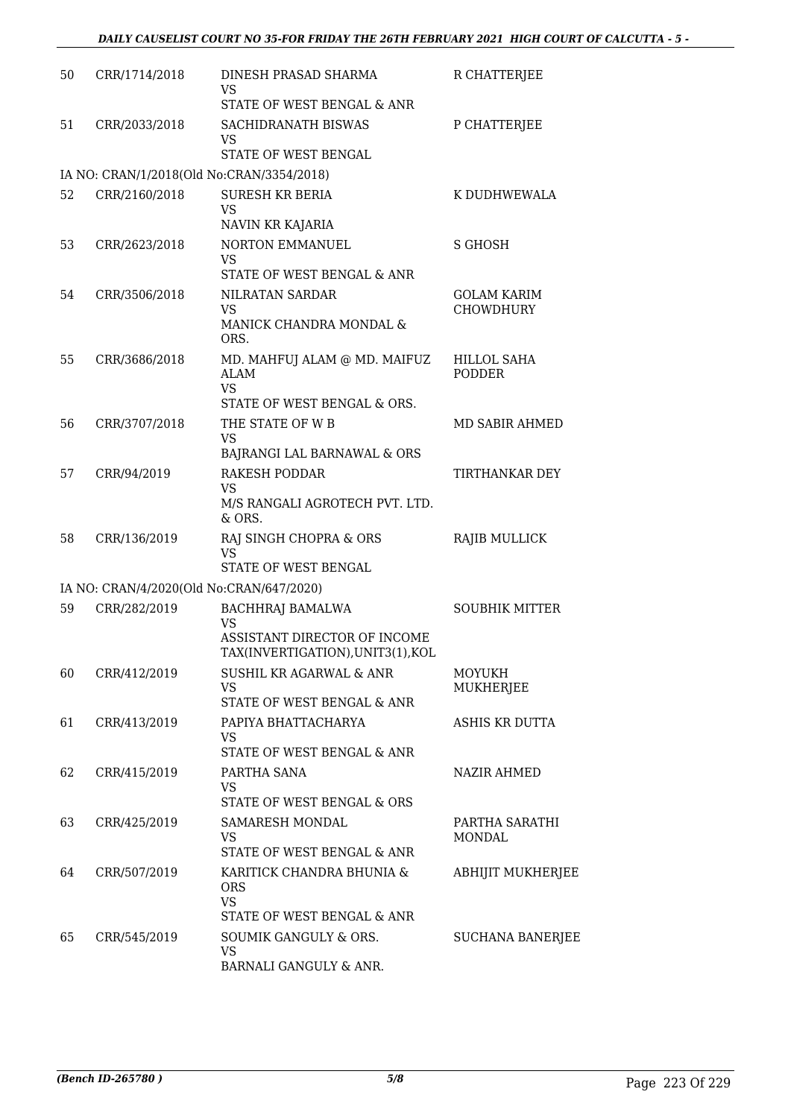| 50 | CRR/1714/2018 | DINESH PRASAD SHARMA<br>VS<br>STATE OF WEST BENGAL & ANR                                                  | R CHATTERJEE                           |
|----|---------------|-----------------------------------------------------------------------------------------------------------|----------------------------------------|
| 51 | CRR/2033/2018 | SACHIDRANATH BISWAS<br>VS<br>STATE OF WEST BENGAL                                                         | P CHATTERJEE                           |
|    |               | IA NO: CRAN/1/2018(Old No:CRAN/3354/2018)                                                                 |                                        |
| 52 | CRR/2160/2018 | <b>SURESH KR BERIA</b><br><b>VS</b><br>NAVIN KR KAJARIA                                                   | K DUDHWEWALA                           |
| 53 | CRR/2623/2018 | NORTON EMMANUEL<br><b>VS</b><br>STATE OF WEST BENGAL & ANR                                                | S GHOSH                                |
| 54 | CRR/3506/2018 | NILRATAN SARDAR<br><b>VS</b><br>MANICK CHANDRA MONDAL &<br>ORS.                                           | <b>GOLAM KARIM</b><br><b>CHOWDHURY</b> |
| 55 | CRR/3686/2018 | MD. MAHFUJ ALAM @ MD. MAIFUZ<br>ALAM<br><b>VS</b><br>STATE OF WEST BENGAL & ORS.                          | HILLOL SAHA<br><b>PODDER</b>           |
| 56 | CRR/3707/2018 | THE STATE OF W B                                                                                          | MD SABIR AHMED                         |
|    |               | VS<br>BAJRANGI LAL BARNAWAL & ORS                                                                         |                                        |
| 57 | CRR/94/2019   | <b>RAKESH PODDAR</b><br><b>VS</b><br>M/S RANGALI AGROTECH PVT. LTD.<br>& ORS.                             | TIRTHANKAR DEY                         |
| 58 | CRR/136/2019  | RAJ SINGH CHOPRA & ORS<br><b>VS</b>                                                                       | RAJIB MULLICK                          |
|    |               | STATE OF WEST BENGAL                                                                                      |                                        |
|    |               | IA NO: CRAN/4/2020(Old No:CRAN/647/2020)                                                                  |                                        |
| 59 | CRR/282/2019  | <b>BACHHRAJ BAMALWA</b><br><b>VS</b><br>ASSISTANT DIRECTOR OF INCOME<br>TAX(INVERTIGATION), UNIT3(1), KOL | <b>SOUBHIK MITTER</b>                  |
| 60 | CRR/412/2019  | <b>SUSHIL KR AGARWAL &amp; ANR</b><br><b>VS</b><br>STATE OF WEST BENGAL & ANR                             | <b>MOYUKH</b><br><b>MUKHERJEE</b>      |
| 61 | CRR/413/2019  | PAPIYA BHATTACHARYA<br>VS<br>STATE OF WEST BENGAL & ANR                                                   | ASHIS KR DUTTA                         |
| 62 | CRR/415/2019  | PARTHA SANA<br>VS<br>STATE OF WEST BENGAL & ORS                                                           | NAZIR AHMED                            |
| 63 | CRR/425/2019  | SAMARESH MONDAL<br>VS<br>STATE OF WEST BENGAL & ANR                                                       | PARTHA SARATHI<br>MONDAL               |
| 64 | CRR/507/2019  | KARITICK CHANDRA BHUNIA &<br><b>ORS</b><br><b>VS</b>                                                      | <b>ABHIJIT MUKHERJEE</b>               |
| 65 | CRR/545/2019  | STATE OF WEST BENGAL & ANR<br>SOUMIK GANGULY & ORS.<br><b>VS</b><br>BARNALI GANGULY & ANR.                | <b>SUCHANA BANERJEE</b>                |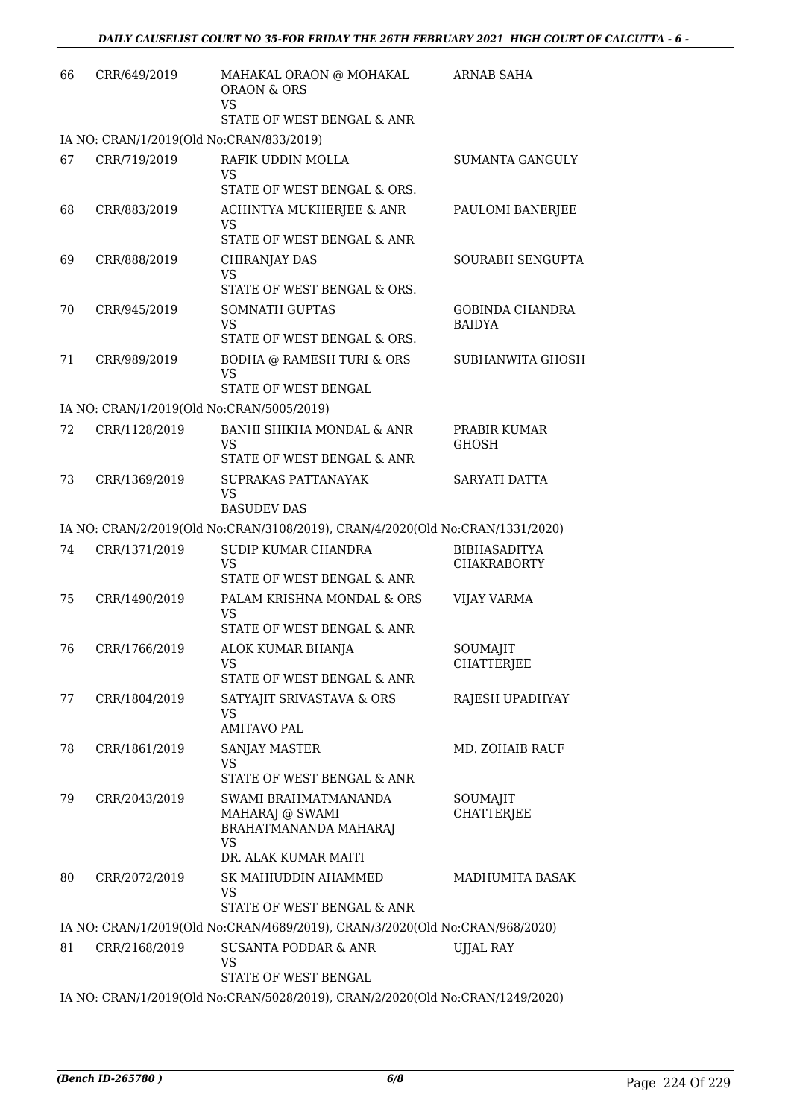| 66 | CRR/649/2019                              | MAHAKAL ORAON @ MOHAKAL<br><b>ORAON &amp; ORS</b><br><b>VS</b>                | <b>ARNAB SAHA</b>                         |
|----|-------------------------------------------|-------------------------------------------------------------------------------|-------------------------------------------|
|    |                                           | STATE OF WEST BENGAL & ANR                                                    |                                           |
|    | IA NO: CRAN/1/2019(Old No:CRAN/833/2019)  |                                                                               |                                           |
| 67 | CRR/719/2019                              | RAFIK UDDIN MOLLA<br>VS                                                       | <b>SUMANTA GANGULY</b>                    |
|    |                                           | STATE OF WEST BENGAL & ORS.                                                   |                                           |
| 68 | CRR/883/2019                              | ACHINTYA MUKHERJEE & ANR<br><b>VS</b><br>STATE OF WEST BENGAL & ANR           | PAULOMI BANERJEE                          |
| 69 | CRR/888/2019                              | <b>CHIRANJAY DAS</b>                                                          | SOURABH SENGUPTA                          |
|    |                                           | <b>VS</b>                                                                     |                                           |
|    |                                           | STATE OF WEST BENGAL & ORS.                                                   |                                           |
| 70 | CRR/945/2019                              | <b>SOMNATH GUPTAS</b><br><b>VS</b>                                            | <b>GOBINDA CHANDRA</b><br><b>BAIDYA</b>   |
|    |                                           | STATE OF WEST BENGAL & ORS.                                                   |                                           |
| 71 | CRR/989/2019                              | BODHA @ RAMESH TURI & ORS<br><b>VS</b>                                        | SUBHANWITA GHOSH                          |
|    |                                           | STATE OF WEST BENGAL                                                          |                                           |
|    | IA NO: CRAN/1/2019(Old No:CRAN/5005/2019) |                                                                               |                                           |
| 72 | CRR/1128/2019                             | BANHI SHIKHA MONDAL & ANR<br><b>VS</b>                                        | PRABIR KUMAR<br><b>GHOSH</b>              |
|    |                                           | STATE OF WEST BENGAL & ANR                                                    |                                           |
| 73 | CRR/1369/2019                             | SUPRAKAS PATTANAYAK<br><b>VS</b>                                              | SARYATI DATTA                             |
|    |                                           | <b>BASUDEV DAS</b>                                                            |                                           |
|    |                                           | IA NO: CRAN/2/2019(Old No:CRAN/3108/2019), CRAN/4/2020(Old No:CRAN/1331/2020) |                                           |
| 74 | CRR/1371/2019                             | SUDIP KUMAR CHANDRA<br><b>VS</b><br>STATE OF WEST BENGAL & ANR                | <b>BIBHASADITYA</b><br><b>CHAKRABORTY</b> |
| 75 | CRR/1490/2019                             | PALAM KRISHNA MONDAL & ORS                                                    | <b>VIJAY VARMA</b>                        |
|    |                                           | VS<br>STATE OF WEST BENGAL & ANR                                              |                                           |
| 76 | CRR/1766/2019                             | ALOK KUMAR BHANJA                                                             | SOUMAJIT                                  |
|    |                                           | VS<br>STATE OF WEST BENGAL & ANR                                              | CHATTERJEE                                |
| 77 | CRR/1804/2019                             | SATYAJIT SRIVASTAVA & ORS                                                     | RAJESH UPADHYAY                           |
|    |                                           | <b>VS</b>                                                                     |                                           |
|    |                                           | AMITAVO PAL                                                                   |                                           |
| 78 | CRR/1861/2019                             | SANJAY MASTER<br><b>VS</b>                                                    | MD. ZOHAIB RAUF                           |
|    |                                           | STATE OF WEST BENGAL & ANR                                                    |                                           |
| 79 | CRR/2043/2019                             | SWAMI BRAHMATMANANDA                                                          | SOUMAJIT                                  |
|    |                                           | MAHARAJ @ SWAMI                                                               | CHATTERJEE                                |
|    |                                           | <b>BRAHATMANANDA MAHARAJ</b><br><b>VS</b>                                     |                                           |
|    |                                           | DR. ALAK KUMAR MAITI                                                          |                                           |
| 80 | CRR/2072/2019                             | SK MAHIUDDIN AHAMMED<br>VS                                                    | <b>MADHUMITA BASAK</b>                    |
|    |                                           | STATE OF WEST BENGAL & ANR                                                    |                                           |
|    |                                           | IA NO: CRAN/1/2019(Old No:CRAN/4689/2019), CRAN/3/2020(Old No:CRAN/968/2020)  |                                           |
| 81 | CRR/2168/2019                             | SUSANTA PODDAR & ANR<br><b>VS</b>                                             | <b>UJJAL RAY</b>                          |
|    |                                           | STATE OF WEST BENGAL                                                          |                                           |
|    |                                           | IA NO: CRAN/1/2019(Old No:CRAN/5028/2019), CRAN/2/2020(Old No:CRAN/1249/2020) |                                           |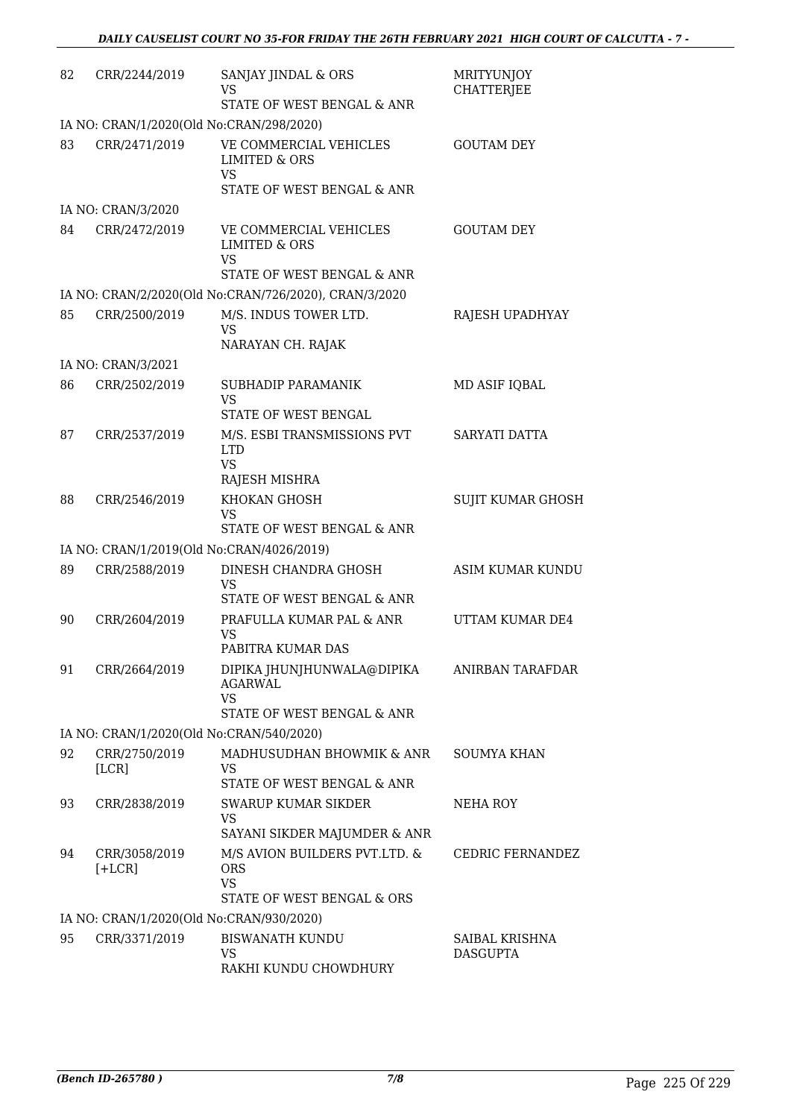| 82 | CRR/2244/2019             | SANJAY JINDAL & ORS<br>VS<br>STATE OF WEST BENGAL & ANR                                       | MRITYUNJOY<br><b>CHATTERJEE</b>   |
|----|---------------------------|-----------------------------------------------------------------------------------------------|-----------------------------------|
|    |                           | IA NO: CRAN/1/2020(Old No:CRAN/298/2020)                                                      |                                   |
| 83 | CRR/2471/2019             | VE COMMERCIAL VEHICLES<br><b>LIMITED &amp; ORS</b><br><b>VS</b>                               | <b>GOUTAM DEY</b>                 |
|    |                           | STATE OF WEST BENGAL & ANR                                                                    |                                   |
|    | IA NO: CRAN/3/2020        |                                                                                               |                                   |
| 84 | CRR/2472/2019             | VE COMMERCIAL VEHICLES<br><b>LIMITED &amp; ORS</b><br><b>VS</b><br>STATE OF WEST BENGAL & ANR | <b>GOUTAM DEY</b>                 |
|    |                           | IA NO: CRAN/2/2020(Old No:CRAN/726/2020), CRAN/3/2020                                         |                                   |
| 85 | CRR/2500/2019             | M/S. INDUS TOWER LTD.<br><b>VS</b>                                                            | RAJESH UPADHYAY                   |
|    |                           | NARAYAN CH. RAJAK                                                                             |                                   |
|    | IA NO: CRAN/3/2021        |                                                                                               |                                   |
| 86 | CRR/2502/2019             | SUBHADIP PARAMANIK<br><b>VS</b>                                                               | MD ASIF IQBAL                     |
|    |                           | STATE OF WEST BENGAL                                                                          |                                   |
| 87 | CRR/2537/2019             | M/S. ESBI TRANSMISSIONS PVT<br><b>LTD</b><br><b>VS</b>                                        | SARYATI DATTA                     |
| 88 |                           | RAJESH MISHRA<br>KHOKAN GHOSH                                                                 | <b>SUJIT KUMAR GHOSH</b>          |
|    | CRR/2546/2019             | <b>VS</b><br>STATE OF WEST BENGAL & ANR                                                       |                                   |
|    |                           | IA NO: CRAN/1/2019(Old No:CRAN/4026/2019)                                                     |                                   |
| 89 | CRR/2588/2019             | DINESH CHANDRA GHOSH                                                                          | <b>ASIM KUMAR KUNDU</b>           |
|    |                           | <b>VS</b><br>STATE OF WEST BENGAL & ANR                                                       |                                   |
| 90 | CRR/2604/2019             | PRAFULLA KUMAR PAL & ANR<br><b>VS</b>                                                         | UTTAM KUMAR DE4                   |
|    |                           | PABITRA KUMAR DAS                                                                             |                                   |
| 91 | CRR/2664/2019             | DIPIKA JHUNJHUNWALA@DIPIKA<br><b>AGARWAL</b><br><b>VS</b><br>STATE OF WEST BENGAL & ANR       | ANIRBAN TARAFDAR                  |
|    |                           | IA NO: CRAN/1/2020(Old No:CRAN/540/2020)                                                      |                                   |
| 92 | CRR/2750/2019             | MADHUSUDHAN BHOWMIK & ANR                                                                     | <b>SOUMYA KHAN</b>                |
|    | [LCR]                     | VS<br>STATE OF WEST BENGAL & ANR                                                              |                                   |
| 93 | CRR/2838/2019             | SWARUP KUMAR SIKDER<br><b>VS</b>                                                              | NEHA ROY                          |
|    |                           | SAYANI SIKDER MAJUMDER & ANR                                                                  |                                   |
| 94 | CRR/3058/2019<br>$[+LCR]$ | M/S AVION BUILDERS PVT.LTD. &<br><b>ORS</b><br><b>VS</b>                                      | CEDRIC FERNANDEZ                  |
|    |                           | STATE OF WEST BENGAL & ORS                                                                    |                                   |
|    |                           | IA NO: CRAN/1/2020(Old No:CRAN/930/2020)                                                      |                                   |
| 95 | CRR/3371/2019             | <b>BISWANATH KUNDU</b><br><b>VS</b>                                                           | SAIBAL KRISHNA<br><b>DASGUPTA</b> |
|    |                           | RAKHI KUNDU CHOWDHURY                                                                         |                                   |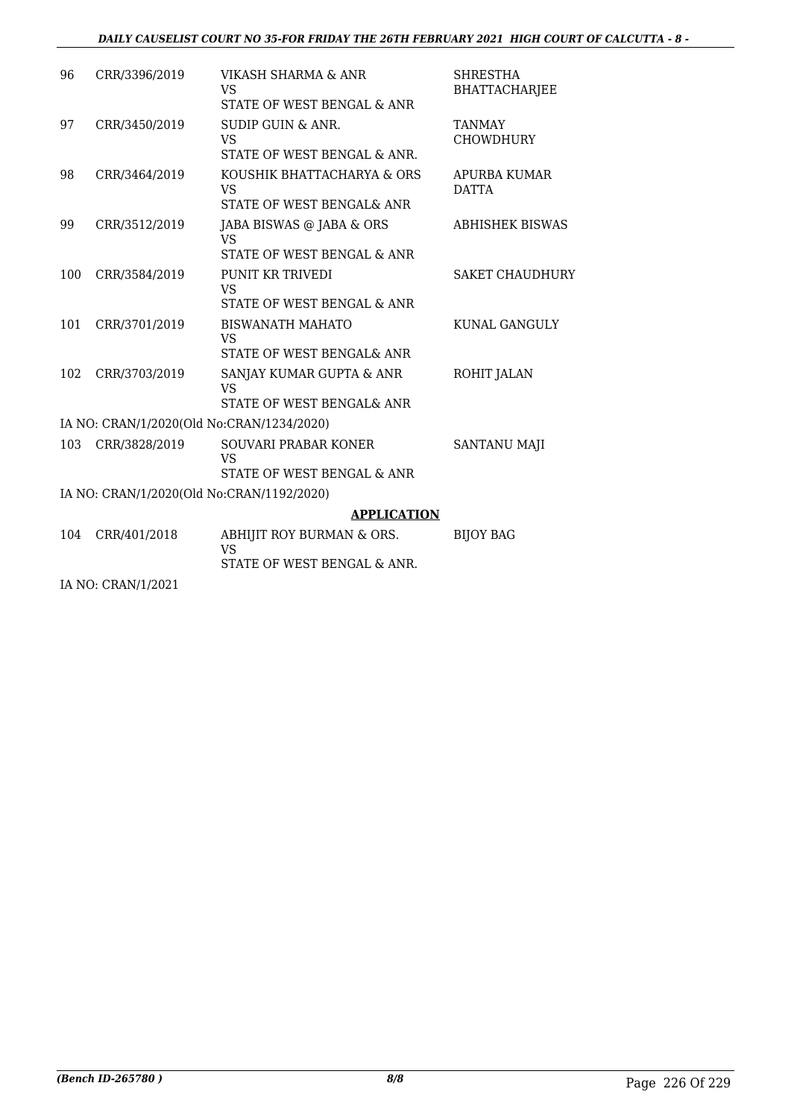### *DAILY CAUSELIST COURT NO 35-FOR FRIDAY THE 26TH FEBRUARY 2021 HIGH COURT OF CALCUTTA - 8 -*

| 96  | CRR/3396/2019                             | VIKASH SHARMA & ANR<br>VS                                          | <b>SHRESTHA</b><br><b>BHATTACHARJEE</b> |
|-----|-------------------------------------------|--------------------------------------------------------------------|-----------------------------------------|
|     |                                           | STATE OF WEST BENGAL & ANR                                         |                                         |
| 97  | CRR/3450/2019                             | <b>SUDIP GUIN &amp; ANR.</b><br>VS<br>STATE OF WEST BENGAL & ANR.  | TANMAY<br><b>CHOWDHURY</b>              |
| 98  | CRR/3464/2019                             | KOUSHIK BHATTACHARYA & ORS<br>VS<br>STATE OF WEST BENGAL& ANR      | APURBA KUMAR<br><b>DATTA</b>            |
| 99  | CRR/3512/2019                             | JABA BISWAS @ JABA & ORS<br>VS<br>STATE OF WEST BENGAL & ANR       | <b>ABHISHEK BISWAS</b>                  |
| 100 | CRR/3584/2019                             | PUNIT KR TRIVEDI<br><b>VS</b><br>STATE OF WEST BENGAL & ANR        | <b>SAKET CHAUDHURY</b>                  |
| 101 | CRR/3701/2019                             | <b>BISWANATH MAHATO</b><br>VS<br>STATE OF WEST BENGAL& ANR         | KUNAL GANGULY                           |
| 102 | CRR/3703/2019                             | SANJAY KUMAR GUPTA & ANR<br><b>VS</b><br>STATE OF WEST BENGAL& ANR | ROHIT JALAN                             |
|     | IA NO: CRAN/1/2020(Old No:CRAN/1234/2020) |                                                                    |                                         |
| 103 | CRR/3828/2019                             | SOUVARI PRABAR KONER<br><b>VS</b><br>STATE OF WEST BENGAL & ANR    | <b>SANTANU MAJI</b>                     |
|     | IA NO: CRAN/1/2020(Old No:CRAN/1192/2020) |                                                                    |                                         |
|     |                                           | <b>APPLICATION</b>                                                 |                                         |
| 104 | CRR/401/2018                              | ABHIJIT ROY BURMAN & ORS.<br>VS.<br>STATE OF WEST BENGAL & ANR.    | <b>BIJOY BAG</b>                        |
|     |                                           |                                                                    |                                         |
|     | IA NO: CRAN/1/2021                        |                                                                    |                                         |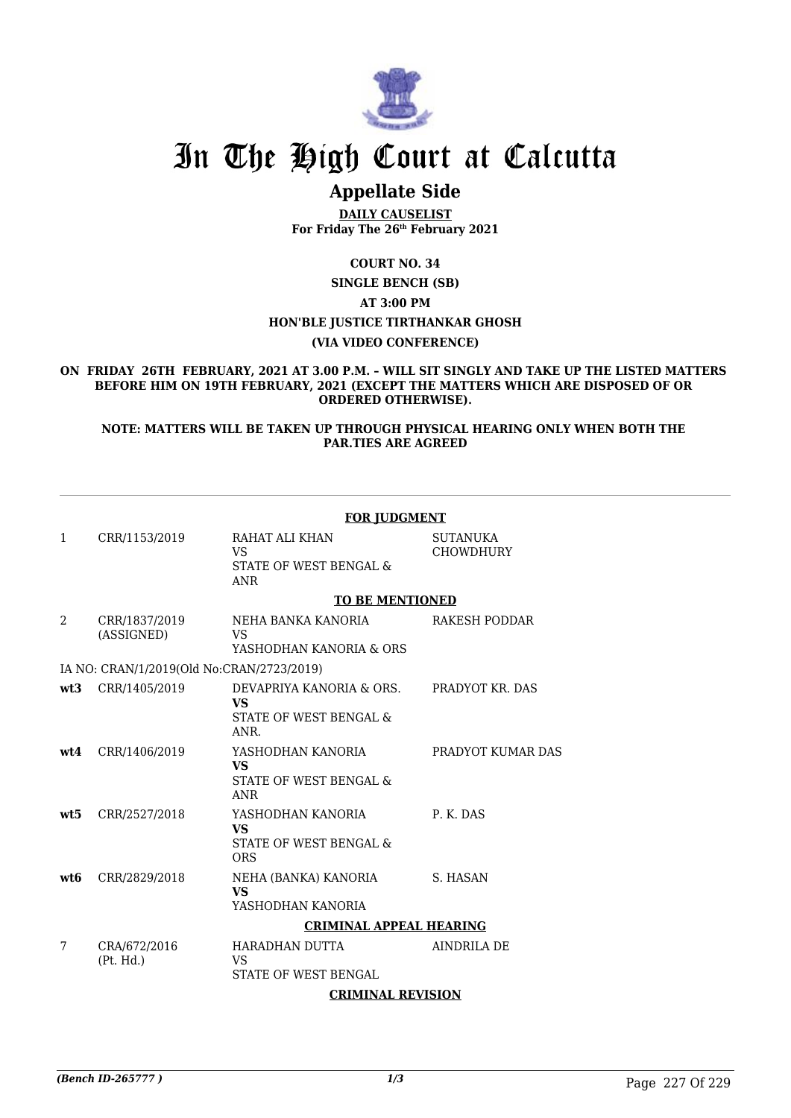

# In The High Court at Calcutta

## **Appellate Side**

**DAILY CAUSELIST For Friday The 26th February 2021**

**COURT NO. 34 SINGLE BENCH (SB) AT 3:00 PM HON'BLE JUSTICE TIRTHANKAR GHOSH (VIA VIDEO CONFERENCE)**

**ON FRIDAY 26TH FEBRUARY, 2021 AT 3.00 P.M. – WILL SIT SINGLY AND TAKE UP THE LISTED MATTERS BEFORE HIM ON 19TH FEBRUARY, 2021 (EXCEPT THE MATTERS WHICH ARE DISPOSED OF OR ORDERED OTHERWISE).**

**NOTE: MATTERS WILL BE TAKEN UP THROUGH PHYSICAL HEARING ONLY WHEN BOTH THE PAR.TIES ARE AGREED**

| <b>FOR JUDGMENT</b>                       |                             |                                                                         |                                     |  |  |  |  |
|-------------------------------------------|-----------------------------|-------------------------------------------------------------------------|-------------------------------------|--|--|--|--|
| 1                                         | CRR/1153/2019               | RAHAT ALI KHAN<br><b>VS</b><br>STATE OF WEST BENGAL &<br><b>ANR</b>     | <b>SUTANUKA</b><br><b>CHOWDHURY</b> |  |  |  |  |
| <b>TO BE MENTIONED</b>                    |                             |                                                                         |                                     |  |  |  |  |
| 2                                         | CRR/1837/2019<br>(ASSIGNED) | NEHA BANKA KANORIA<br><b>VS</b><br>YASHODHAN KANORIA & ORS              | RAKESH PODDAR                       |  |  |  |  |
| IA NO: CRAN/1/2019(Old No:CRAN/2723/2019) |                             |                                                                         |                                     |  |  |  |  |
| wt3                                       | CRR/1405/2019               | DEVAPRIYA KANORIA & ORS.<br><b>VS</b><br>STATE OF WEST BENGAL &<br>ANR. | PRADYOT KR. DAS                     |  |  |  |  |
| wt4                                       | CRR/1406/2019               | YASHODHAN KANORIA<br><b>VS</b><br>STATE OF WEST BENGAL &<br><b>ANR</b>  | PRADYOT KUMAR DAS                   |  |  |  |  |
| wt5                                       | CRR/2527/2018               | YASHODHAN KANORIA<br><b>VS</b><br>STATE OF WEST BENGAL &<br><b>ORS</b>  | P. K. DAS                           |  |  |  |  |
| wt <sub>6</sub>                           | CRR/2829/2018               | NEHA (BANKA) KANORIA<br><b>VS</b><br>YASHODHAN KANORIA                  | S. HASAN                            |  |  |  |  |
| <b>CRIMINAL APPEAL HEARING</b>            |                             |                                                                         |                                     |  |  |  |  |
| 7                                         | CRA/672/2016<br>(Pt. Hd.)   | HARADHAN DUTTA<br><b>VS</b><br>STATE OF WEST BENGAL                     | <b>AINDRILA DE</b>                  |  |  |  |  |
| <b>CRIMINAL REVISION</b>                  |                             |                                                                         |                                     |  |  |  |  |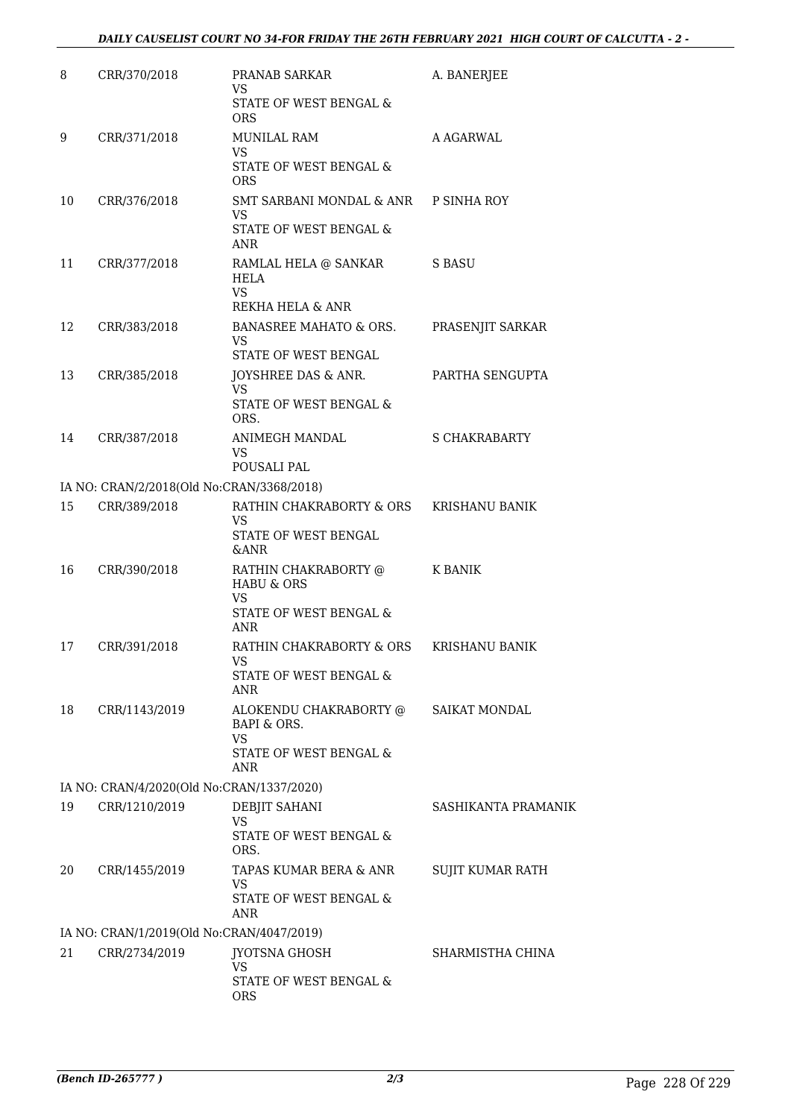| 8                                         | CRR/370/2018                              | PRANAB SARKAR<br><b>VS</b><br>STATE OF WEST BENGAL &<br><b>ORS</b>                          | A. BANERJEE           |  |  |  |
|-------------------------------------------|-------------------------------------------|---------------------------------------------------------------------------------------------|-----------------------|--|--|--|
| 9                                         | CRR/371/2018                              | <b>MUNILAL RAM</b><br><b>VS</b><br>STATE OF WEST BENGAL &<br><b>ORS</b>                     | A AGARWAL             |  |  |  |
| 10                                        | CRR/376/2018                              | SMT SARBANI MONDAL & ANR P SINHA ROY<br><b>VS</b><br>STATE OF WEST BENGAL &<br><b>ANR</b>   |                       |  |  |  |
| 11                                        | CRR/377/2018                              | RAMLAL HELA @ SANKAR<br><b>HELA</b><br><b>VS</b><br>REKHA HELA & ANR                        | S BASU                |  |  |  |
| 12                                        | CRR/383/2018                              | <b>BANASREE MAHATO &amp; ORS.</b><br><b>VS</b><br>STATE OF WEST BENGAL                      | PRASENJIT SARKAR      |  |  |  |
| 13                                        | CRR/385/2018                              | JOYSHREE DAS & ANR.<br><b>VS</b><br>STATE OF WEST BENGAL &<br>ORS.                          | PARTHA SENGUPTA       |  |  |  |
| 14                                        | CRR/387/2018                              | ANIMEGH MANDAL<br>VS<br>POUSALI PAL                                                         | <b>S CHAKRABARTY</b>  |  |  |  |
|                                           | IA NO: CRAN/2/2018(Old No:CRAN/3368/2018) |                                                                                             |                       |  |  |  |
| 15                                        | CRR/389/2018                              | RATHIN CHAKRABORTY & ORS<br>VS<br>STATE OF WEST BENGAL<br><b>&amp;ANR</b>                   | <b>KRISHANU BANIK</b> |  |  |  |
| 16                                        | CRR/390/2018                              | RATHIN CHAKRABORTY @<br><b>HABU &amp; ORS</b><br><b>VS</b><br>STATE OF WEST BENGAL &<br>ANR | K BANIK               |  |  |  |
| 17                                        | CRR/391/2018                              | RATHIN CHAKRABORTY & ORS<br>STATE OF WEST BENGAL &<br><b>ANR</b>                            | <b>KRISHANU BANIK</b> |  |  |  |
| 18                                        | CRR/1143/2019                             | ALOKENDU CHAKRABORTY @<br>BAPI & ORS.<br><b>VS</b><br>STATE OF WEST BENGAL &<br>ANR         | SAIKAT MONDAL         |  |  |  |
|                                           | IA NO: CRAN/4/2020(Old No:CRAN/1337/2020) |                                                                                             |                       |  |  |  |
| 19                                        | CRR/1210/2019                             | DEBJIT SAHANI<br>VS<br>STATE OF WEST BENGAL &<br>ORS.                                       | SASHIKANTA PRAMANIK   |  |  |  |
| 20                                        | CRR/1455/2019                             | TAPAS KUMAR BERA & ANR<br>VS<br>STATE OF WEST BENGAL &<br>ANR                               | SUJIT KUMAR RATH      |  |  |  |
| IA NO: CRAN/1/2019(Old No:CRAN/4047/2019) |                                           |                                                                                             |                       |  |  |  |
| 21                                        | CRR/2734/2019                             | <b>JYOTSNA GHOSH</b><br>VS<br>STATE OF WEST BENGAL &<br><b>ORS</b>                          | SHARMISTHA CHINA      |  |  |  |